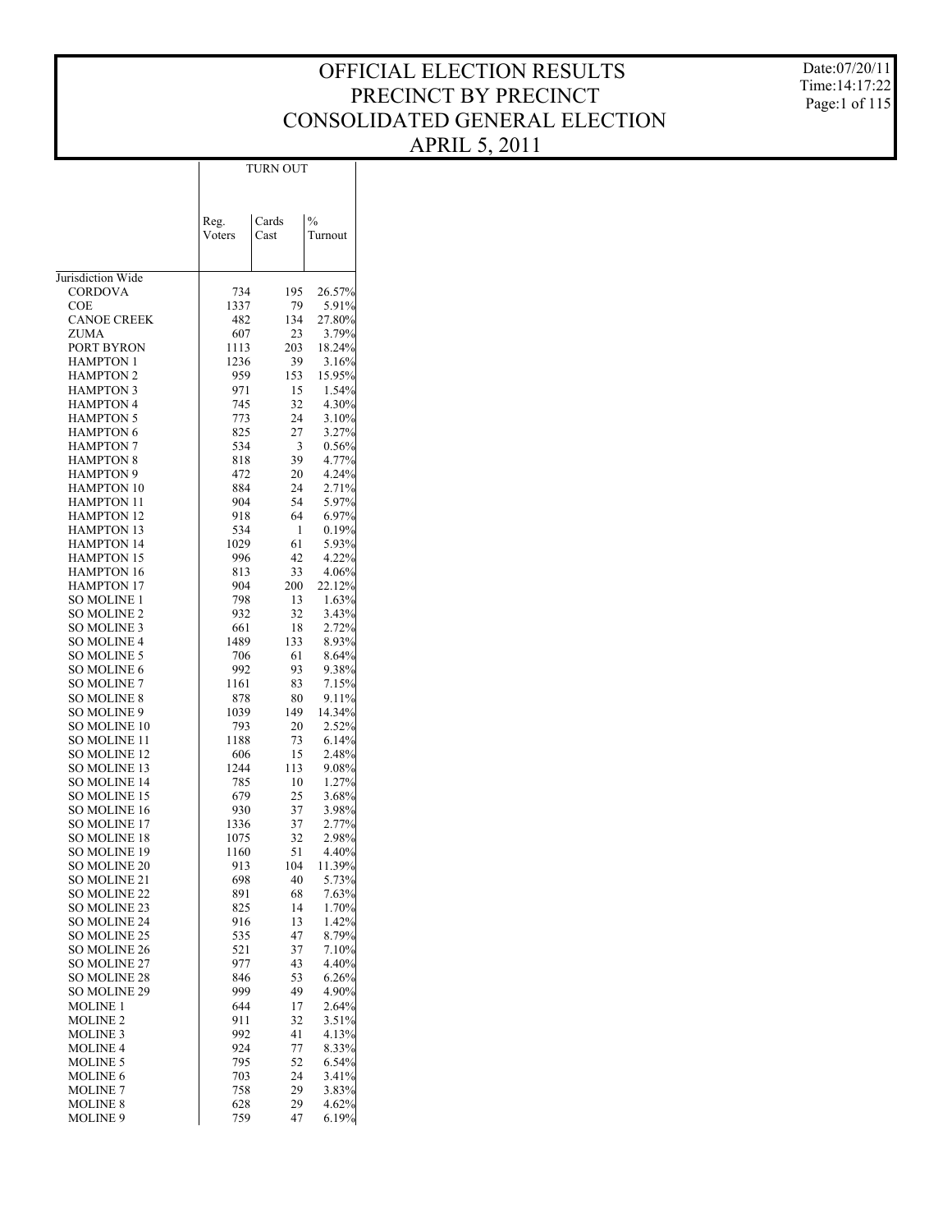Date:07/20/11 Time:14:17:22 Page:1 of 115

|                                          |             | TURN OUT             |                 |
|------------------------------------------|-------------|----------------------|-----------------|
|                                          |             |                      |                 |
|                                          |             |                      |                 |
|                                          | Reg.        | Cards                | $\frac{0}{0}$   |
|                                          | Voters      | Cast                 | Turnout         |
|                                          |             |                      |                 |
|                                          |             |                      |                 |
| Jurisdiction Wide                        |             |                      |                 |
| CORDOVA                                  | 734         | 195                  | 26.57%          |
| COE<br><b>CANOE CREEK</b>                | 1337<br>482 | 79<br>134            | 5.91%<br>27.80% |
| ZUMA                                     | 607         | 23                   | 3.79%           |
| PORT BYRON                               | 1113        | 203                  | 18.24%          |
| HAMPTON 1                                | 1236        | 39                   | 3.16%           |
| <b>HAMPTON 2</b>                         | 959         | 153                  | 15.95%          |
| <b>HAMPTON 3</b>                         | 971         | 15                   | 1.54%           |
| <b>HAMPTON 4</b>                         | 745         | 32                   | 4.30%           |
| <b>HAMPTON 5</b><br><b>HAMPTON 6</b>     | 773<br>825  | 24<br>27             | 3.10%<br>3.27%  |
| <b>HAMPTON 7</b>                         | 534         | 3                    | 0.56%           |
| <b>HAMPTON 8</b>                         | 818         | 39                   | 4.77%           |
| <b>HAMPTON 9</b>                         | 472         | 20                   | 4.24%           |
| <b>HAMPTON 10</b>                        | 884         | 24                   | 2.71%           |
| <b>HAMPTON 11</b>                        | 904         | 54                   | 5.97%           |
| <b>HAMPTON 12</b>                        | 918         | 64                   | 6.97%           |
| <b>HAMPTON 13</b>                        | 534         | 1                    | 0.19%           |
| <b>HAMPTON 14</b>                        | 1029        | 61                   | 5.93%           |
| <b>HAMPTON 15</b><br><b>HAMPTON 16</b>   | 996<br>813  | 42<br>33             | 4.22%<br>4.06%  |
| <b>HAMPTON 17</b>                        | 904         | 200                  | 22.12%          |
| SO MOLINE 1                              | 798         | 13                   | 1.63%           |
| <b>SO MOLINE 2</b>                       | 932         | 32                   | 3.43%           |
| <b>SO MOLINE 3</b>                       | 661         | 18                   | 2.72%           |
| <b>SO MOLINE 4</b>                       | 1489        | 133                  | 8.93%           |
| <b>SO MOLINE 5</b>                       | 706         | 61                   | 8.64%           |
| <b>SO MOLINE 6</b>                       | 992         | 93                   | 9.38%           |
| <b>SO MOLINE 7</b><br><b>SO MOLINE 8</b> | 1161<br>878 | 83<br>80             | 7.15%<br>9.11%  |
| SO MOLINE 9                              | 1039        | 149                  | 14.34%          |
| SO MOLINE 10                             | 793         | 20                   | 2.52%           |
| SO MOLINE 11                             | 1188        | 73                   | 6.14%           |
| <b>SO MOLINE 12</b>                      | 606         | 15                   | 2.48%           |
| SO MOLINE 13                             | 1244        | 113                  | 9.08%           |
| <b>SO MOLINE 14</b>                      | 785         | 10                   | 1.27%           |
| SO MOLINE 15<br><b>SO MOLINE 16</b>      | 679<br>930  | 25<br>37             | 3.68%<br>3.98%  |
| SO MOLINE 17                             | 1336        | 37                   | 2.77%           |
| <b>SO MOLINE 18</b>                      | 1075        | 32                   | 2.98%           |
| SO MOLINE 19                             | 1160        | 51                   | 4.40%           |
| SO MOLINE 20                             | 913         | 104                  | 11.39%          |
| SO MOLINE 21                             | 698         | 40                   | 5.73%           |
| SO MOLINE 22                             | 891         | 68                   | 7.63%           |
| SO MOLINE 23                             | 825         | 14                   | 1.70%           |
| <b>SO MOLINE 24</b><br>SO MOLINE 25      | 916<br>535  | 13<br>47             | 1.42%<br>8.79%  |
| <b>SO MOLINE 26</b>                      | 521         | 37                   | 7.10%           |
| <b>SO MOLINE 27</b>                      | 977         | 43                   | 4.40%           |
| <b>SO MOLINE 28</b>                      | 846         | 53                   | 6.26%           |
| SO MOLINE 29                             | 999         | 49                   | 4.90%           |
| <b>MOLINE 1</b>                          | 644         | 17<br>32             | 2.64%           |
| <b>MOLINE 2</b>                          | 911         | 3.51%                |                 |
| <b>MOLINE 3</b>                          | 992         | 4.13%                |                 |
| <b>MOLINE 4</b><br><b>MOLINE 5</b>       | 924<br>795  | 8.33%<br>52<br>6.54% |                 |
| <b>MOLINE 6</b>                          | 703         | 3.41%                |                 |
| <b>MOLINE 7</b>                          | 758         | 24<br>29             | 3.83%           |
| <b>MOLINE 8</b>                          | 628         | 29                   | 4.62%           |
| <b>MOLINE 9</b>                          | 759         | 47                   | 6.19%           |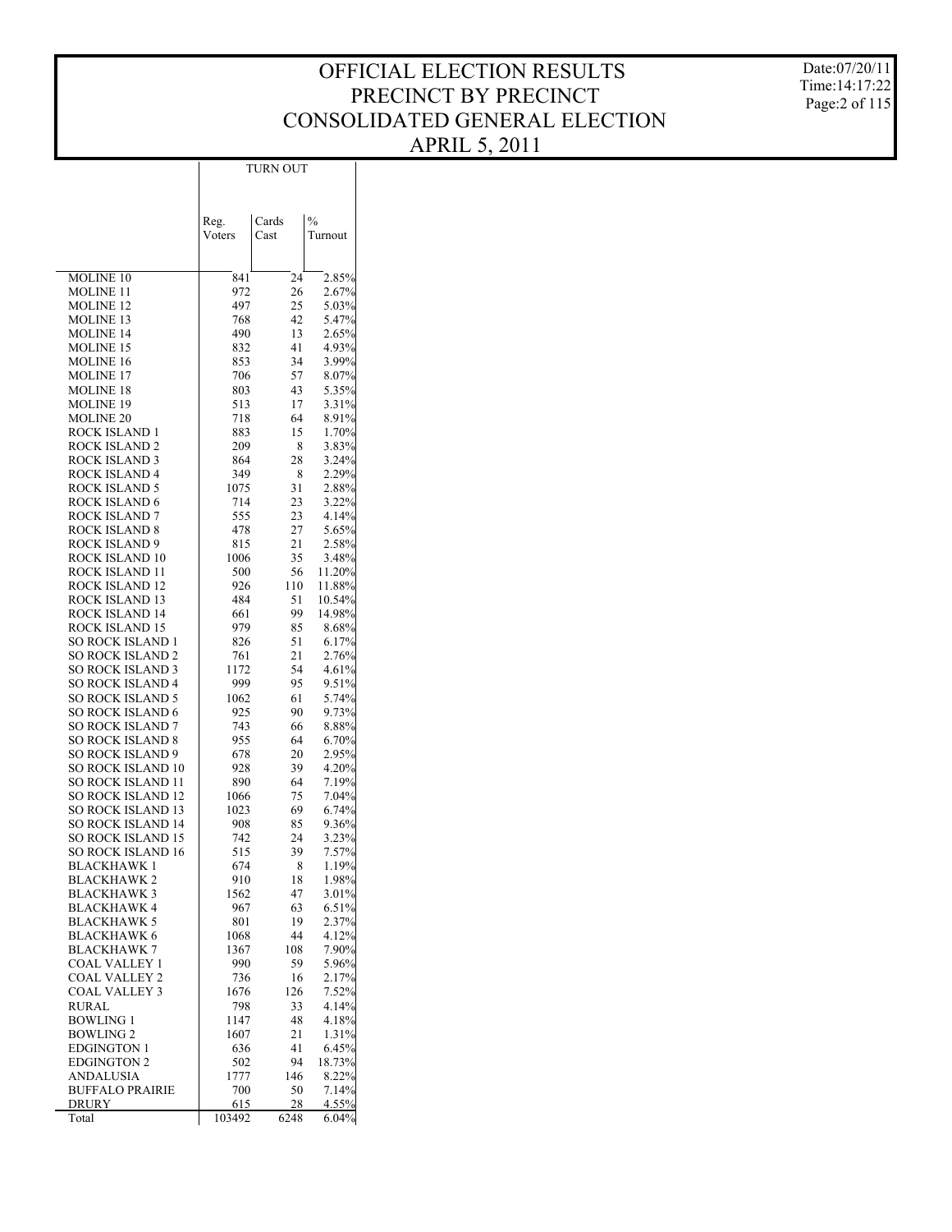Date:07/20/11 Time:14:17:22 Page:2 of 115

|                                                      | Reg.        | Cards     | $\frac{0}{0}$     |
|------------------------------------------------------|-------------|-----------|-------------------|
|                                                      | Voters      | Cast      | Turnout           |
|                                                      |             |           |                   |
| <b>MOLINE 10</b>                                     | 841         | 24        | 2.85%             |
| MOLINE 11                                            | 972         | 26        | 2.67%             |
| <b>MOLINE 12</b>                                     | 497         | 25<br>42  | 5.03%             |
| <b>MOLINE 13</b><br><b>MOLINE 14</b>                 | 768<br>490  | 13        | 5.47%<br>2.65%    |
| <b>MOLINE 15</b>                                     | 832         | 41        | 4.93%             |
| <b>MOLINE 16</b>                                     | 853         | 34        | 3.99%             |
| <b>MOLINE 17</b>                                     | 706         | 57        | $8.07\%$          |
| <b>MOLINE 18</b><br><b>MOLINE 19</b>                 | 803<br>513  | 43<br>17  | 5.35%<br>3.31%    |
| <b>MOLINE 20</b>                                     | 718         | 64        | 8.91%             |
| ROCK ISLAND 1                                        | 883         | 15        | 1.70%             |
| ROCK ISLAND 2                                        | 209         | 8         | 3.83%             |
| ROCK ISLAND 3                                        | 864         | 28        | 3.24%             |
| ROCK ISLAND 4<br>ROCK ISLAND 5                       | 349<br>1075 | 8<br>31   | 2.29%<br>2.88%    |
| ROCK ISLAND 6                                        | 714         | 23        | 3.22%             |
| ROCK ISLAND 7                                        | 555         | 23        | 4.14%             |
| ROCK ISLAND 8                                        | 478         | 27        | 5.65%             |
| ROCK ISLAND 9                                        | 815         | 21        | 2.58%             |
| ROCK ISLAND 10<br>ROCK ISLAND 11                     | 1006<br>500 | 35<br>56  | 3.48%<br>11.20%   |
| ROCK ISLAND 12                                       | 926         | 110       | 11.88%            |
| ROCK ISLAND 13                                       | 484         | 51        | 10.54%            |
| ROCK ISLAND 14                                       | 661         | 99        | 14.98%            |
| ROCK ISLAND 15                                       | 979         | 85        | 8.68%             |
| SO ROCK ISLAND 1                                     | 826         | 51        | 6.17%             |
| <b>SO ROCK ISLAND 2</b><br><b>SO ROCK ISLAND 3</b>   | 761<br>1172 | 21<br>54  | 2.76%<br>4.61%    |
| SO ROCK ISLAND 4                                     | 999         | 95        | 9.51%             |
| <b>SO ROCK ISLAND 5</b>                              | 1062        | 61        | 5.74%             |
| <b>SO ROCK ISLAND 6</b>                              | 925         | 90        | 9.73%             |
| <b>SO ROCK ISLAND 7</b><br><b>SO ROCK ISLAND 8</b>   | 743<br>955  | 66<br>64  | 8.88%             |
| <b>SO ROCK ISLAND 9</b>                              | 678         | 20        | $6.70\%$<br>2.95% |
| <b>SO ROCK ISLAND 10</b>                             | 928         | 39        | 4.20%             |
| <b>SO ROCK ISLAND 11</b>                             | 890         | 64        | 7.19%             |
| <b>SO ROCK ISLAND 12</b>                             | 1066        | 75        | 7.04%             |
| <b>SO ROCK ISLAND 13</b><br><b>SO ROCK ISLAND 14</b> | 1023<br>908 | 69<br>85  | 6.74%<br>9.36%    |
| <b>SO ROCK ISLAND 15</b>                             | 742         | 24        | 3.23%             |
| <b>SO ROCK ISLAND 16</b>                             | 515         | 39        | 7.57%             |
| <b>BLACKHAWK1</b>                                    | 674         | 8         | 1.19%             |
| BLACKHAWK 2                                          | 910         | 18        | 1.98%             |
| <b>BLACKHAWK 3</b><br><b>BLACKHAWK 4</b>             | 1562<br>967 | 47<br>63  | 3.01%<br>6.51%    |
| <b>BLACKHAWK 5</b>                                   | 801         | 19        | 2.37%             |
| <b>BLACKHAWK 6</b>                                   | 1068        | 44        | 4.12%             |
| <b>BLACKHAWK 7</b>                                   | 1367        | 108       | 7.90%             |
| COAL VALLEY 1                                        | 990         | 59        | 5.96%             |
| COAL VALLEY 2<br>COAL VALLEY 3                       | 736<br>1676 | 16<br>126 | 2.17%<br>7.52%    |
| RURAL                                                | 798         | 33        | 4.14%             |
| <b>BOWLING 1</b>                                     | 1147        | 48        | 4.18%             |
| <b>BOWLING 2</b>                                     | 1607        | 21        | 1.31%             |
| <b>EDGINGTON 1</b>                                   | 636         | 41        | 6.45%             |
| EDGINGTON 2<br><b>ANDALUSIA</b>                      | 502<br>1777 | 94<br>146 | 18.73%<br>8.22%   |
| <b>BUFFALO PRAIRIE</b>                               | 700         | 50        | 7.14%             |
| DRURY                                                | 615         | 28        | 4.55%             |
| Total                                                | 103492      | 6248      | 6.04%             |

TURN OUT

 $\overline{\phantom{a}}$ 

 $\overline{\phantom{a}}$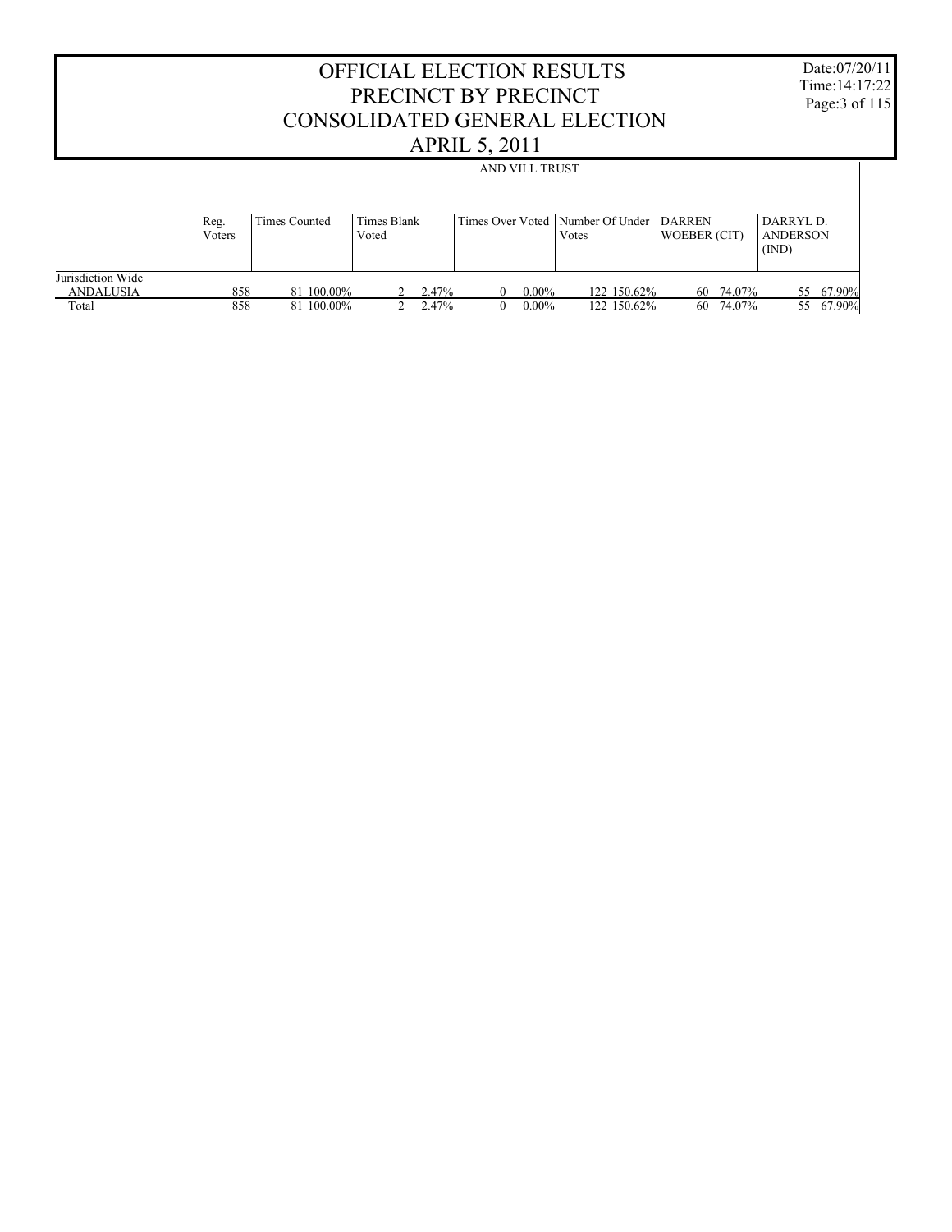| <b>OFFICIAL ELECTION RESULTS</b><br>PRECINCT BY PRECINCT<br>CONSOLIDATED GENERAL ELECTION<br><b>APRIL 5, 2011</b>                                        |     |            |  |       |                |          |             |  |                                       | Date:07/20/11<br>Time: 14:17:22<br>Page: 3 of 115 |           |  |
|----------------------------------------------------------------------------------------------------------------------------------------------------------|-----|------------|--|-------|----------------|----------|-------------|--|---------------------------------------|---------------------------------------------------|-----------|--|
|                                                                                                                                                          |     |            |  |       |                |          |             |  |                                       |                                                   |           |  |
| AND VILL TRUST<br>Times Over Voted   Number Of Under   DARREN<br>Times Blank<br><b>Times Counted</b><br>Reg.<br>WOEBER (CIT)<br>Voters<br>Voted<br>Votes |     |            |  |       |                |          |             |  | DARRYL D.<br><b>ANDERSON</b><br>(IND) |                                                   |           |  |
| Jurisdiction Wide<br><b>ANDALUSIA</b>                                                                                                                    | 858 | 81 100,00% |  | 2.47% | 0              | $0.00\%$ | 122 150.62% |  | 60 74.07%                             |                                                   | 55 67.90% |  |
| Total                                                                                                                                                    | 858 | 81 100,00% |  | 2.47% | $\overline{0}$ | $0.00\%$ | 122 150.62% |  | 60 74.07%                             |                                                   | 55 67.90% |  |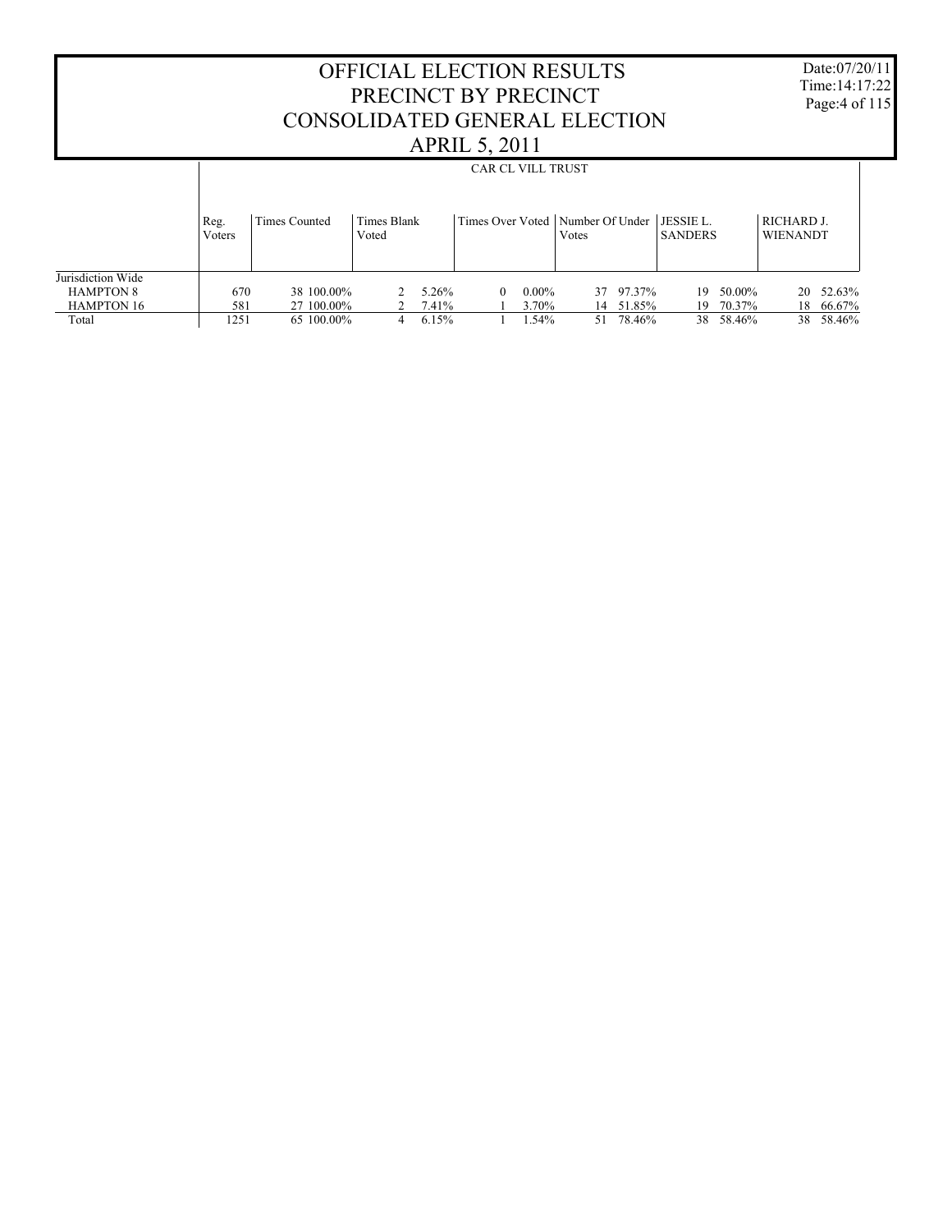Date:07/20/11 Time:14:17:22 Page:4 of 115

|                   |                |               |                      |          |                  |          | <b>CAR CL VILL TRUST</b>             |           |                |        |                               |           |  |  |  |  |  |
|-------------------|----------------|---------------|----------------------|----------|------------------|----------|--------------------------------------|-----------|----------------|--------|-------------------------------|-----------|--|--|--|--|--|
|                   | Reg.<br>Voters | Times Counted | Times Blank<br>Voted |          | Times Over Voted |          | Number Of Under   JESSIE L.<br>Votes |           | <b>SANDERS</b> |        | RICHARD J.<br><b>WIENANDT</b> |           |  |  |  |  |  |
| Jurisdiction Wide |                |               |                      |          |                  |          |                                      |           |                |        |                               |           |  |  |  |  |  |
| <b>HAMPTON 8</b>  | 670            | 38 100.00%    |                      | $5.26\%$ | 0                | $0.00\%$ |                                      | 37 97.37% | 19             | 50.00% |                               | 20 52.63% |  |  |  |  |  |
| <b>HAMPTON 16</b> | 581            | 27 100.00%    |                      | 7.41%    |                  | 3.70%    | 14                                   | 51.85%    | 19.            | 70.37% | 18                            | 66.67%    |  |  |  |  |  |
| Total             | 1251           | 65 100.00%    | 4                    | 6.15%    |                  | 1.54%    | 51                                   | 78.46%    | 38             | 58.46% | 38                            | 58.46%    |  |  |  |  |  |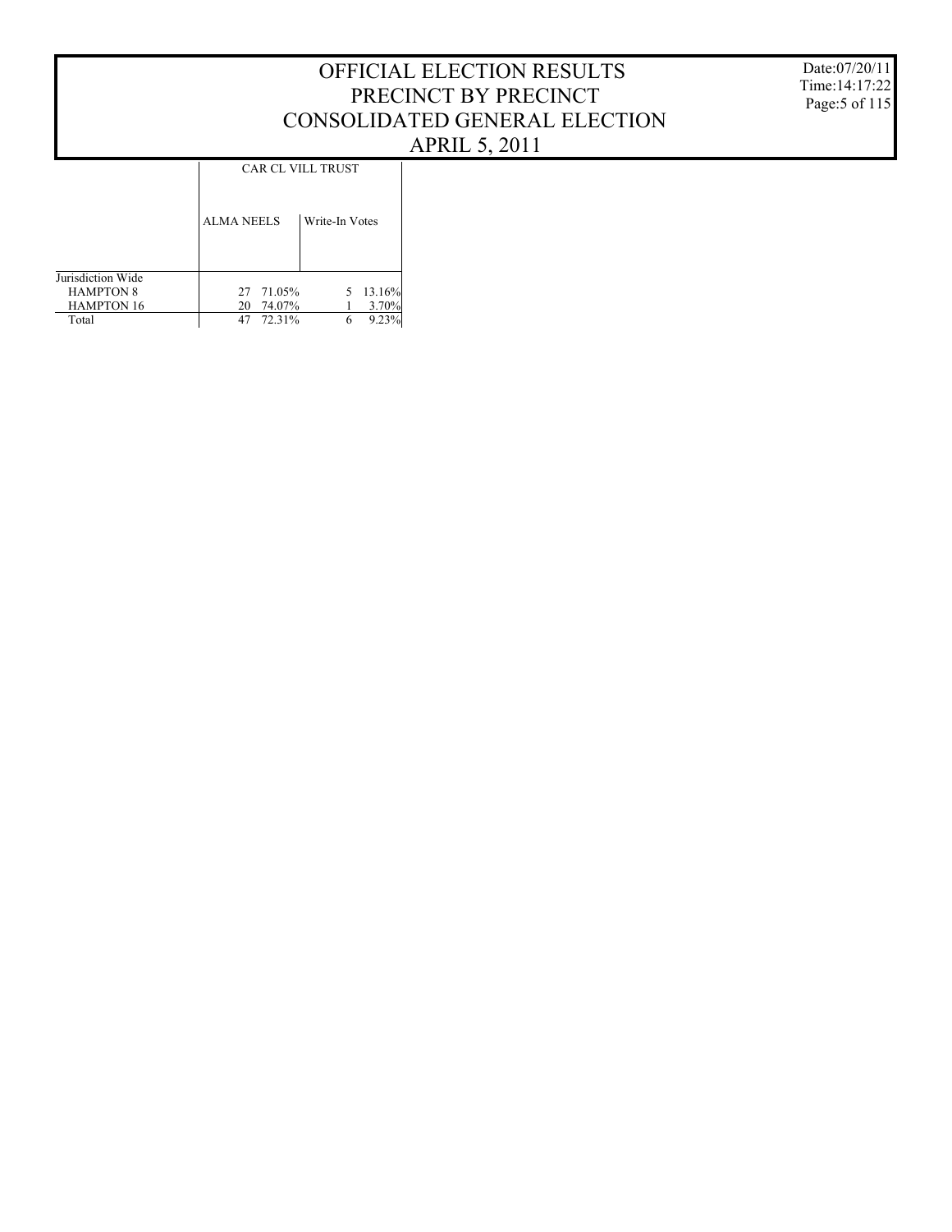CAR CL VILL TRUST

|                   | <b>ALMA NEELS</b> | Write-In Votes |  |
|-------------------|-------------------|----------------|--|
| Jurisdiction Wide |                   |                |  |
| <b>HAMPTON 8</b>  | 27 71.05%         | 13.16%<br>5    |  |
| <b>HAMPTON 16</b> | 74.07%<br>20      | 3.70%          |  |
| Total             | 72.31%<br>47      | 9.23%          |  |

Date:07/20/11 Time:14:17:22 Page:5 of 115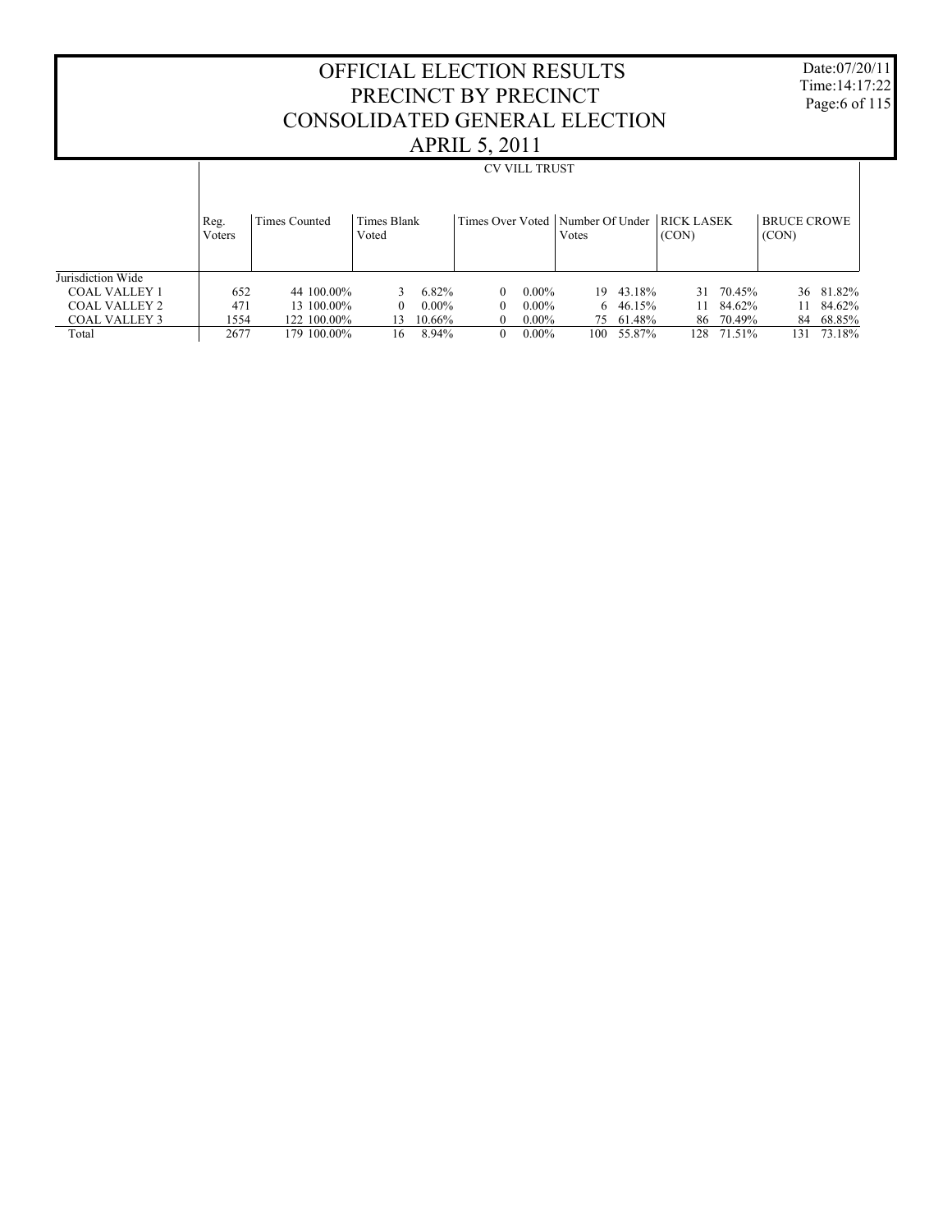Date:07/20/11 Time:14:17:22 Page:6 of 115

|                      |                |               |                      |          | $\overline{\phantom{a}}$ |                      |                          |                  |                            |           |                             |           |
|----------------------|----------------|---------------|----------------------|----------|--------------------------|----------------------|--------------------------|------------------|----------------------------|-----------|-----------------------------|-----------|
|                      |                |               |                      |          |                          | <b>CV VILL TRUST</b> |                          |                  |                            |           |                             |           |
|                      | Reg.<br>Voters | Times Counted | Times Blank<br>Voted |          | Times Over Voted         |                      | Number Of Under<br>Votes |                  | <b>RICK LASEK</b><br>(CON) |           | <b>BRUCE CROWE</b><br>(CON) |           |
| Jurisdiction Wide    |                |               |                      |          |                          |                      |                          |                  |                            |           |                             |           |
| <b>COAL VALLEY 1</b> | 652            | 44 100.00%    |                      | 6.82%    | $\Omega$                 | $0.00\%$             |                          | 19 43.18%        |                            | 31 70.45% |                             | 36 81.82% |
| COAL VALLEY 2        | 471            | 13 100,00%    | $\Omega$             | $0.00\%$ | $\Omega$                 | $0.00\%$             |                          | $6\quad 46.15\%$ | 11                         | 84.62%    | 11                          | 84.62%    |
| <b>COAL VALLEY 3</b> | 1554           | 122 100.00%   | $\mathcal{E}$        | 10.66%   | 0                        | $0.00\%$             |                          | 75 61.48%        |                            | 86 70.49% | 84                          | 68.85%    |
| Total                | 2677           | 179 100,00%   | 16.                  | 8.94%    | 0                        | $0.00\%$             | 100                      | 55.87%           | 128                        | 71.51%    | 131                         | 73.18%    |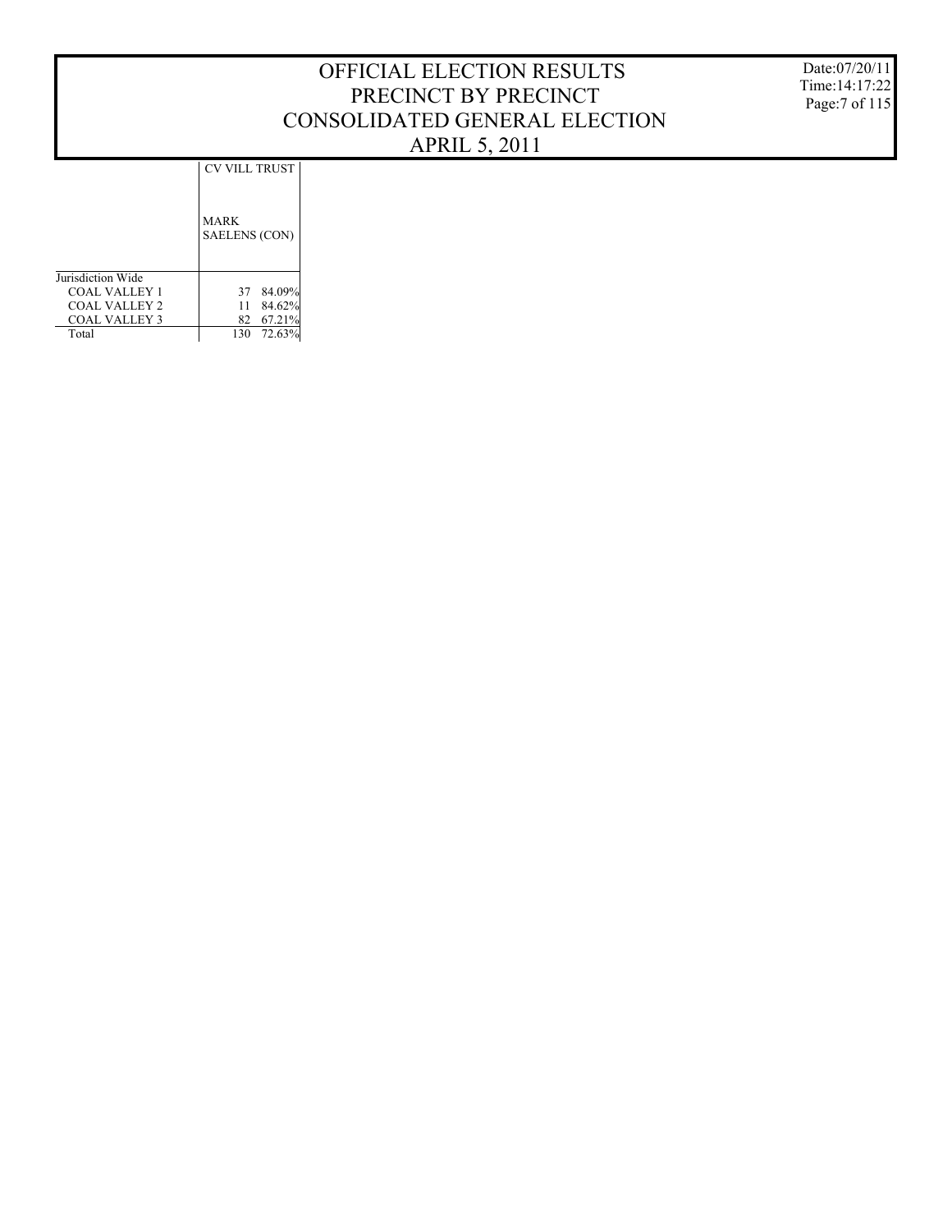Date:07/20/11 Time:14:17:22 Page:7 of 115

CV VILL TRUST

|                      | MARK<br><b>SAELENS (CON)</b> |
|----------------------|------------------------------|
| Jurisdiction Wide    |                              |
| COAL VALLEY 1        | 84.09%<br>37                 |
| COAL VALLEY 2        | 84.62%<br>11                 |
| <b>COAL VALLEY 3</b> | 67.21%<br>82                 |
| Total                | 72.63%                       |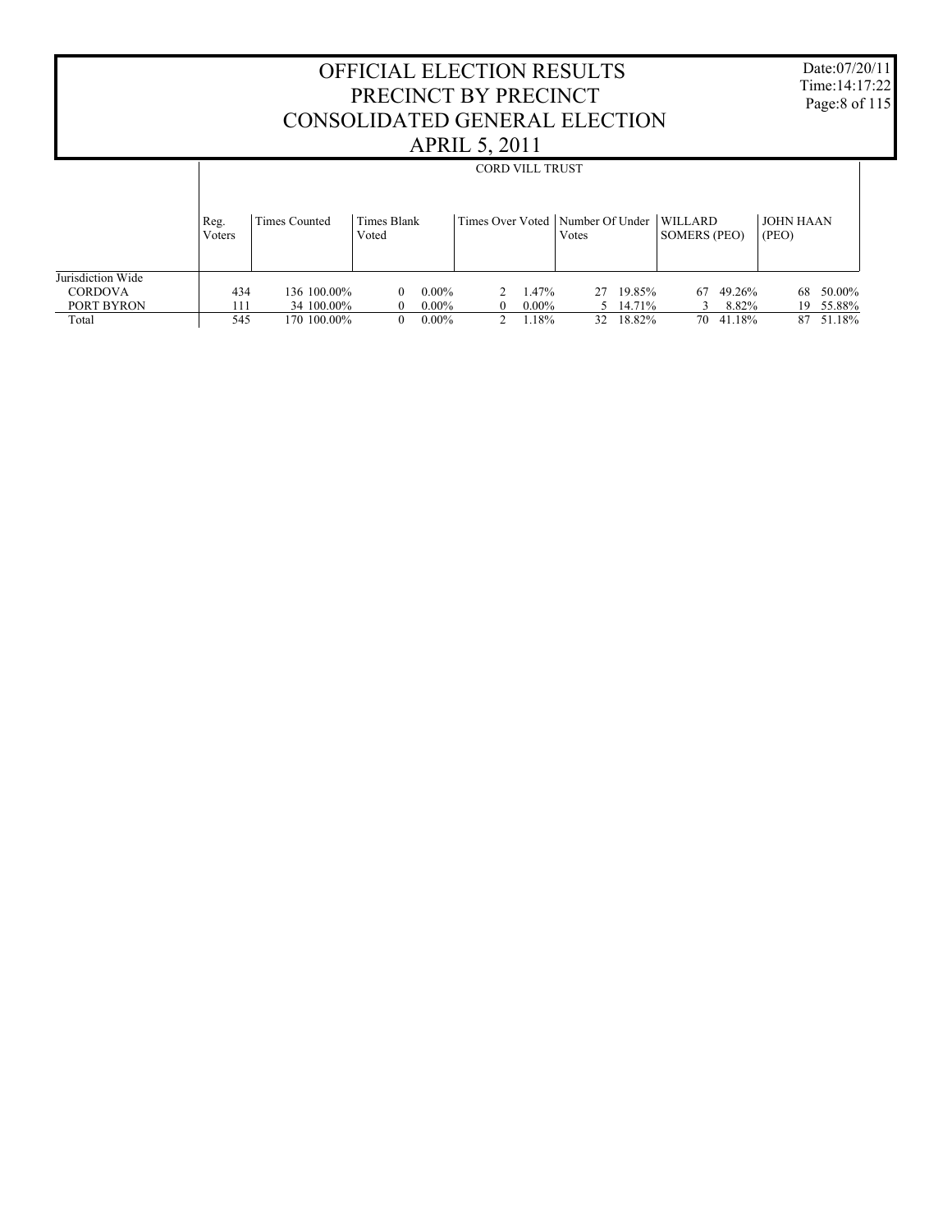OFFICIAL ELECTION RESULTS PRECINCT BY PRECINCT CONSOLIDATED GENERAL ELECTION APRIL 5, 2011 Date:07/20/11 Time:14:17:22 Page:8 of 115 Jurisdiction Wide **CORDOVA**  PORT BYRON Total Reg. Voters Times Counted | Times Blank Voted Times Over Voted | Number Of Under | WILLARD Votes SOMERS (PEO) JOHN HAAN (PEO) CORD VILL TRUST  $\begin{array}{cccccccccccc} 434 & & 136 & 100.00\% & & 0 & 0.00\% & & 2 & 1.47\% & & 27 & 19.85\% & & 67 & 49.26\% & & 68 & 50.00\% \\ 111 & & 34 & 100.00\% & & 0 & 0.00\% & & 0 & 0.00\% & & 5 & 14.71\% & & 3 & 8.82\% & & 19 & 55.88\% \end{array}$ 111 34 100.00% 0 0.00% 0 0.00% 5 14.71% 3 8.82% 19 55.88% 645 170 100.00% 0 0.00% 2 1.18% 32 18.82% 70 41.18% 87 51.18% 545 170 100.00% 0 0.00% 2 1.18% 32 18.82% 70 41.18% 87 51.18%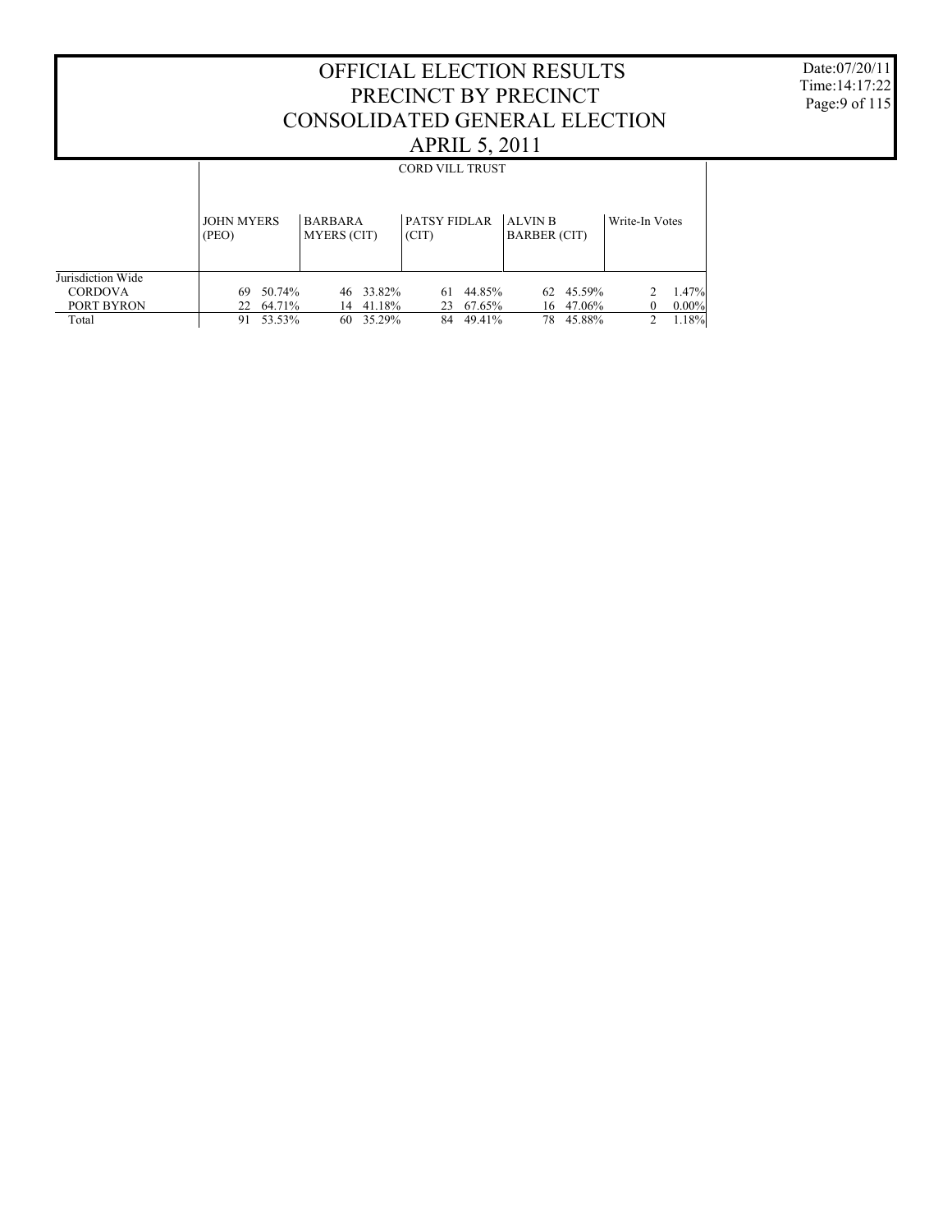Date:07/20/11 Time:14:17:22 Page:9 of 115

|                   |                            | <b>CORD VILL TRUST</b>               |                              |                                |                      |  |  |  |  |  |  |  |
|-------------------|----------------------------|--------------------------------------|------------------------------|--------------------------------|----------------------|--|--|--|--|--|--|--|
|                   | <b>JOHN MYERS</b><br>(PEO) | <b>BARBARA</b><br><b>MYERS</b> (CIT) | <b>PATSY FIDLAR</b><br>(CIT) | ALVIN B<br><b>BARBER (CIT)</b> | Write-In Votes       |  |  |  |  |  |  |  |
| Jurisdiction Wide |                            |                                      |                              |                                | 1.47%<br>2           |  |  |  |  |  |  |  |
| <b>CORDOVA</b>    | 50.74%<br>-69              | 33.82%<br>46                         | 44.85%<br>61                 | 62 45.59%                      |                      |  |  |  |  |  |  |  |
| PORT BYRON        | 64.71%<br>22               | 41.18%<br>14                         | 67.65%<br>23                 | 47.06%<br>16                   | $0.00\%$<br>$\Omega$ |  |  |  |  |  |  |  |
| Total             | 53.53%<br>91               | 35.29%<br>60                         | 49.41%<br>84                 | 45.88%<br>78.                  | 1.18%<br>2           |  |  |  |  |  |  |  |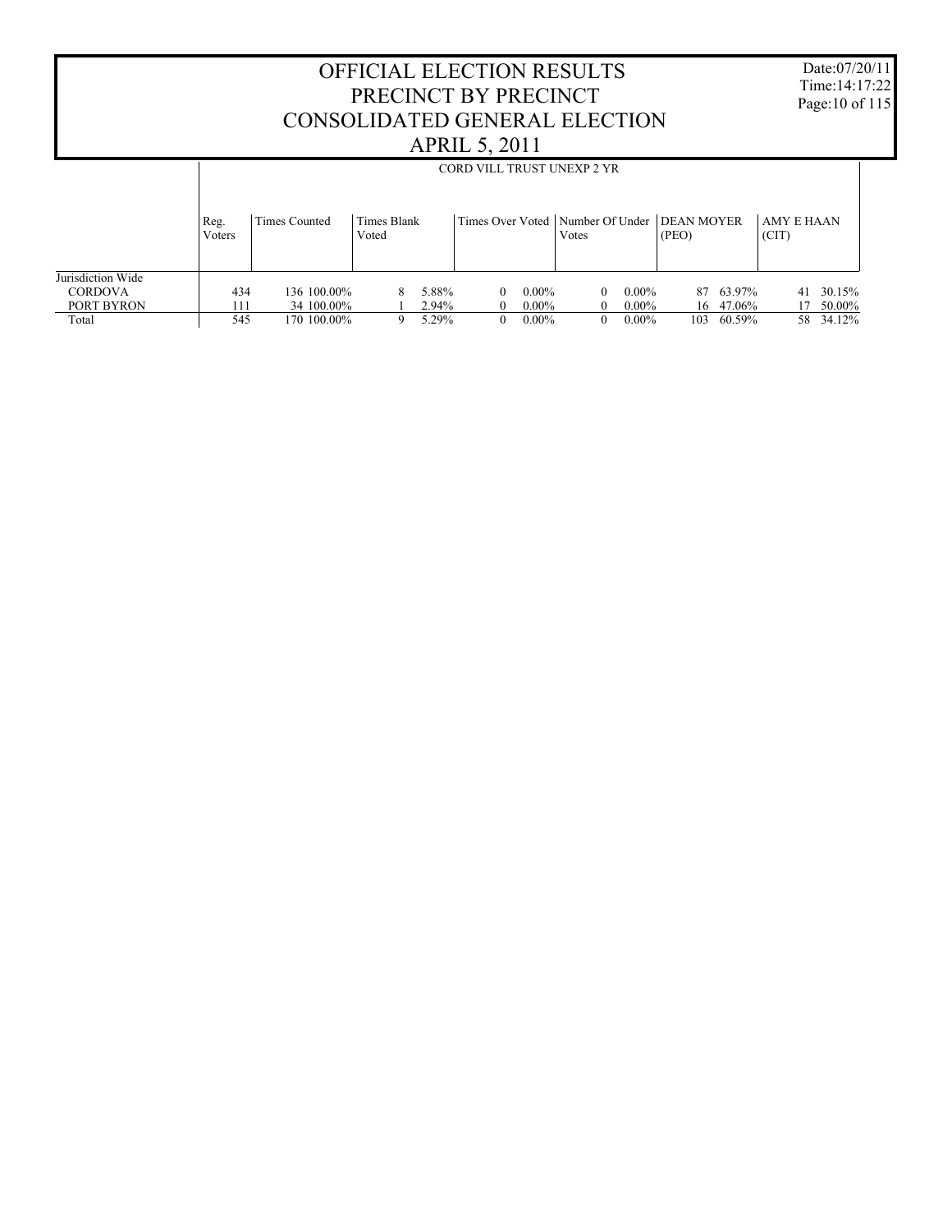OFFICIAL ELECTION RESULTS PRECINCT BY PRECINCT CONSOLIDATED GENERAL ELECTION APRIL 5, 2011 Date:07/20/11 Time:14:17:22 Page:10 of 115 Jurisdiction Wide **CORDOVA**  PORT BYRON Total Reg. Voters Times Counted | Times Blank Voted Times Over Voted | Number Of Under | DEAN MOYER Votes (PEO) AMY E HAAN (CIT) CORD VILL TRUST UNEXP 2 YR 434 136 100.00% 8 5.88% 0 0.00% 0 0.00% 87 63.97% 41 30.15%  $\frac{111}{545}$   $\frac{34 100.00\%}{170 100.00\%}$   $\frac{1}{9}$   $\frac{2.94\%}{5.29\%}$   $\frac{0}{0}$   $\frac{0.00\%}{0.00\%}$   $\frac{0.00\%}{0.00\%}$   $\frac{16}{103}$   $\frac{47.06\%}{60.59\%}$   $\frac{17}{50.00\%}$ 545 170 100.00% 9 5.29% 0 0.00% 0 0.00% 103 60.59% 58 34.12%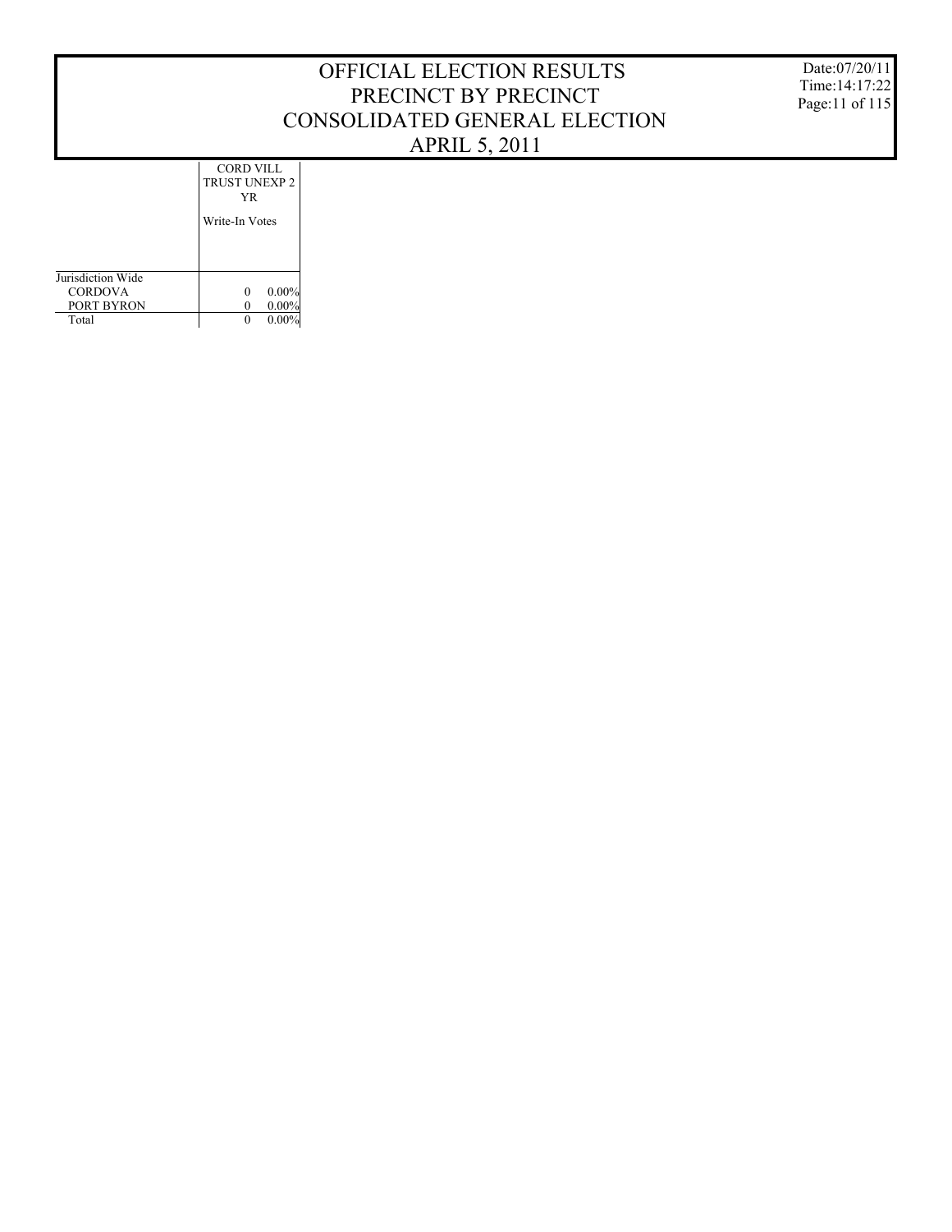Date:07/20/11 Time:14:17:22 Page:11 of 115

Write-In Votes CORD VILL TRUST UNEXP 2 YR

| Jurisdiction Wide |          |
|-------------------|----------|
| <b>CORDOVA</b>    | 0.00%    |
| PORT BYRON        | $0.00\%$ |
| Total             | 0.00%    |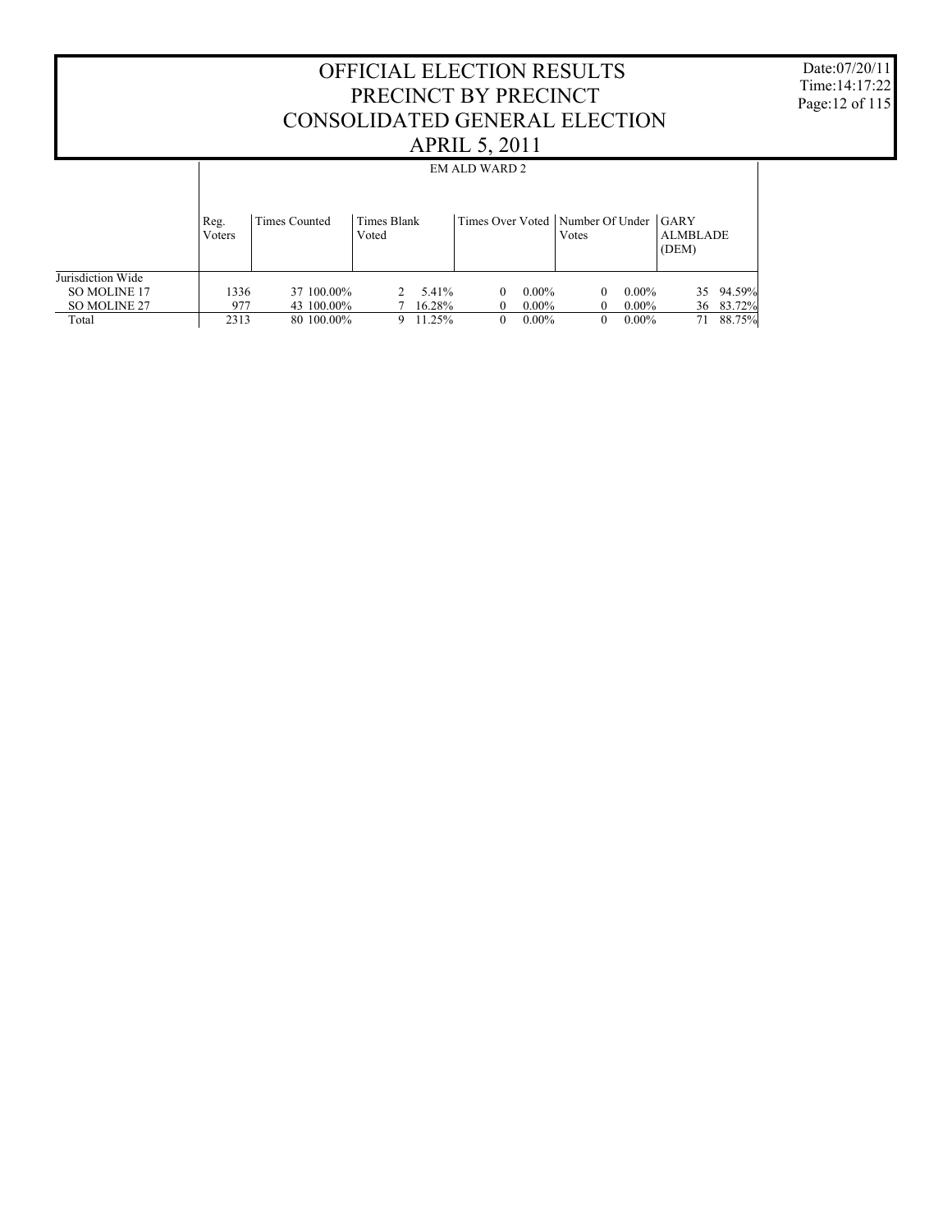Date:07/20/11 Time:14:17:22 Page:12 of 115

|                                                   |                | <b>EM ALD WARD 2</b>     |                      |               |                      |                                             |                           |  |  |  |  |  |
|---------------------------------------------------|----------------|--------------------------|----------------------|---------------|----------------------|---------------------------------------------|---------------------------|--|--|--|--|--|
|                                                   | Reg.<br>Voters | Times Counted            | Times Blank<br>Voted |               |                      | Times Over Voted   Number Of Under<br>Votes | GARY<br>ALMBLADE<br>(DEM) |  |  |  |  |  |
| Jurisdiction Wide<br>SO MOLINE 17<br>SO MOLINE 27 | 1336<br>977    | 37 100,00%<br>43 100.00% | 5.41%<br>16.28%      | $\theta$<br>0 | $0.00\%$<br>$0.00\%$ | $0.00\%$<br>0<br>$0.00\%$                   | 35 94.59%                 |  |  |  |  |  |
| Total                                             | 2313           | 80 100,00%               | 11.25%<br>9          | $\Omega$      | $0.00\%$             | $0.00\%$                                    | 36 83.72%<br>88.75%<br>71 |  |  |  |  |  |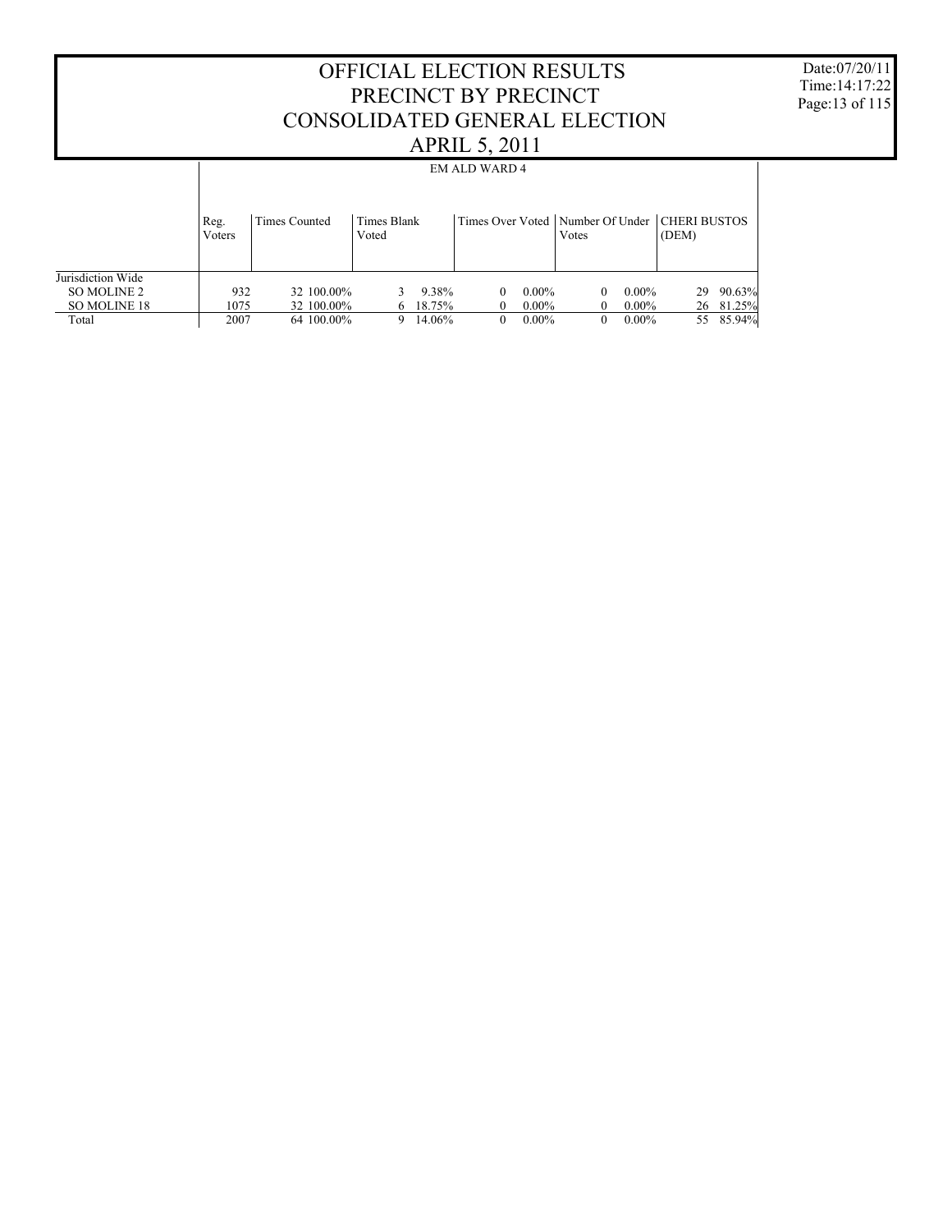Date:07/20/11 Time:14:17:22 Page:13 of 115

|                                  |                |               |                      | <b>EM ALD WARD 4</b> |                      |          |                                                            |
|----------------------------------|----------------|---------------|----------------------|----------------------|----------------------|----------|------------------------------------------------------------|
|                                  | Reg.<br>Voters | Times Counted | Times Blank<br>Voted |                      |                      | Votes    | Times Over Voted   Number Of Under   CHERI BUSTOS<br>(DEM) |
| Jurisdiction Wide<br>SO MOLINE 2 | 932            | 32 100,00%    |                      | 9.38%                | $0.00\%$<br>$\theta$ | $\Omega$ | 90.63%<br>$0.00\%$<br>29                                   |
| SO MOLINE 18                     | 1075           | 32 100.00%    | 6                    | 18.75%               | $0.00\%$<br>$\theta$ |          | $0.00\%$<br>26<br>81.25%                                   |
| Total                            | 2007           | 64 100,00%    | 9                    | 14.06%               | $0.00\%$<br>$\theta$ |          | 85.94%<br>$0.00\%$<br>55                                   |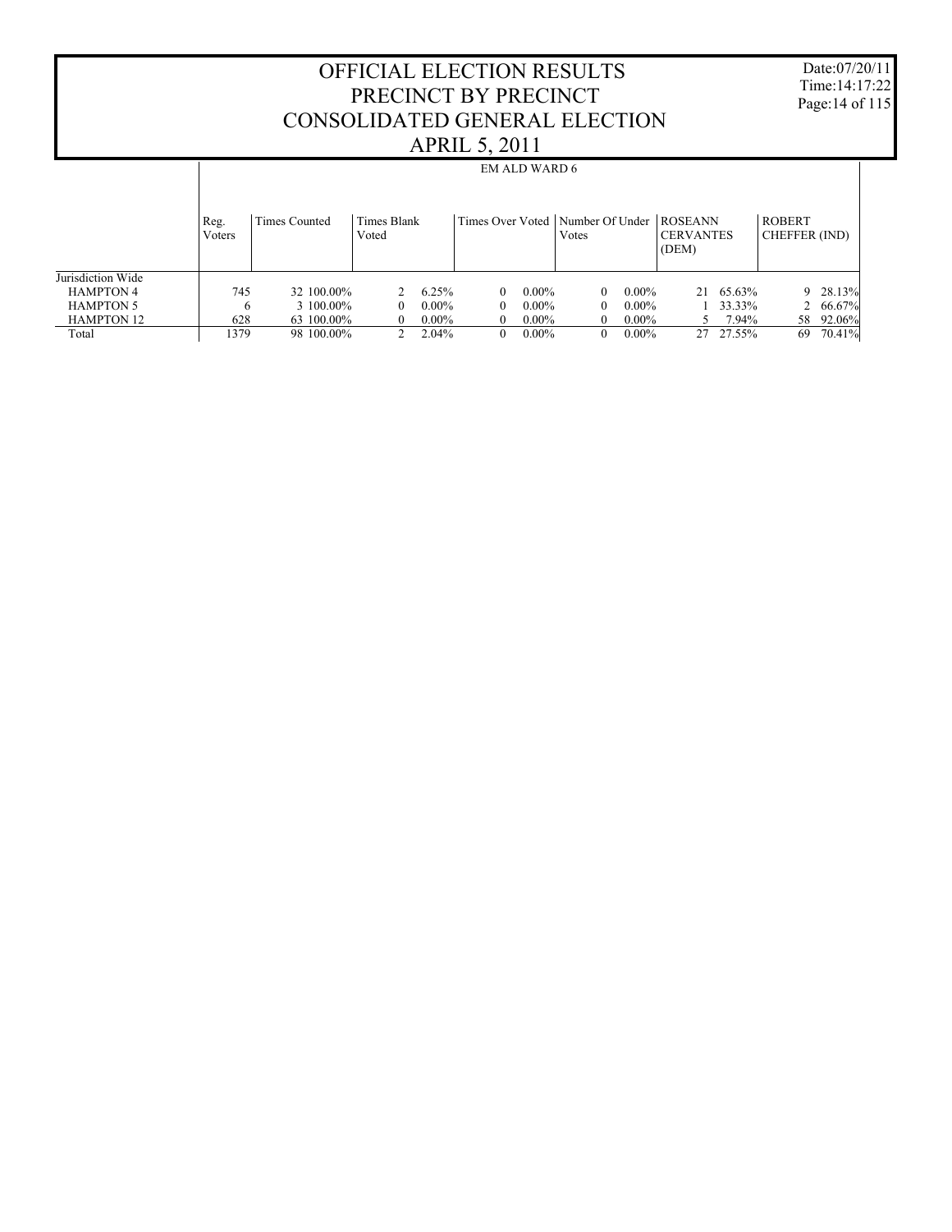Date:07/20/11 Time:14:17:22 Page:14 of 115

|                   |                |               |                             |          | $\overline{\phantom{a}}$ | <b>EM ALD WARD 6</b> |                                             |          |                                             |           |                                |             |
|-------------------|----------------|---------------|-----------------------------|----------|--------------------------|----------------------|---------------------------------------------|----------|---------------------------------------------|-----------|--------------------------------|-------------|
|                   | Reg.<br>Voters | Times Counted | <b>Times Blank</b><br>Voted |          |                          |                      | Times Over Voted   Number Of Under<br>Votes |          | <b>ROSEANN</b><br><b>CERVANTES</b><br>(DEM) |           | <b>ROBERT</b><br>CHEFFER (IND) |             |
| Jurisdiction Wide |                |               |                             |          |                          |                      |                                             |          |                                             |           |                                |             |
| <b>HAMPTON 4</b>  | 745            | 32 100.00%    |                             | 6.25%    | 0                        | $0.00\%$             | $\Omega$                                    | $0.00\%$ |                                             | 21 65.63% |                                | $9$ 28.13%  |
| <b>HAMPTON 5</b>  | 6              | 3 100,00%     | 0                           | $0.00\%$ | 0                        | $0.00\%$             | 0                                           | $0.00\%$ |                                             | 33.33%    |                                | 2 $66.67\%$ |
| <b>HAMPTON 12</b> | 628            | 63 100.00%    | $\Omega$                    | $0.00\%$ |                          | $0.00\%$             |                                             | $0.00\%$ | ৲.                                          | 7.94%     |                                | 58 92.06%   |
| Total             | 1379           | 98 100 00%    |                             | 2.04%    |                          | $0.00\%$             | 0                                           | $0.00\%$ |                                             | 27 27.55% | 69                             | 70.41%      |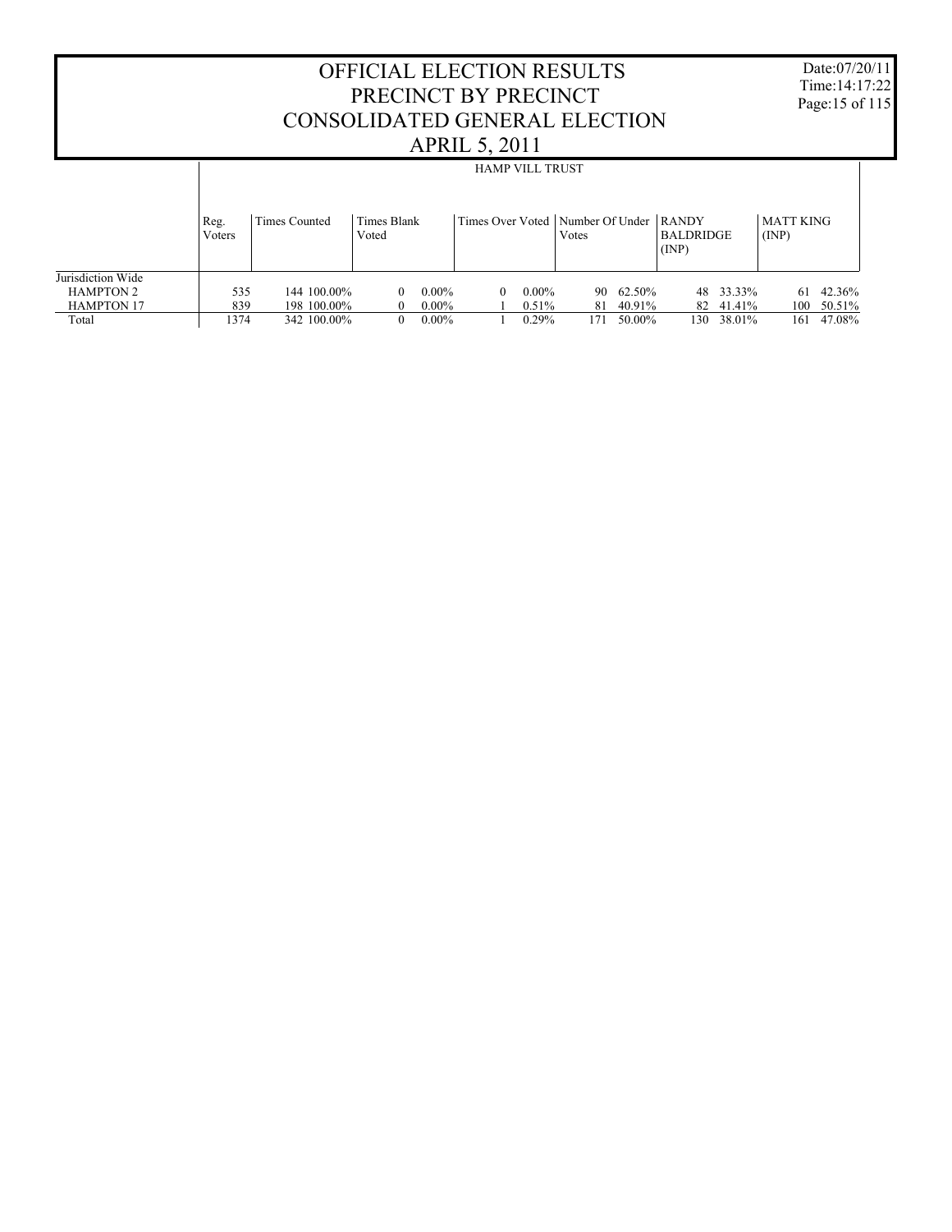OFFICIAL ELECTION RESULTS PRECINCT BY PRECINCT CONSOLIDATED GENERAL ELECTION APRIL 5, 2011 Date:07/20/11 Time:14:17:22 Page:15 of 115 Jurisdiction Wide HAMPTON 2 HAMPTON 17 Total Reg. Voters Times Counted | Times Blank Voted Times Over Voted | Number Of Under | RANDY Votes BALDRIDGE (INP) MATT KING (INP) HAMP VILL TRUST 535 144 100.00% 0 0.00% 0 0.00% 90 62.50% 48 33.33% 61 42.36% 839 198 100.00% 0 0.00% 1 0.51% 81 40.91% 82 41.41% 100 50.51% 1374 342 100.00% 0 0.00% 1 0.29% 171 50.00% 130 38.01% 161 47.08% 1374 342 100.00% 0 0.00% 1 0.29% 171 50.00% 130 38.01% 161 47.08%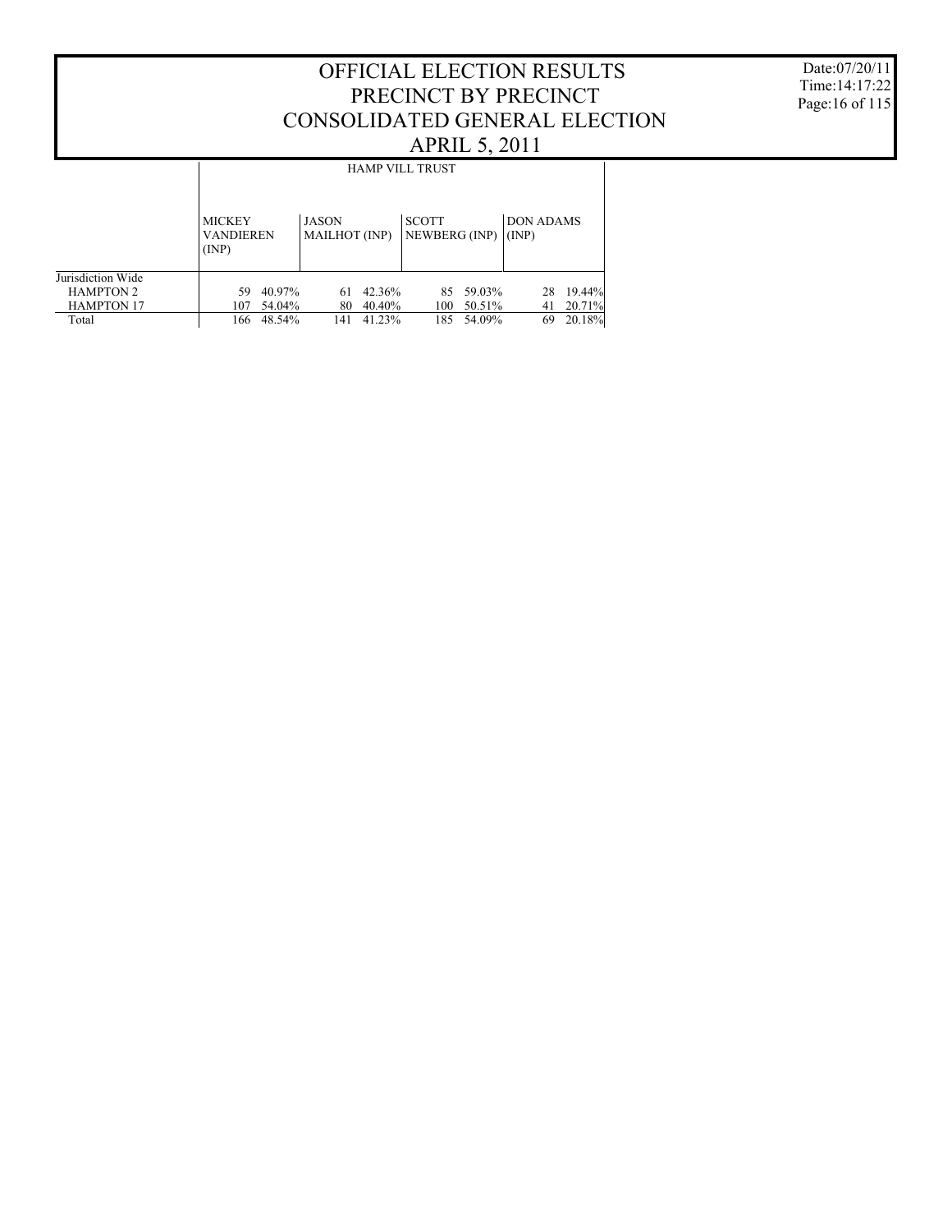Date:07/20/11 Time:14:17:22 Page:16 of 115

|                   |                                            |                                      | <b>HAMP VILL TRUST</b>        |                           |
|-------------------|--------------------------------------------|--------------------------------------|-------------------------------|---------------------------|
|                   | <b>MICKEY</b><br><b>VANDIEREN</b><br>(INP) | <b>JASON</b><br><b>MAILHOT</b> (INP) | <b>SCOTT</b><br>NEWBERG (INP) | <b>DON ADAMS</b><br>(INP) |
| Jurisdiction Wide |                                            |                                      |                               |                           |
| <b>HAMPTON 2</b>  | 40.97%                                     | 42.36%                               | 59.03%                        | 19.44%                    |
|                   | 59                                         | 61                                   | 85.                           | 28                        |
| <b>HAMPTON 17</b> | 54.04%                                     | 80                                   | 50.51%                        | 20.71%                    |
|                   | 107                                        | 40.40%                               | 100                           | 41                        |
| Total             | 48.54%                                     | 41.23%                               | 185                           | 20.18%                    |
|                   | 166                                        | 141                                  | 54.09%                        | 69                        |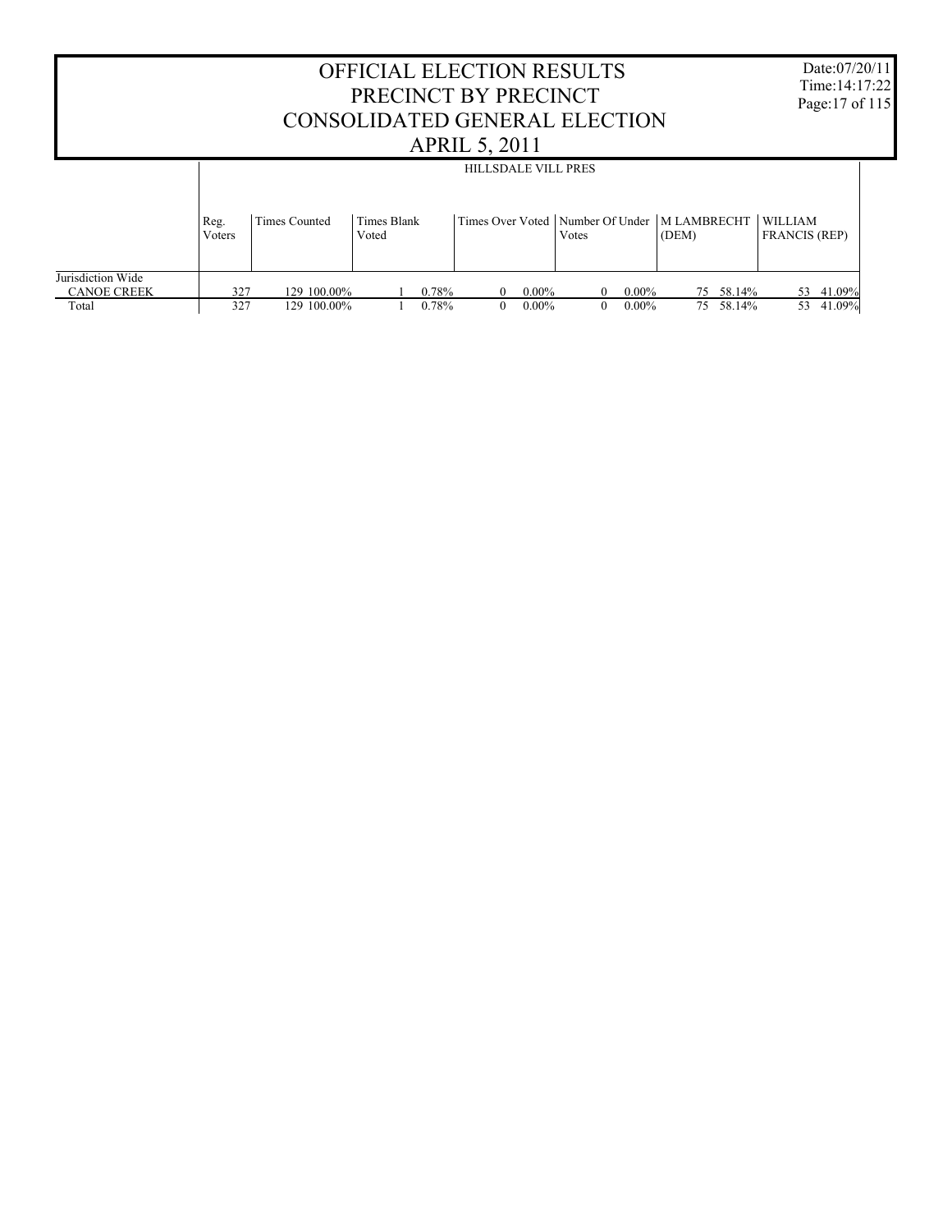| <b>OFFICIAL ELECTION RESULTS</b><br>PRECINCT BY PRECINCT<br>CONSOLIDATED GENERAL ELECTION |                                                                                                                                                                                                      |             |  |       |                |          |              |          |  |           |  |           |
|-------------------------------------------------------------------------------------------|------------------------------------------------------------------------------------------------------------------------------------------------------------------------------------------------------|-------------|--|-------|----------------|----------|--------------|----------|--|-----------|--|-----------|
| <b>APRIL 5, 2011</b>                                                                      |                                                                                                                                                                                                      |             |  |       |                |          |              |          |  |           |  |           |
|                                                                                           |                                                                                                                                                                                                      |             |  |       |                |          |              |          |  |           |  |           |
|                                                                                           | <b>HILLSDALE VILL PRES</b><br>Times Over Voted   Number Of Under   M LAMBRECHT   WILLIAM<br>Times Blank<br><b>Times Counted</b><br>Reg.<br><b>FRANCIS (REP)</b><br>Voted<br>(DEM)<br>Voters<br>Votes |             |  |       |                |          |              |          |  |           |  |           |
| Jurisdiction Wide<br><b>CANOE CREEK</b>                                                   | 327                                                                                                                                                                                                  | 129 100.00% |  | 0.78% | 0              | $0.00\%$ | 0            | $0.00\%$ |  | 75 58.14% |  | 53 41.09% |
| Total                                                                                     | 327                                                                                                                                                                                                  | 129 100.00% |  | 0.78% | $\overline{0}$ | $0.00\%$ | $\mathbf{0}$ | $0.00\%$ |  | 75 58.14% |  | 53 41.09% |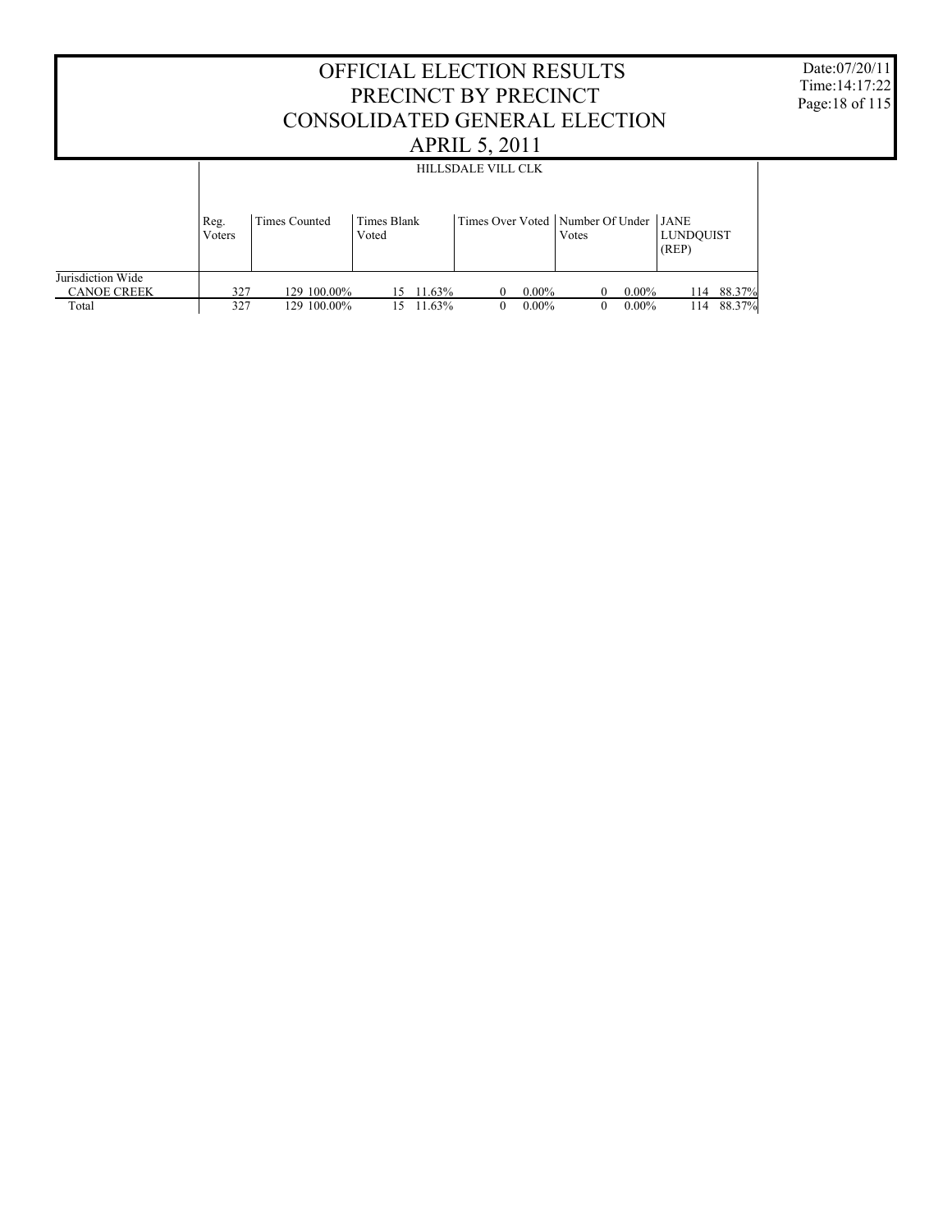|                                         |                           | Date:07/20/11<br>Time: 14:17:22<br>Page: 18 of 115 |            |        |          |          |          |          |     |        |  |
|-----------------------------------------|---------------------------|----------------------------------------------------|------------|--------|----------|----------|----------|----------|-----|--------|--|
|                                         | <b>HILLSDALE VILL CLK</b> |                                                    |            |        |          |          |          |          |     |        |  |
|                                         |                           |                                                    |            |        |          |          |          |          |     |        |  |
| Jurisdiction Wide<br><b>CANOE CREEK</b> | 327                       | 129 100.00%                                        | 114 88.37% |        |          |          |          |          |     |        |  |
| Total                                   | 327                       | 129 100.00%                                        | 15         | 11.63% | $\theta$ | $0.00\%$ | $\Omega$ | $0.00\%$ | 114 | 88.37% |  |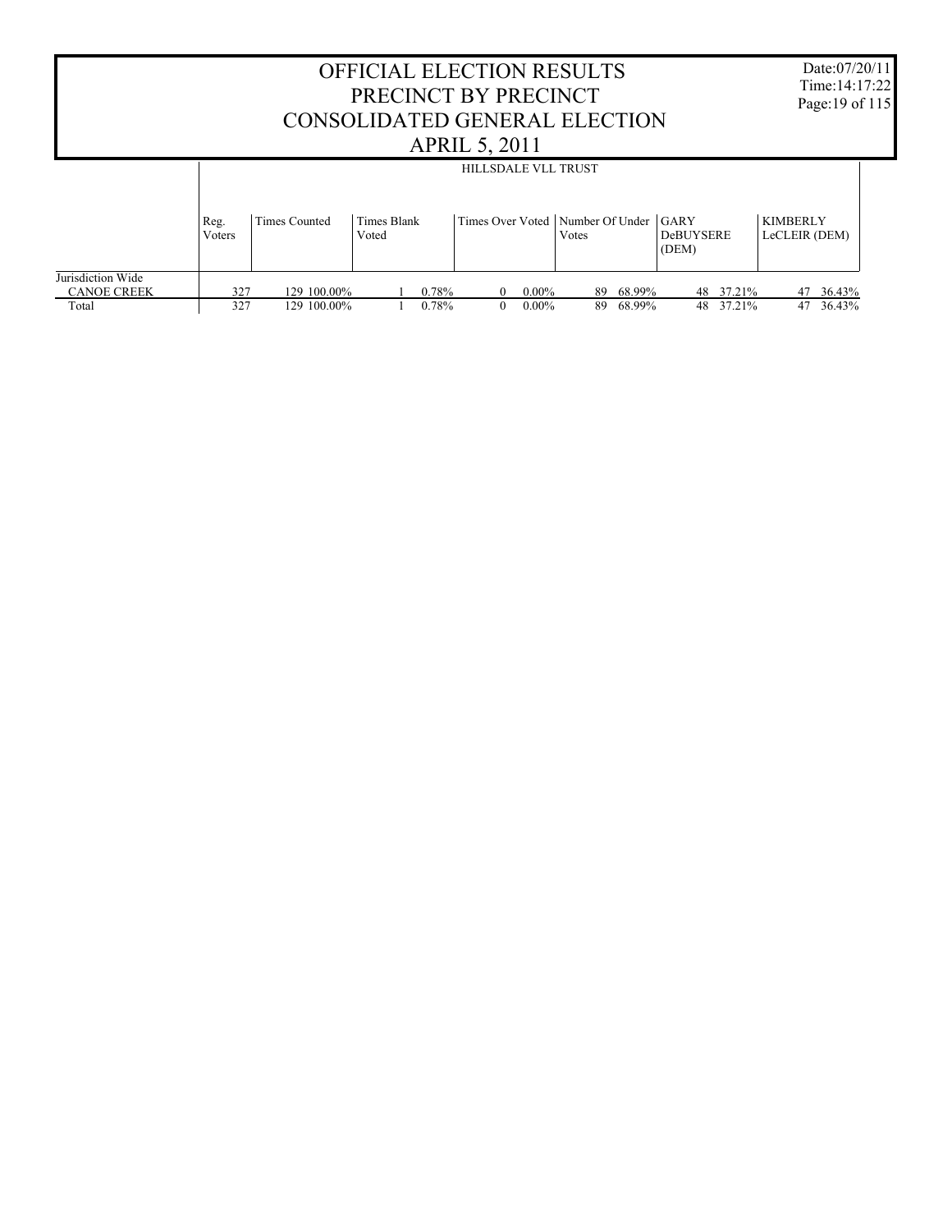| <b>OFFICIAL ELECTION RESULTS</b><br>PRECINCT BY PRECINCT<br>CONSOLIDATED GENERAL ELECTION |                |                                                                                                                                                                                     |  |       |                      |          |    |        |  |           |  | Date:07/20/11<br>Time: $14:17:22$<br>Page: 19 of 115 |  |  |
|-------------------------------------------------------------------------------------------|----------------|-------------------------------------------------------------------------------------------------------------------------------------------------------------------------------------|--|-------|----------------------|----------|----|--------|--|-----------|--|------------------------------------------------------|--|--|
|                                                                                           |                |                                                                                                                                                                                     |  |       | <b>APRIL 5, 2011</b> |          |    |        |  |           |  |                                                      |  |  |
|                                                                                           |                |                                                                                                                                                                                     |  |       |                      |          |    |        |  |           |  |                                                      |  |  |
|                                                                                           | Reg.<br>Voters | HILLSDALE VLL TRUST<br>Times Over Voted   Number Of Under   GARY<br>Times Blank<br><b>KIMBERLY</b><br>Times Counted<br>LeCLEIR (DEM)<br><b>DeBUYSERE</b><br>Voted<br>Votes<br>(DEM) |  |       |                      |          |    |        |  |           |  |                                                      |  |  |
| Jurisdiction Wide<br><b>CANOE CREEK</b>                                                   | 327            | 129 100.00%                                                                                                                                                                         |  | 0.78% | $\theta$             | $0.00\%$ | 89 | 68.99% |  | 48 37.21% |  | 47 36.43%                                            |  |  |
| Total                                                                                     | 327            | 48 37.21%<br>129 100.00%<br>0.78%<br>47 36.43%<br>$0.00\%$<br>68.99%<br>$\overline{0}$<br>89                                                                                        |  |       |                      |          |    |        |  |           |  |                                                      |  |  |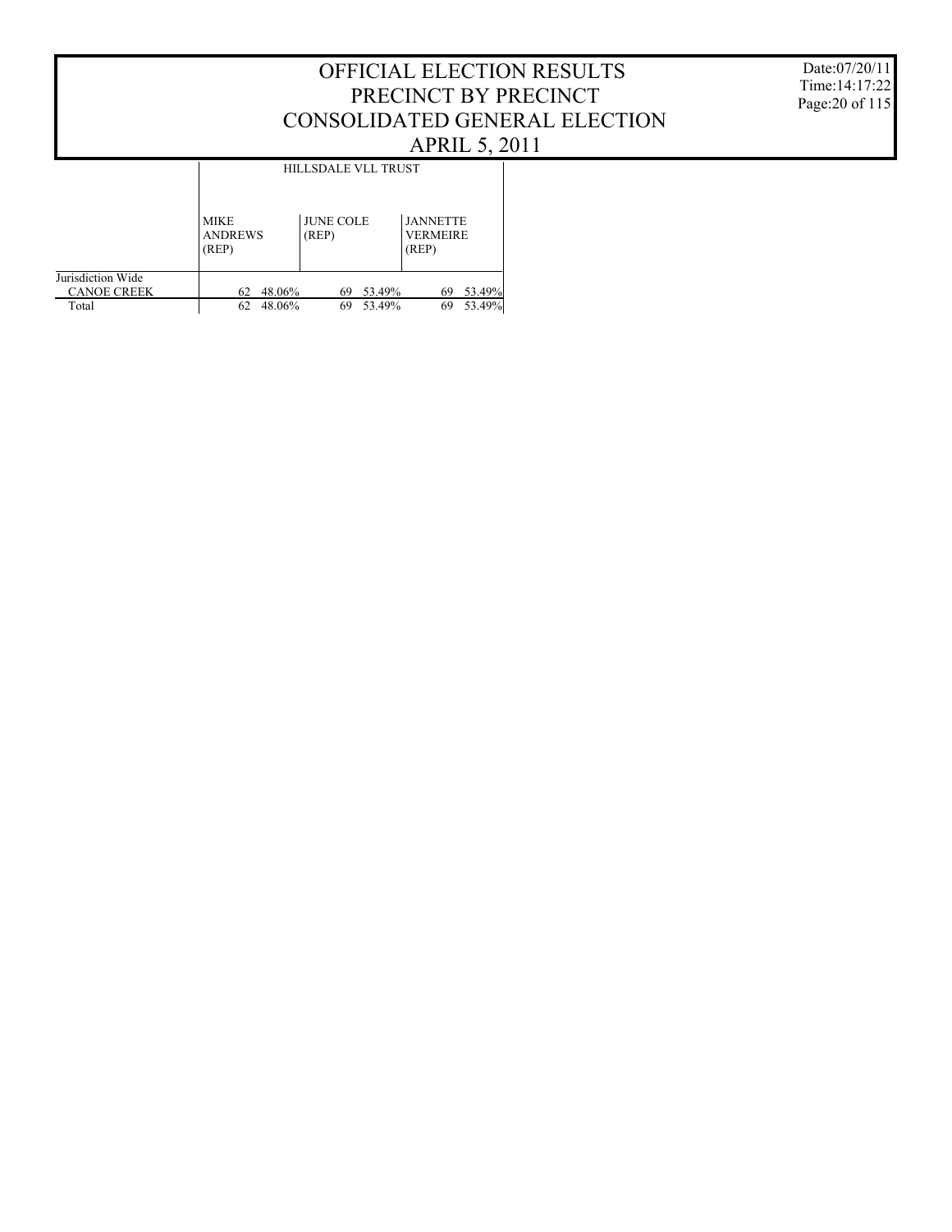Date:07/20/11 Time:14:17:22 Page:20 of 115

|                    |                                        | <b>HILLSDALE VLL TRUST</b> |                                             |  |  |
|--------------------|----------------------------------------|----------------------------|---------------------------------------------|--|--|
|                    | <b>MIKE</b><br><b>ANDREWS</b><br>(REP) | <b>JUNE COLE</b><br>(REP)  | <b>JANNETTE</b><br><b>VERMEIRE</b><br>(REP) |  |  |
| Jurisdiction Wide  | 48.06%                                 | 53.49%                     | 53.49%                                      |  |  |
| <b>CANOE CREEK</b> | 62                                     | 69                         | 69                                          |  |  |
| Total              | 48.06%                                 | 53.49%                     | 53.49%                                      |  |  |
|                    | 62                                     | 69                         | 69                                          |  |  |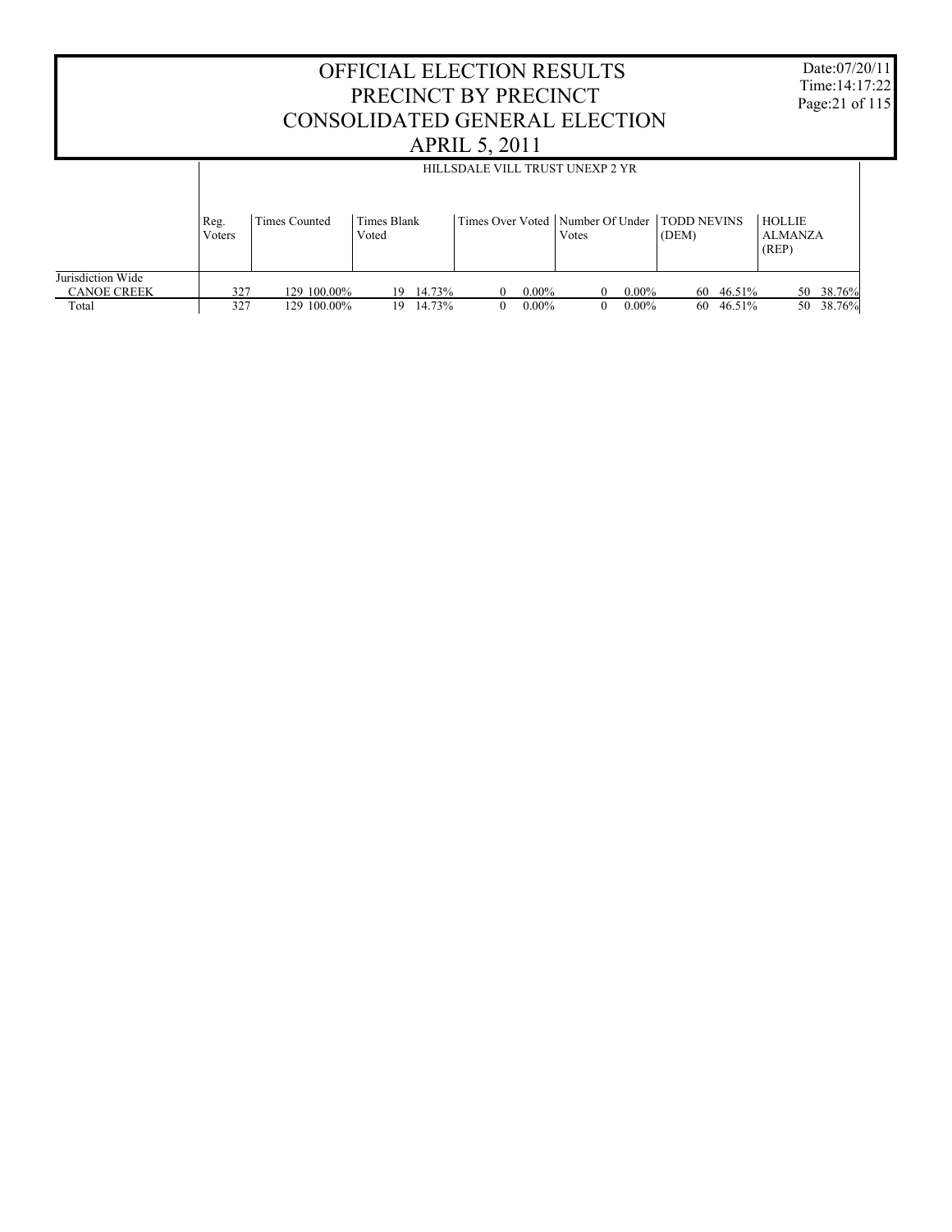|                                         | <b>OFFICIAL ELECTION RESULTS</b><br>PRECINCT BY PRECINCT<br>CONSOLIDATED GENERAL ELECTION<br><b>APRIL 5, 2011</b>                                                          |                                                                                                                |  |           |  |          |                                 |          |  |           |  |           |  |
|-----------------------------------------|----------------------------------------------------------------------------------------------------------------------------------------------------------------------------|----------------------------------------------------------------------------------------------------------------|--|-----------|--|----------|---------------------------------|----------|--|-----------|--|-----------|--|
|                                         |                                                                                                                                                                            |                                                                                                                |  |           |  |          | HILLSDALE VILL TRUST UNEXP 2 YR |          |  |           |  |           |  |
|                                         | Times Over Voted   Number Of Under   TODD NEVINS<br><b>HOLLIE</b><br>Times Blank<br>Times Counted<br>Reg.<br>ALMANZA<br>(DEM)<br><b>V</b> oters<br>Voted<br>Votes<br>(REP) |                                                                                                                |  |           |  |          |                                 |          |  |           |  |           |  |
| Jurisdiction Wide<br><b>CANOE CREEK</b> | 327                                                                                                                                                                        | 129 100.00%                                                                                                    |  | 19 14.73% |  | $0.00\%$ | 0                               | $0.00\%$ |  | 60 46.51% |  | 50 38.76% |  |
| Total                                   | 327                                                                                                                                                                        | 50 38.76%<br>129 100.00%<br>19 14.73%<br>$0.00\%$<br>60 46.51%<br>$\overline{0}$<br>$0.00\%$<br>$\overline{0}$ |  |           |  |          |                                 |          |  |           |  |           |  |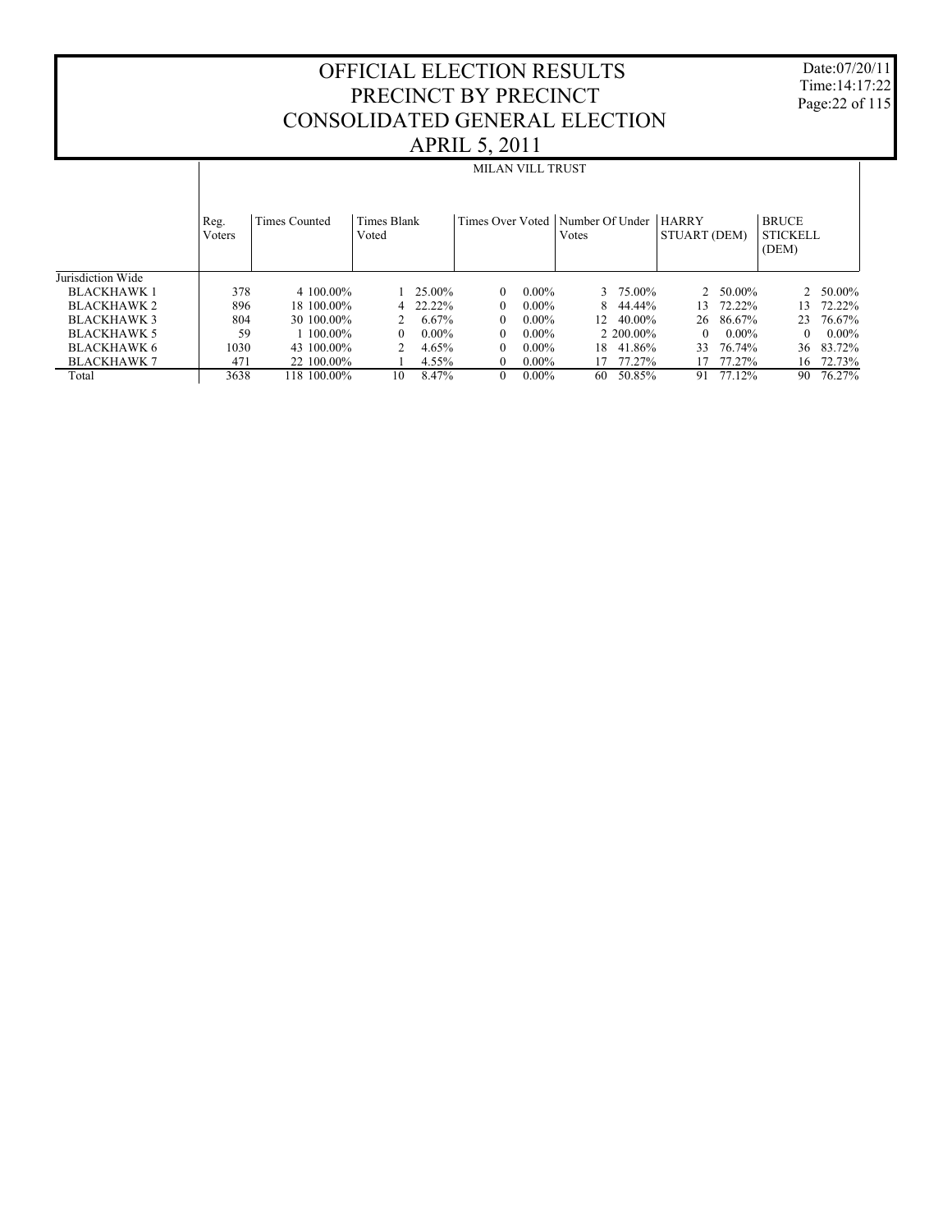Date:07/20/11 Time:14:17:22 Page:22 of 115

|                    |                | <b>MILAN VILL TRUST</b> |                      |          |                                    |          |                  |              |                              |          |                                          |                  |  |  |
|--------------------|----------------|-------------------------|----------------------|----------|------------------------------------|----------|------------------|--------------|------------------------------|----------|------------------------------------------|------------------|--|--|
|                    | Reg.<br>Voters | <b>Times Counted</b>    | Times Blank<br>Voted |          | Times Over Voted   Number Of Under |          | Votes            |              | <b>HARRY</b><br>STUART (DEM) |          | <b>BRUCE</b><br><b>STICKELL</b><br>(DEM) |                  |  |  |
| Jurisdiction Wide  |                |                         |                      |          |                                    |          |                  |              |                              |          |                                          |                  |  |  |
| <b>BLACKHAWK1</b>  | 378            | 4 100.00%               |                      | 25.00%   | $\theta$                           | $0.00\%$ |                  | $3, 75.00\%$ | $\mathfrak{D}$               | 50.00%   |                                          | $2\quad 50.00\%$ |  |  |
| <b>BLACKHAWK 2</b> | 896            | 18 100.00%              |                      | 22.22%   | $\Omega$                           | $0.00\%$ | 8                | 44.44%       | 13.                          | 72.22%   | 13                                       | 72.22%           |  |  |
| <b>BLACKHAWK3</b>  | 804            | 30 100 00%              |                      | 6.67%    | $\Omega$                           | $0.00\%$ | 12 <sup>12</sup> | 40.00%       | 26                           | 86.67%   | 23                                       | 76.67%           |  |  |
| <b>BLACKHAWK 5</b> | 59             | $1.100.00\%$            | $\theta$             | $0.00\%$ | $\Omega$                           | $0.00\%$ |                  | 2 200,00%    | $\theta$                     | $0.00\%$ | $\Omega$                                 | $0.00\%$         |  |  |
| <b>BLACKHAWK 6</b> | 1030           | 43 100,00%              |                      | 4.65%    | $\Omega$                           | $0.00\%$ | 18.              | 41.86%       | 33                           | 76.74%   | 36                                       | 83.72%           |  |  |
| <b>BLACKHAWK 7</b> | 471            | 22 100,00%              |                      | 4.55%    | $\theta$                           | $0.00\%$ | 17               | 77.27%       |                              | 77.27%   | 16                                       | 72.73%           |  |  |
| Total              | 3638           | 118 100.00%             | 10                   | 8.47%    | $\Omega$                           | $0.00\%$ | 60               | 50.85%       | 91                           | 77.12%   | 90                                       | 76.27%           |  |  |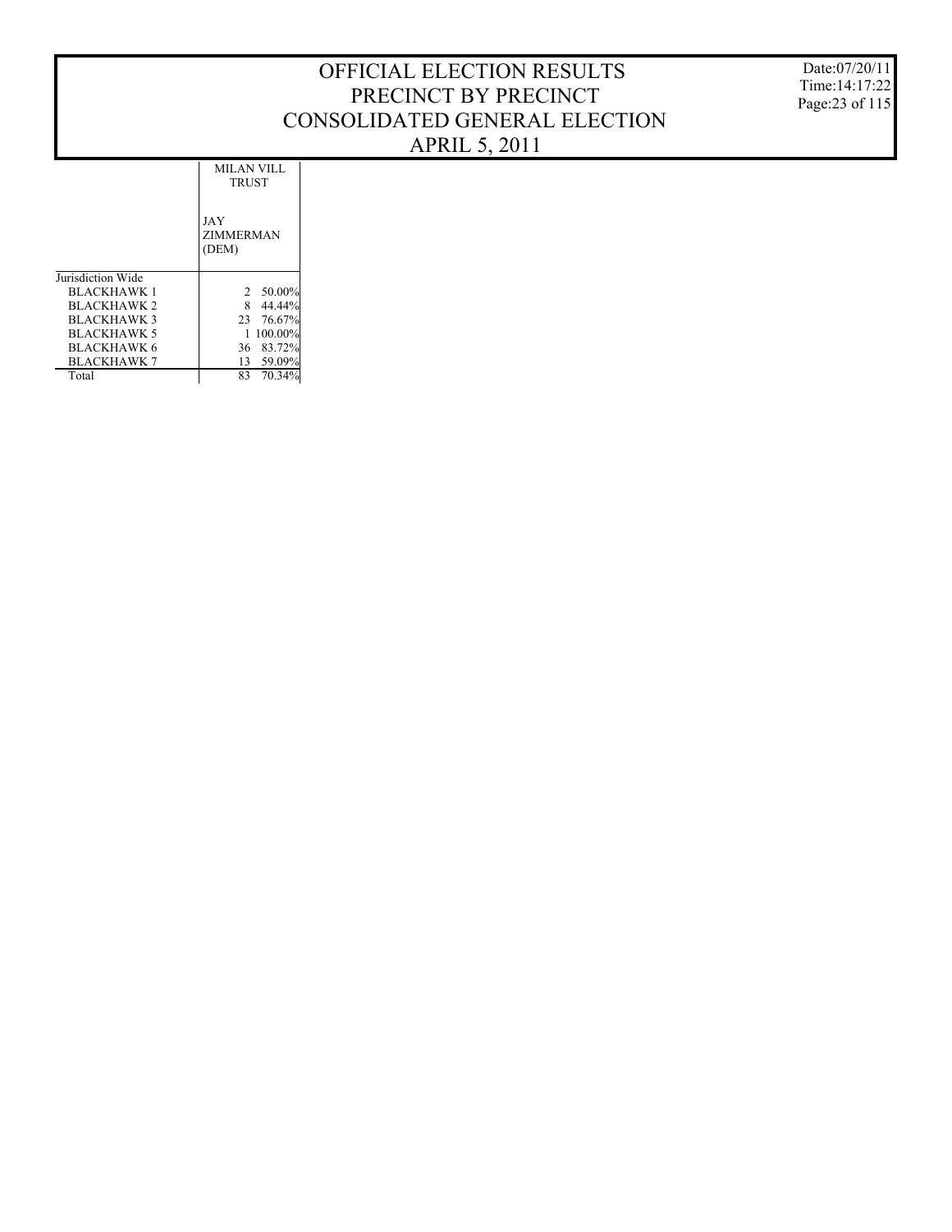Date:07/20/11 Time:14:17:22 Page:23 of 115

|                    | MILAN VILL<br><b>TRUST</b> |
|--------------------|----------------------------|
|                    | JAY<br>ZIMMERMAN<br>(DEM)  |
| Jurisdiction Wide  |                            |
| <b>BLACKHAWK 1</b> | 50.00%<br>2                |
| <b>BLACKHAWK 2</b> | 8<br>44.44%                |
| <b>BLACKHAWK3</b>  | 23 76.67%                  |
| <b>BLACKHAWK 5</b> | 100.00%                    |
| <b>BLACKHAWK 6</b> | 83.72%<br>36               |
| <b>BLACKHAWK 7</b> | 59.09%<br>13               |
| Total              | 83<br>70.34%               |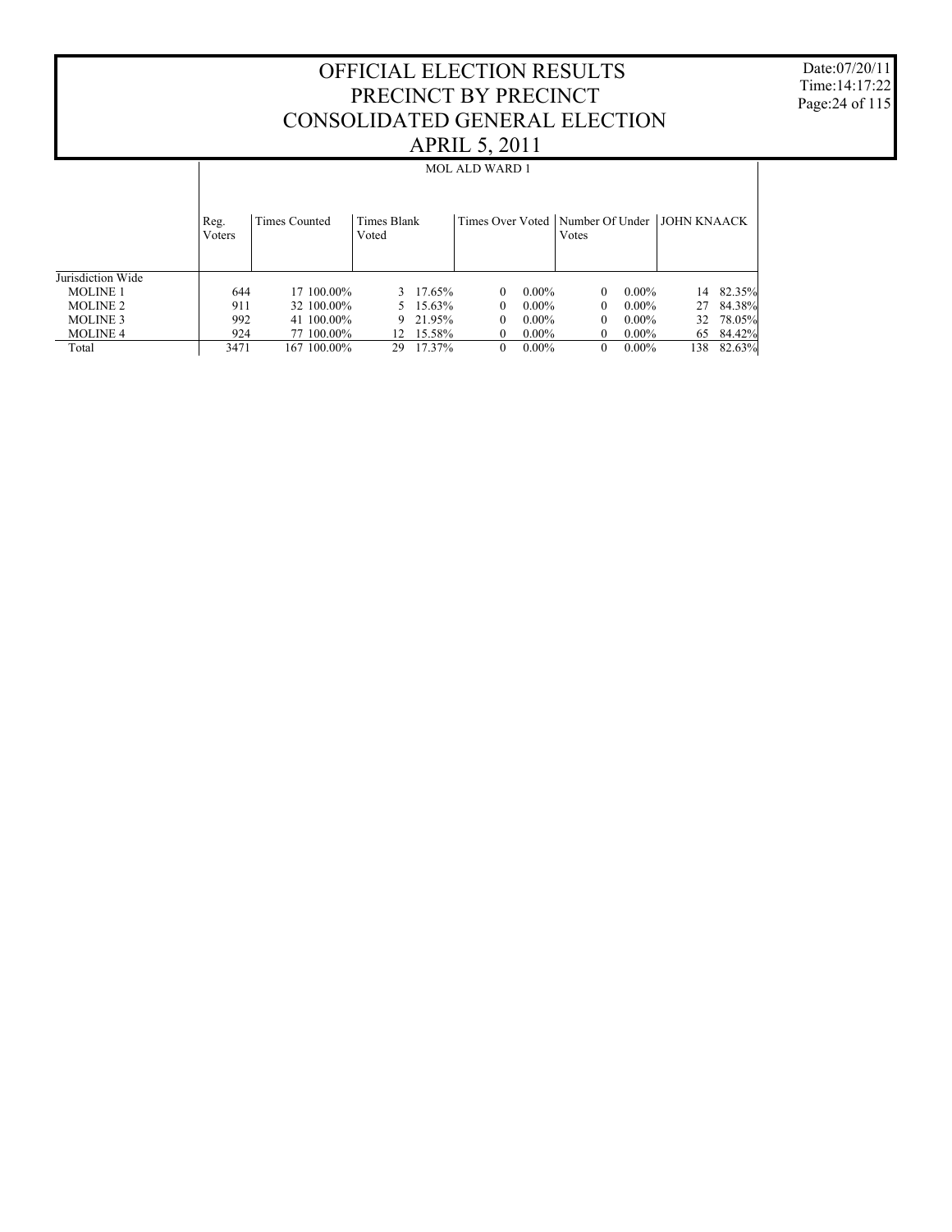Date:07/20/11 Time:14:17:22 Page:24 of 115

|                   |                | <b>MOL ALD WARD 1</b> |                      |          |                                                  |          |          |          |     |        |  |  |  |
|-------------------|----------------|-----------------------|----------------------|----------|--------------------------------------------------|----------|----------|----------|-----|--------|--|--|--|
|                   | Reg.<br>Voters | Times Counted         | Times Blank<br>Voted |          | Times Over Voted   Number Of Under   JOHN KNAACK |          | Votes    |          |     |        |  |  |  |
| Jurisdiction Wide |                |                       |                      |          |                                                  |          |          |          |     |        |  |  |  |
| <b>MOLINE 1</b>   | 644            | 17 100 00%            |                      | 3 17.65% | $\Omega$                                         | $0.00\%$ | $\theta$ | $0.00\%$ | 14  | 82.35% |  |  |  |
| <b>MOLINE 2</b>   | 911            | 32 100 00%            |                      | 5 15.63% | 0                                                | $0.00\%$ | $\Omega$ | $0.00\%$ | 27  | 84.38% |  |  |  |
| <b>MOLINE 3</b>   | 992            | 41 100 00%            | 9                    | 21.95%   | 0                                                | $0.00\%$ | $\Omega$ | $0.00\%$ | 32  | 78.05% |  |  |  |
| <b>MOLINE 4</b>   | 924            | 77 100,00%            | 12.                  | 15.58%   | 0                                                | $0.00\%$ | $\theta$ | $0.00\%$ | 65  | 84.42% |  |  |  |
| Total             | 3471           | 167 100.00%           | 29                   | 17.37%   | 0                                                | $0.00\%$ | $\Omega$ | $0.00\%$ | 138 | 82.63% |  |  |  |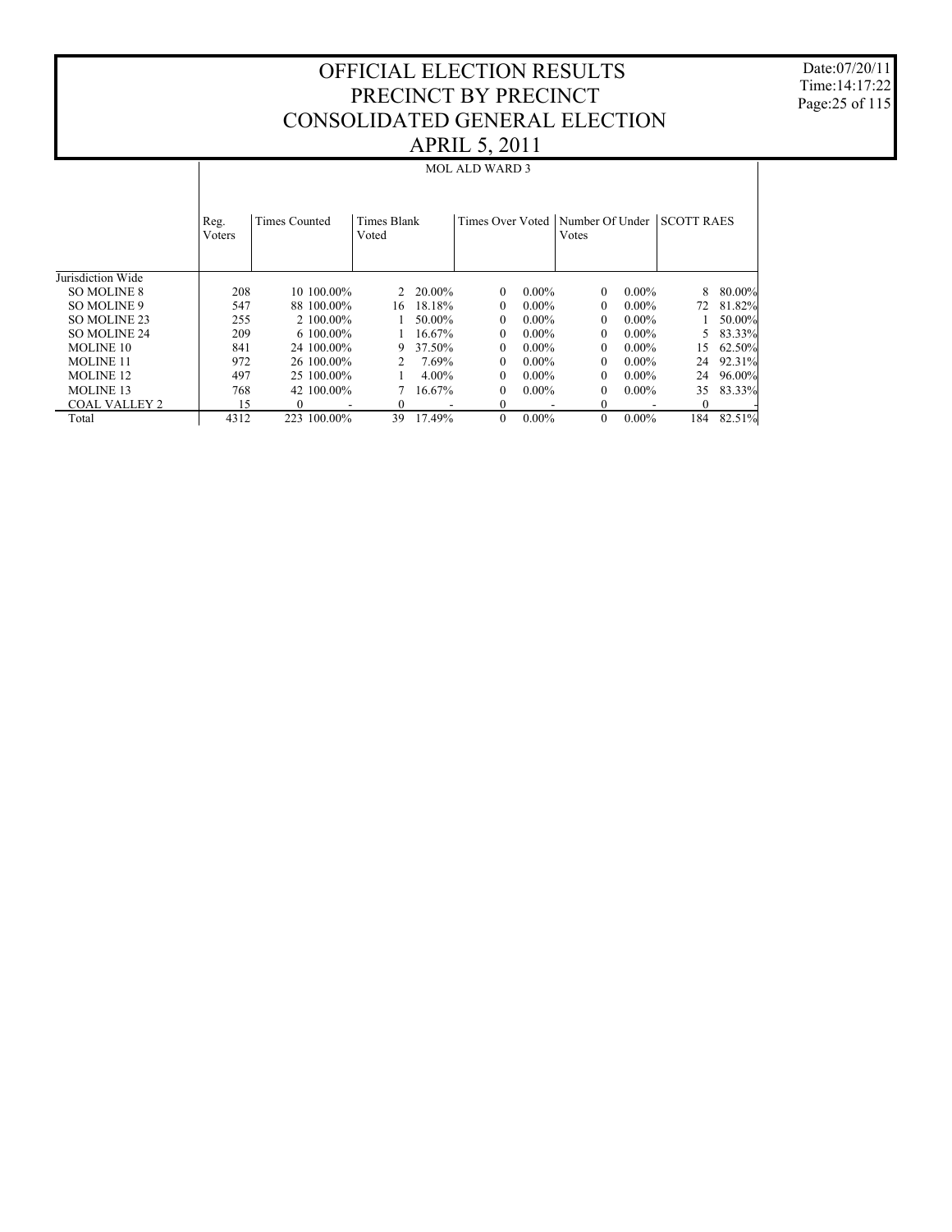Date:07/20/11 Time:14:17:22 Page:25 of 115

#### Jurisdiction Wide SO MOLINE 8 SO MOLINE 9 SO MOLINE 23 SO MOLINE 24 MOLINE 10 MOLINE 11 MOLINE 12 MOLINE 13 COAL VALLEY 2 Total Reg. Voters Times Counted | Times Blank Voted Times Over Voted | Number Of Under | SCOTT RAES Votes MOL ALD WARD 3  $\begin{array}{ccccccccccc} 208 && 10& 100.00\% && 2& 20.00\% && 0& 0.00\% && 0& 0.00\% && 8& 80.00\% \end{array}$ 547 88 100.00% 16 18.18% 0 0.00% 0 0.00% 72 81.82% 255 2 100.00% 1 50.00% 0 0.00% 0 0.00% 1 50.00% 209 6 100.00% 1 16.67% 0 0.00% 0 0.00% 5 83.33% 841 24 100.00% 9 37.50% 0 0.00% 0 0.00% 15 62.50%  $\begin{array}{cccccccc} 972 & \quad & 26\,\, 100.00\% & \quad & 2 & \,\, 7.69\% & \quad & 0 & \,\, 0.00\% & \quad & 0 & \,\, 0.00\% \\ 497 & \quad & 25\,\, 100.00\% & \quad & 1 & \,\, 4.00\% & \quad & 0 & \,\, 0.00\% & \quad & 0 & \,\, 0.00\% \end{array}$  $\begin{array}{cccccccc} 497 & \quad 25 \ 100.00\% & \quad & 1 & 4.00\% & \quad & 0 & 0.00\% & \quad & 0 & 0.00\% & \quad & 24 \ 96.00\% & \quad & 42 \ 100.00\% & \quad & 7 \ 16.67\% & \quad & 0 & 0.00\% & \quad & 0 & 0.00\% & \quad & 35 \ 83.33\% & \quad & 0 & 0.00\% & \quad & 0 & 0.00\% & \quad & 0 & 0.00\% & \quad & 0 & 0.00\% & \$ 35 83.33% 15 0 - 0 - 0 - 0 - 0 - 0 4312 223 100.00% 39 17.49% 0 0.00% 0 0.00% 184 82.51%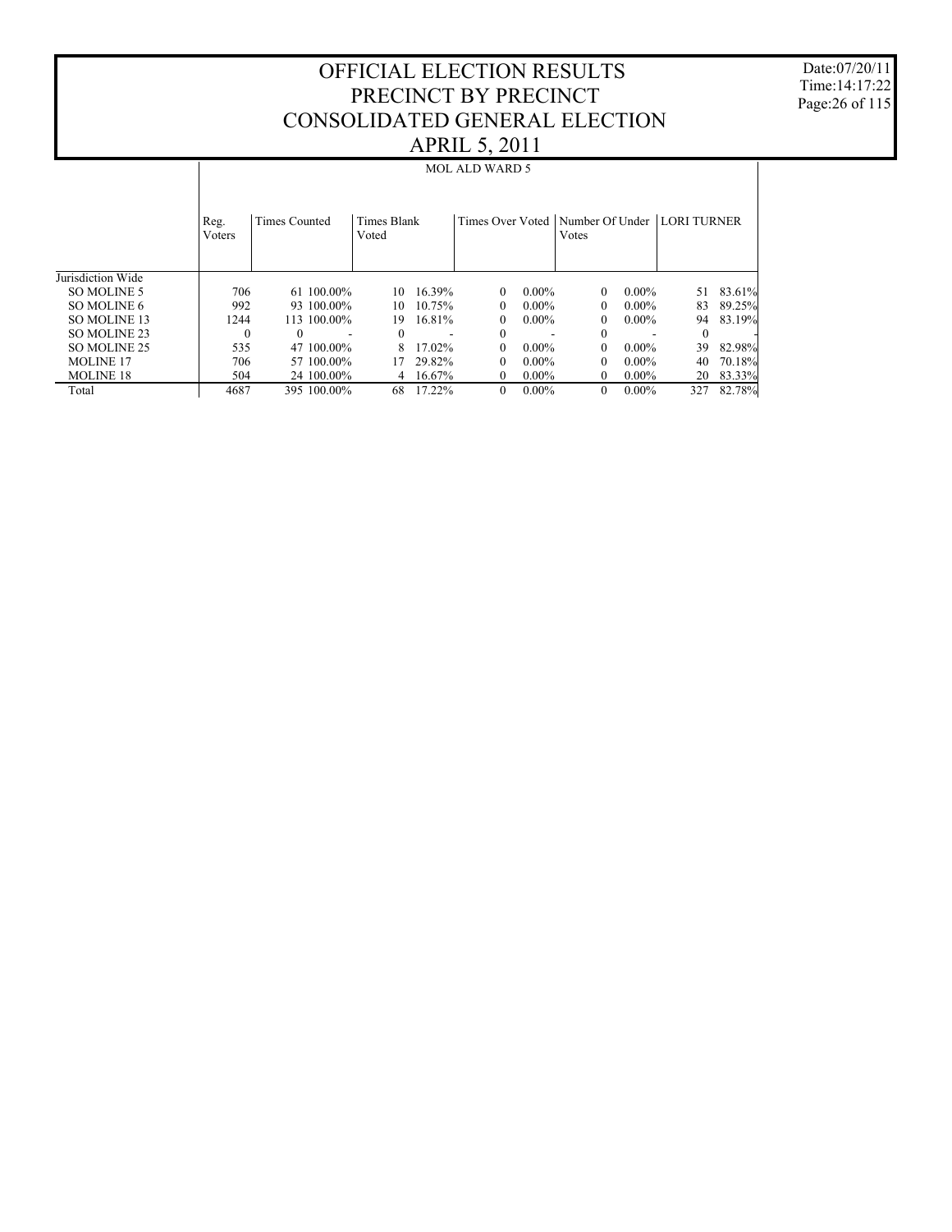Date:07/20/11 Time:14:17:22 Page:26 of 115

|                   |                | <b>MOL ALD WARD 5</b> |                      |        |                  |          |                          |          |               |        |  |  |  |
|-------------------|----------------|-----------------------|----------------------|--------|------------------|----------|--------------------------|----------|---------------|--------|--|--|--|
|                   | Reg.<br>Voters | <b>Times Counted</b>  | Times Blank<br>Voted |        | Times Over Voted |          | Number Of Under<br>Votes |          | I LORI TURNER |        |  |  |  |
| Jurisdiction Wide |                |                       |                      |        |                  |          |                          |          |               |        |  |  |  |
| SO MOLINE 5       | 706            | $61100.00\%$          | 10                   | 16.39% | 0                | $0.00\%$ | $\Omega$                 | $0.00\%$ | 51            | 83.61% |  |  |  |
| SO MOLINE 6       | 992            | 93 100,00%            | 10                   | 10.75% | 0                | $0.00\%$ | $\theta$                 | $0.00\%$ | 83            | 89.25% |  |  |  |
| SO MOLINE 13      | 1244           | 113 100.00%           | 19                   | 16.81% | $\Omega$         | $0.00\%$ | $\Omega$                 | $0.00\%$ | 94            | 83.19% |  |  |  |
| SO MOLINE 23      | $\Omega$       | $\Omega$              | $\Omega$             |        | 0                |          | $\Omega$                 |          | $\theta$      |        |  |  |  |
| SO MOLINE 25      | 535            | 47 100,00%            | 8                    | 17.02% | 0                | $0.00\%$ |                          | $0.00\%$ | 39            | 82.98% |  |  |  |
| <b>MOLINE 17</b>  | 706            | 57 100,00%            | 17                   | 29.82% | 0                | $0.00\%$ |                          | $0.00\%$ | 40            | 70.18% |  |  |  |
| <b>MOLINE 18</b>  | 504            | 24 100,00%            | 4                    | 16.67% | 0                | $0.00\%$ | 0                        | $0.00\%$ | 20            | 83.33% |  |  |  |
| Total             | 4687           | 395 100.00%           | 68                   | 17.22% | $\mathbf{0}$     | $0.00\%$ | $\Omega$                 | $0.00\%$ | 327           | 82.78% |  |  |  |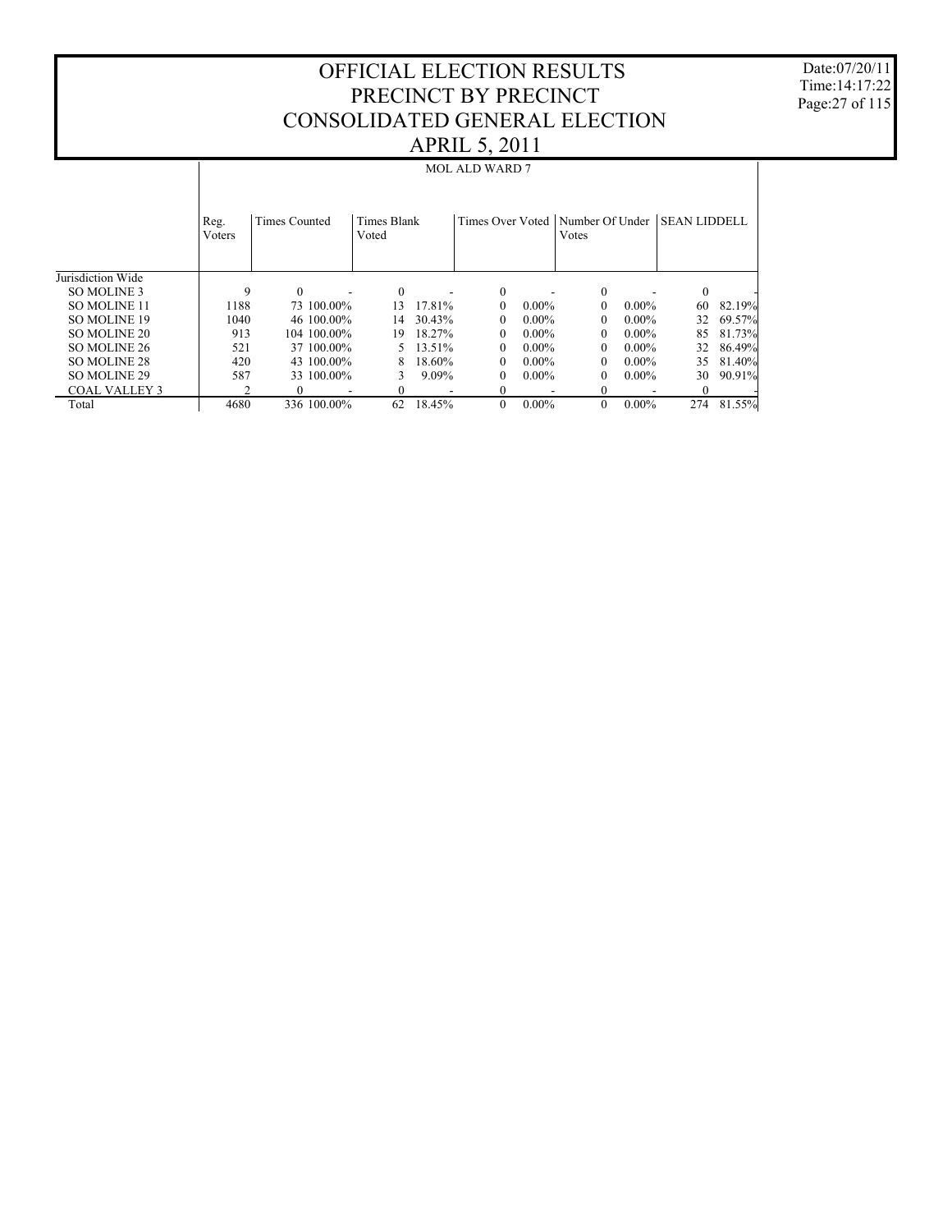Date:07/20/11 Time:14:17:22 Page:27 of 115

|                      |                | <b>MOL ALD WARD 7</b> |                      |        |              |          |                                             |          |                     |        |  |  |  |
|----------------------|----------------|-----------------------|----------------------|--------|--------------|----------|---------------------------------------------|----------|---------------------|--------|--|--|--|
|                      | Reg.<br>Voters | Times Counted         | Times Blank<br>Voted |        |              |          | Times Over Voted   Number Of Under<br>Votes |          | <b>SEAN LIDDELL</b> |        |  |  |  |
| Jurisdiction Wide    |                |                       |                      |        |              |          |                                             |          |                     |        |  |  |  |
| SO MOLINE 3          | 9              | $\Omega$              | $\Omega$             |        | $\Omega$     |          | $\Omega$                                    |          | $\Omega$            |        |  |  |  |
| SO MOLINE 11         | 1188           | 73 100,00%            | 13                   | 17.81% | $\Omega$     | $0.00\%$ |                                             | $0.00\%$ | 60                  | 82.19% |  |  |  |
| SO MOLINE 19         | 1040           | 46 100,00%            | 14                   | 30.43% | $\Omega$     | $0.00\%$ | $\Omega$                                    | $0.00\%$ | 32                  | 69.57% |  |  |  |
| SO MOLINE 20         | 913            | 104 100 00%           | 19                   | 18.27% | $\Omega$     | $0.00\%$ | $\Omega$                                    | $0.00\%$ | 85                  | 81.73% |  |  |  |
| SO MOLINE 26         | 521            | 37 100.00%            | 5.                   | 13.51% | $\Omega$     | $0.00\%$ | $\Omega$                                    | $0.00\%$ | 32                  | 86.49% |  |  |  |
| SO MOLINE 28         | 420            | 43 100,00%            | 8.                   | 18.60% | $\Omega$     | $0.00\%$ | $\Omega$                                    | $0.00\%$ | 35                  | 81.40% |  |  |  |
| SO MOLINE 29         | 587            | 33 100 00%            | 3                    | 9.09%  | $\Omega$     | $0.00\%$ | 0                                           | $0.00\%$ | 30.                 | 90.91% |  |  |  |
| <b>COAL VALLEY 3</b> |                |                       |                      |        |              |          |                                             |          |                     |        |  |  |  |
| Total                | 4680           | 336 100.00%           | 62                   | 18.45% | $\mathbf{0}$ | $0.00\%$ | $\Omega$                                    | $0.00\%$ | 274                 | 81.55% |  |  |  |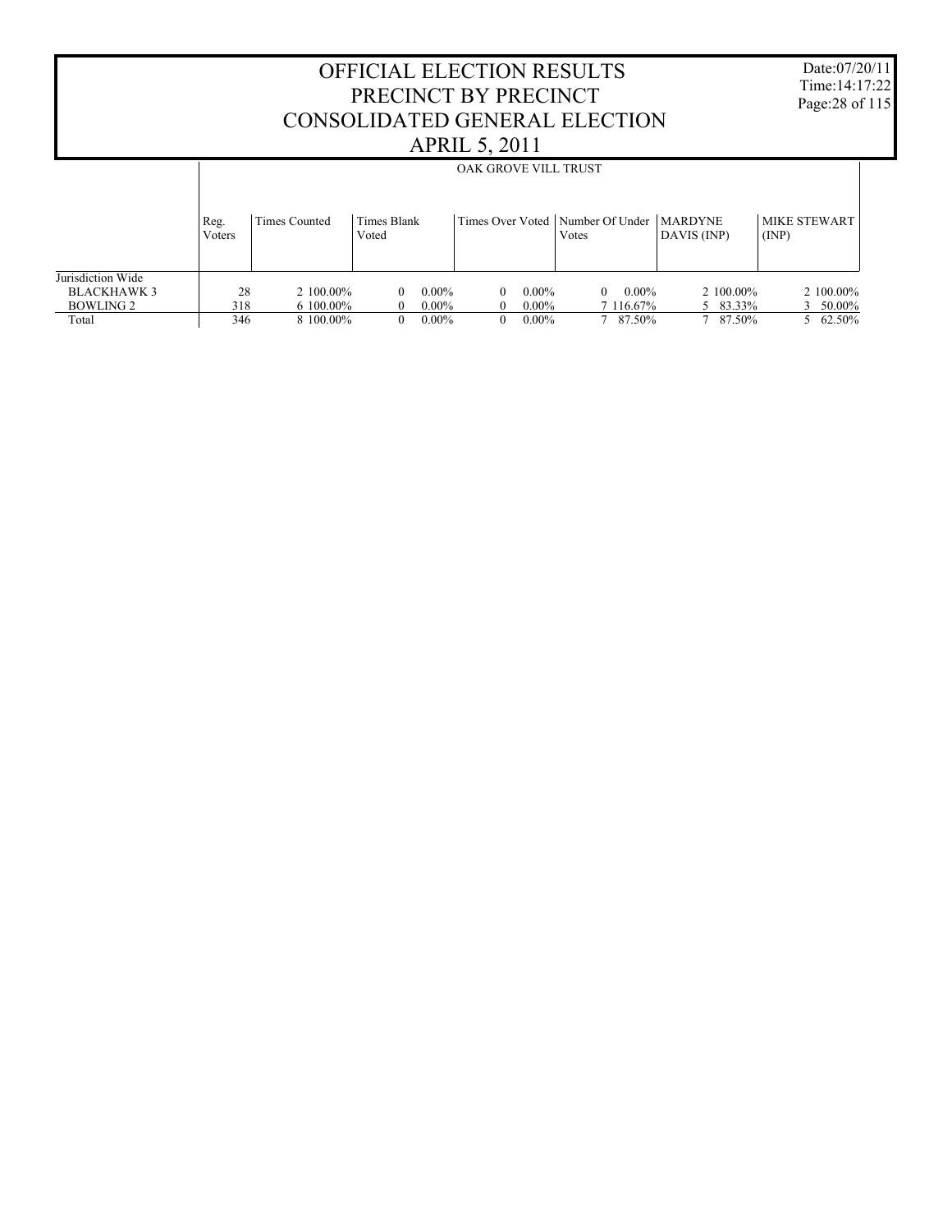Date:07/20/11 Time:14:17:22 Page:28 of 115

|                    |                | OAK GROVE VILL TRUST |                      |          |          |          |                                               |                                |                              |  |  |  |
|--------------------|----------------|----------------------|----------------------|----------|----------|----------|-----------------------------------------------|--------------------------------|------------------------------|--|--|--|
|                    | Reg.<br>Voters | Times Counted        | Times Blank<br>Voted |          |          |          | Times Over Voted   Number Of Under  <br>Votes | <b>IMARDYNE</b><br>DAVIS (INP) | <b>MIKE STEWART</b><br>(INP) |  |  |  |
| Jurisdiction Wide  |                |                      |                      |          |          |          |                                               |                                |                              |  |  |  |
| <b>BLACKHAWK 3</b> | 28             | 2 100,00%            | 0                    | $0.00\%$ | $\Omega$ | $0.00\%$ | $0.00\%$<br>$\Omega$                          | 2 100,00%                      | 2 100,00%                    |  |  |  |
| <b>BOWLING 2</b>   | 318            | 6 100,00%            | 0                    | $0.00\%$ |          | $0.00\%$ | 7 116.67%                                     | 5 83.33%                       | 50.00%                       |  |  |  |
| Total              | 346            | 8 100,00%            | 0                    | $0.00\%$ |          | $0.00\%$ | 7 87.50%                                      | 7 87.50%                       | 5 62.50%                     |  |  |  |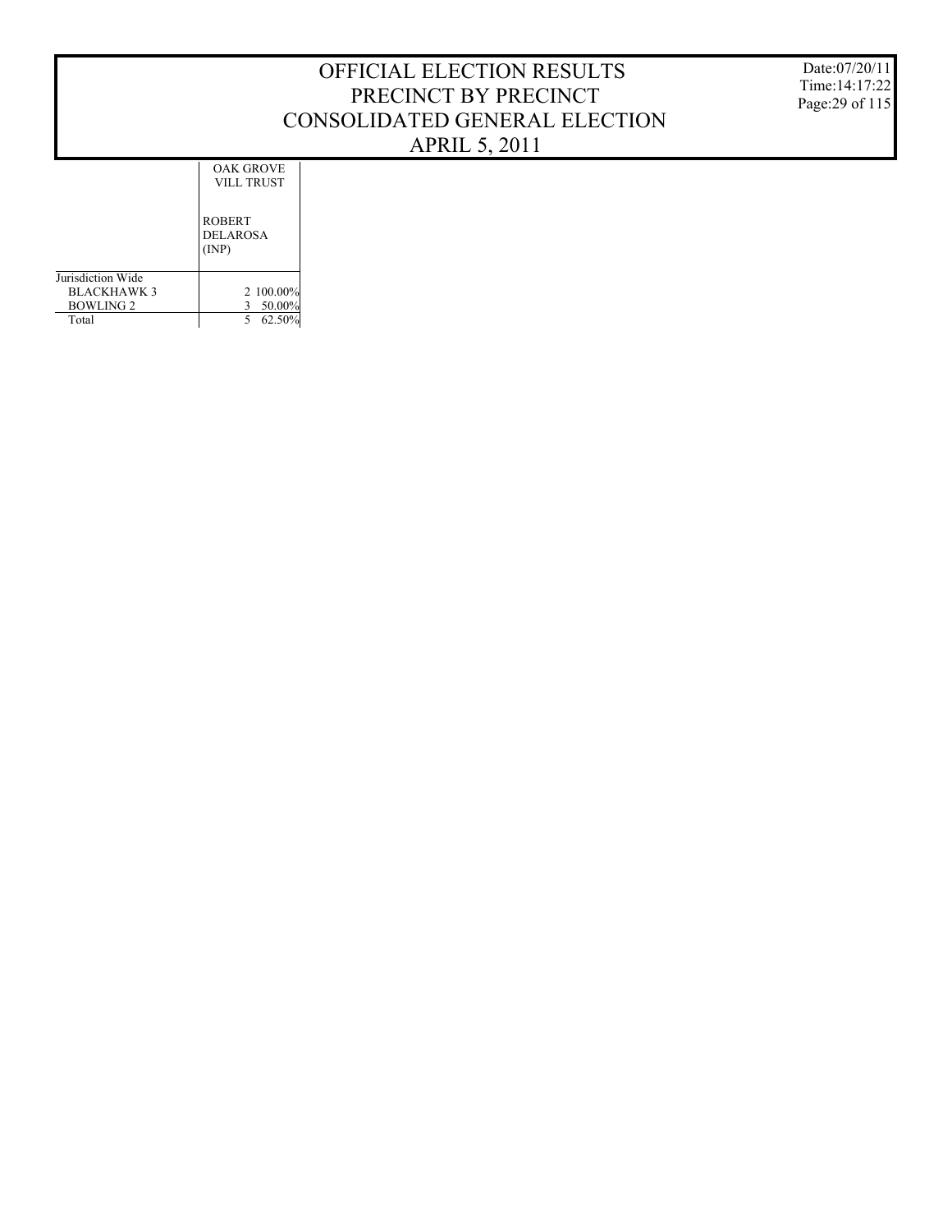Date:07/20/11 Time:14:17:22 Page:29 of 115

| <b>OAK GROVE</b><br><b>VILL TRUST</b>     |
|-------------------------------------------|
| <b>ROBERT</b><br><b>DELAROSA</b><br>(INP) |
|                                           |

| BLACKHAWK 3 | 2 100,00% |
|-------------|-----------|
| BOWLING 2   | 50.00%    |
| Total       | 62.50%    |

Jurisdiction Wide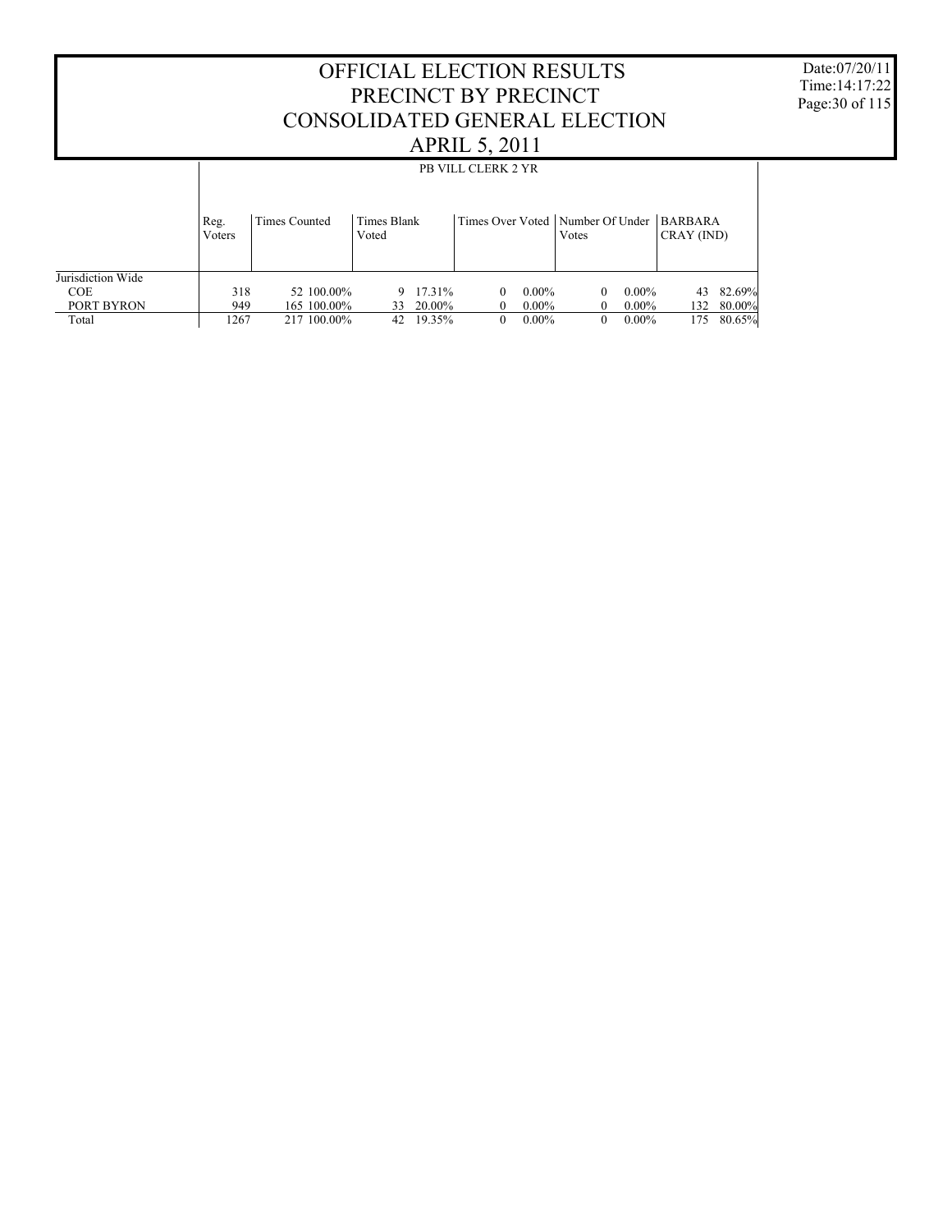Date:07/20/11 Time:14:17:22 Page:30 of 115

|                   |                | PB VILL CLERK 2 YR                                    |              |               |          |                  |  |  |  |  |  |  |  |
|-------------------|----------------|-------------------------------------------------------|--------------|---------------|----------|------------------|--|--|--|--|--|--|--|
|                   | Reg.<br>Voters | Times Over Voted   Number Of Under   BARBARA<br>Votes | CRAY (IND)   |               |          |                  |  |  |  |  |  |  |  |
| Jurisdiction Wide |                |                                                       |              |               |          |                  |  |  |  |  |  |  |  |
| <b>COE</b>        | 318            | 52 100.00%                                            | 17.31%<br>9  | $0.00\%$<br>0 | $0.00\%$ | 82.69%<br>43     |  |  |  |  |  |  |  |
| PORT BYRON        | 949            | 165 100.00%                                           | 20.00%<br>33 | $0.00\%$      | $0.00\%$ | $80.00\%$<br>132 |  |  |  |  |  |  |  |
| Total             | 1267           | 217 100.00%                                           | 19.35%<br>42 | $0.00\%$<br>0 | $0.00\%$ | 80.65%<br>175    |  |  |  |  |  |  |  |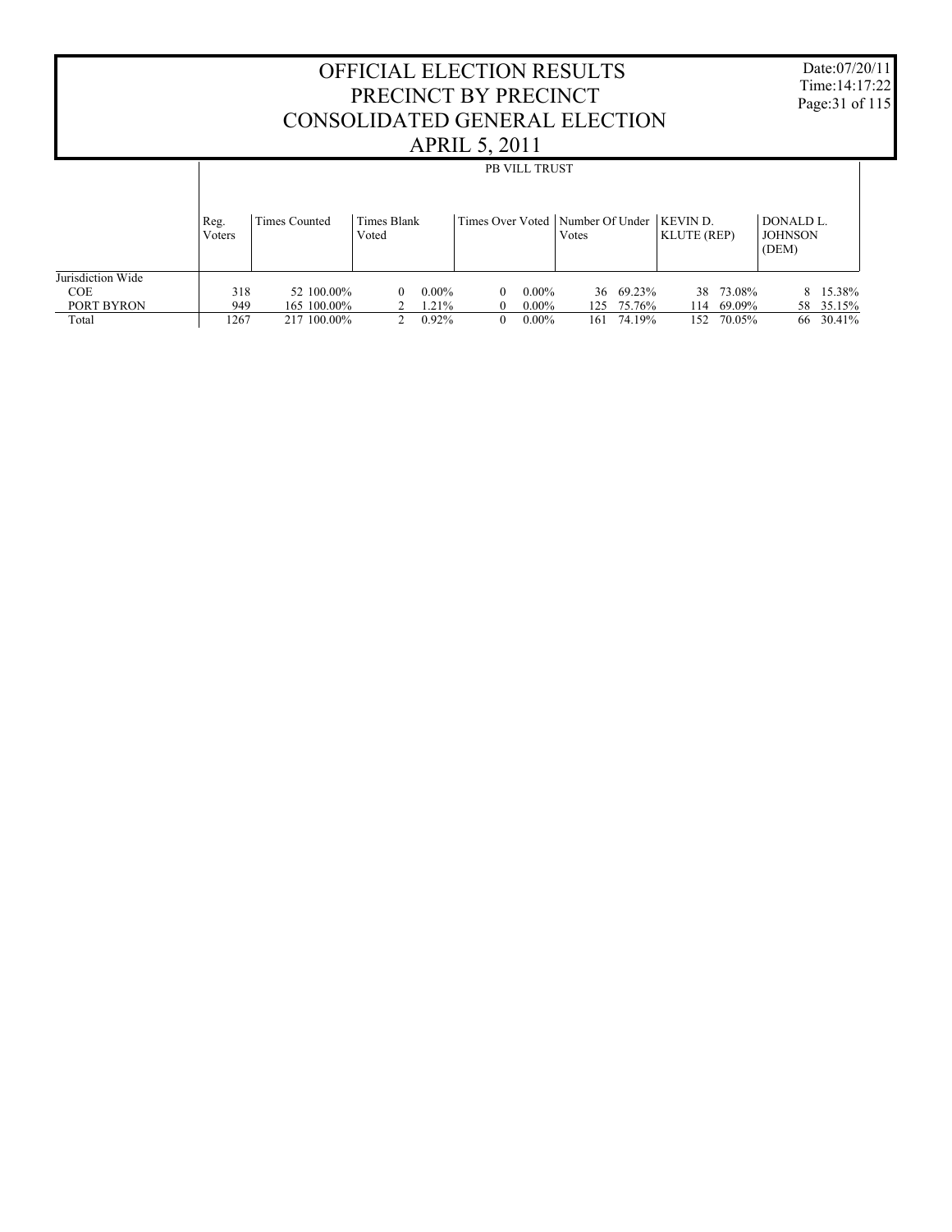Date:07/20/11 Time:14:17:22 Page:31 of 115

|                   |                |               |                      |          |          | <b>PB VILL TRUST</b> |                                                        |                    |                                      |           |
|-------------------|----------------|---------------|----------------------|----------|----------|----------------------|--------------------------------------------------------|--------------------|--------------------------------------|-----------|
|                   | Reg.<br>Voters | Times Counted | Times Blank<br>Voted |          |          |                      | Times Over Voted   Number Of Under   KEVIN D.<br>Votes | <b>KLUTE (REP)</b> | DONALD L.<br><b>JOHNSON</b><br>(DEM) |           |
| Jurisdiction Wide |                |               |                      |          |          |                      |                                                        |                    |                                      |           |
| <b>COE</b>        | 318            | 52 100.00%    | $\theta$             | $0.00\%$ | $\Omega$ | $0.00\%$             | 36 69.23%                                              | 38 73.08%          |                                      | 8 15.38%  |
| PORT BYRON        | 949            | 165 100,00%   |                      | 1.21%    | 0        | $0.00\%$             | 75.76%<br>125                                          | 69.09%<br>114      |                                      | 58 35.15% |
| Total             | 1267           | 217 100,00%   |                      | $0.92\%$ | 0        | $0.00\%$             | 74.19%<br>161                                          | 70.05%<br>152      | 66                                   | 30.41%    |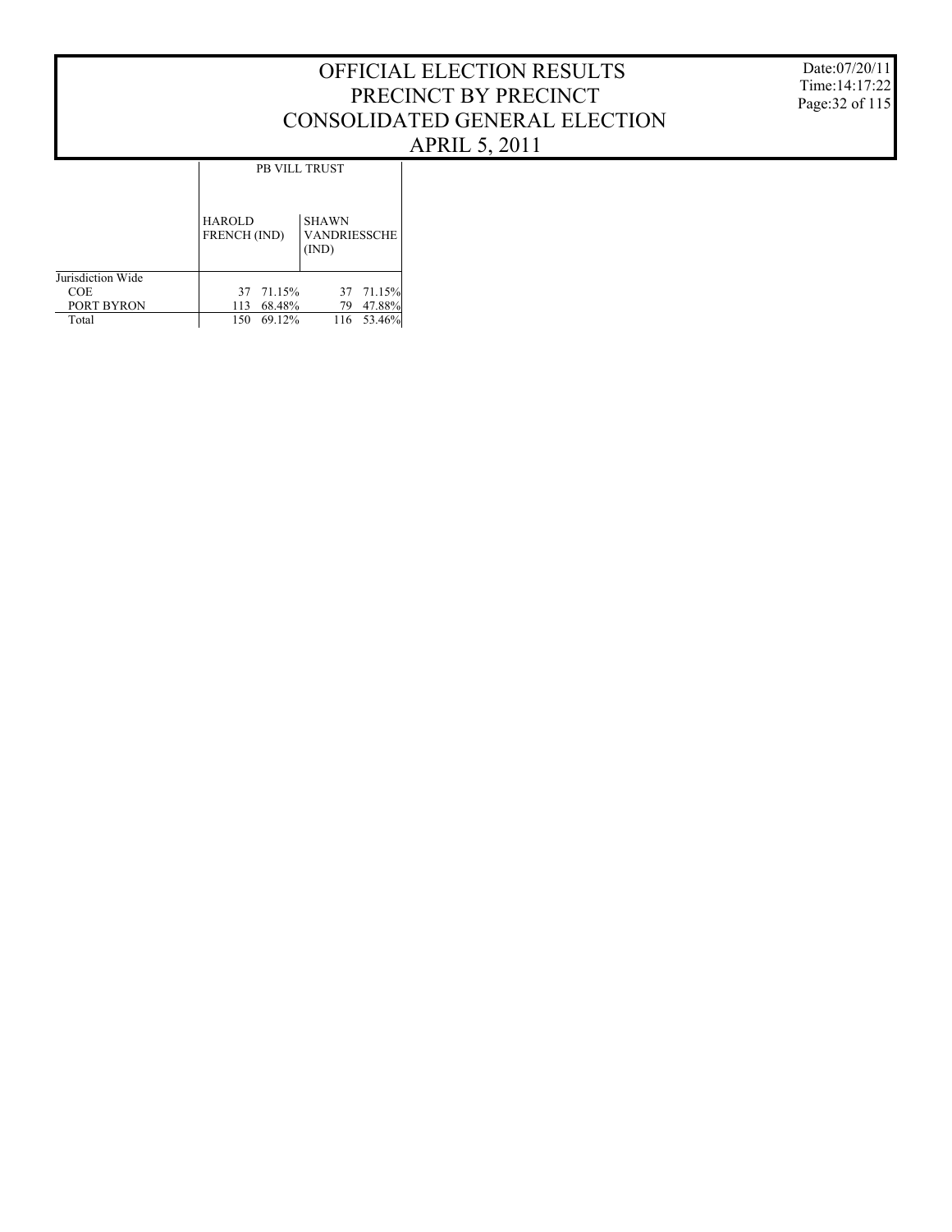Date:07/20/11 Time:14:17:22 Page:32 of 115

| PB VILL TRUST |  |
|---------------|--|
|               |  |

|                   | <b>HAROLD</b><br><b>FRENCH</b> (IND) |           | <b>SHAWN</b><br><b>VANDRIESSCHE</b><br>(IND) |            |
|-------------------|--------------------------------------|-----------|----------------------------------------------|------------|
| Jurisdiction Wide |                                      |           |                                              |            |
| <b>COE</b>        |                                      | 37 71.15% |                                              | 37 71.15%  |
| PORT BYRON        | 113                                  | 68.48%    | 79                                           | 47.88%     |
| Total             | 150                                  | 69.12%    |                                              | 116 53.46% |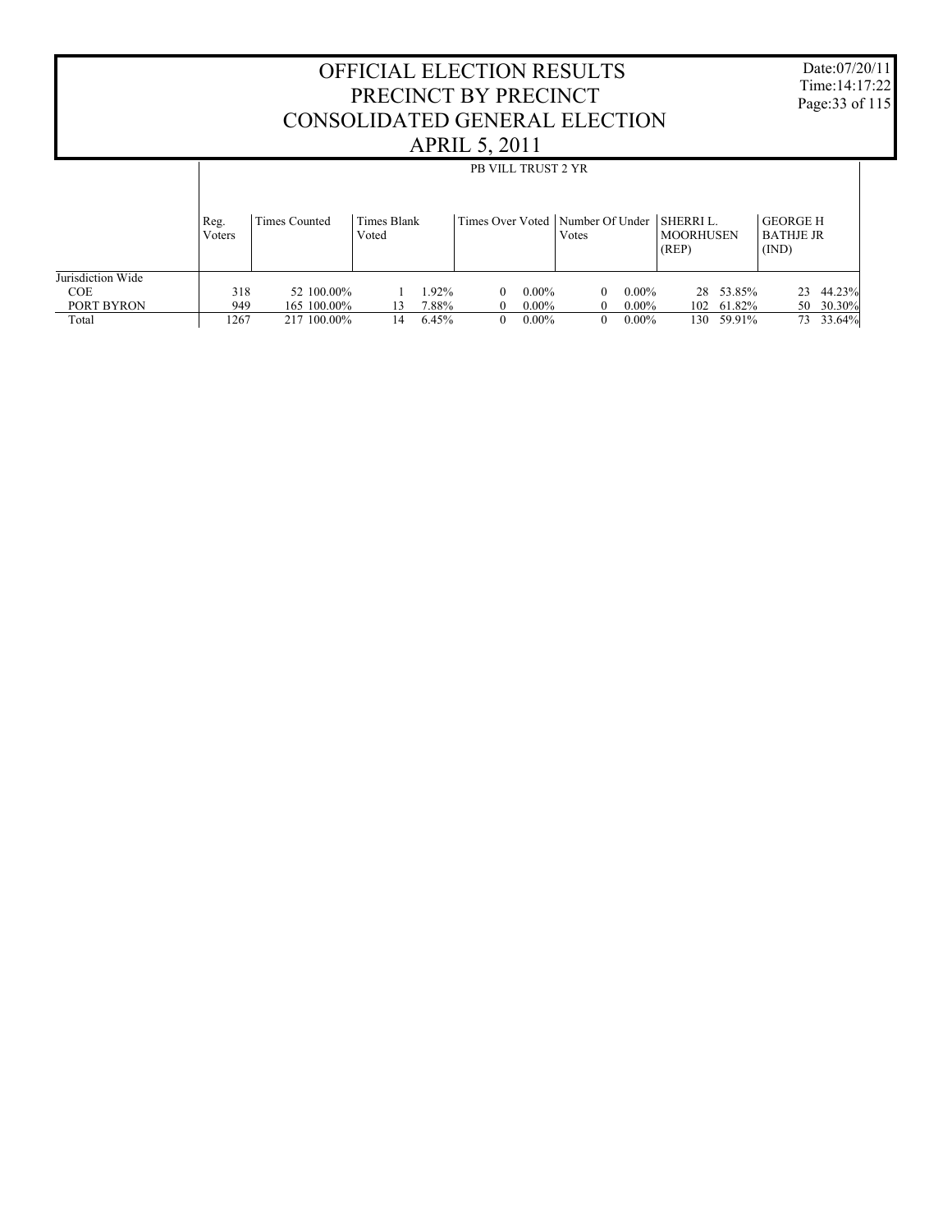Date:07/20/11 Time:14:17:22 Page:33 of 115

|                   |        |               |             |       | PB VILL TRUST 2 YR |          |                                                |          |                           |           |                           |           |
|-------------------|--------|---------------|-------------|-------|--------------------|----------|------------------------------------------------|----------|---------------------------|-----------|---------------------------|-----------|
|                   | Reg.   | Times Counted | Times Blank |       |                    |          | Times Over Voted   Number Of Under   SHERRI L. |          |                           |           | <b>GEORGE H</b>           |           |
|                   | Voters |               | Voted       |       |                    |          | Votes                                          |          | <b>MOORHUSEN</b><br>(REP) |           | <b>BATHJE JR</b><br>(IND) |           |
| Jurisdiction Wide |        |               |             |       |                    |          |                                                |          |                           |           |                           |           |
| <b>COE</b>        | 318    | 52 100.00%    |             | .92%  | 0                  | $0.00\%$ | $\Omega$                                       | $0.00\%$ |                           | 28 53.85% | 23                        | 44.23%    |
| PORT BYRON        | 949    | 165 100,00%   | 13          | '.88% |                    | $0.00\%$ | $\Omega$                                       | $0.00\%$ | 102                       | 61.82%    |                           | 50 30.30% |
| Total             | 1267   | 217 100,00%   | 14          | 6.45% | 0                  | $0.00\%$ | $\Omega$                                       | $0.00\%$ | 130                       | 59.91%    | 73                        | 33.64%    |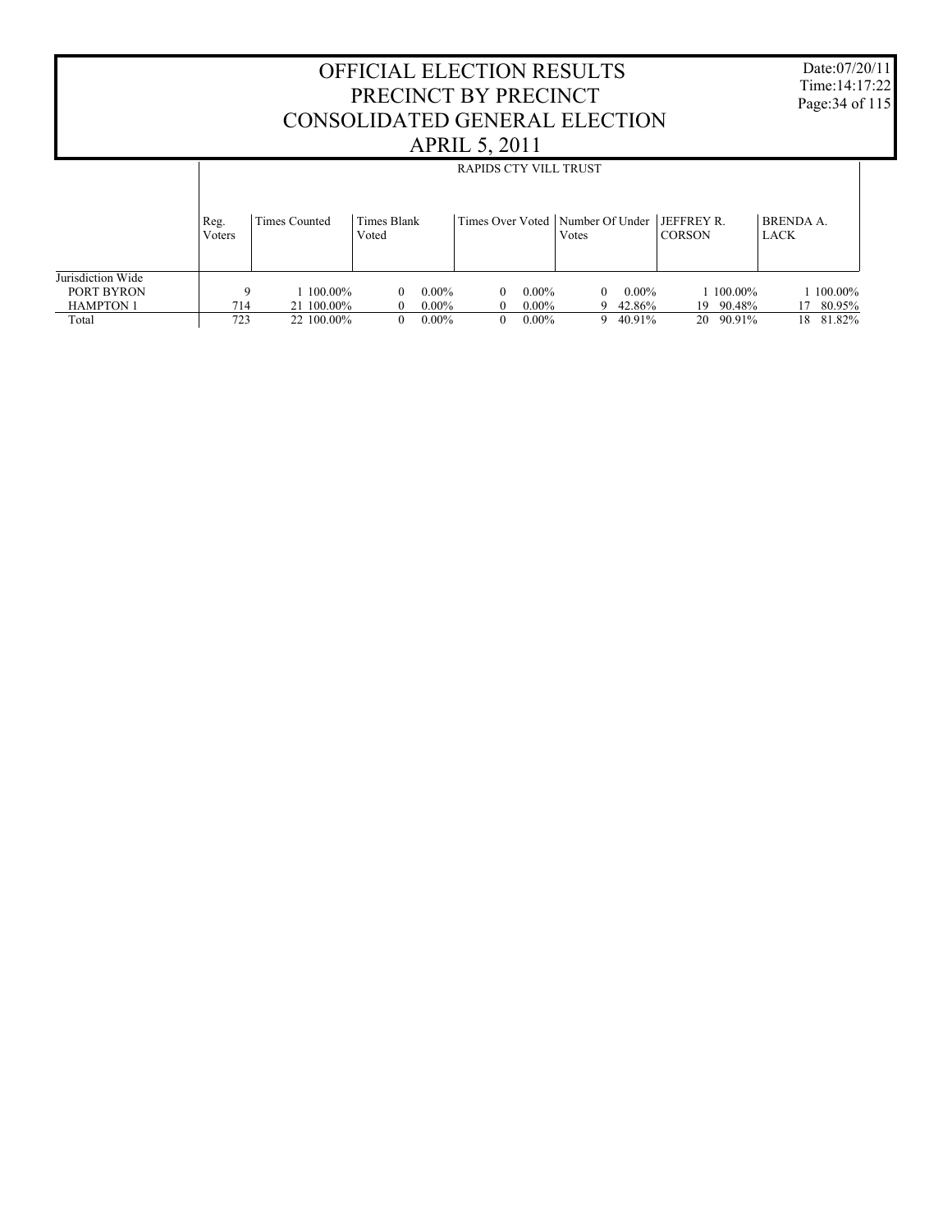| OFFICIAL ELECTION RESULTS<br>PRECINCT BY PRECINCT<br>CONSOLIDATED GENERAL ELECTION<br><b>APRIL 5, 2011</b>                                                                                       |                 |                                       |                                 |                                  |                                 |                                  |                    |                              |                                         | Date:07/20/11<br>Time: 14:17:22<br>Page: 34 of 115 |  |
|--------------------------------------------------------------------------------------------------------------------------------------------------------------------------------------------------|-----------------|---------------------------------------|---------------------------------|----------------------------------|---------------------------------|----------------------------------|--------------------|------------------------------|-----------------------------------------|----------------------------------------------------|--|
| <b>RAPIDS CTY VILL TRUST</b><br>Times Over Voted   Number Of Under   JEFFREY R.<br>Times Blank<br><b>BRENDA A.</b><br>Times Counted<br>Reg.<br><b>CORSON</b><br>LACK<br>Voted<br>Votes<br>Voters |                 |                                       |                                 |                                  |                                 |                                  |                    |                              |                                         |                                                    |  |
| Jurisdiction Wide<br>PORT BYRON<br><b>HAMPTON 1</b><br>Total                                                                                                                                     | 9<br>714<br>723 | 1 100.00%<br>21 100.00%<br>22 100.00% | 0<br>$\Omega$<br>$\overline{0}$ | $0.00\%$<br>$0.00\%$<br>$0.00\%$ | 0<br>$\Omega$<br>$\overline{0}$ | $0.00\%$<br>$0.00\%$<br>$0.00\%$ | $\Omega$<br>9<br>9 | $0.00\%$<br>42.86%<br>40.91% | 1 100.00%<br>90.48%<br>19.<br>20 90.91% | 100.00%<br>80.95%<br>17<br>81.82%<br>18            |  |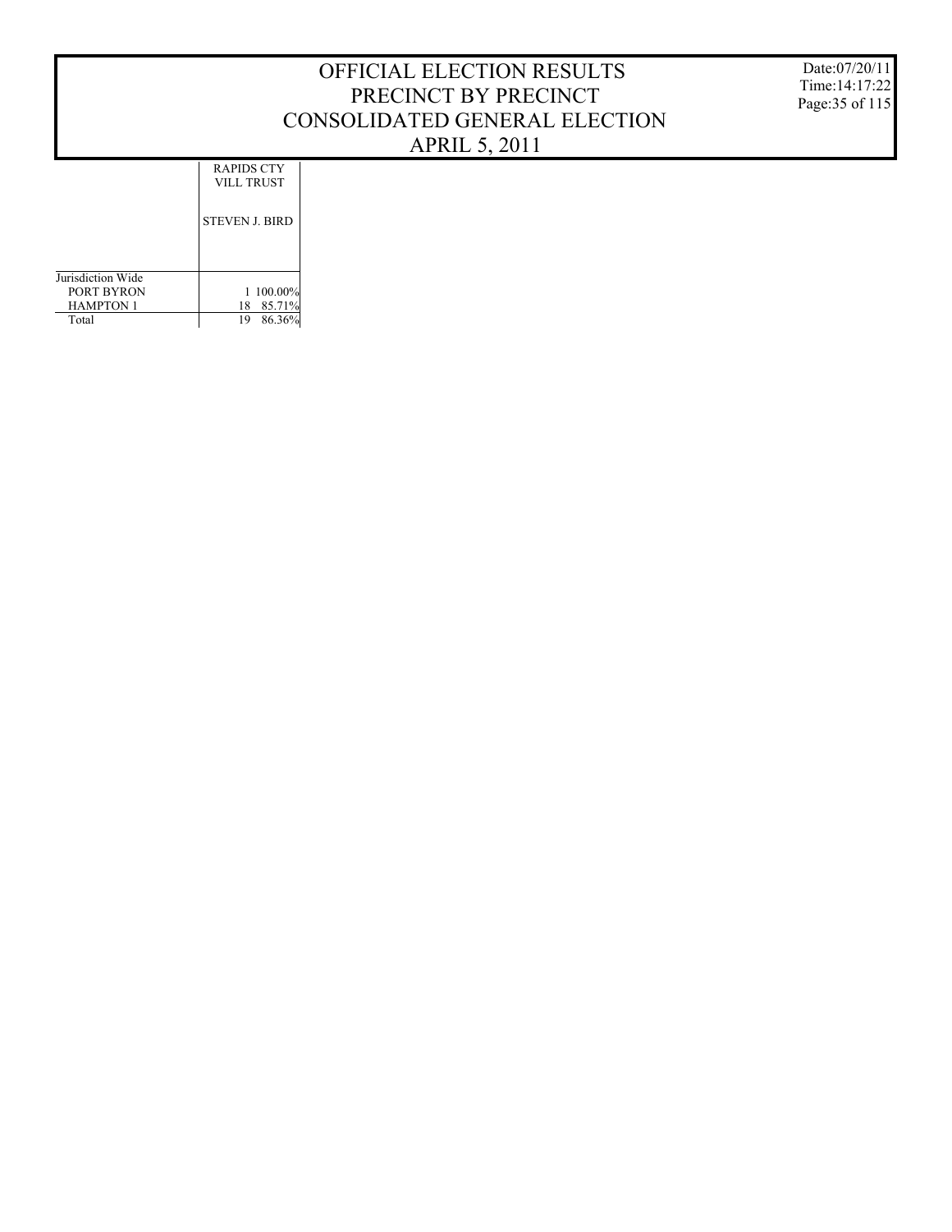Date:07/20/11 Time:14:17:22 Page:35 of 115

RAPIDS CTY VILL TRUST

STEVEN J. BIRD

| Jurisdiction Wide |           |
|-------------------|-----------|
| PORT BYRON        | 1 100.00% |
| <b>HAMPTON 1</b>  | 18 85.71% |
| Total             | 19 86.36% |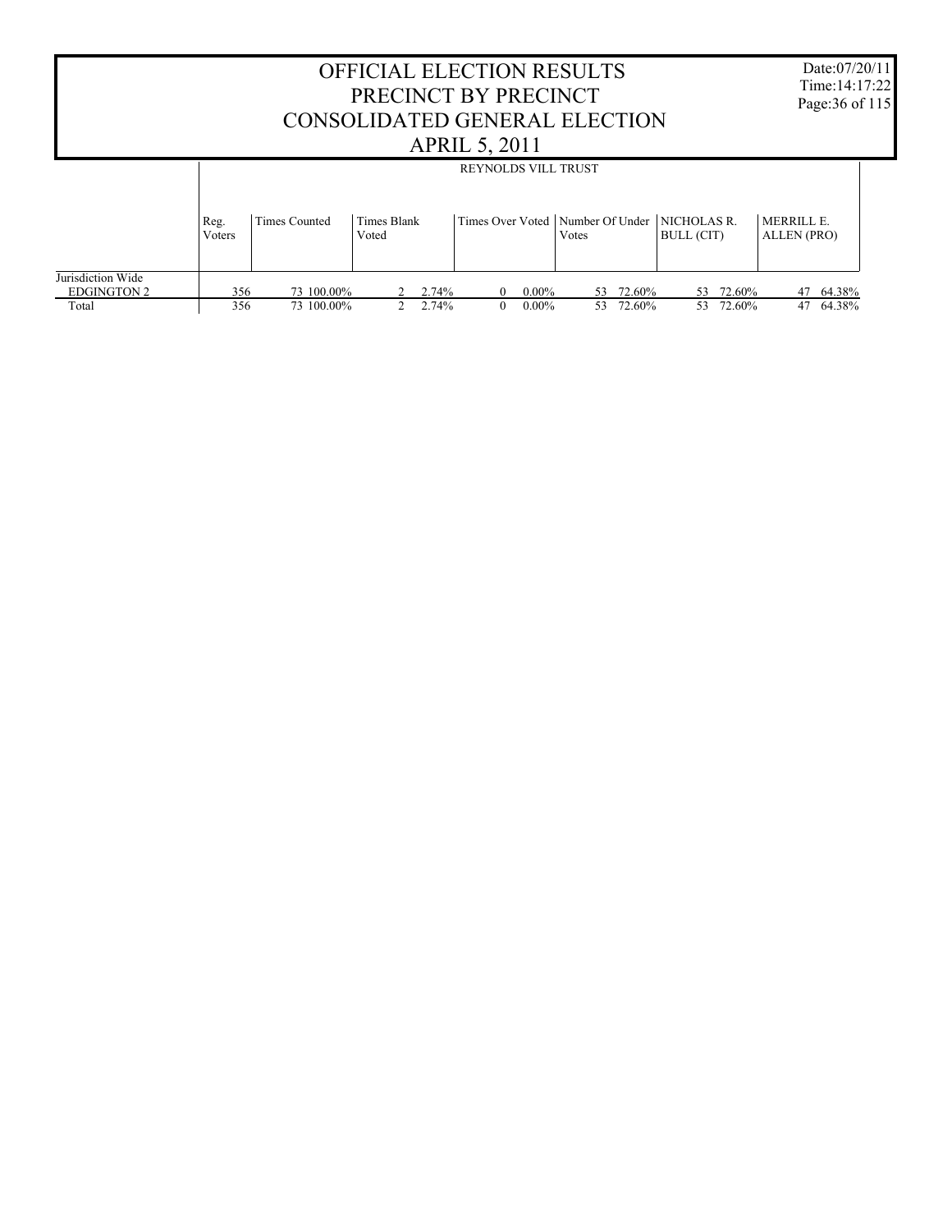| <b>OFFICIAL ELECTION RESULTS</b><br>PRECINCT BY PRECINCT<br>CONSOLIDATED GENERAL ELECTION |                |               |                      |       |                            |          |                                                           |        |            |           | Date:07/20/11<br>Time: $14:17:22$<br>Page: 36 of 115 |           |  |  |  |
|-------------------------------------------------------------------------------------------|----------------|---------------|----------------------|-------|----------------------------|----------|-----------------------------------------------------------|--------|------------|-----------|------------------------------------------------------|-----------|--|--|--|
|                                                                                           |                |               |                      |       | <b>APRIL 5, 2011</b>       |          |                                                           |        |            |           |                                                      |           |  |  |  |
|                                                                                           |                |               |                      |       | <b>REYNOLDS VILL TRUST</b> |          |                                                           |        |            |           |                                                      |           |  |  |  |
|                                                                                           | Reg.<br>Voters | Times Counted | Times Blank<br>Voted |       |                            |          | Times Over Voted   Number Of Under   NICHOLAS R.<br>Votes |        | BULL (CIT) |           | MERRILL E.<br><b>ALLEN</b> (PRO)                     |           |  |  |  |
| Jurisdiction Wide<br><b>EDGINGTON 2</b>                                                   | 356            | 73 100,00%    |                      | 2.74% | $\theta$                   | $0.00\%$ | 53                                                        | 72.60% | 53.        | 72.60%    |                                                      | 47 64.38% |  |  |  |
| Total                                                                                     | 356            | 73 100,00%    |                      | 2.74% | $\overline{0}$             | $0.00\%$ | 53                                                        | 72.60% |            | 53 72.60% |                                                      | 47 64.38% |  |  |  |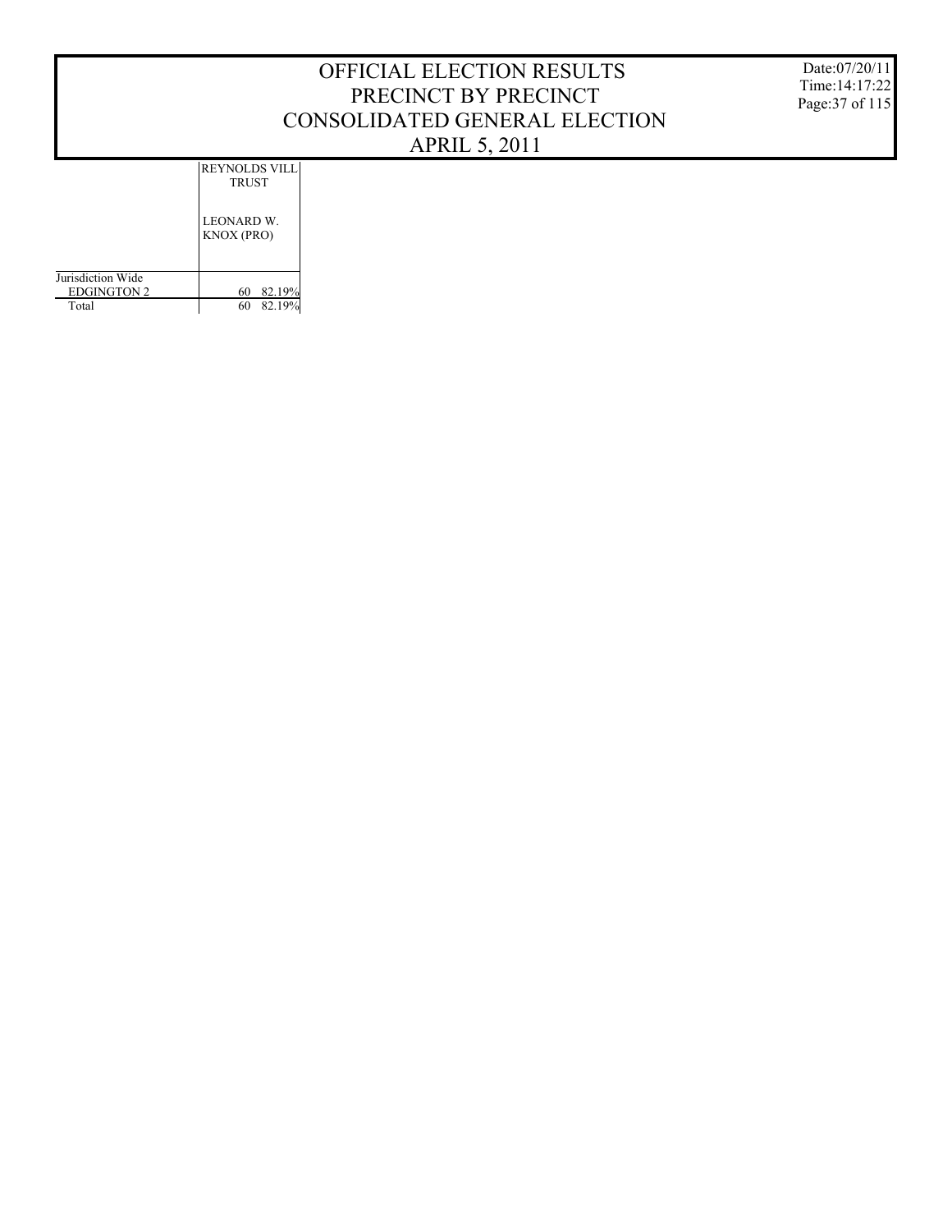Date:07/20/11 Time:14:17:22 Page:37 of 115

LEONARD W. REYNOLDS VILL TRUST

|                   | <b>KNOX (PRO)</b> |
|-------------------|-------------------|
| Jurisdiction Wide |                   |
| EDGINGTON 2       | 82.19%<br>60      |
| Total             | 82.19%<br>60      |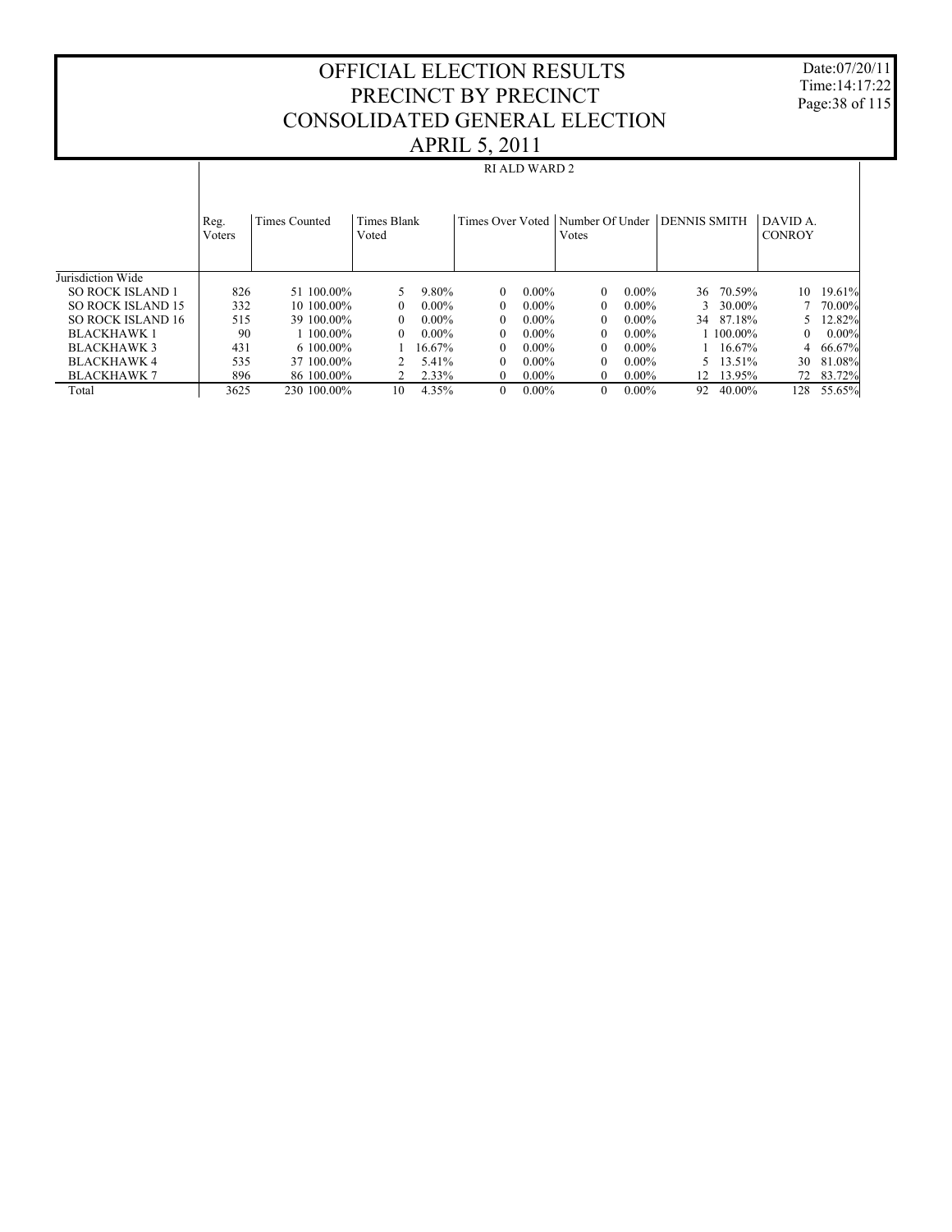Date:07/20/11 Time:14:17:22 Page:38 of 115

|                          |                |                      |                             |          | $\overline{\phantom{a}}$ |                      |                          |          |                     |              |                           |          |
|--------------------------|----------------|----------------------|-----------------------------|----------|--------------------------|----------------------|--------------------------|----------|---------------------|--------------|---------------------------|----------|
|                          |                |                      |                             |          |                          | <b>RI ALD WARD 2</b> |                          |          |                     |              |                           |          |
|                          | Reg.<br>Voters | <b>Times Counted</b> | <b>Times Blank</b><br>Voted |          | Times Over Voted         |                      | Number Of Under<br>Votes |          | <b>DENNIS SMITH</b> |              | DAVID A.<br><b>CONROY</b> |          |
| Jurisdiction Wide        |                |                      |                             |          |                          |                      |                          |          |                     |              |                           |          |
| <b>SO ROCK ISLAND 1</b>  | 826            | 51 100 00%           |                             | 9.80%    | $\Omega$                 | $0.00\%$             | $\Omega$                 | $0.00\%$ | 36                  | 70.59%       | 10                        | 19.61%   |
| <b>SO ROCK ISLAND 15</b> | 332            | 10 100 00%           | $\theta$                    | $0.00\%$ | 0                        | $0.00\%$             | 0                        | $0.00\%$ |                     | 30.00%       |                           | 70.00%   |
| SO ROCK ISLAND 16        | 515            | 39 100.00%           | $\Omega$                    | $0.00\%$ | 0                        | $0.00\%$             | 0                        | $0.00\%$ | 34                  | 87.18%       |                           | 12.82%   |
| <b>BLACKHAWK1</b>        | 90             | 1 100.00%            | $\Omega$                    | $0.00\%$ | $\Omega$                 | $0.00\%$             | $\Omega$                 | $0.00\%$ |                     | $1.100.00\%$ | 0                         | $0.00\%$ |
| <b>BLACKHAWK 3</b>       | 431            | 6 100.00%            |                             | 16.67%   | 0                        | $0.00\%$             | $^{\circ}$               | $0.00\%$ |                     | 16.67%       | 4                         | 66.67%   |
| <b>BLACKHAWK4</b>        | 535            | 37 100.00%           |                             | 5.41%    | 0                        | $0.00\%$             | 0                        | $0.00\%$ |                     | 13.51%       | 30                        | 81.08%   |
| <b>BLACKHAWK 7</b>       | 896            | 86 100,00%           |                             | 2.33%    | 0                        | $0.00\%$             | 0                        | $0.00\%$ | 12.                 | 13.95%       | 72                        | 83.72%   |
| Total                    | 3625           | 230 100.00%          | 10                          | 4.35%    | $\mathbf{0}$             | $0.00\%$             | $\Omega$                 | $0.00\%$ | 92                  | 40.00%       | 128                       | 55.65%   |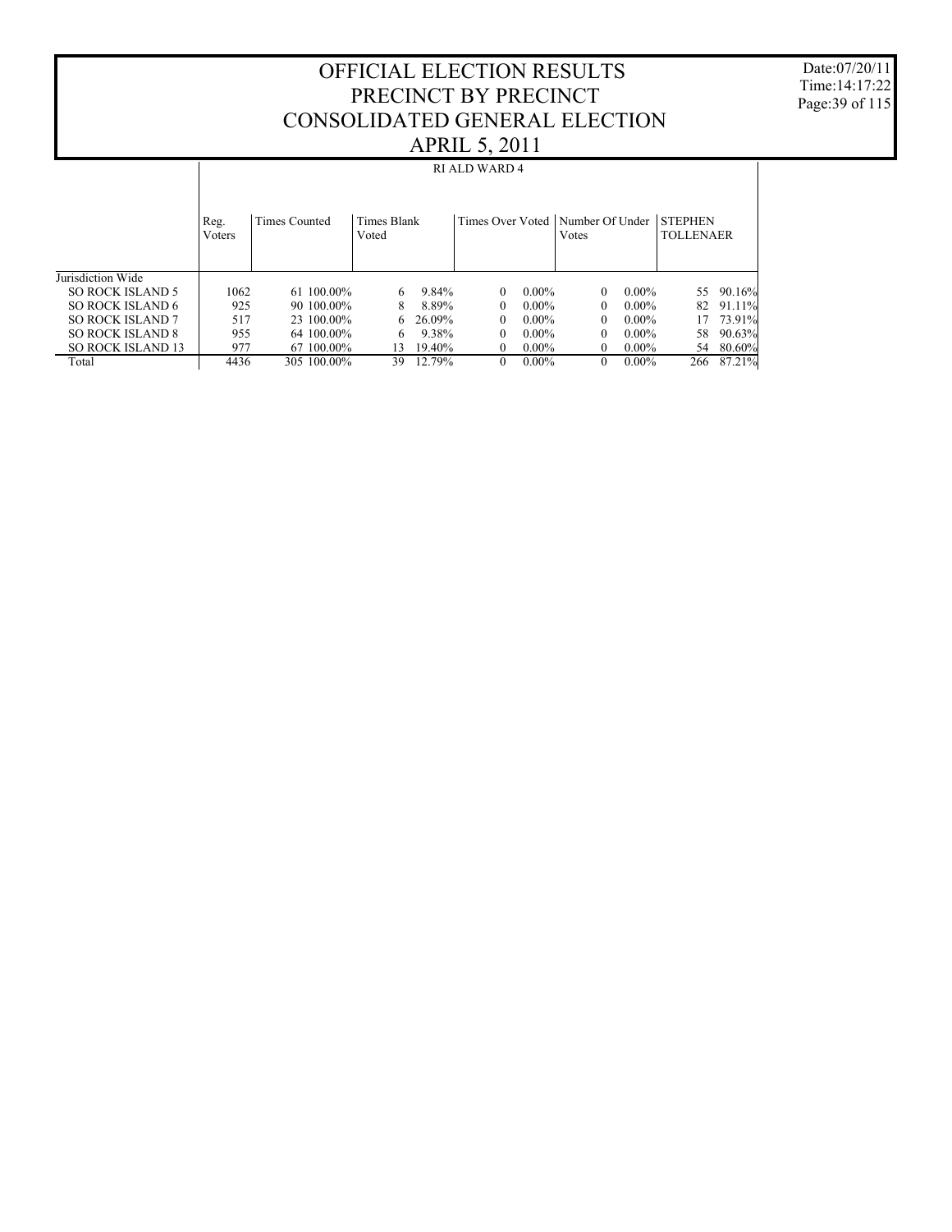Date:07/20/11 Time:14:17:22 Page:39 of 115

|                          |                |               |                      |        | <b>RI ALD WARD 4</b>               |          |          |          |                                    |        |
|--------------------------|----------------|---------------|----------------------|--------|------------------------------------|----------|----------|----------|------------------------------------|--------|
|                          | Reg.<br>Voters | Times Counted | Times Blank<br>Voted |        | Times Over Voted   Number Of Under |          | Votes    |          | <b>STEPHEN</b><br><b>TOLLENAER</b> |        |
| Jurisdiction Wide        |                |               |                      |        |                                    |          |          |          |                                    |        |
| <b>SO ROCK ISLAND 5</b>  | 1062           | 61 100.00%    | 6                    | 9.84%  | 0                                  | $0.00\%$ | $\Omega$ | $0.00\%$ | 55                                 | 90.16% |
| SO ROCK ISLAND 6         | 925            | 90 100 00%    | 8                    | 8.89%  | 0                                  | $0.00\%$ | $\theta$ | $0.00\%$ | 82                                 | 91.11% |
| <b>SO ROCK ISLAND 7</b>  | 517            | 23 100.00%    | 6.                   | 26.09% | 0                                  | $0.00\%$ | $\theta$ | $0.00\%$ | 17                                 | 73.91% |
| <b>SO ROCK ISLAND 8</b>  | 955            | 64 100 00%    | 6                    | 9.38%  | 0                                  | $0.00\%$ | $\theta$ | $0.00\%$ | 58                                 | 90.63% |
| <b>SO ROCK ISLAND 13</b> | 977            | 67 100,00%    | 13                   | 19.40% | 0                                  | $0.00\%$ | $\theta$ | $0.00\%$ | 54                                 | 80.60% |
| Total                    | 4436           | 305 100.00%   | 39.                  | 12.79% | 0                                  | $0.00\%$ | $\theta$ | $0.00\%$ | 266                                | 87.21% |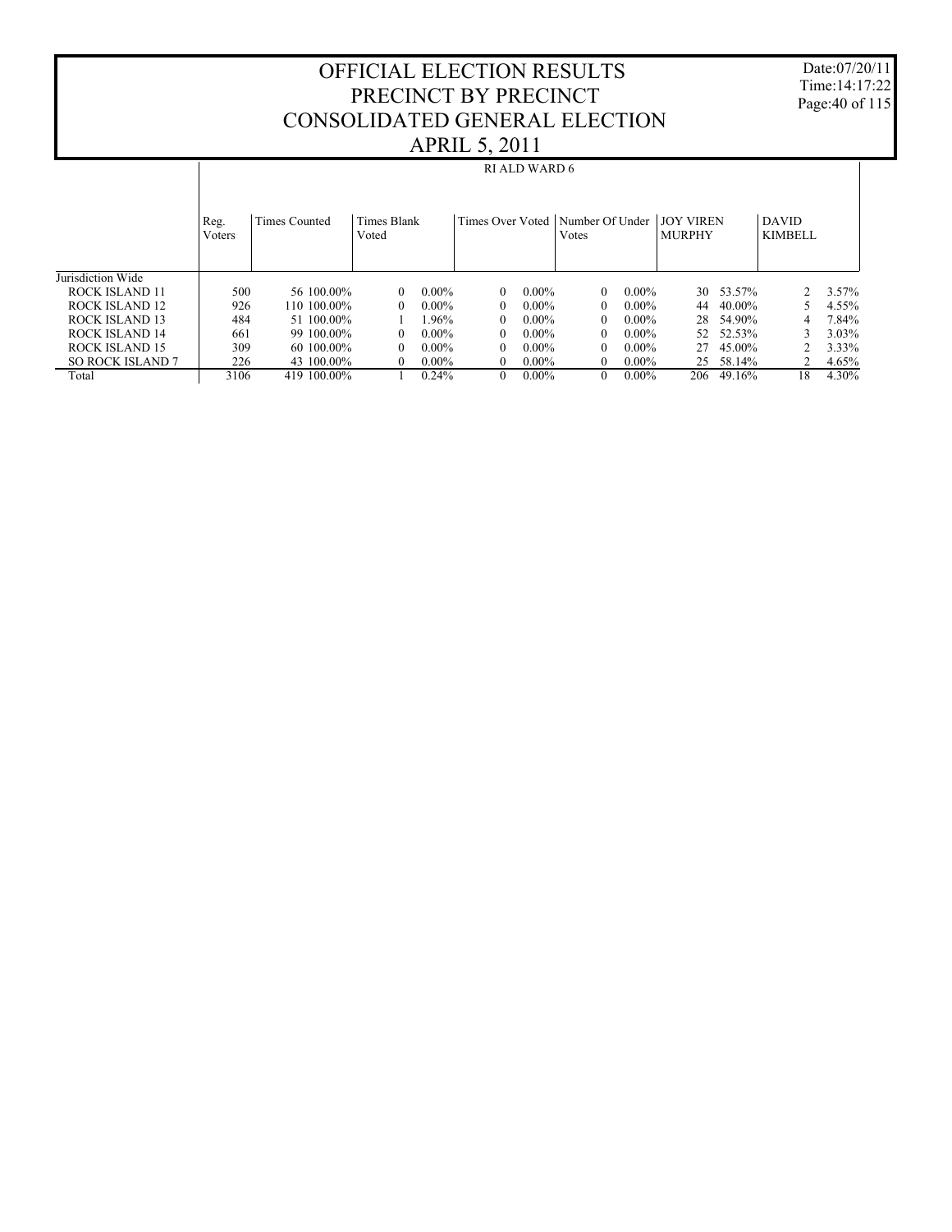Date:07/20/11 Time:14:17:22 Page:40 of 115

|                         |                |               |                             | $\overline{\phantom{a}}$ |                          |                                   |                         |       |
|-------------------------|----------------|---------------|-----------------------------|--------------------------|--------------------------|-----------------------------------|-------------------------|-------|
|                         |                |               |                             | RI ALD WARD 6            |                          |                                   |                         |       |
|                         | Reg.<br>Voters | Times Counted | <b>Times Blank</b><br>Voted | Times Over Voted         | Number Of Under<br>Votes | <b>JOY VIREN</b><br><b>MURPHY</b> | <b>DAVID</b><br>KIMBELL |       |
| Jurisdiction Wide       |                |               |                             |                          |                          |                                   |                         |       |
| ROCK ISLAND 11          | 500            | 56 100 00%    | $0.00\%$<br>$\theta$        | $0.00\%$<br>$\Omega$     | $0.00\%$<br>$\Omega$     | 30 53.57%                         | っ                       | 3.57% |
| ROCK ISLAND 12          | 926            | 110 100 00%   | $0.00\%$<br>$\theta$        | $0.00\%$<br>$\Omega$     | $0.00\%$<br>$\Omega$     | 40.00%<br>44                      |                         | 4.55% |
| ROCK ISLAND 13          | 484            | 51 100.00%    | l 96%                       | $0.00\%$<br>$\Omega$     | $0.00\%$<br>$\Omega$     | 54.90%<br>28                      | 4                       | 7.84% |
| ROCK ISLAND 14          | 661            | 99 100.00%    | $0.00\%$<br>$\Omega$        | $0.00\%$<br>$\Omega$     | $0.00\%$<br>0            | 52.53%<br>52                      |                         | 3.03% |
| ROCK ISLAND 15          | 309            | 60 100.00%    | $0.00\%$<br>$\mathbf{0}$    | $0.00\%$<br>$\Omega$     | $0.00\%$<br>$\Omega$     | 45.00%<br>27                      |                         | 3.33% |
| <b>SO ROCK ISLAND 7</b> | 226            | 43 100,00%    | $0.00\%$<br>$\theta$        | $0.00\%$<br>$\Omega$     | $0.00\%$<br>0            | 25 58.14%                         |                         | 4.65% |
| Total                   | 3106           | 419 100.00%   | 0.24%                       | $\Omega$<br>$0.00\%$     | $\Omega$<br>$0.00\%$     | 49.16%<br>206                     | 18                      | 4.30% |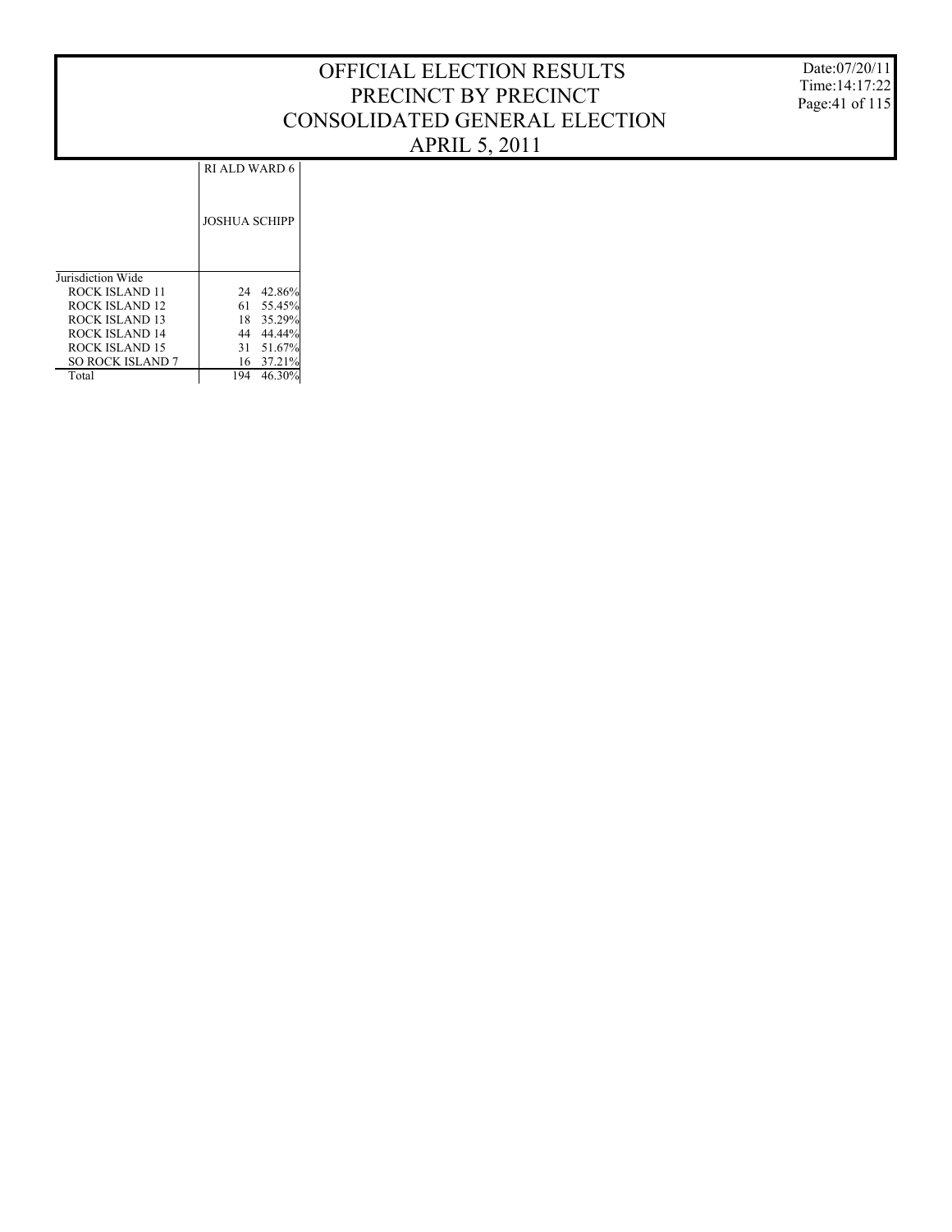Date:07/20/11 Time:14:17:22 Page:41 of 115

RI ALD WARD 6

JOSHUA SCHIPP

| 24 | 42.86%    |
|----|-----------|
|    | 61 55.45% |
|    | 18 35.29% |
| 44 | 44.44%    |
| 31 | 51.67%    |
|    | 16 37.21% |
|    | 46.30%    |
|    |           |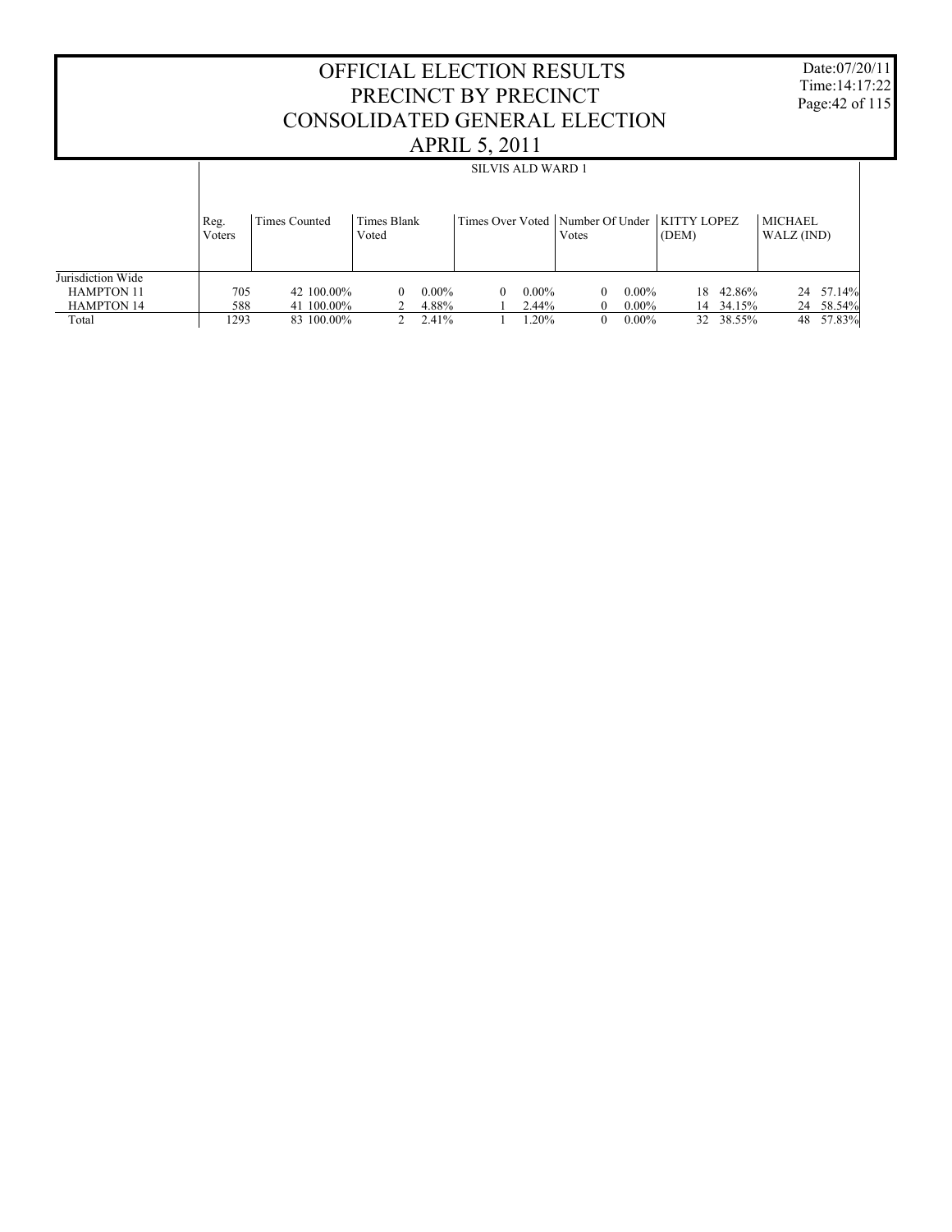Date:07/20/11 Time:14:17:22 Page:42 of 115

|                   |                |               |                      | <b>SILVIS ALD WARD 1</b> |                                                           |              |                       |
|-------------------|----------------|---------------|----------------------|--------------------------|-----------------------------------------------------------|--------------|-----------------------|
|                   | Reg.<br>Voters | Times Counted | Times Blank<br>Voted |                          | Times Over Voted   Number Of Under   KITTY LOPEZ<br>Votes | (DEM)        | MICHAEL<br>WALZ (IND) |
| Jurisdiction Wide |                |               |                      |                          |                                                           |              |                       |
| <b>HAMPTON 11</b> | 705            | 42 100,00%    | $0.00\%$<br>$\Omega$ | $0.00\%$<br>$\Omega$     | $0.00\%$<br>$^{\circ}$                                    | 42.86%<br>18 | 57.14%<br>24          |
| <b>HAMPTON 14</b> | 588            | 41 100,00%    | 4.88%                | 2.44%                    | $0.00\%$                                                  | 14 34.15%    | 58.54%<br>24          |
| Total             | 1293           | 83 100.00%    | 2.41%                | $1.20\%$                 | $0.00\%$<br>$^{\circ}$                                    | 38.55%<br>32 | 57.83%<br>48          |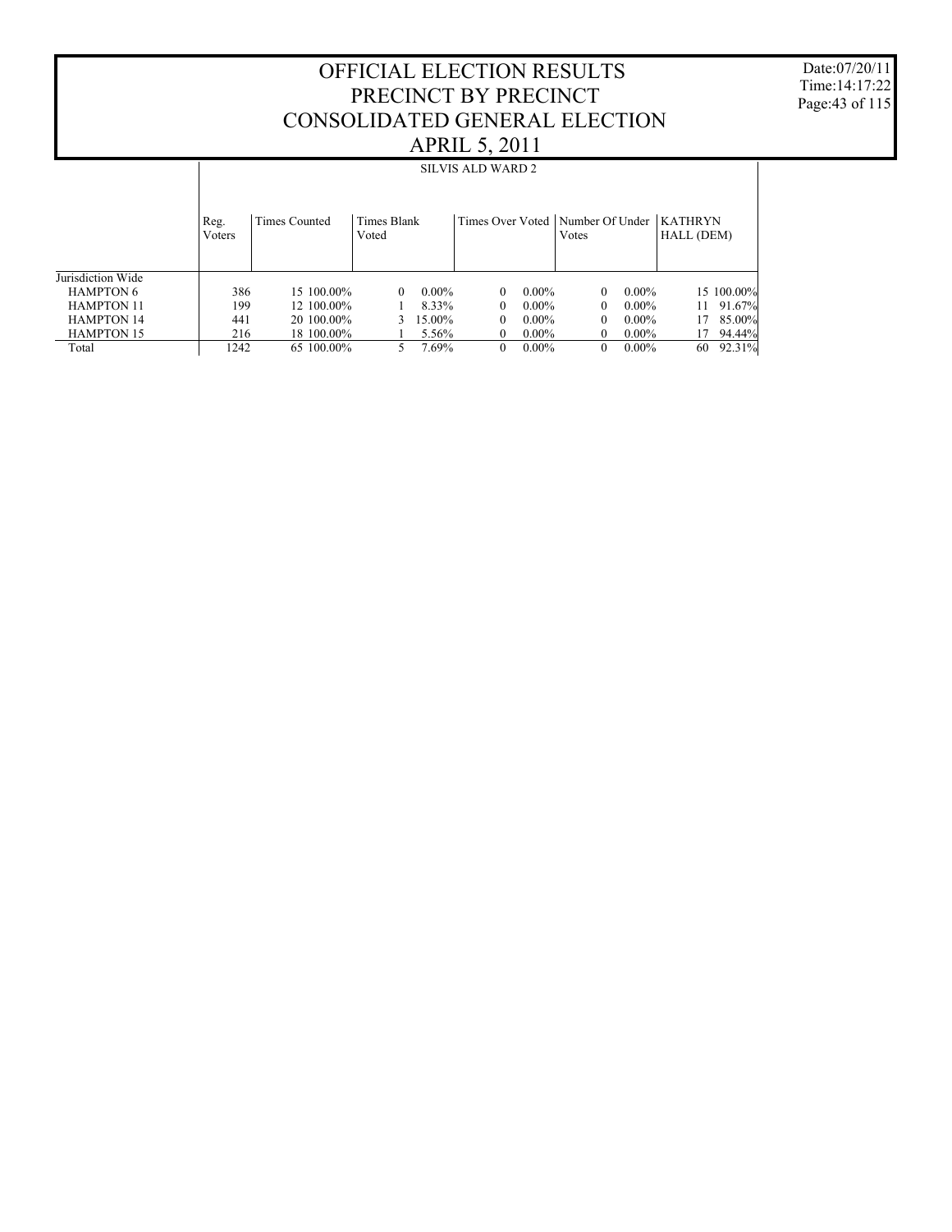Date:07/20/11 Time:14:17:22 Page:43 of 115

|                   |                | SILVIS ALD WARD 2 |                      |          |          |          |                                             |          |                              |            |
|-------------------|----------------|-------------------|----------------------|----------|----------|----------|---------------------------------------------|----------|------------------------------|------------|
|                   | Reg.<br>Voters | Times Counted     | Times Blank<br>Voted |          |          |          | Times Over Voted   Number Of Under<br>Votes |          | <b>KATHRYN</b><br>HALL (DEM) |            |
| Jurisdiction Wide |                |                   |                      |          |          |          |                                             |          |                              |            |
| <b>HAMPTON 6</b>  | 386            | 15 100 00%        | 0                    | $0.00\%$ | $\Omega$ | $0.00\%$ | 0                                           | $0.00\%$ |                              | 15 100.00% |
| <b>HAMPTON 11</b> | 199            | 12 100.00%        |                      | 8.33%    | $\Omega$ | $0.00\%$ | $\Omega$                                    | $0.00\%$ | 11                           | 91.67%     |
| <b>HAMPTON 14</b> | 441            | 20 100,00%        |                      | 15.00%   | $\Omega$ | $0.00\%$ | $\Omega$                                    | $0.00\%$ | 17                           | 85.00%     |
| <b>HAMPTON 15</b> | 216            | 18 100,00%        |                      | 5.56%    | $\theta$ | $0.00\%$ | 0                                           | $0.00\%$ |                              | 94.44%     |
| Total             | 1242           | 65 100,00%        |                      | 7.69%    | $\Omega$ | $0.00\%$ | $\Omega$                                    | $0.00\%$ | 60                           | 92.31%     |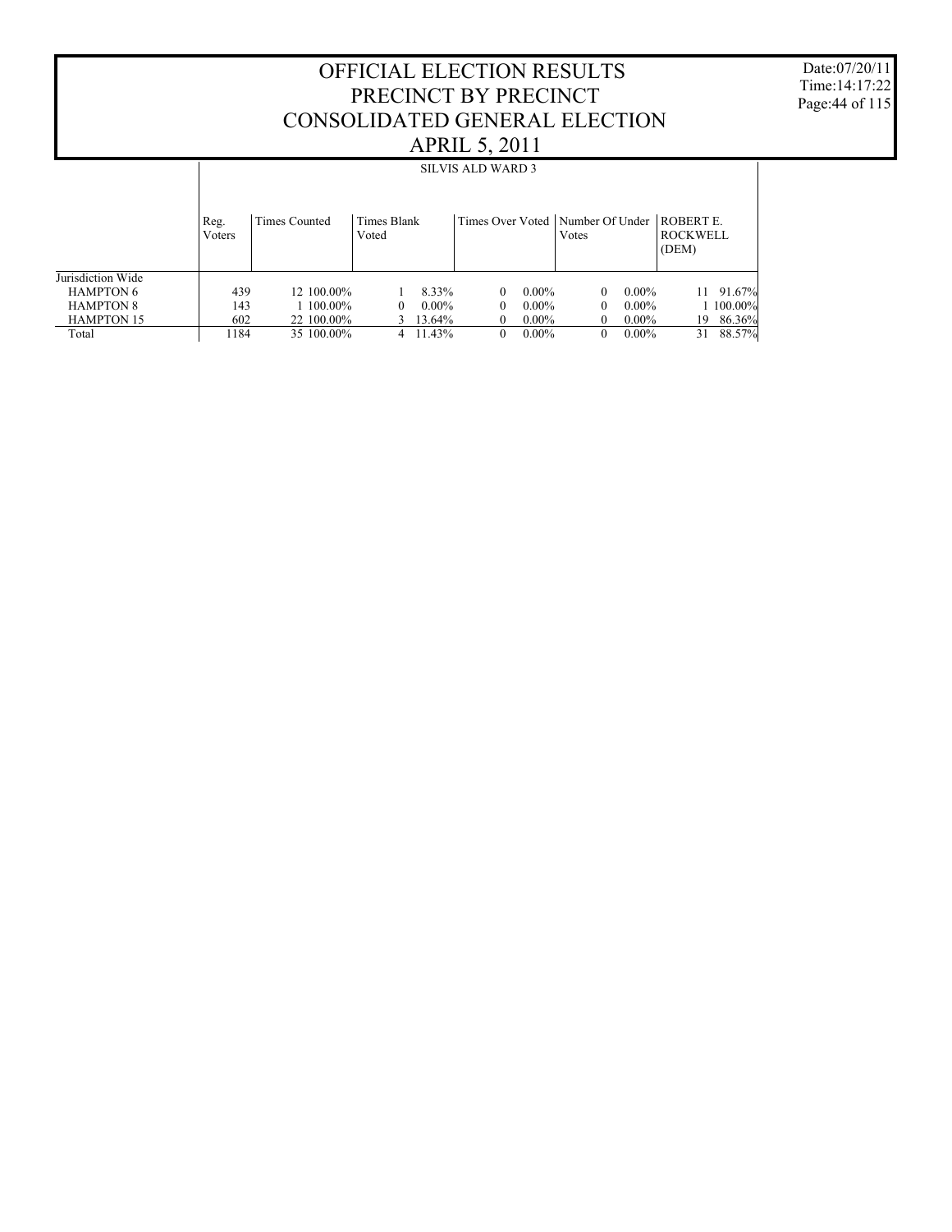Date:07/20/11 Time:14:17:22 Page:44 of 115

|                   |                | SILVIS ALD WARD 3 |                      |                      |                                                     |                                             |  |  |  |  |  |
|-------------------|----------------|-------------------|----------------------|----------------------|-----------------------------------------------------|---------------------------------------------|--|--|--|--|--|
|                   | Reg.<br>Voters | Times Counted     | Times Blank<br>Voted |                      | Times Over Voted   Number Of Under<br><b>V</b> otes | <b>ROBERT E</b><br><b>ROCKWELL</b><br>(DEM) |  |  |  |  |  |
| Jurisdiction Wide |                |                   |                      |                      |                                                     |                                             |  |  |  |  |  |
| <b>HAMPTON 6</b>  | 439            | 12 100.00%        | 8.33%                | $0.00\%$<br>$\theta$ | $\Omega$                                            | 91.67%<br>$0.00\%$<br>11                    |  |  |  |  |  |
| <b>HAMPTON 8</b>  | 143            | 1 100.00%         | $0.00\%$<br>0        | $0.00\%$<br>$\theta$ | $\Omega$                                            | 1 100.00%<br>$0.00\%$                       |  |  |  |  |  |
| <b>HAMPTON 15</b> | 602            | 22 100.00%        | 13.64%               | $0.00\%$<br>$\theta$ | 0                                                   | 86.36%<br>$0.00\%$<br>19                    |  |  |  |  |  |
| Total             | 1184           | 35 100.00%        | 11.43%<br>4          | $0.00\%$<br>$\theta$ | $\Omega$                                            | 88.57%<br>$0.00\%$<br>31                    |  |  |  |  |  |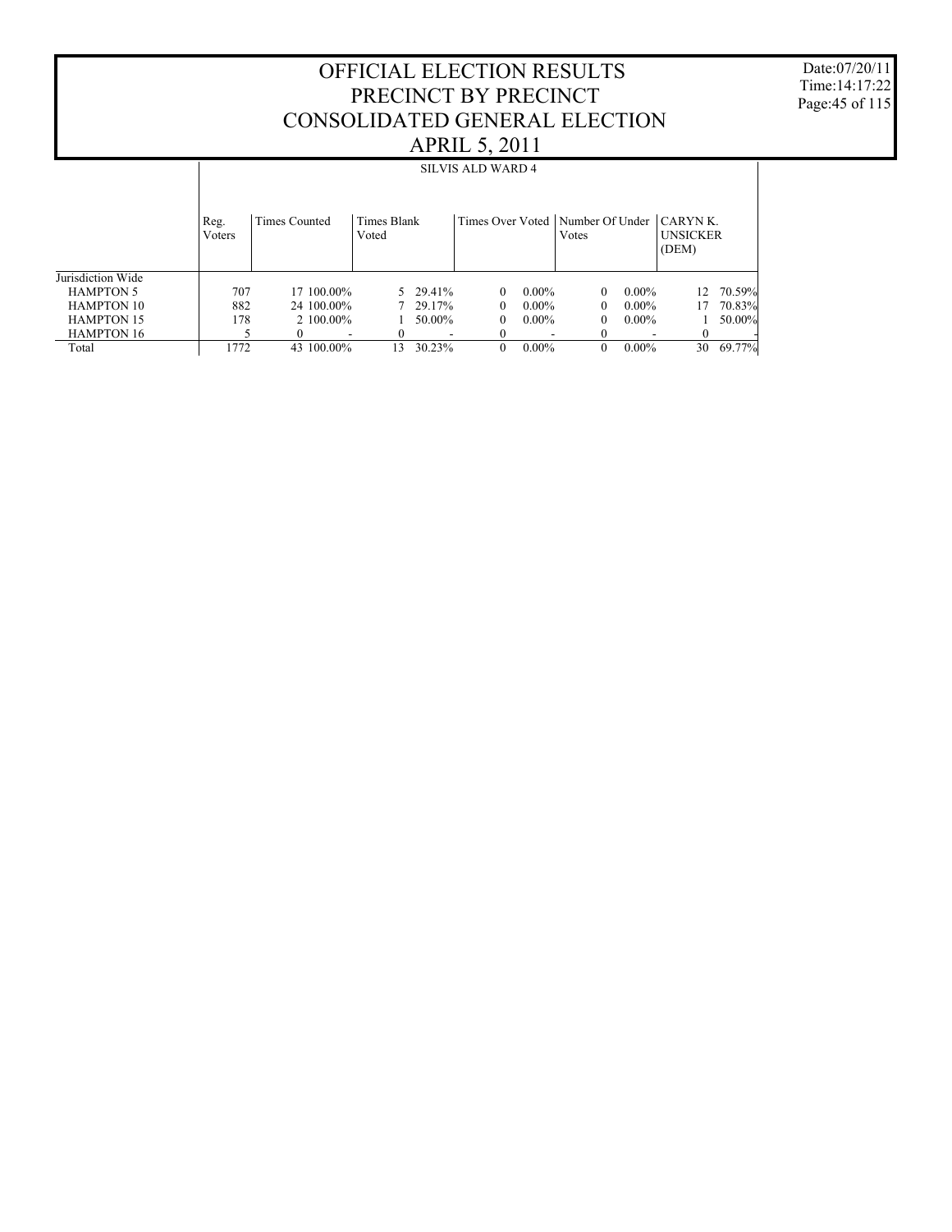Date:07/20/11 Time:14:17:22 Page:45 of 115

|                   |                | <b>SILVIS ALD WARD 4</b> |                         |                               |          |                                             |                                          |        |  |  |  |
|-------------------|----------------|--------------------------|-------------------------|-------------------------------|----------|---------------------------------------------|------------------------------------------|--------|--|--|--|
|                   | Reg.<br>Voters | Times Counted            | Times Blank<br>Voted    |                               |          | Times Over Voted   Number Of Under<br>Votes | $ CARYN K$ .<br><b>UNSICKER</b><br>(DEM) |        |  |  |  |
| Jurisdiction Wide |                |                          |                         |                               |          |                                             |                                          |        |  |  |  |
| <b>HAMPTON 5</b>  | 707            | 17 100.00%               | 5 29.41%                | $\theta$                      | $0.00\%$ | $0.00\%$<br>$\Omega$                        | 12                                       | 70.59% |  |  |  |
| <b>HAMPTON 10</b> | 882            | 24 100 00%               | 7 29.17%                | $\Omega$                      | $0.00\%$ | 0<br>$0.00\%$                               | 17                                       | 70.83% |  |  |  |
| <b>HAMPTON 15</b> | 178            | $2.100.00\%$             | 50.00%                  | 0                             | $0.00\%$ | $0.00\%$<br>$\Omega$                        |                                          | 50.00% |  |  |  |
| <b>HAMPTON 16</b> |                |                          | 0                       | 0<br>$\overline{\phantom{a}}$ |          | $\Omega$<br>$\overline{\phantom{a}}$        | $\Omega$                                 |        |  |  |  |
| Total             | 1772           | 43 100 00%               | 30.23%<br>$\mathcal{E}$ | $\Omega$                      | $0.00\%$ | $0.00\%$<br>$\Omega$                        | 30                                       | 69.77% |  |  |  |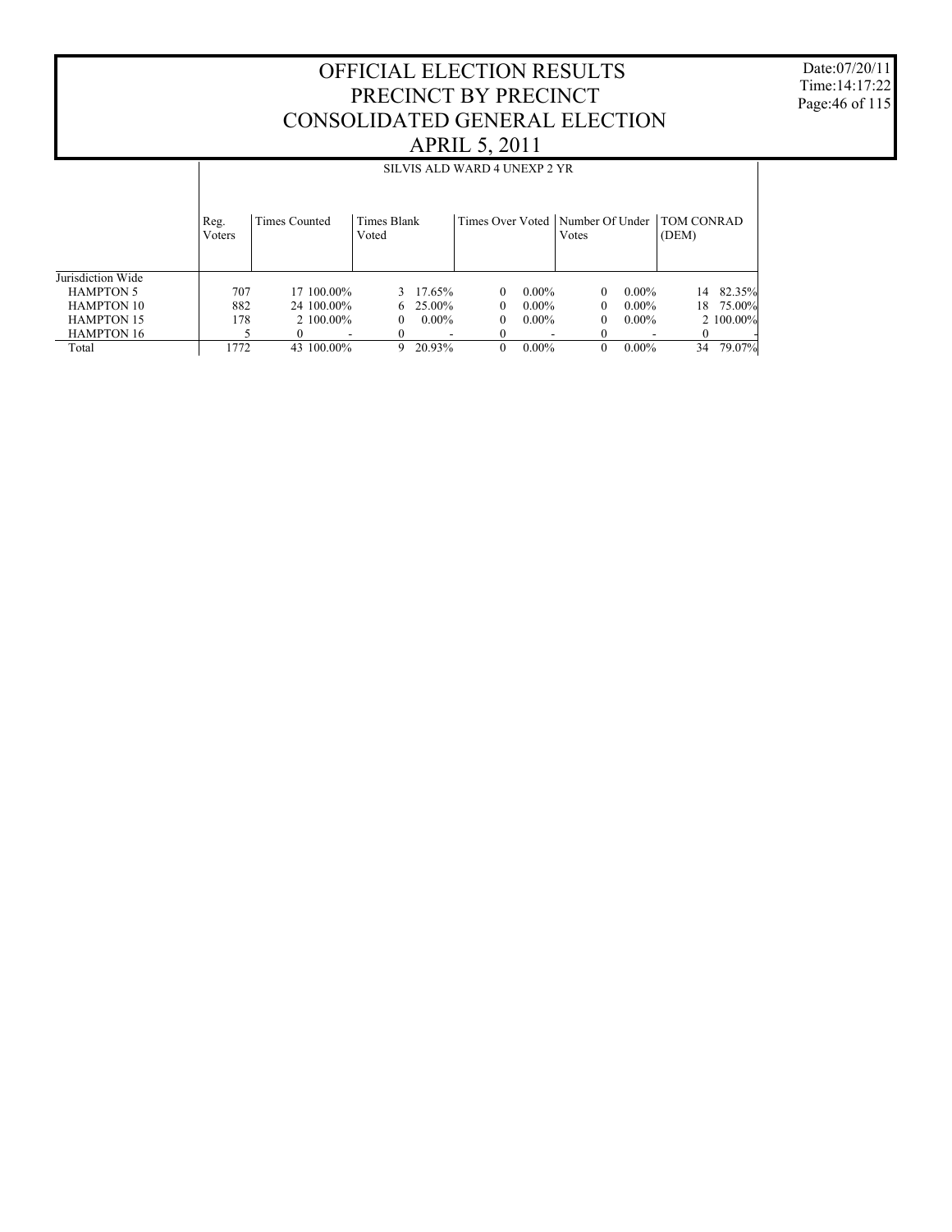Date:07/20/11 Time:14:17:22 Page:46 of 115

|                   |                | SILVIS ALD WARD 4 UNEXP 2 YR |                      |                      |                                                          |              |  |  |  |  |  |
|-------------------|----------------|------------------------------|----------------------|----------------------|----------------------------------------------------------|--------------|--|--|--|--|--|
|                   | Reg.<br>Voters | <b>Times Counted</b>         | Times Blank<br>Voted |                      | Times Over Voted   Number Of Under   TOM CONRAD<br>Votes | (DEM)        |  |  |  |  |  |
| Jurisdiction Wide |                |                              |                      |                      |                                                          |              |  |  |  |  |  |
| <b>HAMPTON 5</b>  | 707            | 17 100.00%                   | 3 17.65%             | $0.00\%$<br>$\Omega$ | $0.00\%$<br>$\Omega$                                     | 82.35%<br>14 |  |  |  |  |  |
| <b>HAMPTON 10</b> | 882            | 24 100 00%                   | 25.00%<br>6.         | $0.00\%$<br>$\Omega$ | $0.00\%$<br>0                                            | 75.00%<br>18 |  |  |  |  |  |
| <b>HAMPTON 15</b> | 178            | $2.100.00\%$                 | $0.00\%$             | $0.00\%$<br>$\Omega$ | $0.00\%$<br>0                                            | $2,100.00\%$ |  |  |  |  |  |
| <b>HAMPTON 16</b> |                |                              | $\Omega$             |                      |                                                          | $_{0}$       |  |  |  |  |  |
| Total             | 1772           | 43 100.00%                   | 9<br>20.93%          | $0.00\%$<br>0        | $\Omega$<br>$0.00\%$                                     | 34<br>79.07% |  |  |  |  |  |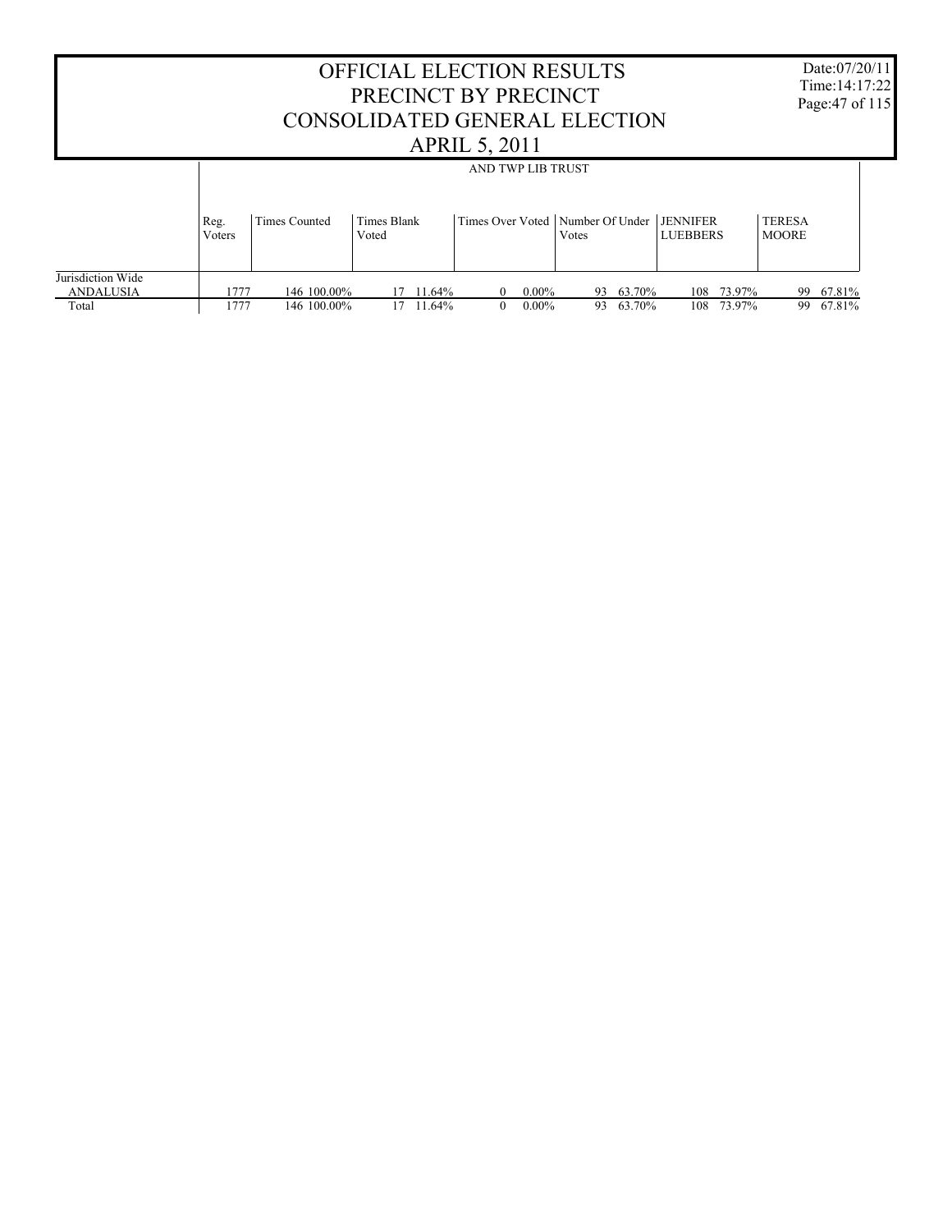|                                       |                | <b>OFFICIAL ELECTION RESULTS</b><br>PRECINCT BY PRECINCT<br>CONSOLIDATED GENERAL ELECTION |                      |           |                      |                   |       |        |                                                                  |            | Date:07/20/11<br>Time: $14:17:22$<br>Page: 47 of 115 |           |  |
|---------------------------------------|----------------|-------------------------------------------------------------------------------------------|----------------------|-----------|----------------------|-------------------|-------|--------|------------------------------------------------------------------|------------|------------------------------------------------------|-----------|--|
|                                       |                |                                                                                           |                      |           | <b>APRIL 5, 2011</b> |                   |       |        |                                                                  |            |                                                      |           |  |
|                                       |                |                                                                                           |                      |           |                      | AND TWP LIB TRUST |       |        |                                                                  |            |                                                      |           |  |
|                                       | Reg.<br>Voters | Times Counted                                                                             | Times Blank<br>Voted |           |                      |                   | Votes |        | Times Over Voted   Number Of Under   JENNIFER<br><b>LUEBBERS</b> |            | <b>TERESA</b><br><b>MOORE</b>                        |           |  |
| Jurisdiction Wide<br><b>ANDALUSIA</b> | 1777           | 146 100.00%                                                                               |                      | 17 11.64% | 0                    | $0.00\%$          | 93.   | 63.70% | 108                                                              | 73.97%     | 99                                                   | 67.81%    |  |
| Total                                 | 1777           | 146 100.00%                                                                               |                      | 17 11.64% | $\overline{0}$       | $0.00\%$          | 93    | 63.70% |                                                                  | 108 73.97% |                                                      | 99 67.81% |  |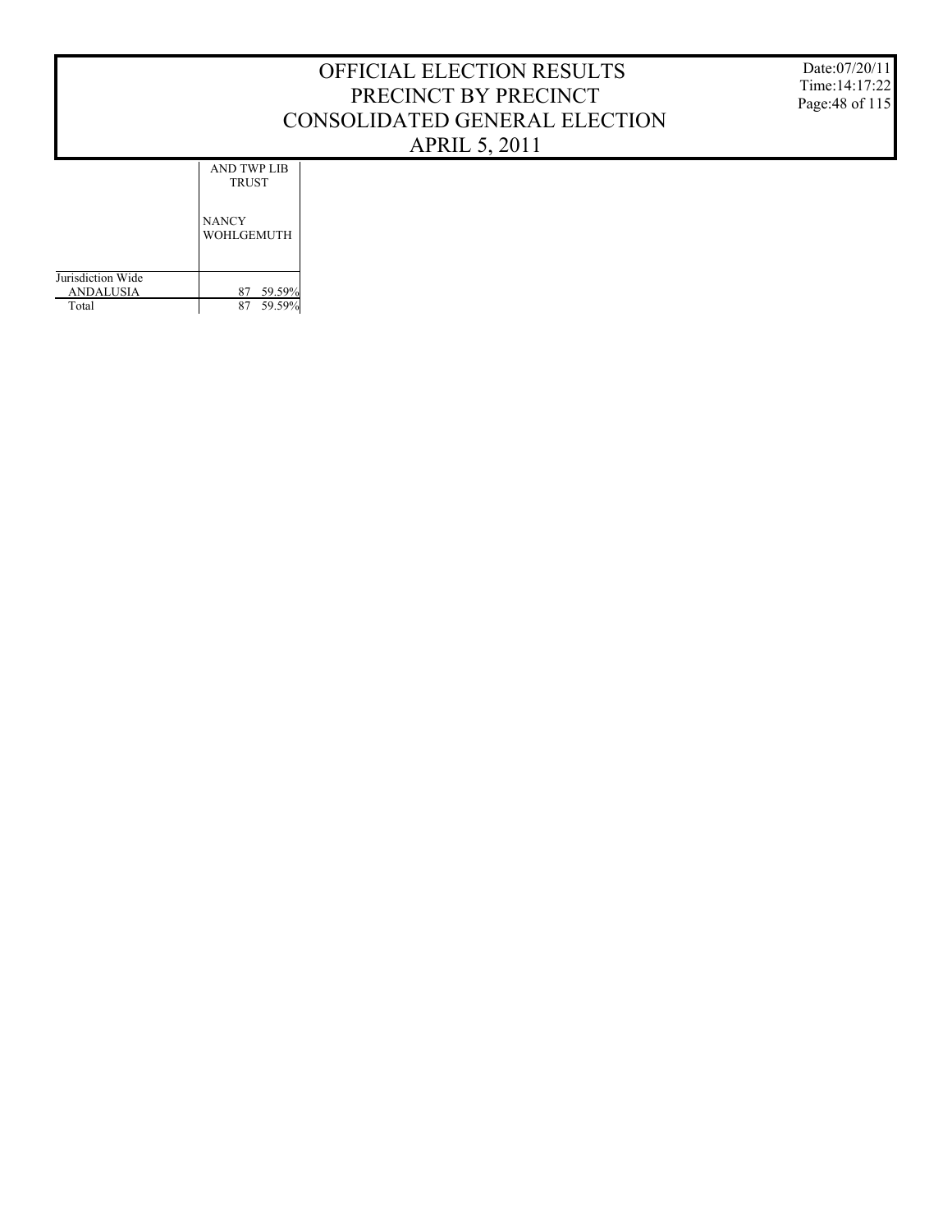Date:07/20/11 Time:14:17:22 Page:48 of 115

NANCY AND TWP LIB TRUST

|                                | NANU<br><b>WOHLGEMUTH</b> |
|--------------------------------|---------------------------|
| Jurisdiction Wide<br>ANDALUSIA | 59.59%<br>87              |
| Total                          | 59.59%<br>87              |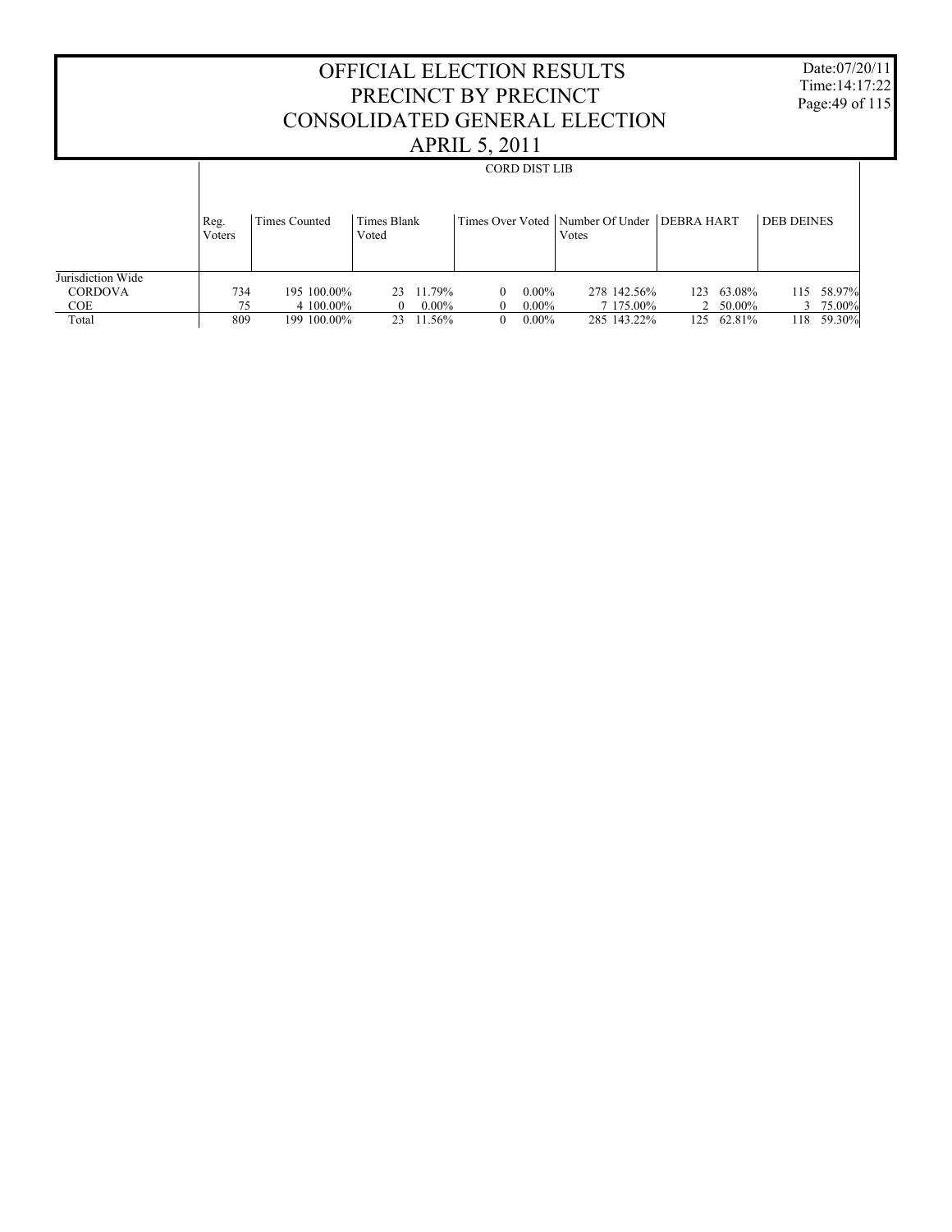OFFICIAL ELECTION RESULTS PRECINCT BY PRECINCT CONSOLIDATED GENERAL ELECTION APRIL 5, 2011 Date:07/20/11 Time:14:17:22 Page:49 of 115 Jurisdiction Wide **CORDOVA COE**  Total Reg. Voters Times Counted | Times Blank Voted Times Over Voted | Number Of Under | DEBRA HART | DEB DEINES Votes CORD DIST LIB 734 195 100.00% 23 11.79% 0 0.00% 278 142.56% 123 63.08% 115 58.97% 75 4 100.00% 0 0.00% 0 0.00% 7 175.00% 2 50.00% 3 75.00% 285 143.22%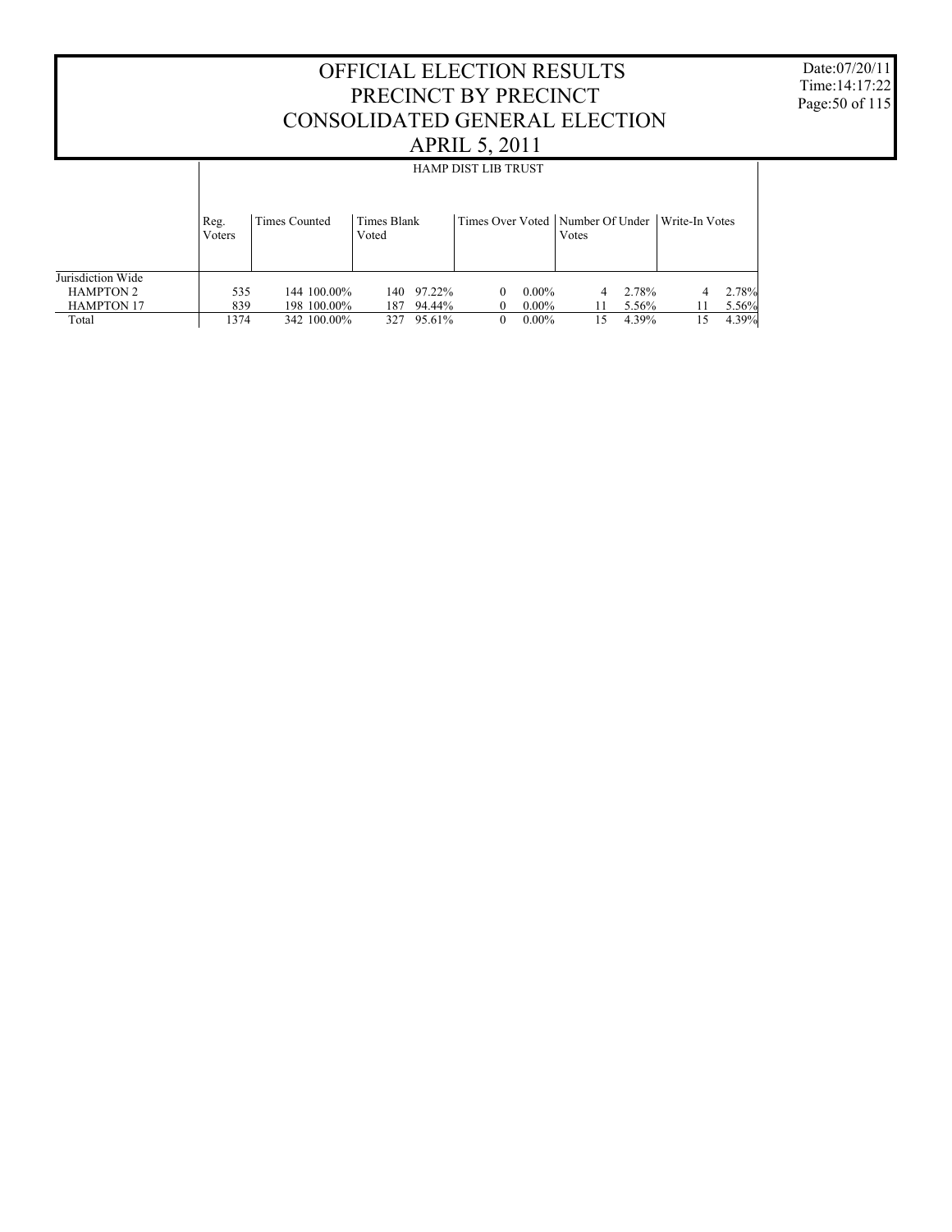Date:07/20/11 Time:14:17:22 Page:50 of 115

|                                       |                |                            |                                | <b>HAMP DIST LIB TRUST</b>       |                          |                      |
|---------------------------------------|----------------|----------------------------|--------------------------------|----------------------------------|--------------------------|----------------------|
|                                       | Reg.<br>Voters | Times Counted              | Times Blank<br>Voted           | Times Over Voted                 | Number Of Under<br>Votes | Write-In Votes       |
| Jurisdiction Wide<br><b>HAMPTON 2</b> | 535            | 144 100.00%                | 140 97.22%                     | $0.00\%$<br>$\theta$             | 2.78%<br>4               | 2.78%                |
| <b>HAMPTON 17</b><br>Total            | 839<br>1374    | 198 100.00%<br>342 100.00% | 94.44%<br>187<br>95.61%<br>327 | $0.00\%$<br>$0.00\%$<br>$\theta$ | 5.56%<br>4.39%<br>15     | 5.56%<br>4.39%<br>15 |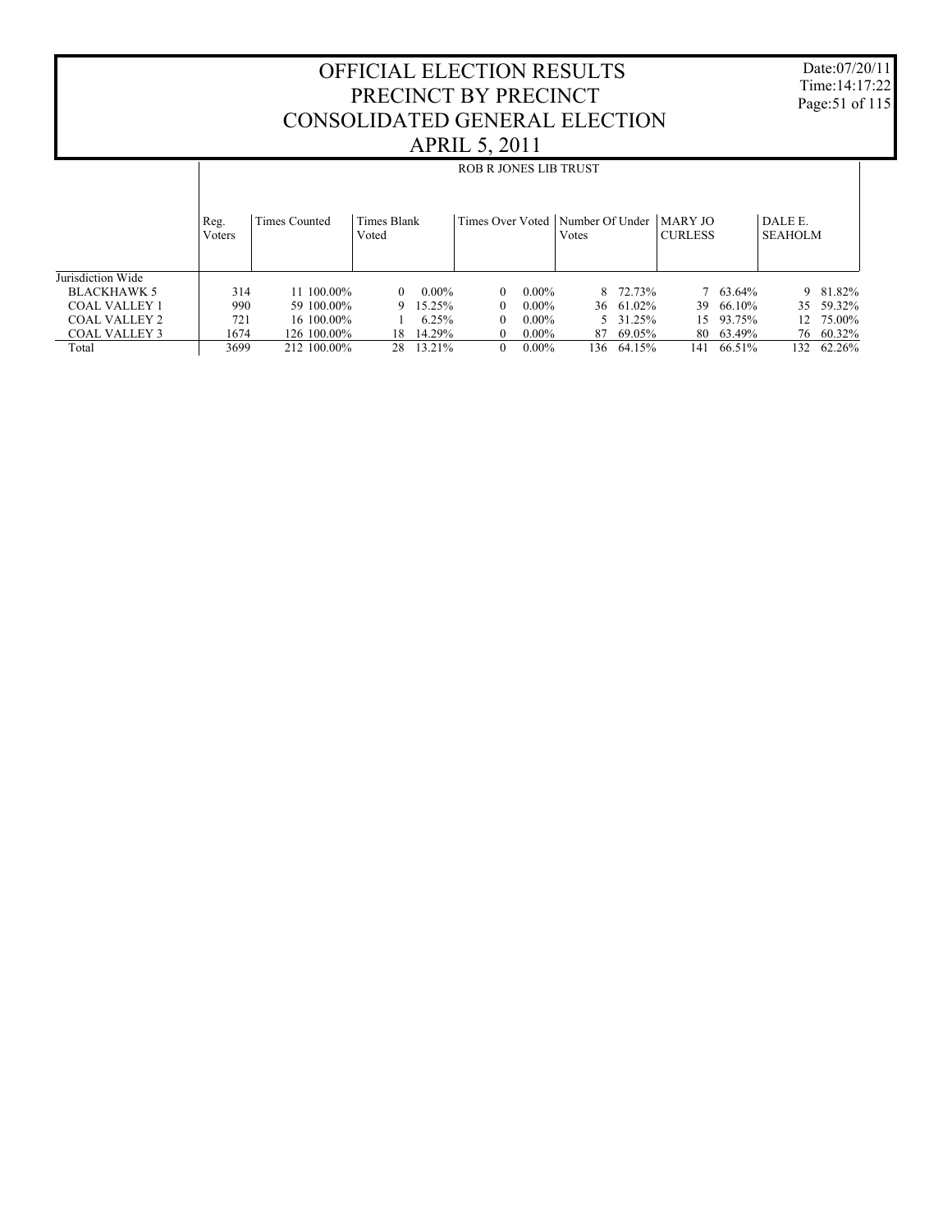Date:07/20/11 Time:14:17:22 Page:51 of 115

|                      |                |               |                             | <b>ROB R JONES LIB TRUST</b> |                                             |                           |                            |
|----------------------|----------------|---------------|-----------------------------|------------------------------|---------------------------------------------|---------------------------|----------------------------|
|                      | Reg.<br>Voters | Times Counted | <b>Times Blank</b><br>Voted |                              | Times Over Voted   Number Of Under<br>Votes | MARY JO<br><b>CURLESS</b> | DALE E.<br><b>SEAHOLM</b>  |
| Jurisdiction Wide    |                |               |                             |                              |                                             |                           |                            |
| <b>BLACKHAWK 5</b>   | 314            | 11 100 00%    | $0.00\%$<br>0               | $0.00\%$<br>$\Omega$         | 8 72.73%                                    | 7 63.64%                  | 9 81.82%                   |
| <b>COAL VALLEY 1</b> | 990            | 59 100 00%    | $15.25\%$<br>9.             | $0.00\%$<br>$\Omega$         | 36 61.02%                                   | 39 66.10%                 | 59.32%<br>35               |
| COAL VALLEY 2        | 721            | 16 100 00%    | 6.25%                       | $0.00\%$<br>0                | 5 31.25%                                    | 15 93.75%                 | 75.00%<br>12 <sup>12</sup> |
| <b>COAL VALLEY 3</b> | 1674           | 126 100.00%   | 14.29%<br>18.               | $0.00\%$<br>$\Omega$         | 69.05%<br>87                                | 80 63.49%                 | 60.32%<br>76               |
| Total                | 3699           | 212 100.00%   | 13.21%<br>28                | $0.00\%$<br>$\Omega$         | 64.15%<br>136.                              | 66.51%<br>141             | 132<br>62.26%              |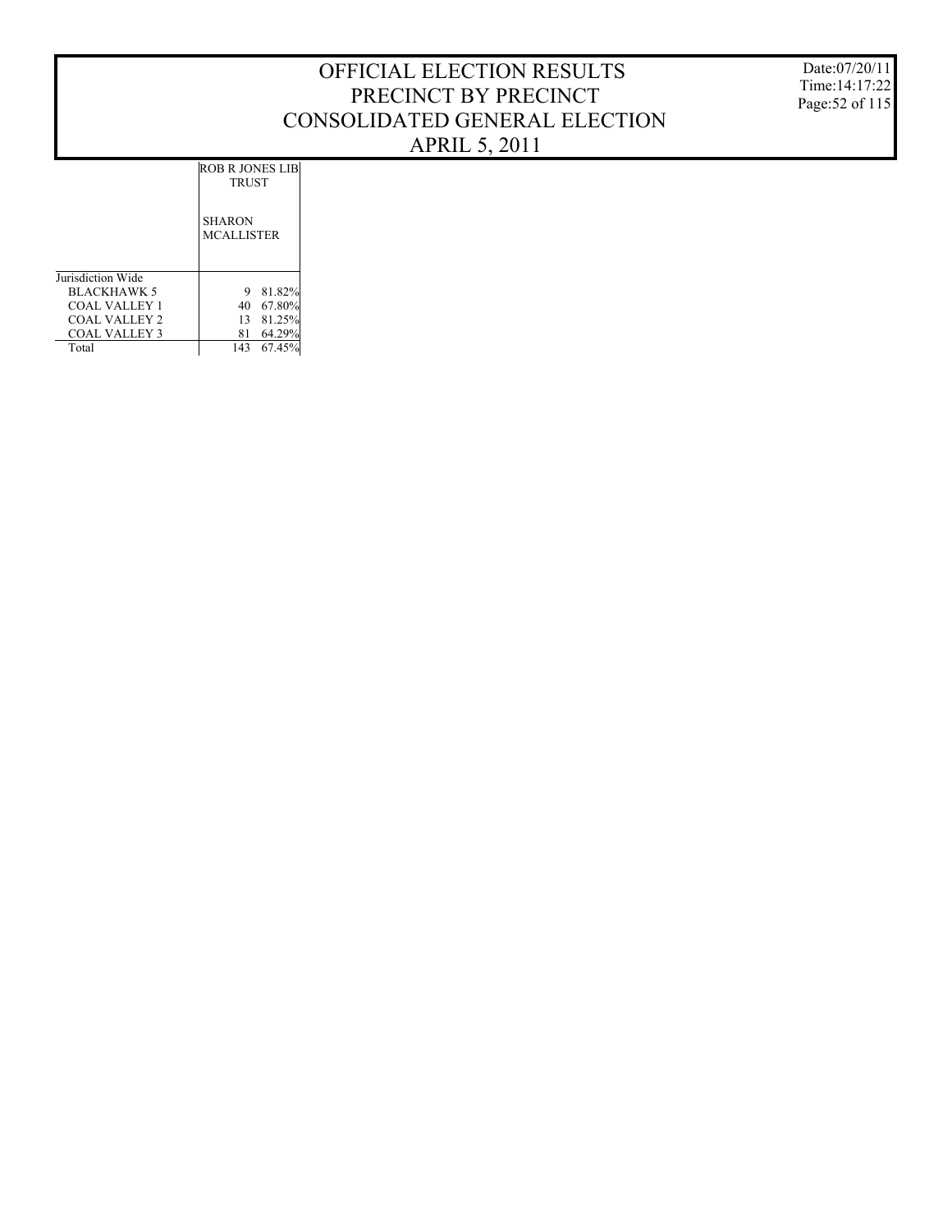Date:07/20/11 Time:14:17:22 Page:52 of 115

ROB R JONES LIB **TRUST** 

SHARON MCALLISTER

| Jurisdiction Wide    |    |            |
|----------------------|----|------------|
| <b>BLACKHAWK 5</b>   |    | 9 81.82%   |
| <b>COAL VALLEY 1</b> |    | 40 67.80%  |
| COAL VALLEY 2        |    | 13 81.25%  |
| COAL VALLEY 3        | 81 | 64.29%     |
| Total                |    | 143 67.45% |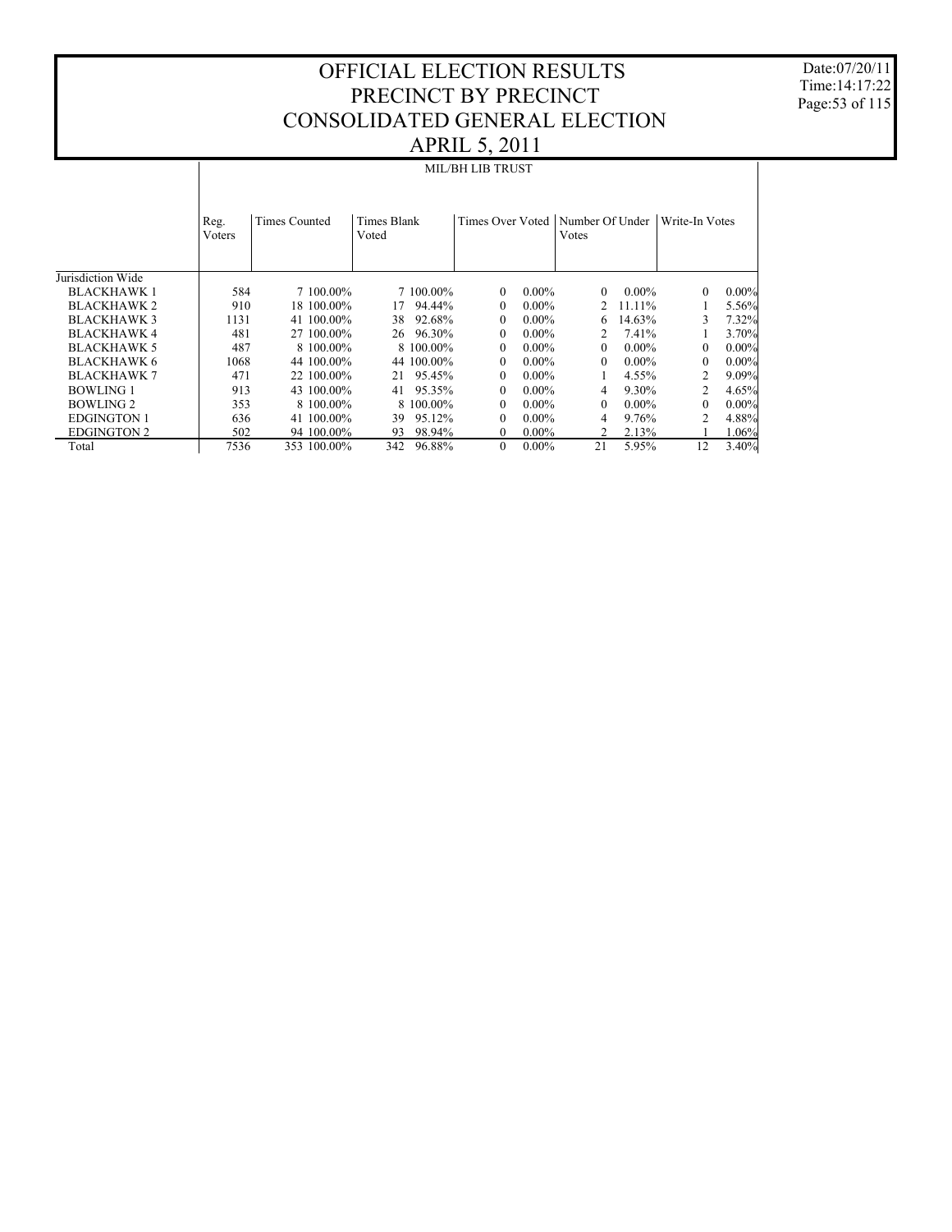Date:07/20/11 Time:14:17:22 Page:53 of 115

|                    |                |               |                      | <b>MIL/BH LIB TRUST</b> |          |                                             |          |                |          |
|--------------------|----------------|---------------|----------------------|-------------------------|----------|---------------------------------------------|----------|----------------|----------|
|                    | Reg.<br>Voters | Times Counted | Times Blank<br>Voted |                         |          | Times Over Voted   Number Of Under<br>Votes |          | Write-In Votes |          |
| Jurisdiction Wide  |                |               |                      |                         |          |                                             |          |                |          |
| <b>BLACKHAWK1</b>  | 584            | 7 100,00%     | 7 100.00%            | $\Omega$                | $0.00\%$ | 0                                           | $0.00\%$ | $\mathbf{0}$   | 0.00%    |
| <b>BLACKHAWK 2</b> | 910            | 18 100 00%    | 94.44%<br>17         | $\Omega$                | $0.00\%$ | $\mathcal{D}$                               | 11.11%   |                | 5.56%    |
| <b>BLACKHAWK 3</b> | 1131           | 41 100,00%    | 92.68%<br>38         | $\Omega$                | $0.00\%$ | 6                                           | 14.63%   | 3              | 7.32%    |
| <b>BLACKHAWK 4</b> | 481            | 27 100.00%    | 96.30%<br>26         | $\Omega$                | $0.00\%$ | 2                                           | 7.41%    |                | 3.70%    |
| <b>BLACKHAWK 5</b> | 487            | 8 100,00%     | 8 100.00%            | $\Omega$                | $0.00\%$ | $\Omega$                                    | $0.00\%$ | $\mathbf{0}$   | $0.00\%$ |
| <b>BLACKHAWK 6</b> | 1068           | 44 100 00%    | 44 100.00%           | $\Omega$                | $0.00\%$ | $\Omega$                                    | $0.00\%$ | $\mathbf{0}$   | 0.00%    |
| <b>BLACKHAWK 7</b> | 471            | 22 100.00%    | 95.45%<br>21         | $\Omega$                | $0.00\%$ |                                             | 4.55%    | 2              | 9.09%    |
| <b>BOWLING 1</b>   | 913            | 43 100 00%    | 95.35%<br>41         | $\Omega$                | $0.00\%$ | 4                                           | $9.30\%$ | 2              | 4.65%    |
| <b>BOWLING 2</b>   | 353            | 8 100,00%     | 8 100.00%            | $\Omega$                | $0.00\%$ | $\Omega$                                    | $0.00\%$ | $\mathbf{0}$   | $0.00\%$ |
| <b>EDGINGTON 1</b> | 636            | 41 100,00%    | 95.12%<br>39         | $\Omega$                | $0.00\%$ | 4                                           | 9.76%    | $\overline{c}$ | 4.88%    |
| <b>EDGINGTON 2</b> | 502            | 94 100.00%    | 98.94%<br>93         | $\mathbf{0}$            | $0.00\%$ |                                             | 2.13%    |                | 1.06%    |
| Total              | 7536           | 353 100.00%   | 96.88%<br>342        | $\Omega$                | $0.00\%$ | 21                                          | 5.95%    | 12             | 3.40%    |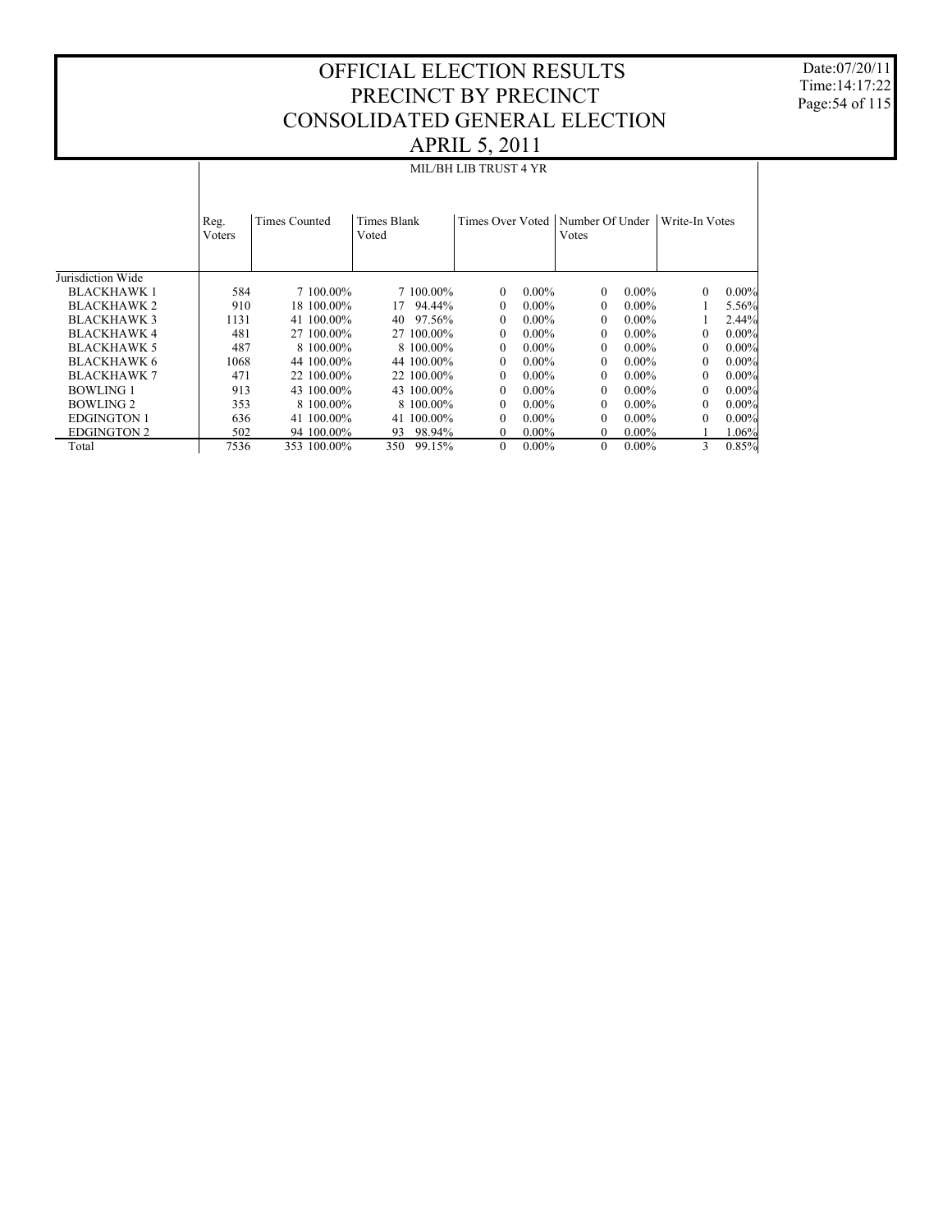Date:07/20/11 Time:14:17:22 Page:54 of 115

#### Jurisdiction Wide BLACKHAWK 1 BLACKHAWK 2 BLACKHAWK 3 BLACKHAWK 4 BLACKHAWK 5 BLACKHAWK 6 BLACKHAWK 7 BOWLING 1 BOWLING 2 EDGINGTON 1 EDGINGTON 2 Total Reg. Voters Times Counted | Times Blank Voted Times Over Voted | Number Of Under | Write-In Votes Votes MIL/BH LIB TRUST 4 YR 584 7 100.00% 7 100.00% 0 0.00% 0 0.00% 0 0.00% 910 18 100.00% 17 94.44% 0 0.00% 0 0.00% 1 5.56%  $\begin{array}{ccccccccc} 41 & 100.00\% & & & 40 & 97.56\% & & & 0 & 0.00\% & & & 0 & 0.00\% & & & 1 & 2.44\% \end{array}$  $\begin{array}{cccccccc} 481 & \quad & 27 \, \, 100.00\% & \quad & 27 \, \, 100.00\% & \quad & 0 & \,\, 0.00\% & \quad & 0 & \,\, 0.00\% & \quad & 0 & \,\, 0.00\% \\ 487 & \quad & 8 \, \, 100.00\% & \quad & 8 \, \, 100.00\% & \quad & 0 & \,\, 0.00\% & \quad & 0 & \,\, 0.00\% & \quad & 0 & \,\, 0.00\% \\ \end{array}$  $\begin{array}{cccccccc} 487 & & 8\ 100.00\% & & 8\ 100.00\% & & 0 & 0.00\% & & 0 & 0.00\% \\ 1068 & & 44\ 100.00\% & & 44\ 100.00\% & & 0 & 0.00\% & & 0 & 0.00\% \\ \end{array}$  $\begin{array}{ccccccccc} 44 & 100.00\% & & & 0 & 0.00\% & & & 0 & 0.00\% \\ 22 & 100.00\% & & & 0 & 0.00\% & & & 0 & 0.00\% \\ \end{array} \quad \ \begin{array}{ccccccccc} 0 & 0.00 & & & 0 & 0.00\% & & & 0 & 0.00\% \\ 0 & 0.00 & & & 0 & 0.00\% & & & 0 & 0.00\% \\ \end{array}$  $\begin{array}{cccccccc} 471 & \quad & 22 \, \, 100.00\% & \quad & 22 \, \, 100.00\% & \quad & 0 & \, 0.00\% & \quad & 0 & \, 0.00\% & \quad & 0 & \, 0.00\% \\ 913 & \quad & 43 \, \, 100.00\% & \quad & 43 \, \, 100.00\% & \quad & 0 & \, 0.00\% & \quad & 0 & \, 0.00\% & \quad & 0 & \, 0.00\% \end{array}$ 913 43 100.00% 43 100.00% 0 0.00% 0 0.00% 0 0.00%  $\begin{array}{cccccccccccc} 353 & & 8 & 100.00\% & & 8 & 100.00\% & & 0 & 0.00\% & & 0 & 0.00\% & & 0 & 0.00\% & & 0 & 0.00\% & & 41 & 100.00\% & & 0 & 0.00\% & & 0 & 0.00\% & & 0 & 0.00\% & & 0 & 0.00\% & & 0 & 0.00\% & & 0 & 0.00\% & & 0 & 0.00\% & & 0 & 0.00\% & & 0 & 0.00\% & & 0 & 0.$ 636 41 100.00% 41 100.00% 0 0.00% 0 0.00% 0 0.00% 502 94 100.00% 93 98.94% 0 0.00% 0 0.00% 1 1.06% 7536 353 100.00% 350 99.15% 0 0.00% 0 0.00% 3 0.85%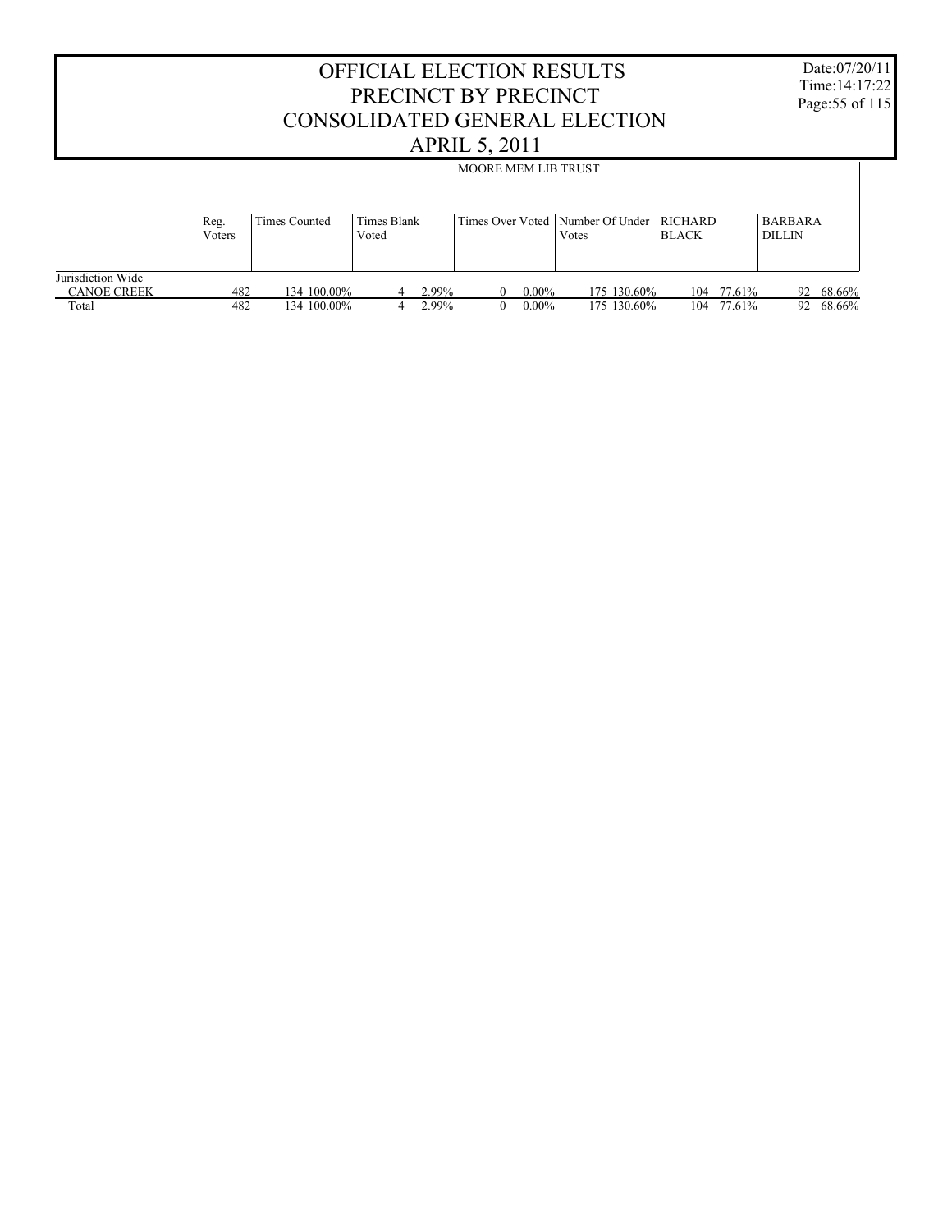| <b>OFFICIAL ELECTION RESULTS</b><br>PRECINCT BY PRECINCT<br>CONSOLIDATED GENERAL ELECTION<br><b>APRIL 5, 2011</b> |                                                                                                                                          |             |   |       |  |                            |             |                          |        | Date:07/20/11<br>Time: 14:17:22<br>Page: 55 of 115 |           |
|-------------------------------------------------------------------------------------------------------------------|------------------------------------------------------------------------------------------------------------------------------------------|-------------|---|-------|--|----------------------------|-------------|--------------------------|--------|----------------------------------------------------|-----------|
|                                                                                                                   |                                                                                                                                          |             |   |       |  | <b>MOORE MEM LIB TRUST</b> |             |                          |        |                                                    |           |
|                                                                                                                   | Times Over Voted   Number Of Under   RICHARD<br>Times Counted<br>Times Blank<br>Reg.<br><b>BLACK</b><br>Voters<br>Voted<br><b>V</b> otes |             |   |       |  |                            |             | <b>BARBARA</b><br>DILLIN |        |                                                    |           |
| Jurisdiction Wide<br><b>CANOE CREEK</b>                                                                           | 482                                                                                                                                      | 134 100.00% |   | 2.99% |  | $0.00\%$                   | 175 130.60% | 104                      | 77.61% | 92                                                 | 68.66%    |
| Total                                                                                                             | 482                                                                                                                                      | 134 100.00% | 4 | 2.99% |  | $0.00\%$<br>$\theta$       | 175 130.60% | 104                      | 77.61% |                                                    | 92 68.66% |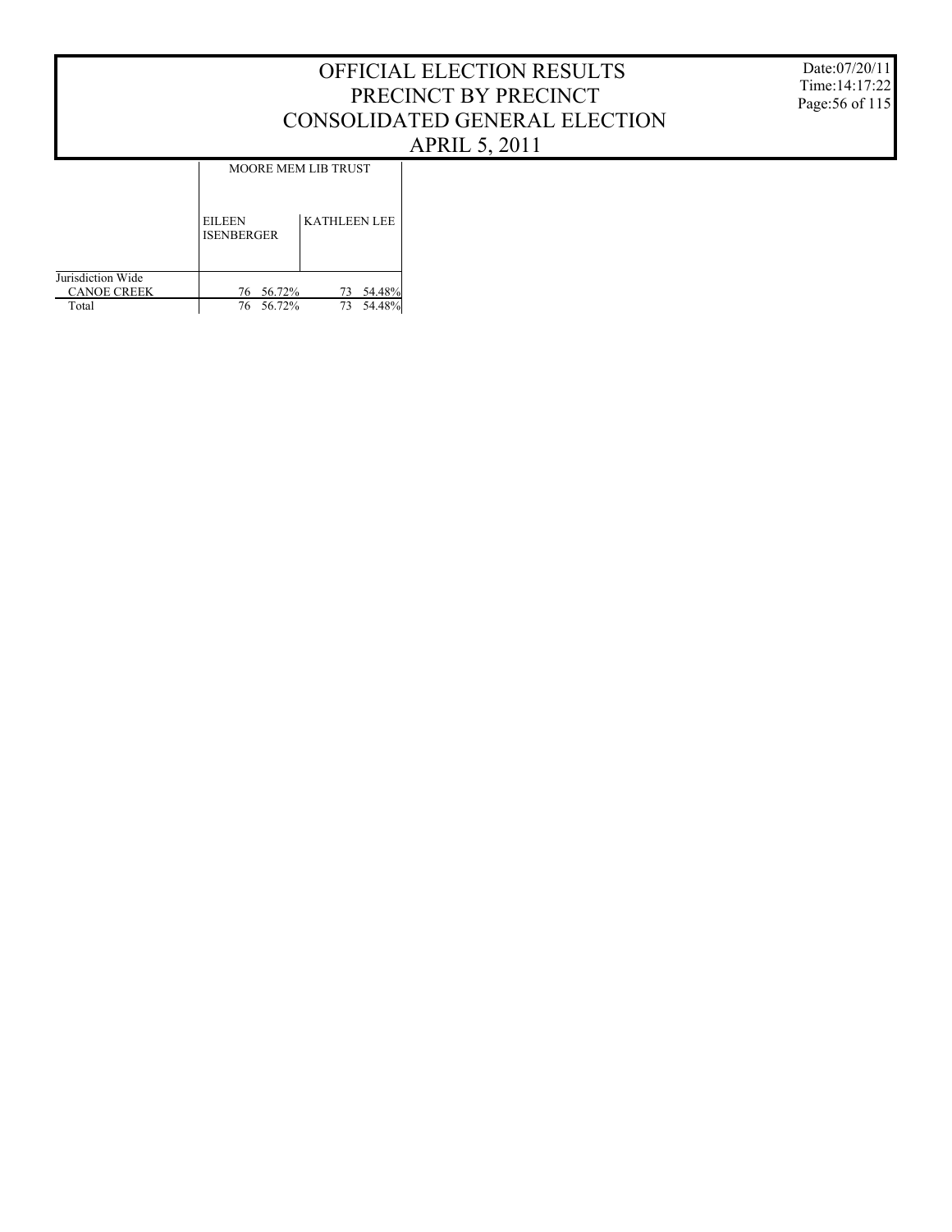Date:07/20/11 Time:14:17:22 Page:56 of 115

MOORE MEM LIB TRUST

|                    | <b>EILEEN</b><br><b>ISENBERGER</b> | <b>KATHLEEN LEE</b> |
|--------------------|------------------------------------|---------------------|
| Jurisdiction Wide  |                                    |                     |
| <b>CANOE CREEK</b> | 76 56.72%                          | 73 54.48%           |
| Total              | 76 56.72%                          | 73                  |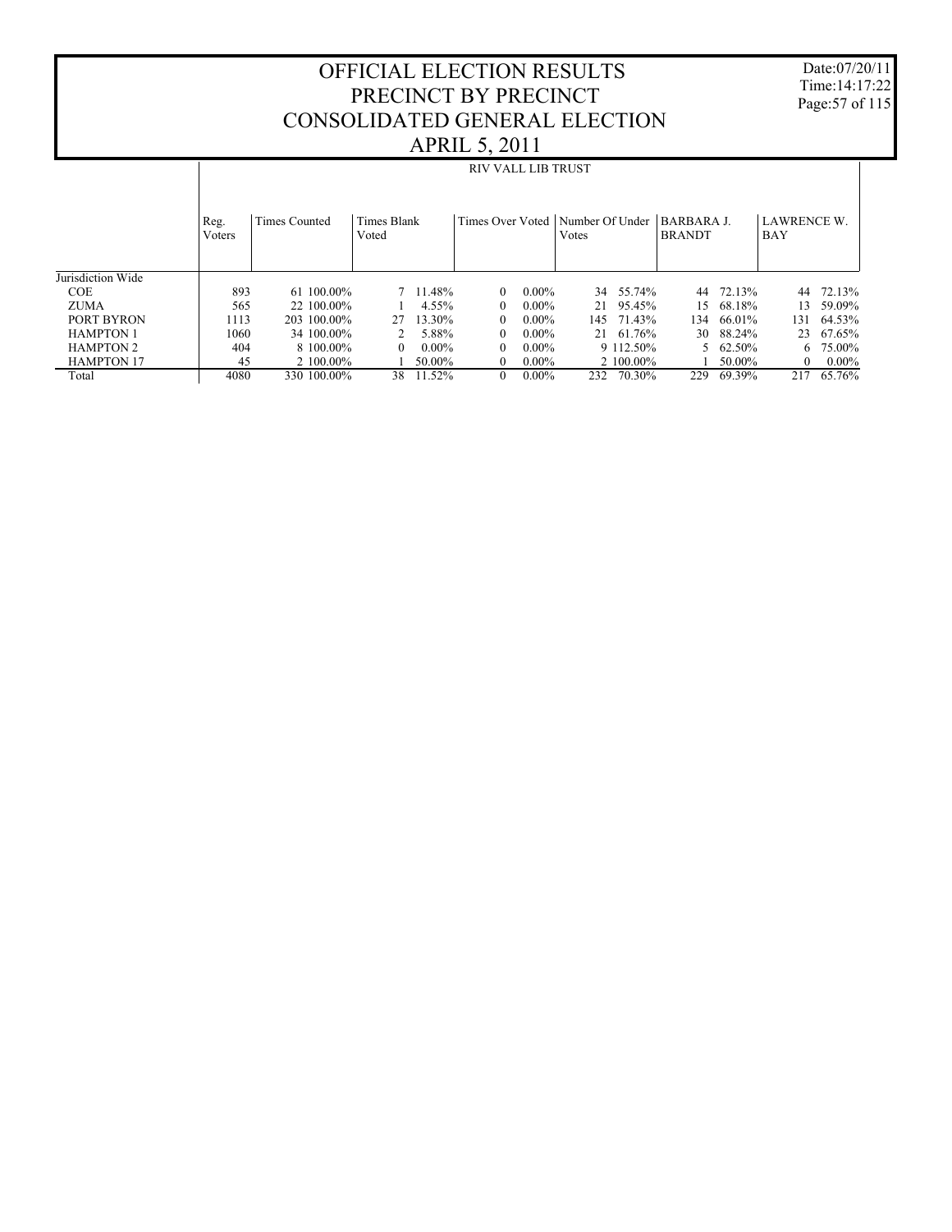Date:07/20/11 Time:14:17:22 Page:57 of 115

|                   |                |               |                      |          | <b>RIV VALL LIB TRUST</b> |          |                          |           |                             |             |                                  |          |
|-------------------|----------------|---------------|----------------------|----------|---------------------------|----------|--------------------------|-----------|-----------------------------|-------------|----------------------------------|----------|
|                   | Reg.<br>Voters | Times Counted | Times Blank<br>Voted |          | Times Over Voted          |          | Number Of Under<br>Votes |           | BARBARA J.<br><b>BRANDT</b> |             | <b>LAWRENCE W.</b><br><b>BAY</b> |          |
| Jurisdiction Wide |                |               |                      |          |                           |          |                          |           |                             |             |                                  |          |
| <b>COE</b>        | 893            | 61 100.00%    |                      | 11.48%   | $\Omega$                  | $0.00\%$ | 34                       | 55.74%    | 44                          | 72.13%      | 44                               | 72.13%   |
| <b>ZUMA</b>       | 565            | 22 100,00%    |                      | 4.55%    | $\Omega$                  | $0.00\%$ | 21                       | 95.45%    | 15.                         | 68.18%      | 13                               | 59.09%   |
| PORT BYRON        | 1113           | 203 100.00%   | 27                   | 13.30%   | $\Omega$                  | $0.00\%$ | 145                      | 71.43%    | 134                         | 66.01%      | 131                              | 64.53%   |
| <b>HAMPTON 1</b>  | 1060           | 34 100 00%    |                      | 5.88%    | $\Omega$                  | $0.00\%$ |                          | 21 61.76% | 30                          | 88.24%      | 23                               | 67.65%   |
| <b>HAMPTON 2</b>  | 404            | 8 100 00%     | $\theta$             | $0.00\%$ | $\Omega$                  | $0.00\%$ |                          | 9 112.50% |                             | 5 $62.50\%$ | 6                                | 75.00%   |
| <b>HAMPTON 17</b> | 45             | 2 100,00%     |                      | 50.00%   | $\theta$                  | $0.00\%$ |                          | 2 100,00% |                             | 50.00%      | $\Omega$                         | $0.00\%$ |
| Total             | 4080           | 330 100.00%   | 38                   | 11.52%   | $\Omega$                  | $0.00\%$ | 232                      | 70.30%    | 229                         | 69.39%      | 217                              | 65.76%   |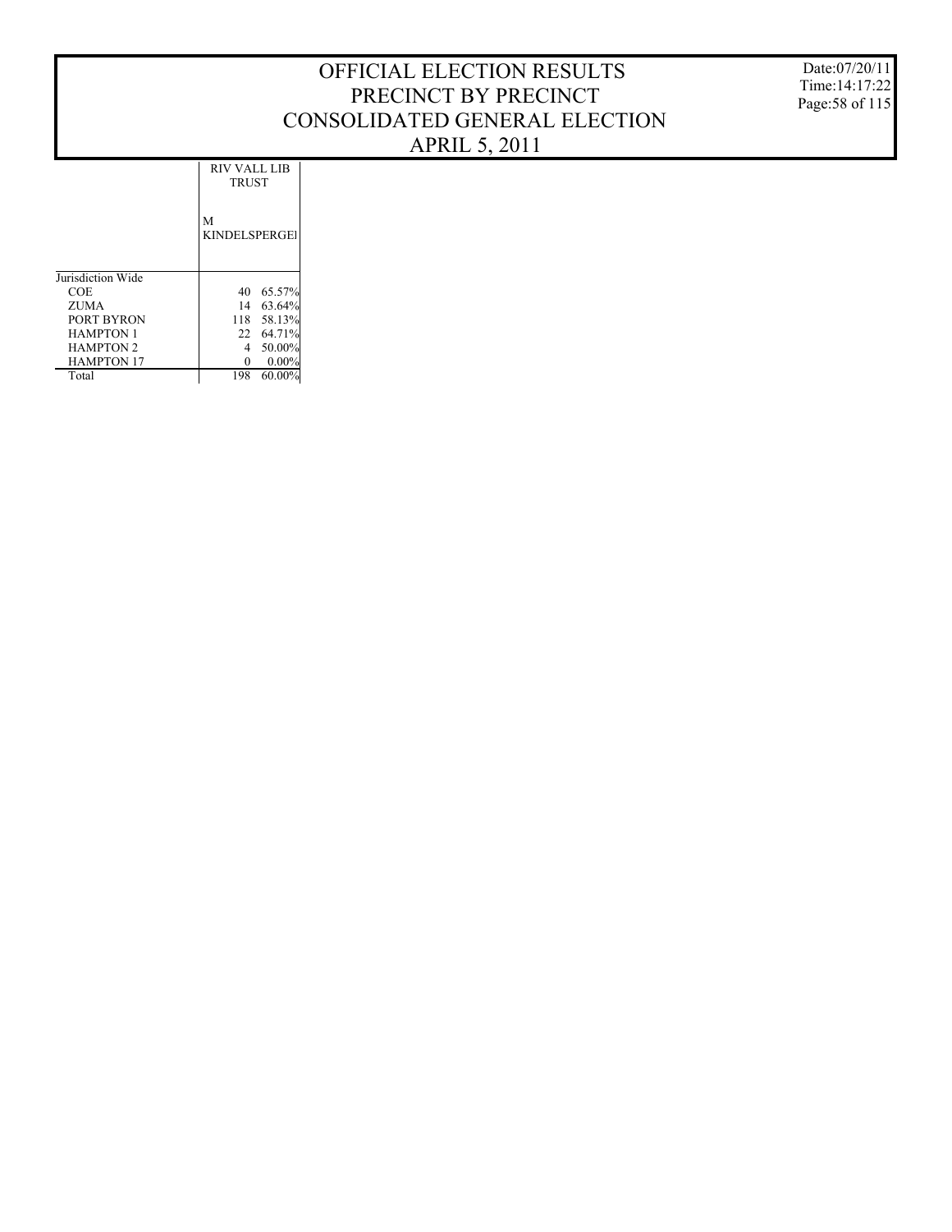Date:07/20/11 Time:14:17:22 Page:58 of 115

| RIV VALL LIB<br><b>TRUST</b> |
|------------------------------|
| м<br>KINDELSPERGEI           |

| Jurisdiction Wide |    |            |
|-------------------|----|------------|
| COE               | 40 | 65.57%     |
| ZUMA              |    | 14 63.64%  |
| PORT BYRON        |    | 118 58.13% |
| <b>HAMPTON 1</b>  |    | 22 64.71%  |
| <b>HAMPTON 2</b>  |    | 50.00%     |
| <b>HAMPTON 17</b> |    | $0.00\%$   |
| Total             |    |            |
|                   |    |            |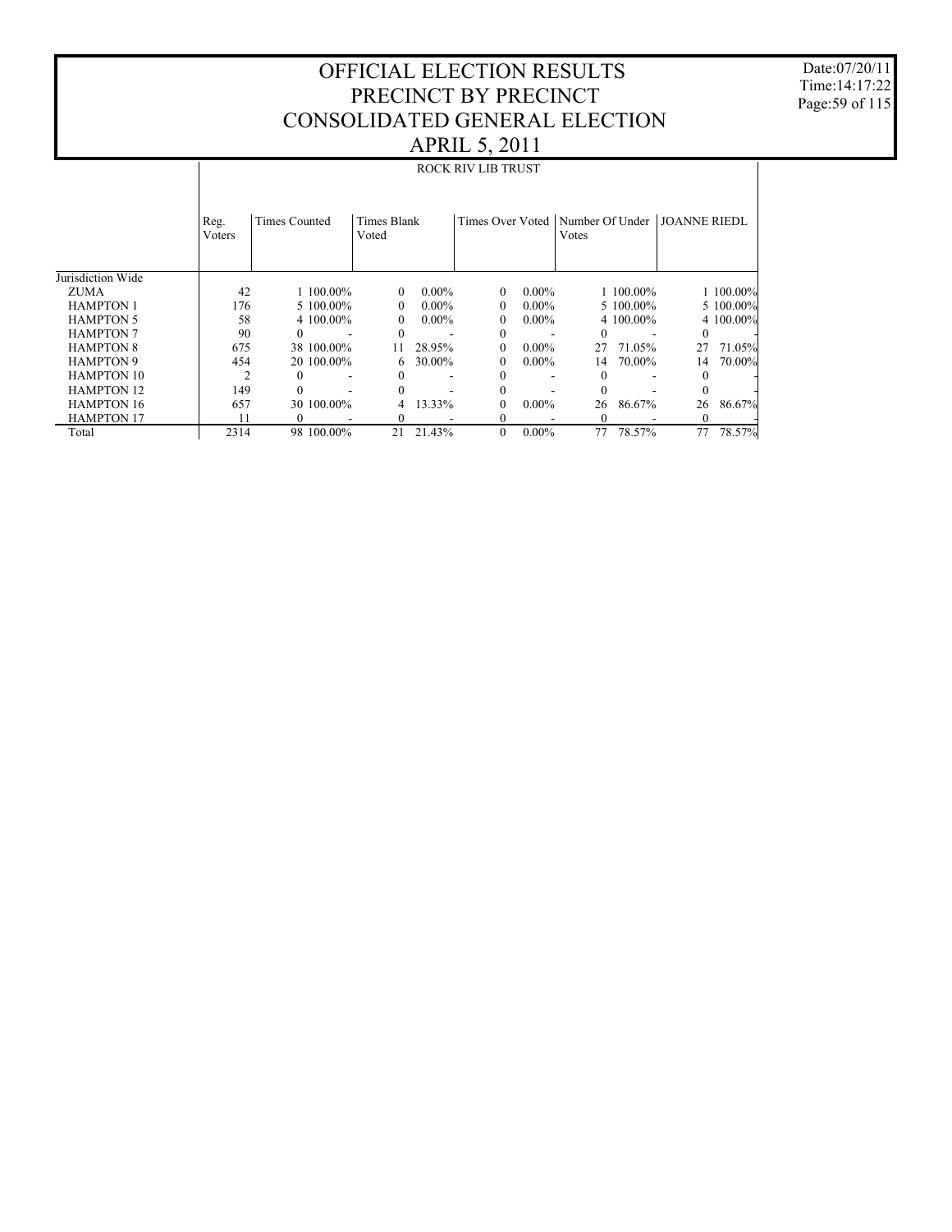Date:07/20/11 Time:14:17:22 Page:59 of 115

|                   |                | <b>ROCK RIV LIB TRUST</b> |                      |                  |                                                   |          |       |           |          |               |  |  |  |
|-------------------|----------------|---------------------------|----------------------|------------------|---------------------------------------------------|----------|-------|-----------|----------|---------------|--|--|--|
|                   | Reg.<br>Voters | Times Counted             | Times Blank<br>Voted |                  | Times Over Voted   Number Of Under   JOANNE RIEDL |          | Votes |           |          |               |  |  |  |
| Jurisdiction Wide |                |                           |                      |                  |                                                   |          |       |           |          |               |  |  |  |
| <b>ZUMA</b>       | 42             | 1 100,00%                 | $\Omega$             | $0.00\%$         | $\left($                                          | $0.00\%$ |       | 1 100,00% |          | $1\,100.00\%$ |  |  |  |
| <b>HAMPTON 1</b>  | 176            | 5 100,00%                 | $\theta$             | $0.00\%$         | $\Omega$                                          | $0.00\%$ |       | 5 100,00% |          | 5 100,00%     |  |  |  |
| <b>HAMPTON 5</b>  | 58             | 4 100,00%                 | $\theta$             | $0.00\%$         | $\Omega$                                          | $0.00\%$ |       | 4 100,00% |          | 4 100,00%     |  |  |  |
| <b>HAMPTON 7</b>  | 90             | $\theta$                  |                      |                  | $\Omega$                                          |          |       |           | $\theta$ |               |  |  |  |
| <b>HAMPTON 8</b>  | 675            | 38 100.00%                | 11                   | 28.95%           | $\Omega$                                          | $0.00\%$ | 27    | 71.05%    | 27       | 71.05%        |  |  |  |
| <b>HAMPTON 9</b>  | 454            | 20 100,00%                |                      | $6\quad 30.00\%$ | $\left($                                          | $0.00\%$ | 14    | 70.00%    | 14       | 70.00%        |  |  |  |
| <b>HAMPTON 10</b> |                | $^{(1)}$                  |                      |                  | 0                                                 |          |       |           |          |               |  |  |  |
| <b>HAMPTON 12</b> | 149            |                           |                      |                  | $\Omega$                                          |          |       |           |          |               |  |  |  |
| <b>HAMPTON 16</b> | 657            | 30 100,00%                |                      | 13.33%           | $\Omega$                                          | $0.00\%$ | 26    | 86.67%    | 26       | 86.67%        |  |  |  |
| <b>HAMPTON 17</b> | 11             |                           |                      |                  | $\Omega$                                          |          |       |           |          |               |  |  |  |
| Total             | 2314           | 98 100.00%                | 21                   | 21.43%           | $\theta$                                          | $0.00\%$ | 77    | 78.57%    |          | 77 78.57%     |  |  |  |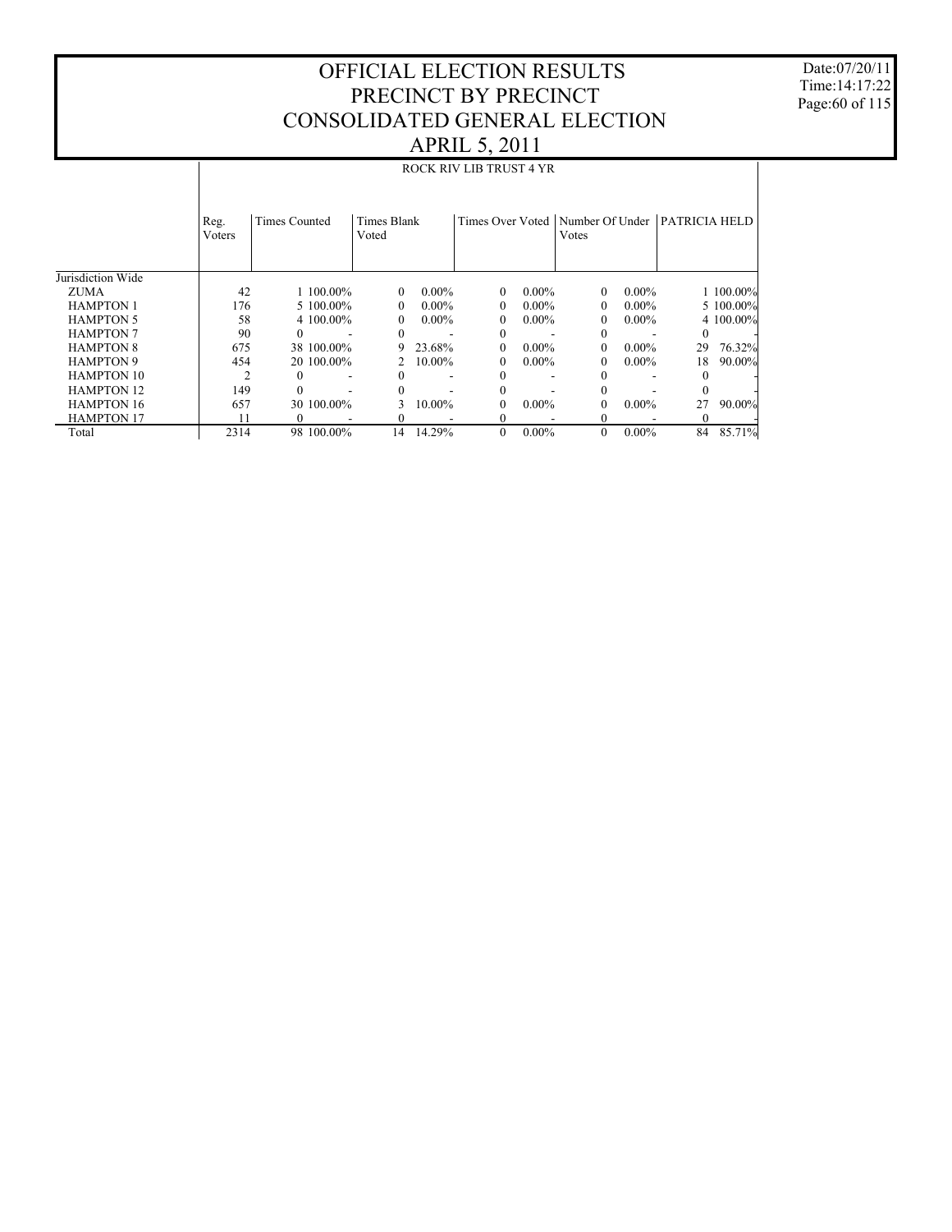Date:07/20/11 Time:14:17:22 Page:60 of 115

#### Jurisdiction Wide ZUMA HAMPTON 1 HAMPTON 5 HAMPTON 7 HAMPTON 8 HAMPTON 9 HAMPTON 10 HAMPTON 12 HAMPTON 16 HAMPTON 17 Total Reg. Voters Times Counted | Times Blank Voted Times Over Voted | Number Of Under | PATRICIA HELD Votes ROCK RIV LIB TRUST 4 YR 42 1 100.00% 0 0.00% 0 0.00% 0 0.00% 1 100.00%  $\begin{array}{ccccccccccc} 176 & & & 5 & 100.00\% & & & 0 & & 0.00\% & & & 0 & & 0.00\% & & & & 0 & & 0.00\% & & & & 5 & 100.00\% \end{array}$ 58 4 100.00% 0 0.00% 0 0.00% 0 0.00% 4 100.00% 90 0 - 0 - 0 - 0 - 0 - $\begin{array}{ccccccccccc} 675 & & 38 & 100.00\% & & 9 & 23.68\% & & 0 & 0.00\% & & 0 & 0.00\% & & 29 & 76.32\% \cr 454 & & 20 & 100.00\% & & 2 & 10.00\% & & 0 & 0.00\% & & 0 & 0.00\% & & 18 & 90.00\% \cr \end{array}$  $\begin{array}{ccccccc} 54 & & 20& 100.00\% & & 2& 10.00\% & & 0& 0.00\% & \ 2 & & 0 & & & 0 & & 0 \end{array}$ 2 0 - 0 - 0 - 0 - 0 -149 0 - 0 - 0 - 0 - 0 -657 30 100.00% 3 10.00% 0 0.00% 0 0.00% 27 90.00%  $11 \t 0 \t - \t 0 \t - \t 0 \t - \t 0 \t 0 \t 0 \t 0$ 2314 98 100.00% 14 14.29% 0 0.00% 0 0.00% 84 85.71%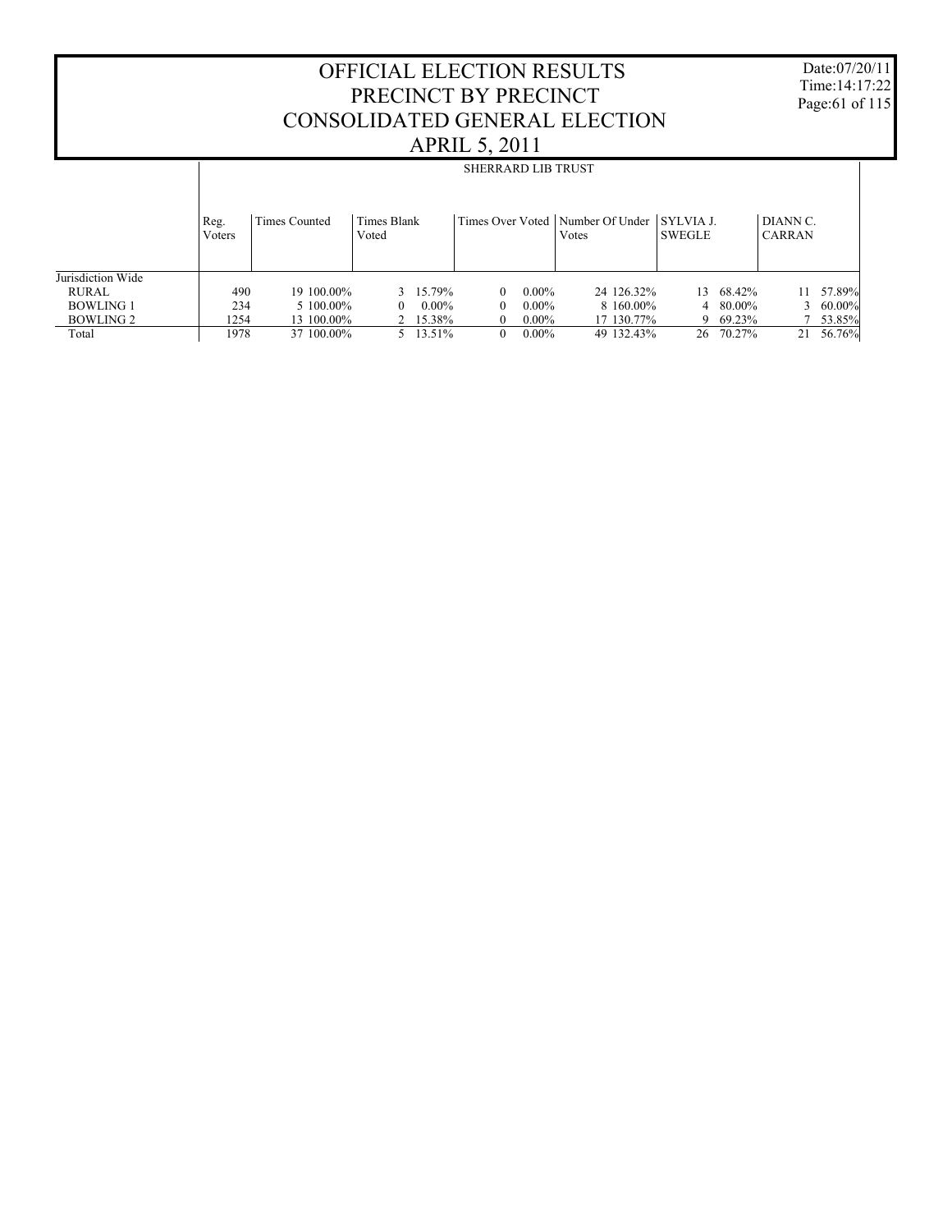Date:07/20/11 Time:14:17:22 Page:61 of 115

|                   |                |               |                      | SHERRARD LIB TRUST   |                                    |                  |                           |           |
|-------------------|----------------|---------------|----------------------|----------------------|------------------------------------|------------------|---------------------------|-----------|
|                   | Reg.<br>Voters | Times Counted | Times Blank<br>Voted | Times Over Voted     | Number Of Under SYLVIA J.<br>Votes | SWEGLE           | DIANN C.<br><b>CARRAN</b> |           |
| Jurisdiction Wide |                |               |                      |                      |                                    |                  |                           |           |
| RURAL             | 490            | 19 100,00%    | 3 15.79%             | $0.00\%$<br>$\Omega$ | 24 126.32%                         | 13 68.42%        | 11                        | 57.89%    |
| <b>BOWLING 1</b>  | 234            | 5 100,00%     | $0.00\%$<br>$\theta$ | $0.00\%$<br>$\Omega$ | 8 160,00%                          | $4\quad 80.00\%$ |                           | $60.00\%$ |
| BOWLING 2         | 1254           | 13 100,00%    | 2 15.38%             | $0.00\%$             | 17 130.77%                         | 9 69.23%         |                           | 53.85%    |
| Total             | 1978           | 37 100,00%    | 5 13.51%             | $0.00\%$<br>$\Omega$ | 49 132.43%                         | 70.27%<br>26     | 21                        | 56.76%    |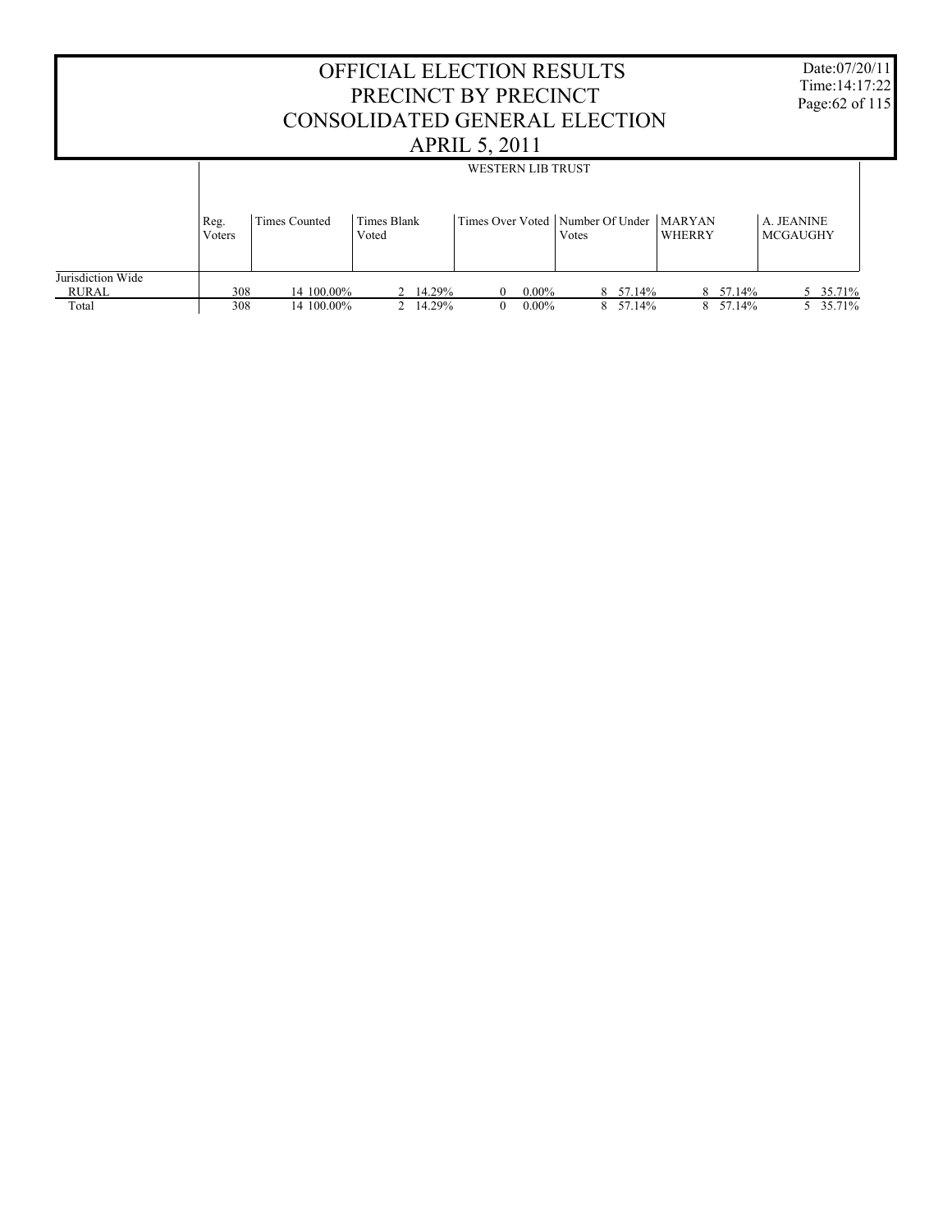| <b>OFFICIAL ELECTION RESULTS</b><br>PRECINCT BY PRECINCT<br>CONSOLIDATED GENERAL ELECTION                                 |     |            |  |          |                      |                               |          |  | Date:07/20/11<br>Time: $14:17:22$<br>Page: 62 of 115 |          |  |
|---------------------------------------------------------------------------------------------------------------------------|-----|------------|--|----------|----------------------|-------------------------------|----------|--|------------------------------------------------------|----------|--|
|                                                                                                                           |     |            |  |          | <b>APRIL 5, 2011</b> |                               |          |  |                                                      |          |  |
|                                                                                                                           |     |            |  |          |                      |                               |          |  |                                                      |          |  |
| Times Over Voted   Number Of Under   MARYAN<br>Times Counted<br>Times Blank<br>Reg.<br>WHERRY<br>Voters<br>Voted<br>Votes |     |            |  |          |                      | A. JEANINE<br><b>MCGAUGHY</b> |          |  |                                                      |          |  |
| Jurisdiction Wide<br>RURAL                                                                                                | 308 | 14 100,00% |  | 14.29%   | $\theta$             | $0.00\%$                      | 8 57.14% |  | 8 57.14%                                             | 5 35.71% |  |
| Total                                                                                                                     | 308 | 14 100,00% |  | 2 14.29% | $\theta$             | $0.00\%$                      | 8 57.14% |  | 8 57.14%                                             | 5 35.71% |  |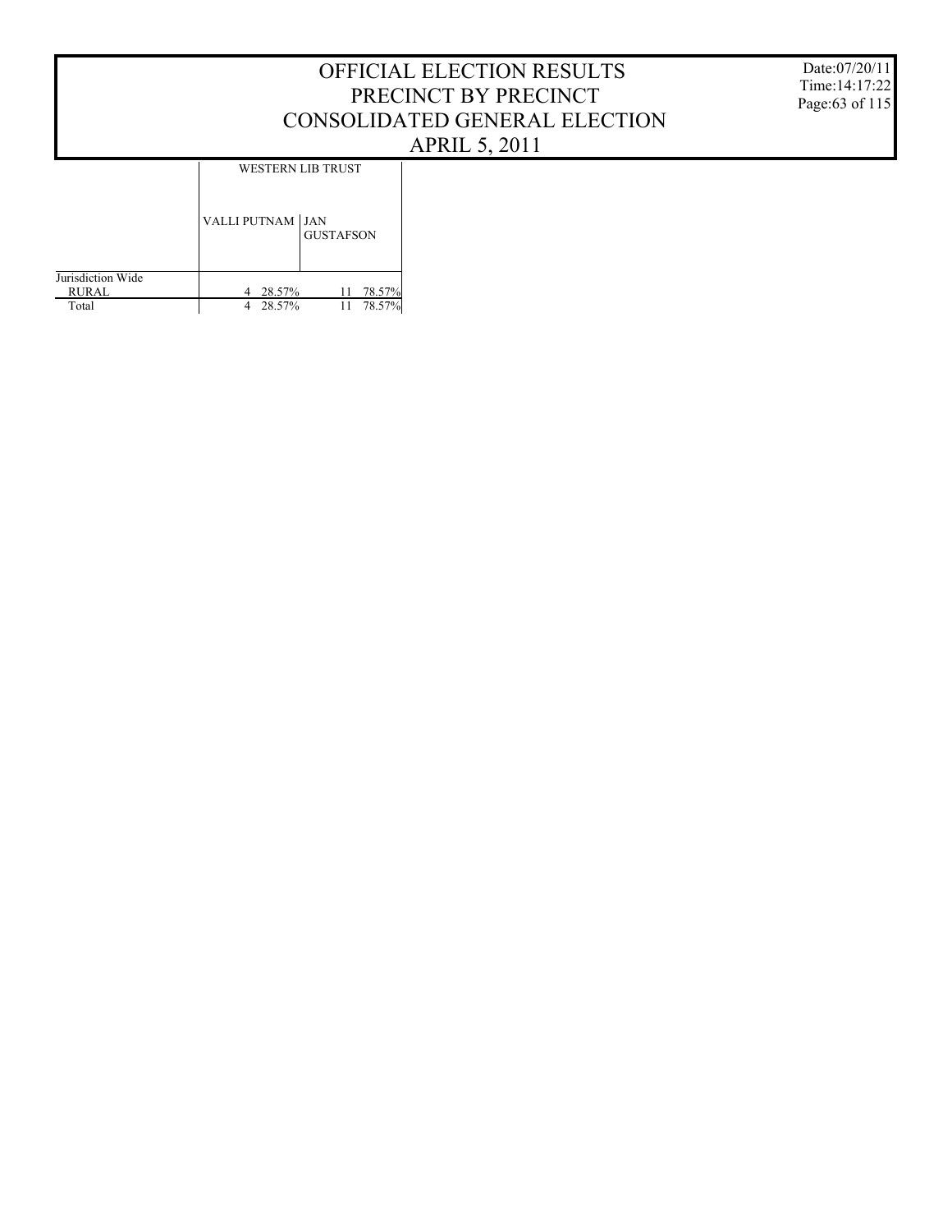WESTERN LIB TRUST

|                   | VALLI PUTNAM JAN | <b>GUSTAFSON</b> |
|-------------------|------------------|------------------|
| Jurisdiction Wide |                  |                  |
| <b>RURAL</b>      | 4 28.57%         | 11 78.57%        |
| Total             | 4 28.57%         | 78.57%<br>11     |

Date:07/20/11 Time:14:17:22 Page:63 of 115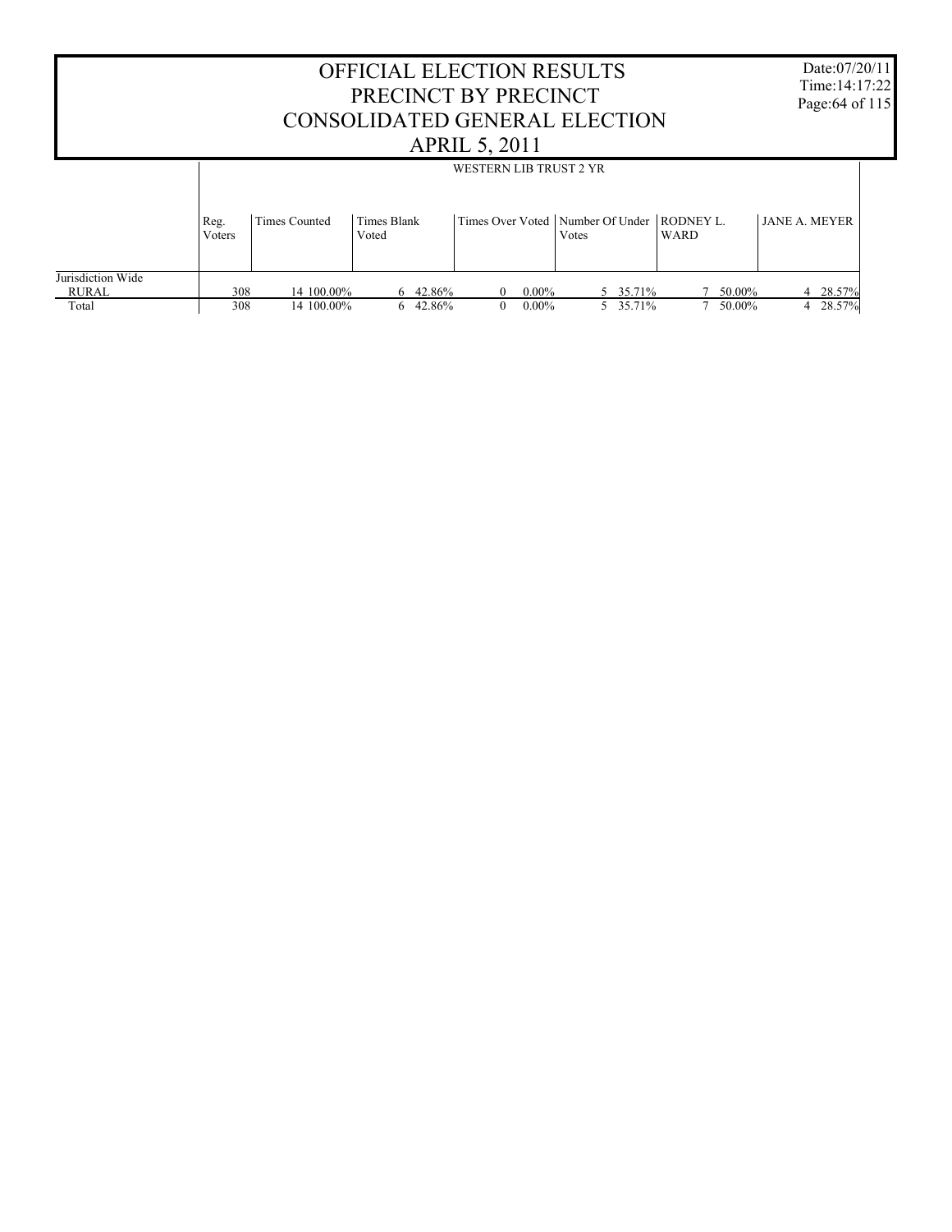| OFFICIAL ELECTION RESULTS<br>PRECINCT BY PRECINCT<br>CONSOLIDATED GENERAL ELECTION<br><b>APRIL 5, 2011</b> |                |                          |                      |                            |                        |                      |                                                         |      |                  |                      | Date:07/20/11<br>Time: $14:17:22$<br>Page: 64 of 115 |
|------------------------------------------------------------------------------------------------------------|----------------|--------------------------|----------------------|----------------------------|------------------------|----------------------|---------------------------------------------------------|------|------------------|----------------------|------------------------------------------------------|
|                                                                                                            |                |                          |                      |                            | WESTERN LIB TRUST 2 YR |                      |                                                         |      |                  |                      |                                                      |
|                                                                                                            | Reg.<br>Voters | <b>Times Counted</b>     | Times Blank<br>Voted |                            |                        |                      | Times Over Voted   Number Of Under   RODNEY L.<br>Votes | WARD |                  | <b>JANE A. MEYER</b> |                                                      |
| Jurisdiction Wide<br>RURAL<br>Total                                                                        | 308<br>308     | 14 100,00%<br>14 100,00% | 6                    | $6\quad 42.86\%$<br>42.86% | 0<br>$\theta$          | $0.00\%$<br>$0.00\%$ | 5 35.71%<br>5 35.71%                                    |      | 50.00%<br>50.00% |                      | 4 28.57%<br>28.57%                                   |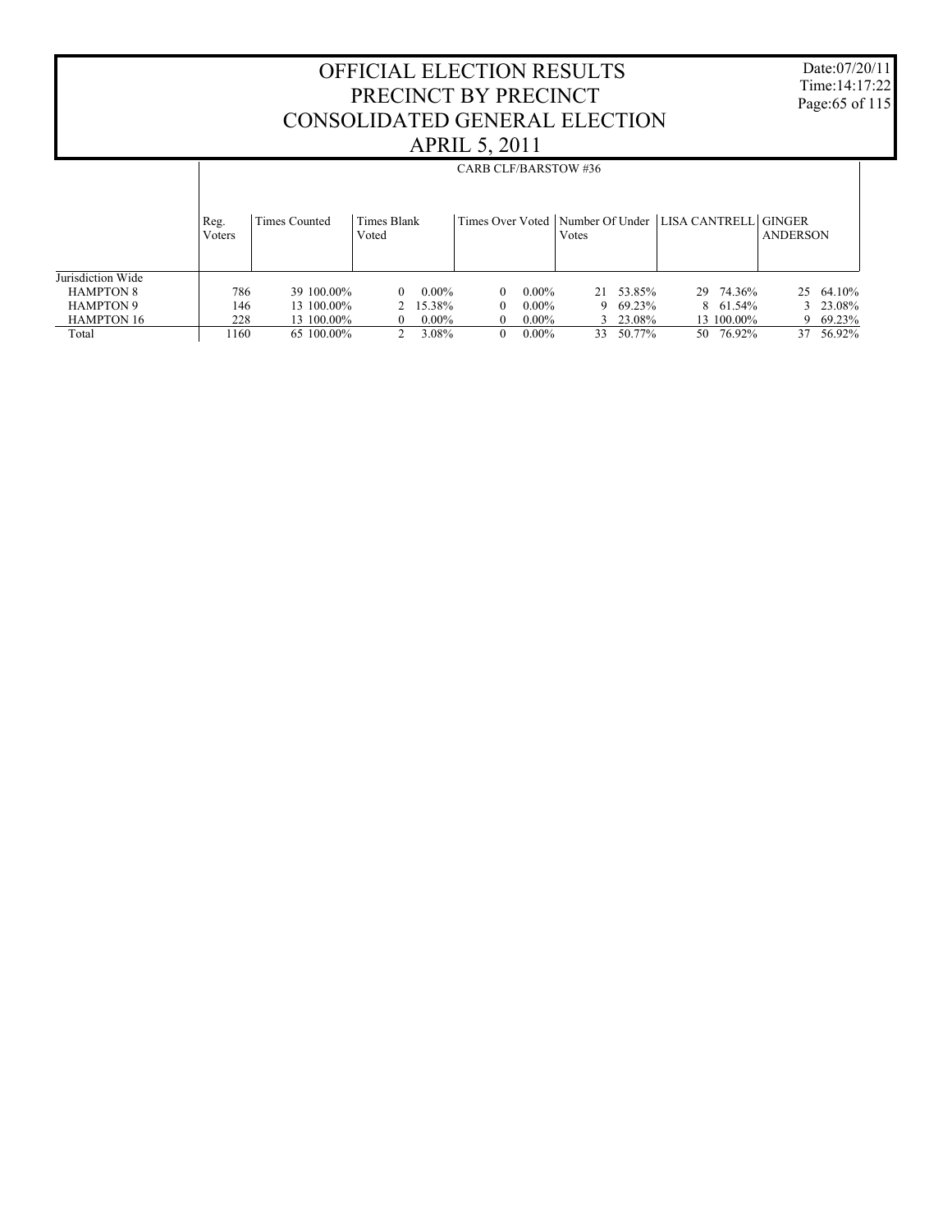Date:07/20/11 Time:14:17:22 Page:65 of 115

|                   |                | <b>CARB CLF/BARSTOW #36</b> |                      |                      |              |                                                           |                  |  |  |  |  |
|-------------------|----------------|-----------------------------|----------------------|----------------------|--------------|-----------------------------------------------------------|------------------|--|--|--|--|
|                   | Reg.<br>Voters | Times Counted               | Times Blank<br>Voted |                      | Votes        | Times Over Voted   Number Of Under   LISA CANTRELL GINGER | <b>ANDERSON</b>  |  |  |  |  |
| Jurisdiction Wide |                |                             |                      |                      |              |                                                           |                  |  |  |  |  |
| <b>HAMPTON 8</b>  | 786            | 39 100.00%                  | $0.00\%$<br>$\Omega$ | $0.00\%$<br>$\Omega$ | 53.85%<br>21 | 29 74.36%                                                 | 25 64.10%        |  |  |  |  |
| <b>HAMPTON 9</b>  | 146            | 13 100,00%                  | 15.38%               | $0.00\%$<br>$\Omega$ | 69.23%<br>9  | 61.54%<br>8.                                              | $3\quad 23.08\%$ |  |  |  |  |
| <b>HAMPTON 16</b> | 228            | 13 100.00%                  | $0.00\%$<br>$\theta$ | $0.00\%$<br>0        | 3 23.08%     | 13 100,00%                                                | 9 69.23%         |  |  |  |  |
| Total             | 160            | 65 100.00%                  | 3.08%                | $0.00\%$<br>$\Omega$ | 50.77%<br>33 | 76.92%<br>50                                              | 56.92%<br>37     |  |  |  |  |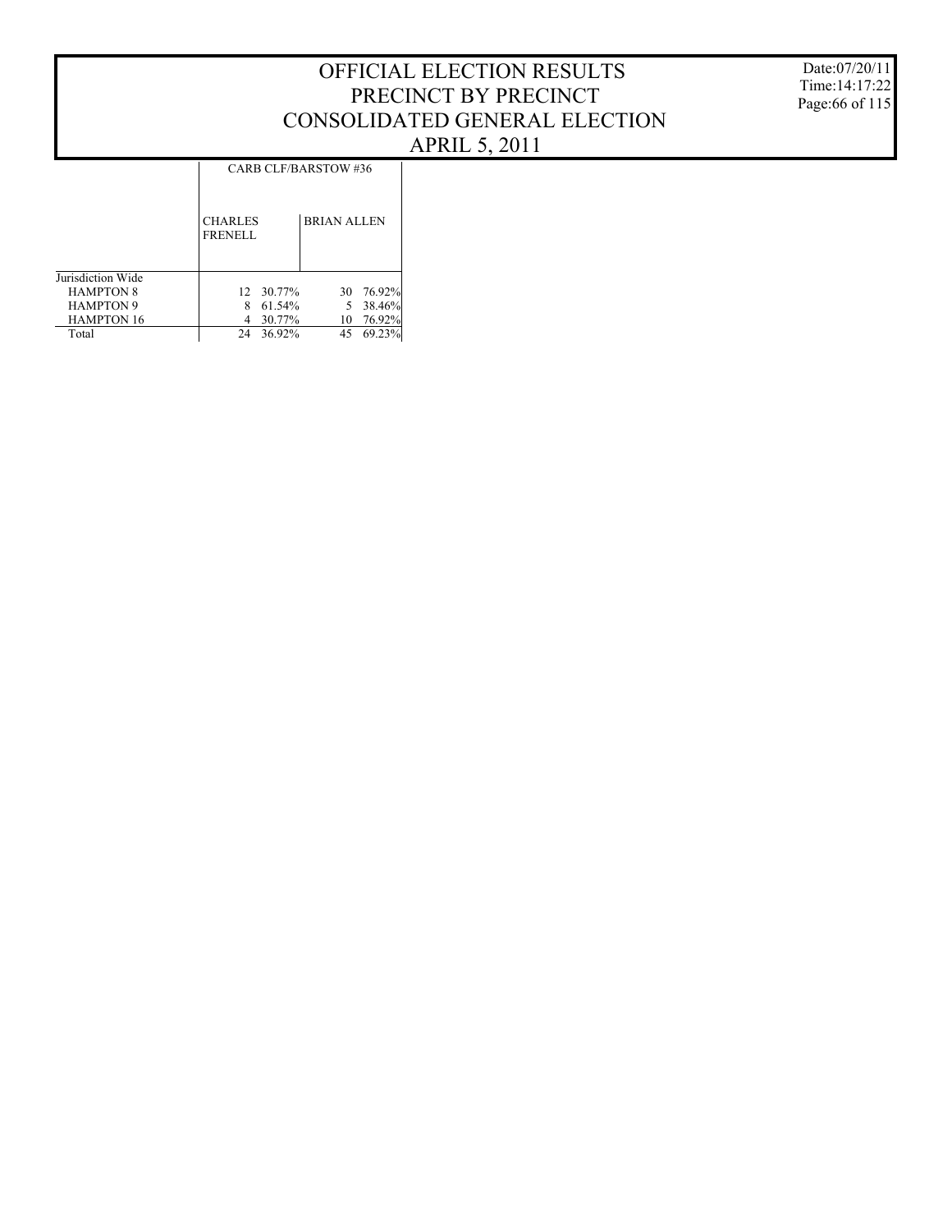CARB CLF/BARSTOW #36

|                   | <b>CHARLES</b><br><b>FRENELL</b> |           | <b>BRIAN ALLEN</b> |          |
|-------------------|----------------------------------|-----------|--------------------|----------|
| Jurisdiction Wide |                                  |           |                    |          |
| <b>HAMPTON 8</b>  |                                  | 12 30.77% | 30 ·               | 76.92%   |
| <b>HAMPTON 9</b>  | 8                                | 61.54%    |                    | 5 38.46% |
| <b>HAMPTON 16</b> |                                  | 30.77%    | 10                 | 76.92%   |
| Total             | 24                               | 36.92%    | 45                 | 69.23%   |

Date:07/20/11 Time:14:17:22 Page:66 of 115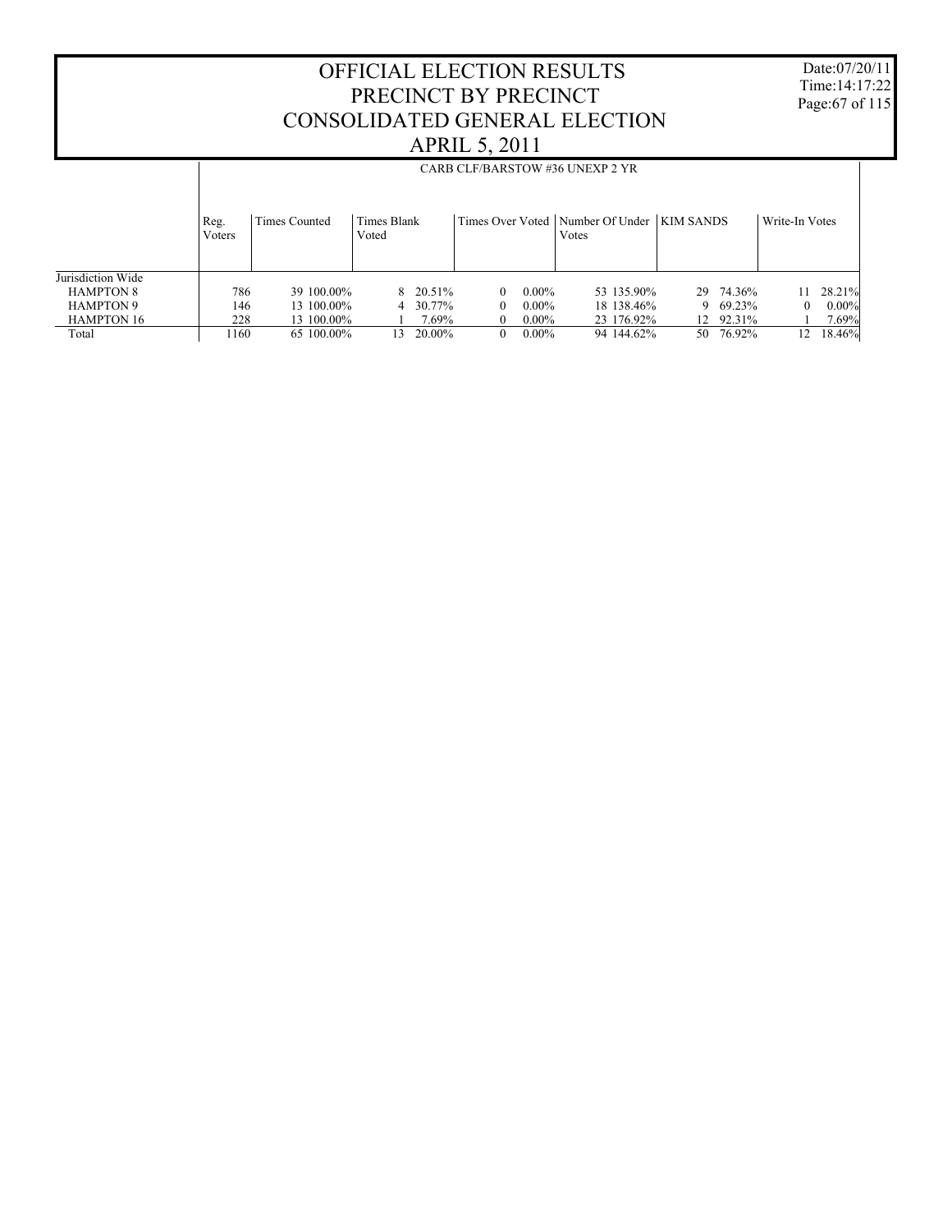Date:07/20/11 Time:14:17:22 Page:67 of 115

|                   |                | CARB CLF/BARSTOW #36 UNEXP 2 YR |                      |                        |                                                         |             |                |  |  |  |  |  |  |  |
|-------------------|----------------|---------------------------------|----------------------|------------------------|---------------------------------------------------------|-------------|----------------|--|--|--|--|--|--|--|
|                   | Reg.<br>Voters | Times Counted                   | Times Blank<br>Voted |                        | Times Over Voted   Number Of Under   KIM SANDS<br>Votes |             | Write-In Votes |  |  |  |  |  |  |  |
| Jurisdiction Wide |                |                                 |                      |                        |                                                         |             |                |  |  |  |  |  |  |  |
| <b>HAMPTON 8</b>  | 786            | 39 100 00%                      | 8 20.51%             | $0.00\%$<br>$\Omega$   | 53 135.90%                                              | 29 74.36%   | 28.21%         |  |  |  |  |  |  |  |
| <b>HAMPTON 9</b>  | 146            | 13 100.00%                      | 30.77%<br>4          | $0.00\%$<br>0          | 18 138.46%                                              | 69.23%<br>9 | 0.00%          |  |  |  |  |  |  |  |
| <b>HAMPTON 16</b> | 228            | 13 100.00%                      | 7.69%                | $0.00\%$<br>$^{\circ}$ | 23 176.92%                                              | 12 92.31%   | 7.69%          |  |  |  |  |  |  |  |
| Total             | 1160           | 65 100.00%                      | 20.00%<br>13         | $0.00\%$<br>$\Omega$   | 94 144.62%                                              | 50 76.92%   | 18.46%<br>12.  |  |  |  |  |  |  |  |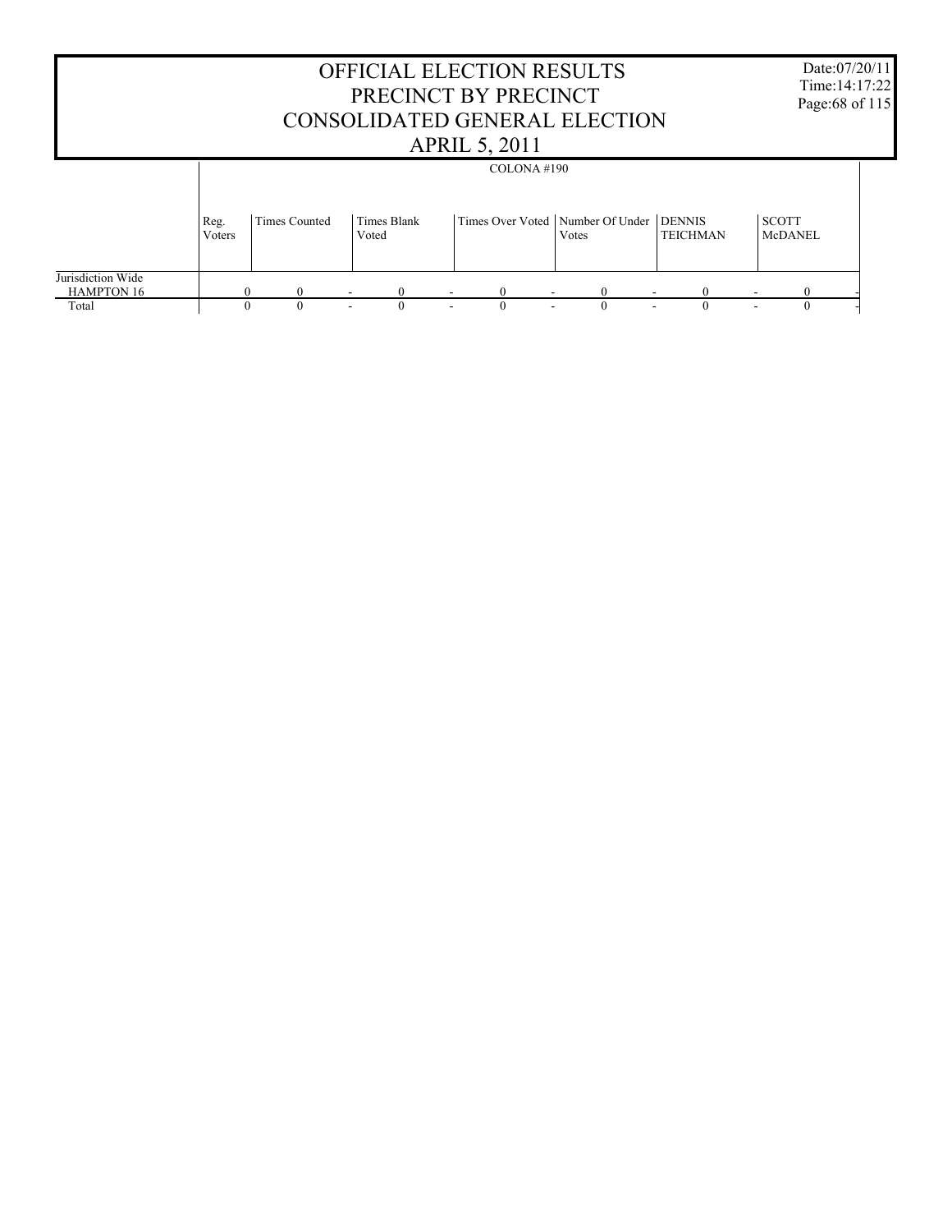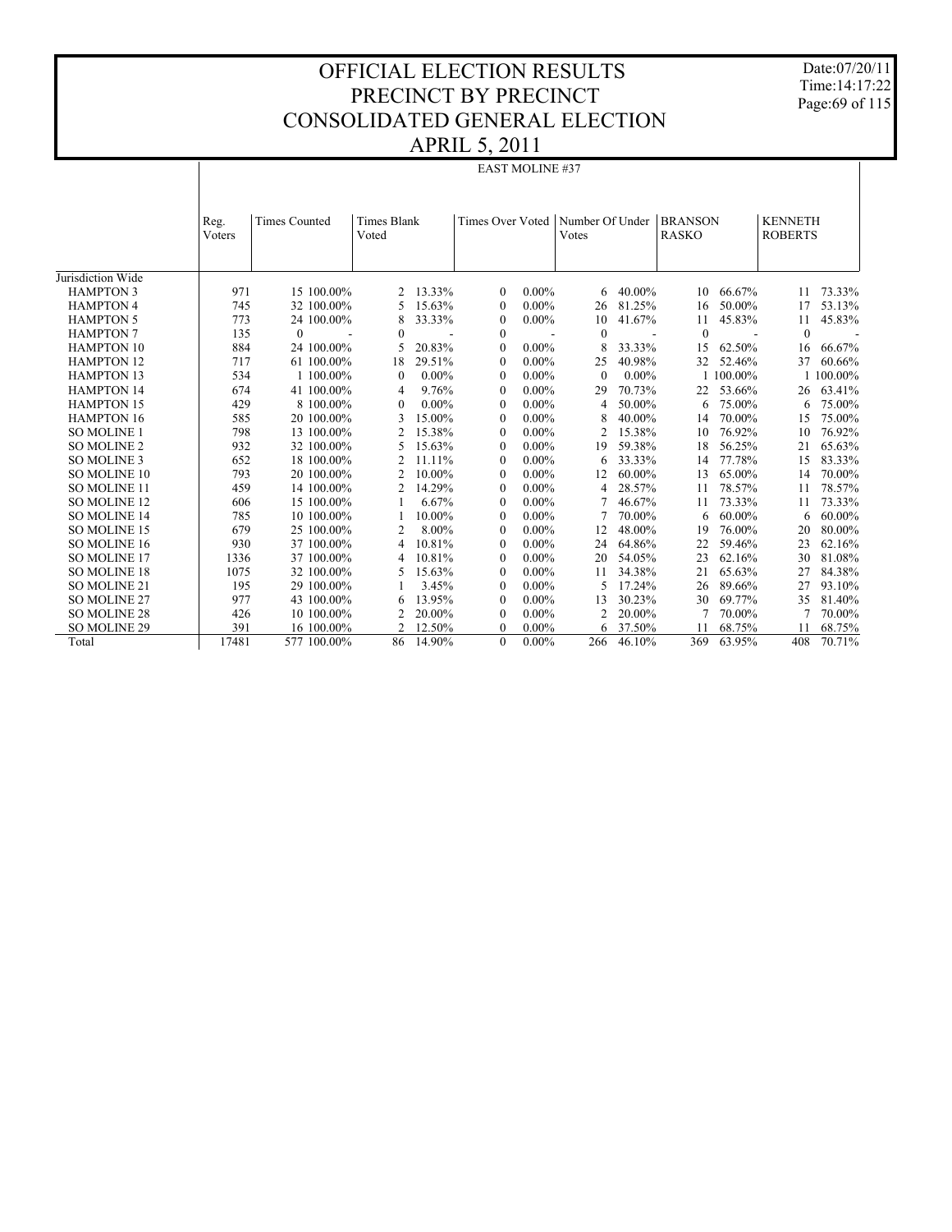Date:07/20/11 Time:14:17:22 Page:69 of 115

|                     | <b>EAST MOLINE #37</b> |                      |                    |          |                  |          |                 |          |                |           |                |         |  |  |
|---------------------|------------------------|----------------------|--------------------|----------|------------------|----------|-----------------|----------|----------------|-----------|----------------|---------|--|--|
|                     |                        |                      |                    |          |                  |          |                 |          |                |           |                |         |  |  |
|                     | Reg.                   | <b>Times Counted</b> | <b>Times Blank</b> |          | Times Over Voted |          | Number Of Under |          | <b>BRANSON</b> |           | <b>KENNETH</b> |         |  |  |
|                     | Voters                 |                      | Voted              |          |                  |          | Votes           |          | <b>RASKO</b>   |           | <b>ROBERTS</b> |         |  |  |
|                     |                        |                      |                    |          |                  |          |                 |          |                |           |                |         |  |  |
| Jurisdiction Wide   |                        |                      |                    |          |                  |          |                 |          |                |           |                |         |  |  |
| <b>HAMPTON 3</b>    | 971                    | 15 100.00%           | 2                  | 13.33%   | $\mathbf{0}$     | $0.00\%$ | 6               | 40.00%   | 10             | 66.67%    | 11             | 73.33%  |  |  |
| <b>HAMPTON 4</b>    | 745                    | 32 100.00%           | 5                  | 15.63%   | $\mathbf{0}$     | $0.00\%$ | 26              | 81.25%   | 16             | 50.00%    | 17             | 53.13%  |  |  |
| <b>HAMPTON 5</b>    | 773                    | 24 100,00%           | 8                  | 33.33%   | $\Omega$         | $0.00\%$ | 10              | 41.67%   | 11             | 45.83%    | 11             | 45.83%  |  |  |
| <b>HAMPTON 7</b>    | 135                    | $\mathbf{0}$         | $\mathbf{0}$       |          | $\mathbf{0}$     |          | $\mathbf{0}$    |          | $\mathbf{0}$   |           | $\mathbf{0}$   |         |  |  |
| <b>HAMPTON 10</b>   | 884                    | 24 100.00%           | 5                  | 20.83%   | $\Omega$         | $0.00\%$ | 8               | 33.33%   | 15             | 62.50%    | 16             | 66.67%  |  |  |
| <b>HAMPTON 12</b>   | 717                    | 61 100.00%           | 18                 | 29.51%   | $\Omega$         | $0.00\%$ | 25              | 40.98%   | 32             | 52.46%    | 37             | 60.66%  |  |  |
| <b>HAMPTON 13</b>   | 534                    | 1 100,00%            | $\mathbf{0}$       | $0.00\%$ | $\Omega$         | $0.00\%$ | $\Omega$        | $0.00\%$ |                | 1 100,00% |                | 100.00% |  |  |
| <b>HAMPTON 14</b>   | 674                    | 41 100,00%           | 4                  | 9.76%    | $\Omega$         | $0.00\%$ | 29              | 70.73%   | 22             | 53.66%    | 26             | 63.41%  |  |  |
| <b>HAMPTON 15</b>   | 429                    | 8 100.00%            | $\mathbf{0}$       | $0.00\%$ | $\mathbf{0}$     | $0.00\%$ | 4               | 50.00%   | 6              | 75.00%    | 6              | 75.00%  |  |  |
| <b>HAMPTON 16</b>   | 585                    | 20 100.00%           |                    | 15.00%   | $\Omega$         | $0.00\%$ |                 | 40.00%   | 14             | 70.00%    | 15             | 75.00%  |  |  |
| <b>SO MOLINE 1</b>  | 798                    | 13 100.00%           | 2                  | 15.38%   | $\Omega$         | $0.00\%$ | 2               | 15.38%   | 10             | 76.92%    | 10             | 76.92%  |  |  |
| <b>SO MOLINE 2</b>  | 932                    | 32 100.00%           | 5                  | 15.63%   | $\Omega$         | $0.00\%$ | 19              | 59.38%   | 18             | 56.25%    | 21             | 65.63%  |  |  |
| <b>SO MOLINE 3</b>  | 652                    | 18 100.00%           | 2                  | 11.11%   | $\Omega$         | $0.00\%$ | 6               | 33.33%   | 14             | 77.78%    | 15             | 83.33%  |  |  |
| SO MOLINE 10        | 793                    | 20 100,00%           | $\overline{c}$     | 10.00%   | $\Omega$         | $0.00\%$ | 12              | 60.00%   | 13             | 65.00%    | 14             | 70.00%  |  |  |
| <b>SO MOLINE 11</b> | 459                    | 14 100.00%           | $\overline{c}$     | 14.29%   | $\Omega$         | $0.00\%$ | 4               | 28.57%   | 11             | 78.57%    | 11             | 78.57%  |  |  |
| SO MOLINE 12        | 606                    | 15 100.00%           |                    | 6.67%    | $\Omega$         | $0.00\%$ |                 | 46.67%   | 11             | 73.33%    | 11             | 73.33%  |  |  |
| SO MOLINE 14        | 785                    | 10 100.00%           |                    | 10.00%   | $\Omega$         | $0.00\%$ |                 | 70.00%   | 6              | 60.00%    | 6              | 60.00%  |  |  |
| SO MOLINE 15        | 679                    | 25 100.00%           | 2                  | 8.00%    | $\Omega$         | $0.00\%$ | 12              | 48.00%   | 19             | 76.00%    | 20             | 80.00%  |  |  |
| <b>SO MOLINE 16</b> | 930                    | 37 100.00%           | 4                  | 10.81%   | $\Omega$         | $0.00\%$ | 24              | 64.86%   | 22             | 59.46%    | 23             | 62.16%  |  |  |
| <b>SO MOLINE 17</b> | 1336                   | 37 100.00%           | 4                  | 10.81%   | $\Omega$         | $0.00\%$ | 20              | 54.05%   | 23             | 62.16%    | 30             | 81.08%  |  |  |
| <b>SO MOLINE 18</b> | 1075                   | 32 100.00%           | 5                  | 15.63%   | $\Omega$         | $0.00\%$ | 11              | 34.38%   | 21             | 65.63%    | 27             | 84.38%  |  |  |
| SO MOLINE 21        | 195                    | 29 100,00%           |                    | 3.45%    | $\Omega$         | $0.00\%$ | 5               | 17.24%   | 26             | 89.66%    | 27             | 93.10%  |  |  |
| SO MOLINE 27        | 977                    | 43 100.00%           | 6                  | 13.95%   | $\Omega$         | $0.00\%$ | 13              | 30.23%   | 30             | 69.77%    | 35             | 81.40%  |  |  |
| <b>SO MOLINE 28</b> | 426                    | 10 100.00%           | $\overline{2}$     | 20.00%   | $\Omega$         | $0.00\%$ | $\overline{2}$  | 20.00%   | 7              | 70.00%    | 7              | 70.00%  |  |  |
| <b>SO MOLINE 29</b> | 391                    | 16 100.00%           | っ                  | 12.50%   | $\Omega$         | $0.00\%$ | 6               | 37.50%   |                | 68.75%    | 11             | 68.75%  |  |  |
| Total               | 17481                  | 577 100.00%          | 86                 | 14.90%   | $\Omega$         | $0.00\%$ | 266             | 46.10%   | 369            | 63.95%    | 408            | 70.71%  |  |  |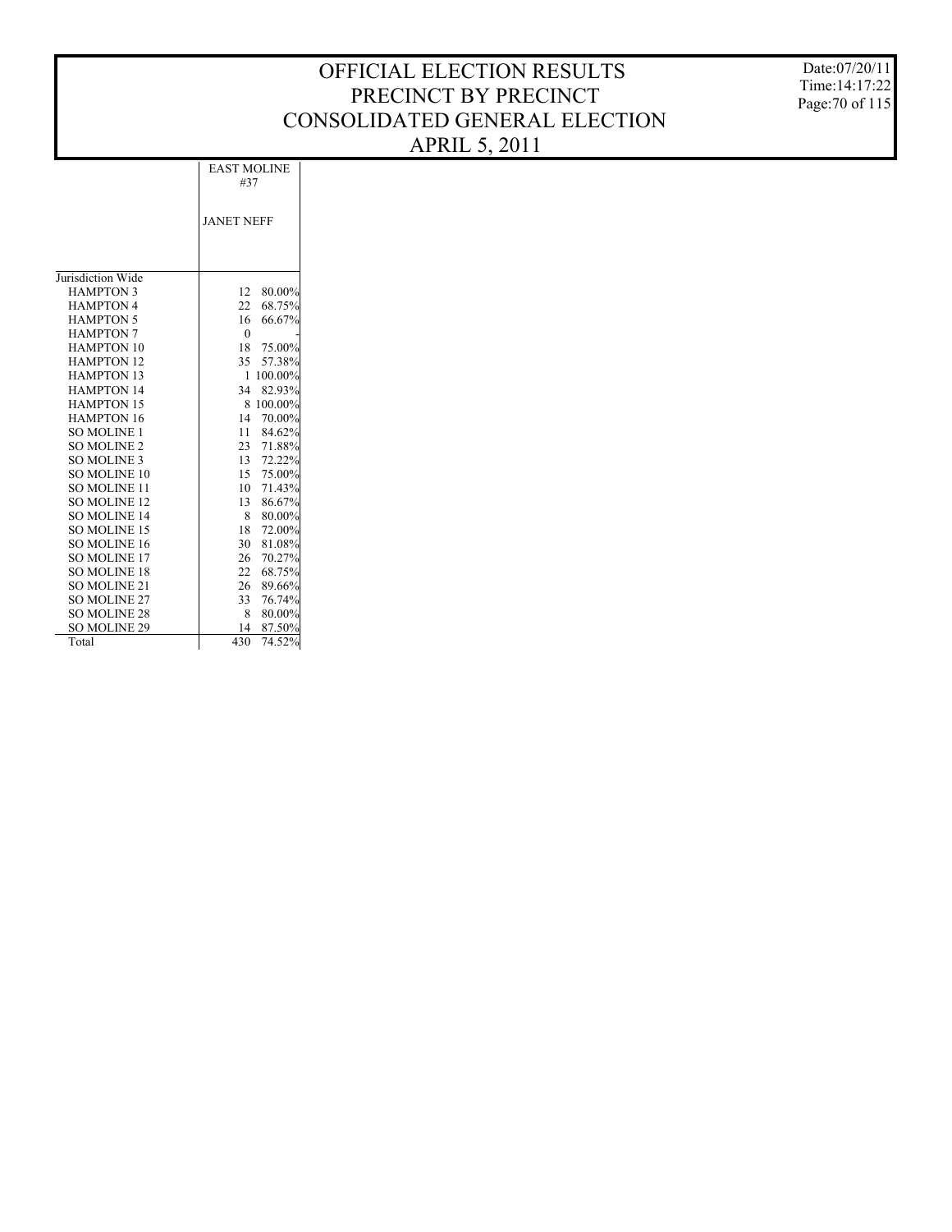Date:07/20/11 Time:14:17:22 Page:70 of 115

| <b>EAST MOLINE</b> |
|--------------------|
| #37                |

JANET NEFF

| Jurisdiction Wide   |     |            |
|---------------------|-----|------------|
| <b>HAMPTON 3</b>    | 12  | 80.00%     |
| <b>HAMPTON 4</b>    | 22  | 68.75%     |
| <b>HAMPTON 5</b>    | 16  | 66.67%     |
| <b>HAMPTON 7</b>    | 0   |            |
| <b>HAMPTON 10</b>   | 18  | 75.00%     |
| <b>HAMPTON 12</b>   | 35  | 57.38%     |
| <b>HAMPTON 13</b>   | 1   | 100.00%    |
| <b>HAMPTON 14</b>   | 34  | 82.93%     |
| <b>HAMPTON 15</b>   | 8   | $100.00\%$ |
| <b>HAMPTON 16</b>   | 14  | 70.00%     |
| <b>SO MOLINE 1</b>  | 11  | 84.62%     |
| <b>SO MOLINE 2</b>  | 23  | 71.88%     |
| SO MOLINE 3         | 13  | 72.22%     |
| <b>SO MOLINE 10</b> | 15  | 75.00%     |
| SO MOLINE 11        | 10  | 71.43%     |
| <b>SO MOLINE 12</b> | 13  | 86.67%     |
| <b>SO MOLINE 14</b> | 8   | 80.00%     |
| SO MOLINE 15        | 18  | 72.00%     |
| <b>SO MOLINE 16</b> | 30  | 81.08%     |
| <b>SO MOLINE 17</b> | 26  | 70.27%     |
| <b>SO MOLINE 18</b> | 22  | 68.75%     |
| <b>SO MOLINE 21</b> | 26  | 89.66%     |
| <b>SO MOLINE 27</b> | 33  | 76.74%     |
| <b>SO MOLINE 28</b> | 8   | 80.00%     |
| <b>SO MOLINE 29</b> | 14  | 87.50%     |
| Total               | 430 | 74.52%     |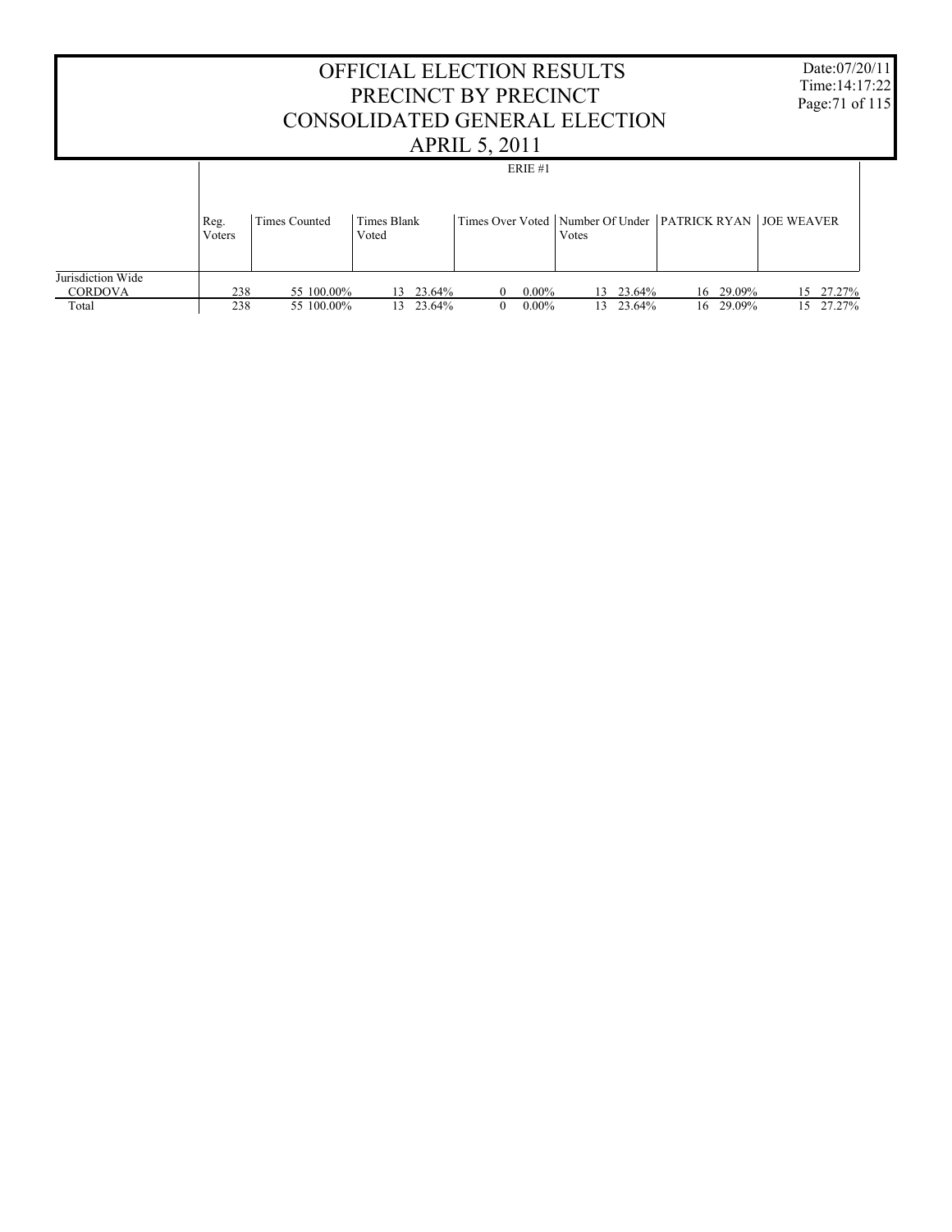|                   |                | CONSOLIDATED GENERAL ELECTION |             |           | <b>OFFICIAL ELECTION RESULTS</b><br>PRECINCT BY PRECINCT                               |           |       |           |    |           | Date:07/20/11<br>Time: $14:17:22$<br>Page: 71 of 115 |
|-------------------|----------------|-------------------------------|-------------|-----------|----------------------------------------------------------------------------------------|-----------|-------|-----------|----|-----------|------------------------------------------------------|
|                   |                | <b>Times Counted</b>          | Times Blank |           | <b>APRIL 5, 2011</b><br>Times Over Voted   Number Of Under   PATRICK RYAN   JOE WEAVER | ERIE $#1$ |       |           |    |           |                                                      |
|                   | Reg.<br>Voters |                               | Voted       |           |                                                                                        |           | Votes |           |    |           |                                                      |
| Jurisdiction Wide |                |                               |             |           |                                                                                        |           |       |           |    |           |                                                      |
| <b>CORDOVA</b>    | 238            | 55 100,00%                    |             | 13 23.64% | $\Omega$                                                                               | $0.00\%$  |       | 13 23.64% | 16 | 29.09%    | 15 27.27%                                            |
| Total             | 238            | 55 100.00%                    | 13          | 23.64%    | $\overline{0}$                                                                         | $0.00\%$  |       | 13 23.64% |    | 16 29.09% | 15 27.27%                                            |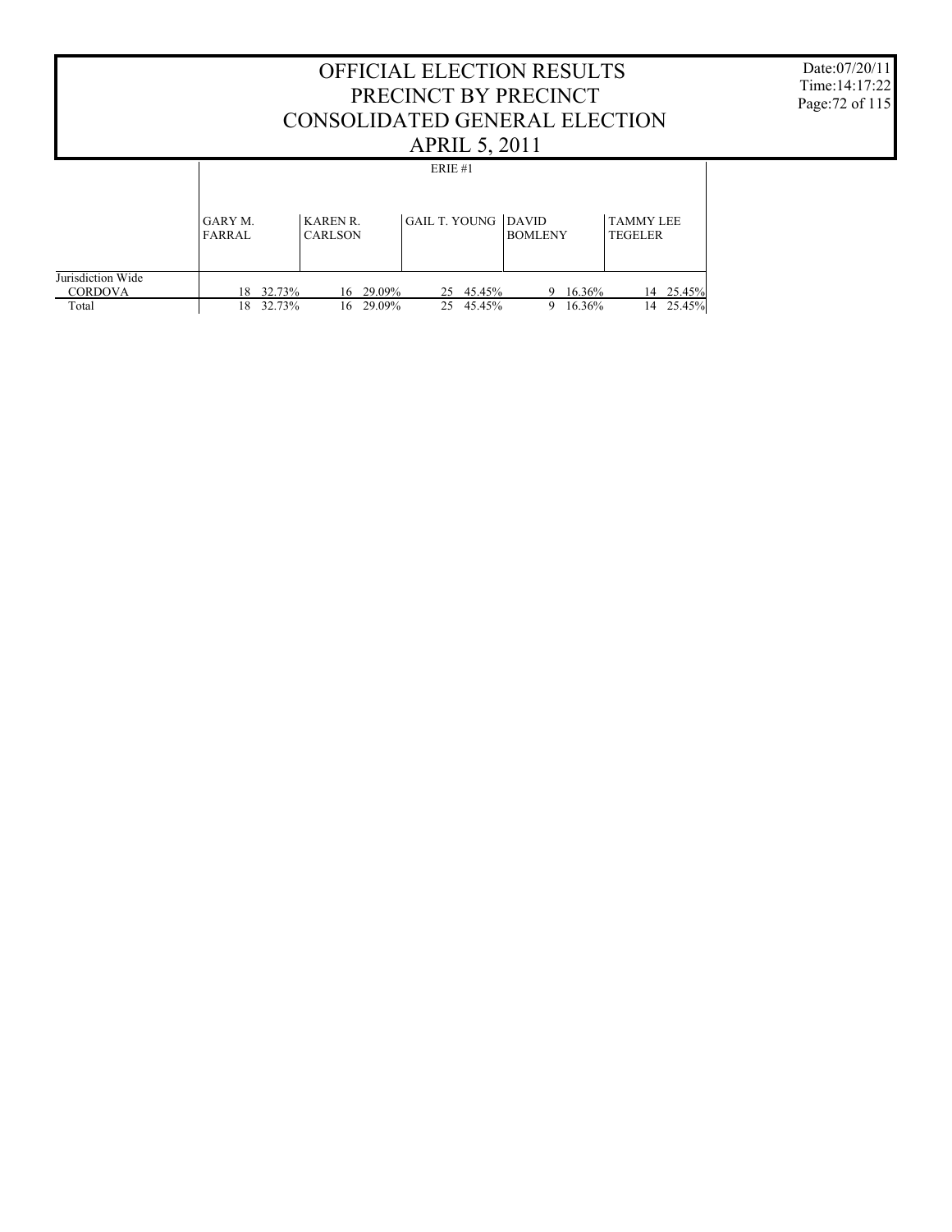Date:07/20/11 Time:14:17:22 Page:72 of 115

|                                              |                              |                                   | $1 + 1 + 1 + 2 = 0 + 1$    |                         |                                    |
|----------------------------------------------|------------------------------|-----------------------------------|----------------------------|-------------------------|------------------------------------|
|                                              |                              |                                   | ERIE $#1$                  |                         |                                    |
|                                              | GARY M.<br>FARRAL            | <b>KAREN R.</b><br><b>CARLSON</b> | <b>GAIL T. YOUNG DAVID</b> | <b>BOMLENY</b>          | <b>TAMMY LEE</b><br><b>TEGELER</b> |
| Jurisdiction Wide<br><b>CORDOVA</b><br>Total | 32.73%<br>18<br>32.73%<br>18 | 29.09%<br>16<br>29.09%<br>16.     | 25 45.45%<br>45.45%<br>25  | 9 16.36%<br>16.36%<br>9 | 14 25.45%<br>25.45%<br>14          |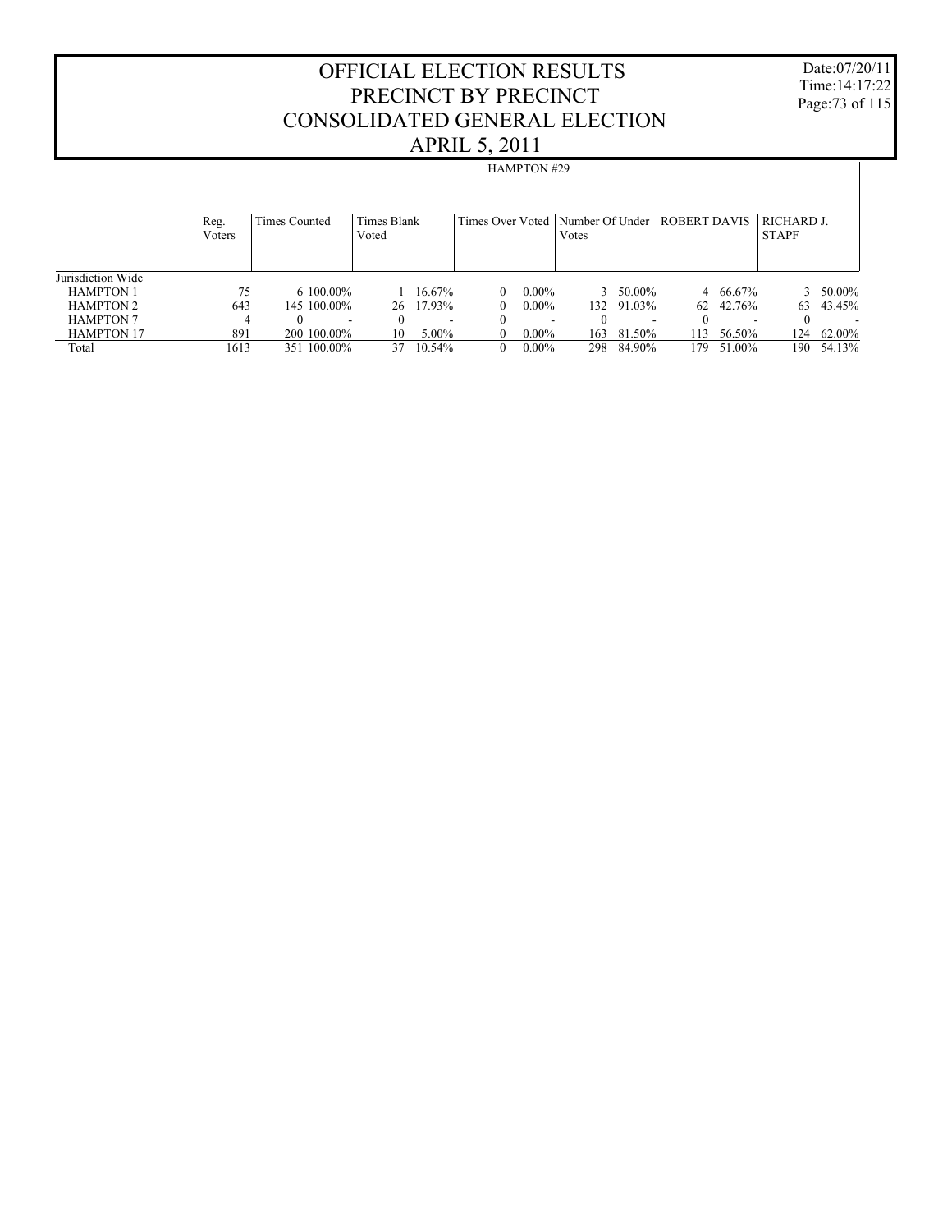Date:07/20/11 Time:14:17:22 Page:73 of 115

#### OFFICIAL ELECTION RESULTS PRECINCT BY PRECINCT CONSOLIDATED GENERAL ELECTION APRIL 5, 2011

|                   |                |                                      |                             | <b>HAMPTON #29</b>   |                                                      |               |                  |
|-------------------|----------------|--------------------------------------|-----------------------------|----------------------|------------------------------------------------------|---------------|------------------|
|                   | Reg.<br>Voters | Times Counted                        | <b>Times Blank</b><br>Voted | Times Over Voted     | Number Of Under ROBERT DAVIS RICHARD J.<br>Votes     |               | <b>STAPF</b>     |
| Jurisdiction Wide |                |                                      |                             |                      |                                                      |               |                  |
|                   |                |                                      |                             |                      |                                                      |               |                  |
| <b>HAMPTON 1</b>  | 75             | 6 100.00%                            | 16.67%                      | $0.00\%$<br>0        | $3\quad 50.00\%$                                     | 4 66.67%      | $3\quad 50.00\%$ |
| <b>HAMPTON 2</b>  | 643            | 145 100.00%                          | 26 17.93%                   | $0.00\%$<br>$\Omega$ | 91.03%<br>132                                        | 62 42.76%     | 63<br>43.45%     |
| <b>HAMPTON 7</b>  | 4              | $\Omega$<br>$\overline{\phantom{a}}$ | $\Omega$                    | 0                    | $\overline{\phantom{a}}$<br>$\overline{\phantom{0}}$ | $\Omega$      | $\Omega$         |
| <b>HAMPTON 17</b> | 891            | 200 100.00%                          | 5.00%<br>10                 | $0.00\%$             | 81.50%<br>163                                        | 56.50%<br>113 | 62.00%<br>124    |
| Total             | 1613           | 351 100.00%                          | 10.54%<br>37                | $0.00\%$<br>$\Omega$ | 84.90%<br>298                                        | 179<br>51.00% | 54.13%<br>190    |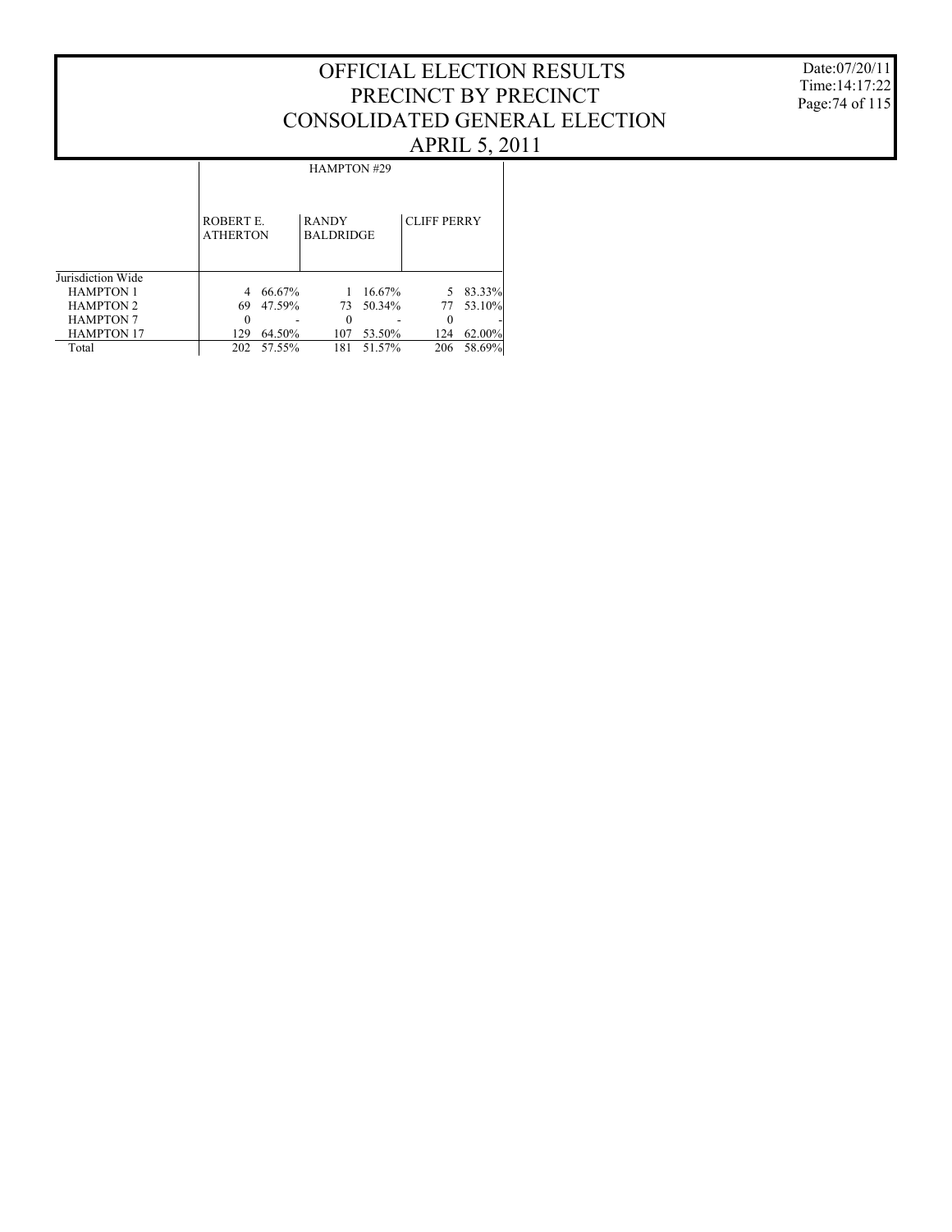Date:07/20/11 Time:14:17:22 Page:74 of 115

#### HAMPTON #29

|                   | ROBERT E.<br><b>ATHERTON</b> |        | <b>RANDY</b><br><b>BALDRIDGE</b> |           | <b>CLIFF PERRY</b> |        |
|-------------------|------------------------------|--------|----------------------------------|-----------|--------------------|--------|
| Jurisdiction Wide |                              |        |                                  |           |                    |        |
| <b>HAMPTON 1</b>  | 4                            | 66.67% |                                  | 16.67%    | 5.                 | 83.33% |
| <b>HAMPTON 2</b>  | 69                           | 47.59% |                                  | 73 50.34% | 77                 | 53.10% |
| <b>HAMPTON 7</b>  | 0                            |        |                                  |           | $\theta$           |        |
| <b>HAMPTON 17</b> | 129                          | 64.50% | 107                              | 53.50%    | 124                | 62.00% |
| Total             | 202                          | 57.55% | 181                              | 51.57%    | 206                | 58.69% |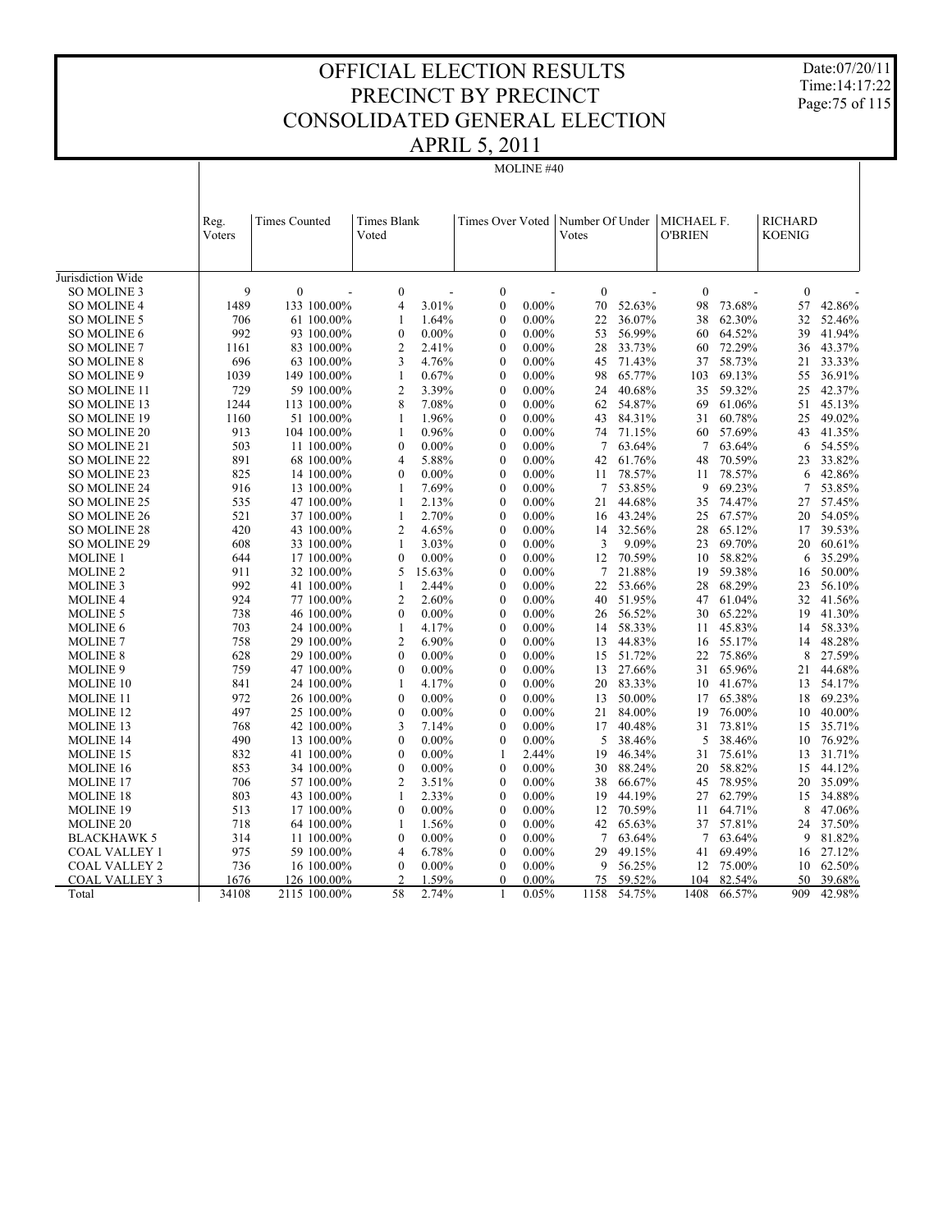Date:07/20/11 Time:14:17:22 Page:75 of 115

|                                     |                |                      |                      | $\overline{\mathbf{r}}$ when $\overline{\mathbf{r}}$ |                  | 2011       |                          |        |                              |                  |                                 |        |
|-------------------------------------|----------------|----------------------|----------------------|------------------------------------------------------|------------------|------------|--------------------------|--------|------------------------------|------------------|---------------------------------|--------|
|                                     |                |                      |                      |                                                      |                  | MOLINE #40 |                          |        |                              |                  |                                 |        |
|                                     |                |                      |                      |                                                      |                  |            |                          |        |                              |                  |                                 |        |
|                                     |                |                      |                      |                                                      |                  |            |                          |        |                              |                  |                                 |        |
|                                     | Reg.<br>Voters | <b>Times Counted</b> | Times Blank<br>Voted |                                                      | Times Over Voted |            | Number Of Under<br>Votes |        | MICHAEL F.<br><b>O'BRIEN</b> |                  | <b>RICHARD</b><br><b>KOENIG</b> |        |
|                                     |                |                      |                      |                                                      |                  |            |                          |        |                              |                  |                                 |        |
| Jurisdiction Wide                   |                |                      |                      |                                                      |                  |            |                          |        |                              |                  |                                 |        |
| SO MOLINE 3                         | 9              | $\boldsymbol{0}$     | $\boldsymbol{0}$     |                                                      | $\boldsymbol{0}$ |            | $\boldsymbol{0}$         |        | $\mathbf{0}$                 |                  | $\boldsymbol{0}$                |        |
| <b>SO MOLINE 4</b>                  | 1489           | 133 100.00%          | 4                    | 3.01%                                                | $\mathbf{0}$     | $0.00\%$   | 70                       | 52.63% | 98                           | 73.68%           | 57                              | 42.86% |
| SO MOLINE 5                         | 706            | 61 100.00%           | 1                    | 1.64%                                                | $\boldsymbol{0}$ | $0.00\%$   | 22                       | 36.07% | 38                           | 62.30%           | 32                              | 52.46% |
| SO MOLINE 6                         | 992            | 93 100.00%           | $\mathbf{0}$         | $0.00\%$                                             | $\mathbf{0}$     | $0.00\%$   | 53                       | 56.99% | 60                           | 64.52%           | 39                              | 41.94% |
| SO MOLINE 7                         | 1161           | 83 100.00%           | $\overline{c}$       | 2.41%                                                | $\mathbf{0}$     | $0.00\%$   | 28                       | 33.73% | 60                           | 72.29%           | 36                              | 43.37% |
| <b>SO MOLINE 8</b>                  | 696            | 63 100.00%           | 3                    | 4.76%                                                | $\boldsymbol{0}$ | $0.00\%$   | 45                       | 71.43% | 37                           | 58.73%           | 21                              | 33.33% |
| SO MOLINE 9                         | 1039           | 149 100.00%          | $\mathbf{1}$         | 0.67%                                                | $\theta$         | $0.00\%$   | 98                       | 65.77% | 103                          | 69.13%           | 55                              | 36.91% |
| SO MOLINE 11                        | 729            | 59 100.00%           | $\overline{c}$       | 3.39%                                                | $\mathbf{0}$     | $0.00\%$   | 24                       | 40.68% | 35                           | 59.32%           | 25                              | 42.37% |
| SO MOLINE 13                        | 1244           | 113 100.00%          | 8                    | 7.08%                                                | $\mathbf{0}$     | $0.00\%$   | 62                       | 54.87% | 69                           | 61.06%           | 51                              | 45.13% |
|                                     | 1160           | 51 100.00%           | 1                    | 1.96%                                                | $\mathbf{0}$     | $0.00\%$   | 43                       | 84.31% | 31                           |                  | 25                              | 49.02% |
| <b>SO MOLINE 19</b><br>SO MOLINE 20 | 913            | 104 100.00%          | 1                    | 0.96%                                                | $\mathbf{0}$     | $0.00\%$   | 74                       | 71.15% | 60                           | 60.78%<br>57.69% | 43                              | 41.35% |
|                                     | 503            |                      | $\mathbf{0}$         | $0.00\%$                                             | $\mathbf{0}$     |            | $\tau$                   | 63.64% | 7                            |                  |                                 | 54.55% |
| SO MOLINE 21                        | 891            | 11 100.00%           | $\overline{4}$       | 5.88%                                                | $\mathbf{0}$     | $0.00\%$   |                          | 61.76% |                              | 63.64%<br>70.59% | 6                               | 33.82% |
| SO MOLINE 22                        | 825            | 68 100.00%           | $\mathbf{0}$         |                                                      |                  | $0.00\%$   | 42                       |        | 48                           |                  | 23                              |        |
| SO MOLINE 23                        |                | 14 100.00%           |                      | $0.00\%$                                             | $\mathbf{0}$     | $0.00\%$   | 11                       | 78.57% | 11                           | 78.57%           | 6                               | 42.86% |
| SO MOLINE 24                        | 916            | 13 100.00%           | 1                    | 7.69%                                                | $\mathbf{0}$     | $0.00\%$   | $\tau$                   | 53.85% | 9                            | 69.23%           | 7                               | 53.85% |
| SO MOLINE 25                        | 535            | 47 100.00%           | 1                    | 2.13%                                                | $\boldsymbol{0}$ | $0.00\%$   | 21                       | 44.68% | 35                           | 74.47%           | 27                              | 57.45% |
| SO MOLINE 26                        | 521            | 37 100.00%           | 1                    | 2.70%                                                | $\mathbf{0}$     | $0.00\%$   | 16                       | 43.24% | 25                           | 67.57%           | 20                              | 54.05% |
| <b>SO MOLINE 28</b>                 | 420            | 43 100.00%           | $\overline{c}$       | 4.65%                                                | $\mathbf{0}$     | $0.00\%$   | 14                       | 32.56% | 28                           | 65.12%           | 17                              | 39.53% |
| SO MOLINE 29                        | 608            | 33 100.00%           | 1                    | 3.03%                                                | $\boldsymbol{0}$ | $0.00\%$   | 3                        | 9.09%  | 23                           | 69.70%           | 20                              | 60.61% |
| <b>MOLINE 1</b>                     | 644            | 17 100.00%           | $\overline{0}$       | $0.00\%$                                             | $\theta$         | $0.00\%$   | 12                       | 70.59% | 10                           | 58.82%           | 6                               | 35.29% |
| <b>MOLINE 2</b>                     | 911            | 32 100.00%           | 5                    | 15.63%                                               | $\mathbf{0}$     | $0.00\%$   | 7                        | 21.88% | 19                           | 59.38%           | 16                              | 50.00% |
| <b>MOLINE 3</b>                     | 992            | 41 100.00%           | 1                    | 2.44%                                                | $\mathbf{0}$     | $0.00\%$   | 22                       | 53.66% | 28                           | 68.29%           | 23                              | 56.10% |
| <b>MOLINE 4</b>                     | 924            | 77 100.00%           | $\overline{c}$       | 2.60%                                                | $\mathbf{0}$     | $0.00\%$   | 40                       | 51.95% | 47                           | 61.04%           | 32                              | 41.56% |
| <b>MOLINE 5</b>                     | 738            | 46 100.00%           | $\mathbf{0}$         | $0.00\%$                                             | $\mathbf{0}$     | $0.00\%$   | 26                       | 56.52% | 30                           | 65.22%           | 19                              | 41.30% |
| <b>MOLINE 6</b>                     | 703            | 24 100.00%           | 1                    | 4.17%                                                | $\mathbf{0}$     | $0.00\%$   | 14                       | 58.33% | 11                           | 45.83%           | 14                              | 58.33% |
| <b>MOLINE 7</b>                     | 758            | 29 100.00%           | $\overline{2}$       | 6.90%                                                | $\mathbf{0}$     | $0.00\%$   | 13                       | 44.83% | 16                           | 55.17%           | 14                              | 48.28% |
| <b>MOLINE 8</b>                     | 628            | 29 100.00%           | $\mathbf{0}$         | $0.00\%$                                             | $\mathbf{0}$     | $0.00\%$   | 15                       | 51.72% | 22                           | 75.86%           | 8                               | 27.59% |
| <b>MOLINE 9</b>                     | 759            | 47 100.00%           | $\mathbf{0}$         | $0.00\%$                                             | $\theta$         | $0.00\%$   | 13                       | 27.66% | 31                           | 65.96%           | 21                              | 44.68% |
| <b>MOLINE 10</b>                    | 841            | 24 100.00%           | 1                    | 4.17%                                                | $\mathbf{0}$     | $0.00\%$   | 20                       | 83.33% | 10                           | 41.67%           | 13                              | 54.17% |
| <b>MOLINE 11</b>                    | 972            | 26 100.00%           | $\mathbf{0}$         | $0.00\%$                                             | $\mathbf{0}$     | $0.00\%$   | 13                       | 50.00% | 17                           | 65.38%           | 18                              | 69.23% |
| <b>MOLINE 12</b>                    | 497            | 25 100.00%           | $\boldsymbol{0}$     | $0.00\%$                                             | $\mathbf{0}$     | $0.00\%$   | 21                       | 84.00% | 19                           | 76.00%           | 10                              | 40.00% |
| <b>MOLINE 13</b>                    | 768            | 42 100.00%           | 3                    | 7.14%                                                | $\mathbf{0}$     | $0.00\%$   | 17                       | 40.48% | 31                           | 73.81%           | 15                              | 35.71% |
| <b>MOLINE 14</b>                    | 490            | 13 100.00%           | $\theta$             | $0.00\%$                                             | $\theta$         | $0.00\%$   | 5                        | 38.46% | 5                            | 38.46%           | 10                              | 76.92% |
| <b>MOLINE 15</b>                    | 832            | 41 100.00%           | $\mathbf{0}$         | $0.00\%$                                             | 1                | 2.44%      | 19                       | 46.34% | 31                           | 75.61%           | 13                              | 31.71% |
| <b>MOLINE 16</b>                    | 853            | 34 100.00%           | $\mathbf{0}$         | $0.00\%$                                             | $\mathbf{0}$     | $0.00\%$   | 30                       | 88.24% | 20                           | 58.82%           | 15                              | 44.12% |
| <b>MOLINE 17</b>                    | 706            | 57 100.00%           | $\overline{c}$       | 3.51%                                                | 0                | $0.00\%$   | 38                       | 66.67% | 45                           | 78.95%           | 20                              | 35.09% |
| <b>MOLINE 18</b>                    | 803            | 43 100.00%           | 1                    | 2.33%                                                | $\boldsymbol{0}$ | $0.00\%$   | 19                       | 44.19% | 27                           | 62.79%           | 15                              | 34.88% |
| <b>MOLINE 19</b>                    | 513            | 17 100.00%           | $\mathbf{0}$         | $0.00\%$                                             | $\mathbf{0}$     | $0.00\%$   | 12                       | 70.59% | 11                           | 64.71%           | 8                               | 47.06% |
| MOLINE <sub>20</sub>                | 718            | 64 100.00%           | 1                    | 1.56%                                                | $\mathbf{0}$     | $0.00\%$   | 42                       | 65.63% | 37                           | 57.81%           | 24                              | 37.50% |
| <b>BLACKHAWK 5</b>                  | 314            | 11 100.00%           | $\mathbf{0}$         | $0.00\%$                                             | $\mathbf{0}$     | $0.00\%$   | $\tau$                   | 63.64% | 7                            | 63.64%           | 9                               | 81.82% |
| <b>COAL VALLEY 1</b>                | 975            | 59 100.00%           | 4                    | 6.78%                                                | $\theta$         | $0.00\%$   | 29                       | 49.15% | 41                           | 69.49%           | 16                              | 27.12% |
| <b>COAL VALLEY 2</b>                | 736            | 16 100.00%           | $\mathbf{0}$         | $0.00\%$                                             | $\mathbf{0}$     | $0.00\%$   | 9                        | 56.25% | 12                           | 75.00%           | 10                              | 62.50% |
| <b>COAL VALLEY 3</b>                | 1676           | 126 100.00%          | $\overline{2}$       | 1.59%                                                | $\Omega$         | $0.00\%$   | 75                       | 59.52% | 104                          | 82.54%           | 50                              | 39.68% |
| Total                               | 34108          | 2115 100.00%         | 58                   | 2.74%                                                | 1                | 0.05%      | 1158                     | 54.75% | 1408                         | 66.57%           | 909                             | 42.98% |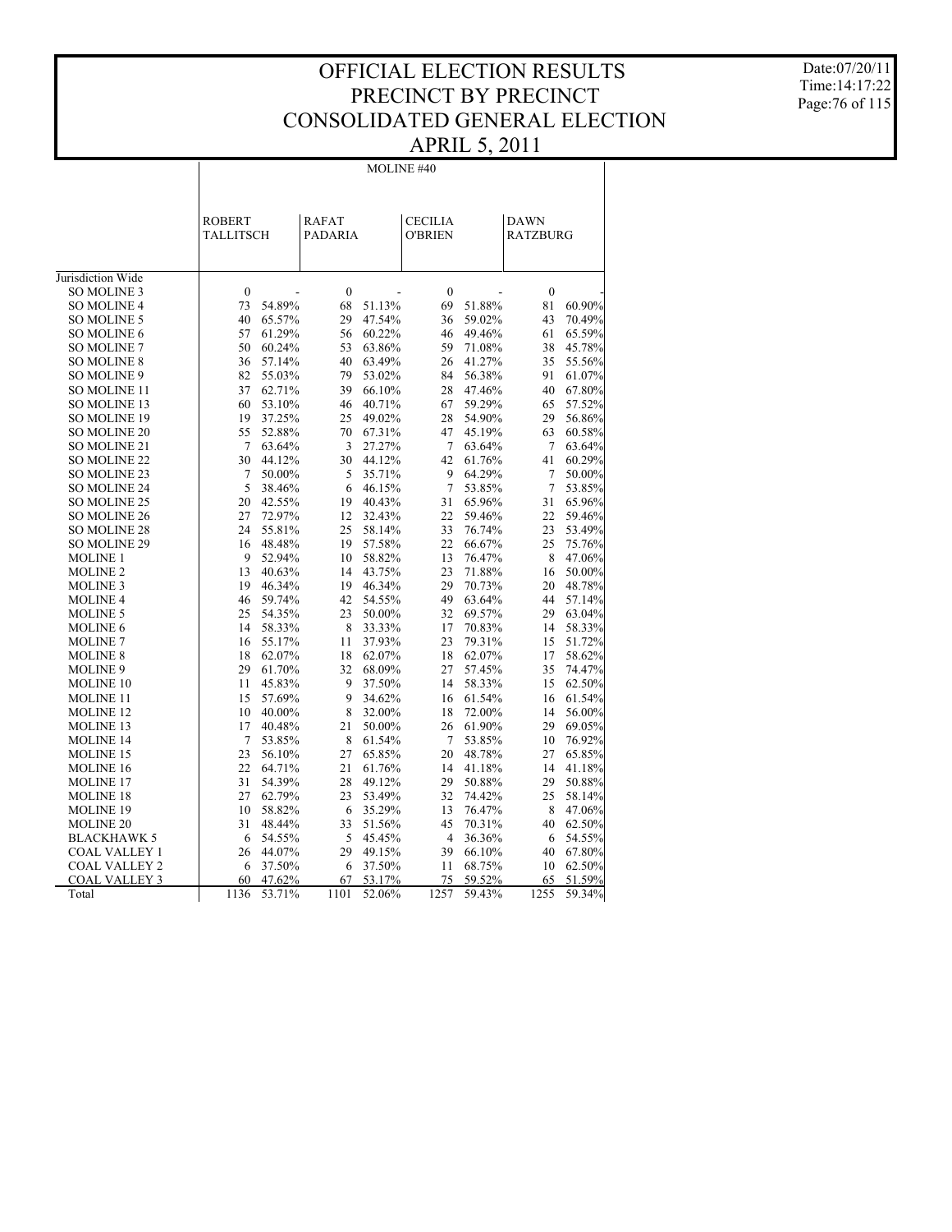Date:07/20/11 Time:14:17:22 Page:76 of 115

### MOLINE #40

|                      | <b>ROBERT</b><br><b>TALLITSCH</b> |        | <b>RAFAT</b><br>PADARIA |        | <b>CECILIA</b><br><b>O'BRIEN</b> |        | <b>DAWN</b><br><b>RATZBURG</b> |        |
|----------------------|-----------------------------------|--------|-------------------------|--------|----------------------------------|--------|--------------------------------|--------|
|                      |                                   |        |                         |        |                                  |        |                                |        |
|                      |                                   |        |                         |        |                                  |        |                                |        |
| Jurisdiction Wide    |                                   |        |                         |        |                                  |        |                                |        |
| <b>SO MOLINE 3</b>   | $\mathbf{0}$                      |        | $\mathbf{0}$            |        | $\mathbf{0}$                     |        | $\mathbf{0}$                   |        |
| <b>SO MOLINE 4</b>   | 73                                | 54.89% | 68                      | 51.13% | 69                               | 51.88% | 81                             | 60.90% |
| <b>SO MOLINE 5</b>   | 40                                | 65.57% | 29                      | 47.54% | 36                               | 59.02% | 43                             | 70.49% |
| <b>SO MOLINE 6</b>   | 57                                | 61.29% | 56                      | 60.22% | 46                               | 49.46% | 61                             | 65.59% |
| <b>SO MOLINE 7</b>   | 50                                | 60.24% | 53                      | 63.86% | 59                               | 71.08% | 38                             | 45.78% |
| <b>SO MOLINE 8</b>   | 36                                | 57.14% | 40                      | 63.49% | 26                               | 41.27% | 35                             | 55.56% |
| <b>SO MOLINE 9</b>   | 82                                | 55.03% | 79                      | 53.02% | 84                               | 56.38% | 91                             | 61.07% |
| <b>SO MOLINE 11</b>  | 37                                | 62.71% | 39                      | 66.10% | 28                               | 47.46% | 40                             | 67.80% |
| SO MOLINE 13         | 60                                | 53.10% | 46                      | 40.71% | 67                               | 59.29% | 65                             | 57.52% |
| <b>SO MOLINE 19</b>  | 19                                | 37.25% | 25                      | 49.02% | 28                               | 54.90% | 29                             | 56.86% |
| <b>SO MOLINE 20</b>  | 55                                | 52.88% | 70                      | 67.31% | 47                               | 45.19% | 63                             | 60.58% |
| SO MOLINE 21         | 7                                 | 63.64% | 3                       | 27.27% | 7                                | 63.64% | 7                              | 63.64% |
| <b>SO MOLINE 22</b>  | 30                                | 44.12% | 30                      | 44.12% | 42                               | 61.76% | 41                             | 60.29% |
| SO MOLINE 23         | 7                                 | 50.00% | 5                       | 35.71% | 9                                | 64.29% | 7                              | 50.00% |
| SO MOLINE 24         | 5                                 | 38.46% | 6                       | 46.15% | 7                                | 53.85% | 7                              | 53.85% |
| SO MOLINE 25         | 20                                | 42.55% | 19                      | 40.43% | 31                               | 65.96% | 31                             | 65.96% |
| <b>SO MOLINE 26</b>  | 27                                | 72.97% | 12                      | 32.43% | 22                               | 59.46% | 22                             | 59.46% |
| <b>SO MOLINE 28</b>  | 24                                | 55.81% | 25                      | 58.14% | 33                               | 76.74% | 23                             | 53.49% |
| <b>SO MOLINE 29</b>  | 16                                | 48.48% | 19                      | 57.58% | 22                               | 66.67% | 25                             | 75.76% |
| <b>MOLINE 1</b>      | 9                                 | 52.94% | 10                      | 58.82% | 13                               | 76.47% | 8                              | 47.06% |
| <b>MOLINE 2</b>      | 13                                | 40.63% | 14                      | 43.75% | 23                               | 71.88% | 16                             | 50.00% |
| <b>MOLINE 3</b>      | 19                                | 46.34% | 19                      | 46.34% | 29                               | 70.73% | 20                             | 48.78% |
| <b>MOLINE 4</b>      | 46                                | 59.74% | 42                      | 54.55% | 49                               | 63.64% | 44                             | 57.14% |
| <b>MOLINE 5</b>      | 25                                | 54.35% | 23                      | 50.00% | 32                               | 69.57% | 29                             | 63.04% |
| <b>MOLINE 6</b>      | 14                                | 58.33% | 8                       | 33.33% | 17                               | 70.83% | 14                             | 58.33% |
| <b>MOLINE 7</b>      | 16                                | 55.17% | 11                      | 37.93% | 23                               | 79.31% | 15                             | 51.72% |
| <b>MOLINE 8</b>      | 18                                | 62.07% | 18                      | 62.07% | 18                               | 62.07% | 17                             | 58.62% |
| <b>MOLINE 9</b>      | 29                                | 61.70% | 32                      | 68.09% | 27                               | 57.45% | 35                             | 74.47% |
| <b>MOLINE 10</b>     | 11                                | 45.83% | 9                       | 37.50% | 14                               | 58.33% | 15                             | 62.50% |
| <b>MOLINE 11</b>     | 15                                | 57.69% | 9                       | 34.62% | 16                               | 61.54% | 16                             | 61.54% |
| <b>MOLINE 12</b>     | 10                                | 40.00% | 8                       | 32.00% | 18                               | 72.00% | 14                             | 56.00% |
| <b>MOLINE 13</b>     | 17                                | 40.48% | 21                      | 50.00% | 26                               | 61.90% | 29                             | 69.05% |
| <b>MOLINE 14</b>     | 7                                 | 53.85% | 8                       | 61.54% | 7                                | 53.85% | 10                             | 76.92% |
| <b>MOLINE 15</b>     | 23                                | 56.10% | 27                      | 65.85% | 20                               | 48.78% | 27                             | 65.85% |
| <b>MOLINE 16</b>     | 22                                | 64.71% | 21                      | 61.76% | 14                               | 41.18% | 14                             | 41.18% |
| <b>MOLINE 17</b>     | 31                                | 54.39% | 28                      | 49.12% | 29                               | 50.88% | 29                             | 50.88% |
| <b>MOLINE 18</b>     | 27                                | 62.79% | 23                      | 53.49% | 32                               | 74.42% | 25                             | 58.14% |
| <b>MOLINE 19</b>     | 10                                | 58.82% | 6                       | 35.29% | 13                               | 76.47% | 8                              | 47.06% |
| <b>MOLINE 20</b>     | 31                                | 48.44% | 33                      | 51.56% | 45                               | 70.31% | 40                             | 62.50% |
| <b>BLACKHAWK 5</b>   | 6                                 | 54.55% | 5                       | 45.45% | $\overline{4}$                   | 36.36% | 6                              | 54.55% |
| <b>COAL VALLEY 1</b> | 26                                | 44.07% | 29                      | 49.15% | 39                               | 66.10% | 40                             | 67.80% |
| <b>COAL VALLEY 2</b> | 6                                 | 37.50% | 6                       | 37.50% | 11                               | 68.75% | 10                             | 62.50% |
| <b>COAL VALLEY 3</b> | 60                                | 47.62% | 67                      | 53.17% | 75                               | 59.52% | 65                             | 51.59% |
| Total                | 1136                              | 53.71% | 1101                    | 52.06% | 1257                             | 59.43% | 1255                           | 59.34% |

 $\overline{\phantom{a}}$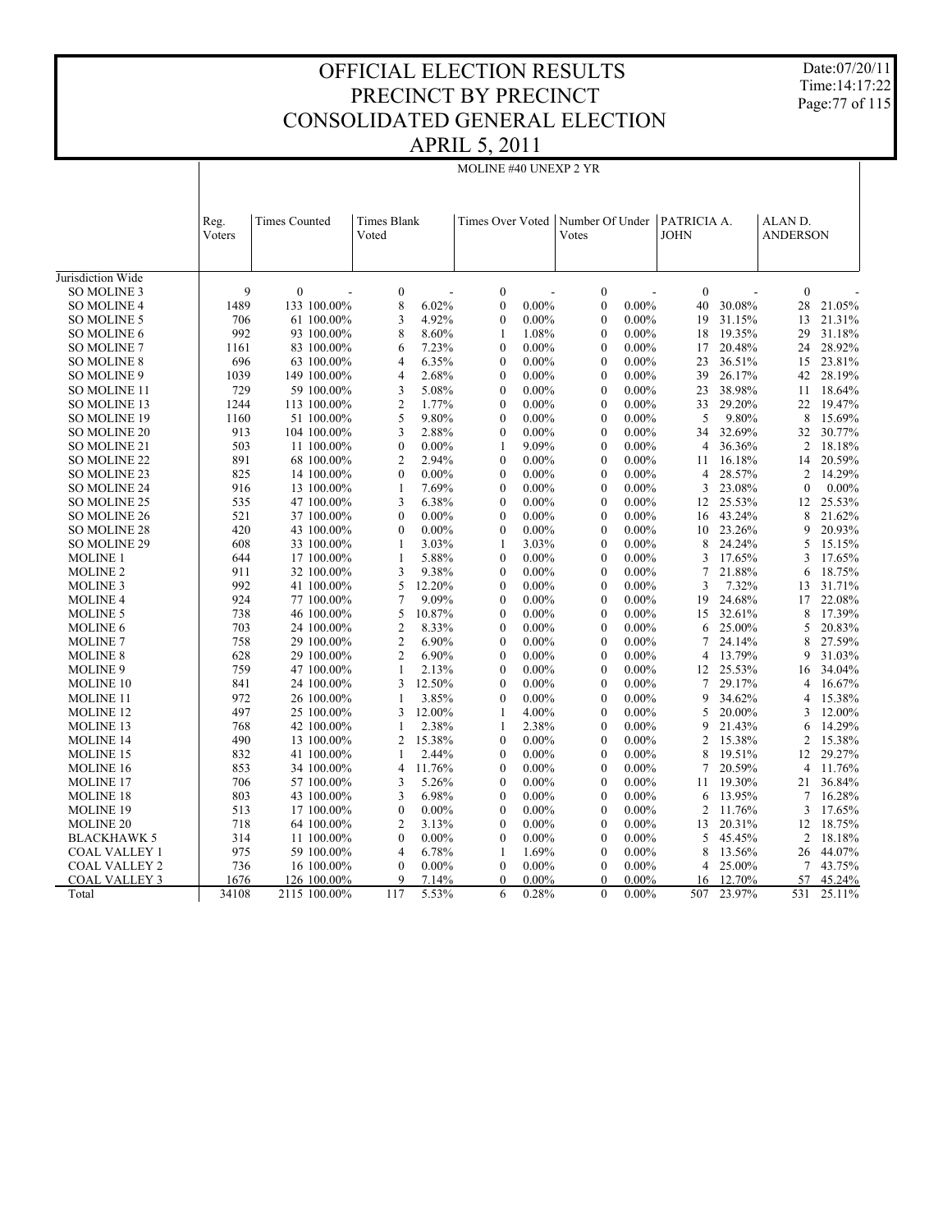Date:07/20/11 Time:14:17:22 Page:77 of 115

#### OFFICIAL ELECTION RESULTS PRECINCT BY PRECINCT CONSOLIDATED GENERAL ELECTION APRIL 5, 2011

| 7 KIL 3, 2011         |  |
|-----------------------|--|
| MOLINE #40 UNEXP 2 YR |  |

|                      | Reg.   | <b>Times Counted</b> | <b>Times Blank</b> |          | Times Over Voted |          | Number Of Under  |          | PATRICIA A.    |        | ALAND.          |          |
|----------------------|--------|----------------------|--------------------|----------|------------------|----------|------------------|----------|----------------|--------|-----------------|----------|
|                      | Voters |                      | Voted              |          |                  |          | Votes            |          | <b>JOHN</b>    |        | <b>ANDERSON</b> |          |
|                      |        |                      |                    |          |                  |          |                  |          |                |        |                 |          |
| Jurisdiction Wide    |        |                      |                    |          |                  |          |                  |          |                |        |                 |          |
| <b>SO MOLINE 3</b>   | 9      | $\mathbf{0}$         | $\mathbf{0}$       |          | $\overline{0}$   |          | $\mathbf{0}$     |          | $\theta$       |        | $\mathbf{0}$    |          |
| SO MOLINE 4          | 1489   | 133 100.00%          | 8                  | 6.02%    | $\mathbf{0}$     | $0.00\%$ | $\mathbf{0}$     | $0.00\%$ | 40             | 30.08% | 28              | 21.05%   |
| <b>SO MOLINE 5</b>   | 706    | 61 100.00%           | 3                  | 4.92%    | $\overline{0}$   | $0.00\%$ | $\mathbf{0}$     | $0.00\%$ | 19             | 31.15% | 13              | 21.31%   |
| SO MOLINE 6          | 992    | 93 100.00%           | 8                  | 8.60%    | 1                | 1.08%    | $\mathbf{0}$     | $0.00\%$ | 18             | 19.35% | 29              | 31.18%   |
| <b>SO MOLINE 7</b>   | 1161   | 83 100.00%           | 6                  | 7.23%    | $\theta$         | $0.00\%$ | $\theta$         | $0.00\%$ | 17             | 20.48% | 24              | 28.92%   |
| <b>SO MOLINE 8</b>   | 696    | 63 100.00%           | 4                  | 6.35%    | $\mathbf{0}$     | $0.00\%$ | $\mathbf{0}$     | $0.00\%$ | 23             | 36.51% | 15              | 23.81%   |
| SO MOLINE 9          | 1039   | 149 100,00%          | $\overline{4}$     | 2.68%    | $\theta$         | $0.00\%$ | $\theta$         | $0.00\%$ | 39             | 26.17% | 42              | 28.19%   |
| <b>SO MOLINE 11</b>  | 729    | 59 100.00%           | 3                  | 5.08%    | $\mathbf{0}$     | $0.00\%$ | $\mathbf{0}$     | $0.00\%$ | 23             | 38.98% | 11              | 18.64%   |
| <b>SO MOLINE 13</b>  | 1244   | 113 100.00%          | $\overline{2}$     | 1.77%    | $\theta$         | $0.00\%$ | $\theta$         | $0.00\%$ | 33             | 29.20% | 22              | 19.47%   |
| <b>SO MOLINE 19</b>  | 1160   | 51 100.00%           | 5                  | 9.80%    | $\overline{0}$   | $0.00\%$ | $\mathbf{0}$     | $0.00\%$ | 5              | 9.80%  | 8               | 15.69%   |
| SO MOLINE 20         | 913    | 104 100.00%          | 3                  | 2.88%    | $\theta$         | $0.00\%$ | $\theta$         | $0.00\%$ | 34             | 32.69% | 32              | 30.77%   |
| SO MOLINE 21         | 503    | 11 100.00%           | $\mathbf{0}$       | $0.00\%$ | $\mathbf{1}$     | 9.09%    | $\mathbf{0}$     | $0.00\%$ | $\overline{4}$ | 36.36% | $\overline{2}$  | 18.18%   |
| <b>SO MOLINE 22</b>  | 891    | 68 100.00%           | $\overline{2}$     | 2.94%    | $\overline{0}$   | $0.00\%$ | $\mathbf{0}$     | $0.00\%$ | 11             | 16.18% | 14              | 20.59%   |
| SO MOLINE 23         | 825    | 14 100.00%           | $\mathbf{0}$       | $0.00\%$ | $\mathbf{0}$     | $0.00\%$ | $\mathbf{0}$     | $0.00\%$ | $\overline{4}$ | 28.57% | $\overline{2}$  | 14.29%   |
| <b>SO MOLINE 24</b>  | 916    | 13 100.00%           | 1                  | 7.69%    | $\mathbf{0}$     | $0.00\%$ | $\boldsymbol{0}$ | $0.00\%$ | 3              | 23.08% | $\mathbf{0}$    | $0.00\%$ |
| SO MOLINE 25         | 535    | 47 100.00%           | 3                  | 6.38%    | $\mathbf{0}$     | $0.00\%$ | $\mathbf{0}$     | $0.00\%$ | 12             | 25.53% | 12              | 25.53%   |
| SO MOLINE 26         | 521    | 37 100.00%           | $\boldsymbol{0}$   | $0.00\%$ | $\mathbf{0}$     | $0.00\%$ | $\boldsymbol{0}$ | $0.00\%$ | 16             | 43.24% | 8               | 21.62%   |
| SO MOLINE 28         | 420    | 43 100.00%           | $\mathbf{0}$       | $0.00\%$ | $\mathbf{0}$     | $0.00\%$ | $\mathbf{0}$     | $0.00\%$ | 10             | 23.26% | 9               | 20.93%   |
| <b>SO MOLINE 29</b>  | 608    | 33 100.00%           | $\mathbf{1}$       | 3.03%    | $\mathbf{1}$     | 3.03%    | $\boldsymbol{0}$ | $0.00\%$ | 8              | 24.24% | 5               | 15.15%   |
| <b>MOLINE 1</b>      | 644    | 17 100.00%           | $\mathbf{1}$       | 5.88%    | $\mathbf{0}$     | $0.00\%$ | $\mathbf{0}$     | $0.00\%$ | 3              | 17.65% | 3               | 17.65%   |
| <b>MOLINE 2</b>      | 911    | 32 100.00%           | 3                  | 9.38%    | $\boldsymbol{0}$ | $0.00\%$ | $\mathbf{0}$     | $0.00\%$ | $\overline{7}$ | 21.88% | 6               | 18.75%   |
| <b>MOLINE 3</b>      | 992    | 41 100.00%           | 5                  | 12.20%   | $\mathbf{0}$     | $0.00\%$ | $\mathbf{0}$     | $0.00\%$ | 3              | 7.32%  | 13              | 31.71%   |
| <b>MOLINE 4</b>      | 924    | 77 100.00%           | 7                  | 9.09%    | $\mathbf{0}$     | $0.00\%$ | $\mathbf{0}$     | $0.00\%$ | 19             | 24.68% | 17              | 22.08%   |
| <b>MOLINE 5</b>      | 738    | 46 100.00%           | 5                  | 10.87%   | $\mathbf{0}$     | $0.00\%$ | $\mathbf{0}$     | $0.00\%$ | 15             | 32.61% | 8               | 17.39%   |
| <b>MOLINE 6</b>      | 703    | 24 100.00%           | $\mathfrak{2}$     | 8.33%    | $\mathbf{0}$     | $0.00\%$ | $\mathbf{0}$     | $0.00\%$ | 6              | 25.00% | 5               | 20.83%   |
| <b>MOLINE 7</b>      | 758    | 29 100.00%           | $\overline{2}$     | 6.90%    | $\theta$         | $0.00\%$ | $\mathbf{0}$     | $0.00\%$ | $\tau$         | 24.14% | 8               | 27.59%   |
| <b>MOLINE 8</b>      | 628    | 29 100.00%           | $\overline{2}$     | 6.90%    | $\mathbf{0}$     | $0.00\%$ | $\mathbf{0}$     | $0.00\%$ | $\overline{4}$ | 13.79% | 9               | 31.03%   |
| <b>MOLINE 9</b>      | 759    | 47 100.00%           | $\mathbf{1}$       | 2.13%    | $\theta$         | $0.00\%$ | $\theta$         | $0.00\%$ | 12             | 25.53% | 16              | 34.04%   |
| <b>MOLINE 10</b>     | 841    | 24 100.00%           | 3                  | 12.50%   | $\mathbf{0}$     | $0.00\%$ | $\mathbf{0}$     | $0.00\%$ | $\overline{7}$ | 29.17% | 4               | 16.67%   |
| <b>MOLINE 11</b>     | 972    | 26 100.00%           | 1                  | 3.85%    | $\theta$         | $0.00\%$ | $\mathbf{0}$     | $0.00\%$ | 9              | 34.62% | $\overline{4}$  | 15.38%   |
| <b>MOLINE 12</b>     | 497    | 25 100.00%           | 3                  | 12.00%   | $\mathbf{1}$     | 4.00%    | $\boldsymbol{0}$ | $0.00\%$ | 5              | 20.00% | 3               | 12.00%   |
| <b>MOLINE 13</b>     | 768    | 42 100.00%           | 1                  | 2.38%    | 1                | 2.38%    | $\mathbf{0}$     | $0.00\%$ | 9              | 21.43% | 6               | 14.29%   |
| <b>MOLINE 14</b>     | 490    | 13 100.00%           | $\overline{2}$     | 15.38%   | $\mathbf{0}$     | $0.00\%$ | $\boldsymbol{0}$ | $0.00\%$ | $\overline{c}$ | 15.38% | $\overline{c}$  | 15.38%   |
| <b>MOLINE 15</b>     | 832    | 41 100.00%           | 1                  | 2.44%    | $\mathbf{0}$     | $0.00\%$ | $\mathbf{0}$     | $0.00\%$ | 8              | 19.51% | 12              | 29.27%   |
| <b>MOLINE 16</b>     | 853    | 34 100.00%           | $\overline{4}$     | 11.76%   | $\mathbf{0}$     | $0.00\%$ | $\mathbf{0}$     | $0.00\%$ | 7              | 20.59% | 4               | 11.76%   |
| <b>MOLINE 17</b>     | 706    | 57 100.00%           | 3                  | 5.26%    | $\mathbf{0}$     | $0.00\%$ | $\mathbf{0}$     | $0.00\%$ | 11             | 19.30% | 21              | 36.84%   |
| <b>MOLINE 18</b>     | 803    | 43 100.00%           | 3                  | 6.98%    | $\overline{0}$   | $0.00\%$ | $\mathbf{0}$     | $0.00\%$ | 6              | 13.95% | 7               | 16.28%   |
| <b>MOLINE 19</b>     | 513    | 17 100.00%           | $\mathbf{0}$       | $0.00\%$ | $\mathbf{0}$     | $0.00\%$ | $\mathbf{0}$     | $0.00\%$ | 2              | 11.76% | 3               | 17.65%   |
| <b>MOLINE 20</b>     | 718    | 64 100.00%           | $\overline{2}$     | 3.13%    | $\overline{0}$   | $0.00\%$ | $\mathbf{0}$     | $0.00\%$ | 13             | 20.31% | 12              | 18.75%   |
| <b>BLACKHAWK 5</b>   | 314    | 11 100.00%           | $\mathbf{0}$       | $0.00\%$ | $\overline{0}$   | $0.00\%$ | $\mathbf{0}$     | $0.00\%$ | 5              | 45.45% | $\overline{2}$  | 18.18%   |
| <b>COAL VALLEY 1</b> | 975    | 59 100.00%           | $\overline{4}$     | 6.78%    | 1                | 1.69%    | $\mathbf{0}$     | $0.00\%$ | 8              | 13.56% | 26              | 44.07%   |
| COAL VALLEY 2        | 736    | 16 100.00%           | $\Omega$           | $0.00\%$ | $\theta$         | $0.00\%$ | $\theta$         | $0.00\%$ | $\overline{4}$ | 25.00% | 7               | 43.75%   |
| <b>COAL VALLEY 3</b> | 1676   | 126 100.00%          | 9                  | 7.14%    | $\theta$         | $0.00\%$ | $\theta$         | $0.00\%$ | 16             | 12.70% | 57              | 45.24%   |
| Total                | 34108  | 2115 100.00%         | 117                | 5.53%    | 6                | 0.28%    | $\theta$         | $0.00\%$ | 507            | 23.97% | 531             | 25.11%   |
|                      |        |                      |                    |          |                  |          |                  |          |                |        |                 |          |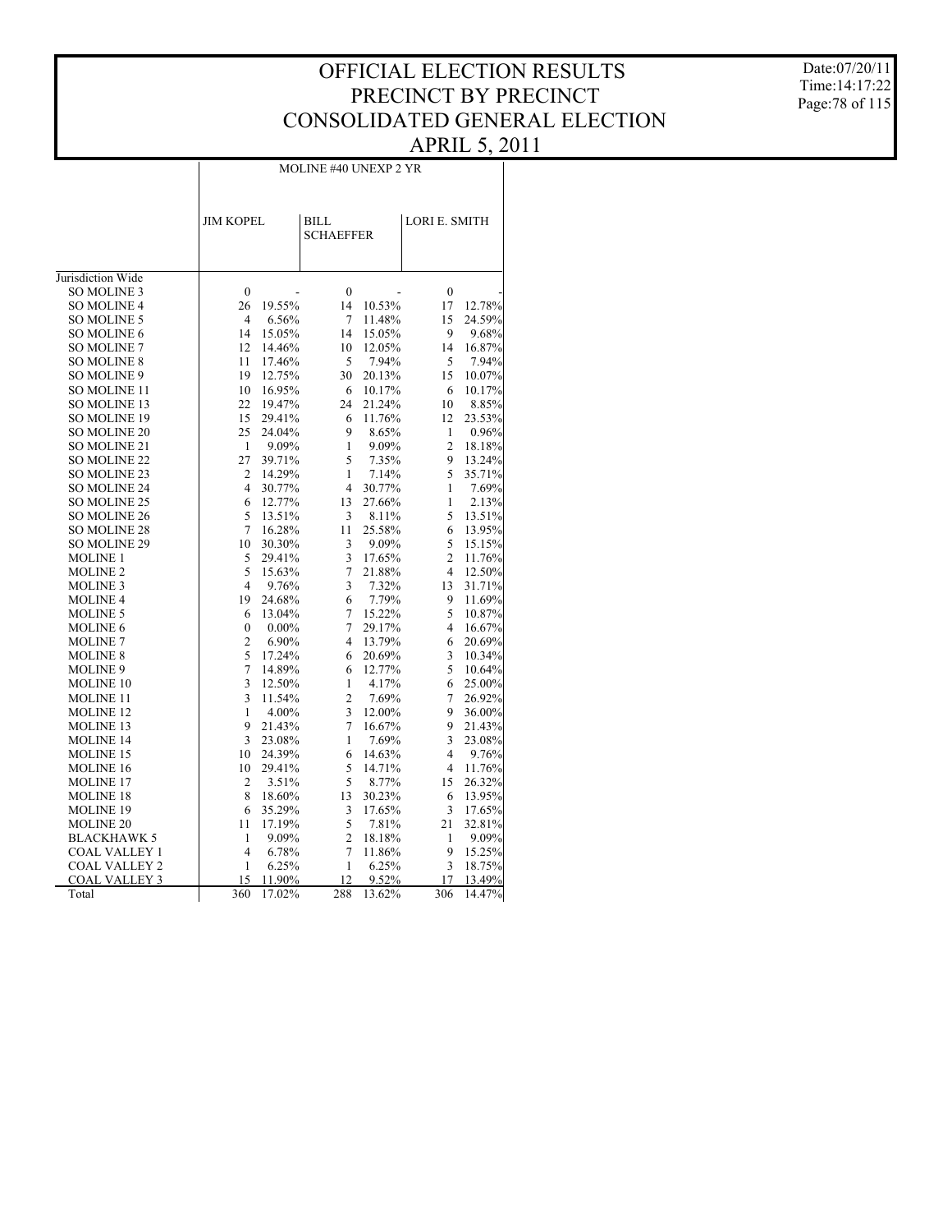MOLINE #40 UNEXP 2 YR

Date:07/20/11 Time:14:17:22 Page:78 of 115

|                |                                                                                                                                                                                                                                                                           |                                                                                                                                                                                                                                                                                                                                      |                                                                                                                                                                                                                                                                                                                                 |                                                                                                                                                                                                                                                                                                                                                                                      | 12.78%                                                                                                                                                                                                                                                                                                            |
|----------------|---------------------------------------------------------------------------------------------------------------------------------------------------------------------------------------------------------------------------------------------------------------------------|--------------------------------------------------------------------------------------------------------------------------------------------------------------------------------------------------------------------------------------------------------------------------------------------------------------------------------------|---------------------------------------------------------------------------------------------------------------------------------------------------------------------------------------------------------------------------------------------------------------------------------------------------------------------------------|--------------------------------------------------------------------------------------------------------------------------------------------------------------------------------------------------------------------------------------------------------------------------------------------------------------------------------------------------------------------------------------|-------------------------------------------------------------------------------------------------------------------------------------------------------------------------------------------------------------------------------------------------------------------------------------------------------------------|
|                |                                                                                                                                                                                                                                                                           |                                                                                                                                                                                                                                                                                                                                      |                                                                                                                                                                                                                                                                                                                                 |                                                                                                                                                                                                                                                                                                                                                                                      | 24.59%                                                                                                                                                                                                                                                                                                            |
|                |                                                                                                                                                                                                                                                                           |                                                                                                                                                                                                                                                                                                                                      |                                                                                                                                                                                                                                                                                                                                 |                                                                                                                                                                                                                                                                                                                                                                                      | 9.68%                                                                                                                                                                                                                                                                                                             |
|                |                                                                                                                                                                                                                                                                           |                                                                                                                                                                                                                                                                                                                                      |                                                                                                                                                                                                                                                                                                                                 |                                                                                                                                                                                                                                                                                                                                                                                      |                                                                                                                                                                                                                                                                                                                   |
|                |                                                                                                                                                                                                                                                                           |                                                                                                                                                                                                                                                                                                                                      |                                                                                                                                                                                                                                                                                                                                 |                                                                                                                                                                                                                                                                                                                                                                                      | 16.87%<br>7.94%                                                                                                                                                                                                                                                                                                   |
|                |                                                                                                                                                                                                                                                                           |                                                                                                                                                                                                                                                                                                                                      |                                                                                                                                                                                                                                                                                                                                 |                                                                                                                                                                                                                                                                                                                                                                                      |                                                                                                                                                                                                                                                                                                                   |
|                |                                                                                                                                                                                                                                                                           |                                                                                                                                                                                                                                                                                                                                      |                                                                                                                                                                                                                                                                                                                                 |                                                                                                                                                                                                                                                                                                                                                                                      | 10.07%                                                                                                                                                                                                                                                                                                            |
|                |                                                                                                                                                                                                                                                                           |                                                                                                                                                                                                                                                                                                                                      |                                                                                                                                                                                                                                                                                                                                 |                                                                                                                                                                                                                                                                                                                                                                                      | 10.17%                                                                                                                                                                                                                                                                                                            |
|                |                                                                                                                                                                                                                                                                           |                                                                                                                                                                                                                                                                                                                                      |                                                                                                                                                                                                                                                                                                                                 |                                                                                                                                                                                                                                                                                                                                                                                      | 8.85%                                                                                                                                                                                                                                                                                                             |
|                |                                                                                                                                                                                                                                                                           |                                                                                                                                                                                                                                                                                                                                      |                                                                                                                                                                                                                                                                                                                                 |                                                                                                                                                                                                                                                                                                                                                                                      | 23.53%                                                                                                                                                                                                                                                                                                            |
|                |                                                                                                                                                                                                                                                                           |                                                                                                                                                                                                                                                                                                                                      |                                                                                                                                                                                                                                                                                                                                 |                                                                                                                                                                                                                                                                                                                                                                                      | 0.96%                                                                                                                                                                                                                                                                                                             |
|                |                                                                                                                                                                                                                                                                           |                                                                                                                                                                                                                                                                                                                                      |                                                                                                                                                                                                                                                                                                                                 |                                                                                                                                                                                                                                                                                                                                                                                      | 18.18%                                                                                                                                                                                                                                                                                                            |
|                |                                                                                                                                                                                                                                                                           |                                                                                                                                                                                                                                                                                                                                      |                                                                                                                                                                                                                                                                                                                                 |                                                                                                                                                                                                                                                                                                                                                                                      | 13.24%                                                                                                                                                                                                                                                                                                            |
|                |                                                                                                                                                                                                                                                                           |                                                                                                                                                                                                                                                                                                                                      |                                                                                                                                                                                                                                                                                                                                 |                                                                                                                                                                                                                                                                                                                                                                                      | 35.71%                                                                                                                                                                                                                                                                                                            |
|                |                                                                                                                                                                                                                                                                           |                                                                                                                                                                                                                                                                                                                                      |                                                                                                                                                                                                                                                                                                                                 |                                                                                                                                                                                                                                                                                                                                                                                      | 7.69%                                                                                                                                                                                                                                                                                                             |
|                |                                                                                                                                                                                                                                                                           |                                                                                                                                                                                                                                                                                                                                      |                                                                                                                                                                                                                                                                                                                                 |                                                                                                                                                                                                                                                                                                                                                                                      | 2.13%                                                                                                                                                                                                                                                                                                             |
|                |                                                                                                                                                                                                                                                                           |                                                                                                                                                                                                                                                                                                                                      |                                                                                                                                                                                                                                                                                                                                 |                                                                                                                                                                                                                                                                                                                                                                                      | 13.51%                                                                                                                                                                                                                                                                                                            |
|                |                                                                                                                                                                                                                                                                           |                                                                                                                                                                                                                                                                                                                                      |                                                                                                                                                                                                                                                                                                                                 |                                                                                                                                                                                                                                                                                                                                                                                      | 13.95%                                                                                                                                                                                                                                                                                                            |
|                |                                                                                                                                                                                                                                                                           |                                                                                                                                                                                                                                                                                                                                      |                                                                                                                                                                                                                                                                                                                                 |                                                                                                                                                                                                                                                                                                                                                                                      | 15.15%                                                                                                                                                                                                                                                                                                            |
|                |                                                                                                                                                                                                                                                                           |                                                                                                                                                                                                                                                                                                                                      |                                                                                                                                                                                                                                                                                                                                 |                                                                                                                                                                                                                                                                                                                                                                                      | 11.76%                                                                                                                                                                                                                                                                                                            |
|                |                                                                                                                                                                                                                                                                           |                                                                                                                                                                                                                                                                                                                                      |                                                                                                                                                                                                                                                                                                                                 |                                                                                                                                                                                                                                                                                                                                                                                      | 12.50%                                                                                                                                                                                                                                                                                                            |
|                |                                                                                                                                                                                                                                                                           |                                                                                                                                                                                                                                                                                                                                      |                                                                                                                                                                                                                                                                                                                                 |                                                                                                                                                                                                                                                                                                                                                                                      | 31.71%                                                                                                                                                                                                                                                                                                            |
|                |                                                                                                                                                                                                                                                                           |                                                                                                                                                                                                                                                                                                                                      |                                                                                                                                                                                                                                                                                                                                 |                                                                                                                                                                                                                                                                                                                                                                                      | 11.69%                                                                                                                                                                                                                                                                                                            |
|                |                                                                                                                                                                                                                                                                           |                                                                                                                                                                                                                                                                                                                                      |                                                                                                                                                                                                                                                                                                                                 |                                                                                                                                                                                                                                                                                                                                                                                      | 10.87%                                                                                                                                                                                                                                                                                                            |
|                |                                                                                                                                                                                                                                                                           |                                                                                                                                                                                                                                                                                                                                      |                                                                                                                                                                                                                                                                                                                                 |                                                                                                                                                                                                                                                                                                                                                                                      | 16.67%                                                                                                                                                                                                                                                                                                            |
|                |                                                                                                                                                                                                                                                                           |                                                                                                                                                                                                                                                                                                                                      |                                                                                                                                                                                                                                                                                                                                 |                                                                                                                                                                                                                                                                                                                                                                                      | 20.69%                                                                                                                                                                                                                                                                                                            |
|                |                                                                                                                                                                                                                                                                           |                                                                                                                                                                                                                                                                                                                                      |                                                                                                                                                                                                                                                                                                                                 |                                                                                                                                                                                                                                                                                                                                                                                      | 10.34%                                                                                                                                                                                                                                                                                                            |
|                |                                                                                                                                                                                                                                                                           |                                                                                                                                                                                                                                                                                                                                      |                                                                                                                                                                                                                                                                                                                                 |                                                                                                                                                                                                                                                                                                                                                                                      | 10.64%                                                                                                                                                                                                                                                                                                            |
|                |                                                                                                                                                                                                                                                                           |                                                                                                                                                                                                                                                                                                                                      |                                                                                                                                                                                                                                                                                                                                 |                                                                                                                                                                                                                                                                                                                                                                                      | 25.00%                                                                                                                                                                                                                                                                                                            |
|                |                                                                                                                                                                                                                                                                           |                                                                                                                                                                                                                                                                                                                                      |                                                                                                                                                                                                                                                                                                                                 |                                                                                                                                                                                                                                                                                                                                                                                      | 26.92%                                                                                                                                                                                                                                                                                                            |
|                |                                                                                                                                                                                                                                                                           |                                                                                                                                                                                                                                                                                                                                      |                                                                                                                                                                                                                                                                                                                                 |                                                                                                                                                                                                                                                                                                                                                                                      | 36.00%                                                                                                                                                                                                                                                                                                            |
|                |                                                                                                                                                                                                                                                                           |                                                                                                                                                                                                                                                                                                                                      |                                                                                                                                                                                                                                                                                                                                 |                                                                                                                                                                                                                                                                                                                                                                                      | 21.43%                                                                                                                                                                                                                                                                                                            |
|                |                                                                                                                                                                                                                                                                           |                                                                                                                                                                                                                                                                                                                                      |                                                                                                                                                                                                                                                                                                                                 |                                                                                                                                                                                                                                                                                                                                                                                      | 23.08%                                                                                                                                                                                                                                                                                                            |
|                |                                                                                                                                                                                                                                                                           |                                                                                                                                                                                                                                                                                                                                      |                                                                                                                                                                                                                                                                                                                                 |                                                                                                                                                                                                                                                                                                                                                                                      | 9.76%                                                                                                                                                                                                                                                                                                             |
|                |                                                                                                                                                                                                                                                                           |                                                                                                                                                                                                                                                                                                                                      |                                                                                                                                                                                                                                                                                                                                 |                                                                                                                                                                                                                                                                                                                                                                                      | 11.76%                                                                                                                                                                                                                                                                                                            |
|                |                                                                                                                                                                                                                                                                           |                                                                                                                                                                                                                                                                                                                                      |                                                                                                                                                                                                                                                                                                                                 |                                                                                                                                                                                                                                                                                                                                                                                      | 26.32%                                                                                                                                                                                                                                                                                                            |
|                |                                                                                                                                                                                                                                                                           |                                                                                                                                                                                                                                                                                                                                      |                                                                                                                                                                                                                                                                                                                                 | 6                                                                                                                                                                                                                                                                                                                                                                                    | 13.95%                                                                                                                                                                                                                                                                                                            |
| 6              | 35.29%                                                                                                                                                                                                                                                                    | 3                                                                                                                                                                                                                                                                                                                                    | 17.65%                                                                                                                                                                                                                                                                                                                          | 3                                                                                                                                                                                                                                                                                                                                                                                    | 17.65%                                                                                                                                                                                                                                                                                                            |
| 11             | 17.19%                                                                                                                                                                                                                                                                    | 5                                                                                                                                                                                                                                                                                                                                    |                                                                                                                                                                                                                                                                                                                                 | 21                                                                                                                                                                                                                                                                                                                                                                                   | 32.81%                                                                                                                                                                                                                                                                                                            |
| 1              | 9.09%                                                                                                                                                                                                                                                                     | $\overline{2}$                                                                                                                                                                                                                                                                                                                       | 18.18%                                                                                                                                                                                                                                                                                                                          | 1                                                                                                                                                                                                                                                                                                                                                                                    | 9.09%                                                                                                                                                                                                                                                                                                             |
| $\overline{4}$ | 6.78%                                                                                                                                                                                                                                                                     | 7                                                                                                                                                                                                                                                                                                                                    | 11.86%                                                                                                                                                                                                                                                                                                                          | 9                                                                                                                                                                                                                                                                                                                                                                                    | 15.25%                                                                                                                                                                                                                                                                                                            |
| 1              | 6.25%                                                                                                                                                                                                                                                                     | 1                                                                                                                                                                                                                                                                                                                                    | 6.25%                                                                                                                                                                                                                                                                                                                           | 3                                                                                                                                                                                                                                                                                                                                                                                    | 18.75%                                                                                                                                                                                                                                                                                                            |
| 15             | 11.90%                                                                                                                                                                                                                                                                    | 12                                                                                                                                                                                                                                                                                                                                   |                                                                                                                                                                                                                                                                                                                                 |                                                                                                                                                                                                                                                                                                                                                                                      | 13.49%                                                                                                                                                                                                                                                                                                            |
|                | 17.02%                                                                                                                                                                                                                                                                    | 288                                                                                                                                                                                                                                                                                                                                  | 13.62%                                                                                                                                                                                                                                                                                                                          | 306                                                                                                                                                                                                                                                                                                                                                                                  | 14.47%                                                                                                                                                                                                                                                                                                            |
|                | $\mathbf{0}$<br>26<br>4<br>14<br>12<br>11<br>19<br>10<br>22<br>15<br>25<br>$\mathbf{1}$<br>27<br>$\overline{2}$<br>4<br>6<br>5<br>7<br>10<br>5<br>5<br>$\overline{4}$<br>19<br>6<br>$\boldsymbol{0}$<br>2<br>5<br>7<br>3<br>3<br>1<br>9<br>3<br>10<br>10<br>2<br>8<br>360 | <b>JIM KOPEL</b><br>19.55%<br>6.56%<br>15.05%<br>14.46%<br>17.46%<br>12.75%<br>16.95%<br>19.47%<br>29.41%<br>24.04%<br>39.71%<br>14.29%<br>30.77%<br>13.51%<br>16.28%<br>30.30%<br>29.41%<br>9.76%<br>24.68%<br>13.04%<br>$0.00\%$<br>6.90%<br>17.24%<br>14.89%<br>12.50%<br>11.54%<br>4.00%<br>21.43%<br>23.08%<br>29.41%<br>18.60% | BILL<br>$\mathbf{0}$<br>14<br>7<br>14<br>10<br>5<br>30<br>6<br>24<br>6<br>9<br>9.09%<br>1<br>5<br>$\mathbf{1}$<br>$\overline{4}$<br>12.77%<br>13<br>3<br>11<br>3<br>3<br>7<br>15.63%<br>3<br>6<br>$\overline{7}$<br>7<br>$\overline{4}$<br>6<br>6<br>1<br>$\overline{2}$<br>3<br>7<br>1<br>24.39%<br>6<br>5<br>3.51%<br>5<br>13 | <b>SCHAEFFER</b><br>10.53%<br>11.48%<br>15.05%<br>12.05%<br>7.94%<br>20.13%<br>10.17%<br>21.24%<br>11.76%<br>8.65%<br>9.09%<br>7.35%<br>7.14%<br>30.77%<br>27.66%<br>8.11%<br>25.58%<br>9.09%<br>17.65%<br>21.88%<br>7.32%<br>7.79%<br>15.22%<br>29.17%<br>13.79%<br>20.69%<br>12.77%<br>4.17%<br>7.69%<br>12.00%<br>16.67%<br>7.69%<br>14.63%<br>14.71%<br>8.77%<br>30.23%<br>9.52% | <b>MOLINE #40 UNEXP 2 YR</b><br><b>LORI E. SMITH</b><br>$\mathbf{0}$<br>17<br>15<br>9<br>14<br>5<br>15<br>6<br>10<br>12<br>1<br>2<br>9<br>5<br>1<br>1<br>5<br>6<br>5<br>$\overline{c}$<br>$\overline{4}$<br>13<br>9<br>5<br>4<br>6<br>3<br>5<br>6<br>7<br>9<br>9<br>3<br>4<br>$\overline{4}$<br>15<br>7.81%<br>17 |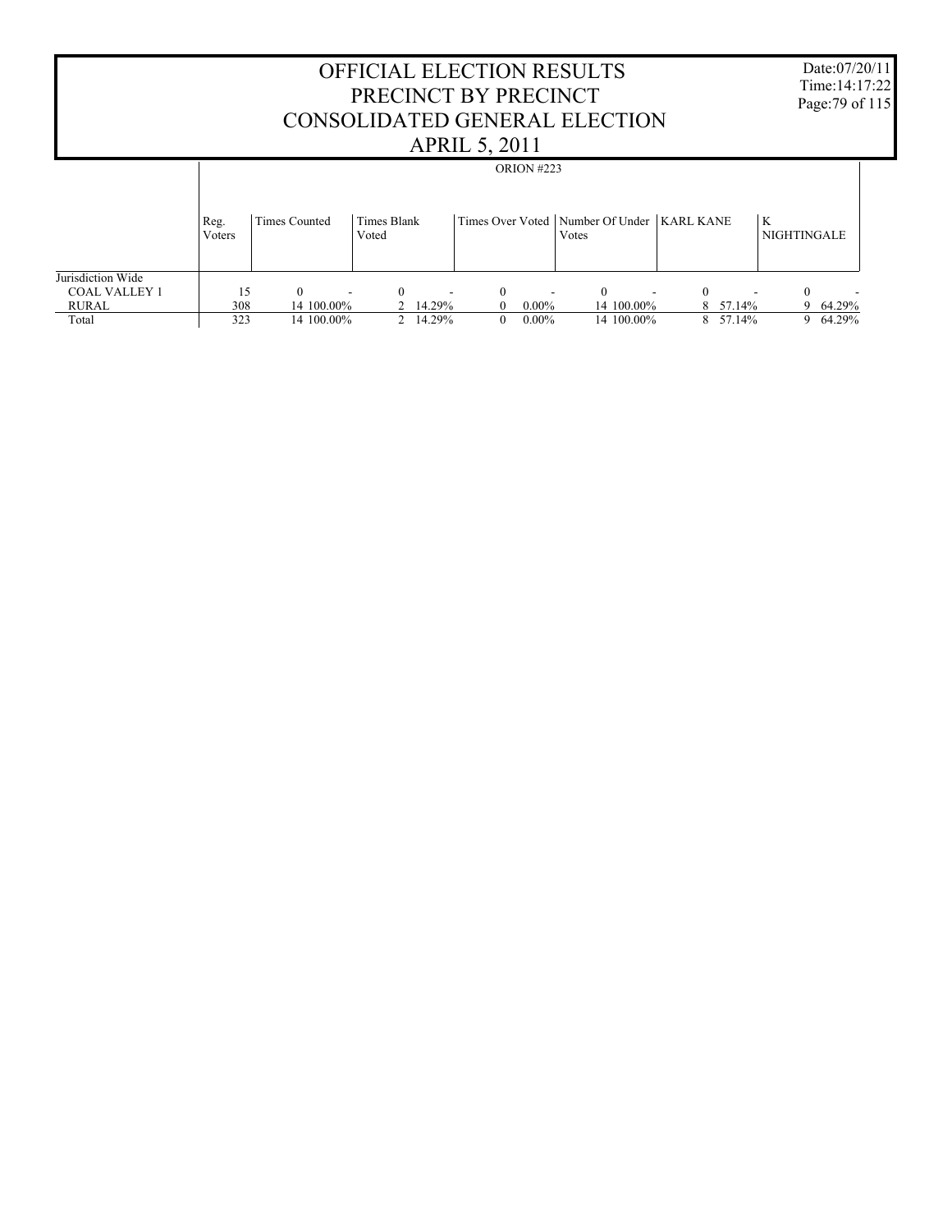|                                                           |                |                 |                      |        | PRECINCT BY PRECINCT<br><b>APRIL 5, 2011</b> |                   | <b>OFFICIAL ELECTION RESULTS</b><br>CONSOLIDATED GENERAL ELECTION |          |          |                         | Date:07/20/11<br>Time: 14:17:22<br>Page: 79 of 115 |  |
|-----------------------------------------------------------|----------------|-----------------|----------------------|--------|----------------------------------------------|-------------------|-------------------------------------------------------------------|----------|----------|-------------------------|----------------------------------------------------|--|
|                                                           |                |                 |                      |        |                                              | <b>ORION #223</b> |                                                                   |          |          |                         |                                                    |  |
|                                                           | Reg.<br>Voters | Times Counted   | Times Blank<br>Voted |        |                                              |                   | Times Over Voted   Number Of Under   KARL KANE<br>Votes           |          |          | K<br><b>NIGHTINGALE</b> |                                                    |  |
| Jurisdiction Wide<br><b>COAL VALLEY 1</b><br><b>RURAL</b> | 15<br>308      | 0<br>14 100.00% | $\Omega$             | 14.29% | $\mathbf{0}$<br>$\Omega$                     | $0.00\%$          | $\Omega$<br>14 100.00%                                            | $\Omega$ | 8 57.14% | $\theta$<br>Q           | 64.29%                                             |  |
| Total                                                     | 323            | 14 100.00%      |                      | 14.29% | $\overline{0}$                               | $0.00\%$          | 14 100.00%                                                        |          | 8 57.14% | 9.                      | 64.29%                                             |  |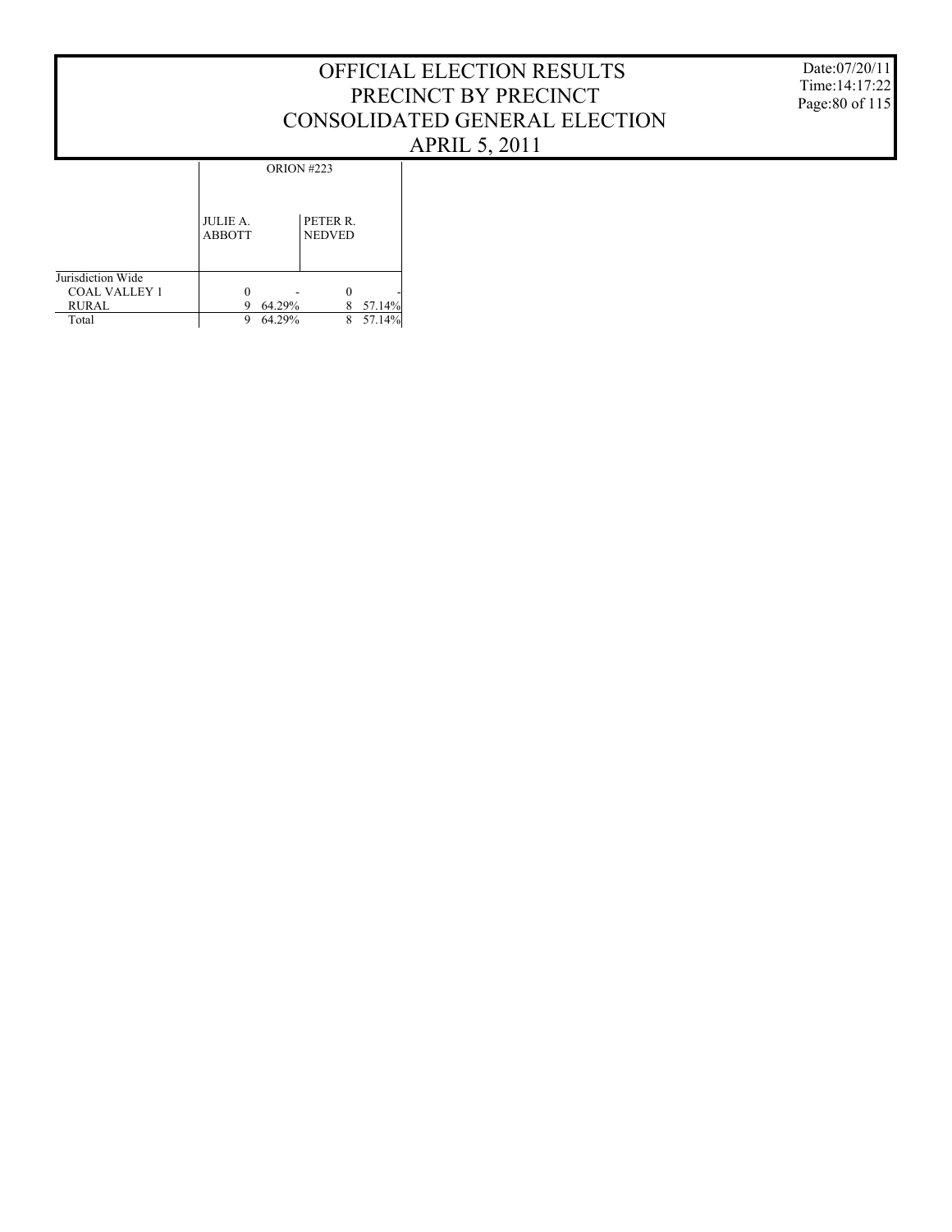|                                           |                                  |                                         | <b>OFFICIAL ELECTION RESULTS</b><br>PRECINCT BY PRECINCT<br>CONSOLIDATED GENERAL ELECTION | Date:07/20/11<br>Time: 14:17:22<br>Page: 80 of 115 |
|-------------------------------------------|----------------------------------|-----------------------------------------|-------------------------------------------------------------------------------------------|----------------------------------------------------|
|                                           |                                  |                                         | <b>APRIL 5, 2011</b>                                                                      |                                                    |
|                                           | <b>JULIE A.</b><br><b>ABBOTT</b> | ORION #223<br>PETER R.<br><b>NEDVED</b> |                                                                                           |                                                    |
| Jurisdiction Wide<br><b>COAL VALLEY 1</b> | $\mathbf{0}$                     | $\mathbf{0}$                            |                                                                                           |                                                    |

9 64.29% 8 57.14% 9 64.29% 8 57.14%

 RURAL Total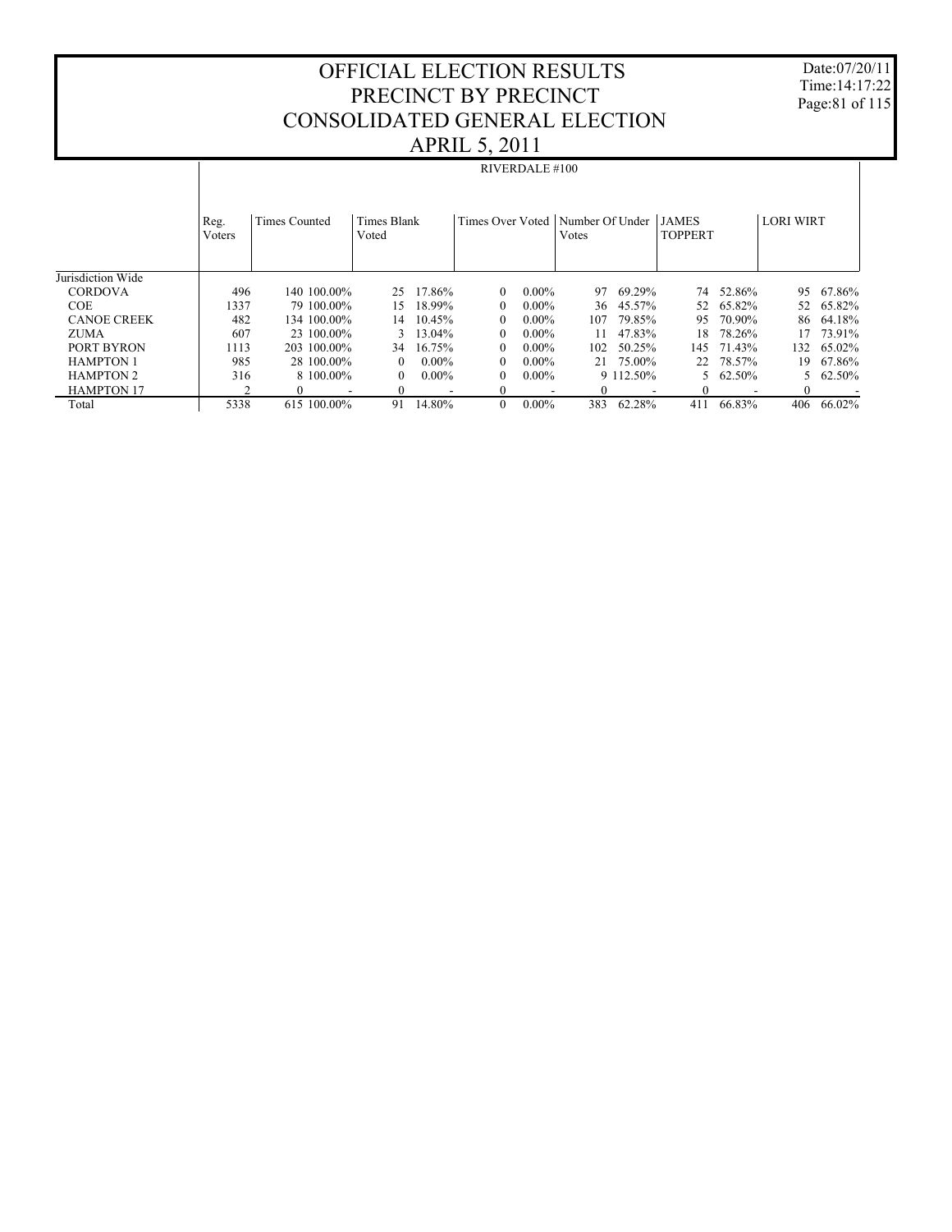Date:07/20/11 Time:14:17:22 Page:81 of 115

#### OFFICIAL ELECTION RESULTS PRECINCT BY PRECINCT CONSOLIDATED GENERAL ELECTION APRIL 5, 2011

|                    |                |                      |                      |          |                                            | RIVERDALE #100 |       |           |                |           |                  |                  |
|--------------------|----------------|----------------------|----------------------|----------|--------------------------------------------|----------------|-------|-----------|----------------|-----------|------------------|------------------|
|                    | Reg.<br>Voters | <b>Times Counted</b> | Times Blank<br>Voted |          | Times Over Voted   Number Of Under   JAMES |                | Votes |           | <b>TOPPERT</b> |           | <b>LORI WIRT</b> |                  |
|                    |                |                      |                      |          |                                            |                |       |           |                |           |                  |                  |
| Jurisdiction Wide  |                |                      |                      |          |                                            |                |       |           |                |           |                  |                  |
| <b>CORDOVA</b>     | 496            | 140 100 00%          | 25                   | 17.86%   | $\theta$                                   | $0.00\%$       | 97    | 69.29%    |                | 74 52.86% |                  | 95 67.86%        |
| <b>COE</b>         | 1337           | 79 100 00%           | 15                   | 18.99%   | $\theta$                                   | $0.00\%$       | 36    | 45.57%    | 52             | 65.82%    |                  | 52 65.82%        |
| <b>CANOE CREEK</b> | 482            | 134 100.00%          | 14                   | 10.45%   | $\Omega$                                   | $0.00\%$       | 107   | 79.85%    | 95             | 70.90%    | 86               | 64.18%           |
| ZUMA               | 607            | 23 100.00%           |                      | 13.04%   | $\Omega$                                   | $0.00\%$       | 11    | 47.83%    | 18             | 78.26%    | 17               | 73.91%           |
| PORT BYRON         | 1113           | 203 100.00%          | 34                   | 16.75%   | $\theta$                                   | $0.00\%$       | 102   | 50.25%    | 145            | 71.43%    | 132              | 65.02%           |
| <b>HAMPTON 1</b>   | 985            | 28 100 00%           | 0                    | $0.00\%$ | $\theta$                                   | $0.00\%$       |       | 21 75.00% |                | 22 78.57% | 19               | 67.86%           |
| <b>HAMPTON 2</b>   | 316            | 8 100,00%            | $\Omega$             | $0.00\%$ | $\theta$                                   | $0.00\%$       |       | 9 112.50% |                | 5 62.50%  |                  | $5\quad 62.50\%$ |
| <b>HAMPTON 17</b>  |                |                      | 0                    |          | $\Omega$                                   |                | 0     |           |                |           | $\Omega$         |                  |
| Total              | 5338           | 615 100.00%          | 91                   | 14.80%   | $\Omega$                                   | $0.00\%$       | 383   | 62.28%    | 411            | 66.83%    | 406              | 66.02%           |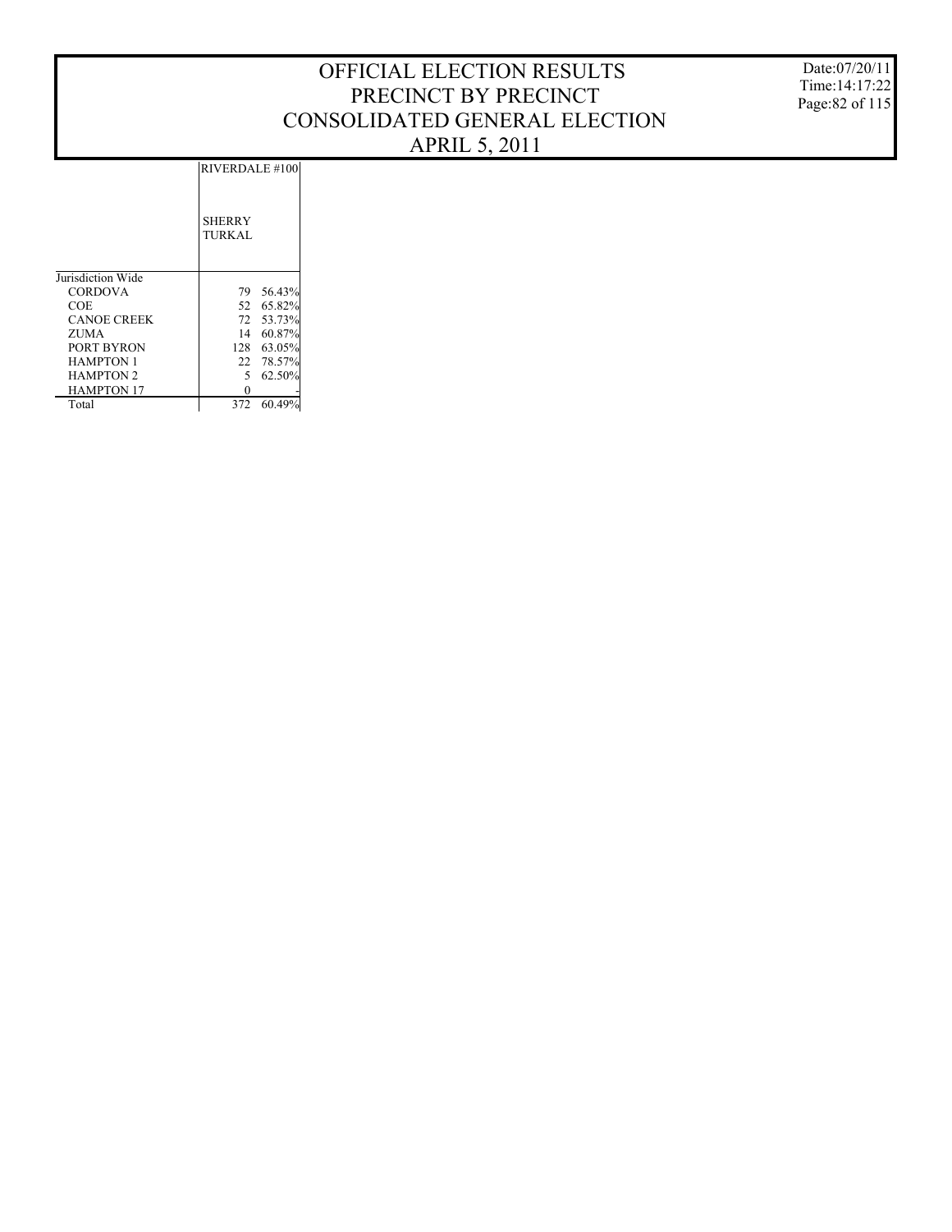Date:07/20/11 Time:14:17:22 Page:82 of 115

|  | RIVERDALE #10 |  |  |
|--|---------------|--|--|
|--|---------------|--|--|

|                    | <b>SHERRY</b><br><b>TURKAL</b> |           |
|--------------------|--------------------------------|-----------|
| Jurisdiction Wide  |                                |           |
| <b>CORDOVA</b>     | 79                             | 56.43%    |
| COE                | 52                             | 65.82%    |
| <b>CANOE CREEK</b> |                                | 72 53.73% |
| ZUMA               | 14                             | 60.87%    |
| PORT BYRON         | 128                            | 63.05%    |
| <b>HAMPTON 1</b>   | 22                             | 78.57%    |
| <b>HAMPTON 2</b>   | 5.                             | 62.50%    |
| <b>HAMPTON 17</b>  |                                |           |
| Total              | 372                            | 60.49%    |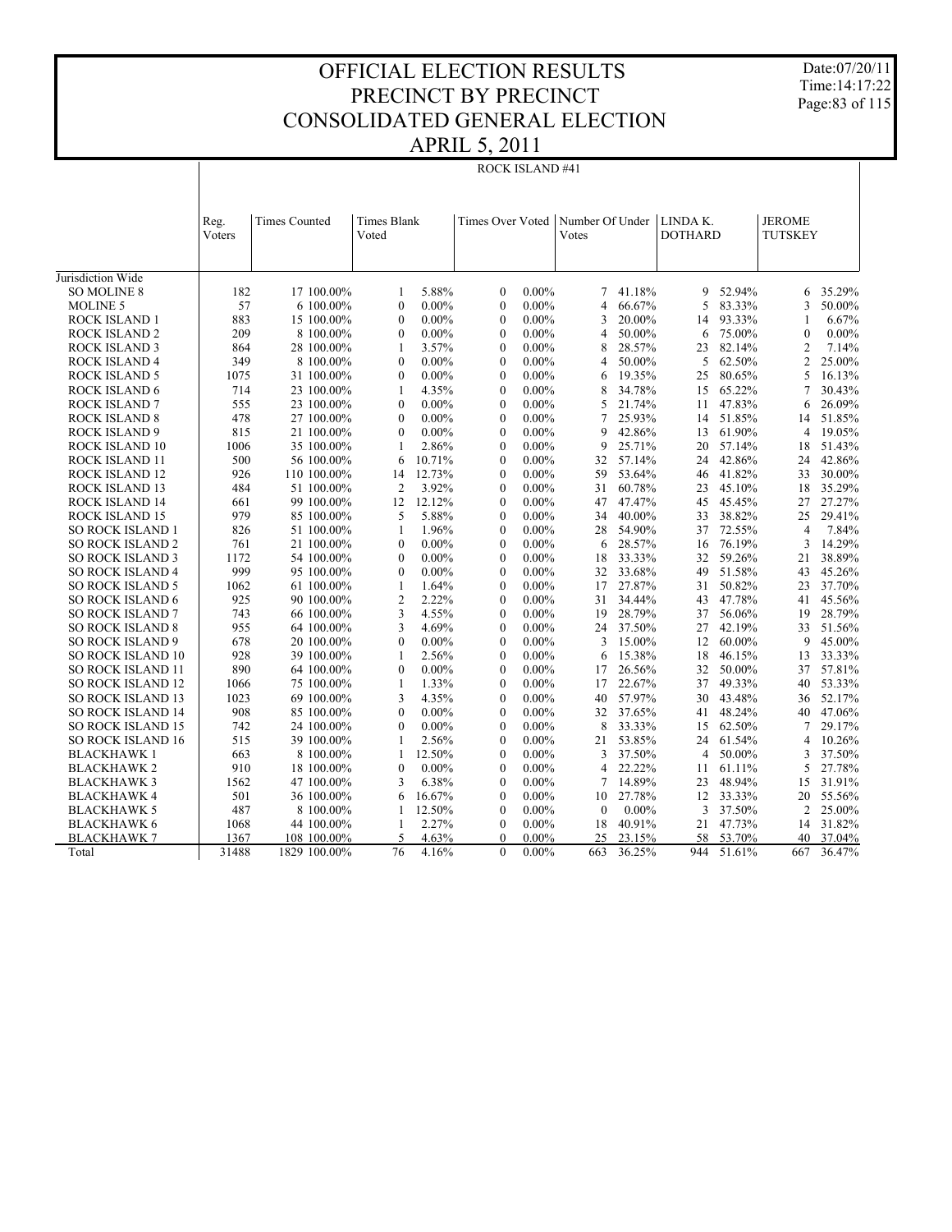Date:07/20/11 Time:14:17:22 Page:83 of 115

|                          | <b>ROCK ISLAND#41</b> |                      |                    |          |                         |          |                 |           |                |        |                |          |
|--------------------------|-----------------------|----------------------|--------------------|----------|-------------------------|----------|-----------------|-----------|----------------|--------|----------------|----------|
|                          |                       |                      |                    |          |                         |          |                 |           |                |        |                |          |
|                          | Reg.                  | <b>Times Counted</b> | <b>Times Blank</b> |          | <b>Times Over Voted</b> |          | Number Of Under |           | LINDA K.       |        | <b>JEROME</b>  |          |
|                          | Voters                |                      | Voted              |          |                         |          | Votes           |           | <b>DOTHARD</b> |        | <b>TUTSKEY</b> |          |
|                          |                       |                      |                    |          |                         |          |                 |           |                |        |                |          |
|                          |                       |                      |                    |          |                         |          |                 |           |                |        |                |          |
| Jurisdiction Wide        |                       |                      |                    |          |                         |          |                 |           |                |        |                |          |
| <b>SO MOLINE 8</b>       | 182                   | 17 100.00%           | 1                  | 5.88%    | $\theta$                | $0.00\%$ | $\tau$          | 41.18%    | 9              | 52.94% | 6              | 35.29%   |
| <b>MOLINE 5</b>          | 57                    | 6 100.00%            | $\mathbf{0}$       | $0.00\%$ | $\mathbf{0}$            | $0.00\%$ | $\overline{4}$  | 66.67%    | 5              | 83.33% | 3              | 50.00%   |
| <b>ROCK ISLAND 1</b>     | 883                   | 15 100.00%           | $\theta$           | $0.00\%$ | $\theta$                | $0.00\%$ | 3               | 20.00%    | 14             | 93.33% | 1              | 6.67%    |
| <b>ROCK ISLAND 2</b>     | 209                   | 8 100.00%            | $\mathbf{0}$       | $0.00\%$ | $\theta$                | $0.00\%$ | $\overline{4}$  | 50.00%    | 6              | 75.00% | $\mathbf{0}$   | $0.00\%$ |
| <b>ROCK ISLAND 3</b>     | 864                   | 28 100.00%           | 1                  | 3.57%    | $\theta$                | $0.00\%$ | 8               | 28.57%    | 23             | 82.14% | $\overline{2}$ | 7.14%    |
| <b>ROCK ISLAND 4</b>     | 349                   | 8 100.00%            | $\theta$           | $0.00\%$ | $\theta$                | $0.00\%$ | $\overline{4}$  | 50.00%    | 5              | 62.50% | $\overline{2}$ | 25.00%   |
| <b>ROCK ISLAND 5</b>     | 1075                  | 31 100.00%           | $\theta$           | $0.00\%$ | $\theta$                | $0.00\%$ | 6               | 19.35%    | 25             | 80.65% | 5              | 16.13%   |
| ROCK ISLAND 6            | 714                   | 23 100.00%           | $\mathbf{1}$       | 4.35%    | $\theta$                | $0.00\%$ | 8               | 34.78%    | 15             | 65.22% | 7              | 30.43%   |
| <b>ROCK ISLAND 7</b>     | 555                   | 23 100.00%           | $\theta$           | $0.00\%$ | $\theta$                | $0.00\%$ | 5               | 21.74%    | 11             | 47.83% | 6              | 26.09%   |
| <b>ROCK ISLAND 8</b>     | 478                   | 27 100.00%           | $\theta$           | $0.00\%$ | $\theta$                | $0.00\%$ | 7               | 25.93%    | 14             | 51.85% | 14             | 51.85%   |
| <b>ROCK ISLAND 9</b>     | 815                   | 21 100.00%           | $\theta$           | $0.00\%$ | $\theta$                | $0.00\%$ | 9               | 42.86%    | 13             | 61.90% | 4              | 19.05%   |
| ROCK ISLAND 10           | 1006                  | 35 100.00%           | 1                  | 2.86%    | $\mathbf{0}$            | $0.00\%$ | 9               | 25.71%    | 20             | 57.14% | 18             | 51.43%   |
| ROCK ISLAND 11           | 500                   | 56 100.00%           | 6                  | 10.71%   | $\mathbf{0}$            | $0.00\%$ | 32              | 57.14%    | 24             | 42.86% | 24             | 42.86%   |
| ROCK ISLAND 12           | 926                   | 110 100.00%          | 14                 | 12.73%   | $\mathbf{0}$            | $0.00\%$ | 59              | 53.64%    | 46             | 41.82% | 33             | 30.00%   |
| ROCK ISLAND 13           | 484                   | 51 100.00%           | $\overline{2}$     | 3.92%    | $\mathbf{0}$            | $0.00\%$ | 31              | 60.78%    | 23             | 45.10% | 18             | 35.29%   |
| ROCK ISLAND 14           | 661                   | 99 100.00%           | 12                 | 12.12%   | $\theta$                | $0.00\%$ | 47              | 47.47%    | 45             | 45.45% | 27             | 27.27%   |
| ROCK ISLAND 15           | 979                   | 85 100.00%           | 5                  | 5.88%    | $\theta$                | $0.00\%$ | 34              | 40.00%    | 33             | 38.82% | 25             | 29.41%   |
| <b>SO ROCK ISLAND 1</b>  | 826                   | 51 100.00%           | $\mathbf{1}$       | 1.96%    | $\theta$                | $0.00\%$ | 28              | 54.90%    | 37             | 72.55% | $\overline{4}$ | 7.84%    |
| <b>SO ROCK ISLAND 2</b>  | 761                   | 21 100.00%           | $\theta$           | $0.00\%$ | $\theta$                | $0.00\%$ | 6               | 28.57%    | 16             | 76.19% | 3              | 14.29%   |
| <b>SO ROCK ISLAND 3</b>  | 1172                  | 54 100.00%           | $\theta$           | $0.00\%$ | $\theta$                | $0.00\%$ | 18              | 33.33%    | 32             | 59.26% | 21             | 38.89%   |
| <b>SO ROCK ISLAND 4</b>  | 999                   | 95 100.00%           | $\theta$           | $0.00\%$ | $\theta$                | $0.00\%$ | 32              | 33.68%    | 49             | 51.58% | 43             | 45.26%   |
| <b>SO ROCK ISLAND 5</b>  | 1062                  | 61 100.00%           | 1                  | 1.64%    | $\mathbf{0}$            | $0.00\%$ | 17              | 27.87%    | 31             | 50.82% | 23             | 37.70%   |
| <b>SO ROCK ISLAND 6</b>  | 925                   | 90 100.00%           | $\mathfrak{2}$     | 2.22%    | $\mathbf{0}$            | $0.00\%$ | 31              | 34.44%    | 43             | 47.78% | 41             | 45.56%   |
| <b>SO ROCK ISLAND 7</b>  | 743                   | 66 100.00%           | 3                  | 4.55%    | $\mathbf{0}$            | $0.00\%$ | 19              | 28.79%    | 37             | 56.06% | 19             | 28.79%   |
| <b>SO ROCK ISLAND 8</b>  | 955                   | 64 100.00%           | 3                  | 4.69%    | $\mathbf{0}$            | $0.00\%$ |                 | 24 37.50% | 27             | 42.19% | 33             | 51.56%   |
| <b>SO ROCK ISLAND 9</b>  | 678                   | 20 100.00%           | $\mathbf{0}$       | $0.00\%$ | $\mathbf{0}$            | $0.00\%$ | 3               | 15.00%    | 12             | 60.00% | 9              | 45.00%   |
| <b>SO ROCK ISLAND 10</b> | 928                   | 39 100.00%           | 1                  | 2.56%    | $\mathbf{0}$            | $0.00\%$ | 6               | 15.38%    | 18             | 46.15% | 13             | 33.33%   |
| <b>SO ROCK ISLAND 11</b> | 890                   | 64 100.00%           | $\mathbf{0}$       | $0.00\%$ | $\theta$                | $0.00\%$ | 17              | 26.56%    | 32             | 50.00% | 37             | 57.81%   |
| <b>SO ROCK ISLAND 12</b> | 1066                  | 75 100.00%           | 1                  | 1.33%    | $\mathbf{0}$            | $0.00\%$ | 17              | 22.67%    | 37             | 49.33% | 40             | 53.33%   |
| <b>SO ROCK ISLAND 13</b> | 1023                  | 69 100.00%           | 3                  | 4.35%    | $\theta$                | $0.00\%$ | 40              | 57.97%    | 30             | 43.48% | 36             | 52.17%   |
| <b>SO ROCK ISLAND 14</b> | 908                   | 85 100.00%           | $\theta$           | $0.00\%$ | $\mathbf{0}$            | $0.00\%$ | 32              | 37.65%    | 41             | 48.24% | 40             | 47.06%   |
| <b>SO ROCK ISLAND 15</b> | 742                   | 24 100.00%           | $\mathbf{0}$       | $0.00\%$ | $\mathbf{0}$            | $0.00\%$ | 8               | 33.33%    | 15             | 62.50% | 7              | 29.17%   |
| <b>SO ROCK ISLAND 16</b> | 515                   | 39 100.00%           | 1                  | 2.56%    | $\mathbf{0}$            | $0.00\%$ | 21              | 53.85%    | 24             | 61.54% | 4              | 10.26%   |
| BLACKHAWK 1              | 663                   | 8 100.00%            | 1                  | 12.50%   | $\mathbf{0}$            | $0.00\%$ | 3               | 37.50%    | 4              | 50.00% | 3              | 37.50%   |
| <b>BLACKHAWK 2</b>       | 910                   | 18 100.00%           | $\mathbf{0}$       | $0.00\%$ | $\mathbf{0}$            | $0.00\%$ | $\overline{4}$  | 22.22%    | 11             | 61.11% | 5              | 27.78%   |
| <b>BLACKHAWK3</b>        | 1562                  | 47 100.00%           | 3                  | 6.38%    | $\theta$                | $0.00\%$ | 7               | 14.89%    | 23             | 48.94% | 15             | 31.91%   |
| <b>BLACKHAWK 4</b>       | 501                   | 36 100.00%           | 6                  | 16.67%   | $\mathbf{0}$            | $0.00\%$ | 10              | 27.78%    | 12             | 33.33% | 20             | 55.56%   |
| <b>BLACKHAWK 5</b>       | 487                   | 8 100.00%            | 1                  | 12.50%   | $\theta$                | $0.00\%$ | $\mathbf{0}$    | $0.00\%$  | 3              | 37.50% | $\overline{2}$ | 25.00%   |
| <b>BLACKHAWK 6</b>       | 1068                  | 44 100.00%           | 1                  | 2.27%    | $\Omega$                | $0.00\%$ | 18              | 40.91%    | 21             | 47.73% | 14             | 31.82%   |
| <b>BLACKHAWK7</b>        | 1367                  | 108 100.00%          | 5                  | 4.63%    | $\Omega$                | $0.00\%$ | 25              | 23.15%    | 58             | 53.70% | 40             | 37.04%   |
| Total                    | 31488                 | 1829 100.00%         | 76                 | 4.16%    | $\Omega$                | $0.00\%$ | 663             | 36.25%    | 944            | 51.61% | 667            | 36.47%   |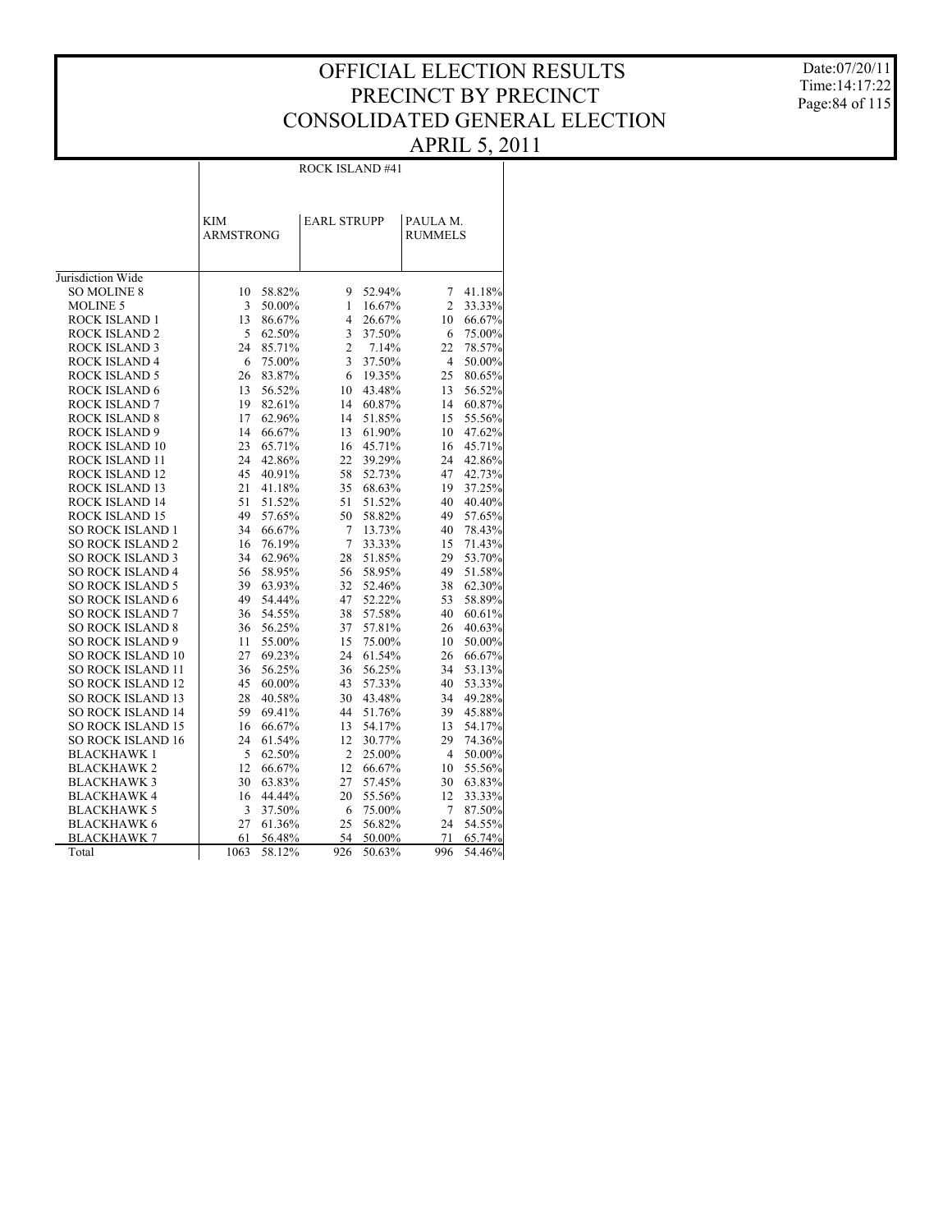Date:07/20/11 Time:14:17:22 Page:84 of 115

|                          |                         |        | <b>ROCK ISLAND#41</b> |        |                            |        |
|--------------------------|-------------------------|--------|-----------------------|--------|----------------------------|--------|
|                          | KIM<br><b>ARMSTRONG</b> |        | <b>EARL STRUPP</b>    |        | PAULA M.<br><b>RUMMELS</b> |        |
| Jurisdiction Wide        |                         |        |                       |        |                            |        |
| <b>SO MOLINE 8</b>       | 10                      | 58.82% | 9                     | 52.94% | 7                          | 41.18% |
| <b>MOLINE 5</b>          | 3                       | 50.00% | 1                     | 16.67% | 2                          | 33.33% |
| <b>ROCK ISLAND 1</b>     | 13                      | 86.67% | $\overline{4}$        | 26.67% | 10                         | 66.67% |
| <b>ROCK ISLAND 2</b>     | 5                       | 62.50% | 3                     | 37.50% | 6                          | 75.00% |
| ROCK ISLAND 3            | 24                      | 85.71% | $\overline{2}$        | 7.14%  | 22                         | 78.57% |
| <b>ROCK ISLAND 4</b>     | 6                       | 75.00% | 3                     | 37.50% | 4                          | 50.00% |
| <b>ROCK ISLAND 5</b>     | 26                      | 83.87% | 6                     | 19.35% | 25                         | 80.65% |
| <b>ROCK ISLAND 6</b>     | 13                      | 56.52% | 10                    | 43.48% | 13                         | 56.52% |
| ROCK ISLAND 7            | 19                      | 82.61% | 14                    | 60.87% | 14                         | 60.87% |
| <b>ROCK ISLAND 8</b>     | 17                      | 62.96% | 14                    | 51.85% | 15                         | 55.56% |
| <b>ROCK ISLAND 9</b>     | 14                      | 66.67% | 13                    | 61.90% | 10                         | 47.62% |
| ROCK ISLAND 10           | 23                      | 65.71% | 16                    | 45.71% | 16                         | 45.71% |
| ROCK ISLAND 11           | 24                      | 42.86% | 22                    | 39.29% | 24                         | 42.86% |
| ROCK ISLAND 12           | 45                      | 40.91% | 58                    | 52.73% | 47                         | 42.73% |
| <b>ROCK ISLAND 13</b>    | 21                      | 41.18% | 35                    | 68.63% | 19                         | 37.25% |
| <b>ROCK ISLAND 14</b>    | 51                      | 51.52% | 51                    | 51.52% | 40                         | 40.40% |
| ROCK ISLAND 15           | 49                      | 57.65% | 50                    | 58.82% | 49                         | 57.65% |
| SO ROCK ISLAND 1         | 34                      | 66.67% | 7                     | 13.73% | 40                         | 78.43% |
| <b>SO ROCK ISLAND 2</b>  | 16                      | 76.19% | 7                     | 33.33% | 15                         | 71.43% |
| <b>SO ROCK ISLAND 3</b>  | 34                      | 62.96% | 28                    | 51.85% | 29                         | 53.70% |
| <b>SO ROCK ISLAND 4</b>  | 56                      | 58.95% | 56                    | 58.95% | 49                         | 51.58% |
| <b>SO ROCK ISLAND 5</b>  | 39                      | 63.93% | 32                    | 52.46% | 38                         | 62.30% |
| <b>SO ROCK ISLAND 6</b>  | 49                      | 54.44% | 47                    | 52.22% | 53                         | 58.89% |
| <b>SO ROCK ISLAND 7</b>  | 36                      | 54.55% | 38                    | 57.58% | 40                         | 60.61% |
| <b>SO ROCK ISLAND 8</b>  | 36                      | 56.25% | 37                    | 57.81% | 26                         | 40.63% |
| <b>SO ROCK ISLAND 9</b>  | 11                      | 55.00% | 15                    | 75.00% | 10                         | 50.00% |
| <b>SO ROCK ISLAND 10</b> | 27                      | 69.23% | 24                    | 61.54% | 26                         | 66.67% |
| <b>SO ROCK ISLAND 11</b> | 36                      | 56.25% | 36                    | 56.25% | 34                         | 53.13% |
| <b>SO ROCK ISLAND 12</b> | 45                      | 60.00% | 43                    | 57.33% | 40                         | 53.33% |
| <b>SO ROCK ISLAND 13</b> | 28                      | 40.58% | 30                    | 43.48% | 34                         | 49.28% |
| <b>SO ROCK ISLAND 14</b> | 59                      | 69.41% | 44                    | 51.76% | 39                         | 45.88% |
| <b>SO ROCK ISLAND 15</b> | 16                      | 66.67% | 13                    | 54.17% | 13                         | 54.17% |
| <b>SO ROCK ISLAND 16</b> | 24                      | 61.54% | 12                    | 30.77% | 29                         | 74.36% |
| <b>BLACKHAWK1</b>        | 5                       | 62.50% | $\overline{2}$        | 25.00% | 4                          | 50.00% |
| <b>BLACKHAWK2</b>        | 12                      | 66.67% | 12                    | 66.67% | 10                         | 55.56% |
| <b>BLACKHAWK3</b>        | 30                      | 63.83% | 27                    | 57.45% | 30                         | 63.83% |
| <b>BLACKHAWK4</b>        | 16                      | 44.44% | 20                    | 55.56% | 12                         | 33.33% |
| <b>BLACKHAWK 5</b>       | 3                       | 37.50% | 6                     | 75.00% | 7                          | 87.50% |
| <b>BLACKHAWK 6</b>       | 27                      | 61.36% | 25                    | 56.82% | 24                         | 54.55% |
| <b>BLACKHAWK 7</b>       | 61                      | 56.48% | 54                    | 50.00% | 71                         | 65.74% |
| Total                    | 1063                    | 58.12% | 926                   | 50.63% | 996                        | 54.46% |

# APRIL 5, 2011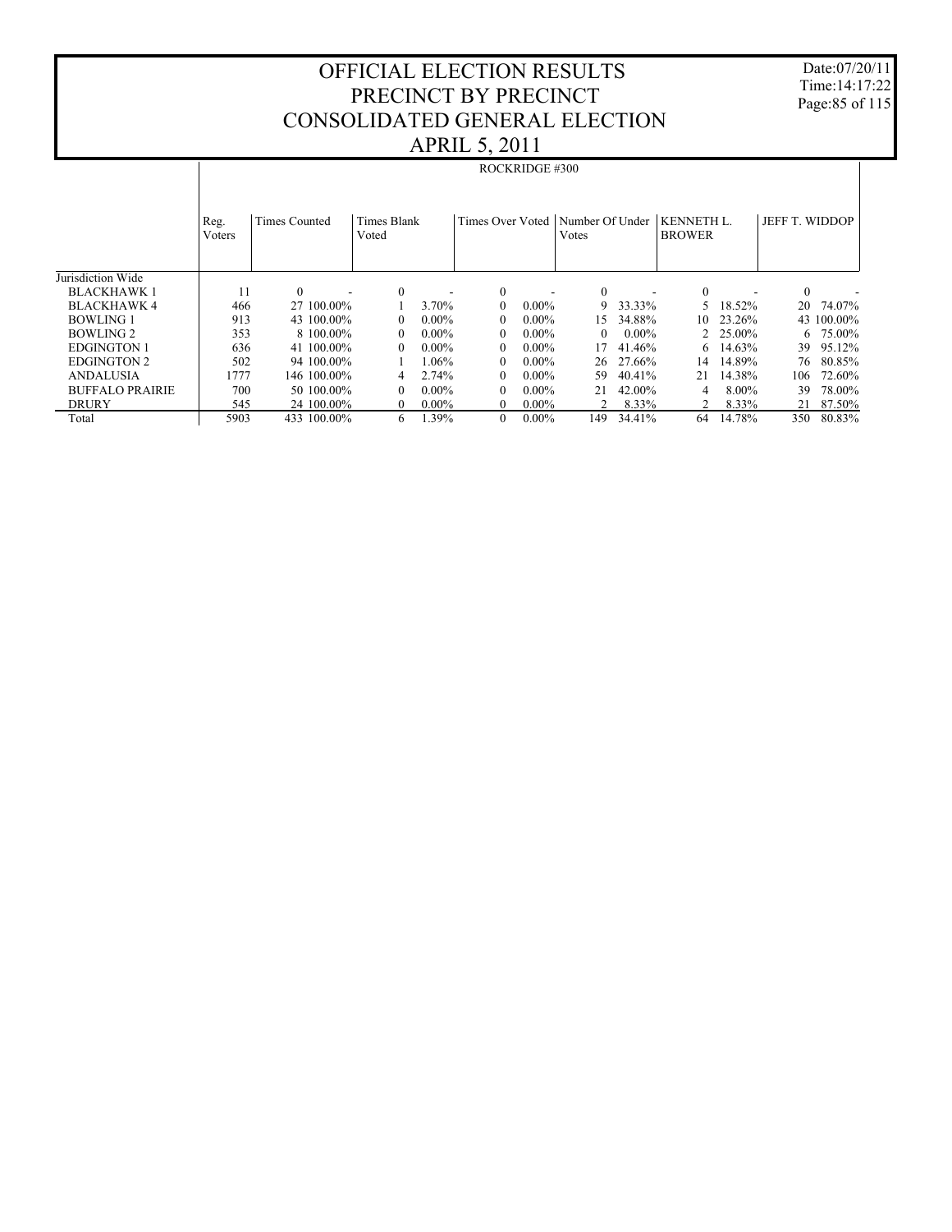Date:07/20/11 Time:14:17:22 Page:85 of 115

#### OFFICIAL ELECTION RESULTS PRECINCT BY PRECINCT CONSOLIDATED GENERAL ELECTION APRIL 5, 2011

|                        |                |               |                      |          |                                    | ROCKRIDGE #300 |          |          |                                    |        |                |                  |
|------------------------|----------------|---------------|----------------------|----------|------------------------------------|----------------|----------|----------|------------------------------------|--------|----------------|------------------|
|                        | Reg.<br>Voters | Times Counted | Times Blank<br>Voted |          | Times Over Voted   Number Of Under |                | Votes    |          | <b>KENNETH L.</b><br><b>BROWER</b> |        | JEFF T. WIDDOP |                  |
| Jurisdiction Wide      |                |               |                      |          |                                    |                |          |          |                                    |        |                |                  |
| <b>BLACKHAWK1</b>      | 11             | $\theta$      | $\mathbf{0}$         |          | $\mathbf{0}$                       |                | $\Omega$ |          | $\mathbf{0}$                       |        | $\mathbf{0}$   |                  |
| <b>BLACKHAWK4</b>      | 466            | 27 100,00%    |                      | 3.70%    | $\Omega$                           | $0.00\%$       | 9        | 33.33%   | 5.                                 | 18.52% | 20             | 74.07%           |
| <b>BOWLING 1</b>       | 913            | 43 100,00%    | $\Omega$             | $0.00\%$ | $\Omega$                           | $0.00\%$       | 15       | 34.88%   | 10                                 | 23.26% |                | 43 100.00%       |
| <b>BOWLING 2</b>       | 353            | 8 100,00%     | $\Omega$             | $0.00\%$ | $\Omega$                           | $0.00\%$       | $\left($ | $0.00\%$ | $2^{\circ}$                        | 25.00% |                | $6\quad 75.00\%$ |
| <b>EDGINGTON 1</b>     | 636            | 41 100,00%    | $\Omega$             | $0.00\%$ | $\Omega$                           | $0.00\%$       | 17       | 41.46%   | 6                                  | 14.63% | 39             | 95.12%           |
| <b>EDGINGTON 2</b>     | 502            | 94 100,00%    |                      | .06%     | $\Omega$                           | $0.00\%$       | 26       | 27.66%   | 14                                 | 14.89% | 76             | 80.85%           |
| <b>ANDALUSIA</b>       | 1777           | 146 100.00%   |                      | 2.74%    | 0                                  | $0.00\%$       | 59       | 40.41%   | 21                                 | 14.38% | 106.           | 72.60%           |
| <b>BUFFALO PRAIRIE</b> | 700            | 50 100,00%    | $\Omega$             | $0.00\%$ | $\Omega$                           | $0.00\%$       | 21       | 42.00%   | 4                                  | 8.00%  | 39             | 78.00%           |
| DRURY                  | 545            | 24 100,00%    | $\mathbf{0}$         | $0.00\%$ | $\Omega$                           | $0.00\%$       |          | 8.33%    |                                    | 8.33%  | 21             | 87.50%           |
| Total                  | 5903           | 433 100.00%   | 6                    | .39%     | $\theta$                           | $0.00\%$       | 149      | 34.41%   | 64                                 | 14.78% | 350            | 80.83%           |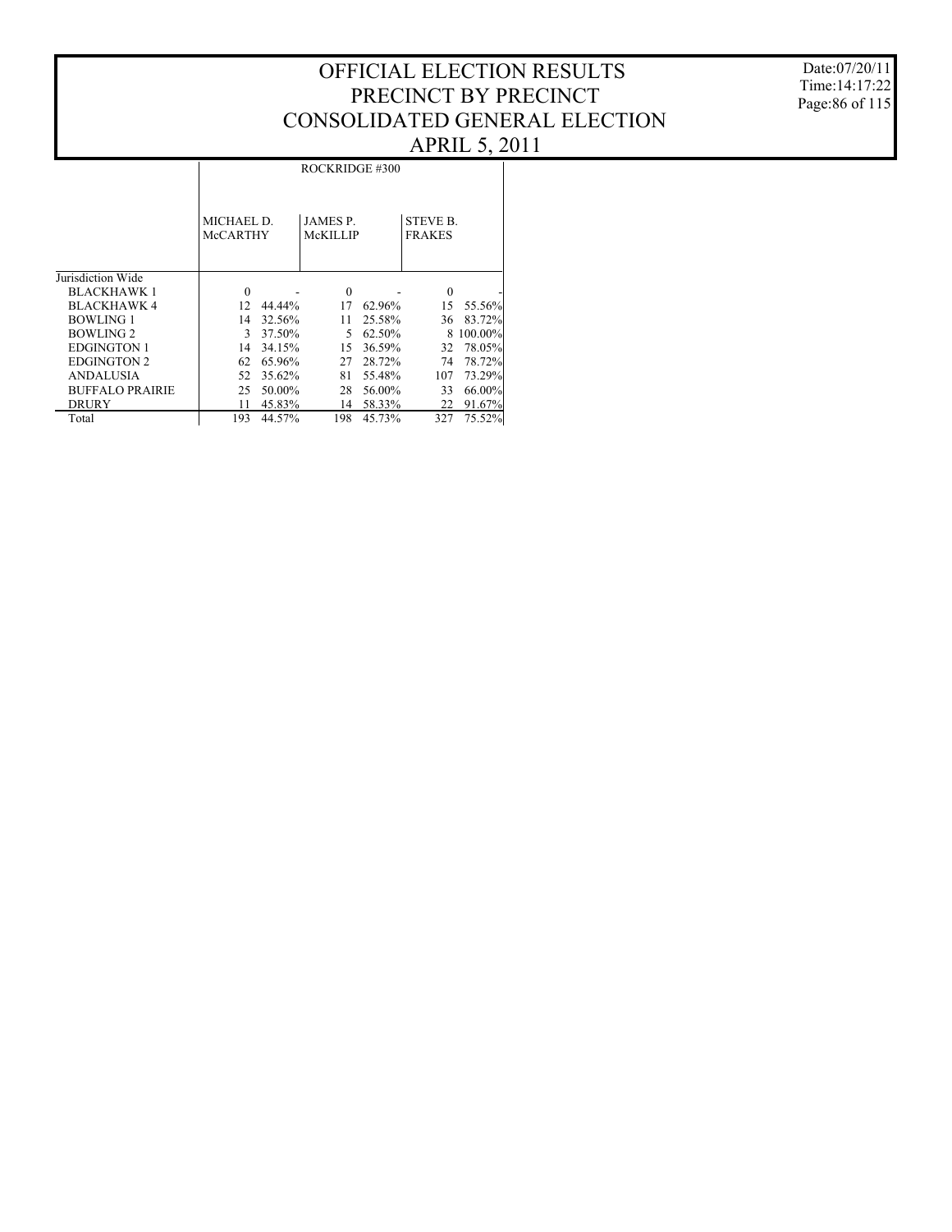Date:07/20/11 Time:14:17:22 Page:86 of 115

#### APRIL 5, 2011 ROCKRIDGE #300

|                        | ROCKRIDGE #300         |        |                             |        |                                  |         |  |  |  |  |  |
|------------------------|------------------------|--------|-----------------------------|--------|----------------------------------|---------|--|--|--|--|--|
|                        | MICHAEL D.<br>McCARTHY |        | <b>JAMES P.</b><br>McKILLIP |        | <b>STEVE B.</b><br><b>FRAKES</b> |         |  |  |  |  |  |
| Jurisdiction Wide      |                        |        |                             |        |                                  |         |  |  |  |  |  |
| <b>BLACKHAWK1</b>      | $\mathbf{0}$           |        | $\Omega$                    |        | $\mathbf{0}$                     |         |  |  |  |  |  |
| <b>BLACKHAWK 4</b>     | 12                     | 44.44% | 17                          | 62.96% | 15                               | 55.56%  |  |  |  |  |  |
| <b>BOWLING 1</b>       | 14                     | 32.56% | 11                          | 25.58% | 36                               | 83.72%  |  |  |  |  |  |
| <b>BOWLING 2</b>       | 3                      | 37.50% | 5                           | 62.50% | 8                                | 100.00% |  |  |  |  |  |
| <b>EDGINGTON 1</b>     | 14                     | 34.15% | 15                          | 36.59% | 32                               | 78.05%  |  |  |  |  |  |
| <b>EDGINGTON 2</b>     | 62                     | 65.96% | 27                          | 28.72% | 74                               | 78.72%  |  |  |  |  |  |
| <b>ANDALUSIA</b>       | 52                     | 35.62% | 81                          | 55.48% | 107                              | 73.29%  |  |  |  |  |  |
| <b>BUFFALO PRAIRIE</b> | 25                     | 50.00% | 28                          | 56.00% | 33                               | 66.00%  |  |  |  |  |  |
| <b>DRURY</b>           | 11                     | 45.83% | 14                          | 58.33% | 22                               | 91.67%  |  |  |  |  |  |
| Total                  | 193                    | 44.57% | 198                         | 45.73% | 327                              | 75.52%  |  |  |  |  |  |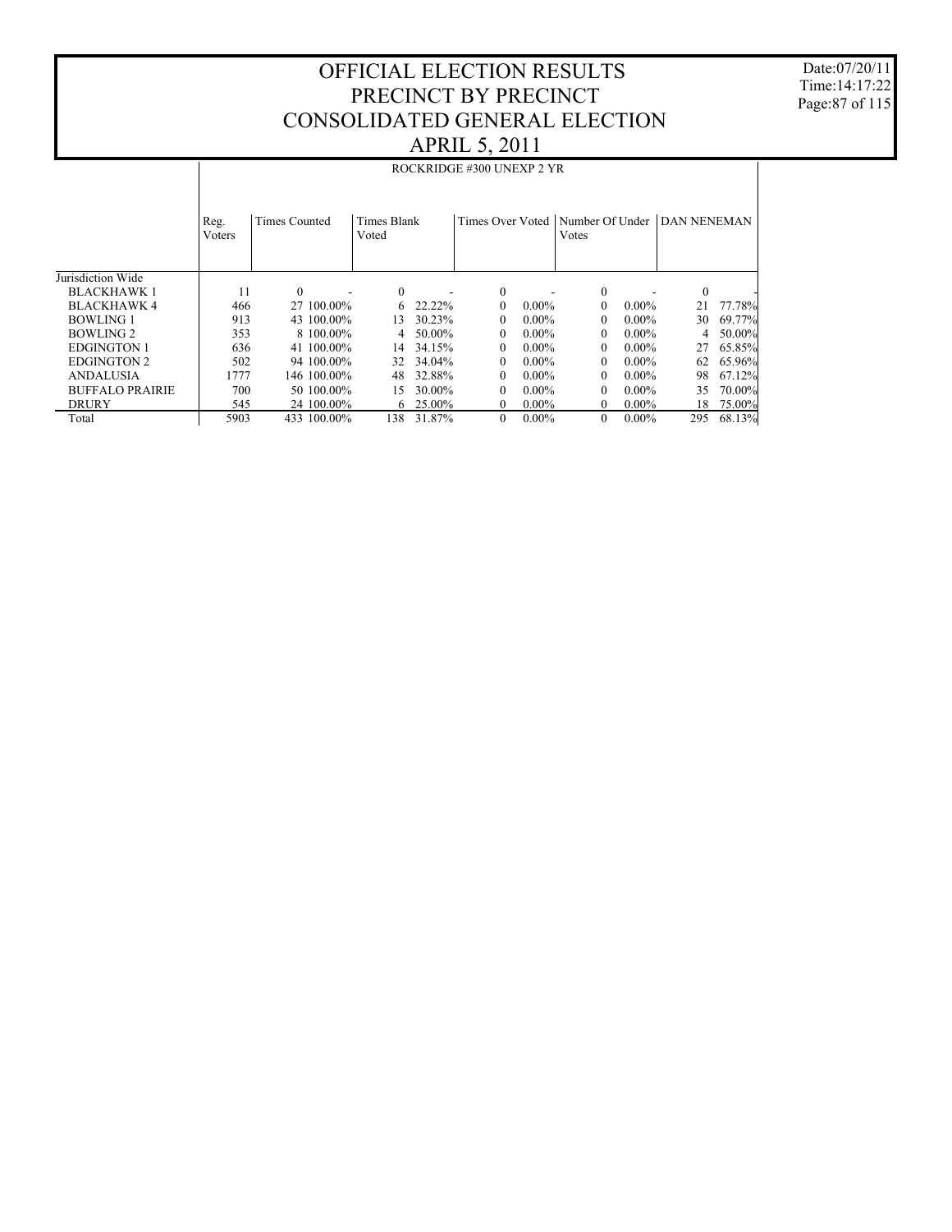Date:07/20/11 Time:14:17:22 Page:87 of 115

#### Jurisdiction Wide BLACKHAWK 1 BLACKHAWK 4 BOWLING 1 BOWLING 2 EDGINGTON 1 EDGINGTON 2 ANDALUSIA BUFFALO PRAIRIE **DRURY**  Total Reg. Voters Times Counted | Times Blank Voted Times Over Voted | Number Of Under | DAN NENEMAN Votes ROCKRIDGE #300 UNEXP 2 YR 11 0 - 0 - 0 - 0 - 0 -466 27 100.00% 6 22.22% 0 0.00% 0 0.00% 21 77.78% 913 43 100.00% 13 30.23% 0 0.00% 0 0.00% 30 69.77%  $\begin{array}{cccccccc} 353 & & 8\ 100.00\% & & 4\ 50.00\% & & 0\ 0.00\% & & 0\ 0.00\% & & 4\ 50.00\% & & 4\ 1\ 100.00\% & & 14\ 34.15\% & & 0\ 0.00\% & & 0\ 0.00\% & & 27\ 65.85\% & & 0\ 0.00\% & & 0\ 0.00\% & & 0\ 0.00\% & & 0\ 0.00\% & & 0\ 0.00\% & & 0\ 0.00\% & &$  $\begin{array}{ccccccccc} 636 & & 41 & 100.00\% & & 14 & 34.15\% & & 0 & 0.00\% & & 0 & 0.00\% & & 27 & 65.85\% \end{array}$  $\begin{array}{cccccccc} 502 & 94\ 100.00\% & 32\ 34.04\% & 0 & 0.00\% & 0 & 0.00\% & 62\ 65.96\% \\ 1777 & 146\ 100.00\% & 48\ 32.88\% & 0 & 0.00\% & 0 & 0.00\% & 98\ 67.12\% \end{array}$  $\begin{array}{cccccccc} 777 & & 146\ 100.00\% & & 48\ 32.88\% & & 0\ 0.00\% & & 0\ 0.00\% & & 98\ 67.12\% \\ 700 & & 50\ 100.00\% & & 15\ 30.00\% & & 0\ 0.00\% & & 0\ 0.00\% & & 35\ 70.00\% \end{array}$  $\begin{array}{cccccccc} 700 & & 50 & 100.00\% & & 15 & 30.00\% & & 0 & 0.00\% & & 0 & 0.00\% & & 35 & 70.00\% \\ 545 & & 24 & 100.00\% & & 6 & 25.00\% & & 0 & 0.00\% & & 0 & 0.00\% & & 18 & 75.00\% \end{array}$  $\frac{545}{5903} \qquad \frac{24\; 100.00\%}{433\; 100.00\%} \qquad \frac{6\; 25.00\%}{138\; 31.87\%} \qquad \frac{0\; 0.00\%}{0\; 0.00\%} \qquad \frac{0\; 0.00\%}{0\; 0.00\%} \qquad \frac{18\; 75.00\%}{295\; 68.13\%}$ 138 31.87%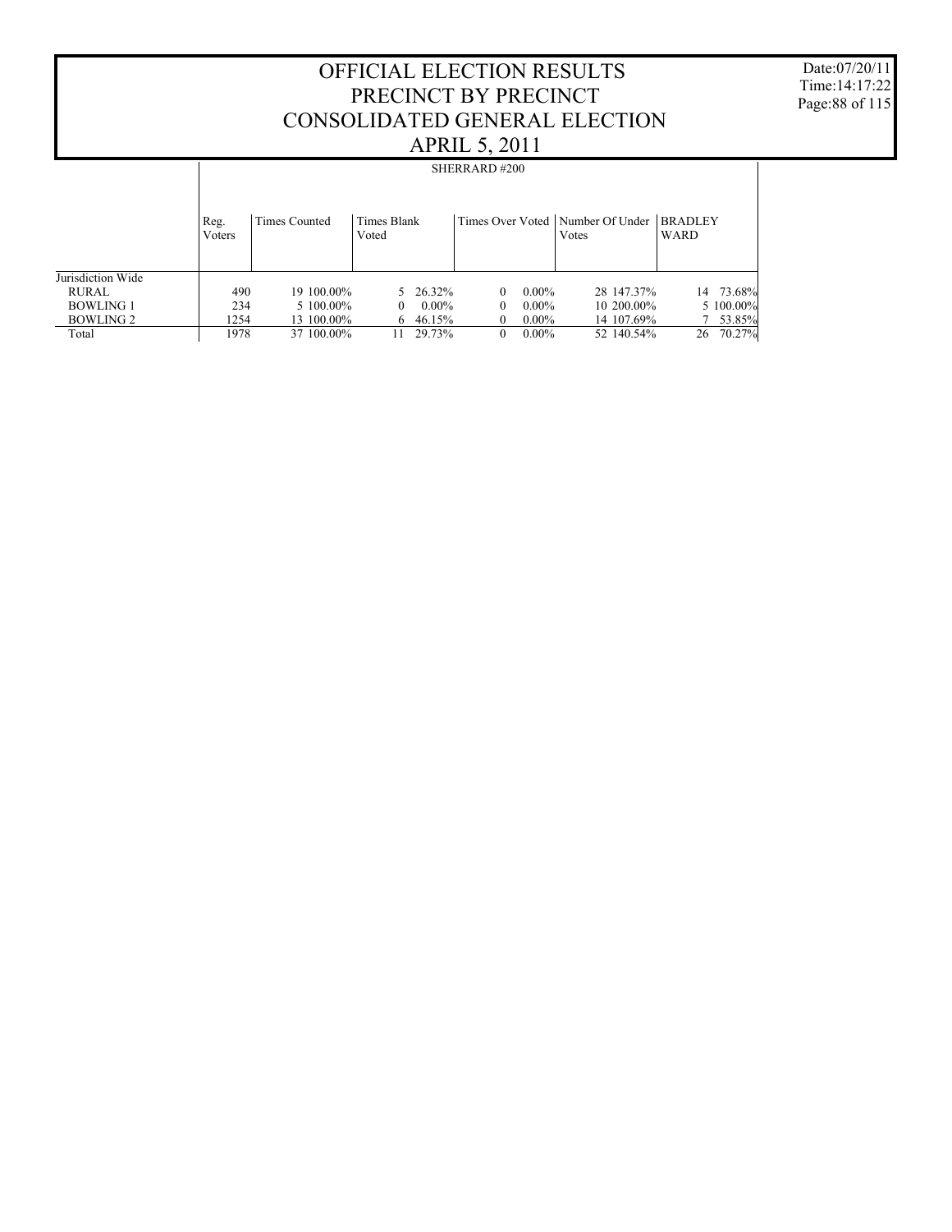Date:07/20/11 Time:14:17:22 Page:88 of 115

|                   |                | SHERRARD#200  |                      |                  |          |          |                                             |                               |           |  |  |  |
|-------------------|----------------|---------------|----------------------|------------------|----------|----------|---------------------------------------------|-------------------------------|-----------|--|--|--|
|                   | Reg.<br>Voters | Times Counted | Times Blank<br>Voted |                  |          |          | Times Over Voted   Number Of Under<br>Votes | <b>BRADLEY</b><br><b>WARD</b> |           |  |  |  |
| Jurisdiction Wide |                |               |                      |                  |          |          |                                             |                               |           |  |  |  |
| <b>RURAL</b>      | 490            | 19 100.00%    |                      | 5 26.32%         | $\Omega$ | $0.00\%$ | 28 147.37%                                  |                               | 14 73.68% |  |  |  |
| <b>BOWLING 1</b>  | 234            | 5 100,00%     | 0                    | $0.00\%$         | 0        | $0.00\%$ | 10 200,00%                                  |                               | 5 100.00% |  |  |  |
| <b>BOWLING 2</b>  | 1254           | 13 100,00%    |                      | $6\quad 46.15\%$ | 0        | $0.00\%$ | 14 107.69%                                  |                               | 53.85%    |  |  |  |
| Total             | 1978           | 37 100,00%    | 11                   | 29.73%           | $\Omega$ | $0.00\%$ | 52 140.54%                                  | 26                            | 70.27%    |  |  |  |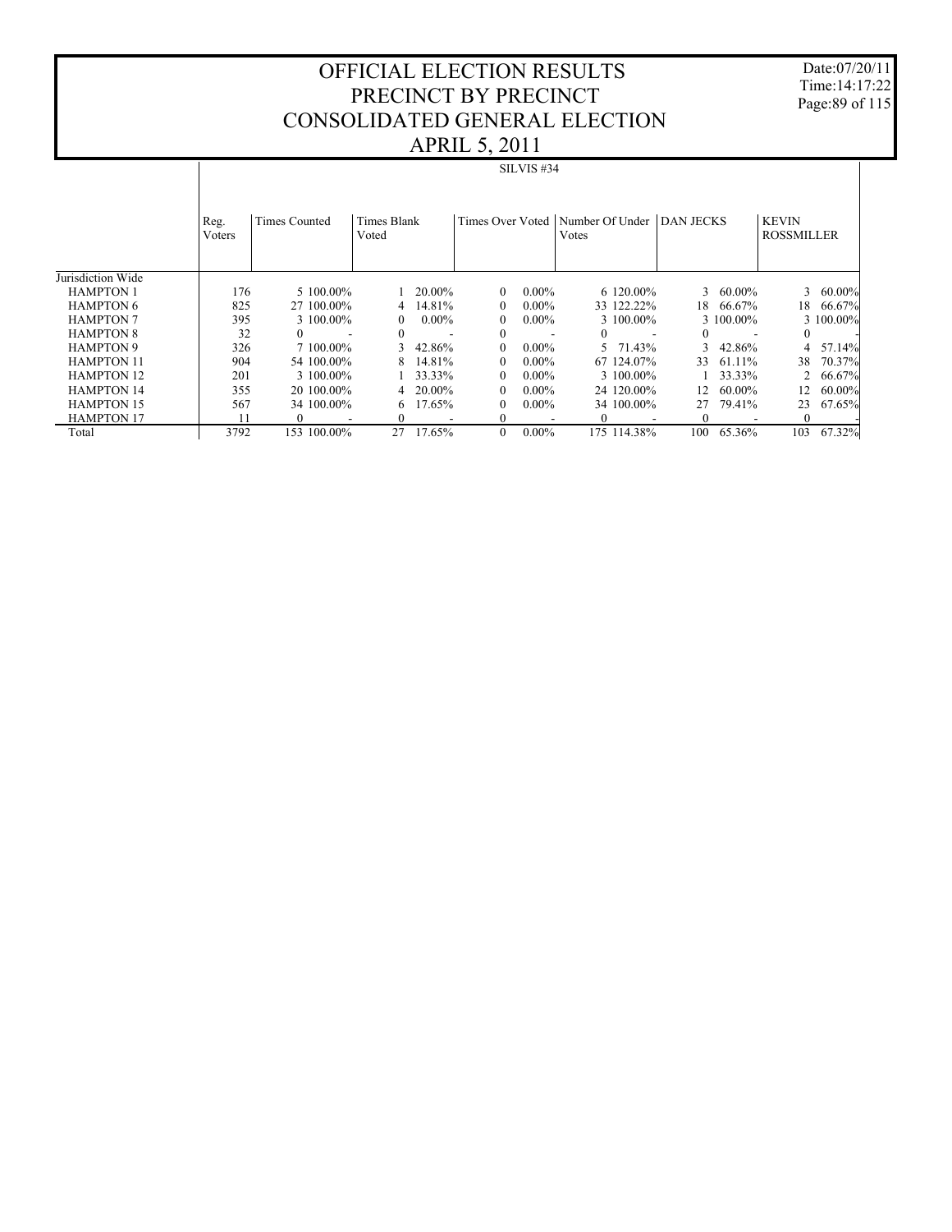Date:07/20/11 Time:14:17:22 Page:89 of 115

#### OFFICIAL ELECTION RESULTS PRECINCT BY PRECINCT CONSOLIDATED GENERAL ELECTION APRIL 5, 2011

|                   |                |               |                      |          |                  | SILVIS#34 |                          |                  |                  |                                   |           |
|-------------------|----------------|---------------|----------------------|----------|------------------|-----------|--------------------------|------------------|------------------|-----------------------------------|-----------|
|                   |                |               |                      |          |                  |           |                          |                  |                  |                                   |           |
|                   |                |               |                      |          |                  |           |                          |                  |                  |                                   |           |
|                   | Reg.<br>Voters | Times Counted | Times Blank<br>Voted |          | Times Over Voted |           | Number Of Under<br>Votes | <b>DAN JECKS</b> |                  | <b>KEVIN</b><br><b>ROSSMILLER</b> |           |
|                   |                |               |                      |          |                  |           |                          |                  |                  |                                   |           |
|                   |                |               |                      |          |                  |           |                          |                  |                  |                                   |           |
| Jurisdiction Wide |                |               |                      |          |                  |           |                          |                  |                  |                                   |           |
| <b>HAMPTON 1</b>  | 176            | 5 100,00%     |                      | 20.00%   | $\Omega$         | $0.00\%$  | 6 120.00%                |                  | $3\quad 60.00\%$ | 3                                 | $60.00\%$ |
| <b>HAMPTON 6</b>  | 825            | 27 100,00%    |                      | 14.81%   | $\Omega$         | $0.00\%$  | 33 122.22%               | 18               | 66.67%           | 18                                | 66.67%    |
| <b>HAMPTON 7</b>  | 395            | 3 100,00%     | $\Omega$             | $0.00\%$ | $\Omega$         | $0.00\%$  | 3 100,00%                |                  | 3 100,00%        |                                   | 3 100.00% |
| <b>HAMPTON 8</b>  | 32             | $^{0}$        | $\Omega$             |          | $\theta$         |           |                          |                  |                  | $\Omega$                          |           |
| <b>HAMPTON 9</b>  | 326            | 7 100,00%     |                      | 42.86%   | $\Omega$         | $0.00\%$  | 5 71.43%                 |                  | 42.86%           | 4                                 | 57.14%    |
| <b>HAMPTON 11</b> | 904            | 54 100,00%    |                      | 14.81%   | $\Omega$         | $0.00\%$  | 67 124.07%               | 33               | 61.11%           | 38                                | 70.37%    |
| <b>HAMPTON 12</b> | 201            | 3 100,00%     |                      | 33.33%   | $\theta$         | $0.00\%$  | 3 100.00%                |                  | 33.33%           |                                   | 66.67%    |
| <b>HAMPTON 14</b> | 355            | 20 100,00%    |                      | 20.00%   | $\Omega$         | $0.00\%$  | 24 120,00%               | 12               | 60.00%           | 12                                | 60.00%    |
| <b>HAMPTON 15</b> | 567            | 34 100,00%    |                      | 6 17.65% | $\Omega$         | $0.00\%$  | 34 100.00%               | 27               | 79.41%           | 23                                | 67.65%    |
| <b>HAMPTON 17</b> |                | 0             | $\Omega$             |          | $\theta$         |           |                          | $\Omega$         |                  | $\Omega$                          |           |
| Total             | 3792           | 153 100.00%   | 27                   | 17.65%   | $\Omega$         | $0.00\%$  | 175 114.38%              | 100              | 65.36%           | 103                               | 67.32%    |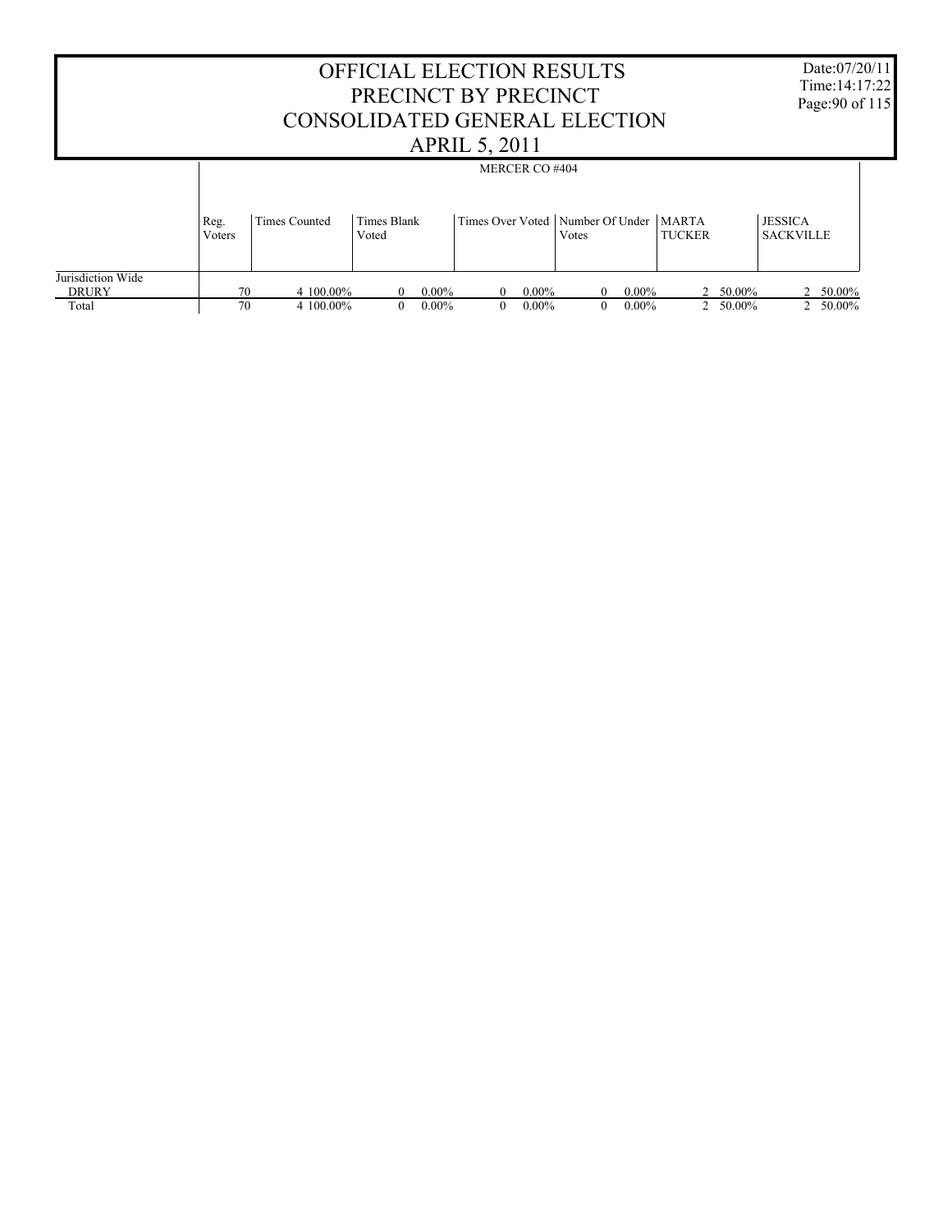|                                   | <b>OFFICIAL ELECTION RESULTS</b><br>PRECINCT BY PRECINCT<br>CONSOLIDATED GENERAL ELECTION<br><b>APRIL 5, 2011</b> |               |                      |          |          |                       |                                                 |          |               |        | Date: 07/20/11<br>Time: 14:17:22<br>Page: 90 of 115 |        |  |  |
|-----------------------------------|-------------------------------------------------------------------------------------------------------------------|---------------|----------------------|----------|----------|-----------------------|-------------------------------------------------|----------|---------------|--------|-----------------------------------------------------|--------|--|--|
|                                   |                                                                                                                   |               |                      |          |          | <b>MERCER CO #404</b> |                                                 |          |               |        |                                                     |        |  |  |
|                                   | Reg.<br>Voters                                                                                                    | Times Counted | Times Blank<br>Voted |          |          |                       | Times Over Voted Number Of Under NARTA<br>Votes |          | <b>TUCKER</b> |        | <b>JESSICA</b><br><b>SACKVILLE</b>                  |        |  |  |
| Jurisdiction Wide<br><b>DRURY</b> | 70                                                                                                                | 4 100,00%     | 0                    | $0.00\%$ |          | $0.00\%$              | 0                                               | $0.00\%$ |               | 50.00% | 2                                                   | 50.00% |  |  |
| Total                             | 70                                                                                                                | 4 100,00%     | $\theta$             | $0.00\%$ | $\Omega$ | $0.00\%$              | 0                                               | $0.00\%$ | $2^{\circ}$   | 50.00% | $\mathfrak{D}$                                      | 50.00% |  |  |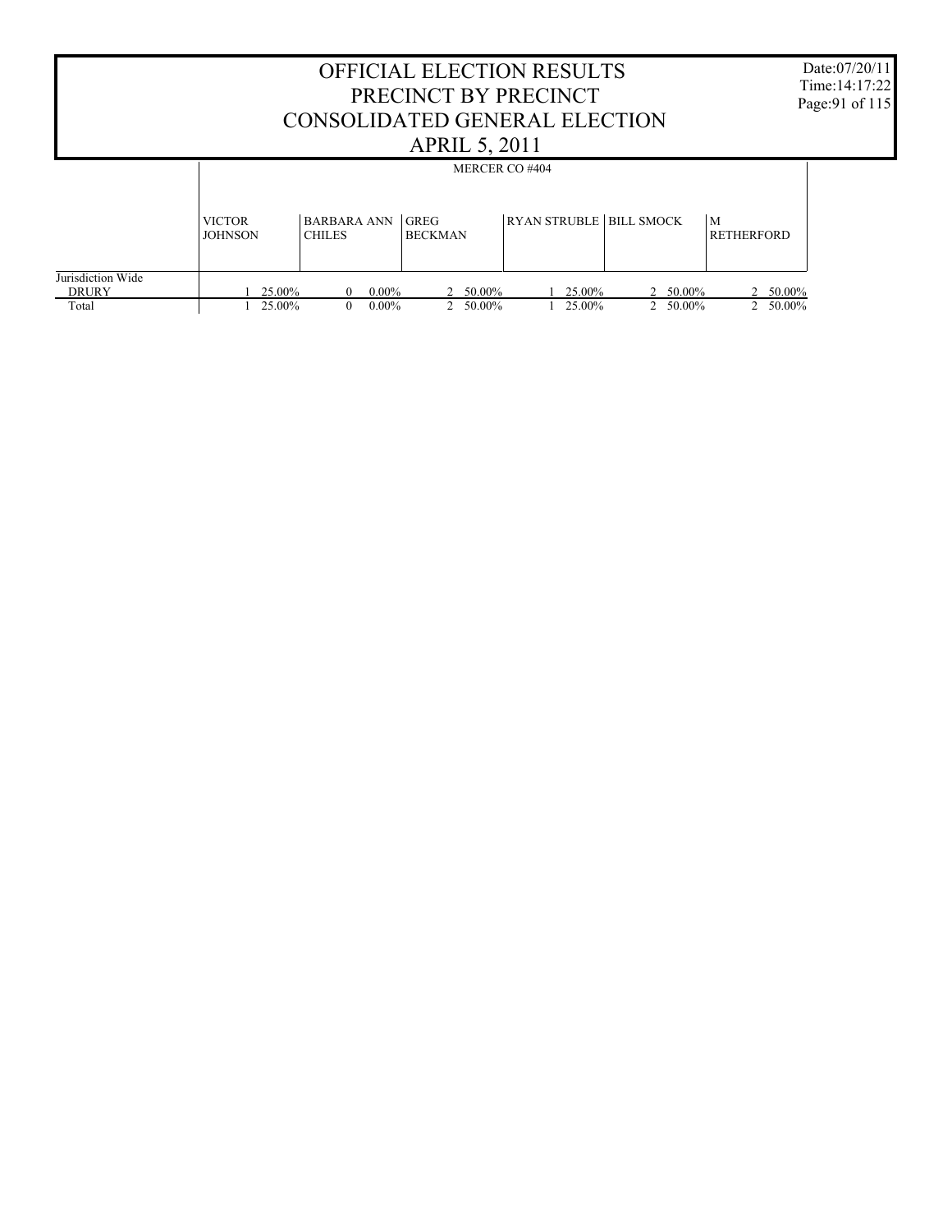#### OFFICIAL ELECTION RESULTS PRECINCT BY PRECINCT CONSOLIDATED GENERAL ELECTION APRIL 5, 2011 Date:07/20/11 Time:14:17:22 Page:91 of 115 Jurisdiction Wide **DRURY**  Total VICTOR **JOHNSON** BARBARA ANN GREG CHILES BECKMAN  $|RYAN$  STRUBLE  $|BILL$  SMOCK  $|M$ **RETHERFORD** MERCER CO #404  $\frac{1}{1} \quad \frac{25.00\%}{25.00\%} \qquad \frac{0}{1} \quad \frac{0.00\%}{25.00\%} \qquad \frac{2}{2} \quad \frac{50.00\%}{50.00\%} \qquad \frac{1}{1} \quad \frac{25.00\%}{25.00\%} \qquad \frac{2}{2} \quad \frac{50.00\%}{50.00\%} \qquad \frac{2}{2} \quad \frac{50.00\%}{50.00\%}$  $0 \quad 0.00\%$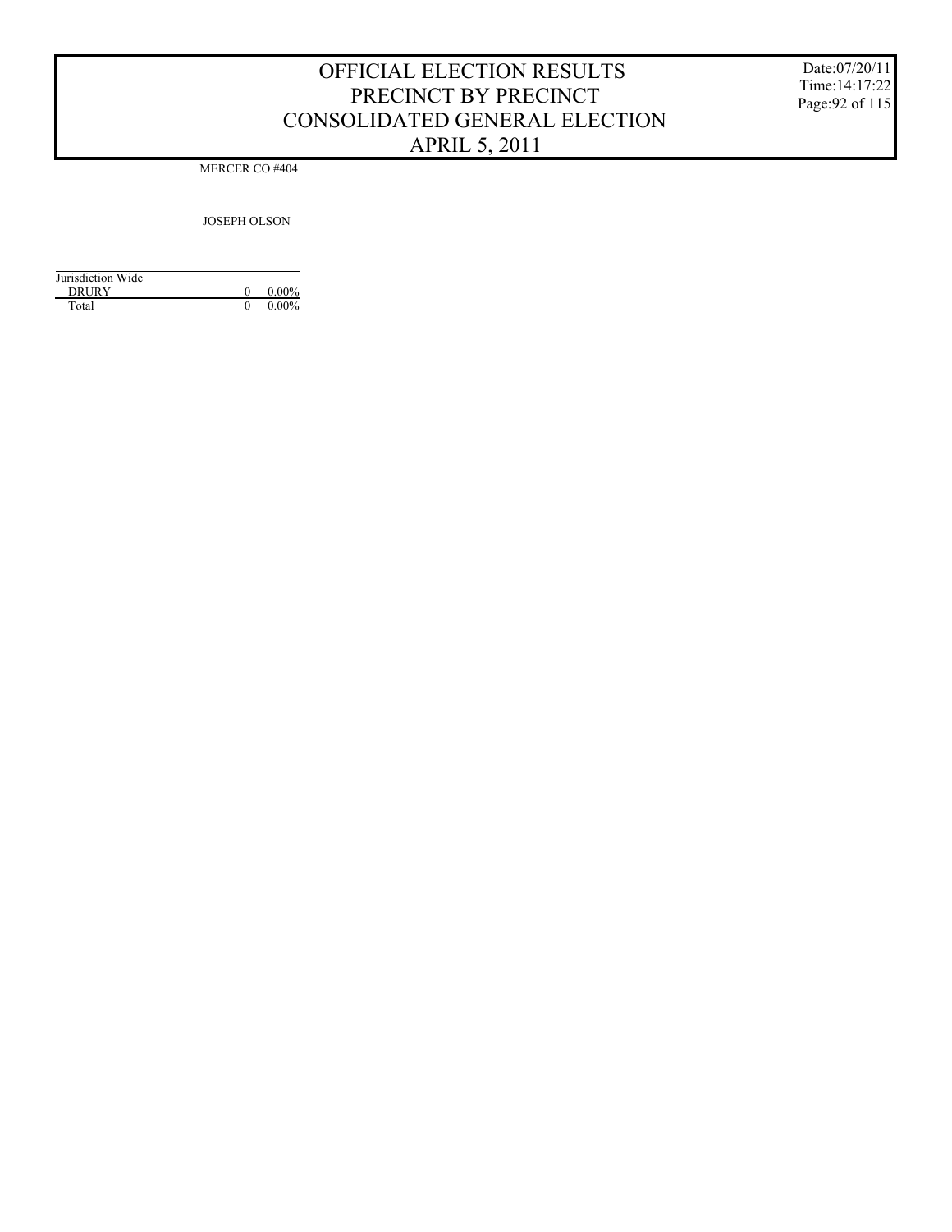MERCER CO #404

JOSEPH OLSON

| Jurisdiction Wide |          |
|-------------------|----------|
| <b>DRURY</b>      | $0.00\%$ |
| Total             | 0.00%    |

Date:07/20/11 Time:14:17:22 Page:92 of 115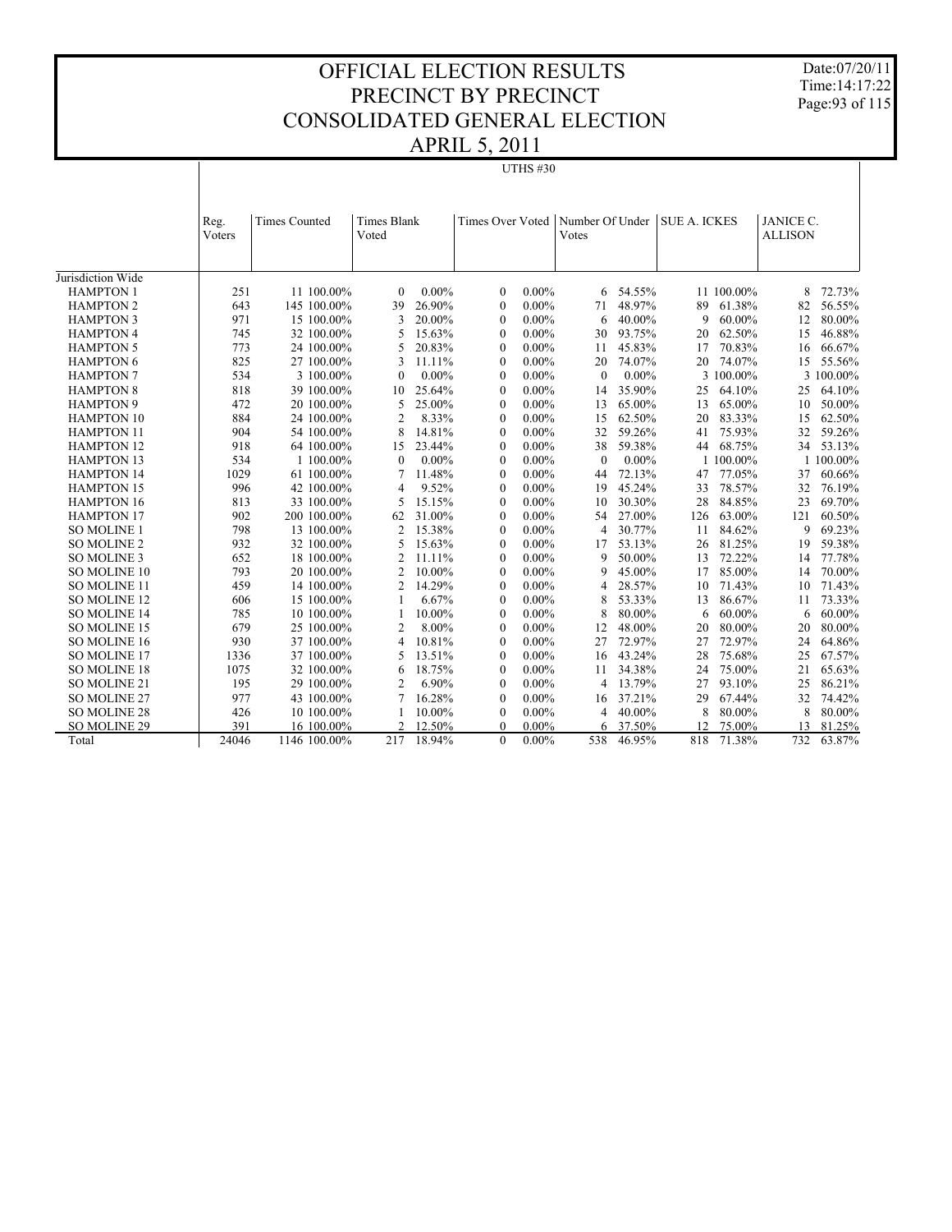Date:07/20/11 Time:14:17:22 Page:93 of 115

| AF NIL 9, 2011      |        |                      |                    |            |                         |                 |                 |          |                     |            |                  |           |
|---------------------|--------|----------------------|--------------------|------------|-------------------------|-----------------|-----------------|----------|---------------------|------------|------------------|-----------|
|                     |        |                      |                    |            |                         | <b>UTHS #30</b> |                 |          |                     |            |                  |           |
|                     |        |                      |                    |            |                         |                 |                 |          |                     |            |                  |           |
|                     |        |                      |                    |            |                         |                 |                 |          |                     |            |                  |           |
|                     |        |                      |                    |            |                         |                 |                 |          |                     |            |                  |           |
|                     | Reg.   | <b>Times Counted</b> | <b>Times Blank</b> |            | <b>Times Over Voted</b> |                 | Number Of Under |          | <b>SUE A. ICKES</b> |            | <b>JANICE C.</b> |           |
|                     | Voters |                      | Voted              |            |                         |                 | Votes           |          |                     |            | <b>ALLISON</b>   |           |
|                     |        |                      |                    |            |                         |                 |                 |          |                     |            |                  |           |
|                     |        |                      |                    |            |                         |                 |                 |          |                     |            |                  |           |
| Jurisdiction Wide   |        |                      |                    |            |                         |                 |                 |          |                     |            |                  |           |
| <b>HAMPTON 1</b>    | 251    | 11 100.00%           | $\mathbf{0}$       | $0.00\%$   | $\mathbf{0}$            | $0.00\%$        | 6               | 54.55%   |                     | 11 100.00% | 8                | 72.73%    |
| <b>HAMPTON 2</b>    | 643    | 145 100.00%          | 39                 | 26.90%     | $\mathbf{0}$            | $0.00\%$        | 71              | 48.97%   | 89                  | 61.38%     | 82               | 56.55%    |
| <b>HAMPTON 3</b>    | 971    | 15 100.00%           | 3                  | 20.00%     | $\mathbf{0}$            | $0.00\%$        | 6               | 40.00%   | 9                   | 60.00%     | 12               | 80.00%    |
| <b>HAMPTON 4</b>    | 745    | 32 100.00%           | 5                  | 15.63%     | $\mathbf{0}$            | $0.00\%$        | 30              | 93.75%   | 20                  | 62.50%     | 15               | 46.88%    |
| <b>HAMPTON 5</b>    | 773    | 24 100.00%           | 5                  | 20.83%     | $\mathbf{0}$            | $0.00\%$        | 11              | 45.83%   | 17                  | 70.83%     | 16               | 66.67%    |
| <b>HAMPTON 6</b>    | 825    | 27 100,00%           | 3                  | 11.11%     | $\mathbf{0}$            | $0.00\%$        | 20              | 74.07%   | 20                  | 74.07%     | 15               | 55.56%    |
| <b>HAMPTON 7</b>    | 534    | 3 100.00%            | $\mathbf{0}$       | $0.00\%$   | $\mathbf{0}$            | $0.00\%$        | $\mathbf{0}$    | $0.00\%$ |                     | 3 100.00%  |                  | 3 100.00% |
| <b>HAMPTON 8</b>    | 818    | 39 100.00%           | 10                 | 25.64%     | $\mathbf{0}$            | $0.00\%$        | 14              | 35.90%   | 25                  | 64.10%     | 25               | 64.10%    |
| <b>HAMPTON 9</b>    | 472    | 20 100.00%           | 5                  | 25.00%     | $\mathbf{0}$            | $0.00\%$        | 13              | 65.00%   | 13                  | 65.00%     | 10               | 50.00%    |
| <b>HAMPTON 10</b>   | 884    | 24 100.00%           | $\overline{2}$     | 8.33%      | $\mathbf{0}$            | $0.00\%$        | 15              | 62.50%   | 20                  | 83.33%     | 15               | 62.50%    |
| <b>HAMPTON 11</b>   | 904    | 54 100.00%           | 8                  | 14.81%     | $\mathbf{0}$            | $0.00\%$        | 32              | 59.26%   | 41                  | 75.93%     | 32               | 59.26%    |
| <b>HAMPTON 12</b>   | 918    | 64 100.00%           | 15                 | 23.44%     | $\mathbf{0}$            | $0.00\%$        | 38              | 59.38%   | 44                  | 68.75%     | 34               | 53.13%    |
| <b>HAMPTON 13</b>   | 534    | 1 100.00%            | $\mathbf{0}$       | $0.00\%$   | $\mathbf{0}$            | $0.00\%$        | $\mathbf{0}$    | $0.00\%$ |                     | 1 100.00%  |                  | 1 100.00% |
| <b>HAMPTON 14</b>   | 1029   | 61 100.00%           | 7                  | 11.48%     | $\mathbf{0}$            | $0.00\%$        | 44              | 72.13%   | 47                  | 77.05%     | 37               | 60.66%    |
| <b>HAMPTON 15</b>   | 996    | 42 100.00%           | 4                  | 9.52%      | $\mathbf{0}$            | $0.00\%$        | 19              | 45.24%   | 33                  | 78.57%     | 32               | 76.19%    |
| <b>HAMPTON 16</b>   | 813    | 33 100.00%           | 5                  | 15.15%     | $\mathbf{0}$            | $0.00\%$        | 10              | 30.30%   | 28                  | 84.85%     | 23               | 69.70%    |
| <b>HAMPTON 17</b>   | 902    | 200 100.00%          | 62                 | 31.00%     | $\boldsymbol{0}$        | $0.00\%$        | 54              | 27.00%   | 126                 | 63.00%     | 121              | 60.50%    |
| SO MOLINE 1         | 798    | 13 100.00%           | $\overline{2}$     | 15.38%     | $\mathbf{0}$            | $0.00\%$        | 4               | 30.77%   | 11                  | 84.62%     | 9                | 69.23%    |
| SO MOLINE 2         | 932    | 32 100.00%           | 5                  | 15.63%     | $\theta$                | $0.00\%$        | 17              | 53.13%   | 26                  | 81.25%     | 19               | 59.38%    |
| SO MOLINE 3         | 652    | 18 100.00%           | 2                  | 11.11%     | $\mathbf{0}$            | $0.00\%$        | 9               | 50.00%   | 13                  | 72.22%     | 14               | 77.78%    |
| SO MOLINE 10        | 793    | 20 100.00%           | $\overline{2}$     | 10.00%     | $\mathbf{0}$            | $0.00\%$        | 9               | 45.00%   | 17                  | 85.00%     | 14               | 70.00%    |
| SO MOLINE 11        | 459    | 14 100.00%           | $\overline{2}$     | 14.29%     | $\mathbf{0}$            | $0.00\%$        | $\overline{4}$  | 28.57%   | 10                  | 71.43%     | 10               | 71.43%    |
| SO MOLINE 12        | 606    | 15 100.00%           | 1                  | 6.67%      | $\mathbf{0}$            | $0.00\%$        | 8               | 53.33%   | 13                  | 86.67%     | 11               | 73.33%    |
| SO MOLINE 14        | 785    | 10 100.00%           |                    | 10.00%     | $\boldsymbol{0}$        | $0.00\%$        | 8               | 80.00%   | 6                   | 60.00%     | 6                | 60.00%    |
| SO MOLINE 15        | 679    | 25 100.00%           | $\overline{2}$     | 8.00%      | $\mathbf{0}$            | $0.00\%$        | 12              | 48.00%   | 20                  | 80.00%     | 20               | 80.00%    |
| SO MOLINE 16        | 930    | 37 100.00%           | 4                  | 10.81%     | $\theta$                | $0.00\%$        | 27              | 72.97%   | 27                  | 72.97%     | 24               | 64.86%    |
| SO MOLINE 17        | 1336   | 37 100.00%           | 5                  | 13.51%     | $\mathbf{0}$            | $0.00\%$        | 16              | 43.24%   | 28                  | 75.68%     | 25               | 67.57%    |
| <b>SO MOLINE 18</b> | 1075   | 32 100.00%           | 6                  | 18.75%     | $\boldsymbol{0}$        | $0.00\%$        | 11              | 34.38%   | 24                  | 75.00%     | 21               | 65.63%    |
| SO MOLINE 21        | 195    | 29 100.00%           | $\overline{2}$     | 6.90%      | $\mathbf{0}$            | $0.00\%$        | 4               | 13.79%   | 27                  | 93.10%     | 25               | 86.21%    |
| SO MOLINE 27        | 977    | 43 100.00%           | 7                  | 16.28%     | $\theta$                | $0.00\%$        | 16              | 37.21%   | 29                  | 67.44%     | 32               | 74.42%    |
| <b>SO MOLINE 28</b> | 426    | 10 100.00%           |                    | 10.00%     | $\mathbf{0}$            | $0.00\%$        | 4               | 40.00%   | 8                   | 80.00%     | 8                | 80.00%    |
| SO MOLINE 29        | 391    | 16 100.00%           | $\mathfrak{D}$     | 12.50%     | $\theta$                | $0.00\%$        | 6               | 37.50%   | 12                  | 75.00%     | 13               | 81.25%    |
| Total               | 24046  | 1146 100.00%         |                    | 217 18.94% | $\mathbf{0}$            | $0.00\%$        | 538             | 46.95%   | 818                 | 71.38%     | 732              | 63.87%    |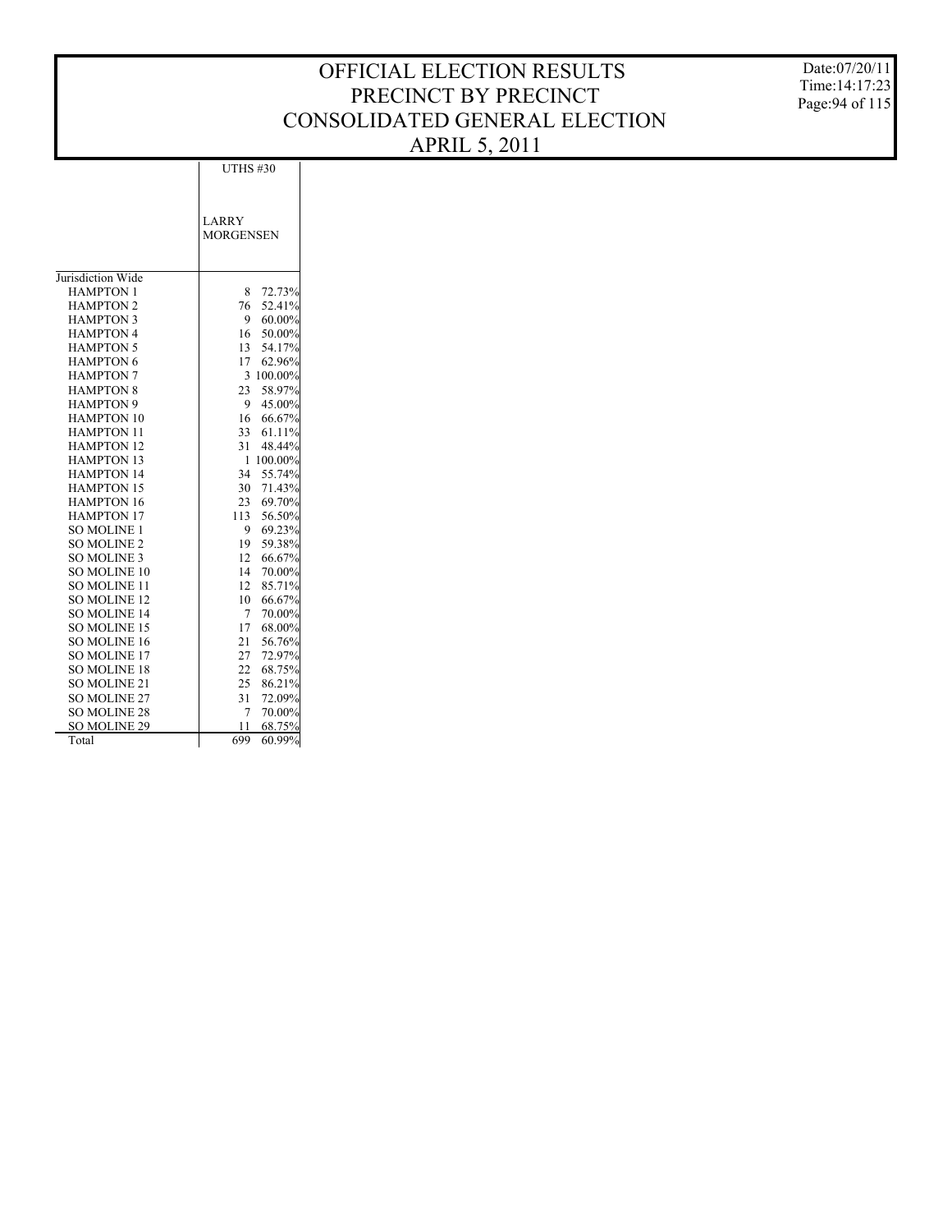Date:07/20/11 Time:14:17:23 Page:94 of 115

|                     | <b>UTHS #30</b>  |
|---------------------|------------------|
|                     |                  |
|                     | <b>LARRY</b>     |
|                     | <b>MORGENSEN</b> |
|                     |                  |
| Jurisdiction Wide   |                  |
| <b>HAMPTON 1</b>    | 72.73%<br>8      |
| <b>HAMPTON 2</b>    | 76<br>52.41%     |
| <b>HAMPTON 3</b>    | 60.00%<br>9      |
| <b>HAMPTON 4</b>    | 50.00%<br>16     |
| <b>HAMPTON 5</b>    | 13<br>54.17%     |
| <b>HAMPTON 6</b>    | 62.96%<br>17     |
| <b>HAMPTON 7</b>    | 3 100.00%        |
| <b>HAMPTON 8</b>    | 58.97%<br>23     |
| <b>HAMPTON 9</b>    | 45.00%<br>9.     |
| <b>HAMPTON 10</b>   | 66.67%<br>16     |
| <b>HAMPTON 11</b>   | 33<br>61.11%     |
| <b>HAMPTON 12</b>   | 31<br>48.44%     |
| <b>HAMPTON 13</b>   | 100.00%<br>1     |
| <b>HAMPTON 14</b>   | 34<br>55.74%     |
| <b>HAMPTON 15</b>   | 30<br>71.43%     |
| <b>HAMPTON 16</b>   | 23<br>69.70%     |
| <b>HAMPTON 17</b>   | 113<br>56.50%    |
| <b>SO MOLINE 1</b>  | 69.23%<br>9      |
| <b>SO MOLINE 2</b>  | 59.38%<br>19     |
| <b>SO MOLINE 3</b>  | 12<br>66.67%     |
| SO MOLINE 10        | 70.00%<br>14     |
| SO MOLINE 11        | 85.71%<br>12     |
| <b>SO MOLINE 12</b> | 10<br>66.67%     |
| SO MOLINE 14        | 7<br>70.00%      |
| <b>SO MOLINE 15</b> | 68.00%<br>17     |
| <b>SO MOLINE 16</b> | 21<br>56.76%     |
| <b>SO MOLINE 17</b> | 27<br>72.97%     |
| <b>SO MOLINE 18</b> | 22<br>68.75%     |
| SO MOLINE 21        | 25<br>86.21%     |
| <b>SO MOLINE 27</b> | 31<br>72.09%     |
| <b>SO MOLINE 28</b> | 70.00%<br>7      |
| <b>SO MOLINE 29</b> | 68.75%<br>11     |
| Total               | 699<br>60.99%    |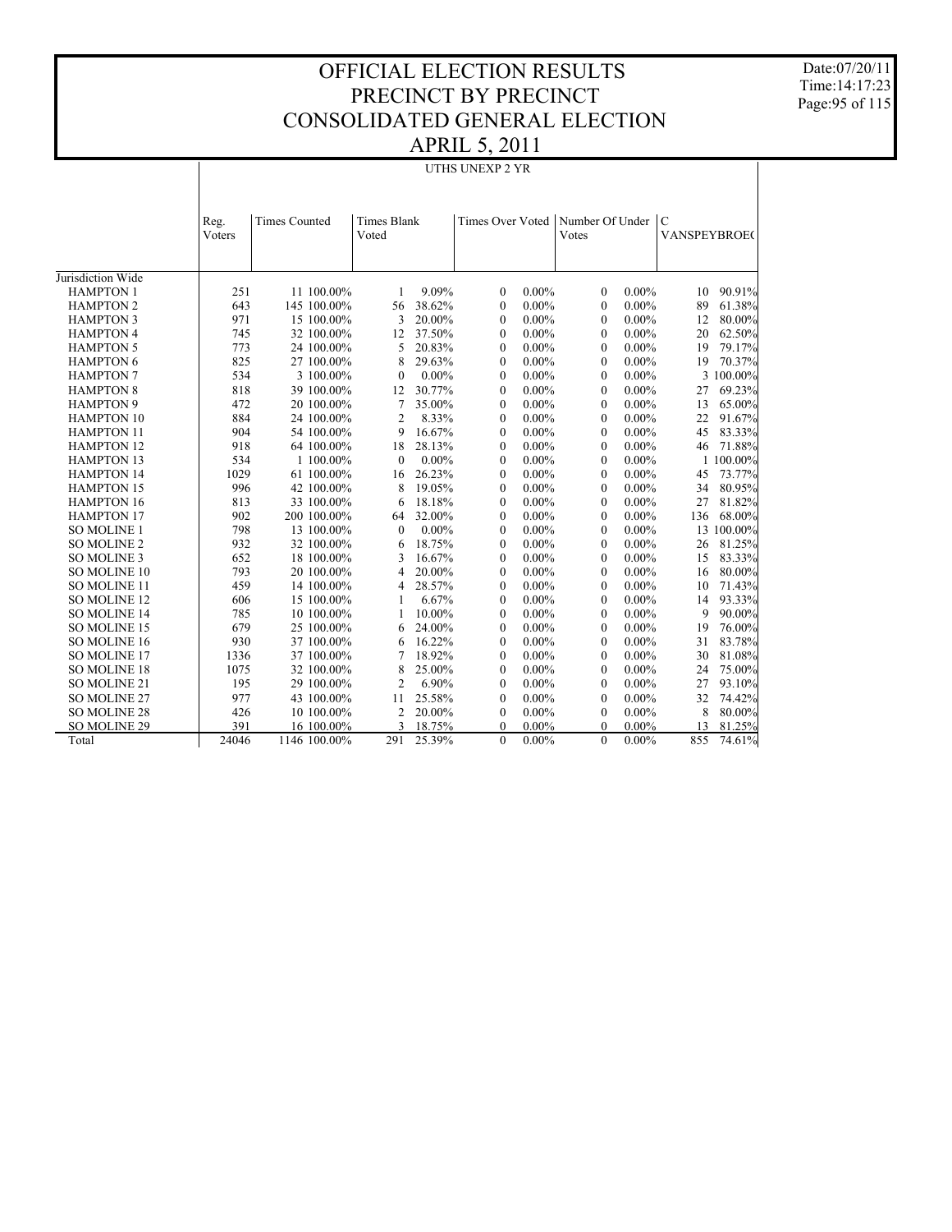Date:07/20/11 Time:14:17:23 Page:95 of 115

#### UTHS UNEXP 2 YR

|                     | Reg.<br>Voters | <b>Times Counted</b> | <b>Times Blank</b><br>Voted |          | <b>Times Over Voted</b> |          | Number Of Under<br>Votes |          | $\mathcal{C}$<br><b>VANSPEYBROEC</b> |            |
|---------------------|----------------|----------------------|-----------------------------|----------|-------------------------|----------|--------------------------|----------|--------------------------------------|------------|
| Jurisdiction Wide   |                |                      |                             |          |                         |          |                          |          |                                      |            |
| <b>HAMPTON 1</b>    | 251            | 11 100.00%           | 1                           | 9.09%    | $\mathbf{0}$            | $0.00\%$ | $\mathbf{0}$             | $0.00\%$ | 10                                   | 90.91%     |
| <b>HAMPTON 2</b>    | 643            | 145 100.00%          | 56                          | 38.62%   | $\Omega$                | $0.00\%$ | $\mathbf{0}$             | $0.00\%$ | 89                                   | 61.38%     |
| <b>HAMPTON 3</b>    | 971            | 15 100.00%           | 3                           | 20.00%   | $\mathbf{0}$            | $0.00\%$ | $\mathbf{0}$             | $0.00\%$ | 12                                   | 80.00%     |
| <b>HAMPTON 4</b>    | 745            | 32 100.00%           | 12                          | 37.50%   | $\Omega$                | $0.00\%$ | $\Omega$                 | $0.00\%$ | 20                                   | 62.50%     |
| <b>HAMPTON 5</b>    | 773            | 24 100,00%           | 5                           | 20.83%   | $\mathbf{0}$            | $0.00\%$ | $\mathbf{0}$             | $0.00\%$ | 19                                   | 79.17%     |
| <b>HAMPTON 6</b>    | 825            | 27 100.00%           | 8                           | 29.63%   | $\Omega$                | $0.00\%$ | $\theta$                 | $0.00\%$ | 19                                   | 70.37%     |
| <b>HAMPTON 7</b>    | 534            | 3 100.00%            | $\mathbf{0}$                | $0.00\%$ | $\mathbf{0}$            | $0.00\%$ | $\mathbf{0}$             | $0.00\%$ |                                      | 3 100.00%  |
| <b>HAMPTON 8</b>    | 818            | 39 100.00%           | 12                          | 30.77%   | $\mathbf{0}$            | $0.00\%$ | $\Omega$                 | $0.00\%$ | 27                                   | 69.23%     |
| <b>HAMPTON 9</b>    | 472            | 20 100.00%           | $\overline{7}$              | 35.00%   | $\boldsymbol{0}$        | $0.00\%$ | $\mathbf{0}$             | $0.00\%$ | 13                                   | 65.00%     |
| <b>HAMPTON 10</b>   | 884            | 24 100.00%           | $\overline{2}$              | 8.33%    | $\mathbf{0}$            | $0.00\%$ | $\mathbf{0}$             | $0.00\%$ | 22                                   | 91.67%     |
| <b>HAMPTON 11</b>   | 904            | 54 100.00%           | 9                           | 16.67%   | $\mathbf{0}$            | $0.00\%$ | $\mathbf{0}$             | $0.00\%$ | 45                                   | 83.33%     |
| <b>HAMPTON 12</b>   | 918            | 64 100,00%           | 18                          | 28.13%   | $\theta$                | $0.00\%$ | $\theta$                 | $0.00\%$ | 46                                   | 71.88%     |
| <b>HAMPTON 13</b>   | 534            | 1 100.00%            | $\Omega$                    | $0.00\%$ | $\theta$                | $0.00\%$ | $\mathbf{0}$             | $0.00\%$ |                                      | 1 100.00%  |
| <b>HAMPTON 14</b>   | 1029           | 61 100.00%           | 16                          | 26.23%   | $\Omega$                | $0.00\%$ | $\theta$                 | $0.00\%$ | 45                                   | 73.77%     |
| <b>HAMPTON 15</b>   | 996            | 42 100,00%           | 8                           | 19.05%   | $\Omega$                | $0.00\%$ | $\Omega$                 | $0.00\%$ | 34                                   | 80.95%     |
| <b>HAMPTON 16</b>   | 813            | 33 100.00%           | 6                           | 18.18%   | $\Omega$                | $0.00\%$ | $\Omega$                 | $0.00\%$ | 27                                   | 81.82%     |
| <b>HAMPTON 17</b>   | 902            | 200 100.00%          | 64                          | 32.00%   | $\Omega$                | $0.00\%$ | $\Omega$                 | $0.00\%$ | 136                                  | 68.00%     |
| <b>SO MOLINE 1</b>  | 798            | 13 100.00%           | $\mathbf{0}$                | $0.00\%$ | $\mathbf{0}$            | $0.00\%$ | $\mathbf{0}$             | $0.00\%$ |                                      | 13 100.00% |
| <b>SO MOLINE 2</b>  | 932            | 32 100.00%           | 6                           | 18.75%   | $\mathbf{0}$            | $0.00\%$ | $\mathbf{0}$             | $0.00\%$ | 26                                   | 81.25%     |
| <b>SO MOLINE 3</b>  | 652            | 18 100.00%           | 3                           | 16.67%   | $\mathbf{0}$            | $0.00\%$ | $\mathbf{0}$             | $0.00\%$ | 15                                   | 83.33%     |
| <b>SO MOLINE 10</b> | 793            | 20 100.00%           | $\overline{4}$              | 20.00%   | $\mathbf{0}$            | $0.00\%$ | $\mathbf{0}$             | $0.00\%$ | 16                                   | 80.00%     |
| <b>SO MOLINE 11</b> | 459            | 14 100.00%           | 4                           | 28.57%   | $\mathbf{0}$            | $0.00\%$ | $\mathbf{0}$             | $0.00\%$ | 10                                   | 71.43%     |
| <b>SO MOLINE 12</b> | 606            | 15 100.00%           | $\mathbf{1}$                | 6.67%    | $\theta$                | $0.00\%$ | $\mathbf{0}$             | $0.00\%$ | 14                                   | 93.33%     |
| <b>SO MOLINE 14</b> | 785            | 10 100.00%           | 1                           | 10.00%   | $\mathbf{0}$            | $0.00\%$ | $\mathbf{0}$             | $0.00\%$ | 9                                    | 90.00%     |
| SO MOLINE 15        | 679            | 25 100,00%           | 6                           | 24.00%   | $\mathbf{0}$            | $0.00\%$ | $\theta$                 | $0.00\%$ | 19                                   | 76.00%     |
| SO MOLINE 16        | 930            | 37 100.00%           | 6                           | 16.22%   | $\mathbf{0}$            | $0.00\%$ | $\mathbf{0}$             | $0.00\%$ | 31                                   | 83.78%     |
| SO MOLINE 17        | 1336           | 37 100.00%           | $\overline{7}$              | 18.92%   | $\Omega$                | $0.00\%$ | $\Omega$                 | $0.00\%$ | 30                                   | 81.08%     |
| <b>SO MOLINE 18</b> | 1075           | 32 100.00%           | 8                           | 25.00%   | $\mathbf{0}$            | $0.00\%$ | $\mathbf{0}$             | $0.00\%$ | 24                                   | 75.00%     |
| SO MOLINE 21        | 195            | 29 100.00%           | $\overline{2}$              | 6.90%    | $\mathbf{0}$            | $0.00\%$ | $\Omega$                 | $0.00\%$ | 27                                   | 93.10%     |
| SO MOLINE 27        | 977            | 43 100.00%           | 11                          | 25.58%   | $\boldsymbol{0}$        | $0.00\%$ | $\mathbf{0}$             | $0.00\%$ | 32                                   | 74.42%     |
| <b>SO MOLINE 28</b> | 426            | 10 100.00%           | $\overline{2}$              | 20.00%   | $\Omega$                | $0.00\%$ | $\mathbf{0}$             | $0.00\%$ | 8                                    | 80.00%     |
| SO MOLINE 29        | 391            | 16 100.00%           | 3                           | 18.75%   | $\Omega$                | $0.00\%$ | $\Omega$                 | $0.00\%$ | 13                                   | 81.25%     |
| Total               | 24046          | 1146 100.00%         | 291                         | 25.39%   | $\theta$                | $0.00\%$ | $\theta$                 | $0.00\%$ | 855                                  | 74.61%     |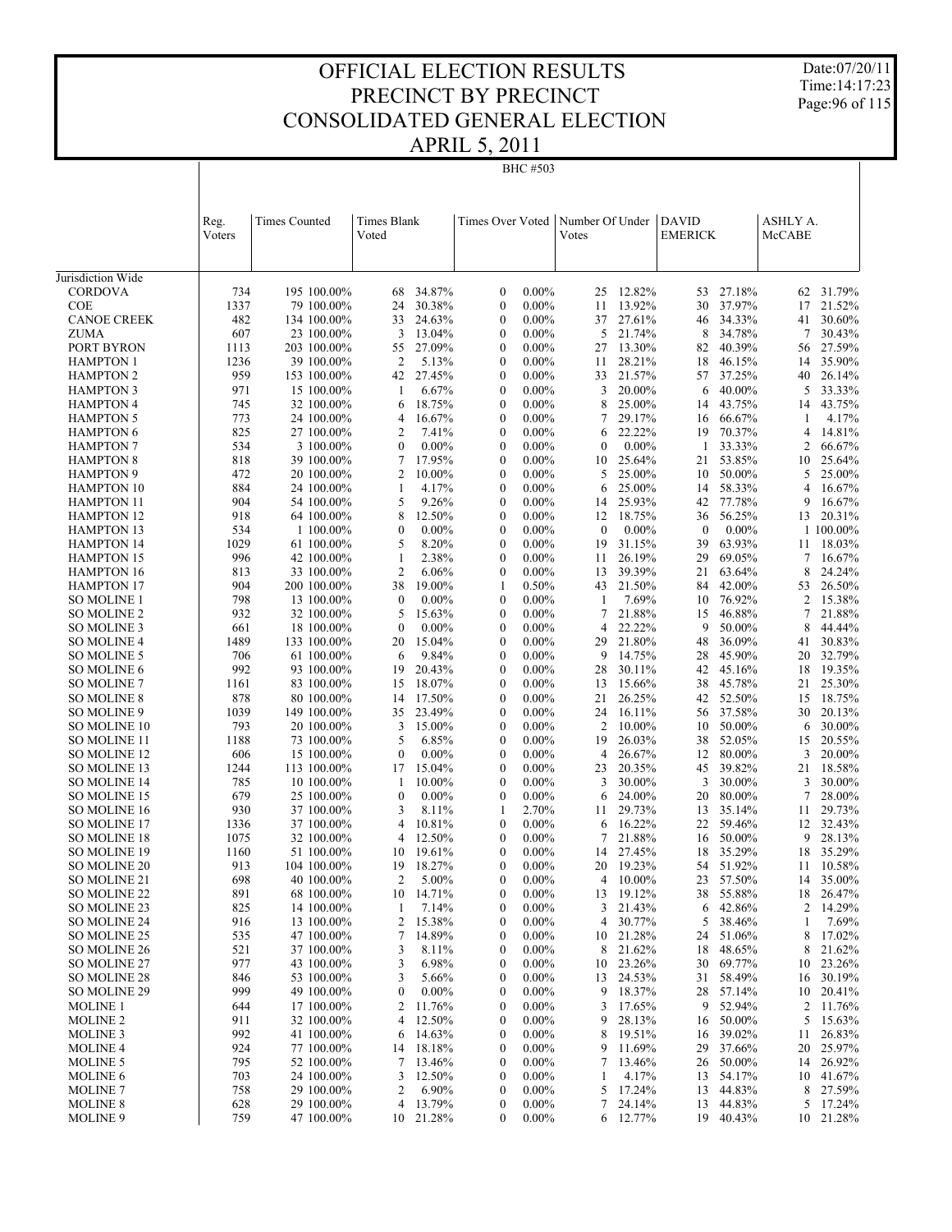Date:07/20/11 Time:14:17:23 Page:96 of 115

| <b>APRIL 5, 2011</b> |  |
|----------------------|--|
| BHC #503             |  |

|                                        | Reg.<br>Voters | <b>Times Counted</b>      | Times Blank<br>Voted  |                   | Times Over Voted                 |                      | Number Of Under<br>Votes |                     | <b>DAVID</b><br><b>EMERICK</b> |                     | ASHLY A.<br>McCABE |                     |
|----------------------------------------|----------------|---------------------------|-----------------------|-------------------|----------------------------------|----------------------|--------------------------|---------------------|--------------------------------|---------------------|--------------------|---------------------|
|                                        |                |                           |                       |                   |                                  |                      |                          |                     |                                |                     |                    |                     |
| Jurisdiction Wide                      |                |                           |                       |                   |                                  |                      |                          |                     |                                |                     |                    |                     |
| <b>CORDOVA</b>                         | 734            | 195 100.00%               | 68                    | 34.87%            | $\boldsymbol{0}$                 | $0.00\%$             | 25                       | 12.82%              | 53                             | 27.18%              | 62                 | 31.79%              |
| <b>COE</b>                             | 1337           | 79 100.00%                | 24                    | 30.38%            | $\boldsymbol{0}$                 | $0.00\%$             | 11                       | 13.92%              | 30                             | 37.97%              | 17                 | 21.52%              |
| <b>CANOE CREEK</b>                     | 482<br>607     | 134 100.00%               | 33<br>3               | 24.63%            | $\mathbf{0}$<br>$\boldsymbol{0}$ | $0.00\%$<br>$0.00\%$ | 37<br>5                  | 27.61%              | 46<br>8                        | 34.33%<br>34.78%    | 41<br>7            | 30.60%<br>30.43%    |
| ZUMA<br>PORT BYRON                     | 1113           | 23 100.00%<br>203 100.00% | 55                    | 13.04%<br>27.09%  | $\mathbf{0}$                     | $0.00\%$             | 27                       | 21.74%<br>13.30%    | 82                             | 40.39%              | 56                 | 27.59%              |
| <b>HAMPTON 1</b>                       | 1236           | 39 100.00%                | $\overline{2}$        | 5.13%             | $\boldsymbol{0}$                 | $0.00\%$             | 11                       | 28.21%              | 18                             | 46.15%              | 14                 | 35.90%              |
| <b>HAMPTON 2</b>                       | 959            | 153 100.00%               |                       | 42 27.45%         | $\mathbf{0}$                     | $0.00\%$             | 33                       | 21.57%              | 57                             | 37.25%              | 40                 | 26.14%              |
| <b>HAMPTON 3</b>                       | 971            | 15 100.00%                | 1                     | 6.67%             | $\boldsymbol{0}$                 | $0.00\%$             | 3                        | 20.00%              | 6                              | 40.00%              | 5                  | 33.33%              |
| <b>HAMPTON 4</b>                       | 745            | 32 100.00%                | 6                     | 18.75%            | $\mathbf{0}$                     | $0.00\%$             | 8                        | 25.00%              | 14                             | 43.75%              | 14                 | 43.75%              |
| <b>HAMPTON 5</b>                       | 773            | 24 100.00%                | 4                     | 16.67%            | $\boldsymbol{0}$                 | $0.00\%$             | 7                        | 29.17%              | 16                             | 66.67%              | 1                  | 4.17%               |
| <b>HAMPTON 6</b>                       | 825            | 27 100.00%                | 2                     | 7.41%             | $\mathbf{0}$                     | $0.00\%$             | 6                        | 22.22%              | 19                             | 70.37%              | 4                  | 14.81%              |
| <b>HAMPTON 7</b>                       | 534            | 3 100.00%                 | $\mathbf{0}$          | $0.00\%$          | $\boldsymbol{0}$                 | $0.00\%$             | $\mathbf{0}$             | $0.00\%$            | 1                              | 33.33%              | 2                  | 66.67%              |
| <b>HAMPTON 8</b>                       | 818            | 39 100.00%                | 7                     | 17.95%            | $\mathbf{0}$                     | $0.00\%$             | 10                       | 25.64%              | 21                             | 53.85%              | 10                 | 25.64%              |
| <b>HAMPTON 9</b>                       | 472            | 20 100.00%                | 2                     | 10.00%            | $\boldsymbol{0}$                 | $0.00\%$             | 5                        | 25.00%              | 10                             | 50.00%              | 5                  | 25.00%              |
| <b>HAMPTON 10</b>                      | 884            | 24 100.00%                | 1                     | 4.17%             | $\mathbf{0}$                     | $0.00\%$             | 6                        | 25.00%              | 14                             | 58.33%              | 4                  | 16.67%              |
| <b>HAMPTON 11</b>                      | 904            | 54 100.00%                | 5                     | 9.26%             | $\boldsymbol{0}$                 | $0.00\%$             | 14                       | 25.93%              | 42                             | 77.78%              | 9                  | 16.67%              |
| <b>HAMPTON 12</b>                      | 918            | 64 100.00%                | 8                     | 12.50%            | $\mathbf{0}$                     | $0.00\%$             | 12                       | 18.75%              | 36                             | 56.25%              | 13                 | 20.31%<br>1 100.00% |
| <b>HAMPTON 13</b>                      | 534<br>1029    | 1 100.00%<br>61 100.00%   | $\boldsymbol{0}$<br>5 | $0.00\%$<br>8.20% | $\boldsymbol{0}$<br>$\mathbf{0}$ | $0.00\%$<br>$0.00\%$ | $\boldsymbol{0}$<br>19   | $0.00\%$<br>31.15%  | $\boldsymbol{0}$<br>39         | $0.00\%$<br>63.93%  | 11                 | 18.03%              |
| <b>HAMPTON 14</b><br><b>HAMPTON 15</b> | 996            | 42 100.00%                | $\mathbf{1}$          | 2.38%             | $\boldsymbol{0}$                 | $0.00\%$             | 11                       | 26.19%              | 29                             | 69.05%              | 7                  | 16.67%              |
| <b>HAMPTON 16</b>                      | 813            | 33 100.00%                | 2                     | 6.06%             | $\boldsymbol{0}$                 | $0.00\%$             | 13                       | 39.39%              | 21                             | 63.64%              | 8                  | 24.24%              |
| <b>HAMPTON 17</b>                      | 904            | 200 100.00%               | 38                    | 19.00%            | 1                                | 0.50%                | 43                       | 21.50%              | 84                             | 42.00%              | 53                 | 26.50%              |
| <b>SO MOLINE 1</b>                     | 798            | 13 100.00%                | $\mathbf{0}$          | $0.00\%$          | $\mathbf{0}$                     | $0.00\%$             | 1                        | 7.69%               | 10                             | 76.92%              | 2                  | 15.38%              |
| <b>SO MOLINE 2</b>                     | 932            | 32 100.00%                | 5                     | 15.63%            | $\boldsymbol{0}$                 | $0.00\%$             | 7                        | 21.88%              | 15                             | 46.88%              | 7                  | 21.88%              |
| SO MOLINE 3                            | 661            | 18 100,00%                | $\mathbf{0}$          | $0.00\%$          | $\mathbf{0}$                     | $0.00\%$             | 4                        | 22.22%              | 9                              | 50.00%              | 8                  | 44.44%              |
| SO MOLINE 4                            | 1489           | 133 100.00%               | 20                    | 15.04%            | $\boldsymbol{0}$                 | $0.00\%$             | 29                       | 21.80%              | 48                             | 36.09%              | 41                 | 30.83%              |
| <b>SO MOLINE 5</b>                     | 706            | 61 100.00%                | 6                     | 9.84%             | $\mathbf{0}$                     | $0.00\%$             | 9                        | 14.75%              | 28                             | 45.90%              | 20                 | 32.79%              |
| SO MOLINE 6                            | 992            | 93 100.00%                | 19                    | 20.43%            | $\boldsymbol{0}$                 | $0.00\%$             | 28                       | 30.11%              | 42                             | 45.16%              | 18                 | 19.35%              |
| <b>SO MOLINE 7</b>                     | 1161           | 83 100.00%                | 15                    | 18.07%            | $\mathbf{0}$                     | $0.00\%$             | 13                       | 15.66%              | 38                             | 45.78%              | 21                 | 25.30%              |
| SO MOLINE 8                            | 878            | 80 100.00%                | 14                    | 17.50%            | $\boldsymbol{0}$                 | $0.00\%$             | 21                       | 26.25%              | 42                             | 52.50%              | 15                 | 18.75%              |
| SO MOLINE 9                            | 1039           | 149 100.00%               | 35                    | 23.49%            | $\mathbf{0}$                     | $0.00\%$             | 24                       | 16.11%              | 56                             | 37.58%              | 30                 | 20.13%              |
| SO MOLINE 10<br>SO MOLINE 11           | 793<br>1188    | 20 100.00%                | 3<br>5                | 15.00%<br>6.85%   | $\boldsymbol{0}$<br>$\mathbf{0}$ | $0.00\%$<br>$0.00\%$ | 2                        | 10.00%<br>26.03%    | 10                             | 50.00%<br>52.05%    | 6                  | 30.00%<br>20.55%    |
| SO MOLINE 12                           | 606            | 73 100.00%<br>15 100.00%  | $\mathbf{0}$          | $0.00\%$          | $\boldsymbol{0}$                 | $0.00\%$             | 19<br>4                  | 26.67%              | 38<br>12                       | 80.00%              | 15<br>3            | 20.00%              |
| SO MOLINE 13                           | 1244           | 113 100.00%               | 17                    | 15.04%            | $\mathbf{0}$                     | $0.00\%$             | 23                       | 20.35%              | 45                             | 39.82%              | 21                 | 18.58%              |
| <b>SO MOLINE 14</b>                    | 785            | 10 100.00%                | 1                     | 10.00%            | $\boldsymbol{0}$                 | $0.00\%$             | 3                        | 30.00%              | 3                              | 30.00%              | 3                  | 30.00%              |
| SO MOLINE 15                           | 679            | 25 100.00%                | $\mathbf{0}$          | $0.00\%$          | $\boldsymbol{0}$                 | $0.00\%$             | 6                        | 24.00%              | 20                             | 80.00%              | 7                  | 28.00%              |
| SO MOLINE 16                           | 930            | 37 100.00%                | 3                     | 8.11%             | 1                                | 2.70%                | 11                       | 29.73%              | 13                             | 35.14%              | 11                 | 29.73%              |
| SO MOLINE 17                           | 1336           | 37 100.00%                | 4                     | 10.81%            | $\mathbf{0}$                     | $0.00\%$             | 6                        | 16.22%              | 22                             | 59.46%              | 12                 | 32.43%              |
| <b>SO MOLINE 18</b>                    | 1075           | 32 100.00%                | 4                     | 12.50%            | $\boldsymbol{0}$                 | $0.00\%$             | 7                        | 21.88%              | 16                             | 50.00%              | 9                  | 28.13%              |
| SO MOLINE 19                           | 1160           | 51 100.00%                | 10                    | 19.61%            | $\mathbf{0}$                     | $0.00\%$             | 14                       | 27.45%              | 18                             | 35.29%              | 18                 | 35.29%              |
| SO MOLINE 20                           | 913            | 104 100.00%               | 19                    | 18.27%            | $\boldsymbol{0}$                 | $0.00\%$             | 20                       | 19.23%              | 54                             | 51.92%              | 11                 | 10.58%              |
| <b>SO MOLINE 21</b>                    | 698            | 40 100.00%                | 2                     | 5.00%             | $\mathbf{0}$                     | $0.00\%$             | 4                        | $10.00\%$           | 23                             | 57.50%              |                    | 14 35.00%           |
| SO MOLINE 22                           | 891            | 68 100.00%                | 10                    | 14.71%            | $\boldsymbol{0}$                 | $0.00\%$             | 13                       | 19.12%              | 38                             | 55.88%              | 18                 | 26.47%              |
| SO MOLINE 23                           | 825            | 14 100.00%                | 1                     | 7.14%             | 0                                | $0.00\%$             | 3                        | 21.43%              | 6                              | 42.86%              | 2                  | 14.29%              |
| SO MOLINE 24                           | 916            | 13 100.00%                | 2<br>7                | 15.38%            | 0                                | $0.00\%$             | 4                        | 30.77%<br>10 21.28% | 5                              | 38.46%              | 1                  | 7.69%<br>17.02%     |
| SO MOLINE 25<br>SO MOLINE 26           | 535<br>521     | 47 100.00%<br>37 100.00%  | 3                     | 14.89%<br>8.11%   | 0<br>0                           | $0.00\%$<br>$0.00\%$ | 8                        | 21.62%              | 18                             | 24 51.06%<br>48.65% | 8<br>8             | 21.62%              |
| SO MOLINE 27                           | 977            | 43 100.00%                | 3                     | 6.98%             | 0                                | $0.00\%$             | 10                       | 23.26%              | 30                             | 69.77%              | 10                 | 23.26%              |
| SO MOLINE 28                           | 846            | 53 100.00%                | 3                     | 5.66%             | $\boldsymbol{0}$                 | $0.00\%$             | 13                       | 24.53%              | 31                             | 58.49%              | 16                 | 30.19%              |
| SO MOLINE 29                           | 999            | 49 100.00%                | $\boldsymbol{0}$      | $0.00\%$          | 0                                | $0.00\%$             | 9                        | 18.37%              |                                | 28 57.14%           | 10                 | 20.41%              |
| <b>MOLINE 1</b>                        | 644            | 17 100.00%                | 2                     | 11.76%            | $\boldsymbol{0}$                 | $0.00\%$             | 3                        | 17.65%              | 9                              | 52.94%              | 2                  | 11.76%              |
| <b>MOLINE 2</b>                        | 911            | 32 100.00%                | 4                     | 12.50%            | 0                                | $0.00\%$             | 9                        | 28.13%              | 16                             | 50.00%              | 5                  | 15.63%              |
| <b>MOLINE 3</b>                        | 992            | 41 100.00%                | 6                     | 14.63%            | $\boldsymbol{0}$                 | $0.00\%$             | 8                        | 19.51%              | 16                             | 39.02%              | 11                 | 26.83%              |
| <b>MOLINE 4</b>                        | 924            | 77 100.00%                |                       | 14 18.18%         | 0                                | $0.00\%$             | 9                        | 11.69%              | 29                             | 37.66%              | 20                 | 25.97%              |
| <b>MOLINE 5</b>                        | 795            | 52 100.00%                | 7                     | 13.46%            | $\boldsymbol{0}$                 | $0.00\%$             | 7                        | 13.46%              | 26                             | 50.00%              | 14                 | 26.92%              |
| <b>MOLINE 6</b>                        | 703            | 24 100.00%                | 3                     | 12.50%            | 0                                | $0.00\%$             | 1                        | 4.17%               | 13                             | 54.17%              | 10                 | 41.67%              |
| <b>MOLINE 7</b>                        | 758            | 29 100.00%                | 2                     | 6.90%             | $\boldsymbol{0}$                 | $0.00\%$             | 5                        | 17.24%              | 13                             | 44.83%              | 8                  | 27.59%              |
| <b>MOLINE 8</b>                        | 628            | 29 100.00%                |                       | 4 13.79%          | 0                                | $0.00\%$<br>$0.00\%$ | 7                        | 24.14%              | 13                             | 44.83%              | 5                  | 17.24%              |
| MOLINE 9                               | 759            | 47 100.00%                |                       | 10 21.28%         | 0                                |                      |                          | 6 12.77%            |                                | 19 40.43%           |                    | 10 21.28%           |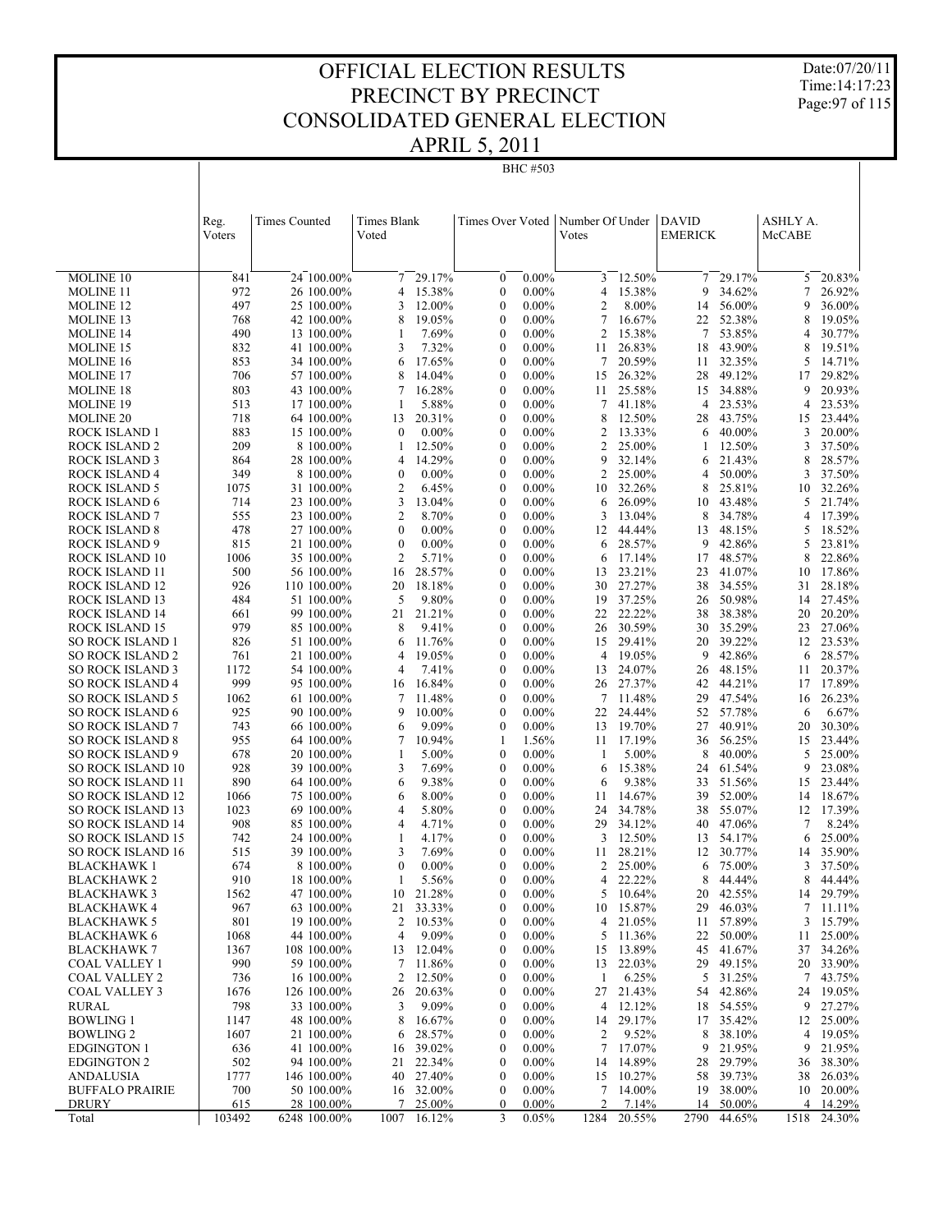Date:07/20/11 Time:14:17:23 Page:97 of 115

# BHC #503

| MOLINE 10<br>841<br>24 100.00%<br>7 29.17%<br>$\mathbf{0}$<br>$0.00\%$<br>$\overline{3}$<br>12.50%<br>7<br>29.17%<br>5 <sup>5</sup><br>20.83%<br>972<br>15.38%<br>$\boldsymbol{0}$<br>$0.00\%$<br>15.38%<br>34.62%<br>26.92%<br><b>MOLINE 11</b><br>26 100.00%<br>4<br>$\overline{4}$<br>9<br>7<br>497<br>12.00%<br>2<br>56.00%<br><b>MOLINE 12</b><br>25 100.00%<br>3<br>$\mathbf{0}$<br>$0.00\%$<br>8.00%<br>9<br>36.00%<br>14<br>768<br>19.05%<br>$\mathbf{0}$<br>16.67%<br>52.38%<br><b>MOLINE 13</b><br>42 100.00%<br>8<br>$0.00\%$<br>7<br>22<br>8<br>19.05%<br>490<br>7.69%<br>15.38%<br><b>MOLINE 14</b><br>13 100.00%<br>1<br>$\mathbf{0}$<br>$0.00\%$<br>2<br>7<br>53.85%<br>30.77%<br>4<br>832<br>7.32%<br>$\mathbf{0}$<br>43.90%<br><b>MOLINE 15</b><br>41 100.00%<br>3<br>$0.00\%$<br>26.83%<br>18<br>8<br>19.51%<br>11<br>853<br>17.65%<br>20.59%<br>5<br><b>MOLINE 16</b><br>34 100.00%<br>6<br>$\mathbf{0}$<br>$0.00\%$<br>7<br>32.35%<br>14.71%<br>11<br>706<br>8<br>$\mathbf{0}$<br>26.32%<br>49.12%<br>29.82%<br><b>MOLINE 17</b><br>57 100,00%<br>14.04%<br>$0.00\%$<br>15<br>28<br>17<br>803<br>16.28%<br>25.58%<br>34.88%<br>20.93%<br><b>MOLINE 18</b><br>43 100.00%<br>7<br>$\mathbf{0}$<br>$0.00\%$<br>9<br>11<br>15<br>513<br>5.88%<br>$\mathbf{0}$<br>41.18%<br>23.53%<br><b>MOLINE 19</b><br>17 100.00%<br>$\mathbf{1}$<br>$0.00\%$<br>7<br>$\overline{4}$<br>23.53%<br>$\overline{4}$<br>12.50%<br><b>MOLINE 20</b><br>718<br>64 100.00%<br>20.31%<br>$\mathbf{0}$<br>$0.00\%$<br>8<br>43.75%<br>15<br>23.44%<br>13<br>28<br>883<br>$0.00\%$<br>$\mathbf{0}$<br>13.33%<br>40.00%<br>20.00%<br>ROCK ISLAND 1<br>15 100.00%<br>$\mathbf{0}$<br>$0.00\%$<br>2<br>3<br>6<br>209<br>$\overline{c}$<br>25.00%<br>12.50%<br>3<br>37.50%<br><b>ROCK ISLAND 2</b><br>8 100.00%<br>12.50%<br>$\mathbf{0}$<br>$0.00\%$<br>1<br>1<br>864<br>14.29%<br>$\mathbf{0}$<br>32.14%<br>21.43%<br><b>ROCK ISLAND 3</b><br>28 100.00%<br>$0.00\%$<br>9<br>8<br>28.57%<br>4<br>6<br>349<br>$0.00\%$<br>25.00%<br>50.00%<br>37.50%<br><b>ROCK ISLAND 4</b><br>8 100.00%<br>$\mathbf{0}$<br>$\mathbf{0}$<br>$0.00\%$<br>2<br>3<br>4<br>1075<br>$\overline{2}$<br>6.45%<br>$\mathbf{0}$<br>32.26%<br>25.81%<br>32.26%<br><b>ROCK ISLAND 5</b><br>31 100.00%<br>$0.00\%$<br>10<br>10<br>8<br>3<br>26.09%<br>21.74%<br><b>ROCK ISLAND 6</b><br>714<br>23 100.00%<br>13.04%<br>$\mathbf{0}$<br>$0.00\%$<br>6<br>43.48%<br>5<br>10<br>555<br>$\overline{c}$<br>8.70%<br>$\mathbf{0}$<br>34.78%<br>17.39%<br><b>ROCK ISLAND 7</b><br>23 100.00%<br>$0.00\%$<br>3<br>13.04%<br>8<br>4<br>478<br>$0.00\%$<br>5<br><b>ROCK ISLAND 8</b><br>27 100.00%<br>$\theta$<br>$\mathbf{0}$<br>$0.00\%$<br>44.44%<br>48.15%<br>18.52%<br>12<br>13<br>815<br>$\mathbf{0}$<br>$0.00\%$<br>$\mathbf{0}$<br>42.86%<br>5<br>23.81%<br><b>ROCK ISLAND 9</b><br>21 100.00%<br>$0.00\%$<br>6<br>28.57%<br>9<br>$\overline{2}$<br>22.86%<br>ROCK ISLAND 10<br>1006<br>35 100.00%<br>5.71%<br>$\mathbf{0}$<br>$0.00\%$<br>17.14%<br>17<br>48.57%<br>8<br>6<br>500<br>28.57%<br>$\mathbf{0}$<br>23.21%<br>41.07%<br>17.86%<br>ROCK ISLAND 11<br>56 100.00%<br>16<br>$0.00\%$<br>23<br>13<br>10<br>926<br>18.18%<br>27.27%<br>ROCK ISLAND 12<br>110 100.00%<br>20<br>$\mathbf{0}$<br>$0.00\%$<br>30<br>38<br>34.55%<br>31<br>28.18%<br>484<br>5<br>9.80%<br>$\mathbf{0}$<br>37.25%<br>50.98%<br>ROCK ISLAND 13<br>51 100.00%<br>$0.00\%$<br>19<br>27.45%<br>26<br>14<br>21.21%<br>22 22.22%<br>38.38%<br><b>ROCK ISLAND 14</b><br>661<br>99 100.00%<br>21<br>$\mathbf{0}$<br>$0.00\%$<br>38<br>20<br>20.20%<br>979<br>8<br>$\mathbf{0}$<br>30.59%<br>35.29%<br>27.06%<br>ROCK ISLAND 15<br>85 100.00%<br>9.41%<br>$0.00\%$<br>30<br>23<br>26<br>39.22%<br><b>SO ROCK ISLAND 1</b><br>826<br>51 100.00%<br>11.76%<br>$\mathbf{0}$<br>$0.00\%$<br>15<br>29.41%<br>20<br>12<br>23.53%<br>6<br>761<br>19.05%<br>$\mathbf{0}$<br>19.05%<br>42.86%<br>28.57%<br><b>SO ROCK ISLAND 2</b><br>21 100.00%<br>4<br>$0.00\%$<br>$\overline{4}$<br>9<br>6<br>7.41%<br><b>SO ROCK ISLAND 3</b><br>1172<br>54 100.00%<br>$\overline{4}$<br>$\mathbf{0}$<br>$0.00\%$<br>24.07%<br>48.15%<br>20.37%<br>13<br>26<br>11<br>999<br>$\mathbf{0}$<br>44.21%<br>17.89%<br><b>SO ROCK ISLAND 4</b><br>95 100.00%<br>16.84%<br>$0.00\%$<br>27.37%<br>42<br>17<br>16<br>26<br>11.48%<br>47.54%<br><b>SO ROCK ISLAND 5</b><br>1062<br>61 100.00%<br>7<br>11.48%<br>$\mathbf{0}$<br>$0.00\%$<br>7<br>29<br>26.23%<br>16<br>925<br>10.00%<br>$\mathbf{0}$<br>57.78%<br>6.67%<br><b>SO ROCK ISLAND 6</b><br>90 100.00%<br>9<br>$0.00\%$<br>22<br>24.44%<br>52<br>6<br>9.09%<br>19.70%<br>40.91%<br><b>SO ROCK ISLAND 7</b><br>743<br>66 100.00%<br>$\mathbf{0}$<br>$0.00\%$<br>13<br>27<br>20<br>30.30%<br>6<br>955<br>56.25%<br><b>SO ROCK ISLAND 8</b><br>64 100.00%<br>7<br>10.94%<br>1<br>1.56%<br>17.19%<br>15<br>23.44%<br>11<br>36<br>$\mathbf{0}$<br>5.00%<br>40.00%<br>5<br><b>SO ROCK ISLAND 9</b><br>678<br>20 100.00%<br>1<br>5.00%<br>$0.00\%$<br>1<br>8<br>25.00%<br>928<br>7.69%<br>$\mathbf{0}$<br>15.38%<br>23.08%<br><b>SO ROCK ISLAND 10</b><br>39 100.00%<br>3<br>$0.00\%$<br>6<br>61.54%<br>9<br>24<br>890<br>9.38%<br>9.38%<br><b>SO ROCK ISLAND 11</b><br>64 100.00%<br>6<br>$\mathbf{0}$<br>$0.00\%$<br>33<br>51.56%<br>15<br>23.44%<br>6<br>8.00%<br>$\mathbf{0}$<br>14.67%<br>52.00%<br><b>SO ROCK ISLAND 12</b><br>1066<br>75 100.00%<br>6<br>$0.00\%$<br>39<br>18.67%<br>11<br>14<br>34.78%<br><b>SO ROCK ISLAND 13</b><br>1023<br>69 100.00%<br>4<br>5.80%<br>$\mathbf{0}$<br>$0.00\%$<br>24<br>38<br>55.07%<br>12<br>17.39%<br>908<br>4.71%<br>$\mathbf{0}$<br>34.12%<br>47.06%<br>7<br><b>SO ROCK ISLAND 14</b><br>85 100.00%<br>4<br>$0.00\%$<br>29<br>40<br>8.24%<br>4.17%<br>12.50%<br>25.00%<br><b>SO ROCK ISLAND 15</b><br>742<br>24 100.00%<br>1<br>$\mathbf{0}$<br>$0.00\%$<br>3<br>54.17%<br>13<br>6<br>515<br>3<br>7.69%<br>30.77%<br><b>SO ROCK ISLAND 16</b><br>39 100.00%<br>$\mathbf{0}$<br>$0.00\%$<br>28.21%<br>12<br>35.90%<br>11<br>14<br>25.00%<br><b>BLACKHAWK1</b><br>674<br>8 100.00%<br>$\theta$<br>$0.00\%$<br>$\theta$<br>$0.00\%$<br>2<br>75.00%<br>3<br>37.50%<br>6<br>910<br>22.22%<br><b>BLACKHAWK 2</b><br>18 100.00%<br>1<br>5.56%<br>$\mathbf{0}$<br>$0.00\%$<br>8<br>44.44%<br>8<br>44.44%<br>4<br>1562<br>47 100.00%<br>10<br>21.28%<br>$\theta$<br>$0.00\%$<br>5<br>42.55%<br><b>BLACKHAWK3</b><br>10.64%<br>20<br>14<br><b>BLACKHAWK 4</b><br>63 100.00%<br>21 33.33%<br>10 15.87%<br>46.03%<br>7<br>11.11%<br>967<br>$\boldsymbol{0}$<br>$0.00\%$<br>29<br>801<br>11 57.89%<br>3<br><b>BLACKHAWK 5</b><br>19 100.00%<br>2<br>10.53%<br>$\boldsymbol{0}$<br>$0.00\%$<br>4<br>21.05%<br>15.79%<br>9.09%<br>$0.00\%$<br>11.36%<br>50.00%<br>25.00%<br><b>BLACKHAWK 6</b><br>1068<br>44 100.00%<br>$\boldsymbol{0}$<br>5<br>22<br>4<br>11<br>13.89%<br><b>BLACKHAWK 7</b><br>1367<br>108 100.00%<br>12.04%<br>$\boldsymbol{0}$<br>$0.00\%$<br>41.67%<br>37<br>34.26%<br>13<br>15<br>45<br>990<br>22.03%<br>49.15%<br>33.90%<br><b>COAL VALLEY 1</b><br>59 100.00%<br>7<br>11.86%<br>$\boldsymbol{0}$<br>$0.00\%$<br>29<br>20<br>13<br>6.25%<br><b>COAL VALLEY 2</b><br>736<br>16 100.00%<br>2<br>12.50%<br>$\boldsymbol{0}$<br>$0.00\%$<br>5 31.25%<br>7<br>43.75%<br>1<br>21.43%<br><b>COAL VALLEY 3</b><br>1676<br>126 100.00%<br>20.63%<br>$\boldsymbol{0}$<br>$0.00\%$<br>27<br>54<br>42.86%<br>19.05%<br>26<br>24<br>9.09%<br><b>RURAL</b><br>798<br>33 100.00%<br>3<br>$\boldsymbol{0}$<br>$0.00\%$<br>12.12%<br>18 54.55%<br>9<br>27.27%<br>4<br>16.67%<br>25.00%<br><b>BOWLING 1</b><br>1147<br>48 100.00%<br>8<br>$\boldsymbol{0}$<br>$0.00\%$<br>29.17%<br>17<br>35.42%<br>14<br>12<br>9.52%<br><b>BOWLING 2</b><br>1607<br>21 100.00%<br>28.57%<br>$\boldsymbol{0}$<br>$0.00\%$<br>2<br>8<br>38.10%<br>19.05%<br>6<br>4<br>39.02%<br>17.07%<br>21.95%<br><b>EDGINGTON 1</b><br>636<br>41 100.00%<br>$\boldsymbol{0}$<br>$0.00\%$<br>9<br>21.95%<br>16<br>7<br>9<br>502<br><b>EDGINGTON 2</b><br>94 100.00%<br>22.34%<br>$\boldsymbol{0}$<br>$0.00\%$<br>14 14.89%<br>29.79%<br>38.30%<br>21<br>28<br>36<br>27.40%<br><b>ANDALUSIA</b><br>1777<br>146 100.00%<br>40<br>$\boldsymbol{0}$<br>$0.00\%$<br>15<br>10.27%<br>58<br>39.73%<br>38<br>26.03%<br>14.00%<br><b>BUFFALO PRAIRIE</b><br>700<br>50 100.00%<br>16 32.00%<br>$\boldsymbol{0}$<br>$0.00\%$<br>7<br>38.00%<br>10 20.00%<br>19<br>615<br>25.00%<br><b>DRURY</b><br>28 100.00%<br>$\boldsymbol{0}$<br>$0.00\%$<br>2<br>7.14%<br>14<br>50.00%<br>$\overline{4}$<br>14.29%<br>7<br>103492<br>3<br>1284<br>20.55%<br>2790<br>24.30%<br>Total<br>6248 100.00%<br>1007<br>16.12%<br>0.05%<br>44.65%<br>1518 | Reg.<br>Voters | <b>Times Counted</b> | Times Blank<br>Voted | Times Over Voted | Number Of Under<br>Votes | DAVID<br><b>EMERICK</b> | ASHLY A.<br>McCABE |  |
|-------------------------------------------------------------------------------------------------------------------------------------------------------------------------------------------------------------------------------------------------------------------------------------------------------------------------------------------------------------------------------------------------------------------------------------------------------------------------------------------------------------------------------------------------------------------------------------------------------------------------------------------------------------------------------------------------------------------------------------------------------------------------------------------------------------------------------------------------------------------------------------------------------------------------------------------------------------------------------------------------------------------------------------------------------------------------------------------------------------------------------------------------------------------------------------------------------------------------------------------------------------------------------------------------------------------------------------------------------------------------------------------------------------------------------------------------------------------------------------------------------------------------------------------------------------------------------------------------------------------------------------------------------------------------------------------------------------------------------------------------------------------------------------------------------------------------------------------------------------------------------------------------------------------------------------------------------------------------------------------------------------------------------------------------------------------------------------------------------------------------------------------------------------------------------------------------------------------------------------------------------------------------------------------------------------------------------------------------------------------------------------------------------------------------------------------------------------------------------------------------------------------------------------------------------------------------------------------------------------------------------------------------------------------------------------------------------------------------------------------------------------------------------------------------------------------------------------------------------------------------------------------------------------------------------------------------------------------------------------------------------------------------------------------------------------------------------------------------------------------------------------------------------------------------------------------------------------------------------------------------------------------------------------------------------------------------------------------------------------------------------------------------------------------------------------------------------------------------------------------------------------------------------------------------------------------------------------------------------------------------------------------------------------------------------------------------------------------------------------------------------------------------------------------------------------------------------------------------------------------------------------------------------------------------------------------------------------------------------------------------------------------------------------------------------------------------------------------------------------------------------------------------------------------------------------------------------------------------------------------------------------------------------------------------------------------------------------------------------------------------------------------------------------------------------------------------------------------------------------------------------------------------------------------------------------------------------------------------------------------------------------------------------------------------------------------------------------------------------------------------------------------------------------------------------------------------------------------------------------------------------------------------------------------------------------------------------------------------------------------------------------------------------------------------------------------------------------------------------------------------------------------------------------------------------------------------------------------------------------------------------------------------------------------------------------------------------------------------------------------------------------------------------------------------------------------------------------------------------------------------------------------------------------------------------------------------------------------------------------------------------------------------------------------------------------------------------------------------------------------------------------------------------------------------------------------------------------------------------------------------------------------------------------------------------------------------------------------------------------------------------------------------------------------------------------------------------------------------------------------------------------------------------------------------------------------------------------------------------------------------------------------------------------------------------------------------------------------------------------------------------------------------------------------------------------------------------------------------------------------------------------------------------------------------------------------------------------------------------------------------------------------------------------------------------------------------------------------------------------------------------------------------------------------------------------------------------------------------------------------------------------------------------------------------------------------------------------------------------------------------------------------------------------------------------------------------------------------------------------------------------------------------------------------------------------------------------------------------------------------------------------------------------------------------------------------------------------------------------------------------------------------------------------------------------------------------------------------------------------------------------------------------------------------------------------------------------------------------------------------------------------------------------------------------------------------------------------------------------------------------------------------------------------------------------------------------------------------------------------------------------------------------------------------------------------------------------------------------------------------------------------------------------------------------------------------------------------------------------------------------------------------------------------------------------------------------------------------------------------------------------------------------------------------------------------------------------------------------------------------------------------------------------------------------------------------------------------------------------------------------------------------------------------------------------------------------------------------------------------------------------------------------------------------------------------|----------------|----------------------|----------------------|------------------|--------------------------|-------------------------|--------------------|--|
| 29.79%                                                                                                                                                                                                                                                                                                                                                                                                                                                                                                                                                                                                                                                                                                                                                                                                                                                                                                                                                                                                                                                                                                                                                                                                                                                                                                                                                                                                                                                                                                                                                                                                                                                                                                                                                                                                                                                                                                                                                                                                                                                                                                                                                                                                                                                                                                                                                                                                                                                                                                                                                                                                                                                                                                                                                                                                                                                                                                                                                                                                                                                                                                                                                                                                                                                                                                                                                                                                                                                                                                                                                                                                                                                                                                                                                                                                                                                                                                                                                                                                                                                                                                                                                                                                                                                                                                                                                                                                                                                                                                                                                                                                                                                                                                                                                                                                                                                                                                                                                                                                                                                                                                                                                                                                                                                                                                                                                                                                                                                                                                                                                                                                                                                                                                                                                                                                                                                                                                                                                                                                                                                                                                                                                                                                                                                                                                                                                                                                                                                                                                                                                                                                                                                                                                                                                                                                                                                                                                                                                                                                                                                                                                                                                                                                                                                                                                                                                                                                                                                                                                                                                                                                                                                                                                                                                                                                                                                                                                                                                                                                                                                                                                                                                                                                                                                                                                                                                                                                                                                                                                                                                                                                                                                                              |                |                      |                      |                  |                          |                         |                    |  |
|                                                                                                                                                                                                                                                                                                                                                                                                                                                                                                                                                                                                                                                                                                                                                                                                                                                                                                                                                                                                                                                                                                                                                                                                                                                                                                                                                                                                                                                                                                                                                                                                                                                                                                                                                                                                                                                                                                                                                                                                                                                                                                                                                                                                                                                                                                                                                                                                                                                                                                                                                                                                                                                                                                                                                                                                                                                                                                                                                                                                                                                                                                                                                                                                                                                                                                                                                                                                                                                                                                                                                                                                                                                                                                                                                                                                                                                                                                                                                                                                                                                                                                                                                                                                                                                                                                                                                                                                                                                                                                                                                                                                                                                                                                                                                                                                                                                                                                                                                                                                                                                                                                                                                                                                                                                                                                                                                                                                                                                                                                                                                                                                                                                                                                                                                                                                                                                                                                                                                                                                                                                                                                                                                                                                                                                                                                                                                                                                                                                                                                                                                                                                                                                                                                                                                                                                                                                                                                                                                                                                                                                                                                                                                                                                                                                                                                                                                                                                                                                                                                                                                                                                                                                                                                                                                                                                                                                                                                                                                                                                                                                                                                                                                                                                                                                                                                                                                                                                                                                                                                                                                                                                                                                                                     |                |                      |                      |                  |                          |                         |                    |  |
|                                                                                                                                                                                                                                                                                                                                                                                                                                                                                                                                                                                                                                                                                                                                                                                                                                                                                                                                                                                                                                                                                                                                                                                                                                                                                                                                                                                                                                                                                                                                                                                                                                                                                                                                                                                                                                                                                                                                                                                                                                                                                                                                                                                                                                                                                                                                                                                                                                                                                                                                                                                                                                                                                                                                                                                                                                                                                                                                                                                                                                                                                                                                                                                                                                                                                                                                                                                                                                                                                                                                                                                                                                                                                                                                                                                                                                                                                                                                                                                                                                                                                                                                                                                                                                                                                                                                                                                                                                                                                                                                                                                                                                                                                                                                                                                                                                                                                                                                                                                                                                                                                                                                                                                                                                                                                                                                                                                                                                                                                                                                                                                                                                                                                                                                                                                                                                                                                                                                                                                                                                                                                                                                                                                                                                                                                                                                                                                                                                                                                                                                                                                                                                                                                                                                                                                                                                                                                                                                                                                                                                                                                                                                                                                                                                                                                                                                                                                                                                                                                                                                                                                                                                                                                                                                                                                                                                                                                                                                                                                                                                                                                                                                                                                                                                                                                                                                                                                                                                                                                                                                                                                                                                                                                     |                |                      |                      |                  |                          |                         |                    |  |
|                                                                                                                                                                                                                                                                                                                                                                                                                                                                                                                                                                                                                                                                                                                                                                                                                                                                                                                                                                                                                                                                                                                                                                                                                                                                                                                                                                                                                                                                                                                                                                                                                                                                                                                                                                                                                                                                                                                                                                                                                                                                                                                                                                                                                                                                                                                                                                                                                                                                                                                                                                                                                                                                                                                                                                                                                                                                                                                                                                                                                                                                                                                                                                                                                                                                                                                                                                                                                                                                                                                                                                                                                                                                                                                                                                                                                                                                                                                                                                                                                                                                                                                                                                                                                                                                                                                                                                                                                                                                                                                                                                                                                                                                                                                                                                                                                                                                                                                                                                                                                                                                                                                                                                                                                                                                                                                                                                                                                                                                                                                                                                                                                                                                                                                                                                                                                                                                                                                                                                                                                                                                                                                                                                                                                                                                                                                                                                                                                                                                                                                                                                                                                                                                                                                                                                                                                                                                                                                                                                                                                                                                                                                                                                                                                                                                                                                                                                                                                                                                                                                                                                                                                                                                                                                                                                                                                                                                                                                                                                                                                                                                                                                                                                                                                                                                                                                                                                                                                                                                                                                                                                                                                                                                                     |                |                      |                      |                  |                          |                         |                    |  |
|                                                                                                                                                                                                                                                                                                                                                                                                                                                                                                                                                                                                                                                                                                                                                                                                                                                                                                                                                                                                                                                                                                                                                                                                                                                                                                                                                                                                                                                                                                                                                                                                                                                                                                                                                                                                                                                                                                                                                                                                                                                                                                                                                                                                                                                                                                                                                                                                                                                                                                                                                                                                                                                                                                                                                                                                                                                                                                                                                                                                                                                                                                                                                                                                                                                                                                                                                                                                                                                                                                                                                                                                                                                                                                                                                                                                                                                                                                                                                                                                                                                                                                                                                                                                                                                                                                                                                                                                                                                                                                                                                                                                                                                                                                                                                                                                                                                                                                                                                                                                                                                                                                                                                                                                                                                                                                                                                                                                                                                                                                                                                                                                                                                                                                                                                                                                                                                                                                                                                                                                                                                                                                                                                                                                                                                                                                                                                                                                                                                                                                                                                                                                                                                                                                                                                                                                                                                                                                                                                                                                                                                                                                                                                                                                                                                                                                                                                                                                                                                                                                                                                                                                                                                                                                                                                                                                                                                                                                                                                                                                                                                                                                                                                                                                                                                                                                                                                                                                                                                                                                                                                                                                                                                                                     |                |                      |                      |                  |                          |                         |                    |  |
|                                                                                                                                                                                                                                                                                                                                                                                                                                                                                                                                                                                                                                                                                                                                                                                                                                                                                                                                                                                                                                                                                                                                                                                                                                                                                                                                                                                                                                                                                                                                                                                                                                                                                                                                                                                                                                                                                                                                                                                                                                                                                                                                                                                                                                                                                                                                                                                                                                                                                                                                                                                                                                                                                                                                                                                                                                                                                                                                                                                                                                                                                                                                                                                                                                                                                                                                                                                                                                                                                                                                                                                                                                                                                                                                                                                                                                                                                                                                                                                                                                                                                                                                                                                                                                                                                                                                                                                                                                                                                                                                                                                                                                                                                                                                                                                                                                                                                                                                                                                                                                                                                                                                                                                                                                                                                                                                                                                                                                                                                                                                                                                                                                                                                                                                                                                                                                                                                                                                                                                                                                                                                                                                                                                                                                                                                                                                                                                                                                                                                                                                                                                                                                                                                                                                                                                                                                                                                                                                                                                                                                                                                                                                                                                                                                                                                                                                                                                                                                                                                                                                                                                                                                                                                                                                                                                                                                                                                                                                                                                                                                                                                                                                                                                                                                                                                                                                                                                                                                                                                                                                                                                                                                                                                     |                |                      |                      |                  |                          |                         |                    |  |
|                                                                                                                                                                                                                                                                                                                                                                                                                                                                                                                                                                                                                                                                                                                                                                                                                                                                                                                                                                                                                                                                                                                                                                                                                                                                                                                                                                                                                                                                                                                                                                                                                                                                                                                                                                                                                                                                                                                                                                                                                                                                                                                                                                                                                                                                                                                                                                                                                                                                                                                                                                                                                                                                                                                                                                                                                                                                                                                                                                                                                                                                                                                                                                                                                                                                                                                                                                                                                                                                                                                                                                                                                                                                                                                                                                                                                                                                                                                                                                                                                                                                                                                                                                                                                                                                                                                                                                                                                                                                                                                                                                                                                                                                                                                                                                                                                                                                                                                                                                                                                                                                                                                                                                                                                                                                                                                                                                                                                                                                                                                                                                                                                                                                                                                                                                                                                                                                                                                                                                                                                                                                                                                                                                                                                                                                                                                                                                                                                                                                                                                                                                                                                                                                                                                                                                                                                                                                                                                                                                                                                                                                                                                                                                                                                                                                                                                                                                                                                                                                                                                                                                                                                                                                                                                                                                                                                                                                                                                                                                                                                                                                                                                                                                                                                                                                                                                                                                                                                                                                                                                                                                                                                                                                                     |                |                      |                      |                  |                          |                         |                    |  |
|                                                                                                                                                                                                                                                                                                                                                                                                                                                                                                                                                                                                                                                                                                                                                                                                                                                                                                                                                                                                                                                                                                                                                                                                                                                                                                                                                                                                                                                                                                                                                                                                                                                                                                                                                                                                                                                                                                                                                                                                                                                                                                                                                                                                                                                                                                                                                                                                                                                                                                                                                                                                                                                                                                                                                                                                                                                                                                                                                                                                                                                                                                                                                                                                                                                                                                                                                                                                                                                                                                                                                                                                                                                                                                                                                                                                                                                                                                                                                                                                                                                                                                                                                                                                                                                                                                                                                                                                                                                                                                                                                                                                                                                                                                                                                                                                                                                                                                                                                                                                                                                                                                                                                                                                                                                                                                                                                                                                                                                                                                                                                                                                                                                                                                                                                                                                                                                                                                                                                                                                                                                                                                                                                                                                                                                                                                                                                                                                                                                                                                                                                                                                                                                                                                                                                                                                                                                                                                                                                                                                                                                                                                                                                                                                                                                                                                                                                                                                                                                                                                                                                                                                                                                                                                                                                                                                                                                                                                                                                                                                                                                                                                                                                                                                                                                                                                                                                                                                                                                                                                                                                                                                                                                                                     |                |                      |                      |                  |                          |                         |                    |  |
|                                                                                                                                                                                                                                                                                                                                                                                                                                                                                                                                                                                                                                                                                                                                                                                                                                                                                                                                                                                                                                                                                                                                                                                                                                                                                                                                                                                                                                                                                                                                                                                                                                                                                                                                                                                                                                                                                                                                                                                                                                                                                                                                                                                                                                                                                                                                                                                                                                                                                                                                                                                                                                                                                                                                                                                                                                                                                                                                                                                                                                                                                                                                                                                                                                                                                                                                                                                                                                                                                                                                                                                                                                                                                                                                                                                                                                                                                                                                                                                                                                                                                                                                                                                                                                                                                                                                                                                                                                                                                                                                                                                                                                                                                                                                                                                                                                                                                                                                                                                                                                                                                                                                                                                                                                                                                                                                                                                                                                                                                                                                                                                                                                                                                                                                                                                                                                                                                                                                                                                                                                                                                                                                                                                                                                                                                                                                                                                                                                                                                                                                                                                                                                                                                                                                                                                                                                                                                                                                                                                                                                                                                                                                                                                                                                                                                                                                                                                                                                                                                                                                                                                                                                                                                                                                                                                                                                                                                                                                                                                                                                                                                                                                                                                                                                                                                                                                                                                                                                                                                                                                                                                                                                                                                     |                |                      |                      |                  |                          |                         |                    |  |
|                                                                                                                                                                                                                                                                                                                                                                                                                                                                                                                                                                                                                                                                                                                                                                                                                                                                                                                                                                                                                                                                                                                                                                                                                                                                                                                                                                                                                                                                                                                                                                                                                                                                                                                                                                                                                                                                                                                                                                                                                                                                                                                                                                                                                                                                                                                                                                                                                                                                                                                                                                                                                                                                                                                                                                                                                                                                                                                                                                                                                                                                                                                                                                                                                                                                                                                                                                                                                                                                                                                                                                                                                                                                                                                                                                                                                                                                                                                                                                                                                                                                                                                                                                                                                                                                                                                                                                                                                                                                                                                                                                                                                                                                                                                                                                                                                                                                                                                                                                                                                                                                                                                                                                                                                                                                                                                                                                                                                                                                                                                                                                                                                                                                                                                                                                                                                                                                                                                                                                                                                                                                                                                                                                                                                                                                                                                                                                                                                                                                                                                                                                                                                                                                                                                                                                                                                                                                                                                                                                                                                                                                                                                                                                                                                                                                                                                                                                                                                                                                                                                                                                                                                                                                                                                                                                                                                                                                                                                                                                                                                                                                                                                                                                                                                                                                                                                                                                                                                                                                                                                                                                                                                                                                                     |                |                      |                      |                  |                          |                         |                    |  |
|                                                                                                                                                                                                                                                                                                                                                                                                                                                                                                                                                                                                                                                                                                                                                                                                                                                                                                                                                                                                                                                                                                                                                                                                                                                                                                                                                                                                                                                                                                                                                                                                                                                                                                                                                                                                                                                                                                                                                                                                                                                                                                                                                                                                                                                                                                                                                                                                                                                                                                                                                                                                                                                                                                                                                                                                                                                                                                                                                                                                                                                                                                                                                                                                                                                                                                                                                                                                                                                                                                                                                                                                                                                                                                                                                                                                                                                                                                                                                                                                                                                                                                                                                                                                                                                                                                                                                                                                                                                                                                                                                                                                                                                                                                                                                                                                                                                                                                                                                                                                                                                                                                                                                                                                                                                                                                                                                                                                                                                                                                                                                                                                                                                                                                                                                                                                                                                                                                                                                                                                                                                                                                                                                                                                                                                                                                                                                                                                                                                                                                                                                                                                                                                                                                                                                                                                                                                                                                                                                                                                                                                                                                                                                                                                                                                                                                                                                                                                                                                                                                                                                                                                                                                                                                                                                                                                                                                                                                                                                                                                                                                                                                                                                                                                                                                                                                                                                                                                                                                                                                                                                                                                                                                                                     |                |                      |                      |                  |                          |                         |                    |  |
|                                                                                                                                                                                                                                                                                                                                                                                                                                                                                                                                                                                                                                                                                                                                                                                                                                                                                                                                                                                                                                                                                                                                                                                                                                                                                                                                                                                                                                                                                                                                                                                                                                                                                                                                                                                                                                                                                                                                                                                                                                                                                                                                                                                                                                                                                                                                                                                                                                                                                                                                                                                                                                                                                                                                                                                                                                                                                                                                                                                                                                                                                                                                                                                                                                                                                                                                                                                                                                                                                                                                                                                                                                                                                                                                                                                                                                                                                                                                                                                                                                                                                                                                                                                                                                                                                                                                                                                                                                                                                                                                                                                                                                                                                                                                                                                                                                                                                                                                                                                                                                                                                                                                                                                                                                                                                                                                                                                                                                                                                                                                                                                                                                                                                                                                                                                                                                                                                                                                                                                                                                                                                                                                                                                                                                                                                                                                                                                                                                                                                                                                                                                                                                                                                                                                                                                                                                                                                                                                                                                                                                                                                                                                                                                                                                                                                                                                                                                                                                                                                                                                                                                                                                                                                                                                                                                                                                                                                                                                                                                                                                                                                                                                                                                                                                                                                                                                                                                                                                                                                                                                                                                                                                                                                     |                |                      |                      |                  |                          |                         |                    |  |
|                                                                                                                                                                                                                                                                                                                                                                                                                                                                                                                                                                                                                                                                                                                                                                                                                                                                                                                                                                                                                                                                                                                                                                                                                                                                                                                                                                                                                                                                                                                                                                                                                                                                                                                                                                                                                                                                                                                                                                                                                                                                                                                                                                                                                                                                                                                                                                                                                                                                                                                                                                                                                                                                                                                                                                                                                                                                                                                                                                                                                                                                                                                                                                                                                                                                                                                                                                                                                                                                                                                                                                                                                                                                                                                                                                                                                                                                                                                                                                                                                                                                                                                                                                                                                                                                                                                                                                                                                                                                                                                                                                                                                                                                                                                                                                                                                                                                                                                                                                                                                                                                                                                                                                                                                                                                                                                                                                                                                                                                                                                                                                                                                                                                                                                                                                                                                                                                                                                                                                                                                                                                                                                                                                                                                                                                                                                                                                                                                                                                                                                                                                                                                                                                                                                                                                                                                                                                                                                                                                                                                                                                                                                                                                                                                                                                                                                                                                                                                                                                                                                                                                                                                                                                                                                                                                                                                                                                                                                                                                                                                                                                                                                                                                                                                                                                                                                                                                                                                                                                                                                                                                                                                                                                                     |                |                      |                      |                  |                          |                         |                    |  |
|                                                                                                                                                                                                                                                                                                                                                                                                                                                                                                                                                                                                                                                                                                                                                                                                                                                                                                                                                                                                                                                                                                                                                                                                                                                                                                                                                                                                                                                                                                                                                                                                                                                                                                                                                                                                                                                                                                                                                                                                                                                                                                                                                                                                                                                                                                                                                                                                                                                                                                                                                                                                                                                                                                                                                                                                                                                                                                                                                                                                                                                                                                                                                                                                                                                                                                                                                                                                                                                                                                                                                                                                                                                                                                                                                                                                                                                                                                                                                                                                                                                                                                                                                                                                                                                                                                                                                                                                                                                                                                                                                                                                                                                                                                                                                                                                                                                                                                                                                                                                                                                                                                                                                                                                                                                                                                                                                                                                                                                                                                                                                                                                                                                                                                                                                                                                                                                                                                                                                                                                                                                                                                                                                                                                                                                                                                                                                                                                                                                                                                                                                                                                                                                                                                                                                                                                                                                                                                                                                                                                                                                                                                                                                                                                                                                                                                                                                                                                                                                                                                                                                                                                                                                                                                                                                                                                                                                                                                                                                                                                                                                                                                                                                                                                                                                                                                                                                                                                                                                                                                                                                                                                                                                                                     |                |                      |                      |                  |                          |                         |                    |  |
|                                                                                                                                                                                                                                                                                                                                                                                                                                                                                                                                                                                                                                                                                                                                                                                                                                                                                                                                                                                                                                                                                                                                                                                                                                                                                                                                                                                                                                                                                                                                                                                                                                                                                                                                                                                                                                                                                                                                                                                                                                                                                                                                                                                                                                                                                                                                                                                                                                                                                                                                                                                                                                                                                                                                                                                                                                                                                                                                                                                                                                                                                                                                                                                                                                                                                                                                                                                                                                                                                                                                                                                                                                                                                                                                                                                                                                                                                                                                                                                                                                                                                                                                                                                                                                                                                                                                                                                                                                                                                                                                                                                                                                                                                                                                                                                                                                                                                                                                                                                                                                                                                                                                                                                                                                                                                                                                                                                                                                                                                                                                                                                                                                                                                                                                                                                                                                                                                                                                                                                                                                                                                                                                                                                                                                                                                                                                                                                                                                                                                                                                                                                                                                                                                                                                                                                                                                                                                                                                                                                                                                                                                                                                                                                                                                                                                                                                                                                                                                                                                                                                                                                                                                                                                                                                                                                                                                                                                                                                                                                                                                                                                                                                                                                                                                                                                                                                                                                                                                                                                                                                                                                                                                                                                     |                |                      |                      |                  |                          |                         |                    |  |
|                                                                                                                                                                                                                                                                                                                                                                                                                                                                                                                                                                                                                                                                                                                                                                                                                                                                                                                                                                                                                                                                                                                                                                                                                                                                                                                                                                                                                                                                                                                                                                                                                                                                                                                                                                                                                                                                                                                                                                                                                                                                                                                                                                                                                                                                                                                                                                                                                                                                                                                                                                                                                                                                                                                                                                                                                                                                                                                                                                                                                                                                                                                                                                                                                                                                                                                                                                                                                                                                                                                                                                                                                                                                                                                                                                                                                                                                                                                                                                                                                                                                                                                                                                                                                                                                                                                                                                                                                                                                                                                                                                                                                                                                                                                                                                                                                                                                                                                                                                                                                                                                                                                                                                                                                                                                                                                                                                                                                                                                                                                                                                                                                                                                                                                                                                                                                                                                                                                                                                                                                                                                                                                                                                                                                                                                                                                                                                                                                                                                                                                                                                                                                                                                                                                                                                                                                                                                                                                                                                                                                                                                                                                                                                                                                                                                                                                                                                                                                                                                                                                                                                                                                                                                                                                                                                                                                                                                                                                                                                                                                                                                                                                                                                                                                                                                                                                                                                                                                                                                                                                                                                                                                                                                                     |                |                      |                      |                  |                          |                         |                    |  |
|                                                                                                                                                                                                                                                                                                                                                                                                                                                                                                                                                                                                                                                                                                                                                                                                                                                                                                                                                                                                                                                                                                                                                                                                                                                                                                                                                                                                                                                                                                                                                                                                                                                                                                                                                                                                                                                                                                                                                                                                                                                                                                                                                                                                                                                                                                                                                                                                                                                                                                                                                                                                                                                                                                                                                                                                                                                                                                                                                                                                                                                                                                                                                                                                                                                                                                                                                                                                                                                                                                                                                                                                                                                                                                                                                                                                                                                                                                                                                                                                                                                                                                                                                                                                                                                                                                                                                                                                                                                                                                                                                                                                                                                                                                                                                                                                                                                                                                                                                                                                                                                                                                                                                                                                                                                                                                                                                                                                                                                                                                                                                                                                                                                                                                                                                                                                                                                                                                                                                                                                                                                                                                                                                                                                                                                                                                                                                                                                                                                                                                                                                                                                                                                                                                                                                                                                                                                                                                                                                                                                                                                                                                                                                                                                                                                                                                                                                                                                                                                                                                                                                                                                                                                                                                                                                                                                                                                                                                                                                                                                                                                                                                                                                                                                                                                                                                                                                                                                                                                                                                                                                                                                                                                                                     |                |                      |                      |                  |                          |                         |                    |  |
|                                                                                                                                                                                                                                                                                                                                                                                                                                                                                                                                                                                                                                                                                                                                                                                                                                                                                                                                                                                                                                                                                                                                                                                                                                                                                                                                                                                                                                                                                                                                                                                                                                                                                                                                                                                                                                                                                                                                                                                                                                                                                                                                                                                                                                                                                                                                                                                                                                                                                                                                                                                                                                                                                                                                                                                                                                                                                                                                                                                                                                                                                                                                                                                                                                                                                                                                                                                                                                                                                                                                                                                                                                                                                                                                                                                                                                                                                                                                                                                                                                                                                                                                                                                                                                                                                                                                                                                                                                                                                                                                                                                                                                                                                                                                                                                                                                                                                                                                                                                                                                                                                                                                                                                                                                                                                                                                                                                                                                                                                                                                                                                                                                                                                                                                                                                                                                                                                                                                                                                                                                                                                                                                                                                                                                                                                                                                                                                                                                                                                                                                                                                                                                                                                                                                                                                                                                                                                                                                                                                                                                                                                                                                                                                                                                                                                                                                                                                                                                                                                                                                                                                                                                                                                                                                                                                                                                                                                                                                                                                                                                                                                                                                                                                                                                                                                                                                                                                                                                                                                                                                                                                                                                                                                     |                |                      |                      |                  |                          |                         |                    |  |
|                                                                                                                                                                                                                                                                                                                                                                                                                                                                                                                                                                                                                                                                                                                                                                                                                                                                                                                                                                                                                                                                                                                                                                                                                                                                                                                                                                                                                                                                                                                                                                                                                                                                                                                                                                                                                                                                                                                                                                                                                                                                                                                                                                                                                                                                                                                                                                                                                                                                                                                                                                                                                                                                                                                                                                                                                                                                                                                                                                                                                                                                                                                                                                                                                                                                                                                                                                                                                                                                                                                                                                                                                                                                                                                                                                                                                                                                                                                                                                                                                                                                                                                                                                                                                                                                                                                                                                                                                                                                                                                                                                                                                                                                                                                                                                                                                                                                                                                                                                                                                                                                                                                                                                                                                                                                                                                                                                                                                                                                                                                                                                                                                                                                                                                                                                                                                                                                                                                                                                                                                                                                                                                                                                                                                                                                                                                                                                                                                                                                                                                                                                                                                                                                                                                                                                                                                                                                                                                                                                                                                                                                                                                                                                                                                                                                                                                                                                                                                                                                                                                                                                                                                                                                                                                                                                                                                                                                                                                                                                                                                                                                                                                                                                                                                                                                                                                                                                                                                                                                                                                                                                                                                                                                                     |                |                      |                      |                  |                          |                         |                    |  |
|                                                                                                                                                                                                                                                                                                                                                                                                                                                                                                                                                                                                                                                                                                                                                                                                                                                                                                                                                                                                                                                                                                                                                                                                                                                                                                                                                                                                                                                                                                                                                                                                                                                                                                                                                                                                                                                                                                                                                                                                                                                                                                                                                                                                                                                                                                                                                                                                                                                                                                                                                                                                                                                                                                                                                                                                                                                                                                                                                                                                                                                                                                                                                                                                                                                                                                                                                                                                                                                                                                                                                                                                                                                                                                                                                                                                                                                                                                                                                                                                                                                                                                                                                                                                                                                                                                                                                                                                                                                                                                                                                                                                                                                                                                                                                                                                                                                                                                                                                                                                                                                                                                                                                                                                                                                                                                                                                                                                                                                                                                                                                                                                                                                                                                                                                                                                                                                                                                                                                                                                                                                                                                                                                                                                                                                                                                                                                                                                                                                                                                                                                                                                                                                                                                                                                                                                                                                                                                                                                                                                                                                                                                                                                                                                                                                                                                                                                                                                                                                                                                                                                                                                                                                                                                                                                                                                                                                                                                                                                                                                                                                                                                                                                                                                                                                                                                                                                                                                                                                                                                                                                                                                                                                                                     |                |                      |                      |                  |                          |                         |                    |  |
|                                                                                                                                                                                                                                                                                                                                                                                                                                                                                                                                                                                                                                                                                                                                                                                                                                                                                                                                                                                                                                                                                                                                                                                                                                                                                                                                                                                                                                                                                                                                                                                                                                                                                                                                                                                                                                                                                                                                                                                                                                                                                                                                                                                                                                                                                                                                                                                                                                                                                                                                                                                                                                                                                                                                                                                                                                                                                                                                                                                                                                                                                                                                                                                                                                                                                                                                                                                                                                                                                                                                                                                                                                                                                                                                                                                                                                                                                                                                                                                                                                                                                                                                                                                                                                                                                                                                                                                                                                                                                                                                                                                                                                                                                                                                                                                                                                                                                                                                                                                                                                                                                                                                                                                                                                                                                                                                                                                                                                                                                                                                                                                                                                                                                                                                                                                                                                                                                                                                                                                                                                                                                                                                                                                                                                                                                                                                                                                                                                                                                                                                                                                                                                                                                                                                                                                                                                                                                                                                                                                                                                                                                                                                                                                                                                                                                                                                                                                                                                                                                                                                                                                                                                                                                                                                                                                                                                                                                                                                                                                                                                                                                                                                                                                                                                                                                                                                                                                                                                                                                                                                                                                                                                                                                     |                |                      |                      |                  |                          |                         |                    |  |
|                                                                                                                                                                                                                                                                                                                                                                                                                                                                                                                                                                                                                                                                                                                                                                                                                                                                                                                                                                                                                                                                                                                                                                                                                                                                                                                                                                                                                                                                                                                                                                                                                                                                                                                                                                                                                                                                                                                                                                                                                                                                                                                                                                                                                                                                                                                                                                                                                                                                                                                                                                                                                                                                                                                                                                                                                                                                                                                                                                                                                                                                                                                                                                                                                                                                                                                                                                                                                                                                                                                                                                                                                                                                                                                                                                                                                                                                                                                                                                                                                                                                                                                                                                                                                                                                                                                                                                                                                                                                                                                                                                                                                                                                                                                                                                                                                                                                                                                                                                                                                                                                                                                                                                                                                                                                                                                                                                                                                                                                                                                                                                                                                                                                                                                                                                                                                                                                                                                                                                                                                                                                                                                                                                                                                                                                                                                                                                                                                                                                                                                                                                                                                                                                                                                                                                                                                                                                                                                                                                                                                                                                                                                                                                                                                                                                                                                                                                                                                                                                                                                                                                                                                                                                                                                                                                                                                                                                                                                                                                                                                                                                                                                                                                                                                                                                                                                                                                                                                                                                                                                                                                                                                                                                                     |                |                      |                      |                  |                          |                         |                    |  |
|                                                                                                                                                                                                                                                                                                                                                                                                                                                                                                                                                                                                                                                                                                                                                                                                                                                                                                                                                                                                                                                                                                                                                                                                                                                                                                                                                                                                                                                                                                                                                                                                                                                                                                                                                                                                                                                                                                                                                                                                                                                                                                                                                                                                                                                                                                                                                                                                                                                                                                                                                                                                                                                                                                                                                                                                                                                                                                                                                                                                                                                                                                                                                                                                                                                                                                                                                                                                                                                                                                                                                                                                                                                                                                                                                                                                                                                                                                                                                                                                                                                                                                                                                                                                                                                                                                                                                                                                                                                                                                                                                                                                                                                                                                                                                                                                                                                                                                                                                                                                                                                                                                                                                                                                                                                                                                                                                                                                                                                                                                                                                                                                                                                                                                                                                                                                                                                                                                                                                                                                                                                                                                                                                                                                                                                                                                                                                                                                                                                                                                                                                                                                                                                                                                                                                                                                                                                                                                                                                                                                                                                                                                                                                                                                                                                                                                                                                                                                                                                                                                                                                                                                                                                                                                                                                                                                                                                                                                                                                                                                                                                                                                                                                                                                                                                                                                                                                                                                                                                                                                                                                                                                                                                                                     |                |                      |                      |                  |                          |                         |                    |  |
|                                                                                                                                                                                                                                                                                                                                                                                                                                                                                                                                                                                                                                                                                                                                                                                                                                                                                                                                                                                                                                                                                                                                                                                                                                                                                                                                                                                                                                                                                                                                                                                                                                                                                                                                                                                                                                                                                                                                                                                                                                                                                                                                                                                                                                                                                                                                                                                                                                                                                                                                                                                                                                                                                                                                                                                                                                                                                                                                                                                                                                                                                                                                                                                                                                                                                                                                                                                                                                                                                                                                                                                                                                                                                                                                                                                                                                                                                                                                                                                                                                                                                                                                                                                                                                                                                                                                                                                                                                                                                                                                                                                                                                                                                                                                                                                                                                                                                                                                                                                                                                                                                                                                                                                                                                                                                                                                                                                                                                                                                                                                                                                                                                                                                                                                                                                                                                                                                                                                                                                                                                                                                                                                                                                                                                                                                                                                                                                                                                                                                                                                                                                                                                                                                                                                                                                                                                                                                                                                                                                                                                                                                                                                                                                                                                                                                                                                                                                                                                                                                                                                                                                                                                                                                                                                                                                                                                                                                                                                                                                                                                                                                                                                                                                                                                                                                                                                                                                                                                                                                                                                                                                                                                                                                     |                |                      |                      |                  |                          |                         |                    |  |
|                                                                                                                                                                                                                                                                                                                                                                                                                                                                                                                                                                                                                                                                                                                                                                                                                                                                                                                                                                                                                                                                                                                                                                                                                                                                                                                                                                                                                                                                                                                                                                                                                                                                                                                                                                                                                                                                                                                                                                                                                                                                                                                                                                                                                                                                                                                                                                                                                                                                                                                                                                                                                                                                                                                                                                                                                                                                                                                                                                                                                                                                                                                                                                                                                                                                                                                                                                                                                                                                                                                                                                                                                                                                                                                                                                                                                                                                                                                                                                                                                                                                                                                                                                                                                                                                                                                                                                                                                                                                                                                                                                                                                                                                                                                                                                                                                                                                                                                                                                                                                                                                                                                                                                                                                                                                                                                                                                                                                                                                                                                                                                                                                                                                                                                                                                                                                                                                                                                                                                                                                                                                                                                                                                                                                                                                                                                                                                                                                                                                                                                                                                                                                                                                                                                                                                                                                                                                                                                                                                                                                                                                                                                                                                                                                                                                                                                                                                                                                                                                                                                                                                                                                                                                                                                                                                                                                                                                                                                                                                                                                                                                                                                                                                                                                                                                                                                                                                                                                                                                                                                                                                                                                                                                                     |                |                      |                      |                  |                          |                         |                    |  |
|                                                                                                                                                                                                                                                                                                                                                                                                                                                                                                                                                                                                                                                                                                                                                                                                                                                                                                                                                                                                                                                                                                                                                                                                                                                                                                                                                                                                                                                                                                                                                                                                                                                                                                                                                                                                                                                                                                                                                                                                                                                                                                                                                                                                                                                                                                                                                                                                                                                                                                                                                                                                                                                                                                                                                                                                                                                                                                                                                                                                                                                                                                                                                                                                                                                                                                                                                                                                                                                                                                                                                                                                                                                                                                                                                                                                                                                                                                                                                                                                                                                                                                                                                                                                                                                                                                                                                                                                                                                                                                                                                                                                                                                                                                                                                                                                                                                                                                                                                                                                                                                                                                                                                                                                                                                                                                                                                                                                                                                                                                                                                                                                                                                                                                                                                                                                                                                                                                                                                                                                                                                                                                                                                                                                                                                                                                                                                                                                                                                                                                                                                                                                                                                                                                                                                                                                                                                                                                                                                                                                                                                                                                                                                                                                                                                                                                                                                                                                                                                                                                                                                                                                                                                                                                                                                                                                                                                                                                                                                                                                                                                                                                                                                                                                                                                                                                                                                                                                                                                                                                                                                                                                                                                                                     |                |                      |                      |                  |                          |                         |                    |  |
|                                                                                                                                                                                                                                                                                                                                                                                                                                                                                                                                                                                                                                                                                                                                                                                                                                                                                                                                                                                                                                                                                                                                                                                                                                                                                                                                                                                                                                                                                                                                                                                                                                                                                                                                                                                                                                                                                                                                                                                                                                                                                                                                                                                                                                                                                                                                                                                                                                                                                                                                                                                                                                                                                                                                                                                                                                                                                                                                                                                                                                                                                                                                                                                                                                                                                                                                                                                                                                                                                                                                                                                                                                                                                                                                                                                                                                                                                                                                                                                                                                                                                                                                                                                                                                                                                                                                                                                                                                                                                                                                                                                                                                                                                                                                                                                                                                                                                                                                                                                                                                                                                                                                                                                                                                                                                                                                                                                                                                                                                                                                                                                                                                                                                                                                                                                                                                                                                                                                                                                                                                                                                                                                                                                                                                                                                                                                                                                                                                                                                                                                                                                                                                                                                                                                                                                                                                                                                                                                                                                                                                                                                                                                                                                                                                                                                                                                                                                                                                                                                                                                                                                                                                                                                                                                                                                                                                                                                                                                                                                                                                                                                                                                                                                                                                                                                                                                                                                                                                                                                                                                                                                                                                                                                     |                |                      |                      |                  |                          |                         |                    |  |
|                                                                                                                                                                                                                                                                                                                                                                                                                                                                                                                                                                                                                                                                                                                                                                                                                                                                                                                                                                                                                                                                                                                                                                                                                                                                                                                                                                                                                                                                                                                                                                                                                                                                                                                                                                                                                                                                                                                                                                                                                                                                                                                                                                                                                                                                                                                                                                                                                                                                                                                                                                                                                                                                                                                                                                                                                                                                                                                                                                                                                                                                                                                                                                                                                                                                                                                                                                                                                                                                                                                                                                                                                                                                                                                                                                                                                                                                                                                                                                                                                                                                                                                                                                                                                                                                                                                                                                                                                                                                                                                                                                                                                                                                                                                                                                                                                                                                                                                                                                                                                                                                                                                                                                                                                                                                                                                                                                                                                                                                                                                                                                                                                                                                                                                                                                                                                                                                                                                                                                                                                                                                                                                                                                                                                                                                                                                                                                                                                                                                                                                                                                                                                                                                                                                                                                                                                                                                                                                                                                                                                                                                                                                                                                                                                                                                                                                                                                                                                                                                                                                                                                                                                                                                                                                                                                                                                                                                                                                                                                                                                                                                                                                                                                                                                                                                                                                                                                                                                                                                                                                                                                                                                                                                                     |                |                      |                      |                  |                          |                         |                    |  |
|                                                                                                                                                                                                                                                                                                                                                                                                                                                                                                                                                                                                                                                                                                                                                                                                                                                                                                                                                                                                                                                                                                                                                                                                                                                                                                                                                                                                                                                                                                                                                                                                                                                                                                                                                                                                                                                                                                                                                                                                                                                                                                                                                                                                                                                                                                                                                                                                                                                                                                                                                                                                                                                                                                                                                                                                                                                                                                                                                                                                                                                                                                                                                                                                                                                                                                                                                                                                                                                                                                                                                                                                                                                                                                                                                                                                                                                                                                                                                                                                                                                                                                                                                                                                                                                                                                                                                                                                                                                                                                                                                                                                                                                                                                                                                                                                                                                                                                                                                                                                                                                                                                                                                                                                                                                                                                                                                                                                                                                                                                                                                                                                                                                                                                                                                                                                                                                                                                                                                                                                                                                                                                                                                                                                                                                                                                                                                                                                                                                                                                                                                                                                                                                                                                                                                                                                                                                                                                                                                                                                                                                                                                                                                                                                                                                                                                                                                                                                                                                                                                                                                                                                                                                                                                                                                                                                                                                                                                                                                                                                                                                                                                                                                                                                                                                                                                                                                                                                                                                                                                                                                                                                                                                                                     |                |                      |                      |                  |                          |                         |                    |  |
|                                                                                                                                                                                                                                                                                                                                                                                                                                                                                                                                                                                                                                                                                                                                                                                                                                                                                                                                                                                                                                                                                                                                                                                                                                                                                                                                                                                                                                                                                                                                                                                                                                                                                                                                                                                                                                                                                                                                                                                                                                                                                                                                                                                                                                                                                                                                                                                                                                                                                                                                                                                                                                                                                                                                                                                                                                                                                                                                                                                                                                                                                                                                                                                                                                                                                                                                                                                                                                                                                                                                                                                                                                                                                                                                                                                                                                                                                                                                                                                                                                                                                                                                                                                                                                                                                                                                                                                                                                                                                                                                                                                                                                                                                                                                                                                                                                                                                                                                                                                                                                                                                                                                                                                                                                                                                                                                                                                                                                                                                                                                                                                                                                                                                                                                                                                                                                                                                                                                                                                                                                                                                                                                                                                                                                                                                                                                                                                                                                                                                                                                                                                                                                                                                                                                                                                                                                                                                                                                                                                                                                                                                                                                                                                                                                                                                                                                                                                                                                                                                                                                                                                                                                                                                                                                                                                                                                                                                                                                                                                                                                                                                                                                                                                                                                                                                                                                                                                                                                                                                                                                                                                                                                                                                     |                |                      |                      |                  |                          |                         |                    |  |
|                                                                                                                                                                                                                                                                                                                                                                                                                                                                                                                                                                                                                                                                                                                                                                                                                                                                                                                                                                                                                                                                                                                                                                                                                                                                                                                                                                                                                                                                                                                                                                                                                                                                                                                                                                                                                                                                                                                                                                                                                                                                                                                                                                                                                                                                                                                                                                                                                                                                                                                                                                                                                                                                                                                                                                                                                                                                                                                                                                                                                                                                                                                                                                                                                                                                                                                                                                                                                                                                                                                                                                                                                                                                                                                                                                                                                                                                                                                                                                                                                                                                                                                                                                                                                                                                                                                                                                                                                                                                                                                                                                                                                                                                                                                                                                                                                                                                                                                                                                                                                                                                                                                                                                                                                                                                                                                                                                                                                                                                                                                                                                                                                                                                                                                                                                                                                                                                                                                                                                                                                                                                                                                                                                                                                                                                                                                                                                                                                                                                                                                                                                                                                                                                                                                                                                                                                                                                                                                                                                                                                                                                                                                                                                                                                                                                                                                                                                                                                                                                                                                                                                                                                                                                                                                                                                                                                                                                                                                                                                                                                                                                                                                                                                                                                                                                                                                                                                                                                                                                                                                                                                                                                                                                                     |                |                      |                      |                  |                          |                         |                    |  |
|                                                                                                                                                                                                                                                                                                                                                                                                                                                                                                                                                                                                                                                                                                                                                                                                                                                                                                                                                                                                                                                                                                                                                                                                                                                                                                                                                                                                                                                                                                                                                                                                                                                                                                                                                                                                                                                                                                                                                                                                                                                                                                                                                                                                                                                                                                                                                                                                                                                                                                                                                                                                                                                                                                                                                                                                                                                                                                                                                                                                                                                                                                                                                                                                                                                                                                                                                                                                                                                                                                                                                                                                                                                                                                                                                                                                                                                                                                                                                                                                                                                                                                                                                                                                                                                                                                                                                                                                                                                                                                                                                                                                                                                                                                                                                                                                                                                                                                                                                                                                                                                                                                                                                                                                                                                                                                                                                                                                                                                                                                                                                                                                                                                                                                                                                                                                                                                                                                                                                                                                                                                                                                                                                                                                                                                                                                                                                                                                                                                                                                                                                                                                                                                                                                                                                                                                                                                                                                                                                                                                                                                                                                                                                                                                                                                                                                                                                                                                                                                                                                                                                                                                                                                                                                                                                                                                                                                                                                                                                                                                                                                                                                                                                                                                                                                                                                                                                                                                                                                                                                                                                                                                                                                                                     |                |                      |                      |                  |                          |                         |                    |  |
|                                                                                                                                                                                                                                                                                                                                                                                                                                                                                                                                                                                                                                                                                                                                                                                                                                                                                                                                                                                                                                                                                                                                                                                                                                                                                                                                                                                                                                                                                                                                                                                                                                                                                                                                                                                                                                                                                                                                                                                                                                                                                                                                                                                                                                                                                                                                                                                                                                                                                                                                                                                                                                                                                                                                                                                                                                                                                                                                                                                                                                                                                                                                                                                                                                                                                                                                                                                                                                                                                                                                                                                                                                                                                                                                                                                                                                                                                                                                                                                                                                                                                                                                                                                                                                                                                                                                                                                                                                                                                                                                                                                                                                                                                                                                                                                                                                                                                                                                                                                                                                                                                                                                                                                                                                                                                                                                                                                                                                                                                                                                                                                                                                                                                                                                                                                                                                                                                                                                                                                                                                                                                                                                                                                                                                                                                                                                                                                                                                                                                                                                                                                                                                                                                                                                                                                                                                                                                                                                                                                                                                                                                                                                                                                                                                                                                                                                                                                                                                                                                                                                                                                                                                                                                                                                                                                                                                                                                                                                                                                                                                                                                                                                                                                                                                                                                                                                                                                                                                                                                                                                                                                                                                                                                     |                |                      |                      |                  |                          |                         |                    |  |
|                                                                                                                                                                                                                                                                                                                                                                                                                                                                                                                                                                                                                                                                                                                                                                                                                                                                                                                                                                                                                                                                                                                                                                                                                                                                                                                                                                                                                                                                                                                                                                                                                                                                                                                                                                                                                                                                                                                                                                                                                                                                                                                                                                                                                                                                                                                                                                                                                                                                                                                                                                                                                                                                                                                                                                                                                                                                                                                                                                                                                                                                                                                                                                                                                                                                                                                                                                                                                                                                                                                                                                                                                                                                                                                                                                                                                                                                                                                                                                                                                                                                                                                                                                                                                                                                                                                                                                                                                                                                                                                                                                                                                                                                                                                                                                                                                                                                                                                                                                                                                                                                                                                                                                                                                                                                                                                                                                                                                                                                                                                                                                                                                                                                                                                                                                                                                                                                                                                                                                                                                                                                                                                                                                                                                                                                                                                                                                                                                                                                                                                                                                                                                                                                                                                                                                                                                                                                                                                                                                                                                                                                                                                                                                                                                                                                                                                                                                                                                                                                                                                                                                                                                                                                                                                                                                                                                                                                                                                                                                                                                                                                                                                                                                                                                                                                                                                                                                                                                                                                                                                                                                                                                                                                                     |                |                      |                      |                  |                          |                         |                    |  |
|                                                                                                                                                                                                                                                                                                                                                                                                                                                                                                                                                                                                                                                                                                                                                                                                                                                                                                                                                                                                                                                                                                                                                                                                                                                                                                                                                                                                                                                                                                                                                                                                                                                                                                                                                                                                                                                                                                                                                                                                                                                                                                                                                                                                                                                                                                                                                                                                                                                                                                                                                                                                                                                                                                                                                                                                                                                                                                                                                                                                                                                                                                                                                                                                                                                                                                                                                                                                                                                                                                                                                                                                                                                                                                                                                                                                                                                                                                                                                                                                                                                                                                                                                                                                                                                                                                                                                                                                                                                                                                                                                                                                                                                                                                                                                                                                                                                                                                                                                                                                                                                                                                                                                                                                                                                                                                                                                                                                                                                                                                                                                                                                                                                                                                                                                                                                                                                                                                                                                                                                                                                                                                                                                                                                                                                                                                                                                                                                                                                                                                                                                                                                                                                                                                                                                                                                                                                                                                                                                                                                                                                                                                                                                                                                                                                                                                                                                                                                                                                                                                                                                                                                                                                                                                                                                                                                                                                                                                                                                                                                                                                                                                                                                                                                                                                                                                                                                                                                                                                                                                                                                                                                                                                                                     |                |                      |                      |                  |                          |                         |                    |  |
|                                                                                                                                                                                                                                                                                                                                                                                                                                                                                                                                                                                                                                                                                                                                                                                                                                                                                                                                                                                                                                                                                                                                                                                                                                                                                                                                                                                                                                                                                                                                                                                                                                                                                                                                                                                                                                                                                                                                                                                                                                                                                                                                                                                                                                                                                                                                                                                                                                                                                                                                                                                                                                                                                                                                                                                                                                                                                                                                                                                                                                                                                                                                                                                                                                                                                                                                                                                                                                                                                                                                                                                                                                                                                                                                                                                                                                                                                                                                                                                                                                                                                                                                                                                                                                                                                                                                                                                                                                                                                                                                                                                                                                                                                                                                                                                                                                                                                                                                                                                                                                                                                                                                                                                                                                                                                                                                                                                                                                                                                                                                                                                                                                                                                                                                                                                                                                                                                                                                                                                                                                                                                                                                                                                                                                                                                                                                                                                                                                                                                                                                                                                                                                                                                                                                                                                                                                                                                                                                                                                                                                                                                                                                                                                                                                                                                                                                                                                                                                                                                                                                                                                                                                                                                                                                                                                                                                                                                                                                                                                                                                                                                                                                                                                                                                                                                                                                                                                                                                                                                                                                                                                                                                                                                     |                |                      |                      |                  |                          |                         |                    |  |
|                                                                                                                                                                                                                                                                                                                                                                                                                                                                                                                                                                                                                                                                                                                                                                                                                                                                                                                                                                                                                                                                                                                                                                                                                                                                                                                                                                                                                                                                                                                                                                                                                                                                                                                                                                                                                                                                                                                                                                                                                                                                                                                                                                                                                                                                                                                                                                                                                                                                                                                                                                                                                                                                                                                                                                                                                                                                                                                                                                                                                                                                                                                                                                                                                                                                                                                                                                                                                                                                                                                                                                                                                                                                                                                                                                                                                                                                                                                                                                                                                                                                                                                                                                                                                                                                                                                                                                                                                                                                                                                                                                                                                                                                                                                                                                                                                                                                                                                                                                                                                                                                                                                                                                                                                                                                                                                                                                                                                                                                                                                                                                                                                                                                                                                                                                                                                                                                                                                                                                                                                                                                                                                                                                                                                                                                                                                                                                                                                                                                                                                                                                                                                                                                                                                                                                                                                                                                                                                                                                                                                                                                                                                                                                                                                                                                                                                                                                                                                                                                                                                                                                                                                                                                                                                                                                                                                                                                                                                                                                                                                                                                                                                                                                                                                                                                                                                                                                                                                                                                                                                                                                                                                                                                                     |                |                      |                      |                  |                          |                         |                    |  |
|                                                                                                                                                                                                                                                                                                                                                                                                                                                                                                                                                                                                                                                                                                                                                                                                                                                                                                                                                                                                                                                                                                                                                                                                                                                                                                                                                                                                                                                                                                                                                                                                                                                                                                                                                                                                                                                                                                                                                                                                                                                                                                                                                                                                                                                                                                                                                                                                                                                                                                                                                                                                                                                                                                                                                                                                                                                                                                                                                                                                                                                                                                                                                                                                                                                                                                                                                                                                                                                                                                                                                                                                                                                                                                                                                                                                                                                                                                                                                                                                                                                                                                                                                                                                                                                                                                                                                                                                                                                                                                                                                                                                                                                                                                                                                                                                                                                                                                                                                                                                                                                                                                                                                                                                                                                                                                                                                                                                                                                                                                                                                                                                                                                                                                                                                                                                                                                                                                                                                                                                                                                                                                                                                                                                                                                                                                                                                                                                                                                                                                                                                                                                                                                                                                                                                                                                                                                                                                                                                                                                                                                                                                                                                                                                                                                                                                                                                                                                                                                                                                                                                                                                                                                                                                                                                                                                                                                                                                                                                                                                                                                                                                                                                                                                                                                                                                                                                                                                                                                                                                                                                                                                                                                                                     |                |                      |                      |                  |                          |                         |                    |  |
|                                                                                                                                                                                                                                                                                                                                                                                                                                                                                                                                                                                                                                                                                                                                                                                                                                                                                                                                                                                                                                                                                                                                                                                                                                                                                                                                                                                                                                                                                                                                                                                                                                                                                                                                                                                                                                                                                                                                                                                                                                                                                                                                                                                                                                                                                                                                                                                                                                                                                                                                                                                                                                                                                                                                                                                                                                                                                                                                                                                                                                                                                                                                                                                                                                                                                                                                                                                                                                                                                                                                                                                                                                                                                                                                                                                                                                                                                                                                                                                                                                                                                                                                                                                                                                                                                                                                                                                                                                                                                                                                                                                                                                                                                                                                                                                                                                                                                                                                                                                                                                                                                                                                                                                                                                                                                                                                                                                                                                                                                                                                                                                                                                                                                                                                                                                                                                                                                                                                                                                                                                                                                                                                                                                                                                                                                                                                                                                                                                                                                                                                                                                                                                                                                                                                                                                                                                                                                                                                                                                                                                                                                                                                                                                                                                                                                                                                                                                                                                                                                                                                                                                                                                                                                                                                                                                                                                                                                                                                                                                                                                                                                                                                                                                                                                                                                                                                                                                                                                                                                                                                                                                                                                                                                     |                |                      |                      |                  |                          |                         |                    |  |
|                                                                                                                                                                                                                                                                                                                                                                                                                                                                                                                                                                                                                                                                                                                                                                                                                                                                                                                                                                                                                                                                                                                                                                                                                                                                                                                                                                                                                                                                                                                                                                                                                                                                                                                                                                                                                                                                                                                                                                                                                                                                                                                                                                                                                                                                                                                                                                                                                                                                                                                                                                                                                                                                                                                                                                                                                                                                                                                                                                                                                                                                                                                                                                                                                                                                                                                                                                                                                                                                                                                                                                                                                                                                                                                                                                                                                                                                                                                                                                                                                                                                                                                                                                                                                                                                                                                                                                                                                                                                                                                                                                                                                                                                                                                                                                                                                                                                                                                                                                                                                                                                                                                                                                                                                                                                                                                                                                                                                                                                                                                                                                                                                                                                                                                                                                                                                                                                                                                                                                                                                                                                                                                                                                                                                                                                                                                                                                                                                                                                                                                                                                                                                                                                                                                                                                                                                                                                                                                                                                                                                                                                                                                                                                                                                                                                                                                                                                                                                                                                                                                                                                                                                                                                                                                                                                                                                                                                                                                                                                                                                                                                                                                                                                                                                                                                                                                                                                                                                                                                                                                                                                                                                                                                                     |                |                      |                      |                  |                          |                         |                    |  |
|                                                                                                                                                                                                                                                                                                                                                                                                                                                                                                                                                                                                                                                                                                                                                                                                                                                                                                                                                                                                                                                                                                                                                                                                                                                                                                                                                                                                                                                                                                                                                                                                                                                                                                                                                                                                                                                                                                                                                                                                                                                                                                                                                                                                                                                                                                                                                                                                                                                                                                                                                                                                                                                                                                                                                                                                                                                                                                                                                                                                                                                                                                                                                                                                                                                                                                                                                                                                                                                                                                                                                                                                                                                                                                                                                                                                                                                                                                                                                                                                                                                                                                                                                                                                                                                                                                                                                                                                                                                                                                                                                                                                                                                                                                                                                                                                                                                                                                                                                                                                                                                                                                                                                                                                                                                                                                                                                                                                                                                                                                                                                                                                                                                                                                                                                                                                                                                                                                                                                                                                                                                                                                                                                                                                                                                                                                                                                                                                                                                                                                                                                                                                                                                                                                                                                                                                                                                                                                                                                                                                                                                                                                                                                                                                                                                                                                                                                                                                                                                                                                                                                                                                                                                                                                                                                                                                                                                                                                                                                                                                                                                                                                                                                                                                                                                                                                                                                                                                                                                                                                                                                                                                                                                                                     |                |                      |                      |                  |                          |                         |                    |  |
|                                                                                                                                                                                                                                                                                                                                                                                                                                                                                                                                                                                                                                                                                                                                                                                                                                                                                                                                                                                                                                                                                                                                                                                                                                                                                                                                                                                                                                                                                                                                                                                                                                                                                                                                                                                                                                                                                                                                                                                                                                                                                                                                                                                                                                                                                                                                                                                                                                                                                                                                                                                                                                                                                                                                                                                                                                                                                                                                                                                                                                                                                                                                                                                                                                                                                                                                                                                                                                                                                                                                                                                                                                                                                                                                                                                                                                                                                                                                                                                                                                                                                                                                                                                                                                                                                                                                                                                                                                                                                                                                                                                                                                                                                                                                                                                                                                                                                                                                                                                                                                                                                                                                                                                                                                                                                                                                                                                                                                                                                                                                                                                                                                                                                                                                                                                                                                                                                                                                                                                                                                                                                                                                                                                                                                                                                                                                                                                                                                                                                                                                                                                                                                                                                                                                                                                                                                                                                                                                                                                                                                                                                                                                                                                                                                                                                                                                                                                                                                                                                                                                                                                                                                                                                                                                                                                                                                                                                                                                                                                                                                                                                                                                                                                                                                                                                                                                                                                                                                                                                                                                                                                                                                                                                     |                |                      |                      |                  |                          |                         |                    |  |
|                                                                                                                                                                                                                                                                                                                                                                                                                                                                                                                                                                                                                                                                                                                                                                                                                                                                                                                                                                                                                                                                                                                                                                                                                                                                                                                                                                                                                                                                                                                                                                                                                                                                                                                                                                                                                                                                                                                                                                                                                                                                                                                                                                                                                                                                                                                                                                                                                                                                                                                                                                                                                                                                                                                                                                                                                                                                                                                                                                                                                                                                                                                                                                                                                                                                                                                                                                                                                                                                                                                                                                                                                                                                                                                                                                                                                                                                                                                                                                                                                                                                                                                                                                                                                                                                                                                                                                                                                                                                                                                                                                                                                                                                                                                                                                                                                                                                                                                                                                                                                                                                                                                                                                                                                                                                                                                                                                                                                                                                                                                                                                                                                                                                                                                                                                                                                                                                                                                                                                                                                                                                                                                                                                                                                                                                                                                                                                                                                                                                                                                                                                                                                                                                                                                                                                                                                                                                                                                                                                                                                                                                                                                                                                                                                                                                                                                                                                                                                                                                                                                                                                                                                                                                                                                                                                                                                                                                                                                                                                                                                                                                                                                                                                                                                                                                                                                                                                                                                                                                                                                                                                                                                                                                                     |                |                      |                      |                  |                          |                         |                    |  |
|                                                                                                                                                                                                                                                                                                                                                                                                                                                                                                                                                                                                                                                                                                                                                                                                                                                                                                                                                                                                                                                                                                                                                                                                                                                                                                                                                                                                                                                                                                                                                                                                                                                                                                                                                                                                                                                                                                                                                                                                                                                                                                                                                                                                                                                                                                                                                                                                                                                                                                                                                                                                                                                                                                                                                                                                                                                                                                                                                                                                                                                                                                                                                                                                                                                                                                                                                                                                                                                                                                                                                                                                                                                                                                                                                                                                                                                                                                                                                                                                                                                                                                                                                                                                                                                                                                                                                                                                                                                                                                                                                                                                                                                                                                                                                                                                                                                                                                                                                                                                                                                                                                                                                                                                                                                                                                                                                                                                                                                                                                                                                                                                                                                                                                                                                                                                                                                                                                                                                                                                                                                                                                                                                                                                                                                                                                                                                                                                                                                                                                                                                                                                                                                                                                                                                                                                                                                                                                                                                                                                                                                                                                                                                                                                                                                                                                                                                                                                                                                                                                                                                                                                                                                                                                                                                                                                                                                                                                                                                                                                                                                                                                                                                                                                                                                                                                                                                                                                                                                                                                                                                                                                                                                                                     |                |                      |                      |                  |                          |                         |                    |  |
|                                                                                                                                                                                                                                                                                                                                                                                                                                                                                                                                                                                                                                                                                                                                                                                                                                                                                                                                                                                                                                                                                                                                                                                                                                                                                                                                                                                                                                                                                                                                                                                                                                                                                                                                                                                                                                                                                                                                                                                                                                                                                                                                                                                                                                                                                                                                                                                                                                                                                                                                                                                                                                                                                                                                                                                                                                                                                                                                                                                                                                                                                                                                                                                                                                                                                                                                                                                                                                                                                                                                                                                                                                                                                                                                                                                                                                                                                                                                                                                                                                                                                                                                                                                                                                                                                                                                                                                                                                                                                                                                                                                                                                                                                                                                                                                                                                                                                                                                                                                                                                                                                                                                                                                                                                                                                                                                                                                                                                                                                                                                                                                                                                                                                                                                                                                                                                                                                                                                                                                                                                                                                                                                                                                                                                                                                                                                                                                                                                                                                                                                                                                                                                                                                                                                                                                                                                                                                                                                                                                                                                                                                                                                                                                                                                                                                                                                                                                                                                                                                                                                                                                                                                                                                                                                                                                                                                                                                                                                                                                                                                                                                                                                                                                                                                                                                                                                                                                                                                                                                                                                                                                                                                                                                     |                |                      |                      |                  |                          |                         |                    |  |
|                                                                                                                                                                                                                                                                                                                                                                                                                                                                                                                                                                                                                                                                                                                                                                                                                                                                                                                                                                                                                                                                                                                                                                                                                                                                                                                                                                                                                                                                                                                                                                                                                                                                                                                                                                                                                                                                                                                                                                                                                                                                                                                                                                                                                                                                                                                                                                                                                                                                                                                                                                                                                                                                                                                                                                                                                                                                                                                                                                                                                                                                                                                                                                                                                                                                                                                                                                                                                                                                                                                                                                                                                                                                                                                                                                                                                                                                                                                                                                                                                                                                                                                                                                                                                                                                                                                                                                                                                                                                                                                                                                                                                                                                                                                                                                                                                                                                                                                                                                                                                                                                                                                                                                                                                                                                                                                                                                                                                                                                                                                                                                                                                                                                                                                                                                                                                                                                                                                                                                                                                                                                                                                                                                                                                                                                                                                                                                                                                                                                                                                                                                                                                                                                                                                                                                                                                                                                                                                                                                                                                                                                                                                                                                                                                                                                                                                                                                                                                                                                                                                                                                                                                                                                                                                                                                                                                                                                                                                                                                                                                                                                                                                                                                                                                                                                                                                                                                                                                                                                                                                                                                                                                                                                                     |                |                      |                      |                  |                          |                         |                    |  |
|                                                                                                                                                                                                                                                                                                                                                                                                                                                                                                                                                                                                                                                                                                                                                                                                                                                                                                                                                                                                                                                                                                                                                                                                                                                                                                                                                                                                                                                                                                                                                                                                                                                                                                                                                                                                                                                                                                                                                                                                                                                                                                                                                                                                                                                                                                                                                                                                                                                                                                                                                                                                                                                                                                                                                                                                                                                                                                                                                                                                                                                                                                                                                                                                                                                                                                                                                                                                                                                                                                                                                                                                                                                                                                                                                                                                                                                                                                                                                                                                                                                                                                                                                                                                                                                                                                                                                                                                                                                                                                                                                                                                                                                                                                                                                                                                                                                                                                                                                                                                                                                                                                                                                                                                                                                                                                                                                                                                                                                                                                                                                                                                                                                                                                                                                                                                                                                                                                                                                                                                                                                                                                                                                                                                                                                                                                                                                                                                                                                                                                                                                                                                                                                                                                                                                                                                                                                                                                                                                                                                                                                                                                                                                                                                                                                                                                                                                                                                                                                                                                                                                                                                                                                                                                                                                                                                                                                                                                                                                                                                                                                                                                                                                                                                                                                                                                                                                                                                                                                                                                                                                                                                                                                                                     |                |                      |                      |                  |                          |                         |                    |  |
|                                                                                                                                                                                                                                                                                                                                                                                                                                                                                                                                                                                                                                                                                                                                                                                                                                                                                                                                                                                                                                                                                                                                                                                                                                                                                                                                                                                                                                                                                                                                                                                                                                                                                                                                                                                                                                                                                                                                                                                                                                                                                                                                                                                                                                                                                                                                                                                                                                                                                                                                                                                                                                                                                                                                                                                                                                                                                                                                                                                                                                                                                                                                                                                                                                                                                                                                                                                                                                                                                                                                                                                                                                                                                                                                                                                                                                                                                                                                                                                                                                                                                                                                                                                                                                                                                                                                                                                                                                                                                                                                                                                                                                                                                                                                                                                                                                                                                                                                                                                                                                                                                                                                                                                                                                                                                                                                                                                                                                                                                                                                                                                                                                                                                                                                                                                                                                                                                                                                                                                                                                                                                                                                                                                                                                                                                                                                                                                                                                                                                                                                                                                                                                                                                                                                                                                                                                                                                                                                                                                                                                                                                                                                                                                                                                                                                                                                                                                                                                                                                                                                                                                                                                                                                                                                                                                                                                                                                                                                                                                                                                                                                                                                                                                                                                                                                                                                                                                                                                                                                                                                                                                                                                                                                     |                |                      |                      |                  |                          |                         |                    |  |
|                                                                                                                                                                                                                                                                                                                                                                                                                                                                                                                                                                                                                                                                                                                                                                                                                                                                                                                                                                                                                                                                                                                                                                                                                                                                                                                                                                                                                                                                                                                                                                                                                                                                                                                                                                                                                                                                                                                                                                                                                                                                                                                                                                                                                                                                                                                                                                                                                                                                                                                                                                                                                                                                                                                                                                                                                                                                                                                                                                                                                                                                                                                                                                                                                                                                                                                                                                                                                                                                                                                                                                                                                                                                                                                                                                                                                                                                                                                                                                                                                                                                                                                                                                                                                                                                                                                                                                                                                                                                                                                                                                                                                                                                                                                                                                                                                                                                                                                                                                                                                                                                                                                                                                                                                                                                                                                                                                                                                                                                                                                                                                                                                                                                                                                                                                                                                                                                                                                                                                                                                                                                                                                                                                                                                                                                                                                                                                                                                                                                                                                                                                                                                                                                                                                                                                                                                                                                                                                                                                                                                                                                                                                                                                                                                                                                                                                                                                                                                                                                                                                                                                                                                                                                                                                                                                                                                                                                                                                                                                                                                                                                                                                                                                                                                                                                                                                                                                                                                                                                                                                                                                                                                                                                                     |                |                      |                      |                  |                          |                         |                    |  |
|                                                                                                                                                                                                                                                                                                                                                                                                                                                                                                                                                                                                                                                                                                                                                                                                                                                                                                                                                                                                                                                                                                                                                                                                                                                                                                                                                                                                                                                                                                                                                                                                                                                                                                                                                                                                                                                                                                                                                                                                                                                                                                                                                                                                                                                                                                                                                                                                                                                                                                                                                                                                                                                                                                                                                                                                                                                                                                                                                                                                                                                                                                                                                                                                                                                                                                                                                                                                                                                                                                                                                                                                                                                                                                                                                                                                                                                                                                                                                                                                                                                                                                                                                                                                                                                                                                                                                                                                                                                                                                                                                                                                                                                                                                                                                                                                                                                                                                                                                                                                                                                                                                                                                                                                                                                                                                                                                                                                                                                                                                                                                                                                                                                                                                                                                                                                                                                                                                                                                                                                                                                                                                                                                                                                                                                                                                                                                                                                                                                                                                                                                                                                                                                                                                                                                                                                                                                                                                                                                                                                                                                                                                                                                                                                                                                                                                                                                                                                                                                                                                                                                                                                                                                                                                                                                                                                                                                                                                                                                                                                                                                                                                                                                                                                                                                                                                                                                                                                                                                                                                                                                                                                                                                                                     |                |                      |                      |                  |                          |                         |                    |  |
|                                                                                                                                                                                                                                                                                                                                                                                                                                                                                                                                                                                                                                                                                                                                                                                                                                                                                                                                                                                                                                                                                                                                                                                                                                                                                                                                                                                                                                                                                                                                                                                                                                                                                                                                                                                                                                                                                                                                                                                                                                                                                                                                                                                                                                                                                                                                                                                                                                                                                                                                                                                                                                                                                                                                                                                                                                                                                                                                                                                                                                                                                                                                                                                                                                                                                                                                                                                                                                                                                                                                                                                                                                                                                                                                                                                                                                                                                                                                                                                                                                                                                                                                                                                                                                                                                                                                                                                                                                                                                                                                                                                                                                                                                                                                                                                                                                                                                                                                                                                                                                                                                                                                                                                                                                                                                                                                                                                                                                                                                                                                                                                                                                                                                                                                                                                                                                                                                                                                                                                                                                                                                                                                                                                                                                                                                                                                                                                                                                                                                                                                                                                                                                                                                                                                                                                                                                                                                                                                                                                                                                                                                                                                                                                                                                                                                                                                                                                                                                                                                                                                                                                                                                                                                                                                                                                                                                                                                                                                                                                                                                                                                                                                                                                                                                                                                                                                                                                                                                                                                                                                                                                                                                                                                     |                |                      |                      |                  |                          |                         |                    |  |
|                                                                                                                                                                                                                                                                                                                                                                                                                                                                                                                                                                                                                                                                                                                                                                                                                                                                                                                                                                                                                                                                                                                                                                                                                                                                                                                                                                                                                                                                                                                                                                                                                                                                                                                                                                                                                                                                                                                                                                                                                                                                                                                                                                                                                                                                                                                                                                                                                                                                                                                                                                                                                                                                                                                                                                                                                                                                                                                                                                                                                                                                                                                                                                                                                                                                                                                                                                                                                                                                                                                                                                                                                                                                                                                                                                                                                                                                                                                                                                                                                                                                                                                                                                                                                                                                                                                                                                                                                                                                                                                                                                                                                                                                                                                                                                                                                                                                                                                                                                                                                                                                                                                                                                                                                                                                                                                                                                                                                                                                                                                                                                                                                                                                                                                                                                                                                                                                                                                                                                                                                                                                                                                                                                                                                                                                                                                                                                                                                                                                                                                                                                                                                                                                                                                                                                                                                                                                                                                                                                                                                                                                                                                                                                                                                                                                                                                                                                                                                                                                                                                                                                                                                                                                                                                                                                                                                                                                                                                                                                                                                                                                                                                                                                                                                                                                                                                                                                                                                                                                                                                                                                                                                                                                                     |                |                      |                      |                  |                          |                         |                    |  |
|                                                                                                                                                                                                                                                                                                                                                                                                                                                                                                                                                                                                                                                                                                                                                                                                                                                                                                                                                                                                                                                                                                                                                                                                                                                                                                                                                                                                                                                                                                                                                                                                                                                                                                                                                                                                                                                                                                                                                                                                                                                                                                                                                                                                                                                                                                                                                                                                                                                                                                                                                                                                                                                                                                                                                                                                                                                                                                                                                                                                                                                                                                                                                                                                                                                                                                                                                                                                                                                                                                                                                                                                                                                                                                                                                                                                                                                                                                                                                                                                                                                                                                                                                                                                                                                                                                                                                                                                                                                                                                                                                                                                                                                                                                                                                                                                                                                                                                                                                                                                                                                                                                                                                                                                                                                                                                                                                                                                                                                                                                                                                                                                                                                                                                                                                                                                                                                                                                                                                                                                                                                                                                                                                                                                                                                                                                                                                                                                                                                                                                                                                                                                                                                                                                                                                                                                                                                                                                                                                                                                                                                                                                                                                                                                                                                                                                                                                                                                                                                                                                                                                                                                                                                                                                                                                                                                                                                                                                                                                                                                                                                                                                                                                                                                                                                                                                                                                                                                                                                                                                                                                                                                                                                                                     |                |                      |                      |                  |                          |                         |                    |  |
|                                                                                                                                                                                                                                                                                                                                                                                                                                                                                                                                                                                                                                                                                                                                                                                                                                                                                                                                                                                                                                                                                                                                                                                                                                                                                                                                                                                                                                                                                                                                                                                                                                                                                                                                                                                                                                                                                                                                                                                                                                                                                                                                                                                                                                                                                                                                                                                                                                                                                                                                                                                                                                                                                                                                                                                                                                                                                                                                                                                                                                                                                                                                                                                                                                                                                                                                                                                                                                                                                                                                                                                                                                                                                                                                                                                                                                                                                                                                                                                                                                                                                                                                                                                                                                                                                                                                                                                                                                                                                                                                                                                                                                                                                                                                                                                                                                                                                                                                                                                                                                                                                                                                                                                                                                                                                                                                                                                                                                                                                                                                                                                                                                                                                                                                                                                                                                                                                                                                                                                                                                                                                                                                                                                                                                                                                                                                                                                                                                                                                                                                                                                                                                                                                                                                                                                                                                                                                                                                                                                                                                                                                                                                                                                                                                                                                                                                                                                                                                                                                                                                                                                                                                                                                                                                                                                                                                                                                                                                                                                                                                                                                                                                                                                                                                                                                                                                                                                                                                                                                                                                                                                                                                                                                     |                |                      |                      |                  |                          |                         |                    |  |
|                                                                                                                                                                                                                                                                                                                                                                                                                                                                                                                                                                                                                                                                                                                                                                                                                                                                                                                                                                                                                                                                                                                                                                                                                                                                                                                                                                                                                                                                                                                                                                                                                                                                                                                                                                                                                                                                                                                                                                                                                                                                                                                                                                                                                                                                                                                                                                                                                                                                                                                                                                                                                                                                                                                                                                                                                                                                                                                                                                                                                                                                                                                                                                                                                                                                                                                                                                                                                                                                                                                                                                                                                                                                                                                                                                                                                                                                                                                                                                                                                                                                                                                                                                                                                                                                                                                                                                                                                                                                                                                                                                                                                                                                                                                                                                                                                                                                                                                                                                                                                                                                                                                                                                                                                                                                                                                                                                                                                                                                                                                                                                                                                                                                                                                                                                                                                                                                                                                                                                                                                                                                                                                                                                                                                                                                                                                                                                                                                                                                                                                                                                                                                                                                                                                                                                                                                                                                                                                                                                                                                                                                                                                                                                                                                                                                                                                                                                                                                                                                                                                                                                                                                                                                                                                                                                                                                                                                                                                                                                                                                                                                                                                                                                                                                                                                                                                                                                                                                                                                                                                                                                                                                                                                                     |                |                      |                      |                  |                          |                         |                    |  |
|                                                                                                                                                                                                                                                                                                                                                                                                                                                                                                                                                                                                                                                                                                                                                                                                                                                                                                                                                                                                                                                                                                                                                                                                                                                                                                                                                                                                                                                                                                                                                                                                                                                                                                                                                                                                                                                                                                                                                                                                                                                                                                                                                                                                                                                                                                                                                                                                                                                                                                                                                                                                                                                                                                                                                                                                                                                                                                                                                                                                                                                                                                                                                                                                                                                                                                                                                                                                                                                                                                                                                                                                                                                                                                                                                                                                                                                                                                                                                                                                                                                                                                                                                                                                                                                                                                                                                                                                                                                                                                                                                                                                                                                                                                                                                                                                                                                                                                                                                                                                                                                                                                                                                                                                                                                                                                                                                                                                                                                                                                                                                                                                                                                                                                                                                                                                                                                                                                                                                                                                                                                                                                                                                                                                                                                                                                                                                                                                                                                                                                                                                                                                                                                                                                                                                                                                                                                                                                                                                                                                                                                                                                                                                                                                                                                                                                                                                                                                                                                                                                                                                                                                                                                                                                                                                                                                                                                                                                                                                                                                                                                                                                                                                                                                                                                                                                                                                                                                                                                                                                                                                                                                                                                                                     |                |                      |                      |                  |                          |                         |                    |  |
|                                                                                                                                                                                                                                                                                                                                                                                                                                                                                                                                                                                                                                                                                                                                                                                                                                                                                                                                                                                                                                                                                                                                                                                                                                                                                                                                                                                                                                                                                                                                                                                                                                                                                                                                                                                                                                                                                                                                                                                                                                                                                                                                                                                                                                                                                                                                                                                                                                                                                                                                                                                                                                                                                                                                                                                                                                                                                                                                                                                                                                                                                                                                                                                                                                                                                                                                                                                                                                                                                                                                                                                                                                                                                                                                                                                                                                                                                                                                                                                                                                                                                                                                                                                                                                                                                                                                                                                                                                                                                                                                                                                                                                                                                                                                                                                                                                                                                                                                                                                                                                                                                                                                                                                                                                                                                                                                                                                                                                                                                                                                                                                                                                                                                                                                                                                                                                                                                                                                                                                                                                                                                                                                                                                                                                                                                                                                                                                                                                                                                                                                                                                                                                                                                                                                                                                                                                                                                                                                                                                                                                                                                                                                                                                                                                                                                                                                                                                                                                                                                                                                                                                                                                                                                                                                                                                                                                                                                                                                                                                                                                                                                                                                                                                                                                                                                                                                                                                                                                                                                                                                                                                                                                                                                     |                |                      |                      |                  |                          |                         |                    |  |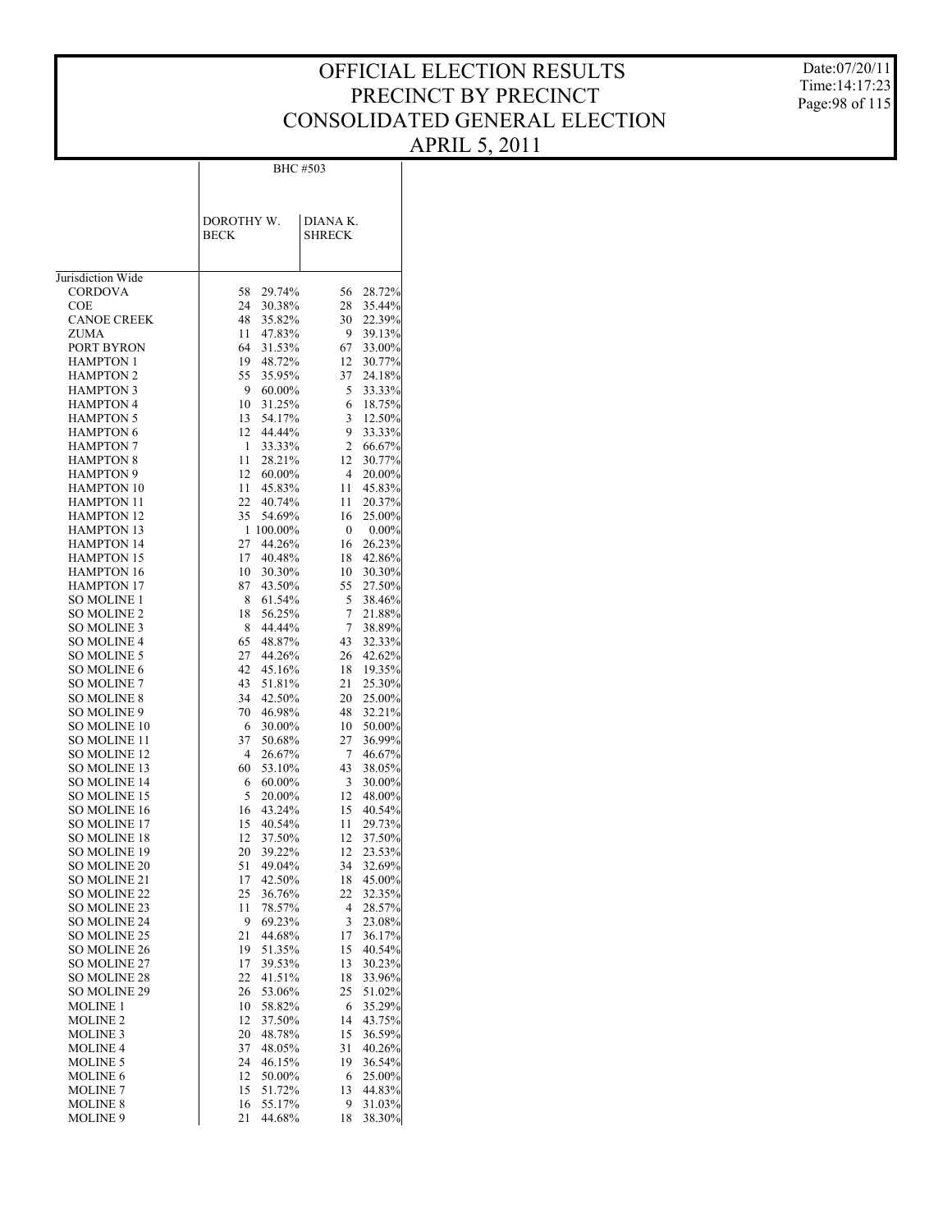Date:07/20/11 Time:14:17:23 Page:98 of 115

|                                          | BHC #503                     |                           |                  |
|------------------------------------------|------------------------------|---------------------------|------------------|
|                                          | DOROTHY W.<br><b>BECK</b>    | DIANA K.<br><b>SHRECK</b> |                  |
| Jurisdiction Wide                        |                              |                           |                  |
| <b>CORDOVA</b>                           | 58<br>29.74%                 | 56                        | 28.72%           |
| <b>COE</b>                               | 24<br>30.38%                 | 28                        | 35.44%           |
| <b>CANOE CREEK</b><br>ZUMA               | 48<br>35.82%<br>47.83%<br>11 | 30<br>9                   | 22.39%<br>39.13% |
| PORT BYRON                               | 64<br>31.53%                 | 67                        | 33.00%           |
| <b>HAMPTON 1</b>                         | 19<br>48.72%                 | 12                        | 30.77%           |
| <b>HAMPTON 2</b>                         | 55<br>35.95%                 | 37                        | 24.18%           |
| <b>HAMPTON 3</b>                         | 60.00%<br>9                  | 5                         | 33.33%           |
| <b>HAMPTON 4</b>                         | 10<br>31.25%                 | 6                         | 18.75%           |
| <b>HAMPTON 5</b>                         | 54.17%<br>13                 | 3                         | 12.50%           |
| <b>HAMPTON 6</b><br><b>HAMPTON 7</b>     | 12<br>44.44%<br>33.33%<br>1  | 9<br>2                    | 33.33%<br>66.67% |
| <b>HAMPTON 8</b>                         | 28.21%<br>11                 | 12                        | 30.77%           |
| <b>HAMPTON 9</b>                         | 60.00%<br>12                 | 4                         | 20.00%           |
| <b>HAMPTON 10</b>                        | 45.83%<br>11                 | 11                        | 45.83%           |
| <b>HAMPTON 11</b>                        | 22<br>40.74%                 | 11                        | 20.37%           |
| <b>HAMPTON 12</b>                        | 35<br>54.69%                 | 16                        | 25.00%           |
| <b>HAMPTON 13</b>                        | 1 100.00%                    | 0                         | $0.00\%$         |
| <b>HAMPTON 14</b>                        | 27<br>44.26%                 | 16                        | 26.23%           |
| <b>HAMPTON 15</b><br><b>HAMPTON 16</b>   | 17<br>40.48%<br>30.30%<br>10 | 18<br>10                  | 42.86%<br>30.30% |
| <b>HAMPTON 17</b>                        | 87<br>43.50%                 | 55                        | 27.50%           |
| <b>SO MOLINE 1</b>                       | 8<br>61.54%                  | 5                         | 38.46%           |
| <b>SO MOLINE 2</b>                       | 18<br>56.25%                 | 7                         | 21.88%           |
| SO MOLINE 3                              | 8<br>44.44%                  | 7                         | 38.89%           |
| <b>SO MOLINE 4</b>                       | 65<br>48.87%                 | 43                        | 32.33%           |
| <b>SO MOLINE 5</b>                       | 27<br>44.26%                 | 26                        | 42.62%           |
| <b>SO MOLINE 6</b>                       | 42<br>45.16%                 | 18                        | 19.35%           |
| <b>SO MOLINE 7</b><br><b>SO MOLINE 8</b> | 43<br>51.81%<br>34<br>42.50% | 21<br>20                  | 25.30%<br>25.00% |
| SO MOLINE 9                              | 70<br>46.98%                 | 48                        | 32.21%           |
| <b>SO MOLINE 10</b>                      | 30.00%<br>6                  | 10                        | 50.00%           |
| SO MOLINE 11                             | 37<br>50.68%                 | 27                        | 36.99%           |
| <b>SO MOLINE 12</b>                      | $\overline{4}$<br>26.67%     | 7                         | 46.67%           |
| SO MOLINE 13                             | 60<br>53.10%                 | 43                        | 38.05%           |
| <b>SO MOLINE 14</b>                      | 60.00%<br>6                  | 3                         | 30.00%           |
| SO MOLINE 15<br><b>SO MOLINE 16</b>      | 5<br>20.00%<br>16<br>43.24%  | 12<br>15                  | 48.00%<br>40.54% |
| SO MOLINE 17                             | 15<br>40.54%                 | 11                        | 29.73%           |
| <b>SO MOLINE 18</b>                      | 12<br>37.50%                 | 12                        | 37.50%           |
| SO MOLINE 19                             | 39.22%<br>20                 | 12                        | 23.53%           |
| SO MOLINE 20                             | 51<br>49.04%                 | 34                        | 32.69%           |
| SO MOLINE 21                             | 42.50%<br>17                 | 18                        | 45.00%           |
| SO MOLINE 22                             | 25<br>36.76%                 | 22                        | 32.35%           |
| SO MOLINE 23<br>SO MOLINE 24             | 11<br>78.57%                 | 4                         | 28.57%           |
| SO MOLINE 25                             | 9<br>69.23%<br>21<br>44.68%  | 3<br>17                   | 23.08%<br>36.17% |
| <b>SO MOLINE 26</b>                      | 19<br>51.35%                 | 15                        | 40.54%           |
| SO MOLINE 27                             | 17<br>39.53%                 | 13                        | 30.23%           |
| <b>SO MOLINE 28</b>                      | 22<br>41.51%                 | 18                        | 33.96%           |
| SO MOLINE 29                             | 53.06%<br>26                 | 25                        | 51.02%           |
| <b>MOLINE 1</b>                          | 10<br>58.82%                 | 6                         | 35.29%           |
| <b>MOLINE 2</b>                          | 37.50%<br>12                 | 14                        | 43.75%           |
| <b>MOLINE 3</b>                          | 20<br>48.78%                 | 15                        | 36.59%<br>40.26% |
| <b>MOLINE 4</b><br><b>MOLINE 5</b>       | 37<br>48.05%<br>24<br>46.15% | 31<br>19                  | 36.54%           |
| <b>MOLINE 6</b>                          | 12<br>50.00%                 | 6                         | 25.00%           |
| <b>MOLINE 7</b>                          | 15<br>51.72%                 | 13                        | 44.83%           |
| <b>MOLINE 8</b>                          | 55.17%<br>16                 | 9                         | 31.03%           |
| MOLINE 9                                 | 44.68%<br>21                 | 18                        | 38.30%           |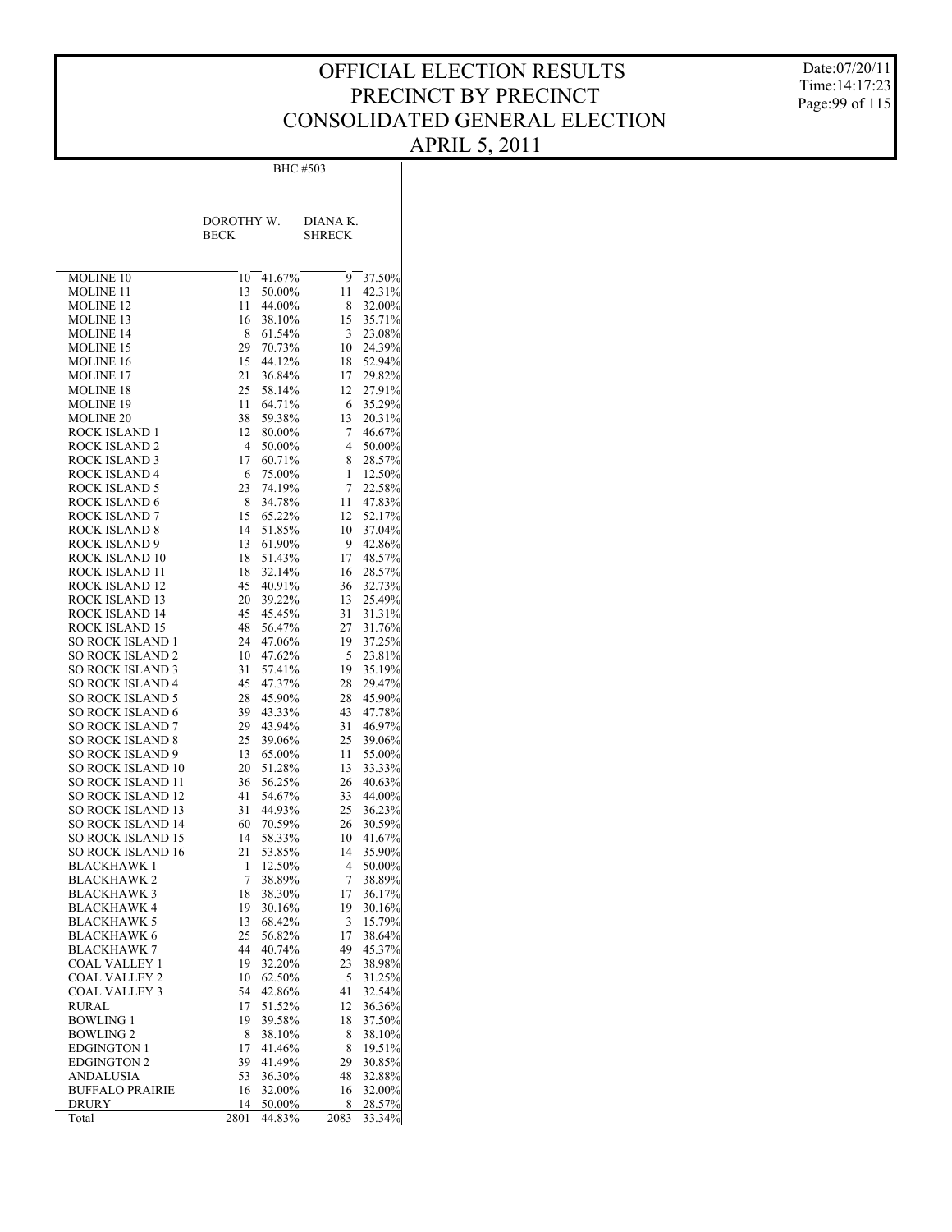APRIL 5, 2011

| <b>MOLINE 10</b><br>10<br>41.67%<br>9<br>37.50%<br>MOLINE 11<br>13<br>50.00%<br>42.31%<br>11<br>44.00%<br>32.00%<br>MOLINE 12<br>11<br>8<br>38.10%<br>15<br>35.71%<br>MOLINE 13<br>16<br>61.54%<br>3<br>23.08%<br>MOLINE 14<br>8<br>29<br>70.73%<br>10<br>24.39%<br>MOLINE 15<br>15<br>44.12%<br>18<br>52.94%<br>MOLINE 16<br>21<br>36.84%<br>17<br>29.82%<br>MOLINE 17<br>25<br>58.14%<br>12<br>27.91%<br>MOLINE 18<br>64.71%<br>35.29%<br>MOLINE 19<br>11<br>6<br>38<br>59.38%<br>13<br>20.31%<br>MOLINE 20<br><b>ROCK ISLAND 1</b><br>12<br>7<br>46.67%<br>80.00%<br><b>ROCK ISLAND 2</b><br>50.00%<br>4<br>50.00%<br>4<br>ROCK ISLAND 3<br>60.71%<br>8<br>28.57%<br>17<br><b>ROCK ISLAND 4</b><br>75.00%<br>12.50%<br>6<br>1<br>23<br>74.19%<br>7<br>22.58%<br>ROCK ISLAND 5<br><b>ROCK ISLAND 6</b><br>34.78%<br>47.83%<br>8<br>11<br>ROCK ISLAND 7<br>15<br>65.22%<br>12<br>52.17%<br><b>ROCK ISLAND 8</b><br>51.85%<br>37.04%<br>14<br>10<br>13<br>61.90%<br>9<br>42.86%<br>ROCK ISLAND 9<br>ROCK ISLAND 10<br>51.43%<br>17<br>48.57%<br>18<br>ROCK ISLAND 11<br>18<br>32.14%<br>28.57%<br>16<br><b>ROCK ISLAND 12</b><br>45<br>40.91%<br>32.73%<br>36<br>20<br>39.22%<br>13<br>25.49%<br>ROCK ISLAND 13<br>ROCK ISLAND 14<br>45<br>45.45%<br>31<br>31.31%<br>ROCK ISLAND 15<br>56.47%<br>27<br>31.76%<br>48<br>SO ROCK ISLAND 1<br>24<br>47.06%<br>19<br>37.25%<br>SO ROCK ISLAND 2<br>10<br>47.62%<br>5<br>23.81%<br><b>SO ROCK ISLAND 3</b><br>31<br>57.41%<br>19<br>35.19%<br>SO ROCK ISLAND 4<br>45<br>47.37%<br>28<br>29.47%<br><b>SO ROCK ISLAND 5</b><br>45.90%<br>28<br>45.90%<br>28<br>SO ROCK ISLAND 6<br>39<br>43.33%<br>43<br>47.78%<br><b>SO ROCK ISLAND 7</b><br>29<br>43.94%<br>31<br>46.97%<br>SO ROCK ISLAND 8<br>25<br>39.06%<br>25<br>39.06%<br><b>SO ROCK ISLAND 9</b><br>13<br>65.00%<br>55.00%<br>11<br>SO ROCK ISLAND 10<br>20<br>51.28%<br>13<br>33.33%<br>SO ROCK ISLAND 11<br>36<br>56.25%<br>26<br>40.63%<br>SO ROCK ISLAND 12<br>41<br>54.67%<br>33<br>44.00%<br>SO ROCK ISLAND 13<br>31<br>44.93%<br>25<br>36.23%<br>SO ROCK ISLAND 14<br>70.59%<br>30.59%<br>60<br>26<br><b>SO ROCK ISLAND 15</b><br>58.33%<br>41.67%<br>14<br>10<br><b>SO ROCK ISLAND 16</b><br>53.85%<br>14<br>35.90%<br>21<br><b>BLACKHAWK1</b><br>12.50%<br>4<br>50.00%<br>1<br>7<br>38.89%<br>7<br>38.89%<br><b>BLACKHAWK2</b><br>BLACKHAWK 3<br>18<br>38.30%<br>17<br>36.17%<br>19<br>30.16%<br>BLACKHAWK 4<br>19<br>30.16%<br>68.42%<br>3<br>15.79%<br><b>BLACKHAWK 5</b><br>13<br><b>BLACKHAWK 6</b><br>25<br>56.82%<br>17<br>38.64%<br><b>BLACKHAWK 7</b><br>44<br>40.74%<br>49<br>45.37%<br><b>COAL VALLEY 1</b><br>19<br>32.20%<br>23<br>38.98%<br>COAL VALLEY 2<br>62.50%<br>5<br>31.25%<br>10<br>COAL VALLEY 3<br>54<br>42.86%<br>41<br>32.54%<br>51.52%<br>36.36%<br>RURAL<br>17<br>12<br><b>BOWLING 1</b><br>19<br>39.58%<br>18<br>37.50%<br><b>BOWLING 2</b><br>38.10%<br>38.10%<br>8<br>8<br><b>EDGINGTON 1</b><br>17<br>41.46%<br>8<br>19.51%<br><b>EDGINGTON 2</b><br>39<br>41.49%<br>29<br>30.85%<br>53<br>36.30%<br>32.88%<br>ANDALUSIA<br>48<br><b>BUFFALO PRAIRIE</b><br>32.00%<br>32.00%<br>16<br>16<br>28.57%<br>50.00%<br>8<br>DRURY<br>14<br>2801<br>44.83%<br>2083<br>33.34%<br>Total | DOROTHY W.<br>BECK | DIANA K.<br>SHRECK |  |
|-------------------------------------------------------------------------------------------------------------------------------------------------------------------------------------------------------------------------------------------------------------------------------------------------------------------------------------------------------------------------------------------------------------------------------------------------------------------------------------------------------------------------------------------------------------------------------------------------------------------------------------------------------------------------------------------------------------------------------------------------------------------------------------------------------------------------------------------------------------------------------------------------------------------------------------------------------------------------------------------------------------------------------------------------------------------------------------------------------------------------------------------------------------------------------------------------------------------------------------------------------------------------------------------------------------------------------------------------------------------------------------------------------------------------------------------------------------------------------------------------------------------------------------------------------------------------------------------------------------------------------------------------------------------------------------------------------------------------------------------------------------------------------------------------------------------------------------------------------------------------------------------------------------------------------------------------------------------------------------------------------------------------------------------------------------------------------------------------------------------------------------------------------------------------------------------------------------------------------------------------------------------------------------------------------------------------------------------------------------------------------------------------------------------------------------------------------------------------------------------------------------------------------------------------------------------------------------------------------------------------------------------------------------------------------------------------------------------------------------------------------------------------------------------------------------------------------------------------------------------------------------------------------------------------------------------------------------------------------------------------------------------------------------------------------------------------------------------------------------------------------------------------------------------------------------------------------------------------|--------------------|--------------------|--|
|                                                                                                                                                                                                                                                                                                                                                                                                                                                                                                                                                                                                                                                                                                                                                                                                                                                                                                                                                                                                                                                                                                                                                                                                                                                                                                                                                                                                                                                                                                                                                                                                                                                                                                                                                                                                                                                                                                                                                                                                                                                                                                                                                                                                                                                                                                                                                                                                                                                                                                                                                                                                                                                                                                                                                                                                                                                                                                                                                                                                                                                                                                                                                                                                                         |                    |                    |  |
|                                                                                                                                                                                                                                                                                                                                                                                                                                                                                                                                                                                                                                                                                                                                                                                                                                                                                                                                                                                                                                                                                                                                                                                                                                                                                                                                                                                                                                                                                                                                                                                                                                                                                                                                                                                                                                                                                                                                                                                                                                                                                                                                                                                                                                                                                                                                                                                                                                                                                                                                                                                                                                                                                                                                                                                                                                                                                                                                                                                                                                                                                                                                                                                                                         |                    |                    |  |
|                                                                                                                                                                                                                                                                                                                                                                                                                                                                                                                                                                                                                                                                                                                                                                                                                                                                                                                                                                                                                                                                                                                                                                                                                                                                                                                                                                                                                                                                                                                                                                                                                                                                                                                                                                                                                                                                                                                                                                                                                                                                                                                                                                                                                                                                                                                                                                                                                                                                                                                                                                                                                                                                                                                                                                                                                                                                                                                                                                                                                                                                                                                                                                                                                         |                    |                    |  |
|                                                                                                                                                                                                                                                                                                                                                                                                                                                                                                                                                                                                                                                                                                                                                                                                                                                                                                                                                                                                                                                                                                                                                                                                                                                                                                                                                                                                                                                                                                                                                                                                                                                                                                                                                                                                                                                                                                                                                                                                                                                                                                                                                                                                                                                                                                                                                                                                                                                                                                                                                                                                                                                                                                                                                                                                                                                                                                                                                                                                                                                                                                                                                                                                                         |                    |                    |  |
|                                                                                                                                                                                                                                                                                                                                                                                                                                                                                                                                                                                                                                                                                                                                                                                                                                                                                                                                                                                                                                                                                                                                                                                                                                                                                                                                                                                                                                                                                                                                                                                                                                                                                                                                                                                                                                                                                                                                                                                                                                                                                                                                                                                                                                                                                                                                                                                                                                                                                                                                                                                                                                                                                                                                                                                                                                                                                                                                                                                                                                                                                                                                                                                                                         |                    |                    |  |
|                                                                                                                                                                                                                                                                                                                                                                                                                                                                                                                                                                                                                                                                                                                                                                                                                                                                                                                                                                                                                                                                                                                                                                                                                                                                                                                                                                                                                                                                                                                                                                                                                                                                                                                                                                                                                                                                                                                                                                                                                                                                                                                                                                                                                                                                                                                                                                                                                                                                                                                                                                                                                                                                                                                                                                                                                                                                                                                                                                                                                                                                                                                                                                                                                         |                    |                    |  |
|                                                                                                                                                                                                                                                                                                                                                                                                                                                                                                                                                                                                                                                                                                                                                                                                                                                                                                                                                                                                                                                                                                                                                                                                                                                                                                                                                                                                                                                                                                                                                                                                                                                                                                                                                                                                                                                                                                                                                                                                                                                                                                                                                                                                                                                                                                                                                                                                                                                                                                                                                                                                                                                                                                                                                                                                                                                                                                                                                                                                                                                                                                                                                                                                                         |                    |                    |  |
|                                                                                                                                                                                                                                                                                                                                                                                                                                                                                                                                                                                                                                                                                                                                                                                                                                                                                                                                                                                                                                                                                                                                                                                                                                                                                                                                                                                                                                                                                                                                                                                                                                                                                                                                                                                                                                                                                                                                                                                                                                                                                                                                                                                                                                                                                                                                                                                                                                                                                                                                                                                                                                                                                                                                                                                                                                                                                                                                                                                                                                                                                                                                                                                                                         |                    |                    |  |
|                                                                                                                                                                                                                                                                                                                                                                                                                                                                                                                                                                                                                                                                                                                                                                                                                                                                                                                                                                                                                                                                                                                                                                                                                                                                                                                                                                                                                                                                                                                                                                                                                                                                                                                                                                                                                                                                                                                                                                                                                                                                                                                                                                                                                                                                                                                                                                                                                                                                                                                                                                                                                                                                                                                                                                                                                                                                                                                                                                                                                                                                                                                                                                                                                         |                    |                    |  |
|                                                                                                                                                                                                                                                                                                                                                                                                                                                                                                                                                                                                                                                                                                                                                                                                                                                                                                                                                                                                                                                                                                                                                                                                                                                                                                                                                                                                                                                                                                                                                                                                                                                                                                                                                                                                                                                                                                                                                                                                                                                                                                                                                                                                                                                                                                                                                                                                                                                                                                                                                                                                                                                                                                                                                                                                                                                                                                                                                                                                                                                                                                                                                                                                                         |                    |                    |  |
|                                                                                                                                                                                                                                                                                                                                                                                                                                                                                                                                                                                                                                                                                                                                                                                                                                                                                                                                                                                                                                                                                                                                                                                                                                                                                                                                                                                                                                                                                                                                                                                                                                                                                                                                                                                                                                                                                                                                                                                                                                                                                                                                                                                                                                                                                                                                                                                                                                                                                                                                                                                                                                                                                                                                                                                                                                                                                                                                                                                                                                                                                                                                                                                                                         |                    |                    |  |
|                                                                                                                                                                                                                                                                                                                                                                                                                                                                                                                                                                                                                                                                                                                                                                                                                                                                                                                                                                                                                                                                                                                                                                                                                                                                                                                                                                                                                                                                                                                                                                                                                                                                                                                                                                                                                                                                                                                                                                                                                                                                                                                                                                                                                                                                                                                                                                                                                                                                                                                                                                                                                                                                                                                                                                                                                                                                                                                                                                                                                                                                                                                                                                                                                         |                    |                    |  |
|                                                                                                                                                                                                                                                                                                                                                                                                                                                                                                                                                                                                                                                                                                                                                                                                                                                                                                                                                                                                                                                                                                                                                                                                                                                                                                                                                                                                                                                                                                                                                                                                                                                                                                                                                                                                                                                                                                                                                                                                                                                                                                                                                                                                                                                                                                                                                                                                                                                                                                                                                                                                                                                                                                                                                                                                                                                                                                                                                                                                                                                                                                                                                                                                                         |                    |                    |  |
|                                                                                                                                                                                                                                                                                                                                                                                                                                                                                                                                                                                                                                                                                                                                                                                                                                                                                                                                                                                                                                                                                                                                                                                                                                                                                                                                                                                                                                                                                                                                                                                                                                                                                                                                                                                                                                                                                                                                                                                                                                                                                                                                                                                                                                                                                                                                                                                                                                                                                                                                                                                                                                                                                                                                                                                                                                                                                                                                                                                                                                                                                                                                                                                                                         |                    |                    |  |
|                                                                                                                                                                                                                                                                                                                                                                                                                                                                                                                                                                                                                                                                                                                                                                                                                                                                                                                                                                                                                                                                                                                                                                                                                                                                                                                                                                                                                                                                                                                                                                                                                                                                                                                                                                                                                                                                                                                                                                                                                                                                                                                                                                                                                                                                                                                                                                                                                                                                                                                                                                                                                                                                                                                                                                                                                                                                                                                                                                                                                                                                                                                                                                                                                         |                    |                    |  |
|                                                                                                                                                                                                                                                                                                                                                                                                                                                                                                                                                                                                                                                                                                                                                                                                                                                                                                                                                                                                                                                                                                                                                                                                                                                                                                                                                                                                                                                                                                                                                                                                                                                                                                                                                                                                                                                                                                                                                                                                                                                                                                                                                                                                                                                                                                                                                                                                                                                                                                                                                                                                                                                                                                                                                                                                                                                                                                                                                                                                                                                                                                                                                                                                                         |                    |                    |  |
|                                                                                                                                                                                                                                                                                                                                                                                                                                                                                                                                                                                                                                                                                                                                                                                                                                                                                                                                                                                                                                                                                                                                                                                                                                                                                                                                                                                                                                                                                                                                                                                                                                                                                                                                                                                                                                                                                                                                                                                                                                                                                                                                                                                                                                                                                                                                                                                                                                                                                                                                                                                                                                                                                                                                                                                                                                                                                                                                                                                                                                                                                                                                                                                                                         |                    |                    |  |
|                                                                                                                                                                                                                                                                                                                                                                                                                                                                                                                                                                                                                                                                                                                                                                                                                                                                                                                                                                                                                                                                                                                                                                                                                                                                                                                                                                                                                                                                                                                                                                                                                                                                                                                                                                                                                                                                                                                                                                                                                                                                                                                                                                                                                                                                                                                                                                                                                                                                                                                                                                                                                                                                                                                                                                                                                                                                                                                                                                                                                                                                                                                                                                                                                         |                    |                    |  |
|                                                                                                                                                                                                                                                                                                                                                                                                                                                                                                                                                                                                                                                                                                                                                                                                                                                                                                                                                                                                                                                                                                                                                                                                                                                                                                                                                                                                                                                                                                                                                                                                                                                                                                                                                                                                                                                                                                                                                                                                                                                                                                                                                                                                                                                                                                                                                                                                                                                                                                                                                                                                                                                                                                                                                                                                                                                                                                                                                                                                                                                                                                                                                                                                                         |                    |                    |  |
|                                                                                                                                                                                                                                                                                                                                                                                                                                                                                                                                                                                                                                                                                                                                                                                                                                                                                                                                                                                                                                                                                                                                                                                                                                                                                                                                                                                                                                                                                                                                                                                                                                                                                                                                                                                                                                                                                                                                                                                                                                                                                                                                                                                                                                                                                                                                                                                                                                                                                                                                                                                                                                                                                                                                                                                                                                                                                                                                                                                                                                                                                                                                                                                                                         |                    |                    |  |
|                                                                                                                                                                                                                                                                                                                                                                                                                                                                                                                                                                                                                                                                                                                                                                                                                                                                                                                                                                                                                                                                                                                                                                                                                                                                                                                                                                                                                                                                                                                                                                                                                                                                                                                                                                                                                                                                                                                                                                                                                                                                                                                                                                                                                                                                                                                                                                                                                                                                                                                                                                                                                                                                                                                                                                                                                                                                                                                                                                                                                                                                                                                                                                                                                         |                    |                    |  |
|                                                                                                                                                                                                                                                                                                                                                                                                                                                                                                                                                                                                                                                                                                                                                                                                                                                                                                                                                                                                                                                                                                                                                                                                                                                                                                                                                                                                                                                                                                                                                                                                                                                                                                                                                                                                                                                                                                                                                                                                                                                                                                                                                                                                                                                                                                                                                                                                                                                                                                                                                                                                                                                                                                                                                                                                                                                                                                                                                                                                                                                                                                                                                                                                                         |                    |                    |  |
|                                                                                                                                                                                                                                                                                                                                                                                                                                                                                                                                                                                                                                                                                                                                                                                                                                                                                                                                                                                                                                                                                                                                                                                                                                                                                                                                                                                                                                                                                                                                                                                                                                                                                                                                                                                                                                                                                                                                                                                                                                                                                                                                                                                                                                                                                                                                                                                                                                                                                                                                                                                                                                                                                                                                                                                                                                                                                                                                                                                                                                                                                                                                                                                                                         |                    |                    |  |
|                                                                                                                                                                                                                                                                                                                                                                                                                                                                                                                                                                                                                                                                                                                                                                                                                                                                                                                                                                                                                                                                                                                                                                                                                                                                                                                                                                                                                                                                                                                                                                                                                                                                                                                                                                                                                                                                                                                                                                                                                                                                                                                                                                                                                                                                                                                                                                                                                                                                                                                                                                                                                                                                                                                                                                                                                                                                                                                                                                                                                                                                                                                                                                                                                         |                    |                    |  |
|                                                                                                                                                                                                                                                                                                                                                                                                                                                                                                                                                                                                                                                                                                                                                                                                                                                                                                                                                                                                                                                                                                                                                                                                                                                                                                                                                                                                                                                                                                                                                                                                                                                                                                                                                                                                                                                                                                                                                                                                                                                                                                                                                                                                                                                                                                                                                                                                                                                                                                                                                                                                                                                                                                                                                                                                                                                                                                                                                                                                                                                                                                                                                                                                                         |                    |                    |  |
|                                                                                                                                                                                                                                                                                                                                                                                                                                                                                                                                                                                                                                                                                                                                                                                                                                                                                                                                                                                                                                                                                                                                                                                                                                                                                                                                                                                                                                                                                                                                                                                                                                                                                                                                                                                                                                                                                                                                                                                                                                                                                                                                                                                                                                                                                                                                                                                                                                                                                                                                                                                                                                                                                                                                                                                                                                                                                                                                                                                                                                                                                                                                                                                                                         |                    |                    |  |
|                                                                                                                                                                                                                                                                                                                                                                                                                                                                                                                                                                                                                                                                                                                                                                                                                                                                                                                                                                                                                                                                                                                                                                                                                                                                                                                                                                                                                                                                                                                                                                                                                                                                                                                                                                                                                                                                                                                                                                                                                                                                                                                                                                                                                                                                                                                                                                                                                                                                                                                                                                                                                                                                                                                                                                                                                                                                                                                                                                                                                                                                                                                                                                                                                         |                    |                    |  |
|                                                                                                                                                                                                                                                                                                                                                                                                                                                                                                                                                                                                                                                                                                                                                                                                                                                                                                                                                                                                                                                                                                                                                                                                                                                                                                                                                                                                                                                                                                                                                                                                                                                                                                                                                                                                                                                                                                                                                                                                                                                                                                                                                                                                                                                                                                                                                                                                                                                                                                                                                                                                                                                                                                                                                                                                                                                                                                                                                                                                                                                                                                                                                                                                                         |                    |                    |  |
|                                                                                                                                                                                                                                                                                                                                                                                                                                                                                                                                                                                                                                                                                                                                                                                                                                                                                                                                                                                                                                                                                                                                                                                                                                                                                                                                                                                                                                                                                                                                                                                                                                                                                                                                                                                                                                                                                                                                                                                                                                                                                                                                                                                                                                                                                                                                                                                                                                                                                                                                                                                                                                                                                                                                                                                                                                                                                                                                                                                                                                                                                                                                                                                                                         |                    |                    |  |
|                                                                                                                                                                                                                                                                                                                                                                                                                                                                                                                                                                                                                                                                                                                                                                                                                                                                                                                                                                                                                                                                                                                                                                                                                                                                                                                                                                                                                                                                                                                                                                                                                                                                                                                                                                                                                                                                                                                                                                                                                                                                                                                                                                                                                                                                                                                                                                                                                                                                                                                                                                                                                                                                                                                                                                                                                                                                                                                                                                                                                                                                                                                                                                                                                         |                    |                    |  |
|                                                                                                                                                                                                                                                                                                                                                                                                                                                                                                                                                                                                                                                                                                                                                                                                                                                                                                                                                                                                                                                                                                                                                                                                                                                                                                                                                                                                                                                                                                                                                                                                                                                                                                                                                                                                                                                                                                                                                                                                                                                                                                                                                                                                                                                                                                                                                                                                                                                                                                                                                                                                                                                                                                                                                                                                                                                                                                                                                                                                                                                                                                                                                                                                                         |                    |                    |  |
|                                                                                                                                                                                                                                                                                                                                                                                                                                                                                                                                                                                                                                                                                                                                                                                                                                                                                                                                                                                                                                                                                                                                                                                                                                                                                                                                                                                                                                                                                                                                                                                                                                                                                                                                                                                                                                                                                                                                                                                                                                                                                                                                                                                                                                                                                                                                                                                                                                                                                                                                                                                                                                                                                                                                                                                                                                                                                                                                                                                                                                                                                                                                                                                                                         |                    |                    |  |
|                                                                                                                                                                                                                                                                                                                                                                                                                                                                                                                                                                                                                                                                                                                                                                                                                                                                                                                                                                                                                                                                                                                                                                                                                                                                                                                                                                                                                                                                                                                                                                                                                                                                                                                                                                                                                                                                                                                                                                                                                                                                                                                                                                                                                                                                                                                                                                                                                                                                                                                                                                                                                                                                                                                                                                                                                                                                                                                                                                                                                                                                                                                                                                                                                         |                    |                    |  |
|                                                                                                                                                                                                                                                                                                                                                                                                                                                                                                                                                                                                                                                                                                                                                                                                                                                                                                                                                                                                                                                                                                                                                                                                                                                                                                                                                                                                                                                                                                                                                                                                                                                                                                                                                                                                                                                                                                                                                                                                                                                                                                                                                                                                                                                                                                                                                                                                                                                                                                                                                                                                                                                                                                                                                                                                                                                                                                                                                                                                                                                                                                                                                                                                                         |                    |                    |  |
|                                                                                                                                                                                                                                                                                                                                                                                                                                                                                                                                                                                                                                                                                                                                                                                                                                                                                                                                                                                                                                                                                                                                                                                                                                                                                                                                                                                                                                                                                                                                                                                                                                                                                                                                                                                                                                                                                                                                                                                                                                                                                                                                                                                                                                                                                                                                                                                                                                                                                                                                                                                                                                                                                                                                                                                                                                                                                                                                                                                                                                                                                                                                                                                                                         |                    |                    |  |
|                                                                                                                                                                                                                                                                                                                                                                                                                                                                                                                                                                                                                                                                                                                                                                                                                                                                                                                                                                                                                                                                                                                                                                                                                                                                                                                                                                                                                                                                                                                                                                                                                                                                                                                                                                                                                                                                                                                                                                                                                                                                                                                                                                                                                                                                                                                                                                                                                                                                                                                                                                                                                                                                                                                                                                                                                                                                                                                                                                                                                                                                                                                                                                                                                         |                    |                    |  |
|                                                                                                                                                                                                                                                                                                                                                                                                                                                                                                                                                                                                                                                                                                                                                                                                                                                                                                                                                                                                                                                                                                                                                                                                                                                                                                                                                                                                                                                                                                                                                                                                                                                                                                                                                                                                                                                                                                                                                                                                                                                                                                                                                                                                                                                                                                                                                                                                                                                                                                                                                                                                                                                                                                                                                                                                                                                                                                                                                                                                                                                                                                                                                                                                                         |                    |                    |  |
|                                                                                                                                                                                                                                                                                                                                                                                                                                                                                                                                                                                                                                                                                                                                                                                                                                                                                                                                                                                                                                                                                                                                                                                                                                                                                                                                                                                                                                                                                                                                                                                                                                                                                                                                                                                                                                                                                                                                                                                                                                                                                                                                                                                                                                                                                                                                                                                                                                                                                                                                                                                                                                                                                                                                                                                                                                                                                                                                                                                                                                                                                                                                                                                                                         |                    |                    |  |
|                                                                                                                                                                                                                                                                                                                                                                                                                                                                                                                                                                                                                                                                                                                                                                                                                                                                                                                                                                                                                                                                                                                                                                                                                                                                                                                                                                                                                                                                                                                                                                                                                                                                                                                                                                                                                                                                                                                                                                                                                                                                                                                                                                                                                                                                                                                                                                                                                                                                                                                                                                                                                                                                                                                                                                                                                                                                                                                                                                                                                                                                                                                                                                                                                         |                    |                    |  |
|                                                                                                                                                                                                                                                                                                                                                                                                                                                                                                                                                                                                                                                                                                                                                                                                                                                                                                                                                                                                                                                                                                                                                                                                                                                                                                                                                                                                                                                                                                                                                                                                                                                                                                                                                                                                                                                                                                                                                                                                                                                                                                                                                                                                                                                                                                                                                                                                                                                                                                                                                                                                                                                                                                                                                                                                                                                                                                                                                                                                                                                                                                                                                                                                                         |                    |                    |  |
|                                                                                                                                                                                                                                                                                                                                                                                                                                                                                                                                                                                                                                                                                                                                                                                                                                                                                                                                                                                                                                                                                                                                                                                                                                                                                                                                                                                                                                                                                                                                                                                                                                                                                                                                                                                                                                                                                                                                                                                                                                                                                                                                                                                                                                                                                                                                                                                                                                                                                                                                                                                                                                                                                                                                                                                                                                                                                                                                                                                                                                                                                                                                                                                                                         |                    |                    |  |
|                                                                                                                                                                                                                                                                                                                                                                                                                                                                                                                                                                                                                                                                                                                                                                                                                                                                                                                                                                                                                                                                                                                                                                                                                                                                                                                                                                                                                                                                                                                                                                                                                                                                                                                                                                                                                                                                                                                                                                                                                                                                                                                                                                                                                                                                                                                                                                                                                                                                                                                                                                                                                                                                                                                                                                                                                                                                                                                                                                                                                                                                                                                                                                                                                         |                    |                    |  |
|                                                                                                                                                                                                                                                                                                                                                                                                                                                                                                                                                                                                                                                                                                                                                                                                                                                                                                                                                                                                                                                                                                                                                                                                                                                                                                                                                                                                                                                                                                                                                                                                                                                                                                                                                                                                                                                                                                                                                                                                                                                                                                                                                                                                                                                                                                                                                                                                                                                                                                                                                                                                                                                                                                                                                                                                                                                                                                                                                                                                                                                                                                                                                                                                                         |                    |                    |  |
|                                                                                                                                                                                                                                                                                                                                                                                                                                                                                                                                                                                                                                                                                                                                                                                                                                                                                                                                                                                                                                                                                                                                                                                                                                                                                                                                                                                                                                                                                                                                                                                                                                                                                                                                                                                                                                                                                                                                                                                                                                                                                                                                                                                                                                                                                                                                                                                                                                                                                                                                                                                                                                                                                                                                                                                                                                                                                                                                                                                                                                                                                                                                                                                                                         |                    |                    |  |
|                                                                                                                                                                                                                                                                                                                                                                                                                                                                                                                                                                                                                                                                                                                                                                                                                                                                                                                                                                                                                                                                                                                                                                                                                                                                                                                                                                                                                                                                                                                                                                                                                                                                                                                                                                                                                                                                                                                                                                                                                                                                                                                                                                                                                                                                                                                                                                                                                                                                                                                                                                                                                                                                                                                                                                                                                                                                                                                                                                                                                                                                                                                                                                                                                         |                    |                    |  |
|                                                                                                                                                                                                                                                                                                                                                                                                                                                                                                                                                                                                                                                                                                                                                                                                                                                                                                                                                                                                                                                                                                                                                                                                                                                                                                                                                                                                                                                                                                                                                                                                                                                                                                                                                                                                                                                                                                                                                                                                                                                                                                                                                                                                                                                                                                                                                                                                                                                                                                                                                                                                                                                                                                                                                                                                                                                                                                                                                                                                                                                                                                                                                                                                                         |                    |                    |  |
|                                                                                                                                                                                                                                                                                                                                                                                                                                                                                                                                                                                                                                                                                                                                                                                                                                                                                                                                                                                                                                                                                                                                                                                                                                                                                                                                                                                                                                                                                                                                                                                                                                                                                                                                                                                                                                                                                                                                                                                                                                                                                                                                                                                                                                                                                                                                                                                                                                                                                                                                                                                                                                                                                                                                                                                                                                                                                                                                                                                                                                                                                                                                                                                                                         |                    |                    |  |
|                                                                                                                                                                                                                                                                                                                                                                                                                                                                                                                                                                                                                                                                                                                                                                                                                                                                                                                                                                                                                                                                                                                                                                                                                                                                                                                                                                                                                                                                                                                                                                                                                                                                                                                                                                                                                                                                                                                                                                                                                                                                                                                                                                                                                                                                                                                                                                                                                                                                                                                                                                                                                                                                                                                                                                                                                                                                                                                                                                                                                                                                                                                                                                                                                         |                    |                    |  |
|                                                                                                                                                                                                                                                                                                                                                                                                                                                                                                                                                                                                                                                                                                                                                                                                                                                                                                                                                                                                                                                                                                                                                                                                                                                                                                                                                                                                                                                                                                                                                                                                                                                                                                                                                                                                                                                                                                                                                                                                                                                                                                                                                                                                                                                                                                                                                                                                                                                                                                                                                                                                                                                                                                                                                                                                                                                                                                                                                                                                                                                                                                                                                                                                                         |                    |                    |  |
|                                                                                                                                                                                                                                                                                                                                                                                                                                                                                                                                                                                                                                                                                                                                                                                                                                                                                                                                                                                                                                                                                                                                                                                                                                                                                                                                                                                                                                                                                                                                                                                                                                                                                                                                                                                                                                                                                                                                                                                                                                                                                                                                                                                                                                                                                                                                                                                                                                                                                                                                                                                                                                                                                                                                                                                                                                                                                                                                                                                                                                                                                                                                                                                                                         |                    |                    |  |
|                                                                                                                                                                                                                                                                                                                                                                                                                                                                                                                                                                                                                                                                                                                                                                                                                                                                                                                                                                                                                                                                                                                                                                                                                                                                                                                                                                                                                                                                                                                                                                                                                                                                                                                                                                                                                                                                                                                                                                                                                                                                                                                                                                                                                                                                                                                                                                                                                                                                                                                                                                                                                                                                                                                                                                                                                                                                                                                                                                                                                                                                                                                                                                                                                         |                    |                    |  |
|                                                                                                                                                                                                                                                                                                                                                                                                                                                                                                                                                                                                                                                                                                                                                                                                                                                                                                                                                                                                                                                                                                                                                                                                                                                                                                                                                                                                                                                                                                                                                                                                                                                                                                                                                                                                                                                                                                                                                                                                                                                                                                                                                                                                                                                                                                                                                                                                                                                                                                                                                                                                                                                                                                                                                                                                                                                                                                                                                                                                                                                                                                                                                                                                                         |                    |                    |  |
|                                                                                                                                                                                                                                                                                                                                                                                                                                                                                                                                                                                                                                                                                                                                                                                                                                                                                                                                                                                                                                                                                                                                                                                                                                                                                                                                                                                                                                                                                                                                                                                                                                                                                                                                                                                                                                                                                                                                                                                                                                                                                                                                                                                                                                                                                                                                                                                                                                                                                                                                                                                                                                                                                                                                                                                                                                                                                                                                                                                                                                                                                                                                                                                                                         |                    |                    |  |
|                                                                                                                                                                                                                                                                                                                                                                                                                                                                                                                                                                                                                                                                                                                                                                                                                                                                                                                                                                                                                                                                                                                                                                                                                                                                                                                                                                                                                                                                                                                                                                                                                                                                                                                                                                                                                                                                                                                                                                                                                                                                                                                                                                                                                                                                                                                                                                                                                                                                                                                                                                                                                                                                                                                                                                                                                                                                                                                                                                                                                                                                                                                                                                                                                         |                    |                    |  |
|                                                                                                                                                                                                                                                                                                                                                                                                                                                                                                                                                                                                                                                                                                                                                                                                                                                                                                                                                                                                                                                                                                                                                                                                                                                                                                                                                                                                                                                                                                                                                                                                                                                                                                                                                                                                                                                                                                                                                                                                                                                                                                                                                                                                                                                                                                                                                                                                                                                                                                                                                                                                                                                                                                                                                                                                                                                                                                                                                                                                                                                                                                                                                                                                                         |                    |                    |  |
|                                                                                                                                                                                                                                                                                                                                                                                                                                                                                                                                                                                                                                                                                                                                                                                                                                                                                                                                                                                                                                                                                                                                                                                                                                                                                                                                                                                                                                                                                                                                                                                                                                                                                                                                                                                                                                                                                                                                                                                                                                                                                                                                                                                                                                                                                                                                                                                                                                                                                                                                                                                                                                                                                                                                                                                                                                                                                                                                                                                                                                                                                                                                                                                                                         |                    |                    |  |

BHC #503

Date:07/20/11 Time:14:17:23 Page:99 of 115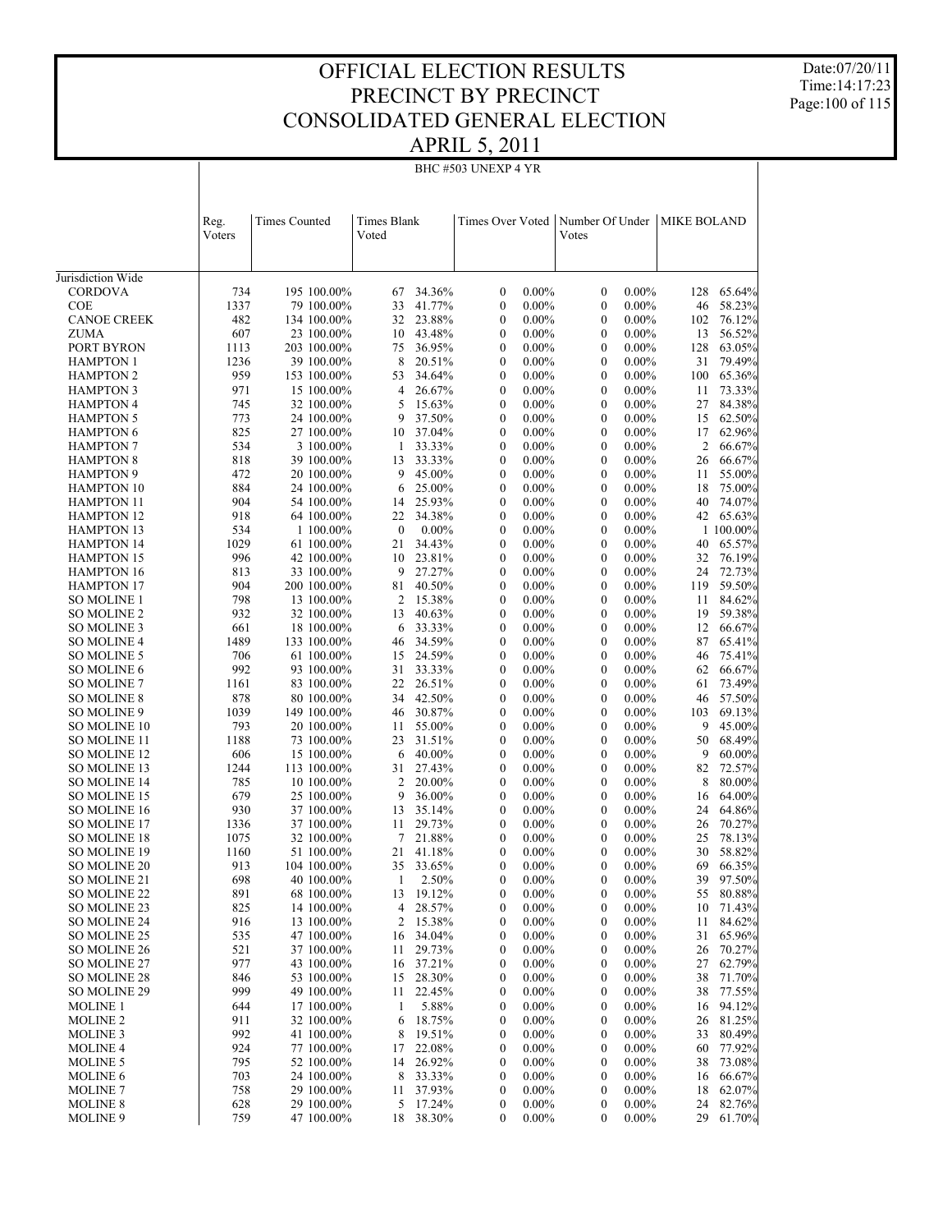Date:07/20/11 Time:14:17:23 Page:100 of 115

|  |  |  | BHC #503 UNEXP 4 YR |  |  |
|--|--|--|---------------------|--|--|
|--|--|--|---------------------|--|--|

| Jurisdiction Wide<br>195 100.00%<br>$0.00\%$<br>128 65.64%<br><b>CORDOVA</b><br>734<br>67<br>34.36%<br>$\boldsymbol{0}$<br>$0.00\%$<br>$\boldsymbol{0}$<br>1337<br>$0.00\%$<br>58.23%<br><b>COE</b><br>79 100.00%<br>33<br>41.77%<br>$\boldsymbol{0}$<br>$0.00\%$<br>$\boldsymbol{0}$<br>46<br>482<br>32 23.88%<br>$0.00\%$<br>76.12%<br><b>CANOE CREEK</b><br>134 100.00%<br>$\boldsymbol{0}$<br>$0.00\%$<br>$\boldsymbol{0}$<br>102<br>607<br>43.48%<br>$0.00\%$<br>13<br>56.52%<br><b>ZUMA</b><br>23 100.00%<br>$\boldsymbol{0}$<br>$0.00\%$<br>$\boldsymbol{0}$<br>10<br>36.95%<br>$0.00\%$<br>63.05%<br>PORT BYRON<br>1113<br>203 100.00%<br>$\mathbf{0}$<br>$0.00\%$<br>$\boldsymbol{0}$<br>128<br>75<br>1236<br>8<br>20.51%<br>$0.00\%$<br>31<br>79.49%<br><b>HAMPTON 1</b><br>39 100.00%<br>$\boldsymbol{0}$<br>$0.00\%$<br>$\boldsymbol{0}$<br>959<br>34.64%<br>$0.00\%$<br>100 65.36%<br><b>HAMPTON 2</b><br>153 100.00%<br>$\mathbf{0}$<br>$0.00\%$<br>$\boldsymbol{0}$<br>53<br>971<br>26.67%<br>$0.00\%$<br>73.33%<br><b>HAMPTON 3</b><br>15 100.00%<br>$\overline{4}$<br>$\boldsymbol{0}$<br>$0.00\%$<br>$\boldsymbol{0}$<br>11<br>15.63%<br>$0.00\%$<br>27<br>84.38%<br><b>HAMPTON 4</b><br>745<br>32 100.00%<br>5<br>$\boldsymbol{0}$<br>$0.00\%$<br>$\boldsymbol{0}$<br>773<br>37.50%<br>$\boldsymbol{0}$<br>$0.00\%$<br>62.50%<br><b>HAMPTON 5</b><br>24 100.00%<br>9<br>$0.00\%$<br>$\boldsymbol{0}$<br>15<br>37.04%<br><b>HAMPTON 6</b><br>825<br>27 100.00%<br>$\mathbf{0}$<br>$0.00\%$<br>$\boldsymbol{0}$<br>$0.00\%$<br>17<br>62.96%<br>10<br>534<br>$0.00\%$<br>2<br>66.67%<br><b>HAMPTON 7</b><br>3 100.00%<br>$\mathbf{1}$<br>33.33%<br>$\boldsymbol{0}$<br>$0.00\%$<br>$\boldsymbol{0}$<br>13 33.33%<br>$0.00\%$<br><b>HAMPTON 8</b><br>818<br>39 100.00%<br>$\boldsymbol{0}$<br>$0.00\%$<br>$\boldsymbol{0}$<br>66.67%<br>26<br>472<br>45.00%<br>$\boldsymbol{0}$<br>$0.00\%$<br><b>HAMPTON 9</b><br>20 100.00%<br>9<br>$0.00\%$<br>$\boldsymbol{0}$<br>11<br>55.00%<br>884<br>25.00%<br><b>HAMPTON 10</b><br>24 100.00%<br>$\mathbf{0}$<br>$0.00\%$<br>$\boldsymbol{0}$<br>$0.00\%$<br>18<br>75.00%<br>6<br>904<br>25.93%<br>$0.00\%$<br><b>HAMPTON 11</b><br>54 100.00%<br>$\boldsymbol{0}$<br>$0.00\%$<br>$\boldsymbol{0}$<br>40<br>74.07%<br>14<br>918<br>$0.00\%$<br>42 65.63%<br><b>HAMPTON 12</b><br>64 100.00%<br>22 34.38%<br>$\boldsymbol{0}$<br>$0.00\%$<br>$\boldsymbol{0}$<br>534<br>$\boldsymbol{0}$<br>$0.00\%$<br>1 100.00%<br><b>HAMPTON 13</b><br>1 100.00%<br>$\bf{0}$<br>$0.00\%$<br>$0.00\%$<br>$\boldsymbol{0}$<br><b>HAMPTON 14</b><br>1029<br>61 100.00%<br>34.43%<br>$\mathbf{0}$<br>$0.00\%$<br>$\boldsymbol{0}$<br>$0.00\%$<br>65.57%<br>21<br>40<br>996<br>23.81%<br>76.19%<br><b>HAMPTON 15</b><br>42 100.00%<br>10<br>$\boldsymbol{0}$<br>$0.00\%$<br>$\boldsymbol{0}$<br>$0.00\%$<br>32<br>27.27%<br>$0.00\%$<br>72.73%<br><b>HAMPTON 16</b><br>813<br>33 100.00%<br>9<br>$\boldsymbol{0}$<br>$0.00\%$<br>$\boldsymbol{0}$<br>24<br>904<br>40.50%<br>$\boldsymbol{0}$<br>$0.00\%$<br>59.50%<br><b>HAMPTON 17</b><br>200 100.00%<br>$0.00\%$<br>$\boldsymbol{0}$<br>119<br>81<br>798<br>15.38%<br>84.62%<br><b>SO MOLINE 1</b><br>13 100.00%<br>$\mathbf{0}$<br>$0.00\%$<br>$\boldsymbol{0}$<br>$0.00\%$<br>11<br>2<br>932<br>40.63%<br>$0.00\%$<br>59.38%<br><b>SO MOLINE 2</b><br>32 100.00%<br>$\boldsymbol{0}$<br>$0.00\%$<br>$\boldsymbol{0}$<br>19<br>13<br>33.33%<br>$0.00\%$<br>66.67%<br>SO MOLINE 3<br>661<br>18 100.00%<br>$\boldsymbol{0}$<br>$0.00\%$<br>$\boldsymbol{0}$<br>12<br>6<br>1489<br>34.59%<br>$\boldsymbol{0}$<br>$0.00\%$<br>65.41%<br><b>SO MOLINE 4</b><br>133 100.00%<br>$0.00\%$<br>$\boldsymbol{0}$<br>87<br>46<br>24.59%<br>SO MOLINE 5<br>706<br>61 100.00%<br>$\mathbf{0}$<br>$0.00\%$<br>$\boldsymbol{0}$<br>$0.00\%$<br>75.41%<br>15<br>46<br>992<br>$0.00\%$<br>66.67%<br>SO MOLINE 6<br>93 100.00%<br>31<br>33.33%<br>$\boldsymbol{0}$<br>$0.00\%$<br>$\boldsymbol{0}$<br>62<br>22 26.51%<br>$0.00\%$<br>73.49%<br><b>SO MOLINE 7</b><br>1161<br>83 100.00%<br>$\boldsymbol{0}$<br>$0.00\%$<br>$\boldsymbol{0}$<br>61<br>878<br>42.50%<br>$\boldsymbol{0}$<br>$0.00\%$<br>57.50%<br><b>SO MOLINE 8</b><br>80 100.00%<br>$0.00\%$<br>$\boldsymbol{0}$<br>46<br>34<br>1039<br>30.87%<br>$0.00\%$<br>69.13%<br>SO MOLINE 9<br>149 100.00%<br>$\mathbf{0}$<br>$0.00\%$<br>$\boldsymbol{0}$<br>103<br>46<br>793<br>55.00%<br>$0.00\%$<br>9<br>45.00%<br>SO MOLINE 10<br>20 100.00%<br>$\boldsymbol{0}$<br>$0.00\%$<br>$\boldsymbol{0}$<br>11<br>23 31.51%<br>$0.00\%$<br>68.49%<br>SO MOLINE 11<br>1188<br>73 100.00%<br>$\boldsymbol{0}$<br>$0.00\%$<br>$\boldsymbol{0}$<br>50<br>606<br>$\boldsymbol{0}$<br>9<br>60.00%<br>SO MOLINE 12<br>15 100.00%<br>40.00%<br>$0.00\%$<br>$\boldsymbol{0}$<br>$0.00\%$<br>6<br>SO MOLINE 13<br>1244<br>113 100.00%<br>31 27.43%<br>$\mathbf{0}$<br>$0.00\%$<br>$\boldsymbol{0}$<br>$0.00\%$<br>72.57%<br>82<br>785<br>$\overline{c}$<br>8<br>80.00%<br><b>SO MOLINE 14</b><br>10 100.00%<br>20.00%<br>$\boldsymbol{0}$<br>$0.00\%$<br>$\boldsymbol{0}$<br>$0.00\%$<br>679<br>36.00%<br>64.00%<br>SO MOLINE 15<br>25 100.00%<br>9<br>$\boldsymbol{0}$<br>$0.00\%$<br>$\boldsymbol{0}$<br>$0.00\%$<br>16<br>930<br>64.86%<br><b>SO MOLINE 16</b><br>37 100.00%<br>35.14%<br>$\boldsymbol{0}$<br>$0.00\%$<br>$\boldsymbol{0}$<br>$0.00\%$<br>24<br>13<br>SO MOLINE 17<br>1336<br>37 100.00%<br>29.73%<br>$\boldsymbol{0}$<br>$0.00\%$<br>$\boldsymbol{0}$<br>$0.00\%$<br>26<br>70.27%<br>11<br>21.88%<br>78.13%<br><b>SO MOLINE 18</b><br>1075<br>32 100.00%<br>7<br>$\boldsymbol{0}$<br>$0.00\%$<br>$\boldsymbol{0}$<br>$0.00\%$<br>25<br>58.82%<br><b>SO MOLINE 19</b><br>1160<br>51 100.00%<br>21 41.18%<br>$\mathbf{0}$<br>$0.00\%$<br>$\boldsymbol{0}$<br>$0.00\%$<br>30<br>SO MOLINE 20<br>913<br>104 100.00%<br>35<br>33.65%<br>$\boldsymbol{0}$<br>$0.00\%$<br>$\boldsymbol{0}$<br>$0.00\%$<br>69<br>66.35%<br>$\overline{0}$<br>39 97.50%<br>SO MOLINE 21<br>698<br>40 100.00%<br>2.50%<br>$0.00\%$<br>$\mathbf{0}$<br>$0.00\%$<br>1<br>55 80.88%<br>891<br>68 100.00%<br>13<br>19.12%<br>$0.00\%$<br>0.00%<br>SO MOLINE 22<br>$\boldsymbol{0}$<br>$\boldsymbol{0}$<br>SO MOLINE 23<br>825<br>14 100.00%<br>28.57%<br>$0.00\%$<br>$0.00\%$<br>10 71.43%<br>4<br>0<br>0<br>916<br>13 100.00%<br>15.38%<br>$0.00\%$<br>$0.00\%$<br>84.62%<br>SO MOLINE 24<br>$\boldsymbol{0}$<br>11<br>2<br>0<br>34.04%<br>$0.00\%$<br>65.96%<br>SO MOLINE 25<br>535<br>47 100.00%<br>$0.00\%$<br>$\boldsymbol{0}$<br>31<br>16<br>0<br>SO MOLINE 26<br>521<br>37 100.00%<br>29.73%<br>$\boldsymbol{0}$<br>$0.00\%$<br>$\boldsymbol{0}$<br>$0.00\%$<br>70.27%<br>11<br>26<br>977<br>62.79%<br>SO MOLINE 27<br>43 100.00%<br>37.21%<br>$0.00\%$<br>$\boldsymbol{0}$<br>$0.00\%$<br>27<br>16<br>0<br>71.70%<br><b>SO MOLINE 28</b><br>846<br>53 100.00%<br>28.30%<br>$\boldsymbol{0}$<br>$0.00\%$<br>$\boldsymbol{0}$<br>$0.00\%$<br>38<br>15<br>999<br>SO MOLINE 29<br>49 100.00%<br>11 22.45%<br>$0.00\%$<br>$\boldsymbol{0}$<br>$0.00\%$<br>38<br>77.55%<br>0<br>94.12%<br><b>MOLINE 1</b><br>644<br>17 100.00%<br>5.88%<br>$\boldsymbol{0}$<br>$0.00\%$<br>$\boldsymbol{0}$<br>$0.00\%$<br>1<br>16<br>911<br>18.75%<br><b>MOLINE 2</b><br>32 100.00%<br>$0.00\%$<br>$\boldsymbol{0}$<br>$0.00\%$<br>81.25%<br>0<br>26<br>6<br>992<br>19.51%<br>80.49%<br><b>MOLINE 3</b><br>41 100.00%<br>$\boldsymbol{0}$<br>$0.00\%$<br>$\boldsymbol{0}$<br>$0.00\%$<br>8<br>33<br>22.08%<br>77.92%<br><b>MOLINE 4</b><br>924<br>77 100.00%<br>$0.00\%$<br>$\boldsymbol{0}$<br>$0.00\%$<br>17<br>0<br>60<br>73.08%<br><b>MOLINE 5</b><br>795<br>52 100.00%<br>26.92%<br>$\boldsymbol{0}$<br>$0.00\%$<br>$0.00\%$<br>38<br>14<br>0<br><b>MOLINE 6</b><br>703<br>24 100.00%<br>33.33%<br>$0.00\%$<br>$\boldsymbol{0}$<br>$0.00\%$<br>66.67%<br>8<br>0<br>16<br>758<br><b>MOLINE 7</b><br>29 100.00%<br>37.93%<br>$\boldsymbol{0}$<br>$0.00\%$<br>$\boldsymbol{0}$<br>$0.00\%$<br>18<br>62.07%<br>11<br>17.24%<br>24 82.76%<br><b>MOLINE 8</b><br>628<br>29 100.00%<br>5<br>$0.00\%$<br>$0.00\%$<br>$\boldsymbol{0}$<br>0<br>759<br>$0.00\%$<br>$0.00\%$<br><b>MOLINE 9</b><br>47 100.00%<br>18 38.30%<br>$\boldsymbol{0}$<br>$\boldsymbol{0}$<br>29<br>61.70% | Reg.<br>Voters | <b>Times Counted</b> | <b>Times Blank</b><br>Voted | Times Over Voted | Number Of Under<br>Votes | <b>MIKE BOLAND</b> |  |
|-----------------------------------------------------------------------------------------------------------------------------------------------------------------------------------------------------------------------------------------------------------------------------------------------------------------------------------------------------------------------------------------------------------------------------------------------------------------------------------------------------------------------------------------------------------------------------------------------------------------------------------------------------------------------------------------------------------------------------------------------------------------------------------------------------------------------------------------------------------------------------------------------------------------------------------------------------------------------------------------------------------------------------------------------------------------------------------------------------------------------------------------------------------------------------------------------------------------------------------------------------------------------------------------------------------------------------------------------------------------------------------------------------------------------------------------------------------------------------------------------------------------------------------------------------------------------------------------------------------------------------------------------------------------------------------------------------------------------------------------------------------------------------------------------------------------------------------------------------------------------------------------------------------------------------------------------------------------------------------------------------------------------------------------------------------------------------------------------------------------------------------------------------------------------------------------------------------------------------------------------------------------------------------------------------------------------------------------------------------------------------------------------------------------------------------------------------------------------------------------------------------------------------------------------------------------------------------------------------------------------------------------------------------------------------------------------------------------------------------------------------------------------------------------------------------------------------------------------------------------------------------------------------------------------------------------------------------------------------------------------------------------------------------------------------------------------------------------------------------------------------------------------------------------------------------------------------------------------------------------------------------------------------------------------------------------------------------------------------------------------------------------------------------------------------------------------------------------------------------------------------------------------------------------------------------------------------------------------------------------------------------------------------------------------------------------------------------------------------------------------------------------------------------------------------------------------------------------------------------------------------------------------------------------------------------------------------------------------------------------------------------------------------------------------------------------------------------------------------------------------------------------------------------------------------------------------------------------------------------------------------------------------------------------------------------------------------------------------------------------------------------------------------------------------------------------------------------------------------------------------------------------------------------------------------------------------------------------------------------------------------------------------------------------------------------------------------------------------------------------------------------------------------------------------------------------------------------------------------------------------------------------------------------------------------------------------------------------------------------------------------------------------------------------------------------------------------------------------------------------------------------------------------------------------------------------------------------------------------------------------------------------------------------------------------------------------------------------------------------------------------------------------------------------------------------------------------------------------------------------------------------------------------------------------------------------------------------------------------------------------------------------------------------------------------------------------------------------------------------------------------------------------------------------------------------------------------------------------------------------------------------------------------------------------------------------------------------------------------------------------------------------------------------------------------------------------------------------------------------------------------------------------------------------------------------------------------------------------------------------------------------------------------------------------------------------------------------------------------------------------------------------------------------------------------------------------------------------------------------------------------------------------------------------------------------------------------------------------------------------------------------------------------------------------------------------------------------------------------------------------------------------------------------------------------------------------------------------------------------------------------------------------------------------------------------------------------------------------------------------------------------------------------------------------------------------------------------------------------------------------------------------------------------------------------------------------------------------------------------------------------------------------------------------------------------------------------------------------------------------------------------------------------------------------------------------------------------------------------------------------------------------------------------------------------------------------------------------------------------------------------------------------------------------------------------------------------------------------------------------------------------------------------------------------------------------------------------------------------------------------------------------------------------------------------------------------------------------------------------------------------------------------------------------------------------------------------------------------------------------------------------------------------------------------------------------------------------------------------------------------------------------------|----------------|----------------------|-----------------------------|------------------|--------------------------|--------------------|--|
|                                                                                                                                                                                                                                                                                                                                                                                                                                                                                                                                                                                                                                                                                                                                                                                                                                                                                                                                                                                                                                                                                                                                                                                                                                                                                                                                                                                                                                                                                                                                                                                                                                                                                                                                                                                                                                                                                                                                                                                                                                                                                                                                                                                                                                                                                                                                                                                                                                                                                                                                                                                                                                                                                                                                                                                                                                                                                                                                                                                                                                                                                                                                                                                                                                                                                                                                                                                                                                                                                                                                                                                                                                                                                                                                                                                                                                                                                                                                                                                                                                                                                                                                                                                                                                                                                                                                                                                                                                                                                                                                                                                                                                                                                                                                                                                                                                                                                                                                                                                                                                                                                                                                                                                                                                                                                                                                                                                                                                                                                                                                                                                                                                                                                                                                                                                                                                                                                                                                                                                                                                                                                                                                                                                                                                                                                                                                                                                                                                                                                                                                                                                                                                                                                                                                                                                                                                                                                                                                                                                                                                                                                                                                                                                                                                                                                                                                                                                                                                                                                                                                                                                                                                                                                                                                                                                                                                                                                                                                                                                                                                                                                                                                                                                                                                                                       |                |                      |                             |                  |                          |                    |  |
|                                                                                                                                                                                                                                                                                                                                                                                                                                                                                                                                                                                                                                                                                                                                                                                                                                                                                                                                                                                                                                                                                                                                                                                                                                                                                                                                                                                                                                                                                                                                                                                                                                                                                                                                                                                                                                                                                                                                                                                                                                                                                                                                                                                                                                                                                                                                                                                                                                                                                                                                                                                                                                                                                                                                                                                                                                                                                                                                                                                                                                                                                                                                                                                                                                                                                                                                                                                                                                                                                                                                                                                                                                                                                                                                                                                                                                                                                                                                                                                                                                                                                                                                                                                                                                                                                                                                                                                                                                                                                                                                                                                                                                                                                                                                                                                                                                                                                                                                                                                                                                                                                                                                                                                                                                                                                                                                                                                                                                                                                                                                                                                                                                                                                                                                                                                                                                                                                                                                                                                                                                                                                                                                                                                                                                                                                                                                                                                                                                                                                                                                                                                                                                                                                                                                                                                                                                                                                                                                                                                                                                                                                                                                                                                                                                                                                                                                                                                                                                                                                                                                                                                                                                                                                                                                                                                                                                                                                                                                                                                                                                                                                                                                                                                                                                                                       |                |                      |                             |                  |                          |                    |  |
|                                                                                                                                                                                                                                                                                                                                                                                                                                                                                                                                                                                                                                                                                                                                                                                                                                                                                                                                                                                                                                                                                                                                                                                                                                                                                                                                                                                                                                                                                                                                                                                                                                                                                                                                                                                                                                                                                                                                                                                                                                                                                                                                                                                                                                                                                                                                                                                                                                                                                                                                                                                                                                                                                                                                                                                                                                                                                                                                                                                                                                                                                                                                                                                                                                                                                                                                                                                                                                                                                                                                                                                                                                                                                                                                                                                                                                                                                                                                                                                                                                                                                                                                                                                                                                                                                                                                                                                                                                                                                                                                                                                                                                                                                                                                                                                                                                                                                                                                                                                                                                                                                                                                                                                                                                                                                                                                                                                                                                                                                                                                                                                                                                                                                                                                                                                                                                                                                                                                                                                                                                                                                                                                                                                                                                                                                                                                                                                                                                                                                                                                                                                                                                                                                                                                                                                                                                                                                                                                                                                                                                                                                                                                                                                                                                                                                                                                                                                                                                                                                                                                                                                                                                                                                                                                                                                                                                                                                                                                                                                                                                                                                                                                                                                                                                                                       |                |                      |                             |                  |                          |                    |  |
|                                                                                                                                                                                                                                                                                                                                                                                                                                                                                                                                                                                                                                                                                                                                                                                                                                                                                                                                                                                                                                                                                                                                                                                                                                                                                                                                                                                                                                                                                                                                                                                                                                                                                                                                                                                                                                                                                                                                                                                                                                                                                                                                                                                                                                                                                                                                                                                                                                                                                                                                                                                                                                                                                                                                                                                                                                                                                                                                                                                                                                                                                                                                                                                                                                                                                                                                                                                                                                                                                                                                                                                                                                                                                                                                                                                                                                                                                                                                                                                                                                                                                                                                                                                                                                                                                                                                                                                                                                                                                                                                                                                                                                                                                                                                                                                                                                                                                                                                                                                                                                                                                                                                                                                                                                                                                                                                                                                                                                                                                                                                                                                                                                                                                                                                                                                                                                                                                                                                                                                                                                                                                                                                                                                                                                                                                                                                                                                                                                                                                                                                                                                                                                                                                                                                                                                                                                                                                                                                                                                                                                                                                                                                                                                                                                                                                                                                                                                                                                                                                                                                                                                                                                                                                                                                                                                                                                                                                                                                                                                                                                                                                                                                                                                                                                                                       |                |                      |                             |                  |                          |                    |  |
|                                                                                                                                                                                                                                                                                                                                                                                                                                                                                                                                                                                                                                                                                                                                                                                                                                                                                                                                                                                                                                                                                                                                                                                                                                                                                                                                                                                                                                                                                                                                                                                                                                                                                                                                                                                                                                                                                                                                                                                                                                                                                                                                                                                                                                                                                                                                                                                                                                                                                                                                                                                                                                                                                                                                                                                                                                                                                                                                                                                                                                                                                                                                                                                                                                                                                                                                                                                                                                                                                                                                                                                                                                                                                                                                                                                                                                                                                                                                                                                                                                                                                                                                                                                                                                                                                                                                                                                                                                                                                                                                                                                                                                                                                                                                                                                                                                                                                                                                                                                                                                                                                                                                                                                                                                                                                                                                                                                                                                                                                                                                                                                                                                                                                                                                                                                                                                                                                                                                                                                                                                                                                                                                                                                                                                                                                                                                                                                                                                                                                                                                                                                                                                                                                                                                                                                                                                                                                                                                                                                                                                                                                                                                                                                                                                                                                                                                                                                                                                                                                                                                                                                                                                                                                                                                                                                                                                                                                                                                                                                                                                                                                                                                                                                                                                                                       |                |                      |                             |                  |                          |                    |  |
|                                                                                                                                                                                                                                                                                                                                                                                                                                                                                                                                                                                                                                                                                                                                                                                                                                                                                                                                                                                                                                                                                                                                                                                                                                                                                                                                                                                                                                                                                                                                                                                                                                                                                                                                                                                                                                                                                                                                                                                                                                                                                                                                                                                                                                                                                                                                                                                                                                                                                                                                                                                                                                                                                                                                                                                                                                                                                                                                                                                                                                                                                                                                                                                                                                                                                                                                                                                                                                                                                                                                                                                                                                                                                                                                                                                                                                                                                                                                                                                                                                                                                                                                                                                                                                                                                                                                                                                                                                                                                                                                                                                                                                                                                                                                                                                                                                                                                                                                                                                                                                                                                                                                                                                                                                                                                                                                                                                                                                                                                                                                                                                                                                                                                                                                                                                                                                                                                                                                                                                                                                                                                                                                                                                                                                                                                                                                                                                                                                                                                                                                                                                                                                                                                                                                                                                                                                                                                                                                                                                                                                                                                                                                                                                                                                                                                                                                                                                                                                                                                                                                                                                                                                                                                                                                                                                                                                                                                                                                                                                                                                                                                                                                                                                                                                                                       |                |                      |                             |                  |                          |                    |  |
|                                                                                                                                                                                                                                                                                                                                                                                                                                                                                                                                                                                                                                                                                                                                                                                                                                                                                                                                                                                                                                                                                                                                                                                                                                                                                                                                                                                                                                                                                                                                                                                                                                                                                                                                                                                                                                                                                                                                                                                                                                                                                                                                                                                                                                                                                                                                                                                                                                                                                                                                                                                                                                                                                                                                                                                                                                                                                                                                                                                                                                                                                                                                                                                                                                                                                                                                                                                                                                                                                                                                                                                                                                                                                                                                                                                                                                                                                                                                                                                                                                                                                                                                                                                                                                                                                                                                                                                                                                                                                                                                                                                                                                                                                                                                                                                                                                                                                                                                                                                                                                                                                                                                                                                                                                                                                                                                                                                                                                                                                                                                                                                                                                                                                                                                                                                                                                                                                                                                                                                                                                                                                                                                                                                                                                                                                                                                                                                                                                                                                                                                                                                                                                                                                                                                                                                                                                                                                                                                                                                                                                                                                                                                                                                                                                                                                                                                                                                                                                                                                                                                                                                                                                                                                                                                                                                                                                                                                                                                                                                                                                                                                                                                                                                                                                                                       |                |                      |                             |                  |                          |                    |  |
|                                                                                                                                                                                                                                                                                                                                                                                                                                                                                                                                                                                                                                                                                                                                                                                                                                                                                                                                                                                                                                                                                                                                                                                                                                                                                                                                                                                                                                                                                                                                                                                                                                                                                                                                                                                                                                                                                                                                                                                                                                                                                                                                                                                                                                                                                                                                                                                                                                                                                                                                                                                                                                                                                                                                                                                                                                                                                                                                                                                                                                                                                                                                                                                                                                                                                                                                                                                                                                                                                                                                                                                                                                                                                                                                                                                                                                                                                                                                                                                                                                                                                                                                                                                                                                                                                                                                                                                                                                                                                                                                                                                                                                                                                                                                                                                                                                                                                                                                                                                                                                                                                                                                                                                                                                                                                                                                                                                                                                                                                                                                                                                                                                                                                                                                                                                                                                                                                                                                                                                                                                                                                                                                                                                                                                                                                                                                                                                                                                                                                                                                                                                                                                                                                                                                                                                                                                                                                                                                                                                                                                                                                                                                                                                                                                                                                                                                                                                                                                                                                                                                                                                                                                                                                                                                                                                                                                                                                                                                                                                                                                                                                                                                                                                                                                                                       |                |                      |                             |                  |                          |                    |  |
|                                                                                                                                                                                                                                                                                                                                                                                                                                                                                                                                                                                                                                                                                                                                                                                                                                                                                                                                                                                                                                                                                                                                                                                                                                                                                                                                                                                                                                                                                                                                                                                                                                                                                                                                                                                                                                                                                                                                                                                                                                                                                                                                                                                                                                                                                                                                                                                                                                                                                                                                                                                                                                                                                                                                                                                                                                                                                                                                                                                                                                                                                                                                                                                                                                                                                                                                                                                                                                                                                                                                                                                                                                                                                                                                                                                                                                                                                                                                                                                                                                                                                                                                                                                                                                                                                                                                                                                                                                                                                                                                                                                                                                                                                                                                                                                                                                                                                                                                                                                                                                                                                                                                                                                                                                                                                                                                                                                                                                                                                                                                                                                                                                                                                                                                                                                                                                                                                                                                                                                                                                                                                                                                                                                                                                                                                                                                                                                                                                                                                                                                                                                                                                                                                                                                                                                                                                                                                                                                                                                                                                                                                                                                                                                                                                                                                                                                                                                                                                                                                                                                                                                                                                                                                                                                                                                                                                                                                                                                                                                                                                                                                                                                                                                                                                                                       |                |                      |                             |                  |                          |                    |  |
|                                                                                                                                                                                                                                                                                                                                                                                                                                                                                                                                                                                                                                                                                                                                                                                                                                                                                                                                                                                                                                                                                                                                                                                                                                                                                                                                                                                                                                                                                                                                                                                                                                                                                                                                                                                                                                                                                                                                                                                                                                                                                                                                                                                                                                                                                                                                                                                                                                                                                                                                                                                                                                                                                                                                                                                                                                                                                                                                                                                                                                                                                                                                                                                                                                                                                                                                                                                                                                                                                                                                                                                                                                                                                                                                                                                                                                                                                                                                                                                                                                                                                                                                                                                                                                                                                                                                                                                                                                                                                                                                                                                                                                                                                                                                                                                                                                                                                                                                                                                                                                                                                                                                                                                                                                                                                                                                                                                                                                                                                                                                                                                                                                                                                                                                                                                                                                                                                                                                                                                                                                                                                                                                                                                                                                                                                                                                                                                                                                                                                                                                                                                                                                                                                                                                                                                                                                                                                                                                                                                                                                                                                                                                                                                                                                                                                                                                                                                                                                                                                                                                                                                                                                                                                                                                                                                                                                                                                                                                                                                                                                                                                                                                                                                                                                                                       |                |                      |                             |                  |                          |                    |  |
|                                                                                                                                                                                                                                                                                                                                                                                                                                                                                                                                                                                                                                                                                                                                                                                                                                                                                                                                                                                                                                                                                                                                                                                                                                                                                                                                                                                                                                                                                                                                                                                                                                                                                                                                                                                                                                                                                                                                                                                                                                                                                                                                                                                                                                                                                                                                                                                                                                                                                                                                                                                                                                                                                                                                                                                                                                                                                                                                                                                                                                                                                                                                                                                                                                                                                                                                                                                                                                                                                                                                                                                                                                                                                                                                                                                                                                                                                                                                                                                                                                                                                                                                                                                                                                                                                                                                                                                                                                                                                                                                                                                                                                                                                                                                                                                                                                                                                                                                                                                                                                                                                                                                                                                                                                                                                                                                                                                                                                                                                                                                                                                                                                                                                                                                                                                                                                                                                                                                                                                                                                                                                                                                                                                                                                                                                                                                                                                                                                                                                                                                                                                                                                                                                                                                                                                                                                                                                                                                                                                                                                                                                                                                                                                                                                                                                                                                                                                                                                                                                                                                                                                                                                                                                                                                                                                                                                                                                                                                                                                                                                                                                                                                                                                                                                                                       |                |                      |                             |                  |                          |                    |  |
|                                                                                                                                                                                                                                                                                                                                                                                                                                                                                                                                                                                                                                                                                                                                                                                                                                                                                                                                                                                                                                                                                                                                                                                                                                                                                                                                                                                                                                                                                                                                                                                                                                                                                                                                                                                                                                                                                                                                                                                                                                                                                                                                                                                                                                                                                                                                                                                                                                                                                                                                                                                                                                                                                                                                                                                                                                                                                                                                                                                                                                                                                                                                                                                                                                                                                                                                                                                                                                                                                                                                                                                                                                                                                                                                                                                                                                                                                                                                                                                                                                                                                                                                                                                                                                                                                                                                                                                                                                                                                                                                                                                                                                                                                                                                                                                                                                                                                                                                                                                                                                                                                                                                                                                                                                                                                                                                                                                                                                                                                                                                                                                                                                                                                                                                                                                                                                                                                                                                                                                                                                                                                                                                                                                                                                                                                                                                                                                                                                                                                                                                                                                                                                                                                                                                                                                                                                                                                                                                                                                                                                                                                                                                                                                                                                                                                                                                                                                                                                                                                                                                                                                                                                                                                                                                                                                                                                                                                                                                                                                                                                                                                                                                                                                                                                                                       |                |                      |                             |                  |                          |                    |  |
|                                                                                                                                                                                                                                                                                                                                                                                                                                                                                                                                                                                                                                                                                                                                                                                                                                                                                                                                                                                                                                                                                                                                                                                                                                                                                                                                                                                                                                                                                                                                                                                                                                                                                                                                                                                                                                                                                                                                                                                                                                                                                                                                                                                                                                                                                                                                                                                                                                                                                                                                                                                                                                                                                                                                                                                                                                                                                                                                                                                                                                                                                                                                                                                                                                                                                                                                                                                                                                                                                                                                                                                                                                                                                                                                                                                                                                                                                                                                                                                                                                                                                                                                                                                                                                                                                                                                                                                                                                                                                                                                                                                                                                                                                                                                                                                                                                                                                                                                                                                                                                                                                                                                                                                                                                                                                                                                                                                                                                                                                                                                                                                                                                                                                                                                                                                                                                                                                                                                                                                                                                                                                                                                                                                                                                                                                                                                                                                                                                                                                                                                                                                                                                                                                                                                                                                                                                                                                                                                                                                                                                                                                                                                                                                                                                                                                                                                                                                                                                                                                                                                                                                                                                                                                                                                                                                                                                                                                                                                                                                                                                                                                                                                                                                                                                                                       |                |                      |                             |                  |                          |                    |  |
|                                                                                                                                                                                                                                                                                                                                                                                                                                                                                                                                                                                                                                                                                                                                                                                                                                                                                                                                                                                                                                                                                                                                                                                                                                                                                                                                                                                                                                                                                                                                                                                                                                                                                                                                                                                                                                                                                                                                                                                                                                                                                                                                                                                                                                                                                                                                                                                                                                                                                                                                                                                                                                                                                                                                                                                                                                                                                                                                                                                                                                                                                                                                                                                                                                                                                                                                                                                                                                                                                                                                                                                                                                                                                                                                                                                                                                                                                                                                                                                                                                                                                                                                                                                                                                                                                                                                                                                                                                                                                                                                                                                                                                                                                                                                                                                                                                                                                                                                                                                                                                                                                                                                                                                                                                                                                                                                                                                                                                                                                                                                                                                                                                                                                                                                                                                                                                                                                                                                                                                                                                                                                                                                                                                                                                                                                                                                                                                                                                                                                                                                                                                                                                                                                                                                                                                                                                                                                                                                                                                                                                                                                                                                                                                                                                                                                                                                                                                                                                                                                                                                                                                                                                                                                                                                                                                                                                                                                                                                                                                                                                                                                                                                                                                                                                                                       |                |                      |                             |                  |                          |                    |  |
|                                                                                                                                                                                                                                                                                                                                                                                                                                                                                                                                                                                                                                                                                                                                                                                                                                                                                                                                                                                                                                                                                                                                                                                                                                                                                                                                                                                                                                                                                                                                                                                                                                                                                                                                                                                                                                                                                                                                                                                                                                                                                                                                                                                                                                                                                                                                                                                                                                                                                                                                                                                                                                                                                                                                                                                                                                                                                                                                                                                                                                                                                                                                                                                                                                                                                                                                                                                                                                                                                                                                                                                                                                                                                                                                                                                                                                                                                                                                                                                                                                                                                                                                                                                                                                                                                                                                                                                                                                                                                                                                                                                                                                                                                                                                                                                                                                                                                                                                                                                                                                                                                                                                                                                                                                                                                                                                                                                                                                                                                                                                                                                                                                                                                                                                                                                                                                                                                                                                                                                                                                                                                                                                                                                                                                                                                                                                                                                                                                                                                                                                                                                                                                                                                                                                                                                                                                                                                                                                                                                                                                                                                                                                                                                                                                                                                                                                                                                                                                                                                                                                                                                                                                                                                                                                                                                                                                                                                                                                                                                                                                                                                                                                                                                                                                                                       |                |                      |                             |                  |                          |                    |  |
|                                                                                                                                                                                                                                                                                                                                                                                                                                                                                                                                                                                                                                                                                                                                                                                                                                                                                                                                                                                                                                                                                                                                                                                                                                                                                                                                                                                                                                                                                                                                                                                                                                                                                                                                                                                                                                                                                                                                                                                                                                                                                                                                                                                                                                                                                                                                                                                                                                                                                                                                                                                                                                                                                                                                                                                                                                                                                                                                                                                                                                                                                                                                                                                                                                                                                                                                                                                                                                                                                                                                                                                                                                                                                                                                                                                                                                                                                                                                                                                                                                                                                                                                                                                                                                                                                                                                                                                                                                                                                                                                                                                                                                                                                                                                                                                                                                                                                                                                                                                                                                                                                                                                                                                                                                                                                                                                                                                                                                                                                                                                                                                                                                                                                                                                                                                                                                                                                                                                                                                                                                                                                                                                                                                                                                                                                                                                                                                                                                                                                                                                                                                                                                                                                                                                                                                                                                                                                                                                                                                                                                                                                                                                                                                                                                                                                                                                                                                                                                                                                                                                                                                                                                                                                                                                                                                                                                                                                                                                                                                                                                                                                                                                                                                                                                                                       |                |                      |                             |                  |                          |                    |  |
|                                                                                                                                                                                                                                                                                                                                                                                                                                                                                                                                                                                                                                                                                                                                                                                                                                                                                                                                                                                                                                                                                                                                                                                                                                                                                                                                                                                                                                                                                                                                                                                                                                                                                                                                                                                                                                                                                                                                                                                                                                                                                                                                                                                                                                                                                                                                                                                                                                                                                                                                                                                                                                                                                                                                                                                                                                                                                                                                                                                                                                                                                                                                                                                                                                                                                                                                                                                                                                                                                                                                                                                                                                                                                                                                                                                                                                                                                                                                                                                                                                                                                                                                                                                                                                                                                                                                                                                                                                                                                                                                                                                                                                                                                                                                                                                                                                                                                                                                                                                                                                                                                                                                                                                                                                                                                                                                                                                                                                                                                                                                                                                                                                                                                                                                                                                                                                                                                                                                                                                                                                                                                                                                                                                                                                                                                                                                                                                                                                                                                                                                                                                                                                                                                                                                                                                                                                                                                                                                                                                                                                                                                                                                                                                                                                                                                                                                                                                                                                                                                                                                                                                                                                                                                                                                                                                                                                                                                                                                                                                                                                                                                                                                                                                                                                                                       |                |                      |                             |                  |                          |                    |  |
|                                                                                                                                                                                                                                                                                                                                                                                                                                                                                                                                                                                                                                                                                                                                                                                                                                                                                                                                                                                                                                                                                                                                                                                                                                                                                                                                                                                                                                                                                                                                                                                                                                                                                                                                                                                                                                                                                                                                                                                                                                                                                                                                                                                                                                                                                                                                                                                                                                                                                                                                                                                                                                                                                                                                                                                                                                                                                                                                                                                                                                                                                                                                                                                                                                                                                                                                                                                                                                                                                                                                                                                                                                                                                                                                                                                                                                                                                                                                                                                                                                                                                                                                                                                                                                                                                                                                                                                                                                                                                                                                                                                                                                                                                                                                                                                                                                                                                                                                                                                                                                                                                                                                                                                                                                                                                                                                                                                                                                                                                                                                                                                                                                                                                                                                                                                                                                                                                                                                                                                                                                                                                                                                                                                                                                                                                                                                                                                                                                                                                                                                                                                                                                                                                                                                                                                                                                                                                                                                                                                                                                                                                                                                                                                                                                                                                                                                                                                                                                                                                                                                                                                                                                                                                                                                                                                                                                                                                                                                                                                                                                                                                                                                                                                                                                                                       |                |                      |                             |                  |                          |                    |  |
|                                                                                                                                                                                                                                                                                                                                                                                                                                                                                                                                                                                                                                                                                                                                                                                                                                                                                                                                                                                                                                                                                                                                                                                                                                                                                                                                                                                                                                                                                                                                                                                                                                                                                                                                                                                                                                                                                                                                                                                                                                                                                                                                                                                                                                                                                                                                                                                                                                                                                                                                                                                                                                                                                                                                                                                                                                                                                                                                                                                                                                                                                                                                                                                                                                                                                                                                                                                                                                                                                                                                                                                                                                                                                                                                                                                                                                                                                                                                                                                                                                                                                                                                                                                                                                                                                                                                                                                                                                                                                                                                                                                                                                                                                                                                                                                                                                                                                                                                                                                                                                                                                                                                                                                                                                                                                                                                                                                                                                                                                                                                                                                                                                                                                                                                                                                                                                                                                                                                                                                                                                                                                                                                                                                                                                                                                                                                                                                                                                                                                                                                                                                                                                                                                                                                                                                                                                                                                                                                                                                                                                                                                                                                                                                                                                                                                                                                                                                                                                                                                                                                                                                                                                                                                                                                                                                                                                                                                                                                                                                                                                                                                                                                                                                                                                                                       |                |                      |                             |                  |                          |                    |  |
|                                                                                                                                                                                                                                                                                                                                                                                                                                                                                                                                                                                                                                                                                                                                                                                                                                                                                                                                                                                                                                                                                                                                                                                                                                                                                                                                                                                                                                                                                                                                                                                                                                                                                                                                                                                                                                                                                                                                                                                                                                                                                                                                                                                                                                                                                                                                                                                                                                                                                                                                                                                                                                                                                                                                                                                                                                                                                                                                                                                                                                                                                                                                                                                                                                                                                                                                                                                                                                                                                                                                                                                                                                                                                                                                                                                                                                                                                                                                                                                                                                                                                                                                                                                                                                                                                                                                                                                                                                                                                                                                                                                                                                                                                                                                                                                                                                                                                                                                                                                                                                                                                                                                                                                                                                                                                                                                                                                                                                                                                                                                                                                                                                                                                                                                                                                                                                                                                                                                                                                                                                                                                                                                                                                                                                                                                                                                                                                                                                                                                                                                                                                                                                                                                                                                                                                                                                                                                                                                                                                                                                                                                                                                                                                                                                                                                                                                                                                                                                                                                                                                                                                                                                                                                                                                                                                                                                                                                                                                                                                                                                                                                                                                                                                                                                                                       |                |                      |                             |                  |                          |                    |  |
|                                                                                                                                                                                                                                                                                                                                                                                                                                                                                                                                                                                                                                                                                                                                                                                                                                                                                                                                                                                                                                                                                                                                                                                                                                                                                                                                                                                                                                                                                                                                                                                                                                                                                                                                                                                                                                                                                                                                                                                                                                                                                                                                                                                                                                                                                                                                                                                                                                                                                                                                                                                                                                                                                                                                                                                                                                                                                                                                                                                                                                                                                                                                                                                                                                                                                                                                                                                                                                                                                                                                                                                                                                                                                                                                                                                                                                                                                                                                                                                                                                                                                                                                                                                                                                                                                                                                                                                                                                                                                                                                                                                                                                                                                                                                                                                                                                                                                                                                                                                                                                                                                                                                                                                                                                                                                                                                                                                                                                                                                                                                                                                                                                                                                                                                                                                                                                                                                                                                                                                                                                                                                                                                                                                                                                                                                                                                                                                                                                                                                                                                                                                                                                                                                                                                                                                                                                                                                                                                                                                                                                                                                                                                                                                                                                                                                                                                                                                                                                                                                                                                                                                                                                                                                                                                                                                                                                                                                                                                                                                                                                                                                                                                                                                                                                                                       |                |                      |                             |                  |                          |                    |  |
|                                                                                                                                                                                                                                                                                                                                                                                                                                                                                                                                                                                                                                                                                                                                                                                                                                                                                                                                                                                                                                                                                                                                                                                                                                                                                                                                                                                                                                                                                                                                                                                                                                                                                                                                                                                                                                                                                                                                                                                                                                                                                                                                                                                                                                                                                                                                                                                                                                                                                                                                                                                                                                                                                                                                                                                                                                                                                                                                                                                                                                                                                                                                                                                                                                                                                                                                                                                                                                                                                                                                                                                                                                                                                                                                                                                                                                                                                                                                                                                                                                                                                                                                                                                                                                                                                                                                                                                                                                                                                                                                                                                                                                                                                                                                                                                                                                                                                                                                                                                                                                                                                                                                                                                                                                                                                                                                                                                                                                                                                                                                                                                                                                                                                                                                                                                                                                                                                                                                                                                                                                                                                                                                                                                                                                                                                                                                                                                                                                                                                                                                                                                                                                                                                                                                                                                                                                                                                                                                                                                                                                                                                                                                                                                                                                                                                                                                                                                                                                                                                                                                                                                                                                                                                                                                                                                                                                                                                                                                                                                                                                                                                                                                                                                                                                                                       |                |                      |                             |                  |                          |                    |  |
|                                                                                                                                                                                                                                                                                                                                                                                                                                                                                                                                                                                                                                                                                                                                                                                                                                                                                                                                                                                                                                                                                                                                                                                                                                                                                                                                                                                                                                                                                                                                                                                                                                                                                                                                                                                                                                                                                                                                                                                                                                                                                                                                                                                                                                                                                                                                                                                                                                                                                                                                                                                                                                                                                                                                                                                                                                                                                                                                                                                                                                                                                                                                                                                                                                                                                                                                                                                                                                                                                                                                                                                                                                                                                                                                                                                                                                                                                                                                                                                                                                                                                                                                                                                                                                                                                                                                                                                                                                                                                                                                                                                                                                                                                                                                                                                                                                                                                                                                                                                                                                                                                                                                                                                                                                                                                                                                                                                                                                                                                                                                                                                                                                                                                                                                                                                                                                                                                                                                                                                                                                                                                                                                                                                                                                                                                                                                                                                                                                                                                                                                                                                                                                                                                                                                                                                                                                                                                                                                                                                                                                                                                                                                                                                                                                                                                                                                                                                                                                                                                                                                                                                                                                                                                                                                                                                                                                                                                                                                                                                                                                                                                                                                                                                                                                                                       |                |                      |                             |                  |                          |                    |  |
|                                                                                                                                                                                                                                                                                                                                                                                                                                                                                                                                                                                                                                                                                                                                                                                                                                                                                                                                                                                                                                                                                                                                                                                                                                                                                                                                                                                                                                                                                                                                                                                                                                                                                                                                                                                                                                                                                                                                                                                                                                                                                                                                                                                                                                                                                                                                                                                                                                                                                                                                                                                                                                                                                                                                                                                                                                                                                                                                                                                                                                                                                                                                                                                                                                                                                                                                                                                                                                                                                                                                                                                                                                                                                                                                                                                                                                                                                                                                                                                                                                                                                                                                                                                                                                                                                                                                                                                                                                                                                                                                                                                                                                                                                                                                                                                                                                                                                                                                                                                                                                                                                                                                                                                                                                                                                                                                                                                                                                                                                                                                                                                                                                                                                                                                                                                                                                                                                                                                                                                                                                                                                                                                                                                                                                                                                                                                                                                                                                                                                                                                                                                                                                                                                                                                                                                                                                                                                                                                                                                                                                                                                                                                                                                                                                                                                                                                                                                                                                                                                                                                                                                                                                                                                                                                                                                                                                                                                                                                                                                                                                                                                                                                                                                                                                                                       |                |                      |                             |                  |                          |                    |  |
|                                                                                                                                                                                                                                                                                                                                                                                                                                                                                                                                                                                                                                                                                                                                                                                                                                                                                                                                                                                                                                                                                                                                                                                                                                                                                                                                                                                                                                                                                                                                                                                                                                                                                                                                                                                                                                                                                                                                                                                                                                                                                                                                                                                                                                                                                                                                                                                                                                                                                                                                                                                                                                                                                                                                                                                                                                                                                                                                                                                                                                                                                                                                                                                                                                                                                                                                                                                                                                                                                                                                                                                                                                                                                                                                                                                                                                                                                                                                                                                                                                                                                                                                                                                                                                                                                                                                                                                                                                                                                                                                                                                                                                                                                                                                                                                                                                                                                                                                                                                                                                                                                                                                                                                                                                                                                                                                                                                                                                                                                                                                                                                                                                                                                                                                                                                                                                                                                                                                                                                                                                                                                                                                                                                                                                                                                                                                                                                                                                                                                                                                                                                                                                                                                                                                                                                                                                                                                                                                                                                                                                                                                                                                                                                                                                                                                                                                                                                                                                                                                                                                                                                                                                                                                                                                                                                                                                                                                                                                                                                                                                                                                                                                                                                                                                                                       |                |                      |                             |                  |                          |                    |  |
|                                                                                                                                                                                                                                                                                                                                                                                                                                                                                                                                                                                                                                                                                                                                                                                                                                                                                                                                                                                                                                                                                                                                                                                                                                                                                                                                                                                                                                                                                                                                                                                                                                                                                                                                                                                                                                                                                                                                                                                                                                                                                                                                                                                                                                                                                                                                                                                                                                                                                                                                                                                                                                                                                                                                                                                                                                                                                                                                                                                                                                                                                                                                                                                                                                                                                                                                                                                                                                                                                                                                                                                                                                                                                                                                                                                                                                                                                                                                                                                                                                                                                                                                                                                                                                                                                                                                                                                                                                                                                                                                                                                                                                                                                                                                                                                                                                                                                                                                                                                                                                                                                                                                                                                                                                                                                                                                                                                                                                                                                                                                                                                                                                                                                                                                                                                                                                                                                                                                                                                                                                                                                                                                                                                                                                                                                                                                                                                                                                                                                                                                                                                                                                                                                                                                                                                                                                                                                                                                                                                                                                                                                                                                                                                                                                                                                                                                                                                                                                                                                                                                                                                                                                                                                                                                                                                                                                                                                                                                                                                                                                                                                                                                                                                                                                                                       |                |                      |                             |                  |                          |                    |  |
|                                                                                                                                                                                                                                                                                                                                                                                                                                                                                                                                                                                                                                                                                                                                                                                                                                                                                                                                                                                                                                                                                                                                                                                                                                                                                                                                                                                                                                                                                                                                                                                                                                                                                                                                                                                                                                                                                                                                                                                                                                                                                                                                                                                                                                                                                                                                                                                                                                                                                                                                                                                                                                                                                                                                                                                                                                                                                                                                                                                                                                                                                                                                                                                                                                                                                                                                                                                                                                                                                                                                                                                                                                                                                                                                                                                                                                                                                                                                                                                                                                                                                                                                                                                                                                                                                                                                                                                                                                                                                                                                                                                                                                                                                                                                                                                                                                                                                                                                                                                                                                                                                                                                                                                                                                                                                                                                                                                                                                                                                                                                                                                                                                                                                                                                                                                                                                                                                                                                                                                                                                                                                                                                                                                                                                                                                                                                                                                                                                                                                                                                                                                                                                                                                                                                                                                                                                                                                                                                                                                                                                                                                                                                                                                                                                                                                                                                                                                                                                                                                                                                                                                                                                                                                                                                                                                                                                                                                                                                                                                                                                                                                                                                                                                                                                                                       |                |                      |                             |                  |                          |                    |  |
|                                                                                                                                                                                                                                                                                                                                                                                                                                                                                                                                                                                                                                                                                                                                                                                                                                                                                                                                                                                                                                                                                                                                                                                                                                                                                                                                                                                                                                                                                                                                                                                                                                                                                                                                                                                                                                                                                                                                                                                                                                                                                                                                                                                                                                                                                                                                                                                                                                                                                                                                                                                                                                                                                                                                                                                                                                                                                                                                                                                                                                                                                                                                                                                                                                                                                                                                                                                                                                                                                                                                                                                                                                                                                                                                                                                                                                                                                                                                                                                                                                                                                                                                                                                                                                                                                                                                                                                                                                                                                                                                                                                                                                                                                                                                                                                                                                                                                                                                                                                                                                                                                                                                                                                                                                                                                                                                                                                                                                                                                                                                                                                                                                                                                                                                                                                                                                                                                                                                                                                                                                                                                                                                                                                                                                                                                                                                                                                                                                                                                                                                                                                                                                                                                                                                                                                                                                                                                                                                                                                                                                                                                                                                                                                                                                                                                                                                                                                                                                                                                                                                                                                                                                                                                                                                                                                                                                                                                                                                                                                                                                                                                                                                                                                                                                                                       |                |                      |                             |                  |                          |                    |  |
|                                                                                                                                                                                                                                                                                                                                                                                                                                                                                                                                                                                                                                                                                                                                                                                                                                                                                                                                                                                                                                                                                                                                                                                                                                                                                                                                                                                                                                                                                                                                                                                                                                                                                                                                                                                                                                                                                                                                                                                                                                                                                                                                                                                                                                                                                                                                                                                                                                                                                                                                                                                                                                                                                                                                                                                                                                                                                                                                                                                                                                                                                                                                                                                                                                                                                                                                                                                                                                                                                                                                                                                                                                                                                                                                                                                                                                                                                                                                                                                                                                                                                                                                                                                                                                                                                                                                                                                                                                                                                                                                                                                                                                                                                                                                                                                                                                                                                                                                                                                                                                                                                                                                                                                                                                                                                                                                                                                                                                                                                                                                                                                                                                                                                                                                                                                                                                                                                                                                                                                                                                                                                                                                                                                                                                                                                                                                                                                                                                                                                                                                                                                                                                                                                                                                                                                                                                                                                                                                                                                                                                                                                                                                                                                                                                                                                                                                                                                                                                                                                                                                                                                                                                                                                                                                                                                                                                                                                                                                                                                                                                                                                                                                                                                                                                                                       |                |                      |                             |                  |                          |                    |  |
|                                                                                                                                                                                                                                                                                                                                                                                                                                                                                                                                                                                                                                                                                                                                                                                                                                                                                                                                                                                                                                                                                                                                                                                                                                                                                                                                                                                                                                                                                                                                                                                                                                                                                                                                                                                                                                                                                                                                                                                                                                                                                                                                                                                                                                                                                                                                                                                                                                                                                                                                                                                                                                                                                                                                                                                                                                                                                                                                                                                                                                                                                                                                                                                                                                                                                                                                                                                                                                                                                                                                                                                                                                                                                                                                                                                                                                                                                                                                                                                                                                                                                                                                                                                                                                                                                                                                                                                                                                                                                                                                                                                                                                                                                                                                                                                                                                                                                                                                                                                                                                                                                                                                                                                                                                                                                                                                                                                                                                                                                                                                                                                                                                                                                                                                                                                                                                                                                                                                                                                                                                                                                                                                                                                                                                                                                                                                                                                                                                                                                                                                                                                                                                                                                                                                                                                                                                                                                                                                                                                                                                                                                                                                                                                                                                                                                                                                                                                                                                                                                                                                                                                                                                                                                                                                                                                                                                                                                                                                                                                                                                                                                                                                                                                                                                                                       |                |                      |                             |                  |                          |                    |  |
|                                                                                                                                                                                                                                                                                                                                                                                                                                                                                                                                                                                                                                                                                                                                                                                                                                                                                                                                                                                                                                                                                                                                                                                                                                                                                                                                                                                                                                                                                                                                                                                                                                                                                                                                                                                                                                                                                                                                                                                                                                                                                                                                                                                                                                                                                                                                                                                                                                                                                                                                                                                                                                                                                                                                                                                                                                                                                                                                                                                                                                                                                                                                                                                                                                                                                                                                                                                                                                                                                                                                                                                                                                                                                                                                                                                                                                                                                                                                                                                                                                                                                                                                                                                                                                                                                                                                                                                                                                                                                                                                                                                                                                                                                                                                                                                                                                                                                                                                                                                                                                                                                                                                                                                                                                                                                                                                                                                                                                                                                                                                                                                                                                                                                                                                                                                                                                                                                                                                                                                                                                                                                                                                                                                                                                                                                                                                                                                                                                                                                                                                                                                                                                                                                                                                                                                                                                                                                                                                                                                                                                                                                                                                                                                                                                                                                                                                                                                                                                                                                                                                                                                                                                                                                                                                                                                                                                                                                                                                                                                                                                                                                                                                                                                                                                                                       |                |                      |                             |                  |                          |                    |  |
|                                                                                                                                                                                                                                                                                                                                                                                                                                                                                                                                                                                                                                                                                                                                                                                                                                                                                                                                                                                                                                                                                                                                                                                                                                                                                                                                                                                                                                                                                                                                                                                                                                                                                                                                                                                                                                                                                                                                                                                                                                                                                                                                                                                                                                                                                                                                                                                                                                                                                                                                                                                                                                                                                                                                                                                                                                                                                                                                                                                                                                                                                                                                                                                                                                                                                                                                                                                                                                                                                                                                                                                                                                                                                                                                                                                                                                                                                                                                                                                                                                                                                                                                                                                                                                                                                                                                                                                                                                                                                                                                                                                                                                                                                                                                                                                                                                                                                                                                                                                                                                                                                                                                                                                                                                                                                                                                                                                                                                                                                                                                                                                                                                                                                                                                                                                                                                                                                                                                                                                                                                                                                                                                                                                                                                                                                                                                                                                                                                                                                                                                                                                                                                                                                                                                                                                                                                                                                                                                                                                                                                                                                                                                                                                                                                                                                                                                                                                                                                                                                                                                                                                                                                                                                                                                                                                                                                                                                                                                                                                                                                                                                                                                                                                                                                                                       |                |                      |                             |                  |                          |                    |  |
|                                                                                                                                                                                                                                                                                                                                                                                                                                                                                                                                                                                                                                                                                                                                                                                                                                                                                                                                                                                                                                                                                                                                                                                                                                                                                                                                                                                                                                                                                                                                                                                                                                                                                                                                                                                                                                                                                                                                                                                                                                                                                                                                                                                                                                                                                                                                                                                                                                                                                                                                                                                                                                                                                                                                                                                                                                                                                                                                                                                                                                                                                                                                                                                                                                                                                                                                                                                                                                                                                                                                                                                                                                                                                                                                                                                                                                                                                                                                                                                                                                                                                                                                                                                                                                                                                                                                                                                                                                                                                                                                                                                                                                                                                                                                                                                                                                                                                                                                                                                                                                                                                                                                                                                                                                                                                                                                                                                                                                                                                                                                                                                                                                                                                                                                                                                                                                                                                                                                                                                                                                                                                                                                                                                                                                                                                                                                                                                                                                                                                                                                                                                                                                                                                                                                                                                                                                                                                                                                                                                                                                                                                                                                                                                                                                                                                                                                                                                                                                                                                                                                                                                                                                                                                                                                                                                                                                                                                                                                                                                                                                                                                                                                                                                                                                                                       |                |                      |                             |                  |                          |                    |  |
|                                                                                                                                                                                                                                                                                                                                                                                                                                                                                                                                                                                                                                                                                                                                                                                                                                                                                                                                                                                                                                                                                                                                                                                                                                                                                                                                                                                                                                                                                                                                                                                                                                                                                                                                                                                                                                                                                                                                                                                                                                                                                                                                                                                                                                                                                                                                                                                                                                                                                                                                                                                                                                                                                                                                                                                                                                                                                                                                                                                                                                                                                                                                                                                                                                                                                                                                                                                                                                                                                                                                                                                                                                                                                                                                                                                                                                                                                                                                                                                                                                                                                                                                                                                                                                                                                                                                                                                                                                                                                                                                                                                                                                                                                                                                                                                                                                                                                                                                                                                                                                                                                                                                                                                                                                                                                                                                                                                                                                                                                                                                                                                                                                                                                                                                                                                                                                                                                                                                                                                                                                                                                                                                                                                                                                                                                                                                                                                                                                                                                                                                                                                                                                                                                                                                                                                                                                                                                                                                                                                                                                                                                                                                                                                                                                                                                                                                                                                                                                                                                                                                                                                                                                                                                                                                                                                                                                                                                                                                                                                                                                                                                                                                                                                                                                                                       |                |                      |                             |                  |                          |                    |  |
|                                                                                                                                                                                                                                                                                                                                                                                                                                                                                                                                                                                                                                                                                                                                                                                                                                                                                                                                                                                                                                                                                                                                                                                                                                                                                                                                                                                                                                                                                                                                                                                                                                                                                                                                                                                                                                                                                                                                                                                                                                                                                                                                                                                                                                                                                                                                                                                                                                                                                                                                                                                                                                                                                                                                                                                                                                                                                                                                                                                                                                                                                                                                                                                                                                                                                                                                                                                                                                                                                                                                                                                                                                                                                                                                                                                                                                                                                                                                                                                                                                                                                                                                                                                                                                                                                                                                                                                                                                                                                                                                                                                                                                                                                                                                                                                                                                                                                                                                                                                                                                                                                                                                                                                                                                                                                                                                                                                                                                                                                                                                                                                                                                                                                                                                                                                                                                                                                                                                                                                                                                                                                                                                                                                                                                                                                                                                                                                                                                                                                                                                                                                                                                                                                                                                                                                                                                                                                                                                                                                                                                                                                                                                                                                                                                                                                                                                                                                                                                                                                                                                                                                                                                                                                                                                                                                                                                                                                                                                                                                                                                                                                                                                                                                                                                                                       |                |                      |                             |                  |                          |                    |  |
|                                                                                                                                                                                                                                                                                                                                                                                                                                                                                                                                                                                                                                                                                                                                                                                                                                                                                                                                                                                                                                                                                                                                                                                                                                                                                                                                                                                                                                                                                                                                                                                                                                                                                                                                                                                                                                                                                                                                                                                                                                                                                                                                                                                                                                                                                                                                                                                                                                                                                                                                                                                                                                                                                                                                                                                                                                                                                                                                                                                                                                                                                                                                                                                                                                                                                                                                                                                                                                                                                                                                                                                                                                                                                                                                                                                                                                                                                                                                                                                                                                                                                                                                                                                                                                                                                                                                                                                                                                                                                                                                                                                                                                                                                                                                                                                                                                                                                                                                                                                                                                                                                                                                                                                                                                                                                                                                                                                                                                                                                                                                                                                                                                                                                                                                                                                                                                                                                                                                                                                                                                                                                                                                                                                                                                                                                                                                                                                                                                                                                                                                                                                                                                                                                                                                                                                                                                                                                                                                                                                                                                                                                                                                                                                                                                                                                                                                                                                                                                                                                                                                                                                                                                                                                                                                                                                                                                                                                                                                                                                                                                                                                                                                                                                                                                                                       |                |                      |                             |                  |                          |                    |  |
|                                                                                                                                                                                                                                                                                                                                                                                                                                                                                                                                                                                                                                                                                                                                                                                                                                                                                                                                                                                                                                                                                                                                                                                                                                                                                                                                                                                                                                                                                                                                                                                                                                                                                                                                                                                                                                                                                                                                                                                                                                                                                                                                                                                                                                                                                                                                                                                                                                                                                                                                                                                                                                                                                                                                                                                                                                                                                                                                                                                                                                                                                                                                                                                                                                                                                                                                                                                                                                                                                                                                                                                                                                                                                                                                                                                                                                                                                                                                                                                                                                                                                                                                                                                                                                                                                                                                                                                                                                                                                                                                                                                                                                                                                                                                                                                                                                                                                                                                                                                                                                                                                                                                                                                                                                                                                                                                                                                                                                                                                                                                                                                                                                                                                                                                                                                                                                                                                                                                                                                                                                                                                                                                                                                                                                                                                                                                                                                                                                                                                                                                                                                                                                                                                                                                                                                                                                                                                                                                                                                                                                                                                                                                                                                                                                                                                                                                                                                                                                                                                                                                                                                                                                                                                                                                                                                                                                                                                                                                                                                                                                                                                                                                                                                                                                                                       |                |                      |                             |                  |                          |                    |  |
|                                                                                                                                                                                                                                                                                                                                                                                                                                                                                                                                                                                                                                                                                                                                                                                                                                                                                                                                                                                                                                                                                                                                                                                                                                                                                                                                                                                                                                                                                                                                                                                                                                                                                                                                                                                                                                                                                                                                                                                                                                                                                                                                                                                                                                                                                                                                                                                                                                                                                                                                                                                                                                                                                                                                                                                                                                                                                                                                                                                                                                                                                                                                                                                                                                                                                                                                                                                                                                                                                                                                                                                                                                                                                                                                                                                                                                                                                                                                                                                                                                                                                                                                                                                                                                                                                                                                                                                                                                                                                                                                                                                                                                                                                                                                                                                                                                                                                                                                                                                                                                                                                                                                                                                                                                                                                                                                                                                                                                                                                                                                                                                                                                                                                                                                                                                                                                                                                                                                                                                                                                                                                                                                                                                                                                                                                                                                                                                                                                                                                                                                                                                                                                                                                                                                                                                                                                                                                                                                                                                                                                                                                                                                                                                                                                                                                                                                                                                                                                                                                                                                                                                                                                                                                                                                                                                                                                                                                                                                                                                                                                                                                                                                                                                                                                                                       |                |                      |                             |                  |                          |                    |  |
|                                                                                                                                                                                                                                                                                                                                                                                                                                                                                                                                                                                                                                                                                                                                                                                                                                                                                                                                                                                                                                                                                                                                                                                                                                                                                                                                                                                                                                                                                                                                                                                                                                                                                                                                                                                                                                                                                                                                                                                                                                                                                                                                                                                                                                                                                                                                                                                                                                                                                                                                                                                                                                                                                                                                                                                                                                                                                                                                                                                                                                                                                                                                                                                                                                                                                                                                                                                                                                                                                                                                                                                                                                                                                                                                                                                                                                                                                                                                                                                                                                                                                                                                                                                                                                                                                                                                                                                                                                                                                                                                                                                                                                                                                                                                                                                                                                                                                                                                                                                                                                                                                                                                                                                                                                                                                                                                                                                                                                                                                                                                                                                                                                                                                                                                                                                                                                                                                                                                                                                                                                                                                                                                                                                                                                                                                                                                                                                                                                                                                                                                                                                                                                                                                                                                                                                                                                                                                                                                                                                                                                                                                                                                                                                                                                                                                                                                                                                                                                                                                                                                                                                                                                                                                                                                                                                                                                                                                                                                                                                                                                                                                                                                                                                                                                                                       |                |                      |                             |                  |                          |                    |  |
|                                                                                                                                                                                                                                                                                                                                                                                                                                                                                                                                                                                                                                                                                                                                                                                                                                                                                                                                                                                                                                                                                                                                                                                                                                                                                                                                                                                                                                                                                                                                                                                                                                                                                                                                                                                                                                                                                                                                                                                                                                                                                                                                                                                                                                                                                                                                                                                                                                                                                                                                                                                                                                                                                                                                                                                                                                                                                                                                                                                                                                                                                                                                                                                                                                                                                                                                                                                                                                                                                                                                                                                                                                                                                                                                                                                                                                                                                                                                                                                                                                                                                                                                                                                                                                                                                                                                                                                                                                                                                                                                                                                                                                                                                                                                                                                                                                                                                                                                                                                                                                                                                                                                                                                                                                                                                                                                                                                                                                                                                                                                                                                                                                                                                                                                                                                                                                                                                                                                                                                                                                                                                                                                                                                                                                                                                                                                                                                                                                                                                                                                                                                                                                                                                                                                                                                                                                                                                                                                                                                                                                                                                                                                                                                                                                                                                                                                                                                                                                                                                                                                                                                                                                                                                                                                                                                                                                                                                                                                                                                                                                                                                                                                                                                                                                                                       |                |                      |                             |                  |                          |                    |  |
|                                                                                                                                                                                                                                                                                                                                                                                                                                                                                                                                                                                                                                                                                                                                                                                                                                                                                                                                                                                                                                                                                                                                                                                                                                                                                                                                                                                                                                                                                                                                                                                                                                                                                                                                                                                                                                                                                                                                                                                                                                                                                                                                                                                                                                                                                                                                                                                                                                                                                                                                                                                                                                                                                                                                                                                                                                                                                                                                                                                                                                                                                                                                                                                                                                                                                                                                                                                                                                                                                                                                                                                                                                                                                                                                                                                                                                                                                                                                                                                                                                                                                                                                                                                                                                                                                                                                                                                                                                                                                                                                                                                                                                                                                                                                                                                                                                                                                                                                                                                                                                                                                                                                                                                                                                                                                                                                                                                                                                                                                                                                                                                                                                                                                                                                                                                                                                                                                                                                                                                                                                                                                                                                                                                                                                                                                                                                                                                                                                                                                                                                                                                                                                                                                                                                                                                                                                                                                                                                                                                                                                                                                                                                                                                                                                                                                                                                                                                                                                                                                                                                                                                                                                                                                                                                                                                                                                                                                                                                                                                                                                                                                                                                                                                                                                                                       |                |                      |                             |                  |                          |                    |  |
|                                                                                                                                                                                                                                                                                                                                                                                                                                                                                                                                                                                                                                                                                                                                                                                                                                                                                                                                                                                                                                                                                                                                                                                                                                                                                                                                                                                                                                                                                                                                                                                                                                                                                                                                                                                                                                                                                                                                                                                                                                                                                                                                                                                                                                                                                                                                                                                                                                                                                                                                                                                                                                                                                                                                                                                                                                                                                                                                                                                                                                                                                                                                                                                                                                                                                                                                                                                                                                                                                                                                                                                                                                                                                                                                                                                                                                                                                                                                                                                                                                                                                                                                                                                                                                                                                                                                                                                                                                                                                                                                                                                                                                                                                                                                                                                                                                                                                                                                                                                                                                                                                                                                                                                                                                                                                                                                                                                                                                                                                                                                                                                                                                                                                                                                                                                                                                                                                                                                                                                                                                                                                                                                                                                                                                                                                                                                                                                                                                                                                                                                                                                                                                                                                                                                                                                                                                                                                                                                                                                                                                                                                                                                                                                                                                                                                                                                                                                                                                                                                                                                                                                                                                                                                                                                                                                                                                                                                                                                                                                                                                                                                                                                                                                                                                                                       |                |                      |                             |                  |                          |                    |  |
|                                                                                                                                                                                                                                                                                                                                                                                                                                                                                                                                                                                                                                                                                                                                                                                                                                                                                                                                                                                                                                                                                                                                                                                                                                                                                                                                                                                                                                                                                                                                                                                                                                                                                                                                                                                                                                                                                                                                                                                                                                                                                                                                                                                                                                                                                                                                                                                                                                                                                                                                                                                                                                                                                                                                                                                                                                                                                                                                                                                                                                                                                                                                                                                                                                                                                                                                                                                                                                                                                                                                                                                                                                                                                                                                                                                                                                                                                                                                                                                                                                                                                                                                                                                                                                                                                                                                                                                                                                                                                                                                                                                                                                                                                                                                                                                                                                                                                                                                                                                                                                                                                                                                                                                                                                                                                                                                                                                                                                                                                                                                                                                                                                                                                                                                                                                                                                                                                                                                                                                                                                                                                                                                                                                                                                                                                                                                                                                                                                                                                                                                                                                                                                                                                                                                                                                                                                                                                                                                                                                                                                                                                                                                                                                                                                                                                                                                                                                                                                                                                                                                                                                                                                                                                                                                                                                                                                                                                                                                                                                                                                                                                                                                                                                                                                                                       |                |                      |                             |                  |                          |                    |  |
|                                                                                                                                                                                                                                                                                                                                                                                                                                                                                                                                                                                                                                                                                                                                                                                                                                                                                                                                                                                                                                                                                                                                                                                                                                                                                                                                                                                                                                                                                                                                                                                                                                                                                                                                                                                                                                                                                                                                                                                                                                                                                                                                                                                                                                                                                                                                                                                                                                                                                                                                                                                                                                                                                                                                                                                                                                                                                                                                                                                                                                                                                                                                                                                                                                                                                                                                                                                                                                                                                                                                                                                                                                                                                                                                                                                                                                                                                                                                                                                                                                                                                                                                                                                                                                                                                                                                                                                                                                                                                                                                                                                                                                                                                                                                                                                                                                                                                                                                                                                                                                                                                                                                                                                                                                                                                                                                                                                                                                                                                                                                                                                                                                                                                                                                                                                                                                                                                                                                                                                                                                                                                                                                                                                                                                                                                                                                                                                                                                                                                                                                                                                                                                                                                                                                                                                                                                                                                                                                                                                                                                                                                                                                                                                                                                                                                                                                                                                                                                                                                                                                                                                                                                                                                                                                                                                                                                                                                                                                                                                                                                                                                                                                                                                                                                                                       |                |                      |                             |                  |                          |                    |  |
|                                                                                                                                                                                                                                                                                                                                                                                                                                                                                                                                                                                                                                                                                                                                                                                                                                                                                                                                                                                                                                                                                                                                                                                                                                                                                                                                                                                                                                                                                                                                                                                                                                                                                                                                                                                                                                                                                                                                                                                                                                                                                                                                                                                                                                                                                                                                                                                                                                                                                                                                                                                                                                                                                                                                                                                                                                                                                                                                                                                                                                                                                                                                                                                                                                                                                                                                                                                                                                                                                                                                                                                                                                                                                                                                                                                                                                                                                                                                                                                                                                                                                                                                                                                                                                                                                                                                                                                                                                                                                                                                                                                                                                                                                                                                                                                                                                                                                                                                                                                                                                                                                                                                                                                                                                                                                                                                                                                                                                                                                                                                                                                                                                                                                                                                                                                                                                                                                                                                                                                                                                                                                                                                                                                                                                                                                                                                                                                                                                                                                                                                                                                                                                                                                                                                                                                                                                                                                                                                                                                                                                                                                                                                                                                                                                                                                                                                                                                                                                                                                                                                                                                                                                                                                                                                                                                                                                                                                                                                                                                                                                                                                                                                                                                                                                                                       |                |                      |                             |                  |                          |                    |  |
|                                                                                                                                                                                                                                                                                                                                                                                                                                                                                                                                                                                                                                                                                                                                                                                                                                                                                                                                                                                                                                                                                                                                                                                                                                                                                                                                                                                                                                                                                                                                                                                                                                                                                                                                                                                                                                                                                                                                                                                                                                                                                                                                                                                                                                                                                                                                                                                                                                                                                                                                                                                                                                                                                                                                                                                                                                                                                                                                                                                                                                                                                                                                                                                                                                                                                                                                                                                                                                                                                                                                                                                                                                                                                                                                                                                                                                                                                                                                                                                                                                                                                                                                                                                                                                                                                                                                                                                                                                                                                                                                                                                                                                                                                                                                                                                                                                                                                                                                                                                                                                                                                                                                                                                                                                                                                                                                                                                                                                                                                                                                                                                                                                                                                                                                                                                                                                                                                                                                                                                                                                                                                                                                                                                                                                                                                                                                                                                                                                                                                                                                                                                                                                                                                                                                                                                                                                                                                                                                                                                                                                                                                                                                                                                                                                                                                                                                                                                                                                                                                                                                                                                                                                                                                                                                                                                                                                                                                                                                                                                                                                                                                                                                                                                                                                                                       |                |                      |                             |                  |                          |                    |  |
|                                                                                                                                                                                                                                                                                                                                                                                                                                                                                                                                                                                                                                                                                                                                                                                                                                                                                                                                                                                                                                                                                                                                                                                                                                                                                                                                                                                                                                                                                                                                                                                                                                                                                                                                                                                                                                                                                                                                                                                                                                                                                                                                                                                                                                                                                                                                                                                                                                                                                                                                                                                                                                                                                                                                                                                                                                                                                                                                                                                                                                                                                                                                                                                                                                                                                                                                                                                                                                                                                                                                                                                                                                                                                                                                                                                                                                                                                                                                                                                                                                                                                                                                                                                                                                                                                                                                                                                                                                                                                                                                                                                                                                                                                                                                                                                                                                                                                                                                                                                                                                                                                                                                                                                                                                                                                                                                                                                                                                                                                                                                                                                                                                                                                                                                                                                                                                                                                                                                                                                                                                                                                                                                                                                                                                                                                                                                                                                                                                                                                                                                                                                                                                                                                                                                                                                                                                                                                                                                                                                                                                                                                                                                                                                                                                                                                                                                                                                                                                                                                                                                                                                                                                                                                                                                                                                                                                                                                                                                                                                                                                                                                                                                                                                                                                                                       |                |                      |                             |                  |                          |                    |  |
|                                                                                                                                                                                                                                                                                                                                                                                                                                                                                                                                                                                                                                                                                                                                                                                                                                                                                                                                                                                                                                                                                                                                                                                                                                                                                                                                                                                                                                                                                                                                                                                                                                                                                                                                                                                                                                                                                                                                                                                                                                                                                                                                                                                                                                                                                                                                                                                                                                                                                                                                                                                                                                                                                                                                                                                                                                                                                                                                                                                                                                                                                                                                                                                                                                                                                                                                                                                                                                                                                                                                                                                                                                                                                                                                                                                                                                                                                                                                                                                                                                                                                                                                                                                                                                                                                                                                                                                                                                                                                                                                                                                                                                                                                                                                                                                                                                                                                                                                                                                                                                                                                                                                                                                                                                                                                                                                                                                                                                                                                                                                                                                                                                                                                                                                                                                                                                                                                                                                                                                                                                                                                                                                                                                                                                                                                                                                                                                                                                                                                                                                                                                                                                                                                                                                                                                                                                                                                                                                                                                                                                                                                                                                                                                                                                                                                                                                                                                                                                                                                                                                                                                                                                                                                                                                                                                                                                                                                                                                                                                                                                                                                                                                                                                                                                                                       |                |                      |                             |                  |                          |                    |  |
|                                                                                                                                                                                                                                                                                                                                                                                                                                                                                                                                                                                                                                                                                                                                                                                                                                                                                                                                                                                                                                                                                                                                                                                                                                                                                                                                                                                                                                                                                                                                                                                                                                                                                                                                                                                                                                                                                                                                                                                                                                                                                                                                                                                                                                                                                                                                                                                                                                                                                                                                                                                                                                                                                                                                                                                                                                                                                                                                                                                                                                                                                                                                                                                                                                                                                                                                                                                                                                                                                                                                                                                                                                                                                                                                                                                                                                                                                                                                                                                                                                                                                                                                                                                                                                                                                                                                                                                                                                                                                                                                                                                                                                                                                                                                                                                                                                                                                                                                                                                                                                                                                                                                                                                                                                                                                                                                                                                                                                                                                                                                                                                                                                                                                                                                                                                                                                                                                                                                                                                                                                                                                                                                                                                                                                                                                                                                                                                                                                                                                                                                                                                                                                                                                                                                                                                                                                                                                                                                                                                                                                                                                                                                                                                                                                                                                                                                                                                                                                                                                                                                                                                                                                                                                                                                                                                                                                                                                                                                                                                                                                                                                                                                                                                                                                                                       |                |                      |                             |                  |                          |                    |  |
|                                                                                                                                                                                                                                                                                                                                                                                                                                                                                                                                                                                                                                                                                                                                                                                                                                                                                                                                                                                                                                                                                                                                                                                                                                                                                                                                                                                                                                                                                                                                                                                                                                                                                                                                                                                                                                                                                                                                                                                                                                                                                                                                                                                                                                                                                                                                                                                                                                                                                                                                                                                                                                                                                                                                                                                                                                                                                                                                                                                                                                                                                                                                                                                                                                                                                                                                                                                                                                                                                                                                                                                                                                                                                                                                                                                                                                                                                                                                                                                                                                                                                                                                                                                                                                                                                                                                                                                                                                                                                                                                                                                                                                                                                                                                                                                                                                                                                                                                                                                                                                                                                                                                                                                                                                                                                                                                                                                                                                                                                                                                                                                                                                                                                                                                                                                                                                                                                                                                                                                                                                                                                                                                                                                                                                                                                                                                                                                                                                                                                                                                                                                                                                                                                                                                                                                                                                                                                                                                                                                                                                                                                                                                                                                                                                                                                                                                                                                                                                                                                                                                                                                                                                                                                                                                                                                                                                                                                                                                                                                                                                                                                                                                                                                                                                                                       |                |                      |                             |                  |                          |                    |  |
|                                                                                                                                                                                                                                                                                                                                                                                                                                                                                                                                                                                                                                                                                                                                                                                                                                                                                                                                                                                                                                                                                                                                                                                                                                                                                                                                                                                                                                                                                                                                                                                                                                                                                                                                                                                                                                                                                                                                                                                                                                                                                                                                                                                                                                                                                                                                                                                                                                                                                                                                                                                                                                                                                                                                                                                                                                                                                                                                                                                                                                                                                                                                                                                                                                                                                                                                                                                                                                                                                                                                                                                                                                                                                                                                                                                                                                                                                                                                                                                                                                                                                                                                                                                                                                                                                                                                                                                                                                                                                                                                                                                                                                                                                                                                                                                                                                                                                                                                                                                                                                                                                                                                                                                                                                                                                                                                                                                                                                                                                                                                                                                                                                                                                                                                                                                                                                                                                                                                                                                                                                                                                                                                                                                                                                                                                                                                                                                                                                                                                                                                                                                                                                                                                                                                                                                                                                                                                                                                                                                                                                                                                                                                                                                                                                                                                                                                                                                                                                                                                                                                                                                                                                                                                                                                                                                                                                                                                                                                                                                                                                                                                                                                                                                                                                                                       |                |                      |                             |                  |                          |                    |  |
|                                                                                                                                                                                                                                                                                                                                                                                                                                                                                                                                                                                                                                                                                                                                                                                                                                                                                                                                                                                                                                                                                                                                                                                                                                                                                                                                                                                                                                                                                                                                                                                                                                                                                                                                                                                                                                                                                                                                                                                                                                                                                                                                                                                                                                                                                                                                                                                                                                                                                                                                                                                                                                                                                                                                                                                                                                                                                                                                                                                                                                                                                                                                                                                                                                                                                                                                                                                                                                                                                                                                                                                                                                                                                                                                                                                                                                                                                                                                                                                                                                                                                                                                                                                                                                                                                                                                                                                                                                                                                                                                                                                                                                                                                                                                                                                                                                                                                                                                                                                                                                                                                                                                                                                                                                                                                                                                                                                                                                                                                                                                                                                                                                                                                                                                                                                                                                                                                                                                                                                                                                                                                                                                                                                                                                                                                                                                                                                                                                                                                                                                                                                                                                                                                                                                                                                                                                                                                                                                                                                                                                                                                                                                                                                                                                                                                                                                                                                                                                                                                                                                                                                                                                                                                                                                                                                                                                                                                                                                                                                                                                                                                                                                                                                                                                                                       |                |                      |                             |                  |                          |                    |  |
|                                                                                                                                                                                                                                                                                                                                                                                                                                                                                                                                                                                                                                                                                                                                                                                                                                                                                                                                                                                                                                                                                                                                                                                                                                                                                                                                                                                                                                                                                                                                                                                                                                                                                                                                                                                                                                                                                                                                                                                                                                                                                                                                                                                                                                                                                                                                                                                                                                                                                                                                                                                                                                                                                                                                                                                                                                                                                                                                                                                                                                                                                                                                                                                                                                                                                                                                                                                                                                                                                                                                                                                                                                                                                                                                                                                                                                                                                                                                                                                                                                                                                                                                                                                                                                                                                                                                                                                                                                                                                                                                                                                                                                                                                                                                                                                                                                                                                                                                                                                                                                                                                                                                                                                                                                                                                                                                                                                                                                                                                                                                                                                                                                                                                                                                                                                                                                                                                                                                                                                                                                                                                                                                                                                                                                                                                                                                                                                                                                                                                                                                                                                                                                                                                                                                                                                                                                                                                                                                                                                                                                                                                                                                                                                                                                                                                                                                                                                                                                                                                                                                                                                                                                                                                                                                                                                                                                                                                                                                                                                                                                                                                                                                                                                                                                                                       |                |                      |                             |                  |                          |                    |  |
|                                                                                                                                                                                                                                                                                                                                                                                                                                                                                                                                                                                                                                                                                                                                                                                                                                                                                                                                                                                                                                                                                                                                                                                                                                                                                                                                                                                                                                                                                                                                                                                                                                                                                                                                                                                                                                                                                                                                                                                                                                                                                                                                                                                                                                                                                                                                                                                                                                                                                                                                                                                                                                                                                                                                                                                                                                                                                                                                                                                                                                                                                                                                                                                                                                                                                                                                                                                                                                                                                                                                                                                                                                                                                                                                                                                                                                                                                                                                                                                                                                                                                                                                                                                                                                                                                                                                                                                                                                                                                                                                                                                                                                                                                                                                                                                                                                                                                                                                                                                                                                                                                                                                                                                                                                                                                                                                                                                                                                                                                                                                                                                                                                                                                                                                                                                                                                                                                                                                                                                                                                                                                                                                                                                                                                                                                                                                                                                                                                                                                                                                                                                                                                                                                                                                                                                                                                                                                                                                                                                                                                                                                                                                                                                                                                                                                                                                                                                                                                                                                                                                                                                                                                                                                                                                                                                                                                                                                                                                                                                                                                                                                                                                                                                                                                                                       |                |                      |                             |                  |                          |                    |  |
|                                                                                                                                                                                                                                                                                                                                                                                                                                                                                                                                                                                                                                                                                                                                                                                                                                                                                                                                                                                                                                                                                                                                                                                                                                                                                                                                                                                                                                                                                                                                                                                                                                                                                                                                                                                                                                                                                                                                                                                                                                                                                                                                                                                                                                                                                                                                                                                                                                                                                                                                                                                                                                                                                                                                                                                                                                                                                                                                                                                                                                                                                                                                                                                                                                                                                                                                                                                                                                                                                                                                                                                                                                                                                                                                                                                                                                                                                                                                                                                                                                                                                                                                                                                                                                                                                                                                                                                                                                                                                                                                                                                                                                                                                                                                                                                                                                                                                                                                                                                                                                                                                                                                                                                                                                                                                                                                                                                                                                                                                                                                                                                                                                                                                                                                                                                                                                                                                                                                                                                                                                                                                                                                                                                                                                                                                                                                                                                                                                                                                                                                                                                                                                                                                                                                                                                                                                                                                                                                                                                                                                                                                                                                                                                                                                                                                                                                                                                                                                                                                                                                                                                                                                                                                                                                                                                                                                                                                                                                                                                                                                                                                                                                                                                                                                                                       |                |                      |                             |                  |                          |                    |  |
|                                                                                                                                                                                                                                                                                                                                                                                                                                                                                                                                                                                                                                                                                                                                                                                                                                                                                                                                                                                                                                                                                                                                                                                                                                                                                                                                                                                                                                                                                                                                                                                                                                                                                                                                                                                                                                                                                                                                                                                                                                                                                                                                                                                                                                                                                                                                                                                                                                                                                                                                                                                                                                                                                                                                                                                                                                                                                                                                                                                                                                                                                                                                                                                                                                                                                                                                                                                                                                                                                                                                                                                                                                                                                                                                                                                                                                                                                                                                                                                                                                                                                                                                                                                                                                                                                                                                                                                                                                                                                                                                                                                                                                                                                                                                                                                                                                                                                                                                                                                                                                                                                                                                                                                                                                                                                                                                                                                                                                                                                                                                                                                                                                                                                                                                                                                                                                                                                                                                                                                                                                                                                                                                                                                                                                                                                                                                                                                                                                                                                                                                                                                                                                                                                                                                                                                                                                                                                                                                                                                                                                                                                                                                                                                                                                                                                                                                                                                                                                                                                                                                                                                                                                                                                                                                                                                                                                                                                                                                                                                                                                                                                                                                                                                                                                                                       |                |                      |                             |                  |                          |                    |  |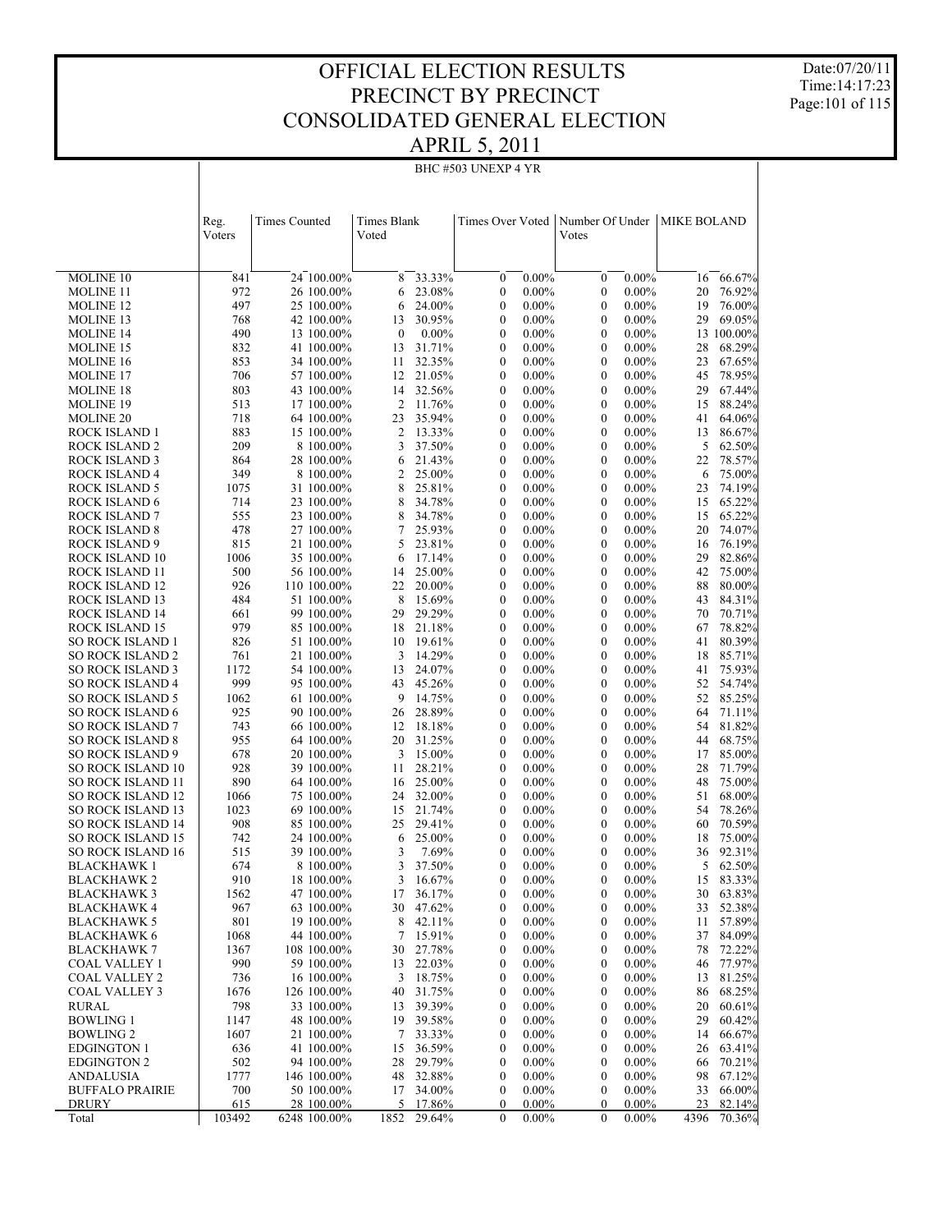Date:07/20/11 Time:14:17:23 Page:101 of 115

#### BHC #503 UNEXP 4 YR

|                                                    | Reg.<br>Voters | <b>Times Counted</b>      | Times Blank<br>Voted |                  | Times Over Voted             |                      | Number Of Under<br>Votes             |                      | <b>MIKE BOLAND</b> |                  |
|----------------------------------------------------|----------------|---------------------------|----------------------|------------------|------------------------------|----------------------|--------------------------------------|----------------------|--------------------|------------------|
| MOLINE 10                                          | 841            | 24 100.00%                | 8                    | 33.33%           | $\mathbf{0}$                 | $0.00\%$             | $\mathbf{0}$                         | $0.00\%$             | 16                 | 66.67%           |
| <b>MOLINE 11</b>                                   | 972            | 26 100.00%                | 6                    | 23.08%           | $\mathbf{0}$                 | $0.00\%$             | $\mathbf{0}$                         | $0.00\%$             | 20                 | 76.92%           |
| <b>MOLINE 12</b>                                   | 497            | 25 100,00%                | 6                    | 24.00%           | $\mathbf{0}$                 | $0.00\%$             | $\mathbf{0}$                         | $0.00\%$             | 19                 | 76.00%           |
| <b>MOLINE 13</b>                                   | 768            | 42 100.00%                | 13                   | 30.95%           | $\mathbf{0}$                 | $0.00\%$             | $\mathbf{0}$                         | $0.00\%$             | 29                 | 69.05%           |
| <b>MOLINE 14</b>                                   | 490            | 13 100.00%                | $\mathbf{0}$         | $0.00\%$         | $\mathbf{0}$                 | $0.00\%$             | $\mathbf{0}$                         | $0.00\%$             |                    | 13 100.00%       |
| <b>MOLINE 15</b>                                   | 832            | 41 100.00%                | 13                   | 31.71%           | $\mathbf{0}$                 | $0.00\%$             | 0                                    | $0.00\%$             | 28                 | 68.29%           |
| <b>MOLINE 16</b>                                   | 853            | 34 100.00%                | 11                   | 32.35%           | $\mathbf{0}$                 | $0.00\%$             | $\mathbf{0}$                         | $0.00\%$             | 23                 | 67.65%           |
| <b>MOLINE 17</b>                                   | 706            | 57 100.00%                | 12                   | 21.05%           | $\mathbf{0}$                 | $0.00\%$             | $\mathbf{0}$                         | $0.00\%$             | 45                 | 78.95%           |
| <b>MOLINE 18</b>                                   | 803            | 43 100,00%                |                      | 14 32.56%        | $\mathbf{0}$                 | $0.00\%$             | 0                                    | $0.00\%$             | 29                 | 67.44%           |
| <b>MOLINE 19</b>                                   | 513            | 17 100.00%                |                      | 2 11.76%         | $\mathbf{0}$                 | $0.00\%$             | $\mathbf{0}$                         | $0.00\%$             | 15                 | 88.24%           |
| <b>MOLINE 20</b>                                   | 718            | 64 100.00%                | 23                   | 35.94%           | $\mathbf{0}$                 | $0.00\%$             | $\mathbf{0}$                         | $0.00\%$             | 41                 | 64.06%           |
| <b>ROCK ISLAND 1</b>                               | 883<br>209     | 15 100.00%                | 2<br>3               | 13.33%<br>37.50% | $\mathbf{0}$<br>$\mathbf{0}$ | $0.00\%$             | 0<br>$\mathbf{0}$                    | $0.00\%$<br>$0.00\%$ | 13<br>5            | 86.67%           |
| <b>ROCK ISLAND 2</b><br><b>ROCK ISLAND 3</b>       | 864            | 8 100.00%<br>28 100.00%   | 6                    | 21.43%           | $\mathbf{0}$                 | $0.00\%$<br>$0.00\%$ | 0                                    | $0.00\%$             | 22                 | 62.50%<br>78.57% |
| <b>ROCK ISLAND 4</b>                               | 349            | 8 100.00%                 | $\overline{2}$       | 25.00%           | $\mathbf{0}$                 | $0.00\%$             | 0                                    | $0.00\%$             | 6                  | 75.00%           |
| <b>ROCK ISLAND 5</b>                               | 1075           | 31 100.00%                | 8                    | 25.81%           | $\mathbf{0}$                 | $0.00\%$             | $\mathbf{0}$                         | $0.00\%$             | 23                 | 74.19%           |
| ROCK ISLAND 6                                      | 714            | 23 100.00%                | 8                    | 34.78%           | $\mathbf{0}$                 | $0.00\%$             | $\mathbf{0}$                         | $0.00\%$             | 15                 | 65.22%           |
| <b>ROCK ISLAND 7</b>                               | 555            | 23 100.00%                | 8                    | 34.78%           | $\mathbf{0}$                 | $0.00\%$             | 0                                    | $0.00\%$             | 15                 | 65.22%           |
| <b>ROCK ISLAND 8</b>                               | 478            | 27 100,00%                | 7                    | 25.93%           | $\mathbf{0}$                 | $0.00\%$             | $\mathbf{0}$                         | $0.00\%$             | 20                 | 74.07%           |
| <b>ROCK ISLAND 9</b>                               | 815            | 21 100.00%                | 5                    | 23.81%           | $\mathbf{0}$                 | $0.00\%$             | $\mathbf{0}$                         | $0.00\%$             | 16                 | 76.19%           |
| ROCK ISLAND 10                                     | 1006           | 35 100.00%                | 6                    | 17.14%           | $\mathbf{0}$                 | $0.00\%$             | $\mathbf{0}$                         | $0.00\%$             | 29                 | 82.86%           |
| ROCK ISLAND 11                                     | 500            | 56 100.00%                | 14                   | 25.00%           | $\mathbf{0}$                 | $0.00\%$             | $\mathbf{0}$                         | $0.00\%$             | 42                 | 75.00%           |
| <b>ROCK ISLAND 12</b>                              | 926            | 110 100.00%               | 22                   | 20.00%           | $\mathbf{0}$                 | $0.00\%$             | $\mathbf{0}$                         | $0.00\%$             | 88                 | 80.00%           |
| <b>ROCK ISLAND 13</b>                              | 484            | 51 100.00%                | 8                    | 15.69%           | $\mathbf{0}$                 | $0.00\%$             | $\mathbf{0}$                         | $0.00\%$             | 43                 | 84.31%           |
| <b>ROCK ISLAND 14</b>                              | 661            | 99 100.00%                | 29                   | 29.29%           | $\mathbf{0}$                 | $0.00\%$             | $\mathbf{0}$                         | $0.00\%$             | 70                 | 70.71%           |
| <b>ROCK ISLAND 15</b>                              | 979            | 85 100.00%                | 18                   | 21.18%           | $\mathbf{0}$                 | $0.00\%$             | 0                                    | $0.00\%$             | 67                 | 78.82%           |
| <b>SO ROCK ISLAND 1</b>                            | 826            | 51 100.00%                | 10                   | 19.61%           | $\mathbf{0}$                 | $0.00\%$             | $\mathbf{0}$                         | $0.00\%$             | 41                 | 80.39%           |
| <b>SO ROCK ISLAND 2</b>                            | 761            | 21 100.00%                | 3                    | 14.29%           | $\mathbf{0}$                 | $0.00\%$             | $\mathbf{0}$                         | $0.00\%$             | 18                 | 85.71%           |
| <b>SO ROCK ISLAND 3</b><br><b>SO ROCK ISLAND 4</b> | 1172<br>999    | 54 100.00%<br>95 100.00%  | 13<br>43             | 24.07%<br>45.26% | $\mathbf{0}$<br>$\mathbf{0}$ | $0.00\%$<br>$0.00\%$ | $\mathbf{0}$<br>$\mathbf{0}$         | $0.00\%$<br>$0.00\%$ | 41<br>52           | 75.93%<br>54.74% |
| <b>SO ROCK ISLAND 5</b>                            | 1062           | 61 100.00%                | 9                    | 14.75%           | $\mathbf{0}$                 | $0.00\%$             | $\mathbf{0}$                         | $0.00\%$             | 52                 | 85.25%           |
| <b>SO ROCK ISLAND 6</b>                            | 925            | 90 100.00%                | 26                   | 28.89%           | $\mathbf{0}$                 | $0.00\%$             | 0                                    | $0.00\%$             | 64                 | 71.11%           |
| <b>SO ROCK ISLAND 7</b>                            | 743            | 66 100.00%                | 12                   | 18.18%           | $\mathbf{0}$                 | $0.00\%$             | $\mathbf{0}$                         | $0.00\%$             | 54                 | 81.82%           |
| <b>SO ROCK ISLAND 8</b>                            | 955            | 64 100.00%                | 20                   | 31.25%           | $\mathbf{0}$                 | $0.00\%$             | $\mathbf{0}$                         | $0.00\%$             | 44                 | 68.75%           |
| <b>SO ROCK ISLAND 9</b>                            | 678            | 20 100.00%                | 3                    | 15.00%           | $\mathbf{0}$                 | $0.00\%$             | $\mathbf{0}$                         | $0.00\%$             | 17                 | 85.00%           |
| <b>SO ROCK ISLAND 10</b>                           | 928            | 39 100.00%                | 11                   | 28.21%           | $\mathbf{0}$                 | $0.00\%$             | $\mathbf{0}$                         | $0.00\%$             | 28                 | 71.79%           |
| <b>SO ROCK ISLAND 11</b>                           | 890            | 64 100.00%                | 16                   | 25.00%           | $\mathbf{0}$                 | $0.00\%$             | $\mathbf{0}$                         | $0.00\%$             | 48                 | 75.00%           |
| <b>SO ROCK ISLAND 12</b>                           | 1066           | 75 100.00%                | 24                   | 32.00%           | $\mathbf{0}$                 | $0.00\%$             | 0                                    | $0.00\%$             | 51                 | 68.00%           |
| <b>SO ROCK ISLAND 13</b>                           | 1023           | 69 100.00%                | 15                   | 21.74%           | $\mathbf{0}$                 | $0.00\%$             | $\mathbf{0}$                         | $0.00\%$             | 54                 | 78.26%           |
| <b>SO ROCK ISLAND 14</b>                           | 908            | 85 100.00%                | 25                   | 29.41%           | $\mathbf{0}$                 | $0.00\%$             | $\mathbf{0}$                         | $0.00\%$             | 60                 | 70.59%           |
| <b>SO ROCK ISLAND 15</b>                           | 742            | 24 100.00%                | 6                    | 25.00%           | $\mathbf{0}$                 | $0.00\%$             | $\mathbf{0}$                         | $0.00\%$             | 18                 | 75.00%           |
| <b>SO ROCK ISLAND 16</b><br><b>BLACKHAWK1</b>      | 515<br>674     | 39 100.00%<br>8 100.00%   | 3<br>3               | 7.69%<br>37.50%  | $\mathbf{0}$<br>$\mathbf{0}$ | $0.00\%$<br>$0.00\%$ | $\mathbf{0}$<br>$\mathbf{0}$         | $0.00\%$<br>$0.00\%$ | 36<br>5            | 92.31%<br>62.50% |
| <b>BLACKHAWK 2</b>                                 | 910            | 18 100.00%                | 3                    | 16.67%           | $\mathbf{0}$                 | $0.00\%$             | 0                                    | $0.00\%$             | 15                 | 83.33%           |
| BLACKHAWK 3                                        | 1562           | 47 100.00%                | 17                   | 36.17%           | $\Omega$                     | $0.00\%$             | $\theta$                             | $0.00\%$             | 30                 | 63.83%           |
| <b>BLACKHAWK 4</b>                                 | 967            | 63 100.00%                | 30                   | 47.62%           | $\boldsymbol{0}$             | $0.00\%$             | 0                                    | $0.00\%$             | 33                 | 52.38%           |
| <b>BLACKHAWK 5</b>                                 | 801            | 19 100.00%                | 8                    | 42.11%           | 0                            | $0.00\%$             | 0                                    | $0.00\%$             | 11                 | 57.89%           |
| <b>BLACKHAWK 6</b>                                 | 1068           | 44 100.00%                | 7                    | 15.91%           | 0                            | $0.00\%$             | 0                                    | $0.00\%$             | 37                 | 84.09%           |
| <b>BLACKHAWK 7</b>                                 | 1367           | 108 100.00%               | 30                   | 27.78%           | 0                            | $0.00\%$             | 0                                    | $0.00\%$             | 78                 | 72.22%           |
| <b>COAL VALLEY 1</b>                               | 990            | 59 100.00%                | 13                   | 22.03%           | 0                            | $0.00\%$             | 0                                    | $0.00\%$             | 46                 | 77.97%           |
| <b>COAL VALLEY 2</b>                               | 736            | 16 100.00%                | 3                    | 18.75%           | 0                            | $0.00\%$             | $\boldsymbol{0}$                     | $0.00\%$             | 13                 | 81.25%           |
| <b>COAL VALLEY 3</b>                               | 1676           | 126 100.00%               | 40                   | 31.75%           | 0                            | $0.00\%$             | $\boldsymbol{0}$                     | $0.00\%$             | 86                 | 68.25%           |
| <b>RURAL</b>                                       | 798            | 33 100.00%                | 13                   | 39.39%           | 0                            | $0.00\%$             | 0                                    | $0.00\%$             | 20                 | 60.61%           |
| <b>BOWLING 1</b>                                   | 1147           | 48 100.00%                | 19                   | 39.58%           | 0                            | $0.00\%$             | $\boldsymbol{0}$                     | $0.00\%$             | 29                 | 60.42%           |
| <b>BOWLING 2</b>                                   | 1607           | 21 100.00%                | 7                    | 33.33%           | 0                            | $0.00\%$             | $\boldsymbol{0}$                     | $0.00\%$             | 14                 | 66.67%           |
| <b>EDGINGTON 1</b>                                 | 636            | 41 100.00%                | 15                   | 36.59%           | 0                            | $0.00\%$             | 0                                    | $0.00\%$             | 26                 | 63.41%           |
| <b>EDGINGTON 2</b>                                 | 502            | 94 100.00%                | 28                   | 29.79%<br>32.88% | 0                            | $0.00\%$             | $\boldsymbol{0}$<br>$\boldsymbol{0}$ | $0.00\%$<br>$0.00\%$ | 66                 | 70.21%           |
| <b>ANDALUSIA</b><br><b>BUFFALO PRAIRIE</b>         | 1777<br>700    | 146 100.00%<br>50 100.00% | 48<br>17             | 34.00%           | 0<br>0                       | $0.00\%$<br>$0.00\%$ | $\boldsymbol{0}$                     | $0.00\%$             | 98<br>33           | 67.12%<br>66.00% |
| <b>DRURY</b>                                       | 615            | 28 100.00%                | 5                    | 17.86%           | $\mathbf{0}$                 | $0.00\%$             | $\boldsymbol{0}$                     | $0.00\%$             | 23                 | 82.14%           |
| Total                                              | 103492         | 6248 100.00%              | 1852                 | 29.64%           | $\mathbf{0}$                 | $0.00\%$             | $\mathbf{0}$                         | $0.00\%$             | 4396               | 70.36%           |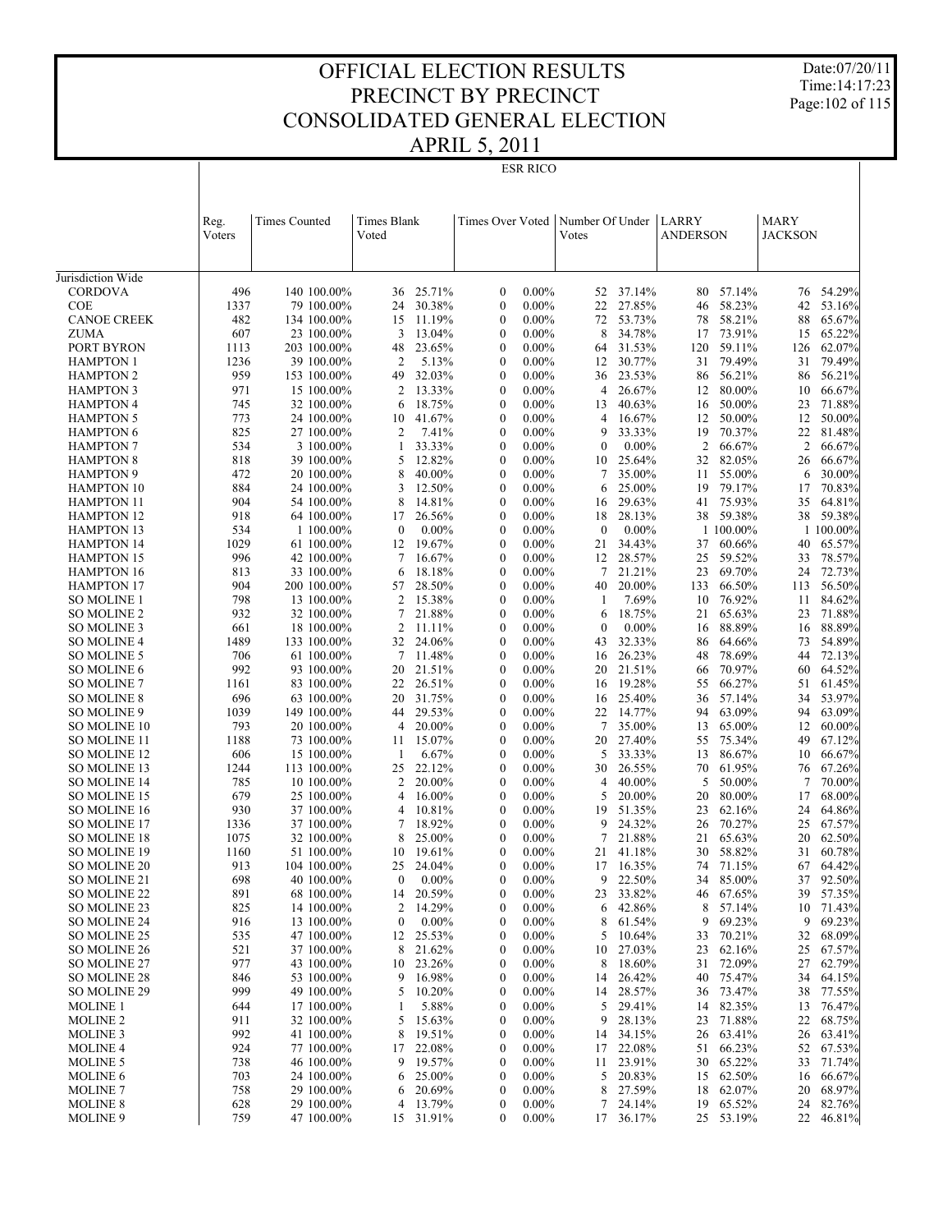Date:07/20/11 Time:14:17:23 Page:102 of 115

22 46.81%

|                     |                |                      |                      |           |                  | <b>ESR RICO</b> |                                  |           |                 |           |                               |           |
|---------------------|----------------|----------------------|----------------------|-----------|------------------|-----------------|----------------------------------|-----------|-----------------|-----------|-------------------------------|-----------|
|                     | Reg.<br>Voters | <b>Times Counted</b> | Times Blank<br>Voted |           | Times Over Voted |                 | Number Of Under   LARRY<br>Votes |           | <b>ANDERSON</b> |           | <b>MARY</b><br><b>JACKSON</b> |           |
| Jurisdiction Wide   |                |                      |                      |           |                  |                 |                                  |           |                 |           |                               |           |
| <b>CORDOVA</b>      | 496            | 140 100.00%          | 36                   | 25.71%    | $\boldsymbol{0}$ | $0.00\%$        |                                  | 52 37.14% | 80              | 57.14%    |                               | 76 54.29% |
| <b>COE</b>          | 1337           | 79 100.00%           | 24                   | 30.38%    | $\boldsymbol{0}$ | $0.00\%$        | 22                               | 27.85%    | 46              | 58.23%    | 42                            | 53.16%    |
| <b>CANOE CREEK</b>  | 482            | 134 100.00%          | 15                   | 11.19%    | $\boldsymbol{0}$ | $0.00\%$        | 72                               | 53.73%    | 78              | 58.21%    | 88                            | 65.67%    |
| ZUMA                | 607            | 23 100.00%           | 3                    | 13.04%    | $\boldsymbol{0}$ | $0.00\%$        | 8                                | 34.78%    | 17              | 73.91%    | 15                            | 65.22%    |
| PORT BYRON          | 1113           | 203 100.00%          | 48                   | 23.65%    | $\boldsymbol{0}$ | $0.00\%$        | 64                               | 31.53%    | 120             | 59.11%    | 126                           | 62.07%    |
| <b>HAMPTON 1</b>    | 1236           | 39 100.00%           | 2                    | 5.13%     | $\boldsymbol{0}$ | $0.00\%$        | 12                               | 30.77%    | 31              | 79.49%    | 31                            | 79.49%    |
| <b>HAMPTON 2</b>    | 959            | 153 100.00%          | 49                   | 32.03%    | $\mathbf{0}$     | $0.00\%$        | 36                               | 23.53%    | 86              | 56.21%    | 86                            | 56.21%    |
| <b>HAMPTON 3</b>    | 971            | 15 100.00%           | $\overline{c}$       | 13.33%    | $\boldsymbol{0}$ | $0.00\%$        | 4                                | 26.67%    | 12              | 80.00%    | 10                            | 66.67%    |
| <b>HAMPTON 4</b>    | 745            | 32 100.00%           | 6                    | 18.75%    | $\boldsymbol{0}$ | $0.00\%$        | 13                               | 40.63%    | 16              | 50.00%    | 23                            | 71.88%    |
| <b>HAMPTON 5</b>    | 773            | 24 100.00%           | 10                   | 41.67%    | $\boldsymbol{0}$ | $0.00\%$        | 4                                | 16.67%    | 12              | 50.00%    | 12                            | 50.00%    |
| <b>HAMPTON 6</b>    | 825            | 27 100.00%           | 2                    | 7.41%     | $\mathbf{0}$     | $0.00\%$        | 9                                | 33.33%    | 19              | 70.37%    | 22                            | 81.48%    |
| <b>HAMPTON 7</b>    | 534            | 3 100.00%            | 1                    | 33.33%    | $\boldsymbol{0}$ | $0.00\%$        | $\boldsymbol{0}$                 | $0.00\%$  | 2               | 66.67%    | 2                             | 66.67%    |
| <b>HAMPTON 8</b>    | 818            | 39 100.00%           | 5                    | 12.82%    | $\boldsymbol{0}$ | $0.00\%$        | 10                               | 25.64%    | 32              | 82.05%    | 26                            | 66.67%    |
| <b>HAMPTON 9</b>    | 472            | 20 100.00%           | 8                    | 40.00%    | $\boldsymbol{0}$ | $0.00\%$        | 7                                | 35.00%    | 11              | 55.00%    | 6                             | 30.00%    |
| <b>HAMPTON 10</b>   | 884            | 24 100.00%           | 3                    | 12.50%    | $\mathbf{0}$     | $0.00\%$        | 6                                | 25.00%    | 19              | 79.17%    | 17                            | 70.83%    |
| <b>HAMPTON 11</b>   | 904            | 54 100.00%           | 8                    | 14.81%    | $\boldsymbol{0}$ | $0.00\%$        | 16                               | 29.63%    | 41              | 75.93%    | 35                            | 64.81%    |
| <b>HAMPTON 12</b>   | 918            | 64 100.00%           | 17                   | 26.56%    | $\boldsymbol{0}$ | $0.00\%$        | 18                               | 28.13%    |                 | 38 59.38% |                               | 38 59.38% |
| <b>HAMPTON 13</b>   | 534            | 1 100.00%            | $\mathbf{0}$         | $0.00\%$  | $\boldsymbol{0}$ | $0.00\%$        | $\mathbf{0}$                     | $0.00\%$  |                 | 1 100,00% |                               | 1 100.00% |
| <b>HAMPTON 14</b>   | 1029           | 61 100.00%           | 12                   | 19.67%    | $\mathbf{0}$     | $0.00\%$        | 21                               | 34.43%    | 37              | 60.66%    | 40                            | 65.57%    |
| <b>HAMPTON 15</b>   | 996            | 42 100.00%           | 7                    | 16.67%    | $\boldsymbol{0}$ | $0.00\%$        | 12                               | 28.57%    | 25              | 59.52%    | 33                            | 78.57%    |
| <b>HAMPTON 16</b>   | 813            | 33 100.00%           | 6                    | 18.18%    | $\boldsymbol{0}$ | $0.00\%$        | 7                                | 21.21%    | 23              | 69.70%    | 24                            | 72.73%    |
| <b>HAMPTON 17</b>   | 904            | 200 100.00%          | 57                   | 28.50%    | $\boldsymbol{0}$ | $0.00\%$        | 40                               | 20.00%    | 133             | 66.50%    | 113                           | 56.50%    |
| <b>SO MOLINE 1</b>  | 798            | 13 100.00%           | 2                    | 15.38%    | $\boldsymbol{0}$ | $0.00\%$        | -1                               | 7.69%     | 10              | 76.92%    | 11                            | 84.62%    |
| <b>SO MOLINE 2</b>  | 932            | 32 100.00%           | 7                    | 21.88%    | $\boldsymbol{0}$ | $0.00\%$        | 6                                | 18.75%    | 21              | 65.63%    | 23                            | 71.88%    |
| SO MOLINE 3         | 661            | 18 100.00%           | $\overline{c}$       | 11.11%    | $\boldsymbol{0}$ | $0.00\%$        | $\boldsymbol{0}$                 | $0.00\%$  | 16              | 88.89%    | 16                            | 88.89%    |
| SO MOLINE 4         | 1489           | 133 100.00%          | 32                   | 24.06%    | $\boldsymbol{0}$ | $0.00\%$        | 43                               | 32.33%    | 86              | 64.66%    | 73                            | 54.89%    |
| SO MOLINE 5         | 706            | 61 100.00%           | 7                    | 11.48%    | $\mathbf{0}$     | $0.00\%$        | 16                               | 26.23%    | 48              | 78.69%    | 44                            | 72.13%    |
| <b>SO MOLINE 6</b>  | 992            | 93 100.00%           | 20                   | 21.51%    | $\boldsymbol{0}$ | $0.00\%$        | 20                               | 21.51%    | 66              | 70.97%    | 60                            | 64.52%    |
| <b>SO MOLINE 7</b>  | 1161           | 83 100.00%           | 22                   | 26.51%    | $\boldsymbol{0}$ | $0.00\%$        | 16                               | 19.28%    | 55              | 66.27%    | 51                            | 61.45%    |
| <b>SO MOLINE 8</b>  | 696            | 63 100.00%           | 20                   | 31.75%    | $\boldsymbol{0}$ | $0.00\%$        | 16                               | 25.40%    | 36              | 57.14%    | 34                            | 53.97%    |
| SO MOLINE 9         | 1039           | 149 100.00%          | 44                   | 29.53%    | $\mathbf{0}$     | $0.00\%$        | 22                               | 14.77%    | 94              | 63.09%    | 94                            | 63.09%    |
| <b>SO MOLINE 10</b> | 793            | 20 100.00%           | 4                    | 20.00%    | $\boldsymbol{0}$ | $0.00\%$        | 7                                | 35.00%    | 13              | 65.00%    | 12                            | 60.00%    |
| <b>SO MOLINE 11</b> | 1188           | 73 100.00%           | 11                   | 15.07%    | $\boldsymbol{0}$ | $0.00\%$        | 20                               | 27.40%    | 55              | 75.34%    | 49                            | 67.12%    |
| <b>SO MOLINE 12</b> | 606            | 15 100.00%           | 1                    | 6.67%     | $\boldsymbol{0}$ | $0.00\%$        | 5                                | 33.33%    | 13              | 86.67%    | 10                            | 66.67%    |
| SO MOLINE 13        | 1244           | 113 100.00%          | 25                   | 22.12%    | $\mathbf{0}$     | $0.00\%$        | 30                               | 26.55%    | 70              | 61.95%    | 76                            | 67.26%    |
| SO MOLINE 14        | 785            | 10 100.00%           | $\overline{c}$       | 20.00%    | $\boldsymbol{0}$ | $0.00\%$        | 4                                | 40.00%    | 5               | 50.00%    | 7                             | 70.00%    |
| <b>SO MOLINE 15</b> | 679            | 25 100.00%           | 4                    | 16.00%    | $\boldsymbol{0}$ | $0.00\%$        | 5                                | 20.00%    | 20              | 80.00%    | 17                            | 68.00%    |
| <b>SO MOLINE 16</b> | 930            | 37 100.00%           | 4                    | 10.81%    | $\boldsymbol{0}$ | $0.00\%$        | 19                               | 51.35%    | 23              | 62.16%    | 24                            | 64.86%    |
| SO MOLINE 17        | 1336           | 37 100.00%           | 7                    | 18.92%    | 0                | $0.00\%$        | 9                                | 24.32%    | 26              | 70.27%    | 25                            | 67.57%    |
| <b>SO MOLINE 18</b> | 1075           | 32 100.00%           | 8                    | 25.00%    | $\boldsymbol{0}$ | $0.00\%$        | 7                                | 21.88%    | 21              | 65.63%    | 20                            | 62.50%    |
| <b>SO MOLINE 19</b> | 1160           | 51 100.00%           |                      | 10 19.61% | 0                | $0.00\%$        | 21                               | 41.18%    |                 | 30 58.82% | 31                            | 60.78%    |
| <b>SO MOLINE 20</b> | 913            | 104 100.00%          | 25                   | 24.04%    | $\boldsymbol{0}$ | $0.00\%$        | 17                               | 16.35%    | 74              | 71.15%    | 67                            | 64.42%    |
| SO MOLINE 21        | 698            | 40 100.00%           | $\boldsymbol{0}$     | $0.00\%$  | $\boldsymbol{0}$ | $0.00\%$        | 9                                | 22.50%    | 34              | 85.00%    |                               | 37 92.50% |
| SO MOLINE 22        | 891            | 68 100.00%           | 14                   | 20.59%    | 0                | $0.00\%$        | 23                               | 33.82%    | 46              | 67.65%    | 39                            | 57.35%    |
| SO MOLINE 23        | 825            | 14 100.00%           | 2                    | 14.29%    | 0                | $0.00\%$        | 6                                | 42.86%    | 8               | 57.14%    |                               | 10 71.43% |
| SO MOLINE 24        | 916            | 13 100.00%           | $\boldsymbol{0}$     | $0.00\%$  | $\boldsymbol{0}$ | $0.00\%$        | 8                                | 61.54%    | 9               | 69.23%    | 9                             | 69.23%    |
| SO MOLINE 25        | 535            | 47 100.00%           |                      | 12 25.53% | 0                | $0.00\%$        | 5                                | 10.64%    | 33              | 70.21%    | 32                            | 68.09%    |
| SO MOLINE 26        | 521            | 37 100.00%           | 8                    | 21.62%    | $\boldsymbol{0}$ | $0.00\%$        | 10                               | 27.03%    | 23              | 62.16%    | 25                            | 67.57%    |
| SO MOLINE 27        | 977            | 43 100.00%           |                      | 10 23.26% | 0                | $0.00\%$        | 8                                | 18.60%    | 31              | 72.09%    | 27                            | 62.79%    |
| SO MOLINE 28        | 846            | 53 100.00%           | 9                    | 16.98%    | $\boldsymbol{0}$ | $0.00\%$        | 14                               | 26.42%    | 40              | 75.47%    | 34                            | 64.15%    |
| SO MOLINE 29        | 999            | 49 100.00%           | 5                    | 10.20%    | 0                | $0.00\%$        | 14                               | 28.57%    | 36              | 73.47%    | 38                            | 77.55%    |
| <b>MOLINE 1</b>     | 644            | 17 100.00%           | 1                    | 5.88%     | $\boldsymbol{0}$ | $0.00\%$        | 5                                | 29.41%    | 14              | 82.35%    | 13                            | 76.47%    |
| <b>MOLINE 2</b>     | 911            | 32 100.00%           |                      | 5 15.63%  | 0                | $0.00\%$        | 9                                | 28.13%    | 23              | 71.88%    |                               | 22 68.75% |
| MOLINE 3            | 992            | 41 100.00%           | 8                    | 19.51%    | 0                | $0.00\%$        |                                  | 14 34.15% |                 | 26 63.41% |                               | 26 63.41% |

 77 100.00% 17 22.08% 0 0.00% 17 22.08% 51 66.23% 52 67.53% 46 100.00% 9 19.57% 0 0.00% 11 23.91% 30 65.22% 33 71.74% 24 100.00% 6 25.00% 0 0.00% 5 20.83% 15 62.50% 16 66.67% 29 100.00% 6 20.69% 0 0.00% 8 27.59% 18 62.07% 20 68.97% 29 100.00% 4 13.79% 0 0.00% 7 24.14% 19 65.52% 24 82.76%

 MOLINE 4 MOLINE 5 MOLINE 6 MOLINE 7 MOLINE 8 MOLINE 9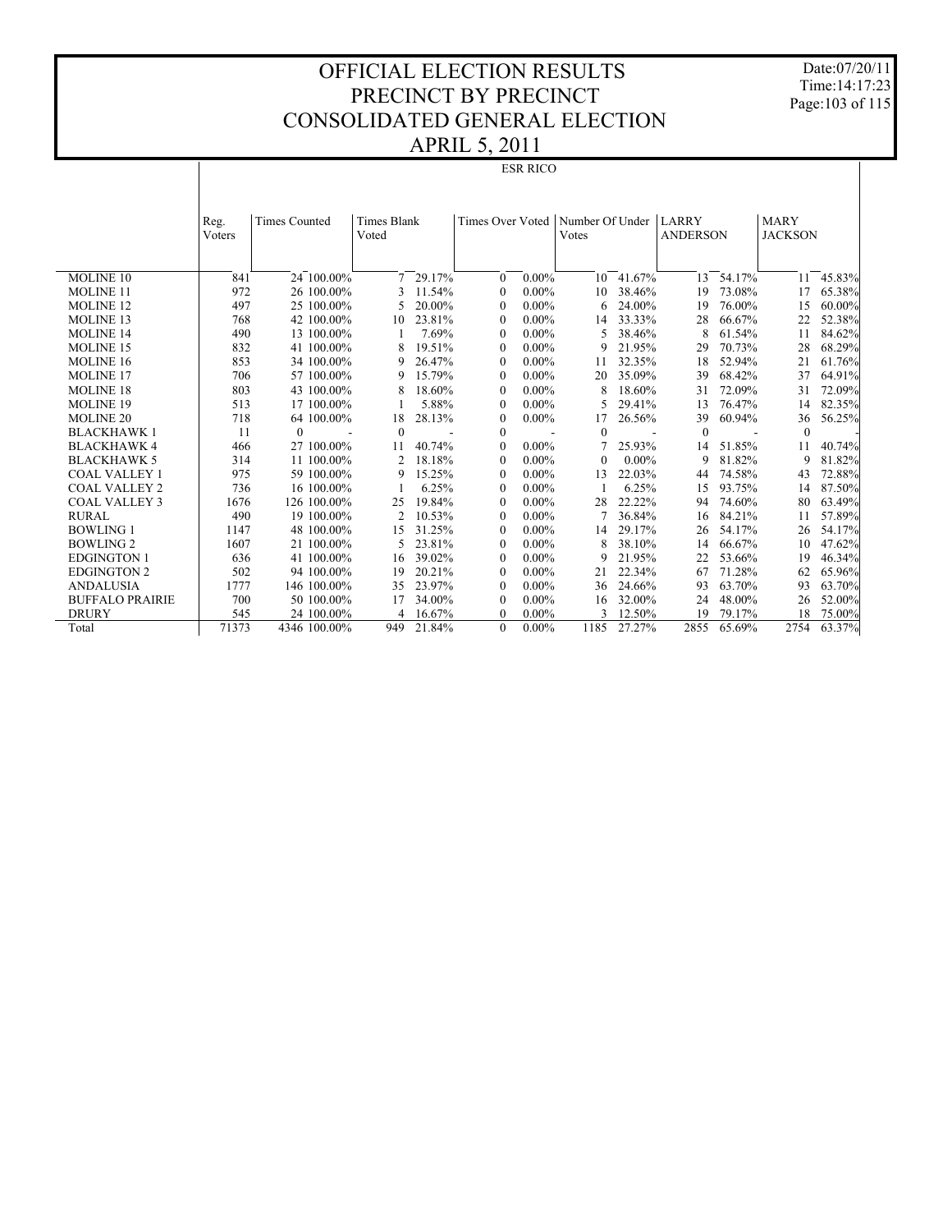Date:07/20/11 Time:14:17:23 Page:103 of 115

#### APRIL 5, 2011 ESR RICO

|                        | Reg.   | <b>Times Counted</b> | <b>Times Blank</b> |          | Times Over Voted |          | Number Of Under |          | LARRY           |        | <b>MARY</b>    |        |
|------------------------|--------|----------------------|--------------------|----------|------------------|----------|-----------------|----------|-----------------|--------|----------------|--------|
|                        | Voters |                      | Voted              |          |                  |          | Votes           |          | <b>ANDERSON</b> |        | <b>JACKSON</b> |        |
|                        |        |                      |                    |          |                  |          |                 |          |                 |        |                |        |
|                        |        |                      |                    |          |                  |          |                 |          |                 |        |                |        |
| <b>MOLINE 10</b>       | 841    | 24 100,00%           |                    | 7 29.17% | $\Omega$         | $0.00\%$ | 10              | 41.67%   | 13              | 54.17% | 11             | 45.83% |
| <b>MOLINE 11</b>       | 972    | 26 100.00%           |                    | 11.54%   | $\mathbf{0}$     | $0.00\%$ | 10              | 38.46%   | 19              | 73.08% | 17             | 65.38% |
| <b>MOLINE 12</b>       | 497    | 25 100.00%           | 5                  | 20.00%   | $\Omega$         | $0.00\%$ | 6               | 24.00%   | 19              | 76.00% | 15             | 60.00% |
| <b>MOLINE 13</b>       | 768    | 42 100,00%           | 10                 | 23.81%   | $\Omega$         | $0.00\%$ | 14              | 33.33%   | 28              | 66.67% | 22             | 52.38% |
| <b>MOLINE 14</b>       | 490    | 13 100.00%           |                    | 7.69%    | $\theta$         | $0.00\%$ | 5               | 38.46%   | 8               | 61.54% | 11             | 84.62% |
| <b>MOLINE 15</b>       | 832    | 41 100,00%           | 8                  | 19.51%   | $\theta$         | $0.00\%$ | 9               | 21.95%   | 29              | 70.73% | 28             | 68.29% |
| <b>MOLINE 16</b>       | 853    | 34 100 00%           | 9                  | 26.47%   | $\Omega$         | $0.00\%$ | 11              | 32.35%   | 18              | 52.94% | 21             | 61.76% |
| <b>MOLINE 17</b>       | 706    | 57 100.00%           | 9                  | 15.79%   | $\Omega$         | $0.00\%$ | 20              | 35.09%   | 39              | 68.42% | 37             | 64.91% |
| <b>MOLINE 18</b>       | 803    | 43 100,00%           | 8                  | 18.60%   | $\Omega$         | $0.00\%$ | 8               | 18.60%   | 31              | 72.09% | 31             | 72.09% |
| <b>MOLINE 19</b>       | 513    | 17 100,00%           |                    | 5.88%    | $\theta$         | $0.00\%$ |                 | 29.41%   | 13              | 76.47% | 14             | 82.35% |
| <b>MOLINE 20</b>       | 718    | 64 100,00%           | 18                 | 28.13%   | $\Omega$         | $0.00\%$ | 17              | 26.56%   | 39              | 60.94% | 36             | 56.25% |
| <b>BLACKHAWK1</b>      | 11     | $\Omega$             | $\Omega$           |          | $\theta$         |          | $\theta$        |          | $\Omega$        |        | $\Omega$       |        |
| <b>BLACKHAWK 4</b>     | 466    | 27 100.00%           | 11                 | 40.74%   | $\theta$         | $0.00\%$ |                 | 25.93%   | 14              | 51.85% | 11             | 40.74% |
| <b>BLACKHAWK 5</b>     | 314    | 11 100.00%           | 2                  | 18.18%   | $\Omega$         | $0.00\%$ | $\Omega$        | $0.00\%$ | 9               | 81.82% | $\mathbf Q$    | 81.82% |
| <b>COAL VALLEY 1</b>   | 975    | 59 100.00%           | 9                  | 15.25%   | $\Omega$         | $0.00\%$ | 13              | 22.03%   | 44              | 74.58% | 43             | 72.88% |
| <b>COAL VALLEY 2</b>   | 736    | 16 100.00%           |                    | 6.25%    | $\theta$         | $0.00\%$ |                 | 6.25%    | 15              | 93.75% | 14             | 87.50% |
| <b>COAL VALLEY 3</b>   | 1676   | 126 100.00%          | 25                 | 19.84%   | $\theta$         | $0.00\%$ | 28              | 22.22%   | 94              | 74.60% | 80             | 63.49% |
| <b>RURAL</b>           | 490    | 19 100 00%           | 2                  | 10.53%   | $\theta$         | $0.00\%$ |                 | 36.84%   | 16              | 84.21% | 11             | 57.89% |
| <b>BOWLING 1</b>       | 1147   | 48 100 00%           | 15                 | 31.25%   | $\Omega$         | $0.00\%$ | 14              | 29.17%   | 26              | 54.17% | 26             | 54.17% |
| <b>BOWLING 2</b>       | 1607   | 21 100.00%           | 5.                 | 23.81%   | $\Omega$         | $0.00\%$ | 8               | 38.10%   | 14              | 66.67% | 10             | 47.62% |
| <b>EDGINGTON 1</b>     | 636    | 41 100,00%           | 16                 | 39.02%   | $\theta$         | $0.00\%$ | 9               | 21.95%   | 22              | 53.66% | 19             | 46.34% |
| <b>EDGINGTON 2</b>     | 502    | 94 100,00%           | 19                 | 20.21%   | $\Omega$         | $0.00\%$ | 21              | 22.34%   | 67              | 71.28% | 62             | 65.96% |
| <b>ANDALUSIA</b>       | 1777   | 146 100,00%          | 35                 | 23.97%   | $\Omega$         | $0.00\%$ | 36              | 24.66%   | 93              | 63.70% | 93             | 63.70% |
| <b>BUFFALO PRAIRIE</b> | 700    | 50 100,00%           | 17                 | 34.00%   | $\theta$         | $0.00\%$ | 16              | 32.00%   | 24              | 48.00% | 26             | 52.00% |
| <b>DRURY</b>           | 545    | 24 100.00%           | 4                  | 16.67%   | $\Omega$         | $0.00\%$ | 3               | 12.50%   | 19              | 79.17% | 18             | 75.00% |
| Total                  | 71373  | 4346 100.00%         | 949                | 21.84%   | $\theta$         | $0.00\%$ | 1185            | 27.27%   | 2855            | 65.69% | 2754           | 63.37% |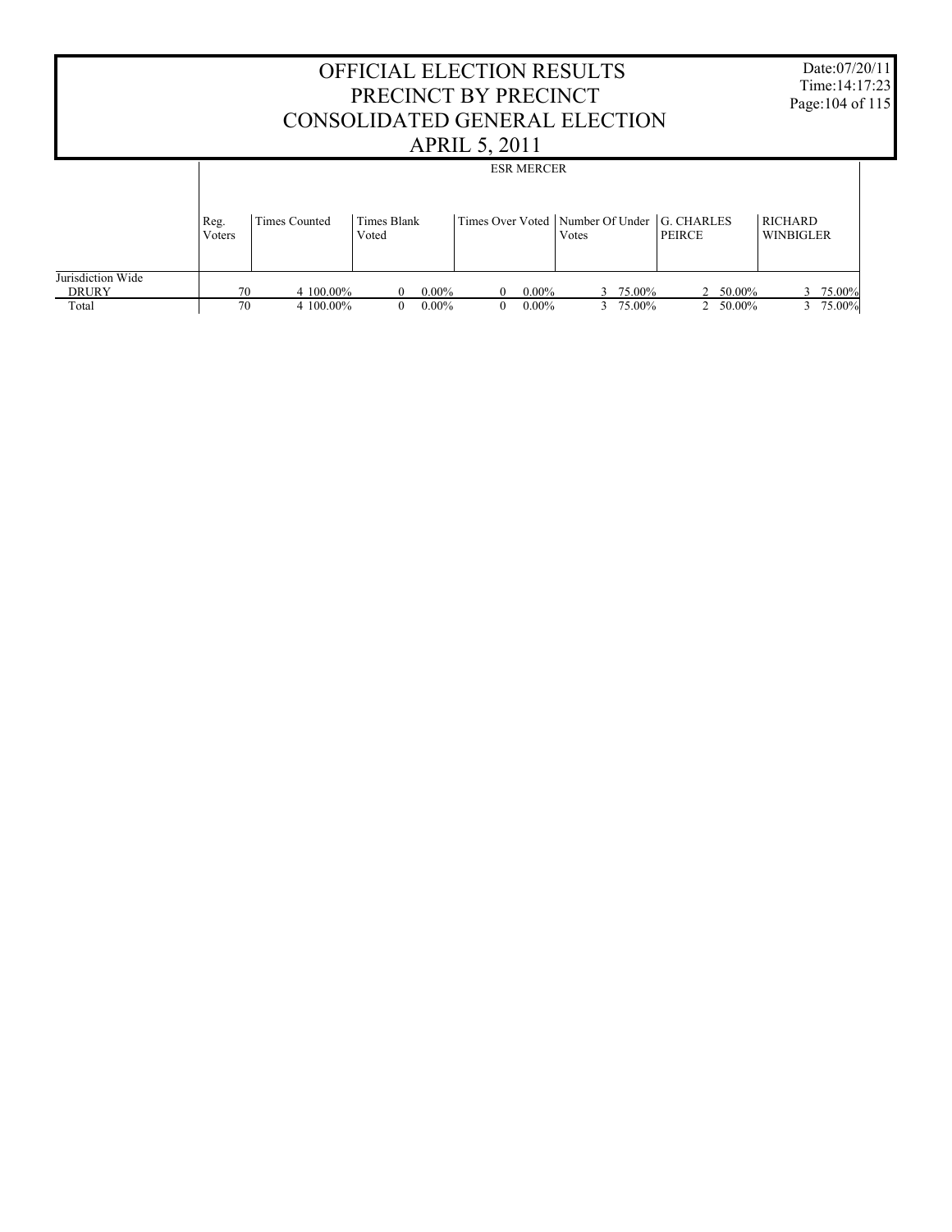|                                            |                | CONSOLIDATED GENERAL ELECTION | PRECINCT BY PRECINCT |                      | <b>APRIL 5, 2011</b> |                      | OFFICIAL ELECTION RESULTS                                |                    |               |                              |                                    | Date:07/20/11<br>Time: $14:17:23$<br>Page: 104 of 115 |  |
|--------------------------------------------|----------------|-------------------------------|----------------------|----------------------|----------------------|----------------------|----------------------------------------------------------|--------------------|---------------|------------------------------|------------------------------------|-------------------------------------------------------|--|
|                                            |                |                               |                      |                      |                      | <b>ESR MERCER</b>    |                                                          |                    |               |                              |                                    |                                                       |  |
|                                            | Reg.<br>Voters | Times Counted                 | Times Blank<br>Voted |                      |                      |                      | Times Over Voted   Number Of Under   G. CHARLES<br>Votes |                    | <b>PEIRCE</b> |                              | <b>RICHARD</b><br><b>WINBIGLER</b> |                                                       |  |
| Jurisdiction Wide<br><b>DRURY</b><br>Total | 70<br>70       | 4 100,00%<br>4 100,00%        | 0<br>0               | $0.00\%$<br>$0.00\%$ | $\theta$<br>$\theta$ | $0.00\%$<br>$0.00\%$ | 3                                                        | 75.00%<br>3 75.00% |               | $2\quad 50.00\%$<br>2 50.00% | 3<br>3                             | 75.00%<br>75.00%                                      |  |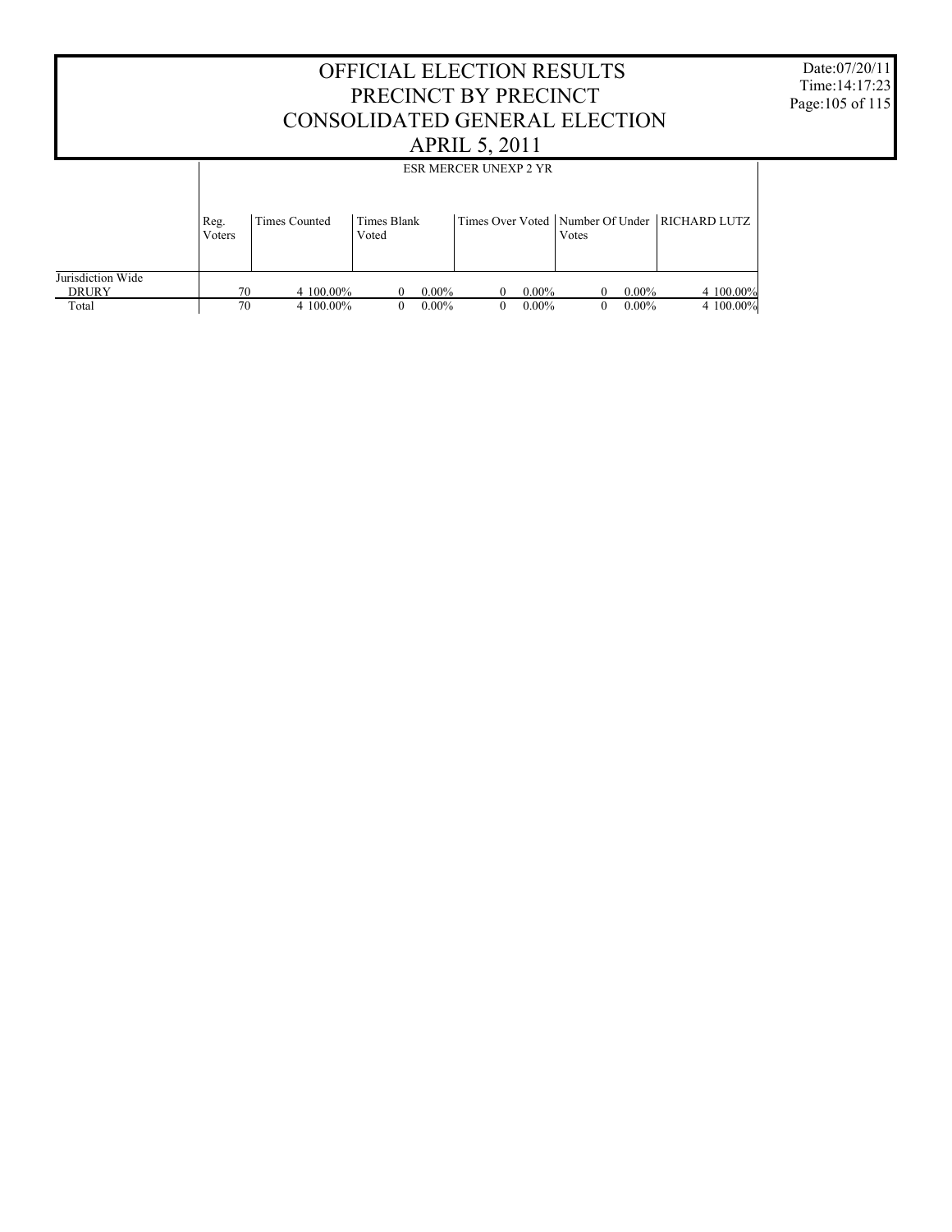|                                   |                | CONSOLIDATED GENERAL ELECTION |                      |          | <b>OFFICIAL ELECTION RESULTS</b><br>PRECINCT BY PRECINCT<br><b>APRIL 5, 2011</b> |          |              |          |                                                   | D<br>Ti<br>Pag |
|-----------------------------------|----------------|-------------------------------|----------------------|----------|----------------------------------------------------------------------------------|----------|--------------|----------|---------------------------------------------------|----------------|
|                                   |                |                               |                      |          | <b>ESR MERCER UNEXP 2 YR</b>                                                     |          |              |          |                                                   |                |
|                                   | Reg.<br>Voters | Times Counted                 | Times Blank<br>Voted |          |                                                                                  |          | Votes        |          | Times Over Voted   Number Of Under   RICHARD LUTZ |                |
| Jurisdiction Wide<br><b>DRURY</b> | 70             | 4 100,00%                     | $\theta$             | $0.00\%$ | $\theta$                                                                         | $0.00\%$ | 0            | $0.00\%$ | 4 100,00%                                         |                |
| Total                             | 70             | 4 100,00%                     | $\theta$             | $0.00\%$ | $\theta$                                                                         | $0.00\%$ | $\mathbf{0}$ | $0.00\%$ | 4 100,00%                                         |                |

Date:07/20/11 Time:14:17:23 Page:105 of 115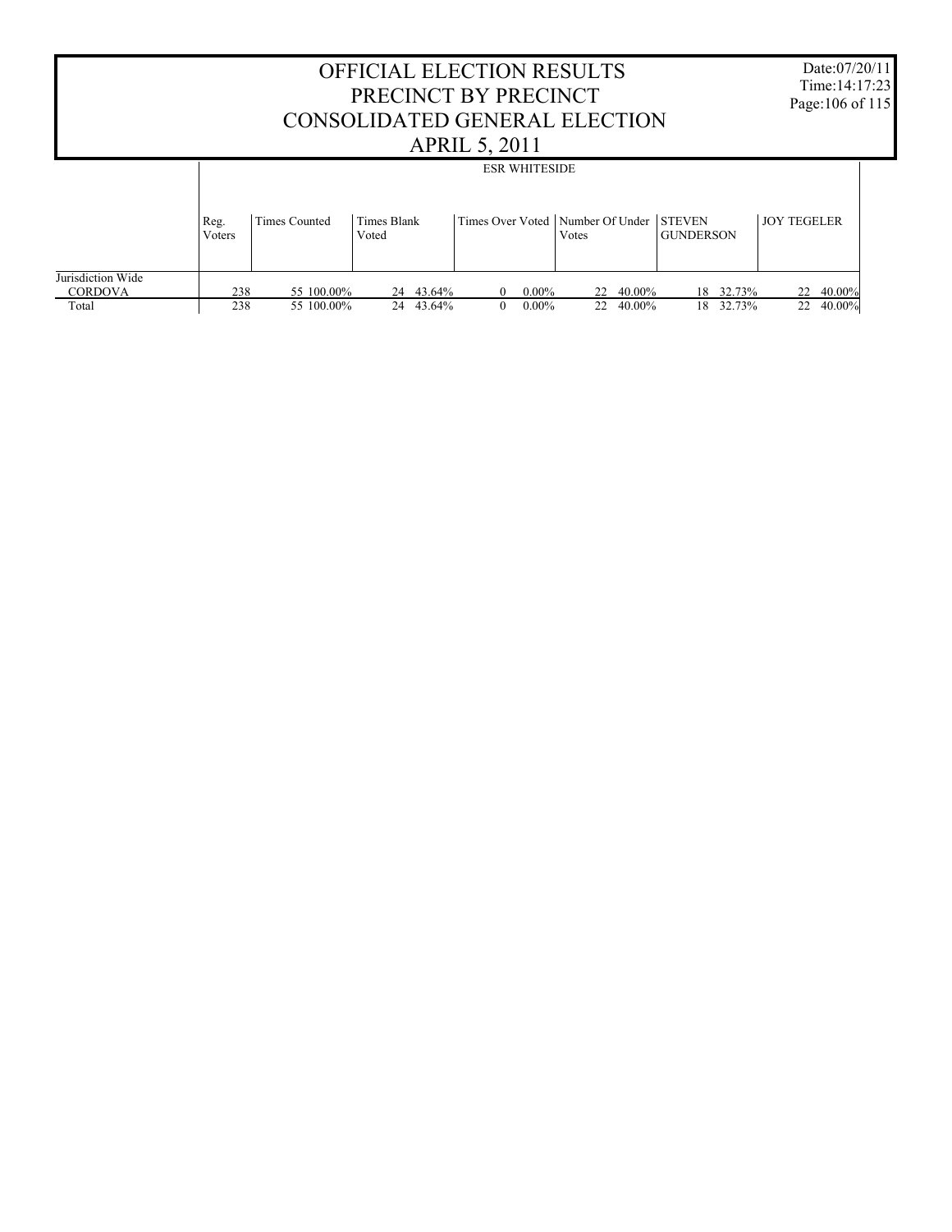|                                     |                | CONSOLIDATED GENERAL ELECTION |                      |        | OFFICIAL ELECTION RESULTS<br>PRECINCT BY PRECINCT |                      |                                                      |        |                  |           |                    | Date:07/20/11<br>Time: $14:17:23$<br>Page: 106 of 115 |
|-------------------------------------|----------------|-------------------------------|----------------------|--------|---------------------------------------------------|----------------------|------------------------------------------------------|--------|------------------|-----------|--------------------|-------------------------------------------------------|
|                                     |                |                               |                      |        | <b>APRIL 5, 2011</b>                              | <b>ESR WHITESIDE</b> |                                                      |        |                  |           |                    |                                                       |
|                                     | Reg.<br>Voters | <b>Times Counted</b>          | Times Blank<br>Voted |        |                                                   |                      | Times Over Voted   Number Of Under   STEVEN<br>Votes |        | <b>GUNDERSON</b> |           | <b>JOY TEGELER</b> |                                                       |
| Jurisdiction Wide<br><b>CORDOVA</b> | 238            | 55 100,00%                    | 24                   | 43.64% | 0                                                 | $0.00\%$             | 22                                                   | 40.00% | 18.              | 32.73%    | 22                 | $40.00\%$                                             |
| Total                               | 238            | 55 100.00%                    | 24                   | 43.64% | 0                                                 | $0.00\%$             | 22                                                   | 40.00% |                  | 18 32.73% | 22                 | 40.00%                                                |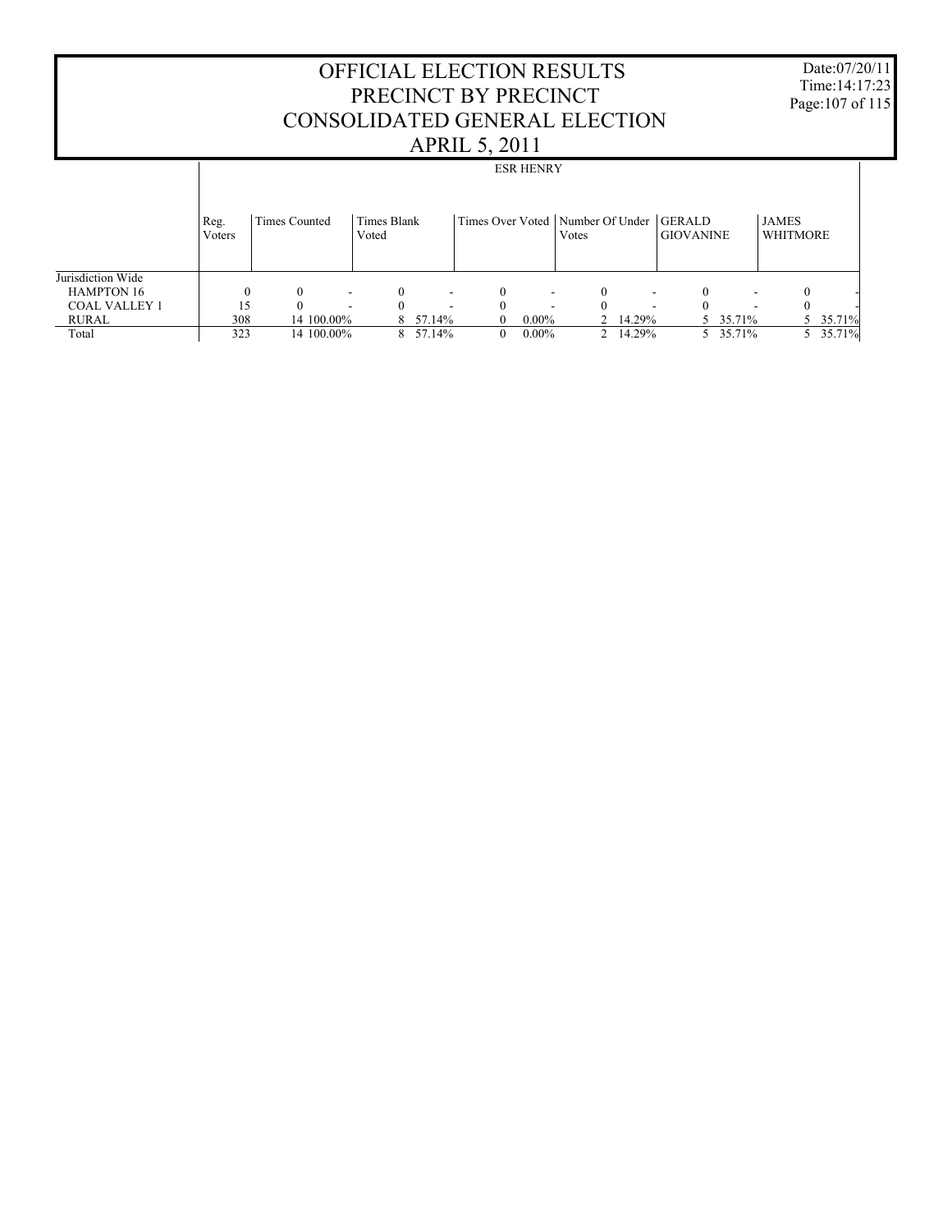Date:07/20/11 Time:14:17:23 Page:107 of 115

| $\Delta$ NIL $\sigma$ , $\Delta$ 011 |                  |               |                          |                      |                          |          |          |                                               |                          |                                   |                          |                          |          |
|--------------------------------------|------------------|---------------|--------------------------|----------------------|--------------------------|----------|----------|-----------------------------------------------|--------------------------|-----------------------------------|--------------------------|--------------------------|----------|
|                                      | <b>ESR HENRY</b> |               |                          |                      |                          |          |          |                                               |                          |                                   |                          |                          |          |
|                                      | Reg.<br>Voters   | Times Counted |                          | Times Blank<br>Voted |                          |          |          | Times Over Voted   Number Of Under  <br>Votes |                          | <b>GERALD</b><br><b>GIOVANINE</b> |                          | <b>JAMES</b><br>WHITMORE |          |
| Jurisdiction Wide                    |                  |               |                          |                      |                          |          |          |                                               |                          |                                   |                          |                          |          |
| <b>HAMPTON 16</b>                    | $\Omega$         | $\Omega$      | $\overline{\phantom{a}}$ |                      | $\overline{\phantom{a}}$ | $\Omega$ |          | $\Omega$                                      | $\overline{\phantom{a}}$ | 0                                 | $\blacksquare$           |                          |          |
| <b>COAL VALLEY 1</b>                 | 15               |               | ۰                        | 0                    | $\overline{\phantom{a}}$ | $\Omega$ |          | $\Omega$                                      |                          | $\Omega$                          | $\overline{\phantom{a}}$ |                          |          |
| RURAL                                | 308              |               | 14 100.00%               |                      | $8\quad 57.14\%$         | 0        | $0.00\%$ |                                               | 2 14.29%                 |                                   | 5 35.71%                 |                          | 5 35.71% |
| Total                                | 323              |               | 14 100.00%               |                      | 8 57.14%                 | $\theta$ | $0.00\%$ |                                               | 2 14.29%                 |                                   | 5 35.71%                 |                          | 5 35.71% |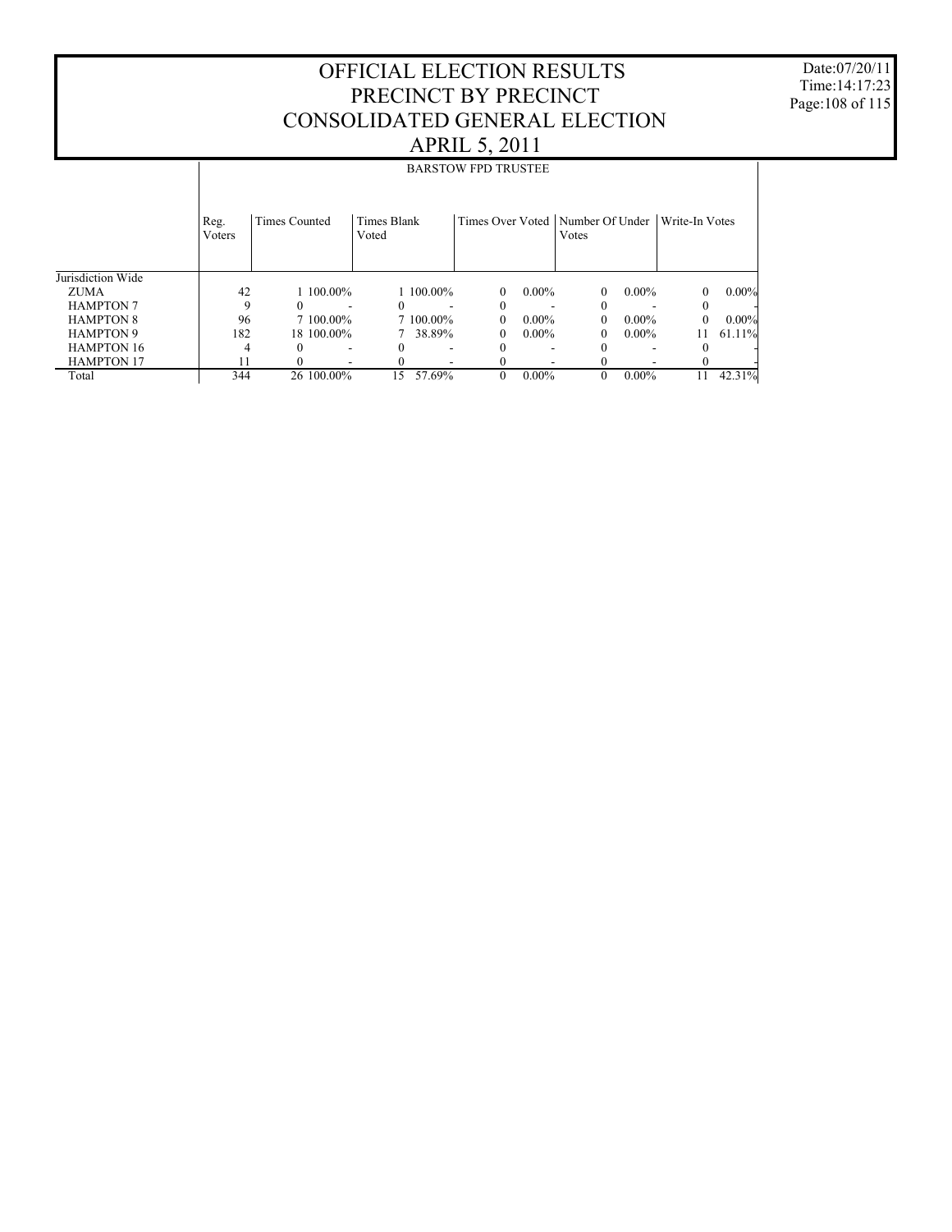Date:07/20/11 Time:14:17:23 Page:108 of 115

|                   | <b>BARSTOW FPD TRUSTEE</b> |                      |                      |                          |                                             |                       |  |  |  |  |  |
|-------------------|----------------------------|----------------------|----------------------|--------------------------|---------------------------------------------|-----------------------|--|--|--|--|--|
|                   | Reg.<br>Voters             | <b>Times Counted</b> | Times Blank<br>Voted |                          | Times Over Voted   Number Of Under<br>Votes | Write-In Votes        |  |  |  |  |  |
| Jurisdiction Wide |                            |                      |                      |                          |                                             |                       |  |  |  |  |  |
| ZUMA              | 42                         | $1.100.00\%$         | 1 100.00%            | $0.00\%$<br>$\theta$     | $0.00\%$<br>$\theta$                        | 0.00%<br>$\Omega$     |  |  |  |  |  |
| <b>HAMPTON 7</b>  | 9                          |                      | 0                    | $\overline{\phantom{a}}$ | $\theta$                                    | $\Omega$              |  |  |  |  |  |
| <b>HAMPTON 8</b>  | 96                         | 7 100,00%            | 7 100,00%            | $0.00\%$<br>0            | $0.00\%$<br>$\theta$                        | 0.00%<br>$\mathbf{0}$ |  |  |  |  |  |
| <b>HAMPTON 9</b>  | 182                        | 18 100.00%           | 38.89%               | $0.00\%$<br>0            | $0.00\%$<br>$\theta$                        | 61.11%                |  |  |  |  |  |
| <b>HAMPTON 16</b> | 4                          |                      |                      |                          |                                             |                       |  |  |  |  |  |
| <b>HAMPTON 17</b> | ۱۱                         |                      |                      |                          |                                             |                       |  |  |  |  |  |
| Total             | 344                        | 26 100,00%           | 15<br>57.69%         | $0.00\%$<br>$\Omega$     | $\Omega$<br>$0.00\%$                        | 42.31%<br>11          |  |  |  |  |  |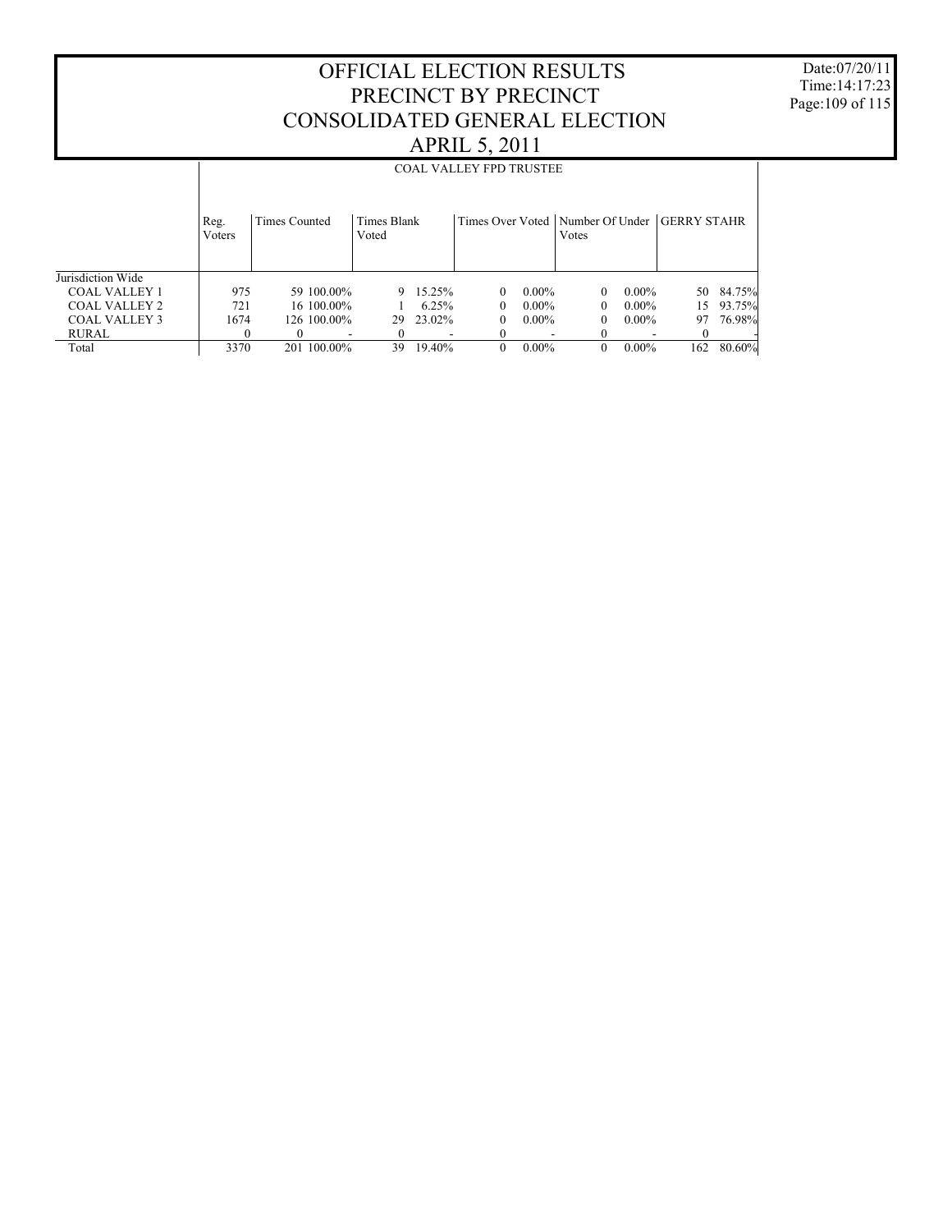Date:07/20/11 Time:14:17:23 Page:109 of 115

|                      | <b>COAL VALLEY FPD TRUSTEE</b> |                   |                      |        |          |          |                                                           |          |     |           |  |  |
|----------------------|--------------------------------|-------------------|----------------------|--------|----------|----------|-----------------------------------------------------------|----------|-----|-----------|--|--|
|                      | Reg.<br>Voters                 | Times Counted     | Times Blank<br>Voted |        |          |          | Times Over Voted   Number Of Under   GERRY STAHR<br>Votes |          |     |           |  |  |
| Jurisdiction Wide    |                                |                   |                      |        |          |          |                                                           |          |     |           |  |  |
| <b>COAL VALLEY 1</b> | 975                            | 59 100 00%        | 9                    | 15.25% | $\Omega$ | $0.00\%$ | $\Omega$                                                  | $0.00\%$ |     | 50 84.75% |  |  |
| COAL VALLEY 2        | 721                            | 16 100 00%        |                      | 6.25%  | $\Omega$ | $0.00\%$ | 0                                                         | $0.00\%$ | 15  | 93.75%    |  |  |
| COAL VALLEY 3        | 1674                           | 126 100 00%       | 29                   | 23.02% | $\Omega$ | $0.00\%$ | 0                                                         | $0.00\%$ | 97  | 76.98%    |  |  |
| RURAL                | $\Omega$                       |                   | $\theta$             |        |          |          |                                                           |          |     |           |  |  |
| Total                | 3370                           | $100.00\%$<br>201 | 39                   | 19.40% |          | $0.00\%$ | $\Omega$                                                  | $0.00\%$ | 162 | 80.60%    |  |  |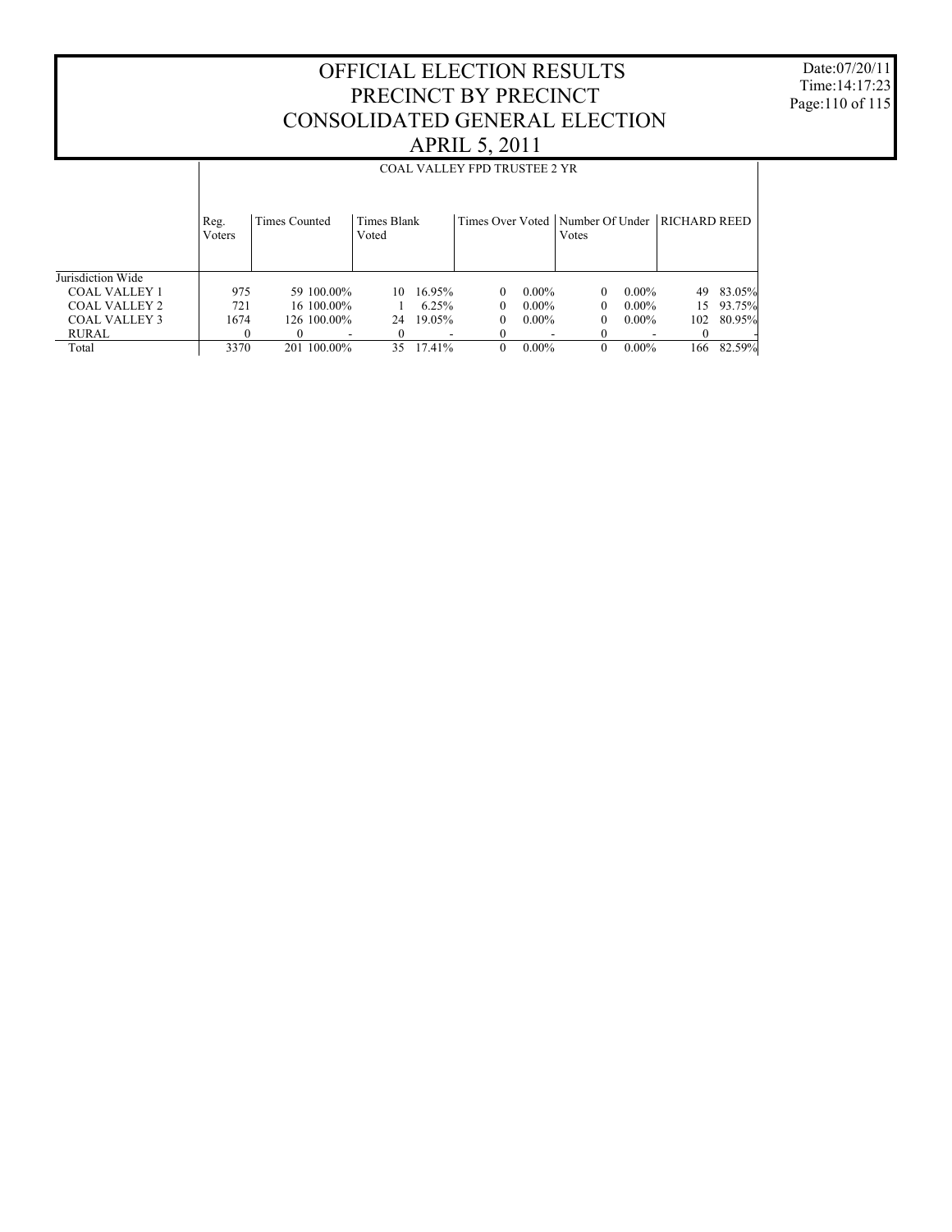Date:07/20/11 Time:14:17:23 Page:110 of 115

|                      | <b>COAL VALLEY FPD TRUSTEE 2 YR</b> |                   |                      |        |          |          |                                                            |          |     |        |  |  |
|----------------------|-------------------------------------|-------------------|----------------------|--------|----------|----------|------------------------------------------------------------|----------|-----|--------|--|--|
|                      | Reg.<br>Voters                      | Times Counted     | Times Blank<br>Voted |        |          |          | Times Over Voted   Number Of Under   RICHARD REED<br>Votes |          |     |        |  |  |
| Jurisdiction Wide    |                                     |                   |                      |        |          |          |                                                            |          |     |        |  |  |
| <b>COAL VALLEY 1</b> | 975                                 | 59 100 00%        | 10                   | 16.95% | $\Omega$ | $0.00\%$ | $\Omega$                                                   | $0.00\%$ | 49  | 83.05% |  |  |
| COAL VALLEY 2        | 721                                 | 16 100 00%        |                      | 6.25%  | $\Omega$ | $0.00\%$ | 0                                                          | $0.00\%$ | 15  | 93.75% |  |  |
| COAL VALLEY 3        | 1674                                | 126 100 00%       | 24                   | 19.05% | $\Omega$ | $0.00\%$ | 0                                                          | $0.00\%$ | 102 | 80.95% |  |  |
| RURAL                | $\Omega$                            |                   | $\theta$             |        |          |          |                                                            |          |     |        |  |  |
| Total                | 3370                                | $100.00\%$<br>201 | 35.                  | 17.41% |          | $0.00\%$ | $\Omega$                                                   | $0.00\%$ | 166 | 82.59% |  |  |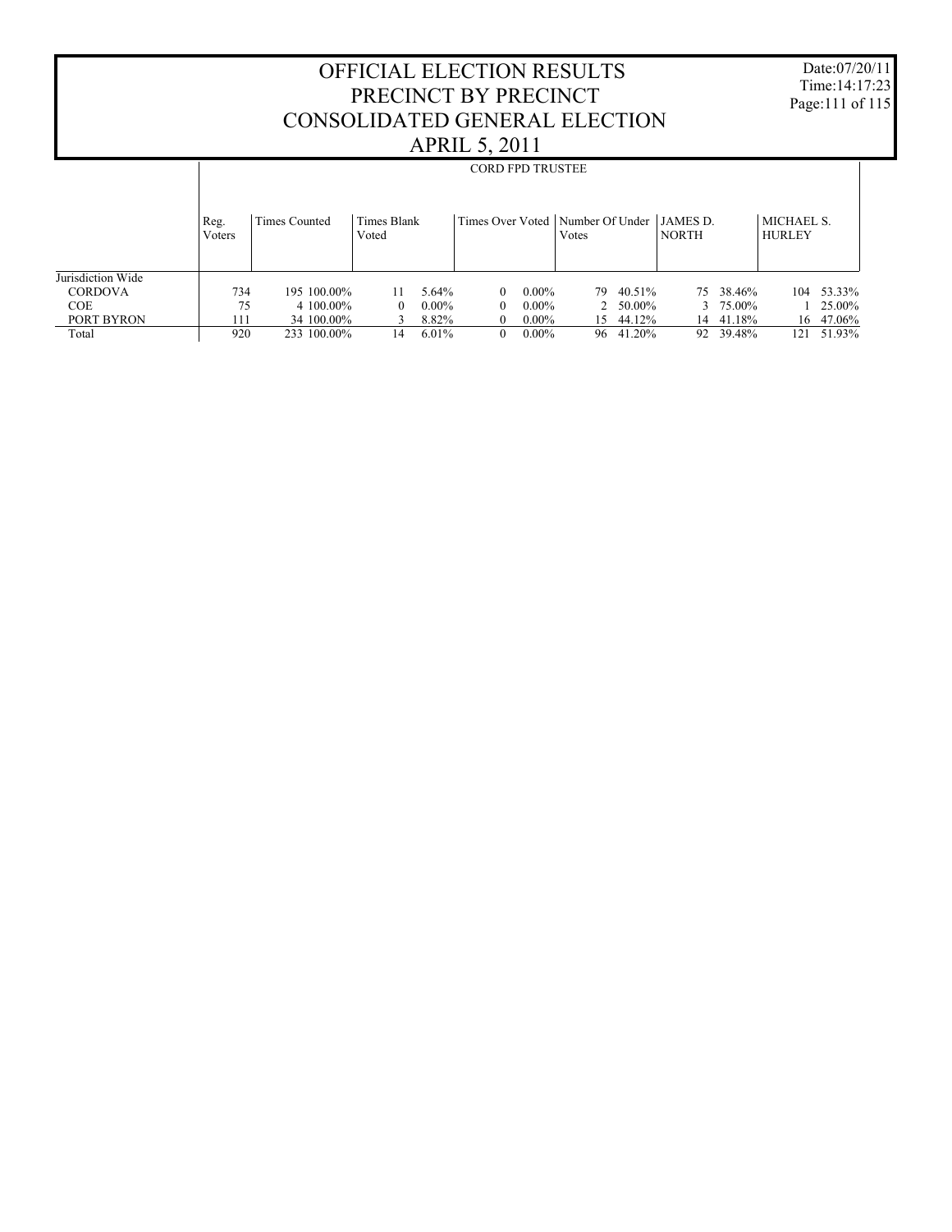Date:07/20/11 Time:14:17:23 Page:111 of 115

### OFFICIAL ELECTION RESULTS PRECINCT BY PRECINCT CONSOLIDATED GENERAL ELECTION APRIL 5, 2011

|                   | <b>CORD FPD TRUSTEE</b> |               |                      |          |   |          |                                             |          |                                 |                  |                             |        |
|-------------------|-------------------------|---------------|----------------------|----------|---|----------|---------------------------------------------|----------|---------------------------------|------------------|-----------------------------|--------|
|                   | Reg.<br>Voters          | Times Counted | Times Blank<br>Voted |          |   |          | Times Over Voted   Number Of Under<br>Votes |          | <b>JAMES D.</b><br><b>NORTH</b> |                  | MICHAEL S.<br><b>HURLEY</b> |        |
| Jurisdiction Wide |                         |               |                      |          |   |          |                                             |          |                                 |                  |                             |        |
| <b>CORDOVA</b>    | 734                     | 195 100.00%   | 11                   | $5.64\%$ | 0 | $0.00\%$ | 79                                          | 40.51%   |                                 | 75 38.46%        | 104                         | 53.33% |
| <b>COE</b>        | 75                      | 4 100,00%     | $\Omega$             | $0.00\%$ | 0 | $0.00\%$ |                                             | 2 50.00% |                                 | $3\quad 75.00\%$ |                             | 25.00% |
| PORT BYRON        | 111                     | 34 100.00%    |                      | 8.82%    |   | $0.00\%$ | 15                                          | 44.12%   | 14                              | 41.18%           | 16                          | 47.06% |
| Total             | 920                     | 233 100.00%   | 14                   | 6.01%    |   | $0.00\%$ | 96.                                         | 41.20%   | 92                              | 39.48%           | 121                         | 51.93% |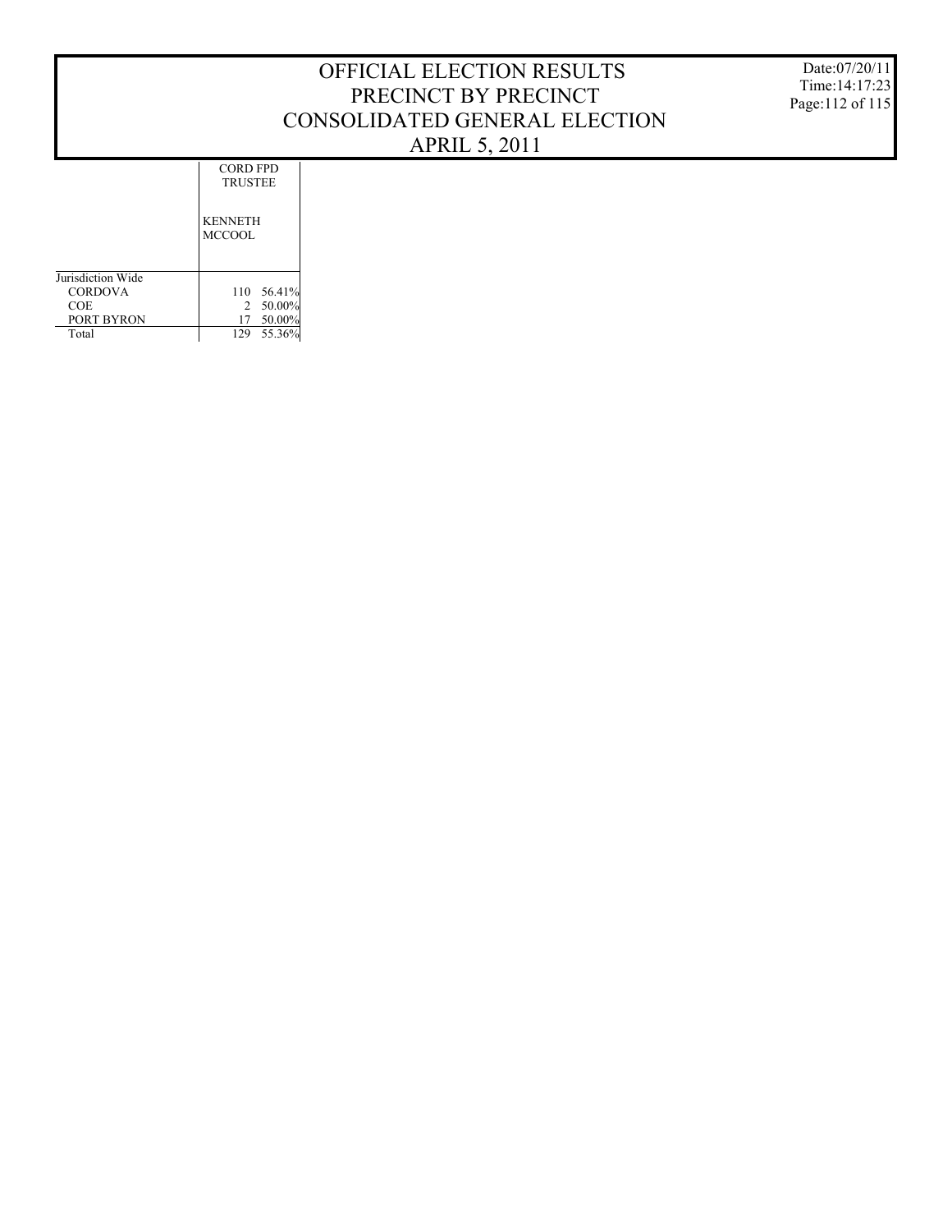Date:07/20/11 Time:14:17:23 Page:112 of 115

CORD FPD TRUSTEE

|                   | <b>KENNETH</b><br>MCCOOL |            |
|-------------------|--------------------------|------------|
| Jurisdiction Wide |                          |            |
| <b>CORDOVA</b>    |                          | 110 56.41% |
| COE               |                          | 2 50.00%   |
| PORT BYRON        | 17                       | 50.00%     |
| Total             | 129                      | 55.36%     |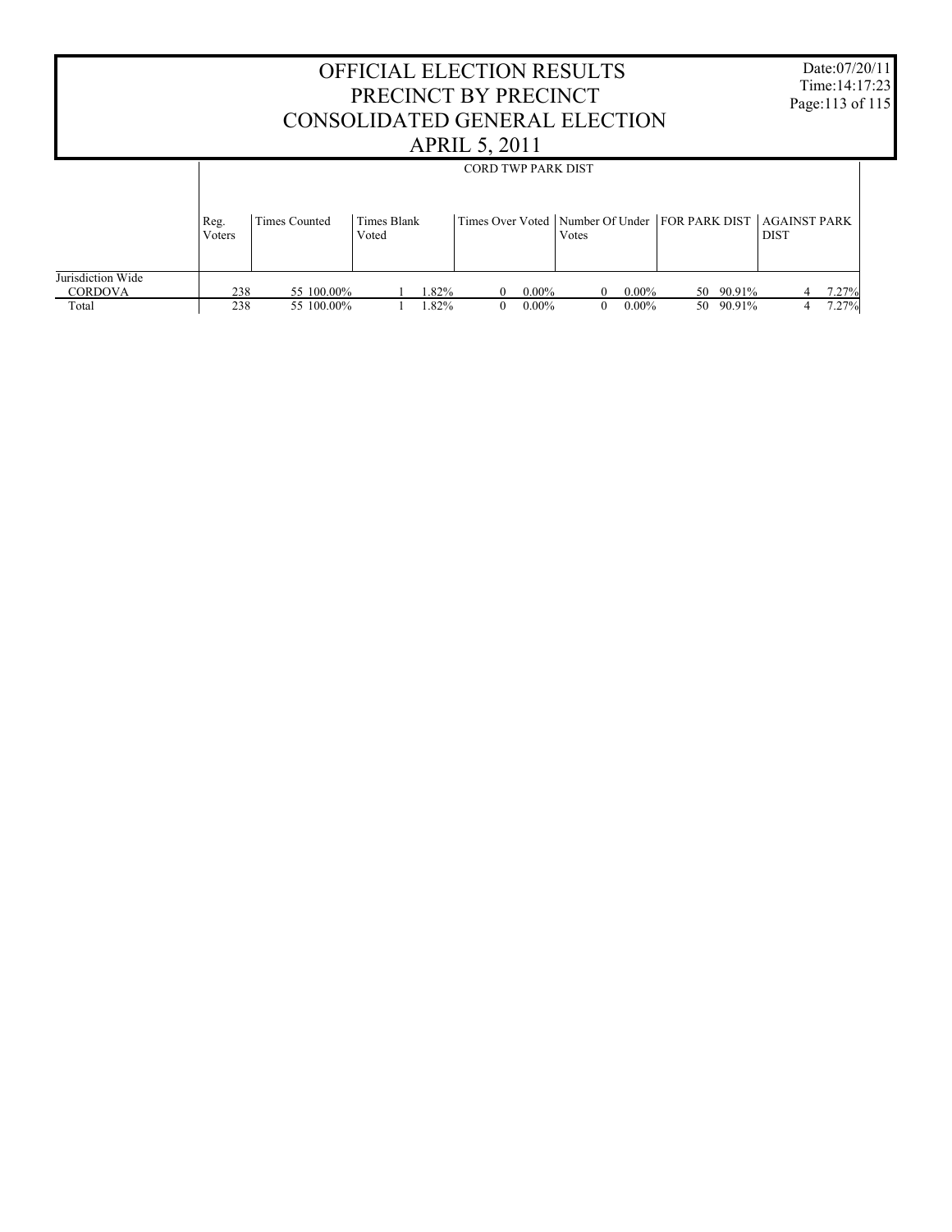| <b>OFFICIAL ELECTION RESULTS</b><br>PRECINCT BY PRECINCT<br>CONSOLIDATED GENERAL ELECTION |                |                      |                      |         |                           |          |                                                                            |          | Date:07/20/11<br>Time: $14:17:23$<br>Page:113 of 115 |             |            |  |
|-------------------------------------------------------------------------------------------|----------------|----------------------|----------------------|---------|---------------------------|----------|----------------------------------------------------------------------------|----------|------------------------------------------------------|-------------|------------|--|
|                                                                                           |                |                      |                      |         | <b>APRIL 5, 2011</b>      |          |                                                                            |          |                                                      |             |            |  |
|                                                                                           |                |                      |                      |         | <b>CORD TWP PARK DIST</b> |          |                                                                            |          |                                                      |             |            |  |
|                                                                                           | Reg.<br>Voters | <b>Times Counted</b> | Times Blank<br>Voted |         |                           |          | Times Over Voted   Number Of Under   FOR PARK DIST   AGAINST PARK<br>Votes |          |                                                      | <b>DIST</b> |            |  |
| Jurisdiction Wide<br><b>CORDOVA</b>                                                       | 238            | 55 100,00%           |                      | $.82\%$ | $\theta$                  | $0.00\%$ | $^{\circ}$                                                                 | $0.00\%$ | 50 90.91%                                            |             | 7.27%      |  |
| Total                                                                                     | 238            | 55 100.00%           |                      | $.82\%$ | $\Omega$                  | $0.00\%$ | $\theta$                                                                   | $0.00\%$ | 50 90.91%                                            |             | 7.27%<br>4 |  |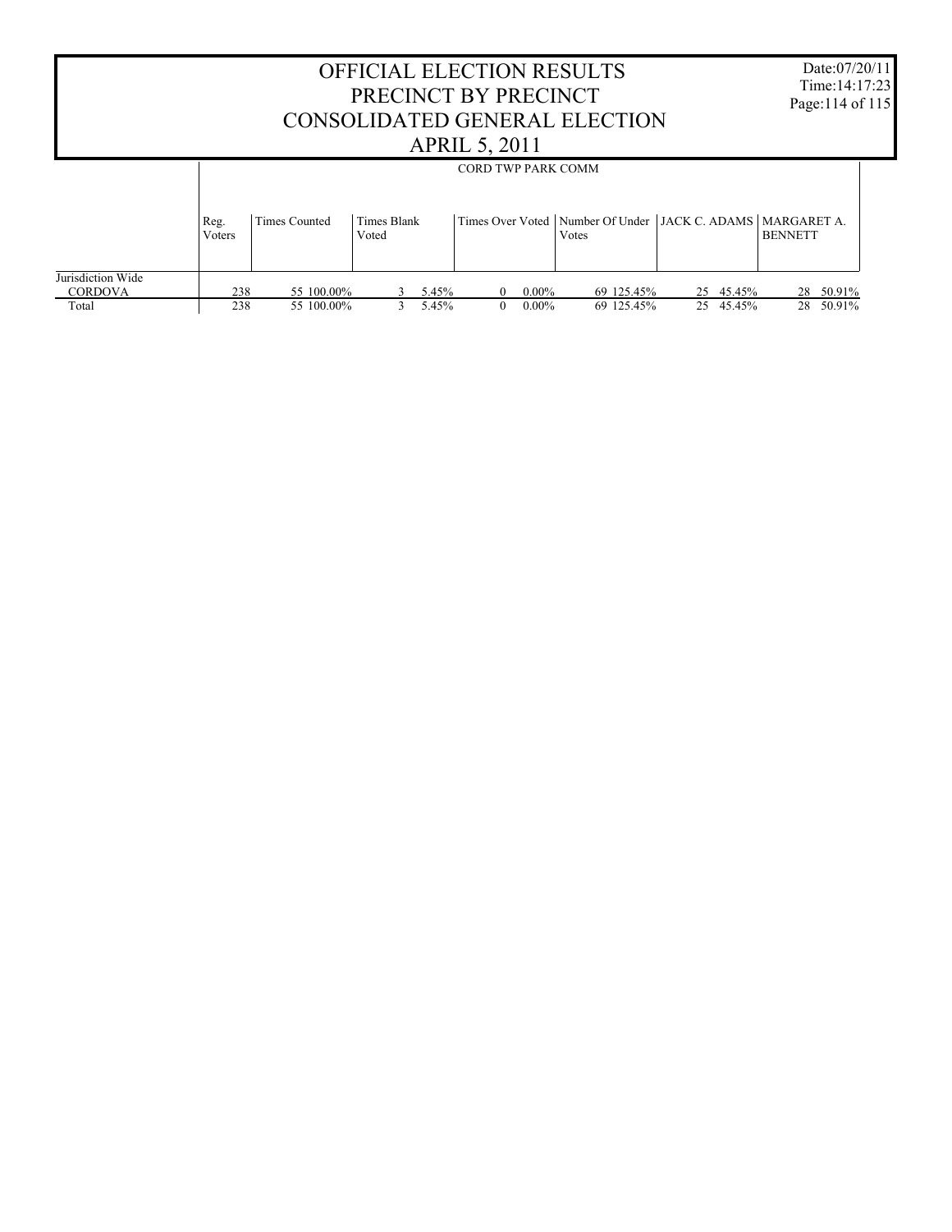| <b>OFFICIAL ELECTION RESULTS</b><br>PRECINCT BY PRECINCT<br>CONSOLIDATED GENERAL ELECTION |                        |                          |                      |                |                                                   |                      |                                                                           |  |                        | Date:07/20/11<br>Time: $14:17:23$<br>Page: 114 of 115 |                        |
|-------------------------------------------------------------------------------------------|------------------------|--------------------------|----------------------|----------------|---------------------------------------------------|----------------------|---------------------------------------------------------------------------|--|------------------------|-------------------------------------------------------|------------------------|
|                                                                                           |                        |                          |                      |                | <b>APRIL 5, 2011</b><br><b>CORD TWP PARK COMM</b> |                      |                                                                           |  |                        |                                                       |                        |
|                                                                                           | Reg.<br><b>V</b> oters | Times Counted            | Times Blank<br>Voted |                |                                                   |                      | Times Over Voted   Number Of Under   JACK C. ADAMS   MARGARET A.<br>Votes |  |                        | <b>BENNETT</b>                                        |                        |
| Jurisdiction Wide<br><b>CORDOVA</b><br>Total                                              | 238<br>238             | 55 100,00%<br>55 100.00% |                      | 5.45%<br>5.45% | 0<br>$\Omega$                                     | $0.00\%$<br>$0.00\%$ | 69 125.45%<br>69 125.45%                                                  |  | 25 45.45%<br>25 45.45% |                                                       | 28 50.91%<br>28 50.91% |